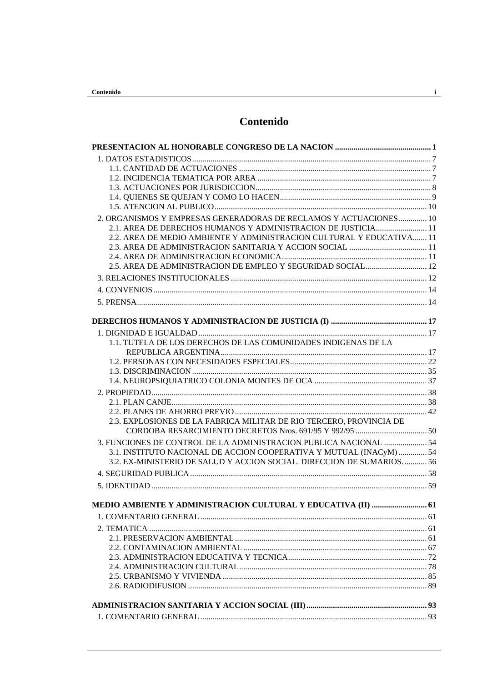# Contenido

| 2. ORGANISMOS Y EMPRESAS GENERADORAS DE RECLAMOS Y ACTUACIONES 10    |  |
|----------------------------------------------------------------------|--|
| 2.1. AREA DE DERECHOS HUMANOS Y ADMINISTRACION DE JUSTICIA 11        |  |
| 2.2. AREA DE MEDIO AMBIENTE Y ADMINISTRACION CULTURAL Y EDUCATIVA 11 |  |
|                                                                      |  |
|                                                                      |  |
|                                                                      |  |
|                                                                      |  |
|                                                                      |  |
|                                                                      |  |
|                                                                      |  |
|                                                                      |  |
| 1.1. TUTELA DE LOS DERECHOS DE LAS COMUNIDADES INDIGENAS DE LA       |  |
|                                                                      |  |
|                                                                      |  |
|                                                                      |  |
|                                                                      |  |
|                                                                      |  |
|                                                                      |  |
|                                                                      |  |
| 2.3. EXPLOSIONES DE LA FABRICA MILITAR DE RIO TERCERO, PROVINCIA DE  |  |
|                                                                      |  |
| 3. FUNCIONES DE CONTROL DE LA ADMINISTRACION PUBLICA NACIONAL  54    |  |
| 3.1. INSTITUTO NACIONAL DE ACCION COOPERATIVA Y MUTUAL (INACyM)  54  |  |
| 3.2. EX-MINISTERIO DE SALUD Y ACCION SOCIAL. DIRECCION DE SUMARIOS56 |  |
|                                                                      |  |
|                                                                      |  |
| MEDIO AMBIENTE Y ADMINISTRACION CULTURAL Y EDUCATIVA (II)  61        |  |
|                                                                      |  |
|                                                                      |  |
|                                                                      |  |
|                                                                      |  |
|                                                                      |  |
|                                                                      |  |
|                                                                      |  |
|                                                                      |  |
|                                                                      |  |
|                                                                      |  |
|                                                                      |  |

 $\frac{1}{\sqrt{2}}$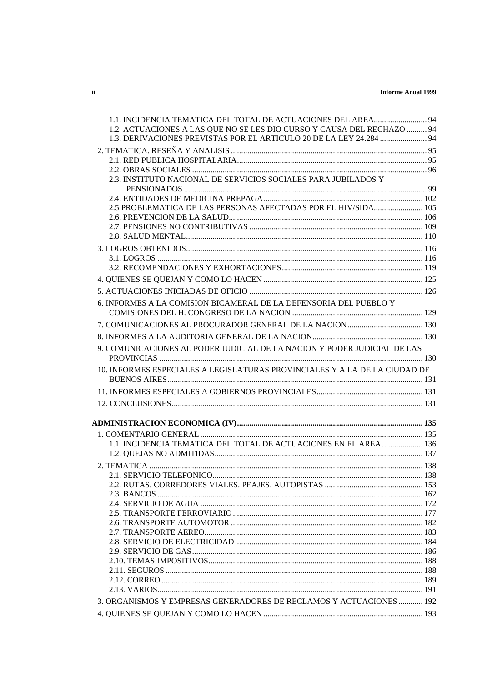| 1.1. INCIDENCIA TEMATICA DEL TOTAL DE ACTUACIONES DEL AREA 94              |  |
|----------------------------------------------------------------------------|--|
| 1.2. ACTUACIONES A LAS QUE NO SE LES DIO CURSO Y CAUSA DEL RECHAZO  94     |  |
| 1.3. DERIVACIONES PREVISTAS POR EL ARTICULO 20 DE LA LEY 24.284  94        |  |
|                                                                            |  |
|                                                                            |  |
|                                                                            |  |
| 2.3. INSTITUTO NACIONAL DE SERVICIOS SOCIALES PARA JUBILADOS Y             |  |
|                                                                            |  |
|                                                                            |  |
| 2.5 PROBLEMATICA DE LAS PERSONAS AFECTADAS POR EL HIV/SIDA 105             |  |
|                                                                            |  |
|                                                                            |  |
|                                                                            |  |
|                                                                            |  |
|                                                                            |  |
|                                                                            |  |
|                                                                            |  |
|                                                                            |  |
| 6. INFORMES A LA COMISION BICAMERAL DE LA DEFENSORIA DEL PUEBLO Y          |  |
|                                                                            |  |
|                                                                            |  |
| 9. COMUNICACIONES AL PODER JUDICIAL DE LA NACION Y PODER JUDICIAL DE LAS   |  |
| 10. INFORMES ESPECIALES A LEGISLATURAS PROVINCIALES Y A LA DE LA CIUDAD DE |  |
|                                                                            |  |
|                                                                            |  |
|                                                                            |  |
|                                                                            |  |
|                                                                            |  |
|                                                                            |  |
| 1.1. INCIDENCIA TEMATICA DEL TOTAL DE ACTUACIONES EN EL AREA  136          |  |
|                                                                            |  |
|                                                                            |  |
|                                                                            |  |
|                                                                            |  |
|                                                                            |  |
|                                                                            |  |
|                                                                            |  |
|                                                                            |  |
|                                                                            |  |
|                                                                            |  |
|                                                                            |  |
|                                                                            |  |
|                                                                            |  |
|                                                                            |  |
|                                                                            |  |
| 3. ORGANISMOS Y EMPRESAS GENERADORES DE RECLAMOS Y ACTUACIONES  192        |  |
|                                                                            |  |
|                                                                            |  |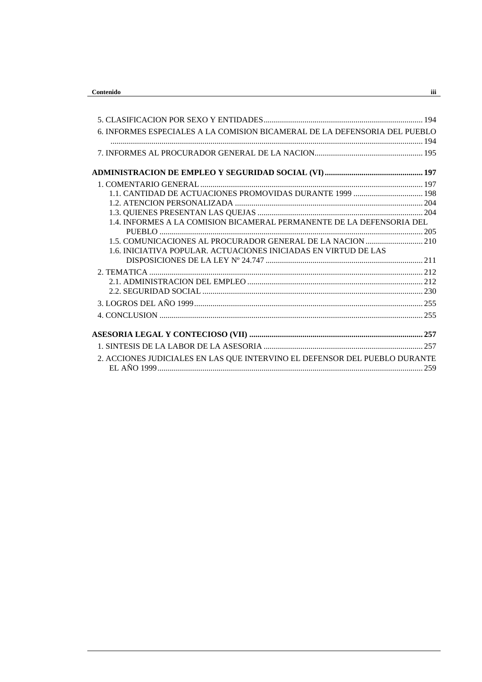| 6. INFORMES ESPECIALES A LA COMISION BICAMERAL DE LA DEFENSORIA DEL PUEBLO |  |
|----------------------------------------------------------------------------|--|
|                                                                            |  |
|                                                                            |  |
|                                                                            |  |
|                                                                            |  |
|                                                                            |  |
|                                                                            |  |
|                                                                            |  |
| 1.4. INFORMES A LA COMISION BICAMERAL PERMANENTE DE LA DEFENSORIA DEL      |  |
|                                                                            |  |
|                                                                            |  |
| 1.6. INICIATIVA POPULAR. ACTUACIONES INICIADAS EN VIRTUD DE LAS            |  |
|                                                                            |  |
|                                                                            |  |
|                                                                            |  |
|                                                                            |  |
|                                                                            |  |
|                                                                            |  |
|                                                                            |  |
|                                                                            |  |
| 2. ACCIONES JUDICIALES EN LAS QUE INTERVINO EL DEFENSOR DEL PUEBLO DURANTE |  |
|                                                                            |  |
|                                                                            |  |

 $\frac{iii}{2}$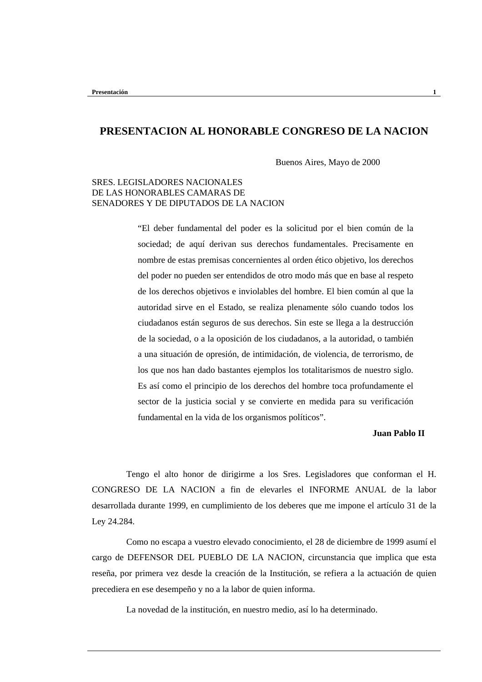# **PRESENTACION AL HONORABLE CONGRESO DE LA NACION**

Buenos Aires, Mayo de 2000

### SRES. LEGISLADORES NACIONALES DE LAS HONORABLES CAMARAS DE SENADORES Y DE DIPUTADOS DE LA NACION

"El deber fundamental del poder es la solicitud por el bien común de la sociedad; de aquí derivan sus derechos fundamentales. Precisamente en nombre de estas premisas concernientes al orden ético objetivo, los derechos del poder no pueden ser entendidos de otro modo más que en base al respeto de los derechos objetivos e inviolables del hombre. El bien común al que la autoridad sirve en el Estado, se realiza plenamente sólo cuando todos los ciudadanos están seguros de sus derechos. Sin este se llega a la destrucción de la sociedad, o a la oposición de los ciudadanos, a la autoridad, o también a una situación de opresión, de intimidación, de violencia, de terrorismo, de los que nos han dado bastantes ejemplos los totalitarismos de nuestro siglo. Es así como el principio de los derechos del hombre toca profundamente el sector de la justicia social y se convierte en medida para su verificación fundamental en la vida de los organismos políticos".

#### **Juan Pablo II**

Tengo el alto honor de dirigirme a los Sres. Legisladores que conforman el H. CONGRESO DE LA NACION a fin de elevarles el INFORME ANUAL de la labor desarrollada durante 1999, en cumplimiento de los deberes que me impone el artículo 31 de la Ley 24.284.

Como no escapa a vuestro elevado conocimiento, el 28 de diciembre de 1999 asumí el cargo de DEFENSOR DEL PUEBLO DE LA NACION, circunstancia que implica que esta reseña, por primera vez desde la creación de la Institución, se refiera a la actuación de quien precediera en ese desempeño y no a la labor de quien informa.

La novedad de la institución, en nuestro medio, así lo ha determinado.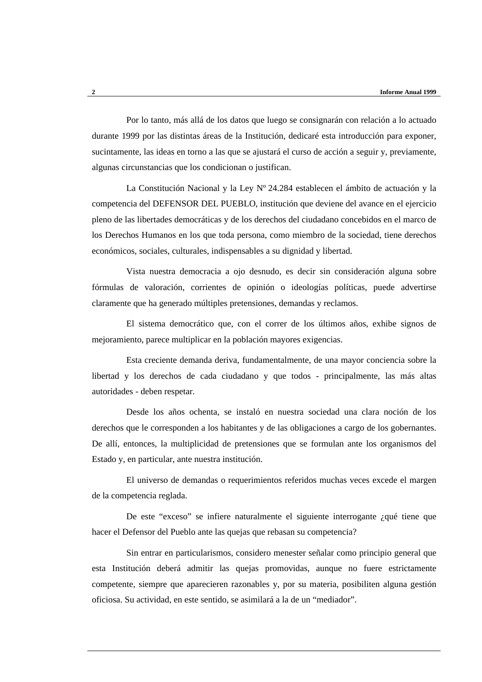Por lo tanto, más allá de los datos que luego se consignarán con relación a lo actuado durante 1999 por las distintas áreas de la Institución, dedicaré esta introducción para exponer, sucintamente, las ideas en torno a las que se ajustará el curso de acción a seguir y, previamente, algunas circunstancias que los condicionan o justifican.

La Constitución Nacional y la Ley Nº 24.284 establecen el ámbito de actuación y la competencia del DEFENSOR DEL PUEBLO, institución que deviene del avance en el ejercicio pleno de las libertades democráticas y de los derechos del ciudadano concebidos en el marco de los Derechos Humanos en los que toda persona, como miembro de la sociedad, tiene derechos económicos, sociales, culturales, indispensables a su dignidad y libertad.

Vista nuestra democracia a ojo desnudo, es decir sin consideración alguna sobre fórmulas de valoración, corrientes de opinión o ideologías políticas, puede advertirse claramente que ha generado múltiples pretensiones, demandas y reclamos.

El sistema democrático que, con el correr de los últimos años, exhibe signos de mejoramiento, parece multiplicar en la población mayores exigencias.

Esta creciente demanda deriva, fundamentalmente, de una mayor conciencia sobre la libertad y los derechos de cada ciudadano y que todos - principalmente, las más altas autoridades - deben respetar.

Desde los años ochenta, se instaló en nuestra sociedad una clara noción de los derechos que le corresponden a los habitantes y de las obligaciones a cargo de los gobernantes. De allí, entonces, la multiplicidad de pretensiones que se formulan ante los organismos del Estado y, en particular, ante nuestra institución.

El universo de demandas o requerimientos referidos muchas veces excede el margen de la competencia reglada.

De este "exceso" se infiere naturalmente el siguiente interrogante ¿qué tiene que hacer el Defensor del Pueblo ante las quejas que rebasan su competencia?

Sin entrar en particularismos, considero menester señalar como principio general que esta Institución deberá admitir las quejas promovidas, aunque no fuere estrictamente competente, siempre que aparecieren razonables y, por su materia, posibiliten alguna gestión oficiosa. Su actividad, en este sentido, se asimilará a la de un "mediador".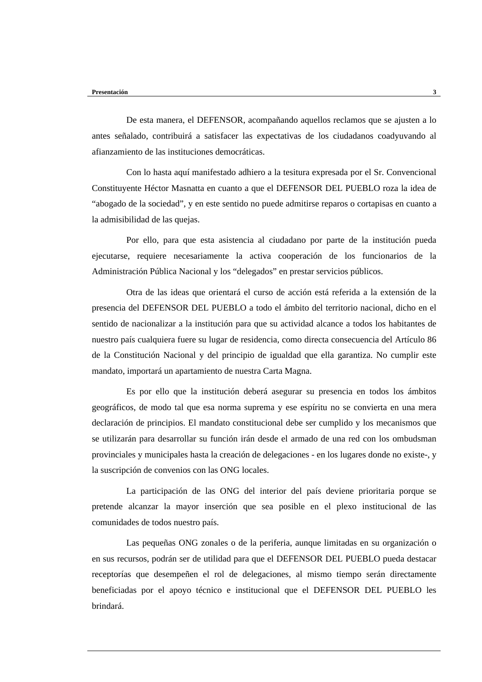De esta manera, el DEFENSOR, acompañando aquellos reclamos que se ajusten a lo antes señalado, contribuirá a satisfacer las expectativas de los ciudadanos coadyuvando al afianzamiento de las instituciones democráticas.

Con lo hasta aquí manifestado adhiero a la tesitura expresada por el Sr. Convencional Constituyente Héctor Masnatta en cuanto a que el DEFENSOR DEL PUEBLO roza la idea de "abogado de la sociedad", y en este sentido no puede admitirse reparos o cortapisas en cuanto a la admisibilidad de las quejas.

Por ello, para que esta asistencia al ciudadano por parte de la institución pueda ejecutarse, requiere necesariamente la activa cooperación de los funcionarios de la Administración Pública Nacional y los "delegados" en prestar servicios públicos.

Otra de las ideas que orientará el curso de acción está referida a la extensión de la presencia del DEFENSOR DEL PUEBLO a todo el ámbito del territorio nacional, dicho en el sentido de nacionalizar a la institución para que su actividad alcance a todos los habitantes de nuestro país cualquiera fuere su lugar de residencia, como directa consecuencia del Artículo 86 de la Constitución Nacional y del principio de igualdad que ella garantiza. No cumplir este mandato, importará un apartamiento de nuestra Carta Magna.

Es por ello que la institución deberá asegurar su presencia en todos los ámbitos geográficos, de modo tal que esa norma suprema y ese espíritu no se convierta en una mera declaración de principios. El mandato constitucional debe ser cumplido y los mecanismos que se utilizarán para desarrollar su función irán desde el armado de una red con los ombudsman provinciales y municipales hasta la creación de delegaciones - en los lugares donde no existe-, y la suscripción de convenios con las ONG locales.

La participación de las ONG del interior del país deviene prioritaria porque se pretende alcanzar la mayor inserción que sea posible en el plexo institucional de las comunidades de todos nuestro país.

Las pequeñas ONG zonales o de la periferia, aunque limitadas en su organización o en sus recursos, podrán ser de utilidad para que el DEFENSOR DEL PUEBLO pueda destacar receptorías que desempeñen el rol de delegaciones, al mismo tiempo serán directamente beneficiadas por el apoyo técnico e institucional que el DEFENSOR DEL PUEBLO les brindará.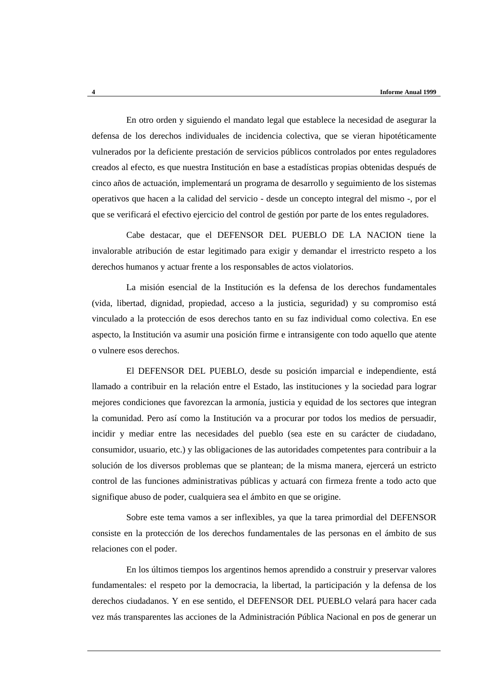En otro orden y siguiendo el mandato legal que establece la necesidad de asegurar la defensa de los derechos individuales de incidencia colectiva, que se vieran hipotéticamente vulnerados por la deficiente prestación de servicios públicos controlados por entes reguladores creados al efecto, es que nuestra Institución en base a estadísticas propias obtenidas después de cinco años de actuación, implementará un programa de desarrollo y seguimiento de los sistemas operativos que hacen a la calidad del servicio - desde un concepto integral del mismo -, por el que se verificará el efectivo ejercicio del control de gestión por parte de los entes reguladores.

Cabe destacar, que el DEFENSOR DEL PUEBLO DE LA NACION tiene la invalorable atribución de estar legitimado para exigir y demandar el irrestricto respeto a los derechos humanos y actuar frente a los responsables de actos violatorios.

La misión esencial de la Institución es la defensa de los derechos fundamentales (vida, libertad, dignidad, propiedad, acceso a la justicia, seguridad) y su compromiso está vinculado a la protección de esos derechos tanto en su faz individual como colectiva. En ese aspecto, la Institución va asumir una posición firme e intransigente con todo aquello que atente o vulnere esos derechos.

El DEFENSOR DEL PUEBLO, desde su posición imparcial e independiente, está llamado a contribuir en la relación entre el Estado, las instituciones y la sociedad para lograr mejores condiciones que favorezcan la armonía, justicia y equidad de los sectores que integran la comunidad. Pero así como la Institución va a procurar por todos los medios de persuadir, incidir y mediar entre las necesidades del pueblo (sea este en su carácter de ciudadano, consumidor, usuario, etc.) y las obligaciones de las autoridades competentes para contribuir a la solución de los diversos problemas que se plantean; de la misma manera, ejercerá un estricto control de las funciones administrativas públicas y actuará con firmeza frente a todo acto que signifique abuso de poder, cualquiera sea el ámbito en que se origine.

Sobre este tema vamos a ser inflexibles, ya que la tarea primordial del DEFENSOR consiste en la protección de los derechos fundamentales de las personas en el ámbito de sus relaciones con el poder.

En los últimos tiempos los argentinos hemos aprendido a construir y preservar valores fundamentales: el respeto por la democracia, la libertad, la participación y la defensa de los derechos ciudadanos. Y en ese sentido, el DEFENSOR DEL PUEBLO velará para hacer cada vez más transparentes las acciones de la Administración Pública Nacional en pos de generar un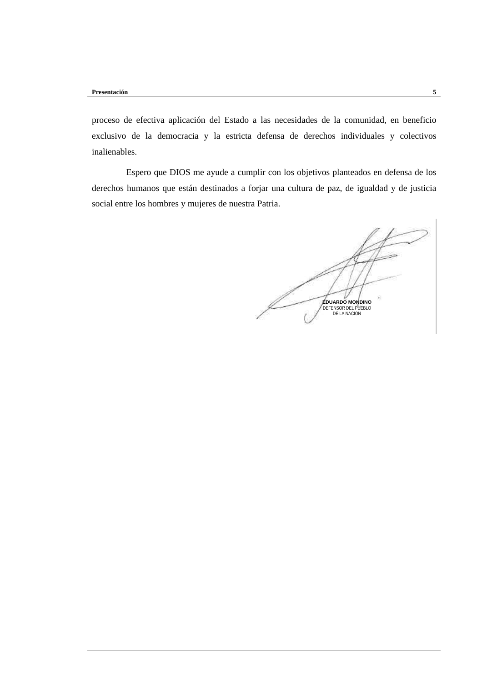proceso de efectiva aplicación del Estado a las necesidades de la comunidad, en beneficio exclusivo de la democracia y la estricta defensa de derechos individuales y colectivos inalienables.

Espero que DIOS me ayude a cumplir con los objetivos planteados en defensa de los derechos humanos que están destinados a forjar una cultura de paz, de igualdad y de justicia social entre los hombres y mujeres de nuestra Patria.

**EDUARDO MONDINO** DEFENSOR DEL PUEBLO DE LA NACION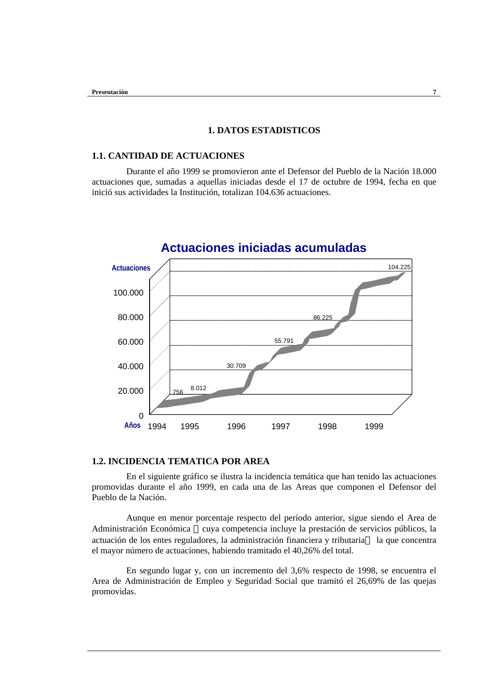### **1. DATOS ESTADISTICOS**

### **1.1. CANTIDAD DE ACTUACIONES**

Durante el año 1999 se promovieron ante el Defensor del Pueblo de la Nación 18.000 actuaciones que, sumadas a aquellas iniciadas desde el 17 de octubre de 1994, fecha en que inició sus actividades la Institución, totalizan 104.636 actuaciones.



# **Actuaciones iniciadas acumuladas**

### **1.2. INCIDENCIA TEMATICA POR AREA**

En el siguiente gráfico se ilustra la incidencia temática que han tenido las actuaciones promovidas durante el año 1999, en cada una de las Areas que componen el Defensor del Pueblo de la Nación.

Aunque en menor porcentaje respecto del período anterior, sigue siendo el Area de Administración Económica —cuya competencia incluye la prestación de servicios públicos, la actuación de los entes reguladores, la administración financiera y tributaria— la que concentra el mayor número de actuaciones, habiendo tramitado el 40,26% del total.

En segundo lugar y, con un incremento del 3,6% respecto de 1998, se encuentra el Area de Administración de Empleo y Seguridad Social que tramitó el 26,69% de las quejas promovidas.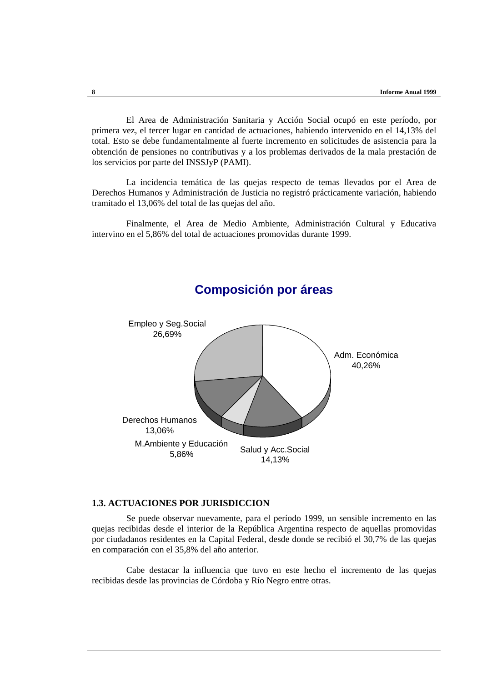El Area de Administración Sanitaria y Acción Social ocupó en este período, por primera vez, el tercer lugar en cantidad de actuaciones, habiendo intervenido en el 14,13% del total. Esto se debe fundamentalmente al fuerte incremento en solicitudes de asistencia para la obtención de pensiones no contributivas y a los problemas derivados de la mala prestación de los servicios por parte del INSSJyP (PAMI).

La incidencia temática de las quejas respecto de temas llevados por el Area de Derechos Humanos y Administración de Justicia no registró prácticamente variación, habiendo tramitado el 13,06% del total de las quejas del año.

Finalmente, el Area de Medio Ambiente, Administración Cultural y Educativa intervino en el 5,86% del total de actuaciones promovidas durante 1999.



# **Composición por áreas**

### **1.3. ACTUACIONES POR JURISDICCION**

Se puede observar nuevamente, para el período 1999, un sensible incremento en las quejas recibidas desde el interior de la República Argentina respecto de aquellas promovidas por ciudadanos residentes en la Capital Federal, desde donde se recibió el 30,7% de las quejas en comparación con el 35,8% del año anterior.

Cabe destacar la influencia que tuvo en este hecho el incremento de las quejas recibidas desde las provincias de Córdoba y Río Negro entre otras.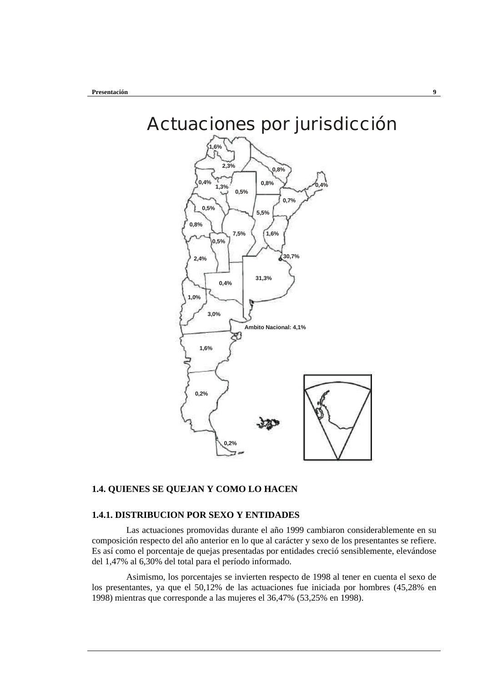

### **1.4. QUIENES SE QUEJAN Y COMO LO HACEN**

### **1.4.1. DISTRIBUCION POR SEXO Y ENTIDADES**

Las actuaciones promovidas durante el año 1999 cambiaron considerablemente en su composición respecto del año anterior en lo que al carácter y sexo de los presentantes se refiere. Es así como el porcentaje de quejas presentadas por entidades creció sensiblemente, elevándose del 1,47% al 6,30% del total para el período informado.

Asimismo, los porcentajes se invierten respecto de 1998 al tener en cuenta el sexo de los presentantes, ya que el 50,12% de las actuaciones fue iniciada por hombres (45,28% en 1998) mientras que corresponde a las mujeres el 36,47% (53,25% en 1998).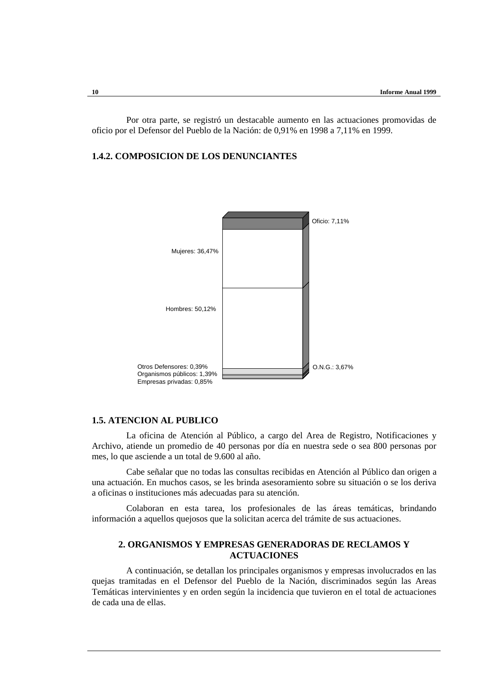Por otra parte, se registró un destacable aumento en las actuaciones promovidas de oficio por el Defensor del Pueblo de la Nación: de 0,91% en 1998 a 7,11% en 1999.

## **1.4.2. COMPOSICION DE LOS DENUNCIANTES**



#### **1.5. ATENCION AL PUBLICO**

La oficina de Atención al Público, a cargo del Area de Registro, Notificaciones y Archivo, atiende un promedio de 40 personas por día en nuestra sede o sea 800 personas por mes, lo que asciende a un total de 9.600 al año.

Cabe señalar que no todas las consultas recibidas en Atención al Público dan origen a una actuación. En muchos casos, se les brinda asesoramiento sobre su situación o se los deriva a oficinas o instituciones más adecuadas para su atención.

Colaboran en esta tarea, los profesionales de las áreas temáticas, brindando información a aquellos quejosos que la solicitan acerca del trámite de sus actuaciones.

### **2. ORGANISMOS Y EMPRESAS GENERADORAS DE RECLAMOS Y ACTUACIONES**

A continuación, se detallan los principales organismos y empresas involucrados en las quejas tramitadas en el Defensor del Pueblo de la Nación, discriminados según las Areas Temáticas intervinientes y en orden según la incidencia que tuvieron en el total de actuaciones de cada una de ellas.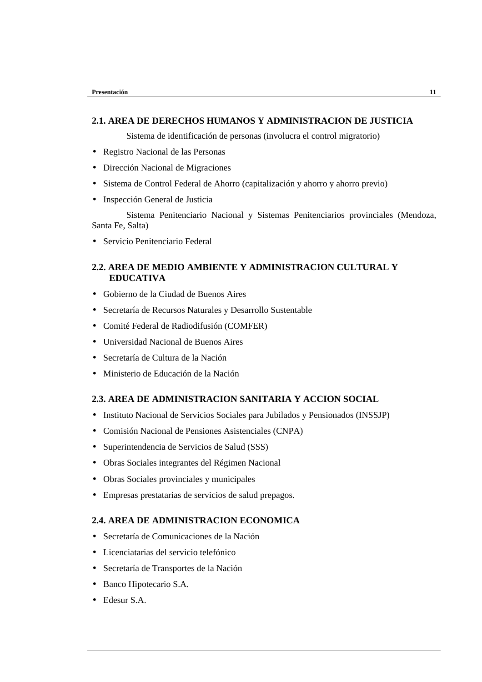### **2.1. AREA DE DERECHOS HUMANOS Y ADMINISTRACION DE JUSTICIA**

Sistema de identificación de personas (involucra el control migratorio)

- Registro Nacional de las Personas
- Dirección Nacional de Migraciones
- Sistema de Control Federal de Ahorro (capitalización y ahorro y ahorro previo)
- Inspección General de Justicia

Sistema Penitenciario Nacional y Sistemas Penitenciarios provinciales (Mendoza, Santa Fe, Salta)

• Servicio Penitenciario Federal

### **2.2. AREA DE MEDIO AMBIENTE Y ADMINISTRACION CULTURAL Y EDUCATIVA**

- Gobierno de la Ciudad de Buenos Aires
- Secretaría de Recursos Naturales y Desarrollo Sustentable
- Comité Federal de Radiodifusión (COMFER)
- Universidad Nacional de Buenos Aires
- Secretaría de Cultura de la Nación
- Ministerio de Educación de la Nación

### **2.3. AREA DE ADMINISTRACION SANITARIA Y ACCION SOCIAL**

- Instituto Nacional de Servicios Sociales para Jubilados y Pensionados (INSSJP)
- Comisión Nacional de Pensiones Asistenciales (CNPA)
- Superintendencia de Servicios de Salud (SSS)
- Obras Sociales integrantes del Régimen Nacional
- Obras Sociales provinciales y municipales
- Empresas prestatarias de servicios de salud prepagos.

### **2.4. AREA DE ADMINISTRACION ECONOMICA**

- Secretaría de Comunicaciones de la Nación
- Licenciatarias del servicio telefónico
- Secretaría de Transportes de la Nación
- Banco Hipotecario S.A.
- Edesur S.A.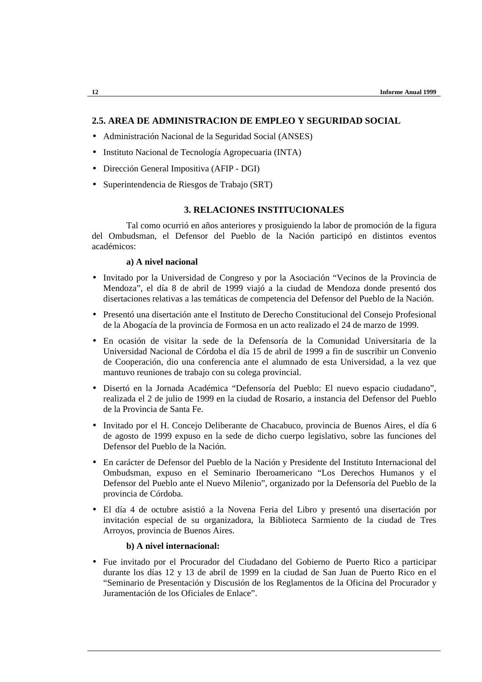### **2.5. AREA DE ADMINISTRACION DE EMPLEO Y SEGURIDAD SOCIAL**

- Administración Nacional de la Seguridad Social (ANSES)
- Instituto Nacional de Tecnología Agropecuaria (INTA)
- Dirección General Impositiva (AFIP DGI)
- Superintendencia de Riesgos de Trabajo (SRT)

### **3. RELACIONES INSTITUCIONALES**

Tal como ocurrió en años anteriores y prosiguiendo la labor de promoción de la figura del Ombudsman, el Defensor del Pueblo de la Nación participó en distintos eventos académicos:

### **a) A nivel nacional**

- Invitado por la Universidad de Congreso y por la Asociación "Vecinos de la Provincia de Mendoza", el día 8 de abril de 1999 viajó a la ciudad de Mendoza donde presentó dos disertaciones relativas a las temáticas de competencia del Defensor del Pueblo de la Nación.
- Presentó una disertación ante el Instituto de Derecho Constitucional del Consejo Profesional de la Abogacía de la provincia de Formosa en un acto realizado el 24 de marzo de 1999.
- En ocasión de visitar la sede de la Defensoría de la Comunidad Universitaria de la Universidad Nacional de Córdoba el día 15 de abril de 1999 a fin de suscribir un Convenio de Cooperación, dio una conferencia ante el alumnado de esta Universidad, a la vez que mantuvo reuniones de trabajo con su colega provincial.
- Disertó en la Jornada Académica "Defensoría del Pueblo: El nuevo espacio ciudadano", realizada el 2 de julio de 1999 en la ciudad de Rosario, a instancia del Defensor del Pueblo de la Provincia de Santa Fe.
- Invitado por el H. Concejo Deliberante de Chacabuco, provincia de Buenos Aires, el día 6 de agosto de 1999 expuso en la sede de dicho cuerpo legislativo, sobre las funciones del Defensor del Pueblo de la Nación.
- En carácter de Defensor del Pueblo de la Nación y Presidente del Instituto Internacional del Ombudsman, expuso en el Seminario Iberoamericano "Los Derechos Humanos y el Defensor del Pueblo ante el Nuevo Milenio", organizado por la Defensoría del Pueblo de la provincia de Córdoba.
- El día 4 de octubre asistió a la Novena Feria del Libro y presentó una disertación por invitación especial de su organizadora, la Biblioteca Sarmiento de la ciudad de Tres Arroyos, provincia de Buenos Aires.

### **b) A nivel internacional:**

• Fue invitado por el Procurador del Ciudadano del Gobierno de Puerto Rico a participar durante los días 12 y 13 de abril de 1999 en la ciudad de San Juan de Puerto Rico en el "Seminario de Presentación y Discusión de los Reglamentos de la Oficina del Procurador y Juramentación de los Oficiales de Enlace".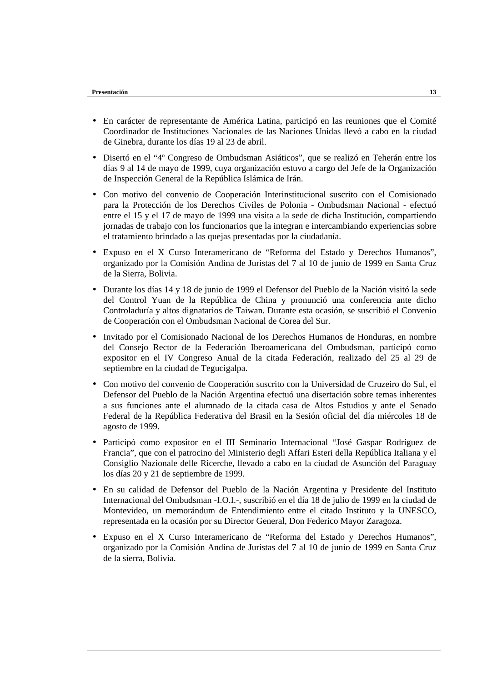- En carácter de representante de América Latina, participó en las reuniones que el Comité Coordinador de Instituciones Nacionales de las Naciones Unidas llevó a cabo en la ciudad de Ginebra, durante los días 19 al 23 de abril.
- Disertó en el "4º Congreso de Ombudsman Asiáticos", que se realizó en Teherán entre los días 9 al 14 de mayo de 1999, cuya organización estuvo a cargo del Jefe de la Organización de Inspección General de la República Islámica de Irán.
- Con motivo del convenio de Cooperación Interinstitucional suscrito con el Comisionado para la Protección de los Derechos Civiles de Polonia - Ombudsman Nacional - efectuó entre el 15 y el 17 de mayo de 1999 una visita a la sede de dicha Institución, compartiendo jornadas de trabajo con los funcionarios que la integran e intercambiando experiencias sobre el tratamiento brindado a las quejas presentadas por la ciudadanía.
- Expuso en el X Curso Interamericano de "Reforma del Estado y Derechos Humanos", organizado por la Comisión Andina de Juristas del 7 al 10 de junio de 1999 en Santa Cruz de la Sierra, Bolivia.
- Durante los días 14 y 18 de junio de 1999 el Defensor del Pueblo de la Nación visitó la sede del Control Yuan de la República de China y pronunció una conferencia ante dicho Controladuría y altos dignatarios de Taiwan. Durante esta ocasión, se suscribió el Convenio de Cooperación con el Ombudsman Nacional de Corea del Sur.
- Invitado por el Comisionado Nacional de los Derechos Humanos de Honduras, en nombre del Consejo Rector de la Federación Iberoamericana del Ombudsman, participó como expositor en el IV Congreso Anual de la citada Federación, realizado del 25 al 29 de septiembre en la ciudad de Tegucigalpa.
- Con motivo del convenio de Cooperación suscrito con la Universidad de Cruzeiro do Sul, el Defensor del Pueblo de la Nación Argentina efectuó una disertación sobre temas inherentes a sus funciones ante el alumnado de la citada casa de Altos Estudios y ante el Senado Federal de la República Federativa del Brasil en la Sesión oficial del día miércoles 18 de agosto de 1999.
- Participó como expositor en el III Seminario Internacional "José Gaspar Rodríguez de Francia", que con el patrocino del Ministerio degli Affari Esteri della República Italiana y el Consiglio Nazionale delle Ricerche, llevado a cabo en la ciudad de Asunción del Paraguay los días 20 y 21 de septiembre de 1999.
- En su calidad de Defensor del Pueblo de la Nación Argentina y Presidente del Instituto Internacional del Ombudsman -I.O.I.-, suscribió en el día 18 de julio de 1999 en la ciudad de Montevideo, un memorándum de Entendimiento entre el citado Instituto y la UNESCO, representada en la ocasión por su Director General, Don Federico Mayor Zaragoza.
- Expuso en el X Curso Interamericano de "Reforma del Estado y Derechos Humanos", organizado por la Comisión Andina de Juristas del 7 al 10 de junio de 1999 en Santa Cruz de la sierra, Bolivia.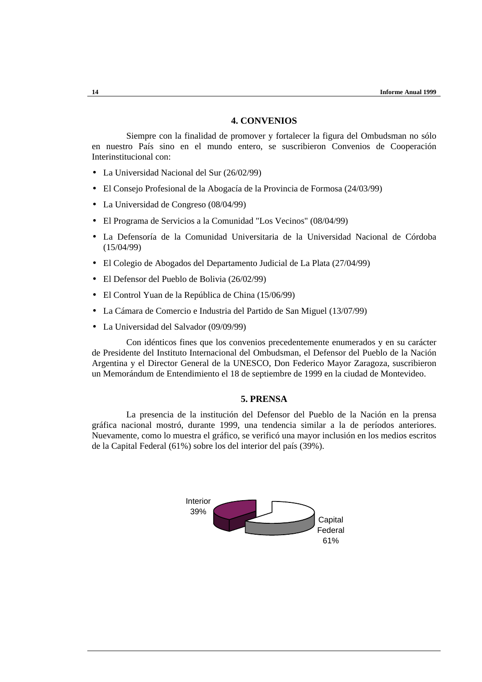### **4. CONVENIOS**

Siempre con la finalidad de promover y fortalecer la figura del Ombudsman no sólo en nuestro País sino en el mundo entero, se suscribieron Convenios de Cooperación Interinstitucional con:

- La Universidad Nacional del Sur (26/02/99)
- El Consejo Profesional de la Abogacía de la Provincia de Formosa (24/03/99)
- La Universidad de Congreso (08/04/99)
- El Programa de Servicios a la Comunidad "Los Vecinos" (08/04/99)
- La Defensoría de la Comunidad Universitaria de la Universidad Nacional de Córdoba (15/04/99)
- El Colegio de Abogados del Departamento Judicial de La Plata (27/04/99)
- El Defensor del Pueblo de Bolivia (26/02/99)
- El Control Yuan de la República de China (15/06/99)
- La Cámara de Comercio e Industria del Partido de San Miguel (13/07/99)
- La Universidad del Salvador (09/09/99)

Con idénticos fines que los convenios precedentemente enumerados y en su carácter de Presidente del Instituto Internacional del Ombudsman, el Defensor del Pueblo de la Nación Argentina y el Director General de la UNESCO, Don Federico Mayor Zaragoza, suscribieron un Memorándum de Entendimiento el 18 de septiembre de 1999 en la ciudad de Montevideo.

### **5. PRENSA**

La presencia de la institución del Defensor del Pueblo de la Nación en la prensa gráfica nacional mostró, durante 1999, una tendencia similar a la de períodos anteriores. Nuevamente, como lo muestra el gráfico, se verificó una mayor inclusión en los medios escritos de la Capital Federal (61%) sobre los del interior del país (39%).

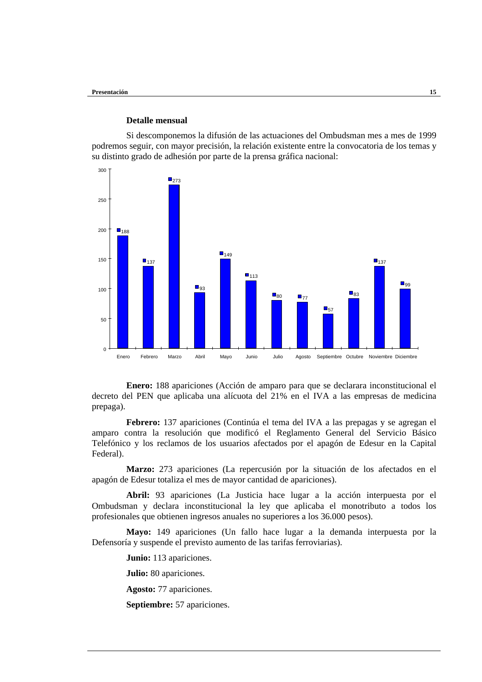### **Detalle mensual**

Si descomponemos la difusión de las actuaciones del Ombudsman mes a mes de 1999 podremos seguir, con mayor precisión, la relación existente entre la convocatoria de los temas y su distinto grado de adhesión por parte de la prensa gráfica nacional:



**Enero:** 188 apariciones (Acción de amparo para que se declarara inconstitucional el decreto del PEN que aplicaba una alícuota del 21% en el IVA a las empresas de medicina prepaga).

**Febrero:** 137 apariciones (Continúa el tema del IVA a las prepagas y se agregan el amparo contra la resolución que modificó el Reglamento General del Servicio Básico Telefónico y los reclamos de los usuarios afectados por el apagón de Edesur en la Capital Federal).

**Marzo:** 273 apariciones (La repercusión por la situación de los afectados en el apagón de Edesur totaliza el mes de mayor cantidad de apariciones).

**Abril:** 93 apariciones (La Justicia hace lugar a la acción interpuesta por el Ombudsman y declara inconstitucional la ley que aplicaba el monotributo a todos los profesionales que obtienen ingresos anuales no superiores a los 36.000 pesos).

**Mayo:** 149 apariciones (Un fallo hace lugar a la demanda interpuesta por la Defensoría y suspende el previsto aumento de las tarifas ferroviarias).

**Junio:** 113 apariciones.

**Julio:** 80 apariciones.

**Agosto:** 77 apariciones.

**Septiembre:** 57 apariciones.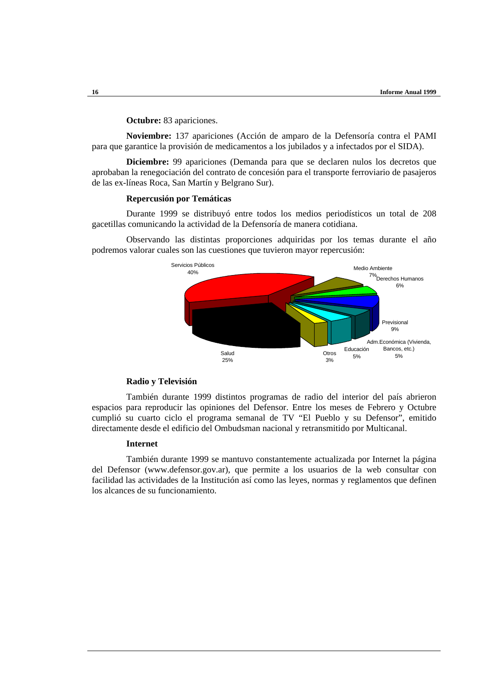#### **Octubre:** 83 apariciones.

**Noviembre:** 137 apariciones (Acción de amparo de la Defensoría contra el PAMI para que garantice la provisión de medicamentos a los jubilados y a infectados por el SIDA).

**Diciembre:** 99 apariciones (Demanda para que se declaren nulos los decretos que aprobaban la renegociación del contrato de concesión para el transporte ferroviario de pasajeros de las ex-líneas Roca, San Martín y Belgrano Sur).

#### **Repercusión por Temáticas**

Durante 1999 se distribuyó entre todos los medios periodísticos un total de 208 gacetillas comunicando la actividad de la Defensoría de manera cotidiana.

Observando las distintas proporciones adquiridas por los temas durante el año podremos valorar cuales son las cuestiones que tuvieron mayor repercusión:



#### **Radio y Televisión**

También durante 1999 distintos programas de radio del interior del país abrieron espacios para reproducir las opiniones del Defensor. Entre los meses de Febrero y Octubre cumplió su cuarto ciclo el programa semanal de TV "El Pueblo y su Defensor", emitido directamente desde el edificio del Ombudsman nacional y retransmitido por Multicanal.

#### **Internet**

También durante 1999 se mantuvo constantemente actualizada por Internet la página del Defensor (www.defensor.gov.ar), que permite a los usuarios de la web consultar con facilidad las actividades de la Institución así como las leyes, normas y reglamentos que definen los alcances de su funcionamiento.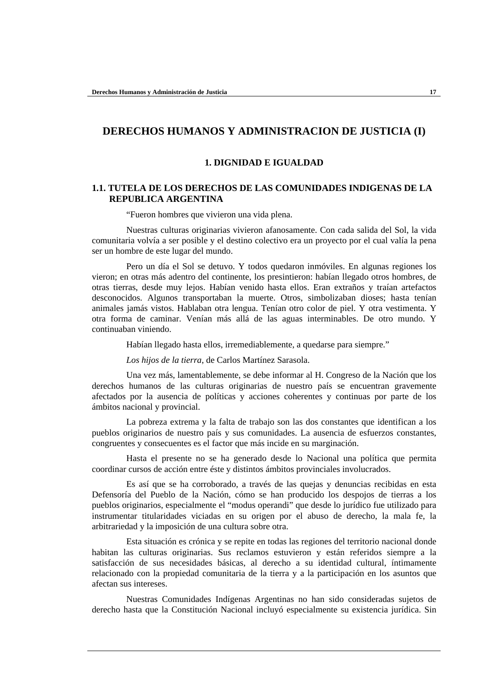# **DERECHOS HUMANOS Y ADMINISTRACION DE JUSTICIA (I)**

### **1. DIGNIDAD E IGUALDAD**

### **1.1. TUTELA DE LOS DERECHOS DE LAS COMUNIDADES INDIGENAS DE LA REPUBLICA ARGENTINA**

"Fueron hombres que vivieron una vida plena.

Nuestras culturas originarias vivieron afanosamente. Con cada salida del Sol, la vida comunitaria volvía a ser posible y el destino colectivo era un proyecto por el cual valía la pena ser un hombre de este lugar del mundo.

Pero un día el Sol se detuvo. Y todos quedaron inmóviles. En algunas regiones los vieron; en otras más adentro del continente, los presintieron: habían llegado otros hombres, de otras tierras, desde muy lejos. Habían venido hasta ellos. Eran extraños y traían artefactos desconocidos. Algunos transportaban la muerte. Otros, simbolizaban dioses; hasta tenían animales jamás vistos. Hablaban otra lengua. Tenían otro color de piel. Y otra vestimenta. Y otra forma de caminar. Venían más allá de las aguas interminables. De otro mundo. Y continuaban viniendo.

Habían llegado hasta ellos, irremediablemente, a quedarse para siempre."

*Los hijos de la tierra*, de Carlos Martínez Sarasola.

Una vez más, lamentablemente, se debe informar al H. Congreso de la Nación que los derechos humanos de las culturas originarias de nuestro país se encuentran gravemente afectados por la ausencia de políticas y acciones coherentes y continuas por parte de los ámbitos nacional y provincial.

La pobreza extrema y la falta de trabajo son las dos constantes que identifican a los pueblos originarios de nuestro país y sus comunidades. La ausencia de esfuerzos constantes, congruentes y consecuentes es el factor que más incide en su marginación.

Hasta el presente no se ha generado desde lo Nacional una política que permita coordinar cursos de acción entre éste y distintos ámbitos provinciales involucrados.

Es así que se ha corroborado, a través de las quejas y denuncias recibidas en esta Defensoría del Pueblo de la Nación, cómo se han producido los despojos de tierras a los pueblos originarios, especialmente el "modus operandi" que desde lo jurídico fue utilizado para instrumentar titularidades viciadas en su origen por el abuso de derecho, la mala fe, la arbitrariedad y la imposición de una cultura sobre otra.

Esta situación es crónica y se repite en todas las regiones del territorio nacional donde habitan las culturas originarias. Sus reclamos estuvieron y están referidos siempre a la satisfacción de sus necesidades básicas, al derecho a su identidad cultural, íntimamente relacionado con la propiedad comunitaria de la tierra y a la participación en los asuntos que afectan sus intereses.

Nuestras Comunidades Indígenas Argentinas no han sido consideradas sujetos de derecho hasta que la Constitución Nacional incluyó especialmente su existencia jurídica. Sin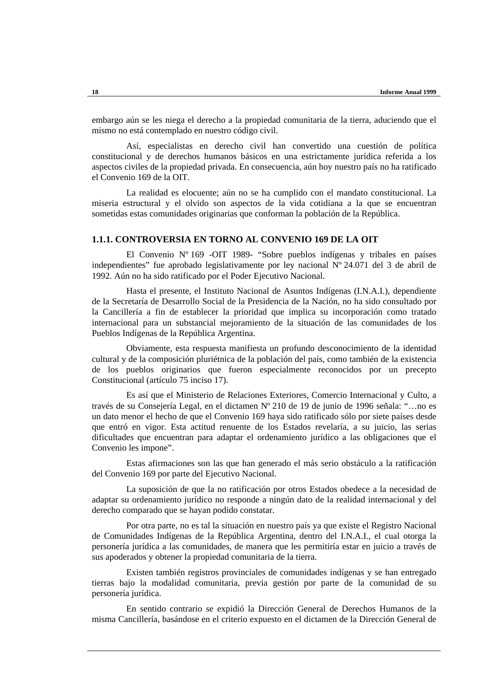embargo aún se les niega el derecho a la propiedad comunitaria de la tierra, aduciendo que el mismo no está contemplado en nuestro código civil.

Así, especialistas en derecho civil han convertido una cuestión de política constitucional y de derechos humanos básicos en una estrictamente jurídica referida a los aspectos civiles de la propiedad privada. En consecuencia, aún hoy nuestro país no ha ratificado el Convenio 169 de la OIT.

La realidad es elocuente; aún no se ha cumplido con el mandato constitucional. La miseria estructural y el olvido son aspectos de la vida cotidiana a la que se encuentran sometidas estas comunidades originarias que conforman la población de la República.

### **1.1.1. CONTROVERSIA EN TORNO AL CONVENIO 169 DE LA OIT**

El Convenio Nº 169 -OIT 1989- "Sobre pueblos indígenas y tribales en países independientes" fue aprobado legislativamente por ley nacional Nº 24.071 del 3 de abril de 1992. Aún no ha sido ratificado por el Poder Ejecutivo Nacional.

Hasta el presente, el Instituto Nacional de Asuntos Indígenas (I.N.A.I.), dependiente de la Secretaría de Desarrollo Social de la Presidencia de la Nación, no ha sido consultado por la Cancillería a fin de establecer la prioridad que implica su incorporación como tratado internacional para un substancial mejoramiento de la situación de las comunidades de los Pueblos Indígenas de la República Argentina.

Obviamente, esta respuesta manifiesta un profundo desconocimiento de la identidad cultural y de la composición pluriétnica de la población del país, como también de la existencia de los pueblos originarios que fueron especialmente reconocidos por un precepto Constitucional (artículo 75 inciso 17).

Es así que el Ministerio de Relaciones Exteriores, Comercio Internacional y Culto, a través de su Consejería Legal, en el dictamen Nº 210 de 19 de junio de 1996 señala: "…no es un dato menor el hecho de que el Convenio 169 haya sido ratificado sólo por siete países desde que entró en vigor. Esta actitud renuente de los Estados revelaría, a su juicio, las serias dificultades que encuentran para adaptar el ordenamiento jurídico a las obligaciones que el Convenio les impone".

Estas afirmaciones son las que han generado el más serio obstáculo a la ratificación del Convenio 169 por parte del Ejecutivo Nacional.

La suposición de que la no ratificación por otros Estados obedece a la necesidad de adaptar su ordenamiento jurídico no responde a ningún dato de la realidad internacional y del derecho comparado que se hayan podido constatar.

Por otra parte, no es tal la situación en nuestro país ya que existe el Registro Nacional de Comunidades Indígenas de la República Argentina, dentro del I.N.A.I., el cual otorga la personería jurídica a las comunidades, de manera que les permitiría estar en juicio a través de sus apoderados y obtener la propiedad comunitaria de la tierra.

Existen también registros provinciales de comunidades indígenas y se han entregado tierras bajo la modalidad comunitaria, previa gestión por parte de la comunidad de su personería jurídica.

En sentido contrario se expidió la Dirección General de Derechos Humanos de la misma Cancillería, basándose en el criterio expuesto en el dictamen de la Dirección General de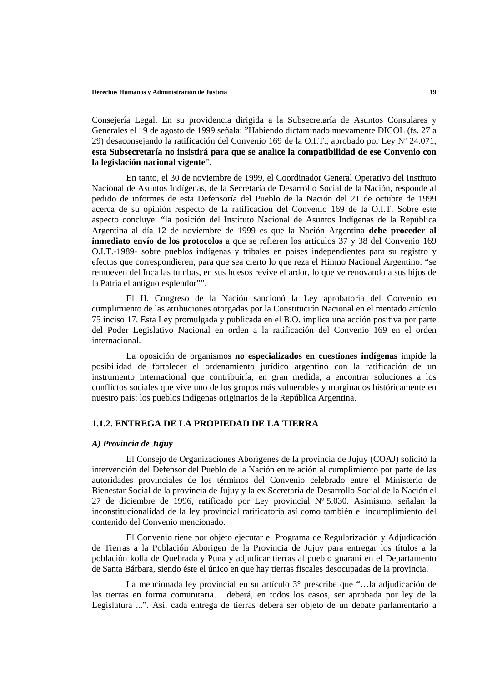Consejería Legal. En su providencia dirigida a la Subsecretaría de Asuntos Consulares y Generales el 19 de agosto de 1999 señala: "Habiendo dictaminado nuevamente DICOL (fs. 27 a 29) desaconsejando la ratificación del Convenio 169 de la O.I.T., aprobado por Ley Nº 24.071, **esta Subsecretaría no insistirá para que se analice la compatibilidad de ese Convenio con la legislación nacional vigente**".

En tanto, el 30 de noviembre de 1999, el Coordinador General Operativo del Instituto Nacional de Asuntos Indígenas, de la Secretaría de Desarrollo Social de la Nación, responde al pedido de informes de esta Defensoría del Pueblo de la Nación del 21 de octubre de 1999 acerca de su opinión respecto de la ratificación del Convenio 169 de la O.I.T. Sobre este aspecto concluye: "la posición del Instituto Nacional de Asuntos Indígenas de la República Argentina al día 12 de noviembre de 1999 es que la Nación Argentina **debe proceder al inmediato envío de los protocolos** a que se refieren los artículos 37 y 38 del Convenio 169 O.I.T.-1989- sobre pueblos indígenas y tribales en países independientes para su registro y efectos que correspondieren, para que sea cierto lo que reza el Himno Nacional Argentino: "se remueven del Inca las tumbas, en sus huesos revive el ardor, lo que ve renovando a sus hijos de la Patria el antiguo esplendor"".

El H. Congreso de la Nación sancionó la Ley aprobatoria del Convenio en cumplimiento de las atribuciones otorgadas por la Constitución Nacional en el mentado artículo 75 inciso 17. Esta Ley promulgada y publicada en el B.O. implica una acción positiva por parte del Poder Legislativo Nacional en orden a la ratificación del Convenio 169 en el orden internacional.

La oposición de organismos **no especializados en cuestiones indígenas** impide la posibilidad de fortalecer el ordenamiento jurídico argentino con la ratificación de un instrumento internacional que contribuiría, en gran medida, a encontrar soluciones a los conflictos sociales que vive uno de los grupos más vulnerables y marginados históricamente en nuestro país: los pueblos indígenas originarios de la República Argentina.

### **1.1.2. ENTREGA DE LA PROPIEDAD DE LA TIERRA**

#### *A) Provincia de Jujuy*

El Consejo de Organizaciones Aborígenes de la provincia de Jujuy (COAJ) solicitó la intervención del Defensor del Pueblo de la Nación en relación al cumplimiento por parte de las autoridades provinciales de los términos del Convenio celebrado entre el Ministerio de Bienestar Social de la provincia de Jujuy y la ex Secretaría de Desarrollo Social de la Nación el 27 de diciembre de 1996, ratificado por Ley provincial Nº 5.030. Asimismo, señalan la inconstitucionalidad de la ley provincial ratificatoria así como también el incumplimiento del contenido del Convenio mencionado.

El Convenio tiene por objeto ejecutar el Programa de Regularización y Adjudicación de Tierras a la Población Aborigen de la Provincia de Jujuy para entregar los títulos a la población kolla de Quebrada y Puna y adjudicar tierras al pueblo guaraní en el Departamento de Santa Bárbara, siendo éste el único en que hay tierras fiscales desocupadas de la provincia.

La mencionada ley provincial en su artículo 3° prescribe que "…la adjudicación de las tierras en forma comunitaria… deberá, en todos los casos, ser aprobada por ley de la Legislatura ...". Así, cada entrega de tierras deberá ser objeto de un debate parlamentario a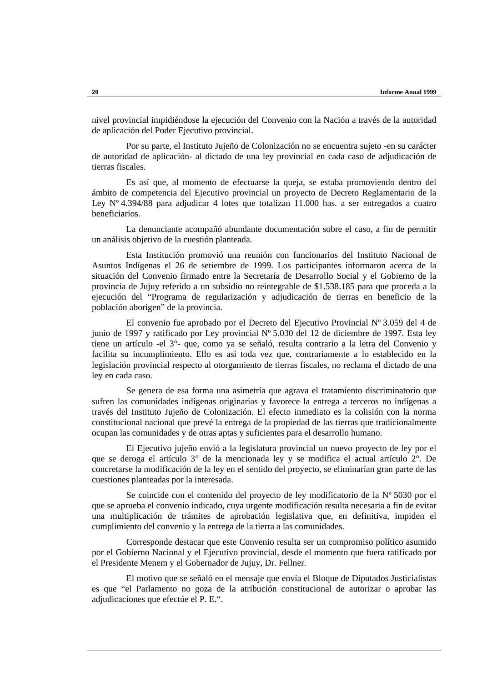nivel provincial impidiéndose la ejecución del Convenio con la Nación a través de la autoridad de aplicación del Poder Ejecutivo provincial.

Por su parte, el Instituto Jujeño de Colonización no se encuentra sujeto -en su carácter de autoridad de aplicación- al dictado de una ley provincial en cada caso de adjudicación de tierras fiscales.

Es así que, al momento de efectuarse la queja, se estaba promoviendo dentro del ámbito de competencia del Ejecutivo provincial un proyecto de Decreto Reglamentario de la Ley Nº 4.394/88 para adjudicar 4 lotes que totalizan 11.000 has. a ser entregados a cuatro beneficiarios.

La denunciante acompañó abundante documentación sobre el caso, a fin de permitir un análisis objetivo de la cuestión planteada.

Esta Institución promovió una reunión con funcionarios del Instituto Nacional de Asuntos Indígenas el 26 de setiembre de 1999. Los participantes informaron acerca de la situación del Convenio firmado entre la Secretaría de Desarrollo Social y el Gobierno de la provincia de Jujuy referido a un subsidio no reintegrable de \$1.538.185 para que proceda a la ejecución del "Programa de regularización y adjudicación de tierras en beneficio de la población aborigen" de la provincia.

El convenio fue aprobado por el Decreto del Ejecutivo Provincial Nº 3.059 del 4 de junio de 1997 y ratificado por Ley provincial Nº 5.030 del 12 de diciembre de 1997. Esta ley tiene un artículo -el 3°- que, como ya se señaló, resulta contrario a la letra del Convenio y facilita su incumplimiento. Ello es así toda vez que, contrariamente a lo establecido en la legislación provincial respecto al otorgamiento de tierras fiscales, no reclama el dictado de una ley en cada caso.

Se genera de esa forma una asimetría que agrava el tratamiento discriminatorio que sufren las comunidades indígenas originarias y favorece la entrega a terceros no indígenas a través del Instituto Jujeño de Colonización. El efecto inmediato es la colisión con la norma constitucional nacional que prevé la entrega de la propiedad de las tierras que tradicionalmente ocupan las comunidades y de otras aptas y suficientes para el desarrollo humano.

El Ejecutivo jujeño envió a la legislatura provincial un nuevo proyecto de ley por el que se deroga el artículo 3° de la mencionada ley y se modifica el actual artículo 2°. De concretarse la modificación de la ley en el sentido del proyecto, se eliminarían gran parte de las cuestiones planteadas por la interesada.

Se coincide con el contenido del proyecto de ley modificatorio de la Nº 5030 por el que se aprueba el convenio indicado, cuya urgente modificación resulta necesaria a fin de evitar una multiplicación de trámites de aprobación legislativa que, en definitiva, impiden el cumplimiento del convenio y la entrega de la tierra a las comunidades.

Corresponde destacar que este Convenio resulta ser un compromiso político asumido por el Gobierno Nacional y el Ejecutivo provincial, desde el momento que fuera ratificado por el Presidente Menem y el Gobernador de Jujuy, Dr. Fellner.

El motivo que se señaló en el mensaje que envía el Bloque de Diputados Justicialistas es que "el Parlamento no goza de la atribución constitucional de autorizar o aprobar las adjudicaciones que efectúe el P. E.".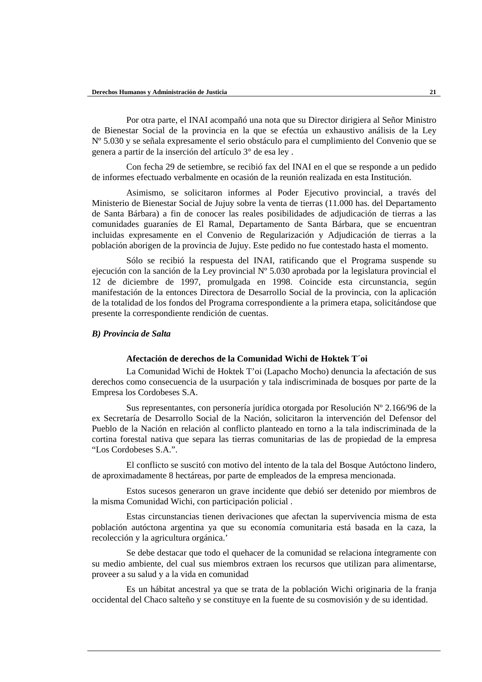Por otra parte, el INAI acompañó una nota que su Director dirigiera al Señor Ministro de Bienestar Social de la provincia en la que se efectúa un exhaustivo análisis de la Ley Nº 5.030 y se señala expresamente el serio obstáculo para el cumplimiento del Convenio que se genera a partir de la inserción del artículo 3° de esa ley .

Con fecha 29 de setiembre, se recibió fax del INAI en el que se responde a un pedido de informes efectuado verbalmente en ocasión de la reunión realizada en esta Institución.

Asimismo, se solicitaron informes al Poder Ejecutivo provincial, a través del Ministerio de Bienestar Social de Jujuy sobre la venta de tierras (11.000 has. del Departamento de Santa Bárbara) a fin de conocer las reales posibilidades de adjudicación de tierras a las comunidades guaraníes de El Ramal, Departamento de Santa Bárbara, que se encuentran incluidas expresamente en el Convenio de Regularización y Adjudicación de tierras a la población aborigen de la provincia de Jujuy. Este pedido no fue contestado hasta el momento.

Sólo se recibió la respuesta del INAI, ratificando que el Programa suspende su ejecución con la sanción de la Ley provincial Nº 5.030 aprobada por la legislatura provincial el 12 de diciembre de 1997, promulgada en 1998. Coincide esta circunstancia, según manifestación de la entonces Directora de Desarrollo Social de la provincia, con la aplicación de la totalidad de los fondos del Programa correspondiente a la primera etapa, solicitándose que presente la correspondiente rendición de cuentas.

#### *B) Provincia de Salta*

### **Afectación de derechos de la Comunidad Wichi de Hoktek T´oi**

La Comunidad Wichi de Hoktek T'oi (Lapacho Mocho) denuncia la afectación de sus derechos como consecuencia de la usurpación y tala indiscriminada de bosques por parte de la Empresa los Cordobeses S.A.

Sus representantes, con personería jurídica otorgada por Resolución Nº 2.166/96 de la ex Secretaría de Desarrollo Social de la Nación, solicitaron la intervención del Defensor del Pueblo de la Nación en relación al conflicto planteado en torno a la tala indiscriminada de la cortina forestal nativa que separa las tierras comunitarias de las de propiedad de la empresa "Los Cordobeses S.A.".

El conflicto se suscitó con motivo del intento de la tala del Bosque Autóctono lindero, de aproximadamente 8 hectáreas, por parte de empleados de la empresa mencionada.

Estos sucesos generaron un grave incidente que debió ser detenido por miembros de la misma Comunidad Wichi, con participación policial .

Estas circunstancias tienen derivaciones que afectan la supervivencia misma de esta población autóctona argentina ya que su economía comunitaria está basada en la caza, la recolección y la agricultura orgánica.'

Se debe destacar que todo el quehacer de la comunidad se relaciona íntegramente con su medio ambiente, del cual sus miembros extraen los recursos que utilizan para alimentarse, proveer a su salud y a la vida en comunidad

Es un hábitat ancestral ya que se trata de la población Wichi originaria de la franja occidental del Chaco salteño y se constituye en la fuente de su cosmovisión y de su identidad.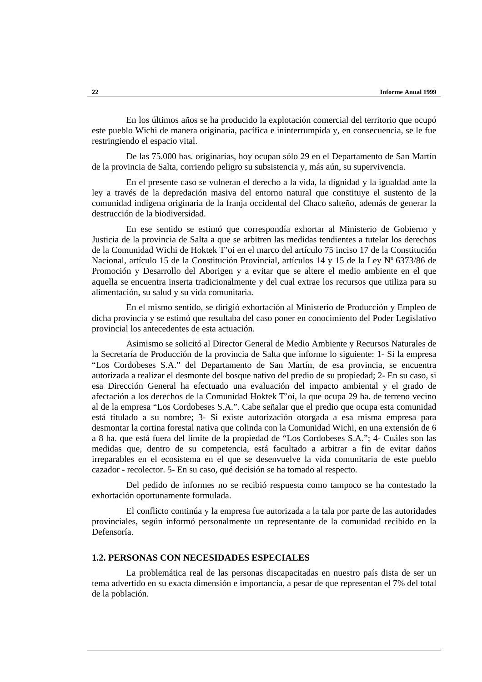En los últimos años se ha producido la explotación comercial del territorio que ocupó este pueblo Wichi de manera originaria, pacífica e ininterrumpida y, en consecuencia, se le fue restringiendo el espacio vital.

De las 75.000 has. originarias, hoy ocupan sólo 29 en el Departamento de San Martín de la provincia de Salta, corriendo peligro su subsistencia y, más aún, su supervivencia.

En el presente caso se vulneran el derecho a la vida, la dignidad y la igualdad ante la ley a través de la depredación masiva del entorno natural que constituye el sustento de la comunidad indígena originaria de la franja occidental del Chaco salteño, además de generar la destrucción de la biodiversidad.

En ese sentido se estimó que correspondía exhortar al Ministerio de Gobierno y Justicia de la provincia de Salta a que se arbitren las medidas tendientes a tutelar los derechos de la Comunidad Wichi de Hoktek T'oi en el marco del artículo 75 inciso 17 de la Constitución Nacional, artículo 15 de la Constitución Provincial, artículos 14 y 15 de la Ley Nº 6373/86 de Promoción y Desarrollo del Aborigen y a evitar que se altere el medio ambiente en el que aquella se encuentra inserta tradicionalmente y del cual extrae los recursos que utiliza para su alimentación, su salud y su vida comunitaria.

En el mismo sentido, se dirigió exhortación al Ministerio de Producción y Empleo de dicha provincia y se estimó que resultaba del caso poner en conocimiento del Poder Legislativo provincial los antecedentes de esta actuación.

Asimismo se solicitó al Director General de Medio Ambiente y Recursos Naturales de la Secretaría de Producción de la provincia de Salta que informe lo siguiente: 1- Si la empresa "Los Cordobeses S.A." del Departamento de San Martín, de esa provincia, se encuentra autorizada a realizar el desmonte del bosque nativo del predio de su propiedad; 2- En su caso, si esa Dirección General ha efectuado una evaluación del impacto ambiental y el grado de afectación a los derechos de la Comunidad Hoktek T'oi, la que ocupa 29 ha. de terreno vecino al de la empresa "Los Cordobeses S.A.". Cabe señalar que el predio que ocupa esta comunidad está titulado a su nombre; 3- Si existe autorización otorgada a esa misma empresa para desmontar la cortina forestal nativa que colinda con la Comunidad Wichi, en una extensión de 6 a 8 ha. que está fuera del límite de la propiedad de "Los Cordobeses S.A."; 4- Cuáles son las medidas que, dentro de su competencia, está facultado a arbitrar a fin de evitar daños irreparables en el ecosistema en el que se desenvuelve la vida comunitaria de este pueblo cazador - recolector. 5- En su caso, qué decisión se ha tomado al respecto.

Del pedido de informes no se recibió respuesta como tampoco se ha contestado la exhortación oportunamente formulada.

El conflicto continúa y la empresa fue autorizada a la tala por parte de las autoridades provinciales, según informó personalmente un representante de la comunidad recibido en la Defensoría.

#### **1.2. PERSONAS CON NECESIDADES ESPECIALES**

La problemática real de las personas discapacitadas en nuestro país dista de ser un tema advertido en su exacta dimensión e importancia, a pesar de que representan el 7% del total de la población.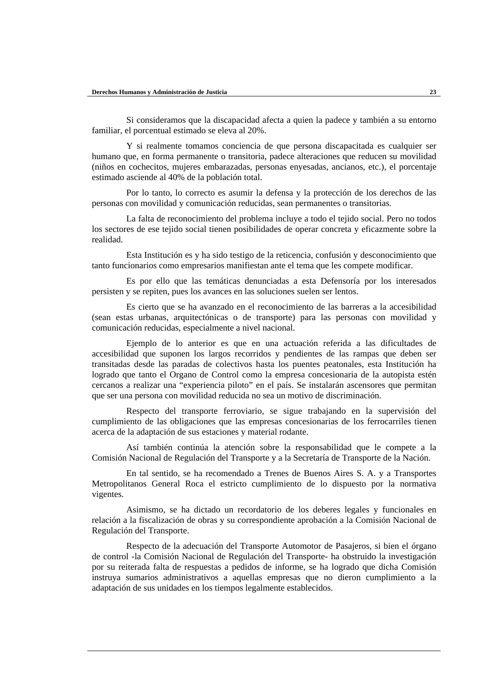Si consideramos que la discapacidad afecta a quien la padece y también a su entorno familiar, el porcentual estimado se eleva al 20%.

Y si realmente tomamos conciencia de que persona discapacitada es cualquier ser humano que, en forma permanente o transitoria, padece alteraciones que reducen su movilidad (niños en cochecitos, mujeres embarazadas, personas enyesadas, ancianos, etc.), el porcentaje estimado asciende al 40% de la población total.

Por lo tanto, lo correcto es asumir la defensa y la protección de los derechos de las personas con movilidad y comunicación reducidas, sean permanentes o transitorias.

La falta de reconocimiento del problema incluye a todo el tejido social. Pero no todos los sectores de ese tejido social tienen posibilidades de operar concreta y eficazmente sobre la realidad.

Esta Institución es y ha sido testigo de la reticencia, confusión y desconocimiento que tanto funcionarios como empresarios manifiestan ante el tema que les compete modificar.

Es por ello que las temáticas denunciadas a esta Defensoría por los interesados persisten y se repiten, pues los avances en las soluciones suelen ser lentos.

Es cierto que se ha avanzado en el reconocimiento de las barreras a la accesibilidad (sean estas urbanas, arquitectónicas o de transporte) para las personas con movilidad y comunicación reducidas, especialmente a nivel nacional.

Ejemplo de lo anterior es que en una actuación referida a las dificultades de accesibilidad que suponen los largos recorridos y pendientes de las rampas que deben ser transitadas desde las paradas de colectivos hasta los puentes peatonales, esta Institución ha logrado que tanto el Organo de Control como la empresa concesionaria de la autopista estén cercanos a realizar una "experiencia piloto" en el país. Se instalarán ascensores que permitan que ser una persona con movilidad reducida no sea un motivo de discriminación.

Respecto del transporte ferroviario, se sigue trabajando en la supervisión del cumplimiento de las obligaciones que las empresas concesionarias de los ferrocarriles tienen acerca de la adaptación de sus estaciones y material rodante.

Así también continúa la atención sobre la responsabilidad que le compete a la Comisión Nacional de Regulación del Transporte y a la Secretaría de Transporte de la Nación.

En tal sentido, se ha recomendado a Trenes de Buenos Aires S. A. y a Transportes Metropolitanos General Roca el estricto cumplimiento de lo dispuesto por la normativa vigentes.

Asimismo, se ha dictado un recordatorio de los deberes legales y funcionales en relación a la fiscalización de obras y su correspondiente aprobación a la Comisión Nacional de Regulación del Transporte.

Respecto de la adecuación del Transporte Automotor de Pasajeros, si bien el órgano de control -la Comisión Nacional de Regulación del Transporte- ha obstruido la investigación por su reiterada falta de respuestas a pedidos de informe, se ha logrado que dicha Comisión instruya sumarios administrativos a aquellas empresas que no dieron cumplimiento a la adaptación de sus unidades en los tiempos legalmente establecidos.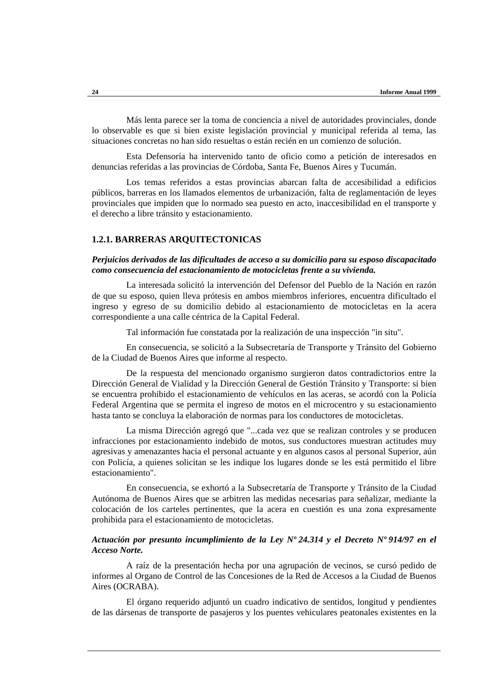Más lenta parece ser la toma de conciencia a nivel de autoridades provinciales, donde lo observable es que si bien existe legislación provincial y municipal referida al tema, las situaciones concretas no han sido resueltas o están recién en un comienzo de solución.

Esta Defensoría ha intervenido tanto de oficio como a petición de interesados en denuncias referidas a las provincias de Córdoba, Santa Fe, Buenos Aires y Tucumán.

Los temas referidos a estas provincias abarcan falta de accesibilidad a edificios públicos, barreras en los llamados elementos de urbanización, falta de reglamentación de leyes provinciales que impiden que lo normado sea puesto en acto, inaccesibilidad en el transporte y el derecho a libre tránsito y estacionamiento.

### **1.2.1. BARRERAS ARQUITECTONICAS**

### *Perjuicios derivados de las dificultades de acceso a su domicilio para su esposo discapacitado como consecuencia del estacionamiento de motocicletas frente a su vivienda.*

La interesada solicitó la intervención del Defensor del Pueblo de la Nación en razón de que su esposo, quien lleva prótesis en ambos miembros inferiores, encuentra dificultado el ingreso y egreso de su domicilio debido al estacionamiento de motocicletas en la acera correspondiente a una calle céntrica de la Capital Federal.

Tal información fue constatada por la realización de una inspección "in situ".

En consecuencia, se solicitó a la Subsecretaría de Transporte y Tránsito del Gobierno de la Ciudad de Buenos Aires que informe al respecto.

De la respuesta del mencionado organismo surgieron datos contradictorios entre la Dirección General de Vialidad y la Dirección General de Gestión Tránsito y Transporte: si bien se encuentra prohibido el estacionamiento de vehículos en las aceras, se acordó con la Policía Federal Argentina que se permita el ingreso de motos en el microcentro y su estacionamiento hasta tanto se concluya la elaboración de normas para los conductores de motocicletas.

La misma Dirección agregó que "...cada vez que se realizan controles y se producen infracciones por estacionamiento indebido de motos, sus conductores muestran actitudes muy agresivas y amenazantes hacia el personal actuante y en algunos casos al personal Superior, aún con Policía, a quienes solicitan se les indique los lugares donde se les está permitido el libre estacionamiento".

En consecuencia, se exhortó a la Subsecretaría de Transporte y Tránsito de la Ciudad Autónoma de Buenos Aires que se arbitren las medidas necesarias para señalizar, mediante la colocación de los carteles pertinentes, que la acera en cuestión es una zona expresamente prohibida para el estacionamiento de motocicletas.

### *Actuación por presunto incumplimiento de la Ley Nº 24.314 y el Decreto Nº 914/97 en el Acceso Norte.*

A raíz de la presentación hecha por una agrupación de vecinos, se cursó pedido de informes al Organo de Control de las Concesiones de la Red de Accesos a la Ciudad de Buenos Aires (OCRABA).

El órgano requerido adjuntó un cuadro indicativo de sentidos, longitud y pendientes de las dársenas de transporte de pasajeros y los puentes vehiculares peatonales existentes en la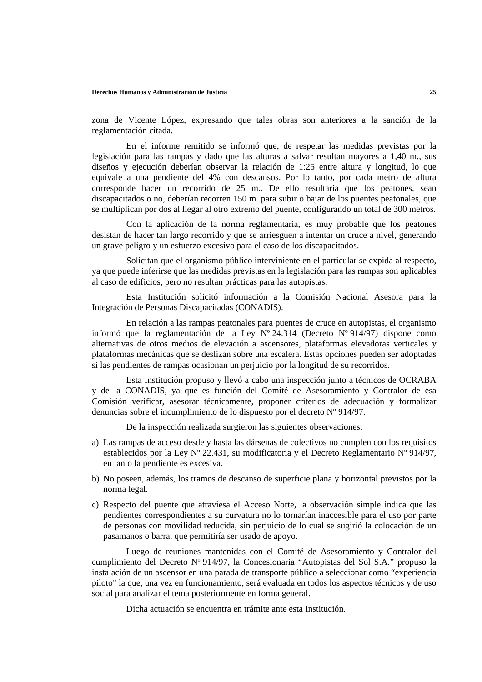zona de Vicente López, expresando que tales obras son anteriores a la sanción de la reglamentación citada.

En el informe remitido se informó que, de respetar las medidas previstas por la legislación para las rampas y dado que las alturas a salvar resultan mayores a 1,40 m., sus diseños y ejecución deberían observar la relación de 1:25 entre altura y longitud, lo que equivale a una pendiente del 4% con descansos. Por lo tanto, por cada metro de altura corresponde hacer un recorrido de 25 m.. De ello resultaría que los peatones, sean discapacitados o no, deberían recorren 150 m. para subir o bajar de los puentes peatonales, que se multiplican por dos al llegar al otro extremo del puente, configurando un total de 300 metros.

Con la aplicación de la norma reglamentaria, es muy probable que los peatones desistan de hacer tan largo recorrido y que se arriesguen a intentar un cruce a nivel, generando un grave peligro y un esfuerzo excesivo para el caso de los discapacitados.

Solicitan que el organismo público interviniente en el particular se expida al respecto, ya que puede inferirse que las medidas previstas en la legislación para las rampas son aplicables al caso de edificios, pero no resultan prácticas para las autopistas.

Esta Institución solicitó información a la Comisión Nacional Asesora para la Integración de Personas Discapacitadas (CONADIS).

En relación a las rampas peatonales para puentes de cruce en autopistas, el organismo informó que la reglamentación de la Ley  $N^{\circ}$  24.314 (Decreto  $N^{\circ}$  914/97) dispone como alternativas de otros medios de elevación a ascensores, plataformas elevadoras verticales y plataformas mecánicas que se deslizan sobre una escalera. Estas opciones pueden ser adoptadas si las pendientes de rampas ocasionan un perjuicio por la longitud de su recorridos.

Esta Institución propuso y llevó a cabo una inspección junto a técnicos de OCRABA y de la CONADIS, ya que es función del Comité de Asesoramiento y Contralor de esa Comisión verificar, asesorar técnicamente, proponer criterios de adecuación y formalizar denuncias sobre el incumplimiento de lo dispuesto por el decreto Nº 914/97.

De la inspección realizada surgieron las siguientes observaciones:

- a) Las rampas de acceso desde y hasta las dársenas de colectivos no cumplen con los requisitos establecidos por la Ley Nº 22.431, su modificatoria y el Decreto Reglamentario Nº 914/97, en tanto la pendiente es excesiva.
- b) No poseen, además, los tramos de descanso de superficie plana y horizontal previstos por la norma legal.
- c) Respecto del puente que atraviesa el Acceso Norte, la observación simple indica que las pendientes correspondientes a su curvatura no lo tornarían inaccesible para el uso por parte de personas con movilidad reducida, sin perjuicio de lo cual se sugirió la colocación de un pasamanos o barra, que permitiría ser usado de apoyo.

Luego de reuniones mantenidas con el Comité de Asesoramiento y Contralor del cumplimiento del Decreto Nº 914/97, la Concesionaria "Autopistas del Sol S.A." propuso la instalación de un ascensor en una parada de transporte público a seleccionar como "experiencia piloto" la que, una vez en funcionamiento, será evaluada en todos los aspectos técnicos y de uso social para analizar el tema posteriormente en forma general.

Dicha actuación se encuentra en trámite ante esta Institución.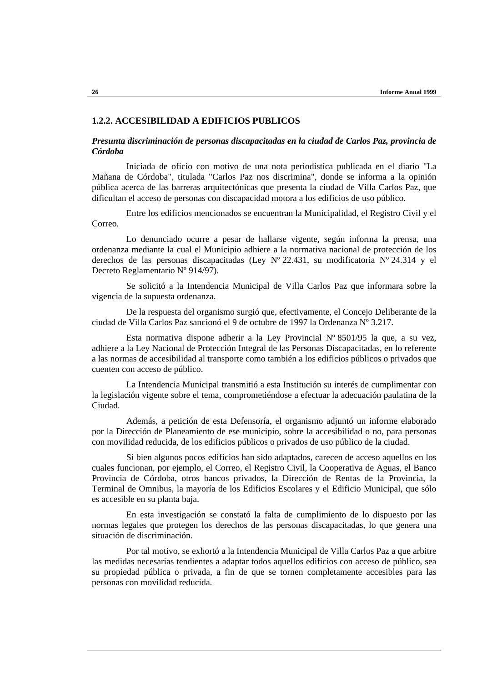### **1.2.2. ACCESIBILIDAD A EDIFICIOS PUBLICOS**

### *Presunta discriminación de personas discapacitadas en la ciudad de Carlos Paz, provincia de Córdoba*

Iniciada de oficio con motivo de una nota periodística publicada en el diario "La Mañana de Córdoba", titulada "Carlos Paz nos discrimina", donde se informa a la opinión pública acerca de las barreras arquitectónicas que presenta la ciudad de Villa Carlos Paz, que dificultan el acceso de personas con discapacidad motora a los edificios de uso público.

Entre los edificios mencionados se encuentran la Municipalidad, el Registro Civil y el Correo.

Lo denunciado ocurre a pesar de hallarse vigente, según informa la prensa, una ordenanza mediante la cual el Municipio adhiere a la normativa nacional de protección de los derechos de las personas discapacitadas (Ley Nº 22.431, su modificatoria Nº 24.314 y el Decreto Reglamentario Nº 914/97).

Se solicitó a la Intendencia Municipal de Villa Carlos Paz que informara sobre la vigencia de la supuesta ordenanza.

De la respuesta del organismo surgió que, efectivamente, el Concejo Deliberante de la ciudad de Villa Carlos Paz sancionó el 9 de octubre de 1997 la Ordenanza Nº 3.217.

Esta normativa dispone adherir a la Ley Provincial Nº 8501/95 la que, a su vez, adhiere a la Ley Nacional de Protección Integral de las Personas Discapacitadas, en lo referente a las normas de accesibilidad al transporte como también a los edificios públicos o privados que cuenten con acceso de público.

La Intendencia Municipal transmitió a esta Institución su interés de cumplimentar con la legislación vigente sobre el tema, comprometiéndose a efectuar la adecuación paulatina de la Ciudad.

Además, a petición de esta Defensoría, el organismo adjuntó un informe elaborado por la Dirección de Planeamiento de ese municipio, sobre la accesibilidad o no, para personas con movilidad reducida, de los edificios públicos o privados de uso público de la ciudad.

Si bien algunos pocos edificios han sido adaptados, carecen de acceso aquellos en los cuales funcionan, por ejemplo, el Correo, el Registro Civil, la Cooperativa de Aguas, el Banco Provincia de Córdoba, otros bancos privados, la Dirección de Rentas de la Provincia, la Terminal de Omnibus, la mayoría de los Edificios Escolares y el Edificio Municipal, que sólo es accesible en su planta baja.

En esta investigación se constató la falta de cumplimiento de lo dispuesto por las normas legales que protegen los derechos de las personas discapacitadas, lo que genera una situación de discriminación.

Por tal motivo, se exhortó a la Intendencia Municipal de Villa Carlos Paz a que arbitre las medidas necesarias tendientes a adaptar todos aquellos edificios con acceso de público, sea su propiedad pública o privada, a fin de que se tornen completamente accesibles para las personas con movilidad reducida.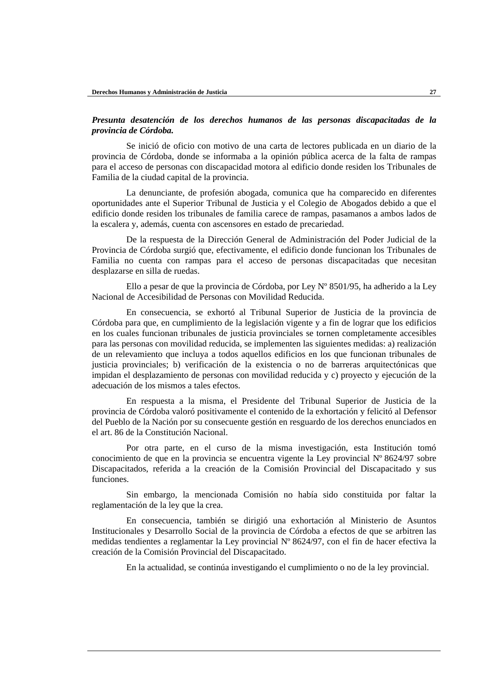### *Presunta desatención de los derechos humanos de las personas discapacitadas de la provincia de Córdoba.*

Se inició de oficio con motivo de una carta de lectores publicada en un diario de la provincia de Córdoba, donde se informaba a la opinión pública acerca de la falta de rampas para el acceso de personas con discapacidad motora al edificio donde residen los Tribunales de Familia de la ciudad capital de la provincia.

La denunciante, de profesión abogada, comunica que ha comparecido en diferentes oportunidades ante el Superior Tribunal de Justicia y el Colegio de Abogados debido a que el edificio donde residen los tribunales de familia carece de rampas, pasamanos a ambos lados de la escalera y, además, cuenta con ascensores en estado de precariedad.

De la respuesta de la Dirección General de Administración del Poder Judicial de la Provincia de Córdoba surgió que, efectivamente, el edificio donde funcionan los Tribunales de Familia no cuenta con rampas para el acceso de personas discapacitadas que necesitan desplazarse en silla de ruedas.

Ello a pesar de que la provincia de Córdoba, por Ley Nº 8501/95, ha adherido a la Ley Nacional de Accesibilidad de Personas con Movilidad Reducida.

En consecuencia, se exhortó al Tribunal Superior de Justicia de la provincia de Córdoba para que, en cumplimiento de la legislación vigente y a fin de lograr que los edificios en los cuales funcionan tribunales de justicia provinciales se tornen completamente accesibles para las personas con movilidad reducida, se implementen las siguientes medidas: a) realización de un relevamiento que incluya a todos aquellos edificios en los que funcionan tribunales de justicia provinciales; b) verificación de la existencia o no de barreras arquitectónicas que impidan el desplazamiento de personas con movilidad reducida y c) proyecto y ejecución de la adecuación de los mismos a tales efectos.

En respuesta a la misma, el Presidente del Tribunal Superior de Justicia de la provincia de Córdoba valoró positivamente el contenido de la exhortación y felicitó al Defensor del Pueblo de la Nación por su consecuente gestión en resguardo de los derechos enunciados en el art. 86 de la Constitución Nacional.

Por otra parte, en el curso de la misma investigación, esta Institución tomó conocimiento de que en la provincia se encuentra vigente la Ley provincial Nº 8624/97 sobre Discapacitados, referida a la creación de la Comisión Provincial del Discapacitado y sus funciones.

Sin embargo, la mencionada Comisión no había sido constituida por faltar la reglamentación de la ley que la crea.

En consecuencia, también se dirigió una exhortación al Ministerio de Asuntos Institucionales y Desarrollo Social de la provincia de Córdoba a efectos de que se arbitren las medidas tendientes a reglamentar la Ley provincial Nº 8624/97, con el fin de hacer efectiva la creación de la Comisión Provincial del Discapacitado.

En la actualidad, se continúa investigando el cumplimiento o no de la ley provincial.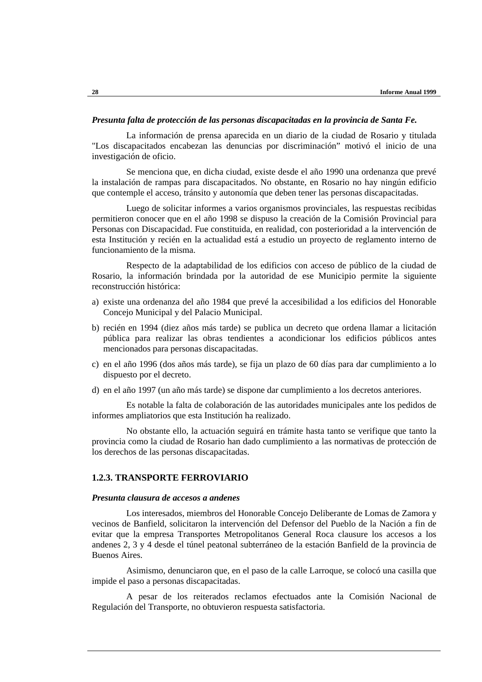#### *Presunta falta de protección de las personas discapacitadas en la provincia de Santa Fe.*

La información de prensa aparecida en un diario de la ciudad de Rosario y titulada "Los discapacitados encabezan las denuncias por discriminación" motivó el inicio de una investigación de oficio.

Se menciona que, en dicha ciudad, existe desde el año 1990 una ordenanza que prevé la instalación de rampas para discapacitados. No obstante, en Rosario no hay ningún edificio que contemple el acceso, tránsito y autonomía que deben tener las personas discapacitadas.

Luego de solicitar informes a varios organismos provinciales, las respuestas recibidas permitieron conocer que en el año 1998 se dispuso la creación de la Comisión Provincial para Personas con Discapacidad. Fue constituida, en realidad, con posterioridad a la intervención de esta Institución y recién en la actualidad está a estudio un proyecto de reglamento interno de funcionamiento de la misma.

Respecto de la adaptabilidad de los edificios con acceso de público de la ciudad de Rosario, la información brindada por la autoridad de ese Municipio permite la siguiente reconstrucción histórica:

- a) existe una ordenanza del año 1984 que prevé la accesibilidad a los edificios del Honorable Concejo Municipal y del Palacio Municipal.
- b) recién en 1994 (diez años más tarde) se publica un decreto que ordena llamar a licitación pública para realizar las obras tendientes a acondicionar los edificios públicos antes mencionados para personas discapacitadas.
- c) en el año 1996 (dos años más tarde), se fija un plazo de 60 días para dar cumplimiento a lo dispuesto por el decreto.
- d) en el año 1997 (un año más tarde) se dispone dar cumplimiento a los decretos anteriores.

Es notable la falta de colaboración de las autoridades municipales ante los pedidos de informes ampliatorios que esta Institución ha realizado.

No obstante ello, la actuación seguirá en trámite hasta tanto se verifique que tanto la provincia como la ciudad de Rosario han dado cumplimiento a las normativas de protección de los derechos de las personas discapacitadas.

### **1.2.3. TRANSPORTE FERROVIARIO**

#### *Presunta clausura de accesos a andenes*

Los interesados, miembros del Honorable Concejo Deliberante de Lomas de Zamora y vecinos de Banfield, solicitaron la intervención del Defensor del Pueblo de la Nación a fin de evitar que la empresa Transportes Metropolitanos General Roca clausure los accesos a los andenes 2, 3 y 4 desde el túnel peatonal subterráneo de la estación Banfield de la provincia de Buenos Aires.

Asimismo, denunciaron que, en el paso de la calle Larroque, se colocó una casilla que impide el paso a personas discapacitadas.

A pesar de los reiterados reclamos efectuados ante la Comisión Nacional de Regulación del Transporte, no obtuvieron respuesta satisfactoria.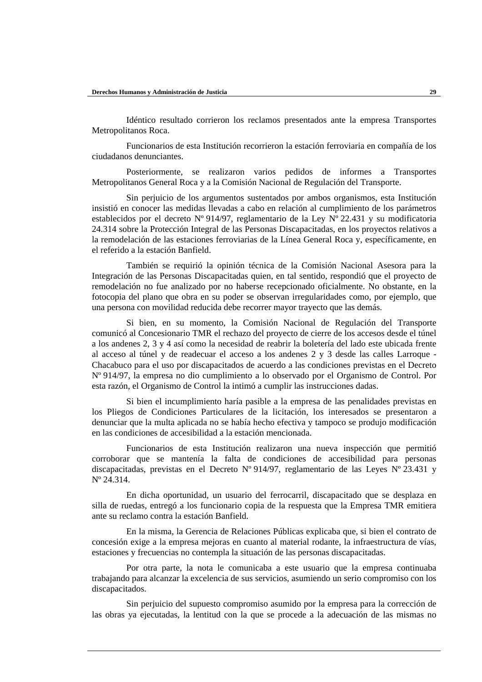Idéntico resultado corrieron los reclamos presentados ante la empresa Transportes Metropolitanos Roca.

Funcionarios de esta Institución recorrieron la estación ferroviaria en compañía de los ciudadanos denunciantes.

Posteriormente, se realizaron varios pedidos de informes a Transportes Metropolitanos General Roca y a la Comisión Nacional de Regulación del Transporte.

Sin perjuicio de los argumentos sustentados por ambos organismos, esta Institución insistió en conocer las medidas llevadas a cabo en relación al cumplimiento de los parámetros establecidos por el decreto Nº 914/97, reglamentario de la Ley Nº 22.431 y su modificatoria 24.314 sobre la Protección Integral de las Personas Discapacitadas, en los proyectos relativos a la remodelación de las estaciones ferroviarias de la Línea General Roca y, específicamente, en el referido a la estación Banfield.

También se requirió la opinión técnica de la Comisión Nacional Asesora para la Integración de las Personas Discapacitadas quien, en tal sentido, respondió que el proyecto de remodelación no fue analizado por no haberse recepcionado oficialmente. No obstante, en la fotocopia del plano que obra en su poder se observan irregularidades como, por ejemplo, que una persona con movilidad reducida debe recorrer mayor trayecto que las demás.

Si bien, en su momento, la Comisión Nacional de Regulación del Transporte comunicó al Concesionario TMR el rechazo del proyecto de cierre de los accesos desde el túnel a los andenes 2, 3 y 4 así como la necesidad de reabrir la boletería del lado este ubicada frente al acceso al túnel y de readecuar el acceso a los andenes 2 y 3 desde las calles Larroque - Chacabuco para el uso por discapacitados de acuerdo a las condiciones previstas en el Decreto Nº 914/97, la empresa no dio cumplimiento a lo observado por el Organismo de Control. Por esta razón, el Organismo de Control la intimó a cumplir las instrucciones dadas.

Si bien el incumplimiento haría pasible a la empresa de las penalidades previstas en los Pliegos de Condiciones Particulares de la licitación, los interesados se presentaron a denunciar que la multa aplicada no se había hecho efectiva y tampoco se produjo modificación en las condiciones de accesibilidad a la estación mencionada.

Funcionarios de esta Institución realizaron una nueva inspección que permitió corroborar que se mantenía la falta de condiciones de accesibilidad para personas discapacitadas, previstas en el Decreto Nº 914/97, reglamentario de las Leyes Nº 23.431 y Nº 24.314.

En dicha oportunidad, un usuario del ferrocarril, discapacitado que se desplaza en silla de ruedas, entregó a los funcionario copia de la respuesta que la Empresa TMR emitiera ante su reclamo contra la estación Banfield.

En la misma, la Gerencia de Relaciones Públicas explicaba que, si bien el contrato de concesión exige a la empresa mejoras en cuanto al material rodante, la infraestructura de vías, estaciones y frecuencias no contempla la situación de las personas discapacitadas.

Por otra parte, la nota le comunicaba a este usuario que la empresa continuaba trabajando para alcanzar la excelencia de sus servicios, asumiendo un serio compromiso con los discapacitados.

Sin perjuicio del supuesto compromiso asumido por la empresa para la corrección de las obras ya ejecutadas, la lentitud con la que se procede a la adecuación de las mismas no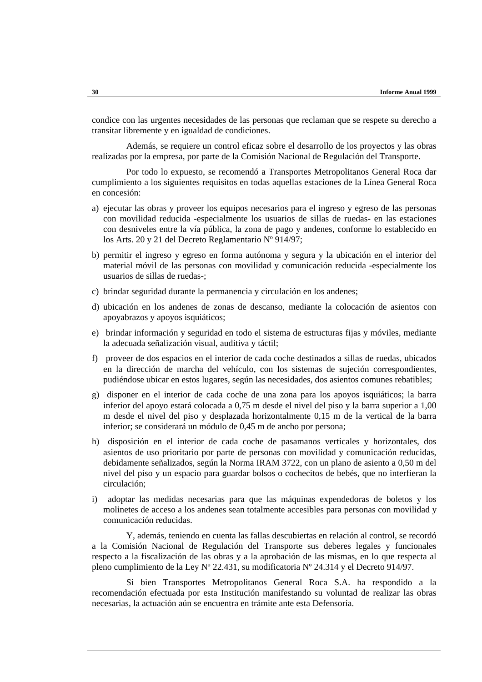condice con las urgentes necesidades de las personas que reclaman que se respete su derecho a transitar libremente y en igualdad de condiciones.

Además, se requiere un control eficaz sobre el desarrollo de los proyectos y las obras realizadas por la empresa, por parte de la Comisión Nacional de Regulación del Transporte.

Por todo lo expuesto, se recomendó a Transportes Metropolitanos General Roca dar cumplimiento a los siguientes requisitos en todas aquellas estaciones de la Línea General Roca en concesión:

- a) ejecutar las obras y proveer los equipos necesarios para el ingreso y egreso de las personas con movilidad reducida -especialmente los usuarios de sillas de ruedas- en las estaciones con desniveles entre la vía pública, la zona de pago y andenes, conforme lo establecido en los Arts. 20 y 21 del Decreto Reglamentario Nº 914/97;
- b) permitir el ingreso y egreso en forma autónoma y segura y la ubicación en el interior del material móvil de las personas con movilidad y comunicación reducida -especialmente los usuarios de sillas de ruedas-;
- c) brindar seguridad durante la permanencia y circulación en los andenes;
- d) ubicación en los andenes de zonas de descanso, mediante la colocación de asientos con apoyabrazos y apoyos isquiáticos;
- e) brindar información y seguridad en todo el sistema de estructuras fijas y móviles, mediante la adecuada señalización visual, auditiva y táctil;
- f) proveer de dos espacios en el interior de cada coche destinados a sillas de ruedas, ubicados en la dirección de marcha del vehículo, con los sistemas de sujeción correspondientes, pudiéndose ubicar en estos lugares, según las necesidades, dos asientos comunes rebatibles;
- g) disponer en el interior de cada coche de una zona para los apoyos isquiáticos; la barra inferior del apoyo estará colocada a 0,75 m desde el nivel del piso y la barra superior a 1,00 m desde el nivel del piso y desplazada horizontalmente 0,15 m de la vertical de la barra inferior; se considerará un módulo de 0,45 m de ancho por persona;
- h) disposición en el interior de cada coche de pasamanos verticales y horizontales, dos asientos de uso prioritario por parte de personas con movilidad y comunicación reducidas, debidamente señalizados, según la Norma IRAM 3722, con un plano de asiento a 0,50 m del nivel del piso y un espacio para guardar bolsos o cochecitos de bebés, que no interfieran la circulación;
- i) adoptar las medidas necesarias para que las máquinas expendedoras de boletos y los molinetes de acceso a los andenes sean totalmente accesibles para personas con movilidad y comunicación reducidas.

Y, además, teniendo en cuenta las fallas descubiertas en relación al control, se recordó a la Comisión Nacional de Regulación del Transporte sus deberes legales y funcionales respecto a la fiscalización de las obras y a la aprobación de las mismas, en lo que respecta al pleno cumplimiento de la Ley Nº 22.431, su modificatoria Nº 24.314 y el Decreto 914/97.

Si bien Transportes Metropolitanos General Roca S.A. ha respondido a la recomendación efectuada por esta Institución manifestando su voluntad de realizar las obras necesarias, la actuación aún se encuentra en trámite ante esta Defensoría.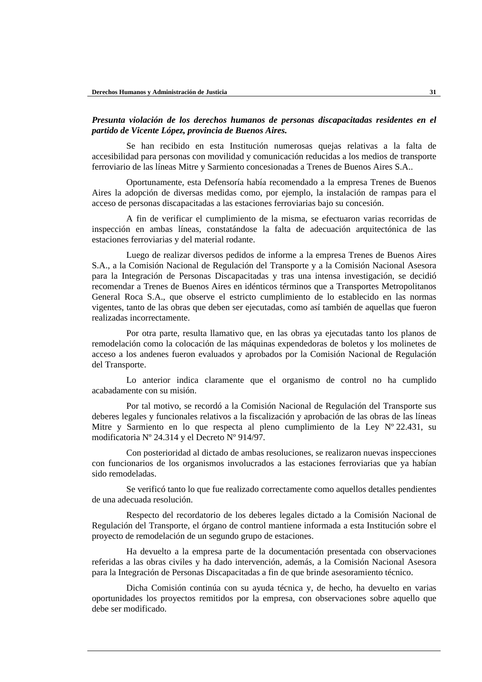### *Presunta violación de los derechos humanos de personas discapacitadas residentes en el partido de Vicente López, provincia de Buenos Aires.*

Se han recibido en esta Institución numerosas quejas relativas a la falta de accesibilidad para personas con movilidad y comunicación reducidas a los medios de transporte ferroviario de las líneas Mitre y Sarmiento concesionadas a Trenes de Buenos Aires S.A..

Oportunamente, esta Defensoría había recomendado a la empresa Trenes de Buenos Aires la adopción de diversas medidas como, por ejemplo, la instalación de rampas para el acceso de personas discapacitadas a las estaciones ferroviarias bajo su concesión.

A fin de verificar el cumplimiento de la misma, se efectuaron varias recorridas de inspección en ambas líneas, constatándose la falta de adecuación arquitectónica de las estaciones ferroviarias y del material rodante.

Luego de realizar diversos pedidos de informe a la empresa Trenes de Buenos Aires S.A., a la Comisión Nacional de Regulación del Transporte y a la Comisión Nacional Asesora para la Integración de Personas Discapacitadas y tras una intensa investigación, se decidió recomendar a Trenes de Buenos Aires en idénticos términos que a Transportes Metropolitanos General Roca S.A., que observe el estricto cumplimiento de lo establecido en las normas vigentes, tanto de las obras que deben ser ejecutadas, como así también de aquellas que fueron realizadas incorrectamente.

Por otra parte, resulta llamativo que, en las obras ya ejecutadas tanto los planos de remodelación como la colocación de las máquinas expendedoras de boletos y los molinetes de acceso a los andenes fueron evaluados y aprobados por la Comisión Nacional de Regulación del Transporte.

Lo anterior indica claramente que el organismo de control no ha cumplido acabadamente con su misión.

Por tal motivo, se recordó a la Comisión Nacional de Regulación del Transporte sus deberes legales y funcionales relativos a la fiscalización y aprobación de las obras de las líneas Mitre y Sarmiento en lo que respecta al pleno cumplimiento de la Ley Nº 22.431, su modificatoria Nº 24.314 y el Decreto Nº 914/97.

Con posterioridad al dictado de ambas resoluciones, se realizaron nuevas inspecciones con funcionarios de los organismos involucrados a las estaciones ferroviarias que ya habían sido remodeladas.

Se verificó tanto lo que fue realizado correctamente como aquellos detalles pendientes de una adecuada resolución.

Respecto del recordatorio de los deberes legales dictado a la Comisión Nacional de Regulación del Transporte, el órgano de control mantiene informada a esta Institución sobre el proyecto de remodelación de un segundo grupo de estaciones.

Ha devuelto a la empresa parte de la documentación presentada con observaciones referidas a las obras civiles y ha dado intervención, además, a la Comisión Nacional Asesora para la Integración de Personas Discapacitadas a fin de que brinde asesoramiento técnico.

Dicha Comisión continúa con su ayuda técnica y, de hecho, ha devuelto en varias oportunidades los proyectos remitidos por la empresa, con observaciones sobre aquello que debe ser modificado.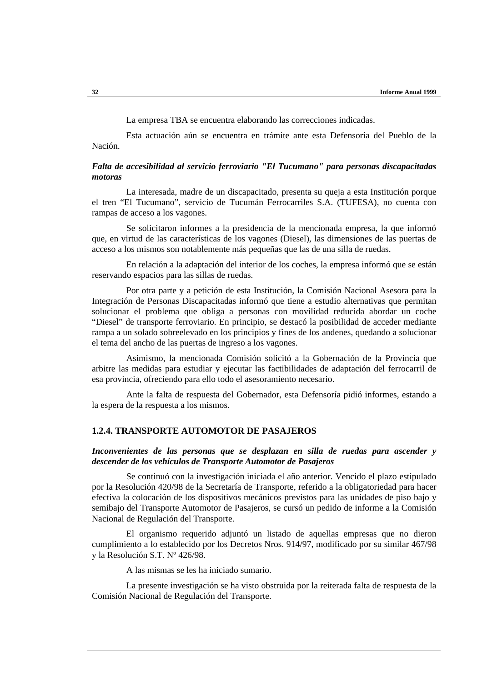La empresa TBA se encuentra elaborando las correcciones indicadas.

Esta actuación aún se encuentra en trámite ante esta Defensoría del Pueblo de la Nación.

### *Falta de accesibilidad al servicio ferroviario "El Tucumano" para personas discapacitadas motoras*

La interesada, madre de un discapacitado, presenta su queja a esta Institución porque el tren "El Tucumano", servicio de Tucumán Ferrocarriles S.A. (TUFESA), no cuenta con rampas de acceso a los vagones.

Se solicitaron informes a la presidencia de la mencionada empresa, la que informó que, en virtud de las características de los vagones (Diesel), las dimensiones de las puertas de acceso a los mismos son notablemente más pequeñas que las de una silla de ruedas.

En relación a la adaptación del interior de los coches, la empresa informó que se están reservando espacios para las sillas de ruedas.

Por otra parte y a petición de esta Institución, la Comisión Nacional Asesora para la Integración de Personas Discapacitadas informó que tiene a estudio alternativas que permitan solucionar el problema que obliga a personas con movilidad reducida abordar un coche "Diesel" de transporte ferroviario. En principio, se destacó la posibilidad de acceder mediante rampa a un solado sobreelevado en los principios y fines de los andenes, quedando a solucionar el tema del ancho de las puertas de ingreso a los vagones.

Asimismo, la mencionada Comisión solicitó a la Gobernación de la Provincia que arbitre las medidas para estudiar y ejecutar las factibilidades de adaptación del ferrocarril de esa provincia, ofreciendo para ello todo el asesoramiento necesario.

Ante la falta de respuesta del Gobernador, esta Defensoría pidió informes, estando a la espera de la respuesta a los mismos.

### **1.2.4. TRANSPORTE AUTOMOTOR DE PASAJEROS**

### *Inconvenientes de las personas que se desplazan en silla de ruedas para ascender y descender de los vehículos de Transporte Automotor de Pasajeros*

Se continuó con la investigación iniciada el año anterior. Vencido el plazo estipulado por la Resolución 420/98 de la Secretaría de Transporte, referido a la obligatoriedad para hacer efectiva la colocación de los dispositivos mecánicos previstos para las unidades de piso bajo y semibajo del Transporte Automotor de Pasajeros, se cursó un pedido de informe a la Comisión Nacional de Regulación del Transporte.

El organismo requerido adjuntó un listado de aquellas empresas que no dieron cumplimiento a lo establecido por los Decretos Nros. 914/97, modificado por su similar 467/98 y la Resolución S.T. Nº 426/98.

A las mismas se les ha iniciado sumario.

La presente investigación se ha visto obstruida por la reiterada falta de respuesta de la Comisión Nacional de Regulación del Transporte.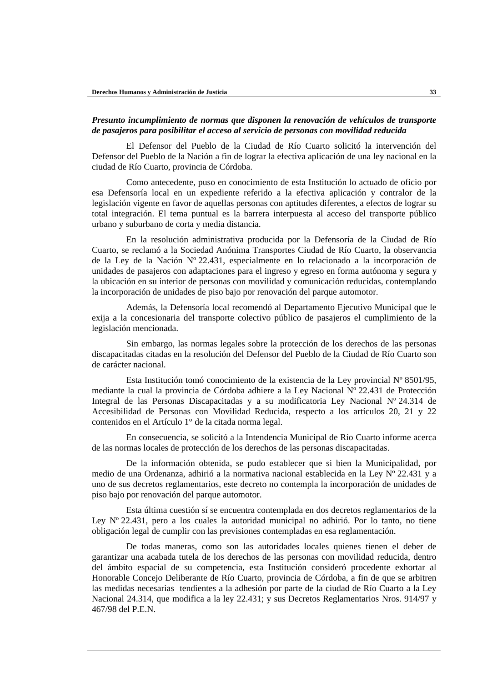### *Presunto incumplimiento de normas que disponen la renovación de vehículos de transporte de pasajeros para posibilitar el acceso al servicio de personas con movilidad reducida*

El Defensor del Pueblo de la Ciudad de Río Cuarto solicitó la intervención del Defensor del Pueblo de la Nación a fin de lograr la efectiva aplicación de una ley nacional en la ciudad de Río Cuarto, provincia de Córdoba.

Como antecedente, puso en conocimiento de esta Institución lo actuado de oficio por esa Defensoría local en un expediente referido a la efectiva aplicación y contralor de la legislación vigente en favor de aquellas personas con aptitudes diferentes, a efectos de lograr su total integración. El tema puntual es la barrera interpuesta al acceso del transporte público urbano y suburbano de corta y media distancia.

En la resolución administrativa producida por la Defensoría de la Ciudad de Río Cuarto, se reclamó a la Sociedad Anónima Transportes Ciudad de Río Cuarto, la observancia de la Ley de la Nación Nº 22.431, especialmente en lo relacionado a la incorporación de unidades de pasajeros con adaptaciones para el ingreso y egreso en forma autónoma y segura y la ubicación en su interior de personas con movilidad y comunicación reducidas, contemplando la incorporación de unidades de piso bajo por renovación del parque automotor.

Además, la Defensoría local recomendó al Departamento Ejecutivo Municipal que le exija a la concesionaria del transporte colectivo público de pasajeros el cumplimiento de la legislación mencionada.

Sin embargo, las normas legales sobre la protección de los derechos de las personas discapacitadas citadas en la resolución del Defensor del Pueblo de la Ciudad de Río Cuarto son de carácter nacional.

Esta Institución tomó conocimiento de la existencia de la Ley provincial Nº 8501/95, mediante la cual la provincia de Córdoba adhiere a la Ley Nacional Nº 22.431 de Protección Integral de las Personas Discapacitadas y a su modificatoria Ley Nacional Nº 24.314 de Accesibilidad de Personas con Movilidad Reducida, respecto a los artículos 20, 21 y 22 contenidos en el Artículo 1° de la citada norma legal.

En consecuencia, se solicitó a la Intendencia Municipal de Río Cuarto informe acerca de las normas locales de protección de los derechos de las personas discapacitadas.

De la información obtenida, se pudo establecer que si bien la Municipalidad, por medio de una Ordenanza, adhirió a la normativa nacional establecida en la Ley Nº 22.431 y a uno de sus decretos reglamentarios, este decreto no contempla la incorporación de unidades de piso bajo por renovación del parque automotor.

Esta última cuestión sí se encuentra contemplada en dos decretos reglamentarios de la Ley Nº 22.431, pero a los cuales la autoridad municipal no adhirió. Por lo tanto, no tiene obligación legal de cumplir con las previsiones contempladas en esa reglamentación.

De todas maneras, como son las autoridades locales quienes tienen el deber de garantizar una acabada tutela de los derechos de las personas con movilidad reducida, dentro del ámbito espacial de su competencia, esta Institución consideró procedente exhortar al Honorable Concejo Deliberante de Río Cuarto, provincia de Córdoba, a fin de que se arbitren las medidas necesarias tendientes a la adhesión por parte de la ciudad de Río Cuarto a la Ley Nacional 24.314, que modifica a la ley 22.431; y sus Decretos Reglamentarios Nros. 914/97 y 467/98 del P.E.N.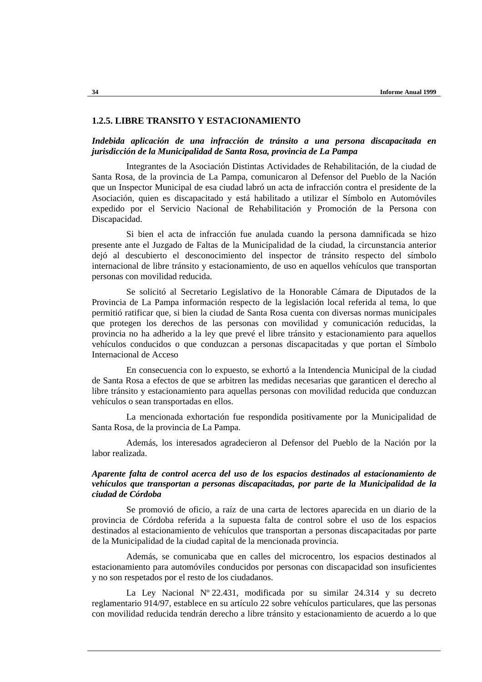### **1.2.5. LIBRE TRANSITO Y ESTACIONAMIENTO**

#### *Indebida aplicación de una infracción de tránsito a una persona discapacitada en jurisdicción de la Municipalidad de Santa Rosa, provincia de La Pampa*

Integrantes de la Asociación Distintas Actividades de Rehabilitación, de la ciudad de Santa Rosa, de la provincia de La Pampa, comunicaron al Defensor del Pueblo de la Nación que un Inspector Municipal de esa ciudad labró un acta de infracción contra el presidente de la Asociación, quien es discapacitado y está habilitado a utilizar el Símbolo en Automóviles expedido por el Servicio Nacional de Rehabilitación y Promoción de la Persona con Discapacidad.

Si bien el acta de infracción fue anulada cuando la persona damnificada se hizo presente ante el Juzgado de Faltas de la Municipalidad de la ciudad, la circunstancia anterior dejó al descubierto el desconocimiento del inspector de tránsito respecto del símbolo internacional de libre tránsito y estacionamiento, de uso en aquellos vehículos que transportan personas con movilidad reducida.

Se solicitó al Secretario Legislativo de la Honorable Cámara de Diputados de la Provincia de La Pampa información respecto de la legislación local referida al tema, lo que permitió ratificar que, si bien la ciudad de Santa Rosa cuenta con diversas normas municipales que protegen los derechos de las personas con movilidad y comunicación reducidas, la provincia no ha adherido a la ley que prevé el libre tránsito y estacionamiento para aquellos vehículos conducidos o que conduzcan a personas discapacitadas y que portan el Símbolo Internacional de Acceso

En consecuencia con lo expuesto, se exhortó a la Intendencia Municipal de la ciudad de Santa Rosa a efectos de que se arbitren las medidas necesarias que garanticen el derecho al libre tránsito y estacionamiento para aquellas personas con movilidad reducida que conduzcan vehículos o sean transportadas en ellos.

La mencionada exhortación fue respondida positivamente por la Municipalidad de Santa Rosa, de la provincia de La Pampa.

Además, los interesados agradecieron al Defensor del Pueblo de la Nación por la labor realizada.

### *Aparente falta de control acerca del uso de los espacios destinados al estacionamiento de vehículos que transportan a personas discapacitadas, por parte de la Municipalidad de la ciudad de Córdoba*

Se promovió de oficio, a raíz de una carta de lectores aparecida en un diario de la provincia de Córdoba referida a la supuesta falta de control sobre el uso de los espacios destinados al estacionamiento de vehículos que transportan a personas discapacitadas por parte de la Municipalidad de la ciudad capital de la mencionada provincia.

Además, se comunicaba que en calles del microcentro, los espacios destinados al estacionamiento para automóviles conducidos por personas con discapacidad son insuficientes y no son respetados por el resto de los ciudadanos.

La Ley Nacional  $N^{\circ}$  22.431, modificada por su similar 24.314 y su decreto reglamentario 914/97, establece en su artículo 22 sobre vehículos particulares, que las personas con movilidad reducida tendrán derecho a libre tránsito y estacionamiento de acuerdo a lo que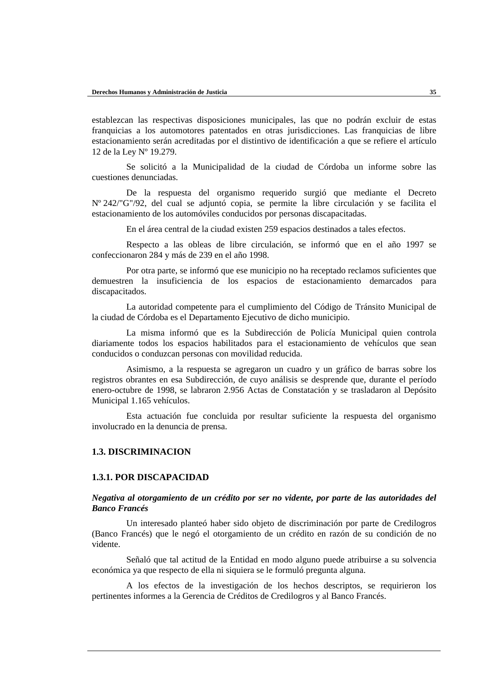establezcan las respectivas disposiciones municipales, las que no podrán excluir de estas franquicias a los automotores patentados en otras jurisdicciones. Las franquicias de libre estacionamiento serán acreditadas por el distintivo de identificación a que se refiere el artículo 12 de la Ley Nº 19.279.

Se solicitó a la Municipalidad de la ciudad de Córdoba un informe sobre las cuestiones denunciadas.

De la respuesta del organismo requerido surgió que mediante el Decreto Nº 242/"G"/92, del cual se adjuntó copia, se permite la libre circulación y se facilita el estacionamiento de los automóviles conducidos por personas discapacitadas.

En el área central de la ciudad existen 259 espacios destinados a tales efectos.

Respecto a las obleas de libre circulación, se informó que en el año 1997 se confeccionaron 284 y más de 239 en el año 1998.

Por otra parte, se informó que ese municipio no ha receptado reclamos suficientes que demuestren la insuficiencia de los espacios de estacionamiento demarcados para discapacitados.

La autoridad competente para el cumplimiento del Código de Tránsito Municipal de la ciudad de Córdoba es el Departamento Ejecutivo de dicho municipio.

La misma informó que es la Subdirección de Policía Municipal quien controla diariamente todos los espacios habilitados para el estacionamiento de vehículos que sean conducidos o conduzcan personas con movilidad reducida.

Asimismo, a la respuesta se agregaron un cuadro y un gráfico de barras sobre los registros obrantes en esa Subdirección, de cuyo análisis se desprende que, durante el período enero-octubre de 1998, se labraron 2.956 Actas de Constatación y se trasladaron al Depósito Municipal 1.165 vehículos.

Esta actuación fue concluida por resultar suficiente la respuesta del organismo involucrado en la denuncia de prensa.

### **1.3. DISCRIMINACION**

#### **1.3.1. POR DISCAPACIDAD**

*Negativa al otorgamiento de un crédito por ser no vidente, por parte de las autoridades del Banco Francés*

Un interesado planteó haber sido objeto de discriminación por parte de Credilogros (Banco Francés) que le negó el otorgamiento de un crédito en razón de su condición de no vidente.

Señaló que tal actitud de la Entidad en modo alguno puede atribuirse a su solvencia económica ya que respecto de ella ni siquiera se le formuló pregunta alguna.

A los efectos de la investigación de los hechos descriptos, se requirieron los pertinentes informes a la Gerencia de Créditos de Credilogros y al Banco Francés.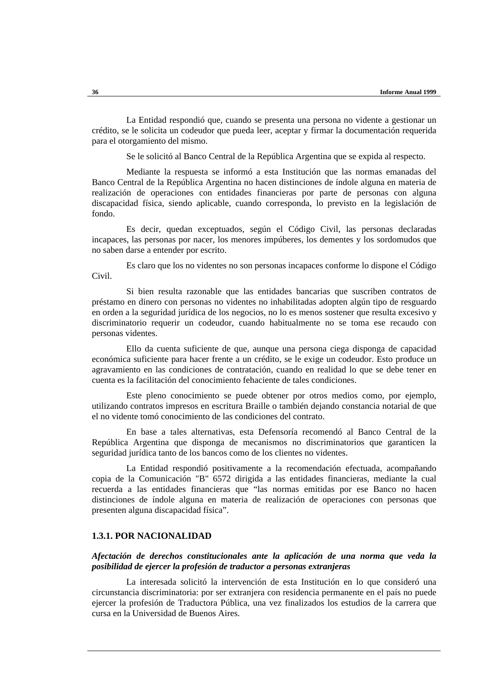La Entidad respondió que, cuando se presenta una persona no vidente a gestionar un crédito, se le solicita un codeudor que pueda leer, aceptar y firmar la documentación requerida para el otorgamiento del mismo.

Se le solicitó al Banco Central de la República Argentina que se expida al respecto.

Mediante la respuesta se informó a esta Institución que las normas emanadas del Banco Central de la República Argentina no hacen distinciones de índole alguna en materia de realización de operaciones con entidades financieras por parte de personas con alguna discapacidad física, siendo aplicable, cuando corresponda, lo previsto en la legislación de fondo.

Es decir, quedan exceptuados, según el Código Civil, las personas declaradas incapaces, las personas por nacer, los menores impúberes, los dementes y los sordomudos que no saben darse a entender por escrito.

Es claro que los no videntes no son personas incapaces conforme lo dispone el Código Civil.

Si bien resulta razonable que las entidades bancarias que suscriben contratos de préstamo en dinero con personas no videntes no inhabilitadas adopten algún tipo de resguardo en orden a la seguridad jurídica de los negocios, no lo es menos sostener que resulta excesivo y discriminatorio requerir un codeudor, cuando habitualmente no se toma ese recaudo con personas videntes.

Ello da cuenta suficiente de que, aunque una persona ciega disponga de capacidad económica suficiente para hacer frente a un crédito, se le exige un codeudor. Esto produce un agravamiento en las condiciones de contratación, cuando en realidad lo que se debe tener en cuenta es la facilitación del conocimiento fehaciente de tales condiciones.

Este pleno conocimiento se puede obtener por otros medios como, por ejemplo, utilizando contratos impresos en escritura Braille o también dejando constancia notarial de que el no vidente tomó conocimiento de las condiciones del contrato.

En base a tales alternativas, esta Defensoría recomendó al Banco Central de la República Argentina que disponga de mecanismos no discriminatorios que garanticen la seguridad jurídica tanto de los bancos como de los clientes no videntes.

La Entidad respondió positivamente a la recomendación efectuada, acompañando copia de la Comunicación "B" 6572 dirigida a las entidades financieras, mediante la cual recuerda a las entidades financieras que "las normas emitidas por ese Banco no hacen distinciones de índole alguna en materia de realización de operaciones con personas que presenten alguna discapacidad física".

### **1.3.1. POR NACIONALIDAD**

### *Afectación de derechos constitucionales ante la aplicación de una norma que veda la posibilidad de ejercer la profesión de traductor a personas extranjeras*

La interesada solicitó la intervención de esta Institución en lo que consideró una circunstancia discriminatoria: por ser extranjera con residencia permanente en el país no puede ejercer la profesión de Traductora Pública, una vez finalizados los estudios de la carrera que cursa en la Universidad de Buenos Aires.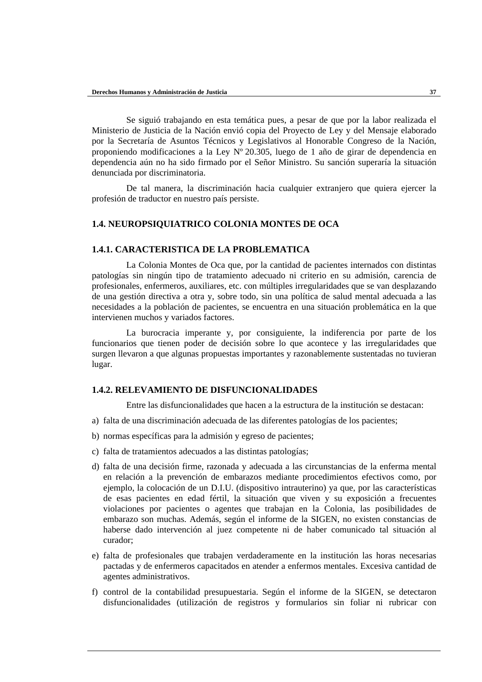Se siguió trabajando en esta temática pues, a pesar de que por la labor realizada el Ministerio de Justicia de la Nación envió copia del Proyecto de Ley y del Mensaje elaborado por la Secretaría de Asuntos Técnicos y Legislativos al Honorable Congreso de la Nación, proponiendo modificaciones a la Ley Nº 20.305, luego de 1 año de girar de dependencia en dependencia aún no ha sido firmado por el Señor Ministro. Su sanción superaría la situación denunciada por discriminatoria.

De tal manera, la discriminación hacia cualquier extranjero que quiera ejercer la profesión de traductor en nuestro país persiste.

## **1.4. NEUROPSIQUIATRICO COLONIA MONTES DE OCA**

### **1.4.1. CARACTERISTICA DE LA PROBLEMATICA**

La Colonia Montes de Oca que, por la cantidad de pacientes internados con distintas patologías sin ningún tipo de tratamiento adecuado ni criterio en su admisión, carencia de profesionales, enfermeros, auxiliares, etc. con múltiples irregularidades que se van desplazando de una gestión directiva a otra y, sobre todo, sin una política de salud mental adecuada a las necesidades a la población de pacientes, se encuentra en una situación problemática en la que intervienen muchos y variados factores.

La burocracia imperante y, por consiguiente, la indiferencia por parte de los funcionarios que tienen poder de decisión sobre lo que acontece y las irregularidades que surgen llevaron a que algunas propuestas importantes y razonablemente sustentadas no tuvieran lugar.

#### **1.4.2. RELEVAMIENTO DE DISFUNCIONALIDADES**

Entre las disfuncionalidades que hacen a la estructura de la institución se destacan:

- a) falta de una discriminación adecuada de las diferentes patologías de los pacientes;
- b) normas específicas para la admisión y egreso de pacientes;
- c) falta de tratamientos adecuados a las distintas patologías;
- d) falta de una decisión firme, razonada y adecuada a las circunstancias de la enferma mental en relación a la prevención de embarazos mediante procedimientos efectivos como, por ejemplo, la colocación de un D.I.U. (dispositivo intrauterino) ya que, por las características de esas pacientes en edad fértil, la situación que viven y su exposición a frecuentes violaciones por pacientes o agentes que trabajan en la Colonia, las posibilidades de embarazo son muchas. Además, según el informe de la SIGEN, no existen constancias de haberse dado intervención al juez competente ni de haber comunicado tal situación al curador;
- e) falta de profesionales que trabajen verdaderamente en la institución las horas necesarias pactadas y de enfermeros capacitados en atender a enfermos mentales. Excesiva cantidad de agentes administrativos.
- f) control de la contabilidad presupuestaria. Según el informe de la SIGEN, se detectaron disfuncionalidades (utilización de registros y formularios sin foliar ni rubricar con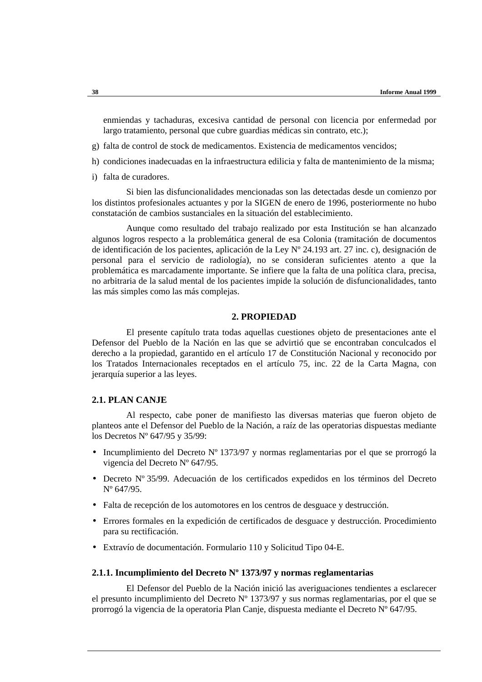enmiendas y tachaduras, excesiva cantidad de personal con licencia por enfermedad por largo tratamiento, personal que cubre guardias médicas sin contrato, etc.);

- g) falta de control de stock de medicamentos. Existencia de medicamentos vencidos;
- h) condiciones inadecuadas en la infraestructura edilicia y falta de mantenimiento de la misma;
- i) falta de curadores.

Si bien las disfuncionalidades mencionadas son las detectadas desde un comienzo por los distintos profesionales actuantes y por la SIGEN de enero de 1996, posteriormente no hubo constatación de cambios sustanciales en la situación del establecimiento.

Aunque como resultado del trabajo realizado por esta Institución se han alcanzado algunos logros respecto a la problemática general de esa Colonia (tramitación de documentos de identificación de los pacientes, aplicación de la Ley Nº 24.193 art. 27 inc. c), designación de personal para el servicio de radiología), no se consideran suficientes atento a que la problemática es marcadamente importante. Se infiere que la falta de una política clara, precisa, no arbitraria de la salud mental de los pacientes impide la solución de disfuncionalidades, tanto las más simples como las más complejas.

#### **2. PROPIEDAD**

El presente capítulo trata todas aquellas cuestiones objeto de presentaciones ante el Defensor del Pueblo de la Nación en las que se advirtió que se encontraban conculcados el derecho a la propiedad, garantido en el artículo 17 de Constitución Nacional y reconocido por los Tratados Internacionales receptados en el artículo 75, inc. 22 de la Carta Magna, con jerarquía superior a las leyes.

#### **2.1. PLAN CANJE**

Al respecto, cabe poner de manifiesto las diversas materias que fueron objeto de planteos ante el Defensor del Pueblo de la Nación, a raíz de las operatorias dispuestas mediante los Decretos Nº 647/95 y 35/99:

- Incumplimiento del Decreto Nº 1373/97 y normas reglamentarias por el que se prorrogó la vigencia del Decreto Nº 647/95.
- Decreto Nº 35/99. Adecuación de los certificados expedidos en los términos del Decreto Nº 647/95.
- Falta de recepción de los automotores en los centros de desguace y destrucción.
- Errores formales en la expedición de certificados de desguace y destrucción. Procedimiento para su rectificación.
- Extravío de documentación. Formulario 110 y Solicitud Tipo 04-E.

#### **2.1.1. Incumplimiento del Decreto Nº 1373/97 y normas reglamentarias**

El Defensor del Pueblo de la Nación inició las averiguaciones tendientes a esclarecer el presunto incumplimiento del Decreto Nº 1373/97 y sus normas reglamentarias, por el que se prorrogó la vigencia de la operatoria Plan Canje, dispuesta mediante el Decreto Nº 647/95.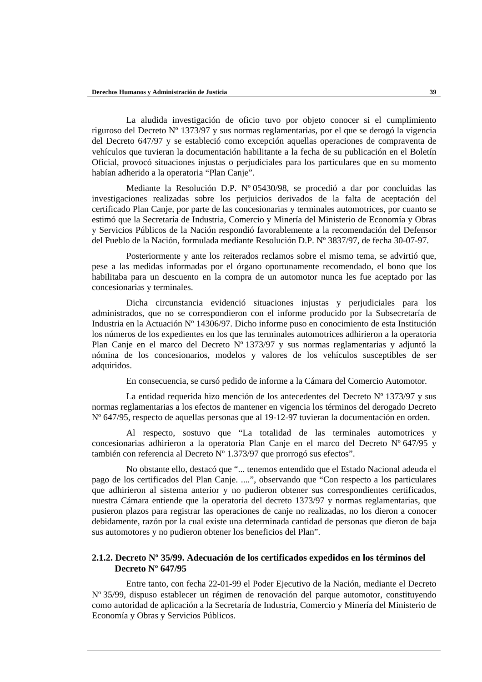La aludida investigación de oficio tuvo por objeto conocer si el cumplimiento riguroso del Decreto Nº 1373/97 y sus normas reglamentarias, por el que se derogó la vigencia del Decreto 647/97 y se estableció como excepción aquellas operaciones de compraventa de vehículos que tuvieran la documentación habilitante a la fecha de su publicación en el Boletín Oficial, provocó situaciones injustas o perjudiciales para los particulares que en su momento habían adherido a la operatoria "Plan Canje".

Mediante la Resolución D.P. Nº 05430/98, se procedió a dar por concluidas las investigaciones realizadas sobre los perjuicios derivados de la falta de aceptación del certificado Plan Canje, por parte de las concesionarias y terminales automotrices, por cuanto se estimó que la Secretaría de Industria, Comercio y Minería del Ministerio de Economía y Obras y Servicios Públicos de la Nación respondió favorablemente a la recomendación del Defensor del Pueblo de la Nación, formulada mediante Resolución D.P. Nº 3837/97, de fecha 30-07-97.

Posteriormente y ante los reiterados reclamos sobre el mismo tema, se advirtió que, pese a las medidas informadas por el órgano oportunamente recomendado, el bono que los habilitaba para un descuento en la compra de un automotor nunca les fue aceptado por las concesionarias y terminales.

Dicha circunstancia evidenció situaciones injustas y perjudiciales para los administrados, que no se correspondieron con el informe producido por la Subsecretaría de Industria en la Actuación Nº 14306/97. Dicho informe puso en conocimiento de esta Institución los números de los expedientes en los que las terminales automotrices adhirieron a la operatoria Plan Canje en el marco del Decreto Nº 1373/97 y sus normas reglamentarias y adjuntó la nómina de los concesionarios, modelos y valores de los vehículos susceptibles de ser adquiridos.

En consecuencia, se cursó pedido de informe a la Cámara del Comercio Automotor.

La entidad requerida hizo mención de los antecedentes del Decreto Nº 1373/97 y sus normas reglamentarias a los efectos de mantener en vigencia los términos del derogado Decreto Nº 647/95, respecto de aquellas personas que al 19-12-97 tuvieran la documentación en orden.

Al respecto, sostuvo que "La totalidad de las terminales automotrices y concesionarias adhirieron a la operatoria Plan Canje en el marco del Decreto Nº 647/95 y también con referencia al Decreto Nº 1.373/97 que prorrogó sus efectos".

No obstante ello, destacó que "... tenemos entendido que el Estado Nacional adeuda el pago de los certificados del Plan Canje. ....", observando que "Con respecto a los particulares que adhirieron al sistema anterior y no pudieron obtener sus correspondientes certificados, nuestra Cámara entiende que la operatoria del decreto 1373/97 y normas reglamentarias, que pusieron plazos para registrar las operaciones de canje no realizadas, no los dieron a conocer debidamente, razón por la cual existe una determinada cantidad de personas que dieron de baja sus automotores y no pudieron obtener los beneficios del Plan".

# **2.1.2. Decreto Nº 35/99. Adecuación de los certificados expedidos en los términos del Decreto Nº 647/95**

Entre tanto, con fecha 22-01-99 el Poder Ejecutivo de la Nación, mediante el Decreto Nº 35/99, dispuso establecer un régimen de renovación del parque automotor, constituyendo como autoridad de aplicación a la Secretaría de Industria, Comercio y Minería del Ministerio de Economía y Obras y Servicios Públicos.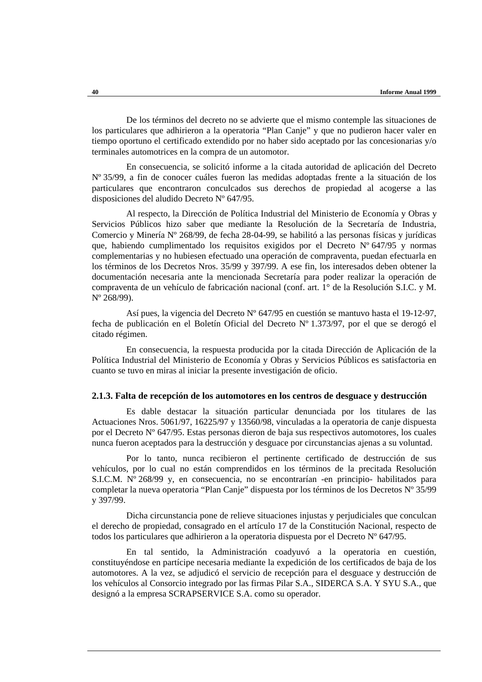De los términos del decreto no se advierte que el mismo contemple las situaciones de los particulares que adhirieron a la operatoria "Plan Canje" y que no pudieron hacer valer en tiempo oportuno el certificado extendido por no haber sido aceptado por las concesionarias y/o terminales automotrices en la compra de un automotor.

En consecuencia, se solicitó informe a la citada autoridad de aplicación del Decreto Nº 35/99, a fin de conocer cuáles fueron las medidas adoptadas frente a la situación de los particulares que encontraron conculcados sus derechos de propiedad al acogerse a las disposiciones del aludido Decreto Nº 647/95.

Al respecto, la Dirección de Política Industrial del Ministerio de Economía y Obras y Servicios Públicos hizo saber que mediante la Resolución de la Secretaría de Industria, Comercio y Minería Nº 268/99, de fecha 28-04-99, se habilitó a las personas físicas y jurídicas que, habiendo cumplimentado los requisitos exigidos por el Decreto Nº 647/95 y normas complementarias y no hubiesen efectuado una operación de compraventa, puedan efectuarla en los términos de los Decretos Nros. 35/99 y 397/99. A ese fin, los interesados deben obtener la documentación necesaria ante la mencionada Secretaría para poder realizar la operación de compraventa de un vehículo de fabricación nacional (conf. art. 1° de la Resolución S.I.C. y M. Nº 268/99).

Así pues, la vigencia del Decreto Nº 647/95 en cuestión se mantuvo hasta el 19-12-97, fecha de publicación en el Boletín Oficial del Decreto Nº 1.373/97, por el que se derogó el citado régimen.

En consecuencia, la respuesta producida por la citada Dirección de Aplicación de la Política Industrial del Ministerio de Economía y Obras y Servicios Públicos es satisfactoria en cuanto se tuvo en miras al iniciar la presente investigación de oficio.

#### **2.1.3. Falta de recepción de los automotores en los centros de desguace y destrucción**

Es dable destacar la situación particular denunciada por los titulares de las Actuaciones Nros. 5061/97, 16225/97 y 13560/98, vinculadas a la operatoria de canje dispuesta por el Decreto Nº 647/95. Estas personas dieron de baja sus respectivos automotores, los cuales nunca fueron aceptados para la destrucción y desguace por circunstancias ajenas a su voluntad.

Por lo tanto, nunca recibieron el pertinente certificado de destrucción de sus vehículos, por lo cual no están comprendidos en los términos de la precitada Resolución S.I.C.M. Nº 268/99 y, en consecuencia, no se encontrarían -en principio- habilitados para completar la nueva operatoria "Plan Canje" dispuesta por los términos de los Decretos Nº 35/99 y 397/99.

Dicha circunstancia pone de relieve situaciones injustas y perjudiciales que conculcan el derecho de propiedad, consagrado en el artículo 17 de la Constitución Nacional, respecto de todos los particulares que adhirieron a la operatoria dispuesta por el Decreto  $N^{\circ}$  647/95.

En tal sentido, la Administración coadyuvó a la operatoria en cuestión, constituyéndose en partícipe necesaria mediante la expedición de los certificados de baja de los automotores. A la vez, se adjudicó el servicio de recepción para el desguace y destrucción de los vehículos al Consorcio integrado por las firmas Pilar S.A., SIDERCA S.A. Y SYU S.A., que designó a la empresa SCRAPSERVICE S.A. como su operador.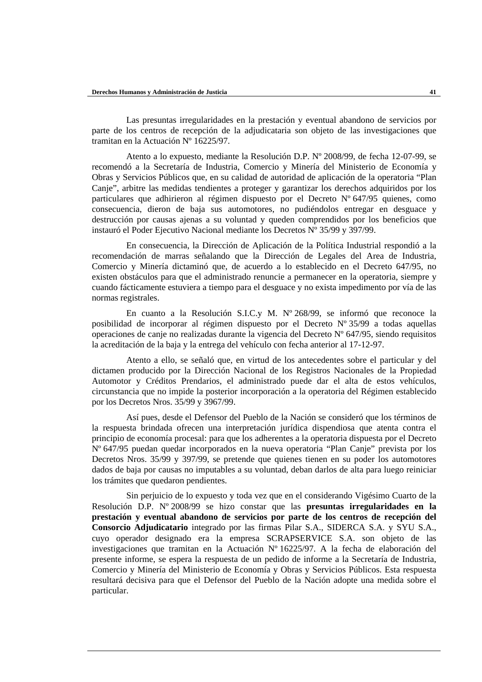Las presuntas irregularidades en la prestación y eventual abandono de servicios por parte de los centros de recepción de la adjudicataria son objeto de las investigaciones que tramitan en la Actuación Nº 16225/97.

Atento a lo expuesto, mediante la Resolución D.P. Nº 2008/99, de fecha 12-07-99, se recomendó a la Secretaría de Industria, Comercio y Minería del Ministerio de Economía y Obras y Servicios Públicos que, en su calidad de autoridad de aplicación de la operatoria "Plan Canje", arbitre las medidas tendientes a proteger y garantizar los derechos adquiridos por los particulares que adhirieron al régimen dispuesto por el Decreto Nº 647/95 quienes, como consecuencia, dieron de baja sus automotores, no pudiéndolos entregar en desguace y destrucción por causas ajenas a su voluntad y queden comprendidos por los beneficios que instauró el Poder Ejecutivo Nacional mediante los Decretos Nº 35/99 y 397/99.

En consecuencia, la Dirección de Aplicación de la Política Industrial respondió a la recomendación de marras señalando que la Dirección de Legales del Area de Industria, Comercio y Minería dictaminó que, de acuerdo a lo establecido en el Decreto 647/95, no existen obstáculos para que el administrado renuncie a permanecer en la operatoria, siempre y cuando fácticamente estuviera a tiempo para el desguace y no exista impedimento por vía de las normas registrales.

En cuanto a la Resolución S.I.C.y M. Nº 268/99, se informó que reconoce la posibilidad de incorporar al régimen dispuesto por el Decreto Nº 35/99 a todas aquellas operaciones de canje no realizadas durante la vigencia del Decreto Nº 647/95, siendo requisitos la acreditación de la baja y la entrega del vehículo con fecha anterior al 17-12-97.

Atento a ello, se señaló que, en virtud de los antecedentes sobre el particular y del dictamen producido por la Dirección Nacional de los Registros Nacionales de la Propiedad Automotor y Créditos Prendarios, el administrado puede dar el alta de estos vehículos, circunstancia que no impide la posterior incorporación a la operatoria del Régimen establecido por los Decretos Nros. 35/99 y 3967/99.

Así pues, desde el Defensor del Pueblo de la Nación se consideró que los términos de la respuesta brindada ofrecen una interpretación jurídica dispendiosa que atenta contra el principio de economía procesal: para que los adherentes a la operatoria dispuesta por el Decreto Nº 647/95 puedan quedar incorporados en la nueva operatoria "Plan Canje" prevista por los Decretos Nros. 35/99 y 397/99, se pretende que quienes tienen en su poder los automotores dados de baja por causas no imputables a su voluntad, deban darlos de alta para luego reiniciar los trámites que quedaron pendientes.

Sin perjuicio de lo expuesto y toda vez que en el considerando Vigésimo Cuarto de la Resolución D.P. Nº 2008/99 se hizo constar que las **presuntas irregularidades en la prestación y eventual abandono de servicios por parte de los centros de recepción del Consorcio Adjudicatario** integrado por las firmas Pilar S.A., SIDERCA S.A. y SYU S.A., cuyo operador designado era la empresa SCRAPSERVICE S.A. son objeto de las investigaciones que tramitan en la Actuación Nº 16225/97. A la fecha de elaboración del presente informe, se espera la respuesta de un pedido de informe a la Secretaría de Industria, Comercio y Minería del Ministerio de Economía y Obras y Servicios Públicos. Esta respuesta resultará decisiva para que el Defensor del Pueblo de la Nación adopte una medida sobre el particular.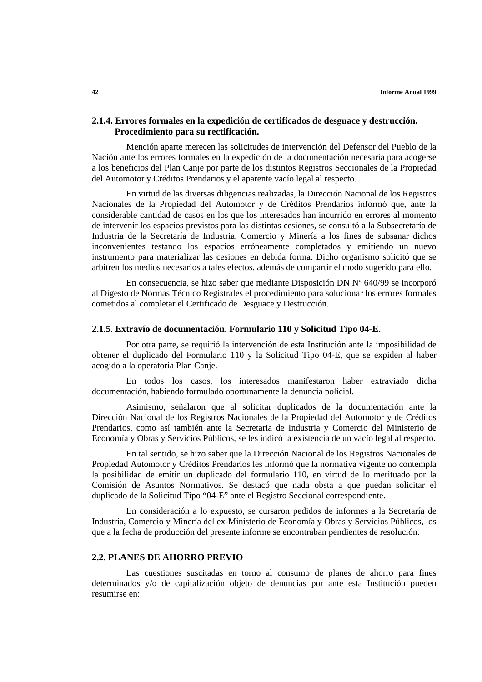### **2.1.4. Errores formales en la expedición de certificados de desguace y destrucción. Procedimiento para su rectificación.**

Mención aparte merecen las solicitudes de intervención del Defensor del Pueblo de la Nación ante los errores formales en la expedición de la documentación necesaria para acogerse a los beneficios del Plan Canje por parte de los distintos Registros Seccionales de la Propiedad del Automotor y Créditos Prendarios y el aparente vacío legal al respecto.

En virtud de las diversas diligencias realizadas, la Dirección Nacional de los Registros Nacionales de la Propiedad del Automotor y de Créditos Prendarios informó que, ante la considerable cantidad de casos en los que los interesados han incurrido en errores al momento de intervenir los espacios previstos para las distintas cesiones, se consultó a la Subsecretaría de Industria de la Secretaría de Industria, Comercio y Minería a los fines de subsanar dichos inconvenientes testando los espacios erróneamente completados y emitiendo un nuevo instrumento para materializar las cesiones en debida forma. Dicho organismo solicitó que se arbitren los medios necesarios a tales efectos, además de compartir el modo sugerido para ello.

En consecuencia, se hizo saber que mediante Disposición DN Nº 640/99 se incorporó al Digesto de Normas Técnico Registrales el procedimiento para solucionar los errores formales cometidos al completar el Certificado de Desguace y Destrucción.

# **2.1.5. Extravío de documentación. Formulario 110 y Solicitud Tipo 04-E.**

Por otra parte, se requirió la intervención de esta Institución ante la imposibilidad de obtener el duplicado del Formulario 110 y la Solicitud Tipo 04-E, que se expiden al haber acogido a la operatoria Plan Canje.

En todos los casos, los interesados manifestaron haber extraviado dicha documentación, habiendo formulado oportunamente la denuncia policial.

Asimismo, señalaron que al solicitar duplicados de la documentación ante la Dirección Nacional de los Registros Nacionales de la Propiedad del Automotor y de Créditos Prendarios, como así también ante la Secretaria de Industria y Comercio del Ministerio de Economía y Obras y Servicios Públicos, se les indicó la existencia de un vacío legal al respecto.

En tal sentido, se hizo saber que la Dirección Nacional de los Registros Nacionales de Propiedad Automotor y Créditos Prendarios les informó que la normativa vigente no contempla la posibilidad de emitir un duplicado del formulario 110, en virtud de lo merituado por la Comisión de Asuntos Normativos. Se destacó que nada obsta a que puedan solicitar el duplicado de la Solicitud Tipo "04-E" ante el Registro Seccional correspondiente.

En consideración a lo expuesto, se cursaron pedidos de informes a la Secretaría de Industria, Comercio y Minería del ex-Ministerio de Economía y Obras y Servicios Públicos, los que a la fecha de producción del presente informe se encontraban pendientes de resolución.

#### **2.2. PLANES DE AHORRO PREVIO**

Las cuestiones suscitadas en torno al consumo de planes de ahorro para fines determinados y/o de capitalización objeto de denuncias por ante esta Institución pueden resumirse en: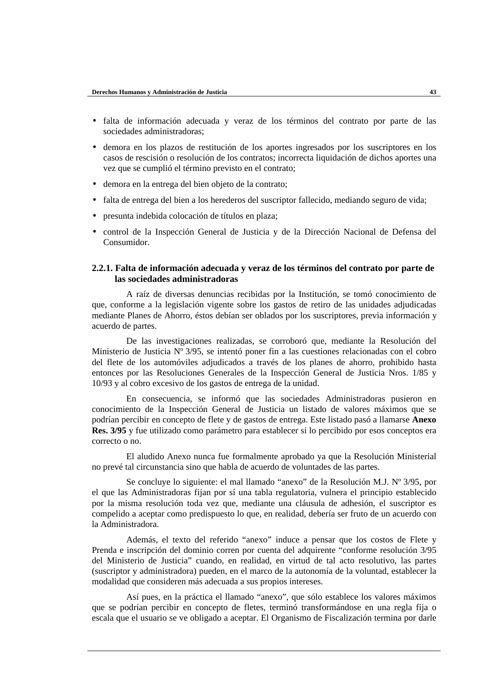- falta de información adecuada y veraz de los términos del contrato por parte de las sociedades administradoras;
- demora en los plazos de restitución de los aportes ingresados por los suscriptores en los casos de rescisión o resolución de los contratos; incorrecta liquidación de dichos aportes una vez que se cumplió el término previsto en el contrato;
- demora en la entrega del bien objeto de la contrato;
- falta de entrega del bien a los herederos del suscriptor fallecido, mediando seguro de vida;
- presunta indebida colocación de títulos en plaza;
- control de la Inspección General de Justicia y de la Dirección Nacional de Defensa del Consumidor.

### **2.2.1. Falta de información adecuada y veraz de los términos del contrato por parte de las sociedades administradoras**

A raíz de diversas denuncias recibidas por la Institución, se tomó conocimiento de que, conforme a la legislación vigente sobre los gastos de retiro de las unidades adjudicadas mediante Planes de Ahorro, éstos debían ser oblados por los suscriptores, previa información y acuerdo de partes.

De las investigaciones realizadas, se corroboró que, mediante la Resolución del Ministerio de Justicia Nº 3/95, se intentó poner fin a las cuestiones relacionadas con el cobro del flete de los automóviles adjudicados a través de los planes de ahorro, prohibido hasta entonces por las Resoluciones Generales de la Inspección General de Justicia Nros. 1/85 y 10/93 y al cobro excesivo de los gastos de entrega de la unidad.

En consecuencia, se informó que las sociedades Administradoras pusieron en conocimiento de la Inspección General de Justicia un listado de valores máximos que se podrían percibir en concepto de flete y de gastos de entrega. Este listado pasó a llamarse **Anexo Res. 3/95** y fue utilizado como parámetro para establecer si lo percibido por esos conceptos era correcto o no.

El aludido Anexo nunca fue formalmente aprobado ya que la Resolución Ministerial no prevé tal circunstancia sino que habla de acuerdo de voluntades de las partes.

Se concluye lo siguiente: el mal llamado "anexo" de la Resolución M.J. Nº 3/95, por el que las Administradoras fijan por sí una tabla regulatoria, vulnera el principio establecido por la misma resolución toda vez que, mediante una cláusula de adhesión, el suscriptor es compelido a aceptar como predispuesto lo que, en realidad, debería ser fruto de un acuerdo con la Administradora.

Además, el texto del referido "anexo" induce a pensar que los costos de Flete y Prenda e inscripción del dominio corren por cuenta del adquirente "conforme resolución 3/95 del Ministerio de Justicia" cuando, en realidad, en virtud de tal acto resolutivo, las partes (suscriptor y administradora) pueden, en el marco de la autonomía de la voluntad, establecer la modalidad que consideren más adecuada a sus propios intereses.

Así pues, en la práctica el llamado "anexo", que sólo establece los valores máximos que se podrían percibir en concepto de fletes, terminó transformándose en una regla fija o escala que el usuario se ve obligado a aceptar. El Organismo de Fiscalización termina por darle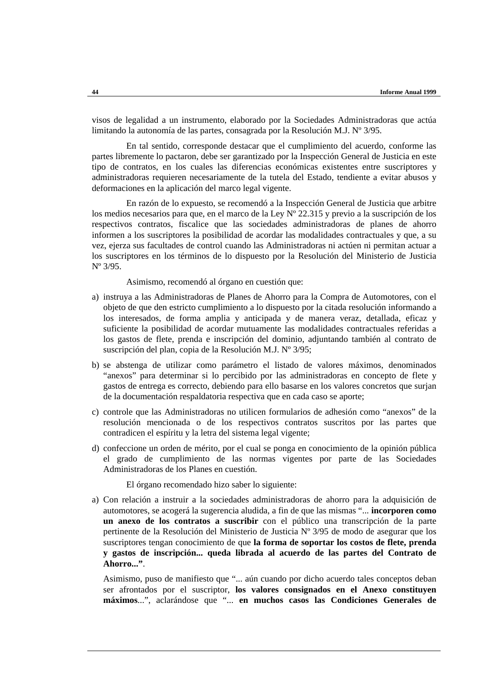visos de legalidad a un instrumento, elaborado por la Sociedades Administradoras que actúa limitando la autonomía de las partes, consagrada por la Resolución M.J. Nº 3/95.

En tal sentido, corresponde destacar que el cumplimiento del acuerdo, conforme las partes libremente lo pactaron, debe ser garantizado por la Inspección General de Justicia en este tipo de contratos, en los cuales las diferencias económicas existentes entre suscriptores y administradoras requieren necesariamente de la tutela del Estado, tendiente a evitar abusos y deformaciones en la aplicación del marco legal vigente.

En razón de lo expuesto, se recomendó a la Inspección General de Justicia que arbitre los medios necesarios para que, en el marco de la Ley Nº 22.315 y previo a la suscripción de los respectivos contratos, fiscalice que las sociedades administradoras de planes de ahorro informen a los suscriptores la posibilidad de acordar las modalidades contractuales y que, a su vez, ejerza sus facultades de control cuando las Administradoras ni actúen ni permitan actuar a los suscriptores en los términos de lo dispuesto por la Resolución del Ministerio de Justicia Nº 3/95.

Asimismo, recomendó al órgano en cuestión que:

- a) instruya a las Administradoras de Planes de Ahorro para la Compra de Automotores, con el objeto de que den estricto cumplimiento a lo dispuesto por la citada resolución informando a los interesados, de forma amplia y anticipada y de manera veraz, detallada, eficaz y suficiente la posibilidad de acordar mutuamente las modalidades contractuales referidas a los gastos de flete, prenda e inscripción del dominio, adjuntando también al contrato de suscripción del plan, copia de la Resolución M.J. Nº 3/95;
- b) se abstenga de utilizar como parámetro el listado de valores máximos, denominados "anexos" para determinar si lo percibido por las administradoras en concepto de flete y gastos de entrega es correcto, debiendo para ello basarse en los valores concretos que surjan de la documentación respaldatoria respectiva que en cada caso se aporte;
- c) controle que las Administradoras no utilicen formularios de adhesión como "anexos" de la resolución mencionada o de los respectivos contratos suscritos por las partes que contradicen el espíritu y la letra del sistema legal vigente;
- d) confeccione un orden de mérito, por el cual se ponga en conocimiento de la opinión pública el grado de cumplimiento de las normas vigentes por parte de las Sociedades Administradoras de los Planes en cuestión.

El órgano recomendado hizo saber lo siguiente:

a) Con relación a instruir a la sociedades administradoras de ahorro para la adquisición de automotores, se acogerá la sugerencia aludida, a fin de que las mismas "... **incorporen como un anexo de los contratos a suscribir** con el público una transcripción de la parte pertinente de la Resolución del Ministerio de Justicia Nº 3/95 de modo de asegurar que los suscriptores tengan conocimiento de que **la forma de soportar los costos de flete, prenda y gastos de inscripción... queda librada al acuerdo de las partes del Contrato de Ahorro..."**.

Asimismo, puso de manifiesto que "... aún cuando por dicho acuerdo tales conceptos deban ser afrontados por el suscriptor, **los valores consignados en el Anexo constituyen máximos**...", aclarándose que "... **en muchos casos las Condiciones Generales de**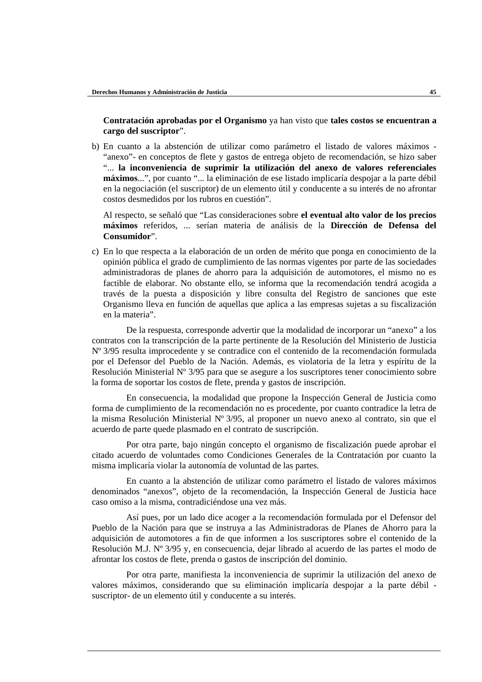**Contratación aprobadas por el Organismo** ya han visto que **tales costos se encuentran a cargo del suscriptor**".

b) En cuanto a la abstención de utilizar como parámetro el listado de valores máximos - "anexo"- en conceptos de flete y gastos de entrega objeto de recomendación, se hizo saber "... **la inconveniencia de suprimir la utilización del anexo de valores referenciales máximos**...", por cuanto "... la eliminación de ese listado implicaría despojar a la parte débil en la negociación (el suscriptor) de un elemento útil y conducente a su interés de no afrontar costos desmedidos por los rubros en cuestión".

Al respecto, se señaló que "Las consideraciones sobre **el eventual alto valor de los precios máximos** referidos, ... serían materia de análisis de la **Dirección de Defensa del Consumidor**".

c) En lo que respecta a la elaboración de un orden de mérito que ponga en conocimiento de la opinión pública el grado de cumplimiento de las normas vigentes por parte de las sociedades administradoras de planes de ahorro para la adquisición de automotores, el mismo no es factible de elaborar. No obstante ello, se informa que la recomendación tendrá acogida a través de la puesta a disposición y libre consulta del Registro de sanciones que este Organismo lleva en función de aquellas que aplica a las empresas sujetas a su fiscalización en la materia".

De la respuesta, corresponde advertir que la modalidad de incorporar un "anexo" a los contratos con la transcripción de la parte pertinente de la Resolución del Ministerio de Justicia Nº 3/95 resulta improcedente y se contradice con el contenido de la recomendación formulada por el Defensor del Pueblo de la Nación. Además, es violatoria de la letra y espíritu de la Resolución Ministerial Nº 3/95 para que se asegure a los suscriptores tener conocimiento sobre la forma de soportar los costos de flete, prenda y gastos de inscripción.

En consecuencia, la modalidad que propone la Inspección General de Justicia como forma de cumplimiento de la recomendación no es procedente, por cuanto contradice la letra de la misma Resolución Ministerial Nº 3/95, al proponer un nuevo anexo al contrato, sin que el acuerdo de parte quede plasmado en el contrato de suscripción.

Por otra parte, bajo ningún concepto el organismo de fiscalización puede aprobar el citado acuerdo de voluntades como Condiciones Generales de la Contratación por cuanto la misma implicaría violar la autonomía de voluntad de las partes.

En cuanto a la abstención de utilizar como parámetro el listado de valores máximos denominados "anexos", objeto de la recomendación, la Inspección General de Justicia hace caso omiso a la misma, contradiciéndose una vez más.

Así pues, por un lado dice acoger a la recomendación formulada por el Defensor del Pueblo de la Nación para que se instruya a las Administradoras de Planes de Ahorro para la adquisición de automotores a fin de que informen a los suscriptores sobre el contenido de la Resolución M.J. Nº 3/95 y, en consecuencia, dejar librado al acuerdo de las partes el modo de afrontar los costos de flete, prenda o gastos de inscripción del dominio.

Por otra parte, manifiesta la inconveniencia de suprimir la utilización del anexo de valores máximos, considerando que su eliminación implicaría despojar a la parte débil suscriptor- de un elemento útil y conducente a su interés.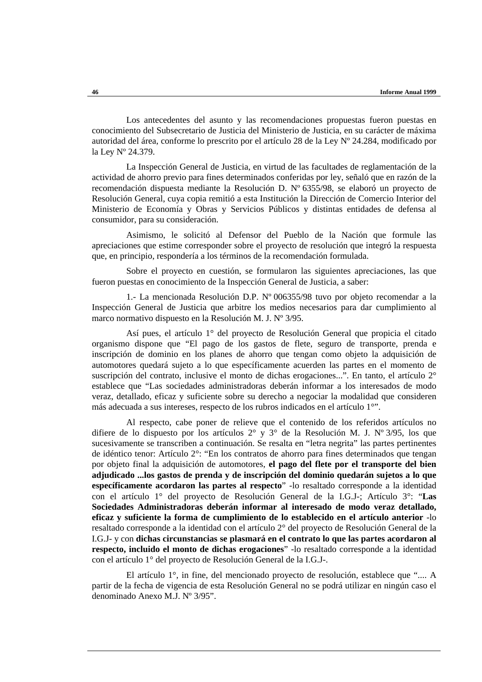Los antecedentes del asunto y las recomendaciones propuestas fueron puestas en conocimiento del Subsecretario de Justicia del Ministerio de Justicia, en su carácter de máxima autoridad del área, conforme lo prescrito por el artículo 28 de la Ley Nº 24.284, modificado por la Ley Nº 24.379.

La Inspección General de Justicia, en virtud de las facultades de reglamentación de la actividad de ahorro previo para fines determinados conferidas por ley, señaló que en razón de la recomendación dispuesta mediante la Resolución D. Nº 6355/98, se elaboró un proyecto de Resolución General, cuya copia remitió a esta Institución la Dirección de Comercio Interior del Ministerio de Economía y Obras y Servicios Públicos y distintas entidades de defensa al consumidor, para su consideración.

Asimismo, le solicitó al Defensor del Pueblo de la Nación que formule las apreciaciones que estime corresponder sobre el proyecto de resolución que integró la respuesta que, en principio, respondería a los términos de la recomendación formulada.

Sobre el proyecto en cuestión, se formularon las siguientes apreciaciones, las que fueron puestas en conocimiento de la Inspección General de Justicia, a saber:

1.- La mencionada Resolución D.P. Nº 006355/98 tuvo por objeto recomendar a la Inspección General de Justicia que arbitre los medios necesarios para dar cumplimiento al marco normativo dispuesto en la Resolución M. J. Nº 3/95.

Así pues, el artículo 1° del proyecto de Resolución General que propicia el citado organismo dispone que "El pago de los gastos de flete, seguro de transporte, prenda e inscripción de dominio en los planes de ahorro que tengan como objeto la adquisición de automotores quedará sujeto a lo que específicamente acuerden las partes en el momento de suscripción del contrato, inclusive el monto de dichas erogaciones...". En tanto, el artículo 2° establece que "Las sociedades administradoras deberán informar a los interesados de modo veraz, detallado, eficaz y suficiente sobre su derecho a negociar la modalidad que consideren más adecuada a sus intereses, respecto de los rubros indicados en el artículo 1°".

Al respecto, cabe poner de relieve que el contenido de los referidos artículos no difiere de lo dispuesto por los artículos 2° y 3° de la Resolución M. J. Nº 3/95, los que sucesivamente se transcriben a continuación. Se resalta en "letra negrita" las partes pertinentes de idéntico tenor: Artículo 2°: "En los contratos de ahorro para fines determinados que tengan por objeto final la adquisición de automotores, **el pago del flete por el transporte del bien adjudicado ...los gastos de prenda y de inscripción del dominio quedarán sujetos a lo que específicamente acordaron las partes al respecto**" -lo resaltado corresponde a la identidad con el artículo 1° del proyecto de Resolución General de la I.G.J-; Artículo 3°: "**Las Sociedades Administradoras deberán informar al interesado de modo veraz detallado, eficaz y suficiente la forma de cumplimiento de lo establecido en el artículo anterior** -lo resaltado corresponde a la identidad con el artículo 2° del proyecto de Resolución General de la I.G.J- y con **dichas circunstancias se plasmará en el contrato lo que las partes acordaron al respecto, incluido el monto de dichas erogaciones**" -lo resaltado corresponde a la identidad con el artículo 1° del proyecto de Resolución General de la I.G.J-.

El artículo 1°, in fine, del mencionado proyecto de resolución, establece que ".... A partir de la fecha de vigencia de esta Resolución General no se podrá utilizar en ningún caso el denominado Anexo M.J. Nº 3/95".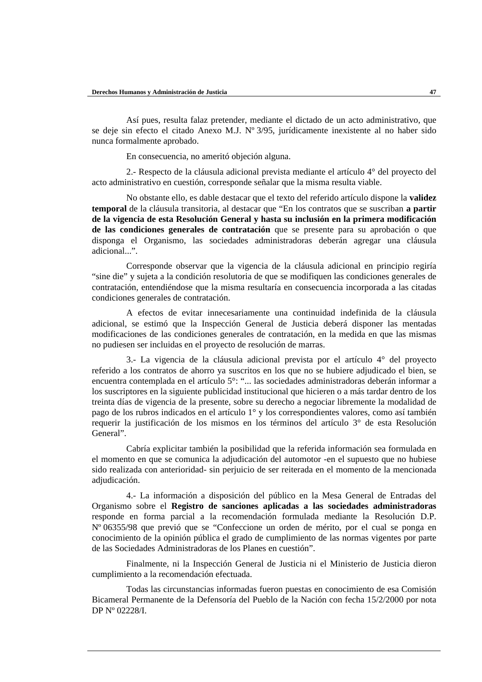Así pues, resulta falaz pretender, mediante el dictado de un acto administrativo, que se deje sin efecto el citado Anexo M.J. Nº 3/95, jurídicamente inexistente al no haber sido nunca formalmente aprobado.

En consecuencia, no ameritó objeción alguna.

2.- Respecto de la cláusula adicional prevista mediante el artículo 4° del proyecto del acto administrativo en cuestión, corresponde señalar que la misma resulta viable.

No obstante ello, es dable destacar que el texto del referido artículo dispone la **validez temporal** de la cláusula transitoria, al destacar que "En los contratos que se suscriban **a partir de la vigencia de esta Resolución General y hasta su inclusión en la primera modificación de las condiciones generales de contratación** que se presente para su aprobación o que disponga el Organismo, las sociedades administradoras deberán agregar una cláusula adicional...".

Corresponde observar que la vigencia de la cláusula adicional en principio regiría "sine die" y sujeta a la condición resolutoria de que se modifiquen las condiciones generales de contratación, entendiéndose que la misma resultaría en consecuencia incorporada a las citadas condiciones generales de contratación.

A efectos de evitar innecesariamente una continuidad indefinida de la cláusula adicional, se estimó que la Inspección General de Justicia deberá disponer las mentadas modificaciones de las condiciones generales de contratación, en la medida en que las mismas no pudiesen ser incluidas en el proyecto de resolución de marras.

3.- La vigencia de la cláusula adicional prevista por el artículo 4° del proyecto referido a los contratos de ahorro ya suscritos en los que no se hubiere adjudicado el bien, se encuentra contemplada en el artículo 5°: "... las sociedades administradoras deberán informar a los suscriptores en la siguiente publicidad institucional que hicieren o a más tardar dentro de los treinta días de vigencia de la presente, sobre su derecho a negociar libremente la modalidad de pago de los rubros indicados en el artículo 1° y los correspondientes valores, como así también requerir la justificación de los mismos en los términos del artículo 3° de esta Resolución General".

Cabría explicitar también la posibilidad que la referida información sea formulada en el momento en que se comunica la adjudicación del automotor -en el supuesto que no hubiese sido realizada con anterioridad- sin perjuicio de ser reiterada en el momento de la mencionada adjudicación.

4.- La información a disposición del público en la Mesa General de Entradas del Organismo sobre el **Registro de sanciones aplicadas a las sociedades administradoras** responde en forma parcial a la recomendación formulada mediante la Resolución D.P. Nº 06355/98 que previó que se "Confeccione un orden de mérito, por el cual se ponga en conocimiento de la opinión pública el grado de cumplimiento de las normas vigentes por parte de las Sociedades Administradoras de los Planes en cuestión".

Finalmente, ni la Inspección General de Justicia ni el Ministerio de Justicia dieron cumplimiento a la recomendación efectuada.

Todas las circunstancias informadas fueron puestas en conocimiento de esa Comisión Bicameral Permanente de la Defensoría del Pueblo de la Nación con fecha 15/2/2000 por nota DP Nº 02228/I.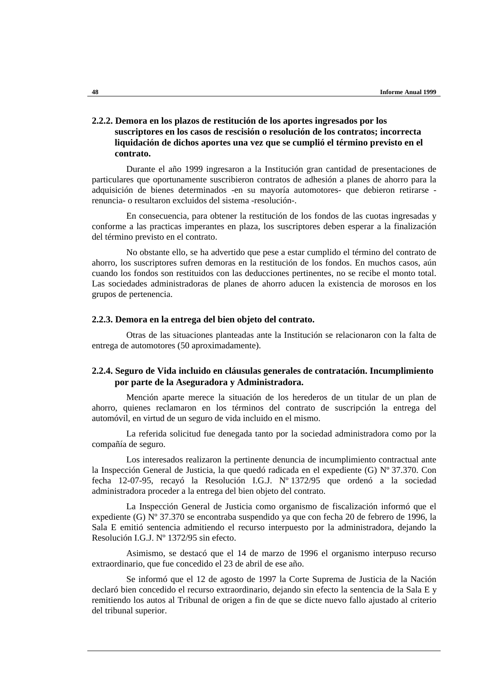# **2.2.2. Demora en los plazos de restitución de los aportes ingresados por los suscriptores en los casos de rescisión o resolución de los contratos; incorrecta liquidación de dichos aportes una vez que se cumplió el término previsto en el contrato.**

Durante el año 1999 ingresaron a la Institución gran cantidad de presentaciones de particulares que oportunamente suscribieron contratos de adhesión a planes de ahorro para la adquisición de bienes determinados -en su mayoría automotores- que debieron retirarse renuncia- o resultaron excluidos del sistema -resolución-.

En consecuencia, para obtener la restitución de los fondos de las cuotas ingresadas y conforme a las practicas imperantes en plaza, los suscriptores deben esperar a la finalización del término previsto en el contrato.

No obstante ello, se ha advertido que pese a estar cumplido el término del contrato de ahorro, los suscriptores sufren demoras en la restitución de los fondos. En muchos casos, aún cuando los fondos son restituidos con las deducciones pertinentes, no se recibe el monto total. Las sociedades administradoras de planes de ahorro aducen la existencia de morosos en los grupos de pertenencia.

#### **2.2.3. Demora en la entrega del bien objeto del contrato.**

Otras de las situaciones planteadas ante la Institución se relacionaron con la falta de entrega de automotores (50 aproximadamente).

## **2.2.4. Seguro de Vida incluido en cláusulas generales de contratación. Incumplimiento por parte de la Aseguradora y Administradora.**

Mención aparte merece la situación de los herederos de un titular de un plan de ahorro, quienes reclamaron en los términos del contrato de suscripción la entrega del automóvil, en virtud de un seguro de vida incluido en el mismo.

La referida solicitud fue denegada tanto por la sociedad administradora como por la compañía de seguro.

Los interesados realizaron la pertinente denuncia de incumplimiento contractual ante la Inspección General de Justicia, la que quedó radicada en el expediente (G) Nº 37.370. Con fecha 12-07-95, recayó la Resolución I.G.J. Nº 1372/95 que ordenó a la sociedad administradora proceder a la entrega del bien objeto del contrato.

La Inspección General de Justicia como organismo de fiscalización informó que el expediente (G) Nº 37.370 se encontraba suspendido ya que con fecha 20 de febrero de 1996, la Sala E emitió sentencia admitiendo el recurso interpuesto por la administradora, dejando la Resolución I.G.J. Nº 1372/95 sin efecto.

Asimismo, se destacó que el 14 de marzo de 1996 el organismo interpuso recurso extraordinario, que fue concedido el 23 de abril de ese año.

Se informó que el 12 de agosto de 1997 la Corte Suprema de Justicia de la Nación declaró bien concedido el recurso extraordinario, dejando sin efecto la sentencia de la Sala E y remitiendo los autos al Tribunal de origen a fin de que se dicte nuevo fallo ajustado al criterio del tribunal superior.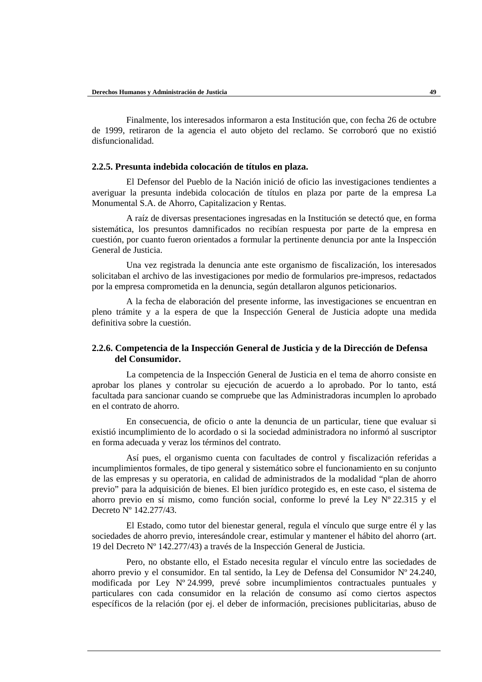Finalmente, los interesados informaron a esta Institución que, con fecha 26 de octubre de 1999, retiraron de la agencia el auto objeto del reclamo. Se corroboró que no existió disfuncionalidad.

#### **2.2.5. Presunta indebida colocación de títulos en plaza.**

El Defensor del Pueblo de la Nación inició de oficio las investigaciones tendientes a averiguar la presunta indebida colocación de títulos en plaza por parte de la empresa La Monumental S.A. de Ahorro, Capitalizacion y Rentas.

A raíz de diversas presentaciones ingresadas en la Institución se detectó que, en forma sistemática, los presuntos damnificados no recibían respuesta por parte de la empresa en cuestión, por cuanto fueron orientados a formular la pertinente denuncia por ante la Inspección General de Justicia.

Una vez registrada la denuncia ante este organismo de fiscalización, los interesados solicitaban el archivo de las investigaciones por medio de formularios pre-impresos, redactados por la empresa comprometida en la denuncia, según detallaron algunos peticionarios.

A la fecha de elaboración del presente informe, las investigaciones se encuentran en pleno trámite y a la espera de que la Inspección General de Justicia adopte una medida definitiva sobre la cuestión.

### **2.2.6. Competencia de la Inspección General de Justicia y de la Dirección de Defensa del Consumidor.**

La competencia de la Inspección General de Justicia en el tema de ahorro consiste en aprobar los planes y controlar su ejecución de acuerdo a lo aprobado. Por lo tanto, está facultada para sancionar cuando se compruebe que las Administradoras incumplen lo aprobado en el contrato de ahorro.

En consecuencia, de oficio o ante la denuncia de un particular, tiene que evaluar si existió incumplimiento de lo acordado o si la sociedad administradora no informó al suscriptor en forma adecuada y veraz los términos del contrato.

Así pues, el organismo cuenta con facultades de control y fiscalización referidas a incumplimientos formales, de tipo general y sistemático sobre el funcionamiento en su conjunto de las empresas y su operatoria, en calidad de administrados de la modalidad "plan de ahorro previo" para la adquisición de bienes. El bien jurídico protegido es, en este caso, el sistema de ahorro previo en sí mismo, como función social, conforme lo prevé la Ley Nº 22.315 y el Decreto Nº 142.277/43.

El Estado, como tutor del bienestar general, regula el vínculo que surge entre él y las sociedades de ahorro previo, interesándole crear, estimular y mantener el hábito del ahorro (art. 19 del Decreto Nº 142.277/43) a través de la Inspección General de Justicia.

Pero, no obstante ello, el Estado necesita regular el vínculo entre las sociedades de ahorro previo y el consumidor. En tal sentido, la Ley de Defensa del Consumidor Nº 24.240, modificada por Ley Nº 24.999, prevé sobre incumplimientos contractuales puntuales y particulares con cada consumidor en la relación de consumo así como ciertos aspectos específicos de la relación (por ej. el deber de información, precisiones publicitarias, abuso de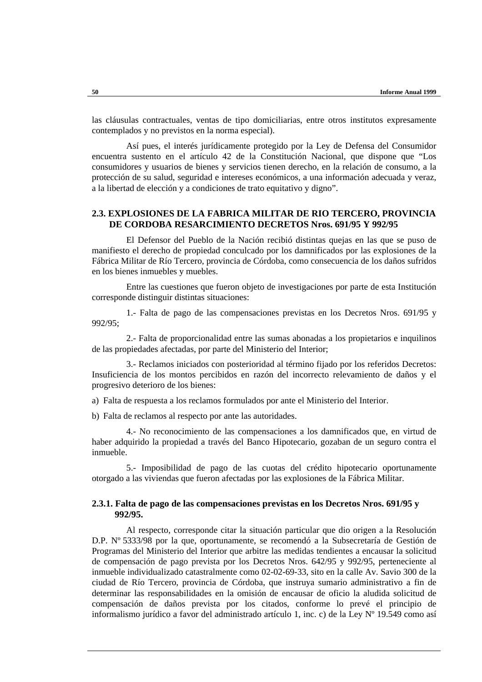las cláusulas contractuales, ventas de tipo domiciliarias, entre otros institutos expresamente contemplados y no previstos en la norma especial).

Así pues, el interés jurídicamente protegido por la Ley de Defensa del Consumidor encuentra sustento en el artículo 42 de la Constitución Nacional, que dispone que "Los consumidores y usuarios de bienes y servicios tienen derecho, en la relación de consumo, a la protección de su salud, seguridad e intereses económicos, a una información adecuada y veraz, a la libertad de elección y a condiciones de trato equitativo y digno".

### **2.3. EXPLOSIONES DE LA FABRICA MILITAR DE RIO TERCERO, PROVINCIA DE CORDOBA RESARCIMIENTO DECRETOS Nros. 691/95 Y 992/95**

El Defensor del Pueblo de la Nación recibió distintas quejas en las que se puso de manifiesto el derecho de propiedad conculcado por los damnificados por las explosiones de la Fábrica Militar de Río Tercero, provincia de Córdoba, como consecuencia de los daños sufridos en los bienes inmuebles y muebles.

Entre las cuestiones que fueron objeto de investigaciones por parte de esta Institución corresponde distinguir distintas situaciones:

1.- Falta de pago de las compensaciones previstas en los Decretos Nros. 691/95 y 992/95;

2.- Falta de proporcionalidad entre las sumas abonadas a los propietarios e inquilinos de las propiedades afectadas, por parte del Ministerio del Interior;

3.- Reclamos iniciados con posterioridad al término fijado por los referidos Decretos: Insuficiencia de los montos percibidos en razón del incorrecto relevamiento de daños y el progresivo deterioro de los bienes:

a) Falta de respuesta a los reclamos formulados por ante el Ministerio del Interior.

b) Falta de reclamos al respecto por ante las autoridades.

4.- No reconocimiento de las compensaciones a los damnificados que, en virtud de haber adquirido la propiedad a través del Banco Hipotecario, gozaban de un seguro contra el inmueble.

5.- Imposibilidad de pago de las cuotas del crédito hipotecario oportunamente otorgado a las viviendas que fueron afectadas por las explosiones de la Fábrica Militar.

### **2.3.1. Falta de pago de las compensaciones previstas en los Decretos Nros. 691/95 y 992/95.**

Al respecto, corresponde citar la situación particular que dio origen a la Resolución D.P. Nº 5333/98 por la que, oportunamente, se recomendó a la Subsecretaría de Gestión de Programas del Ministerio del Interior que arbitre las medidas tendientes a encausar la solicitud de compensación de pago prevista por los Decretos Nros. 642/95 y 992/95, perteneciente al inmueble individualizado catastralmente como 02-02-69-33, sito en la calle Av. Savio 300 de la ciudad de Río Tercero, provincia de Córdoba, que instruya sumario administrativo a fin de determinar las responsabilidades en la omisión de encausar de oficio la aludida solicitud de compensación de daños prevista por los citados, conforme lo prevé el principio de informalismo jurídico a favor del administrado artículo 1, inc. c) de la Ley Nº 19.549 como así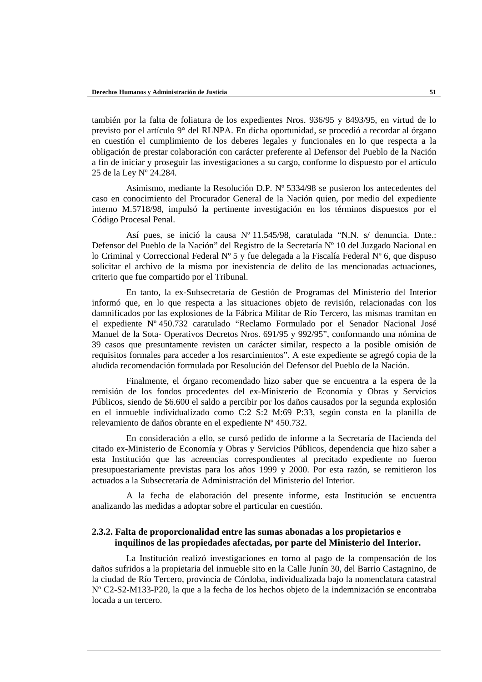también por la falta de foliatura de los expedientes Nros. 936/95 y 8493/95, en virtud de lo previsto por el artículo 9° del RLNPA. En dicha oportunidad, se procedió a recordar al órgano en cuestión el cumplimiento de los deberes legales y funcionales en lo que respecta a la obligación de prestar colaboración con carácter preferente al Defensor del Pueblo de la Nación a fin de iniciar y proseguir las investigaciones a su cargo, conforme lo dispuesto por el artículo 25 de la Ley Nº 24.284.

Asimismo, mediante la Resolución D.P. Nº 5334/98 se pusieron los antecedentes del caso en conocimiento del Procurador General de la Nación quien, por medio del expediente interno M.5718/98, impulsó la pertinente investigación en los términos dispuestos por el Código Procesal Penal.

Así pues, se inició la causa Nº 11.545/98, caratulada "N.N. s/ denuncia. Dnte.: Defensor del Pueblo de la Nación" del Registro de la Secretaría Nº 10 del Juzgado Nacional en lo Criminal y Correccional Federal N° 5 y fue delegada a la Fiscalía Federal N° 6, que dispuso solicitar el archivo de la misma por inexistencia de delito de las mencionadas actuaciones, criterio que fue compartido por el Tribunal.

En tanto, la ex-Subsecretaría de Gestión de Programas del Ministerio del Interior informó que, en lo que respecta a las situaciones objeto de revisión, relacionadas con los damnificados por las explosiones de la Fábrica Militar de Río Tercero, las mismas tramitan en el expediente Nº 450.732 caratulado "Reclamo Formulado por el Senador Nacional José Manuel de la Sota- Operativos Decretos Nros. 691/95 y 992/95", conformando una nómina de 39 casos que presuntamente revisten un carácter similar, respecto a la posible omisión de requisitos formales para acceder a los resarcimientos". A este expediente se agregó copia de la aludida recomendación formulada por Resolución del Defensor del Pueblo de la Nación.

Finalmente, el órgano recomendado hizo saber que se encuentra a la espera de la remisión de los fondos procedentes del ex-Ministerio de Economía y Obras y Servicios Públicos, siendo de \$6.600 el saldo a percibir por los daños causados por la segunda explosión en el inmueble individualizado como C:2 S:2 M:69 P:33, según consta en la planilla de relevamiento de daños obrante en el expediente Nº 450.732.

En consideración a ello, se cursó pedido de informe a la Secretaría de Hacienda del citado ex-Ministerio de Economía y Obras y Servicios Públicos, dependencia que hizo saber a esta Institución que las acreencias correspondientes al precitado expediente no fueron presupuestariamente previstas para los años 1999 y 2000. Por esta razón, se remitieron los actuados a la Subsecretaría de Administración del Ministerio del Interior.

A la fecha de elaboración del presente informe, esta Institución se encuentra analizando las medidas a adoptar sobre el particular en cuestión.

### **2.3.2. Falta de proporcionalidad entre las sumas abonadas a los propietarios e inquilinos de las propiedades afectadas, por parte del Ministerio del Interior.**

La Institución realizó investigaciones en torno al pago de la compensación de los daños sufridos a la propietaria del inmueble sito en la Calle Junín 30, del Barrio Castagnino, de la ciudad de Río Tercero, provincia de Córdoba, individualizada bajo la nomenclatura catastral Nº C2-S2-M133-P20, la que a la fecha de los hechos objeto de la indemnización se encontraba locada a un tercero.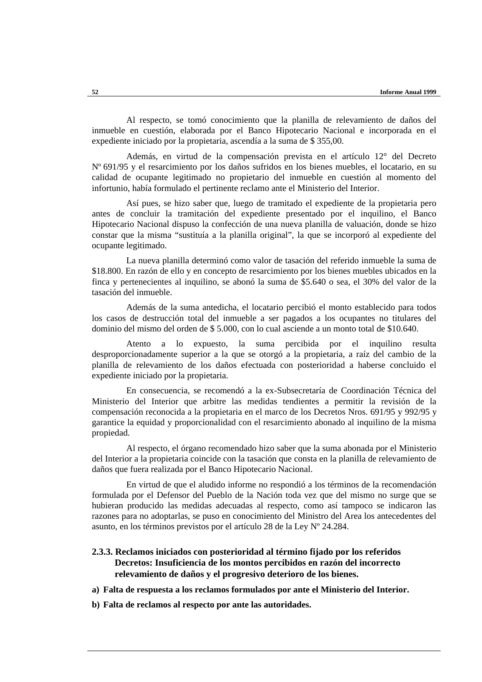Al respecto, se tomó conocimiento que la planilla de relevamiento de daños del inmueble en cuestión, elaborada por el Banco Hipotecario Nacional e incorporada en el expediente iniciado por la propietaria, ascendía a la suma de \$ 355,00.

Además, en virtud de la compensación prevista en el artículo 12° del Decreto Nº 691/95 y el resarcimiento por los daños sufridos en los bienes muebles, el locatario, en su calidad de ocupante legitimado no propietario del inmueble en cuestión al momento del infortunio, había formulado el pertinente reclamo ante el Ministerio del Interior.

Así pues, se hizo saber que, luego de tramitado el expediente de la propietaria pero antes de concluir la tramitación del expediente presentado por el inquilino, el Banco Hipotecario Nacional dispuso la confección de una nueva planilla de valuación, donde se hizo constar que la misma "sustituía a la planilla original", la que se incorporó al expediente del ocupante legitimado.

La nueva planilla determinó como valor de tasación del referido inmueble la suma de \$18.800. En razón de ello y en concepto de resarcimiento por los bienes muebles ubicados en la finca y pertenecientes al inquilino, se abonó la suma de \$5.640 o sea, el 30% del valor de la tasación del inmueble.

Además de la suma antedicha, el locatario percibió el monto establecido para todos los casos de destrucción total del inmueble a ser pagados a los ocupantes no titulares del dominio del mismo del orden de \$ 5.000, con lo cual asciende a un monto total de \$10.640.

Atento a lo expuesto, la suma percibida por el inquilino resulta desproporcionadamente superior a la que se otorgó a la propietaria, a raíz del cambio de la planilla de relevamiento de los daños efectuada con posterioridad a haberse concluido el expediente iniciado por la propietaria.

En consecuencia, se recomendó a la ex-Subsecretaría de Coordinación Técnica del Ministerio del Interior que arbitre las medidas tendientes a permitir la revisión de la compensación reconocida a la propietaria en el marco de los Decretos Nros. 691/95 y 992/95 y garantice la equidad y proporcionalidad con el resarcimiento abonado al inquilino de la misma propiedad.

Al respecto, el órgano recomendado hizo saber que la suma abonada por el Ministerio del Interior a la propietaria coincide con la tasación que consta en la planilla de relevamiento de daños que fuera realizada por el Banco Hipotecario Nacional.

En virtud de que el aludido informe no respondió a los términos de la recomendación formulada por el Defensor del Pueblo de la Nación toda vez que del mismo no surge que se hubieran producido las medidas adecuadas al respecto, como así tampoco se indicaron las razones para no adoptarlas, se puso en conocimiento del Ministro del Area los antecedentes del asunto, en los términos previstos por el artículo 28 de la Ley Nº 24.284.

### **2.3.3. Reclamos iniciados con posterioridad al término fijado por los referidos Decretos: Insuficiencia de los montos percibidos en razón del incorrecto relevamiento de daños y el progresivo deterioro de los bienes.**

- **a) Falta de respuesta a los reclamos formulados por ante el Ministerio del Interior.**
- **b) Falta de reclamos al respecto por ante las autoridades.**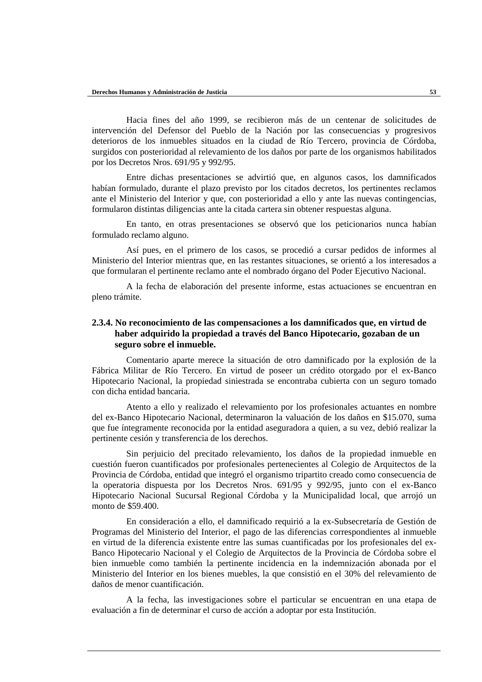Hacia fines del año 1999, se recibieron más de un centenar de solicitudes de intervención del Defensor del Pueblo de la Nación por las consecuencias y progresivos deterioros de los inmuebles situados en la ciudad de Río Tercero, provincia de Córdoba, surgidos con posterioridad al relevamiento de los daños por parte de los organismos habilitados por los Decretos Nros. 691/95 y 992/95.

Entre dichas presentaciones se advirtió que, en algunos casos, los damnificados habían formulado, durante el plazo previsto por los citados decretos, los pertinentes reclamos ante el Ministerio del Interior y que, con posterioridad a ello y ante las nuevas contingencias, formularon distintas diligencias ante la citada cartera sin obtener respuestas alguna.

En tanto, en otras presentaciones se observó que los peticionarios nunca habían formulado reclamo alguno.

Así pues, en el primero de los casos, se procedió a cursar pedidos de informes al Ministerio del Interior mientras que, en las restantes situaciones, se orientó a los interesados a que formularan el pertinente reclamo ante el nombrado órgano del Poder Ejecutivo Nacional.

A la fecha de elaboración del presente informe, estas actuaciones se encuentran en pleno trámite.

# **2.3.4. No reconocimiento de las compensaciones a los damnificados que, en virtud de haber adquirido la propiedad a través del Banco Hipotecario, gozaban de un seguro sobre el inmueble.**

Comentario aparte merece la situación de otro damnificado por la explosión de la Fábrica Militar de Río Tercero. En virtud de poseer un crédito otorgado por el ex-Banco Hipotecario Nacional, la propiedad siniestrada se encontraba cubierta con un seguro tomado con dicha entidad bancaria.

Atento a ello y realizado el relevamiento por los profesionales actuantes en nombre del ex-Banco Hipotecario Nacional, determinaron la valuación de los daños en \$15.070, suma que fue íntegramente reconocida por la entidad aseguradora a quien, a su vez, debió realizar la pertinente cesión y transferencia de los derechos.

Sin perjuicio del precitado relevamiento, los daños de la propiedad inmueble en cuestión fueron cuantificados por profesionales pertenecientes al Colegio de Arquitectos de la Provincia de Córdoba, entidad que integró el organismo tripartito creado como consecuencia de la operatoria dispuesta por los Decretos Nros. 691/95 y 992/95, junto con el ex-Banco Hipotecario Nacional Sucursal Regional Córdoba y la Municipalidad local, que arrojó un monto de \$59.400.

En consideración a ello, el damnificado requirió a la ex-Subsecretaría de Gestión de Programas del Ministerio del Interior, el pago de las diferencias correspondientes al inmueble en virtud de la diferencia existente entre las sumas cuantificadas por los profesionales del ex-Banco Hipotecario Nacional y el Colegio de Arquitectos de la Provincia de Córdoba sobre el bien inmueble como también la pertinente incidencia en la indemnización abonada por el Ministerio del Interior en los bienes muebles, la que consistió en el 30% del relevamiento de daños de menor cuantificación.

A la fecha, las investigaciones sobre el particular se encuentran en una etapa de evaluación a fin de determinar el curso de acción a adoptar por esta Institución.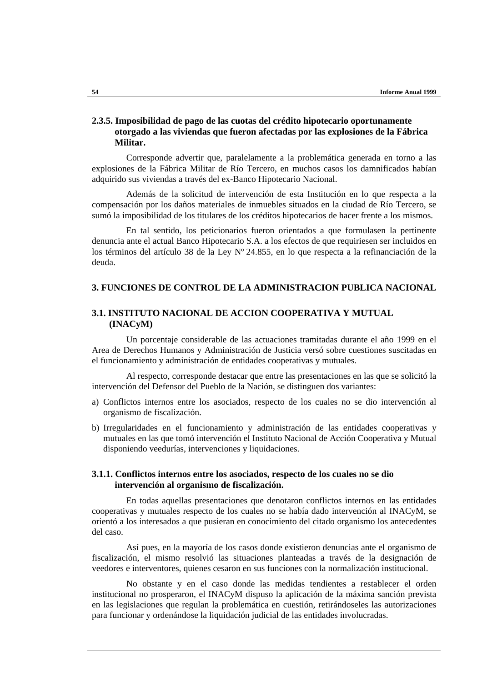# **2.3.5. Imposibilidad de pago de las cuotas del crédito hipotecario oportunamente otorgado a las viviendas que fueron afectadas por las explosiones de la Fábrica Militar.**

Corresponde advertir que, paralelamente a la problemática generada en torno a las explosiones de la Fábrica Militar de Río Tercero, en muchos casos los damnificados habían adquirido sus viviendas a través del ex-Banco Hipotecario Nacional.

Además de la solicitud de intervención de esta Institución en lo que respecta a la compensación por los daños materiales de inmuebles situados en la ciudad de Río Tercero, se sumó la imposibilidad de los titulares de los créditos hipotecarios de hacer frente a los mismos.

En tal sentido, los peticionarios fueron orientados a que formulasen la pertinente denuncia ante el actual Banco Hipotecario S.A. a los efectos de que requiriesen ser incluidos en los términos del artículo 38 de la Ley Nº 24.855, en lo que respecta a la refinanciación de la deuda.

# **3. FUNCIONES DE CONTROL DE LA ADMINISTRACION PUBLICA NACIONAL**

# **3.1. INSTITUTO NACIONAL DE ACCION COOPERATIVA Y MUTUAL (INACyM)**

Un porcentaje considerable de las actuaciones tramitadas durante el año 1999 en el Area de Derechos Humanos y Administración de Justicia versó sobre cuestiones suscitadas en el funcionamiento y administración de entidades cooperativas y mutuales.

Al respecto, corresponde destacar que entre las presentaciones en las que se solicitó la intervención del Defensor del Pueblo de la Nación, se distinguen dos variantes:

- a) Conflictos internos entre los asociados, respecto de los cuales no se dio intervención al organismo de fiscalización.
- b) Irregularidades en el funcionamiento y administración de las entidades cooperativas y mutuales en las que tomó intervención el Instituto Nacional de Acción Cooperativa y Mutual disponiendo veedurías, intervenciones y liquidaciones.

## **3.1.1. Conflictos internos entre los asociados, respecto de los cuales no se dio intervención al organismo de fiscalización.**

En todas aquellas presentaciones que denotaron conflictos internos en las entidades cooperativas y mutuales respecto de los cuales no se había dado intervención al INACyM, se orientó a los interesados a que pusieran en conocimiento del citado organismo los antecedentes del caso.

Así pues, en la mayoría de los casos donde existieron denuncias ante el organismo de fiscalización, el mismo resolvió las situaciones planteadas a través de la designación de veedores e interventores, quienes cesaron en sus funciones con la normalización institucional.

No obstante y en el caso donde las medidas tendientes a restablecer el orden institucional no prosperaron, el INACyM dispuso la aplicación de la máxima sanción prevista en las legislaciones que regulan la problemática en cuestión, retirándoseles las autorizaciones para funcionar y ordenándose la liquidación judicial de las entidades involucradas.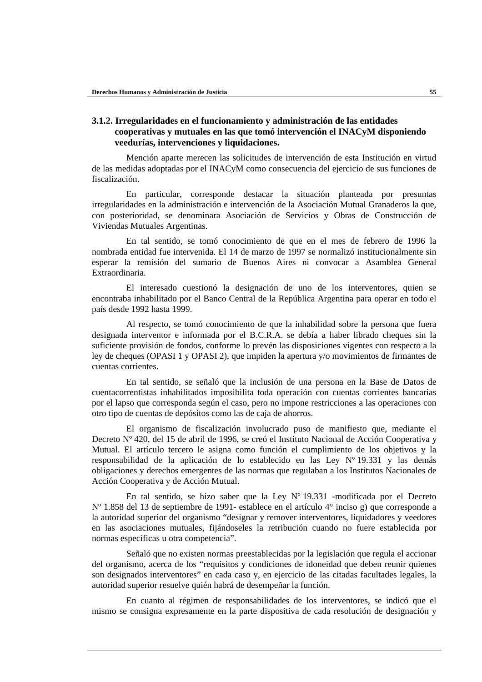# **3.1.2. Irregularidades en el funcionamiento y administración de las entidades cooperativas y mutuales en las que tomó intervención el INACyM disponiendo veedurías, intervenciones y liquidaciones.**

Mención aparte merecen las solicitudes de intervención de esta Institución en virtud de las medidas adoptadas por el INACyM como consecuencia del ejercicio de sus funciones de fiscalización.

En particular, corresponde destacar la situación planteada por presuntas irregularidades en la administración e intervención de la Asociación Mutual Granaderos la que, con posterioridad, se denominara Asociación de Servicios y Obras de Construcción de Viviendas Mutuales Argentinas.

En tal sentido, se tomó conocimiento de que en el mes de febrero de 1996 la nombrada entidad fue intervenida. El 14 de marzo de 1997 se normalizó institucionalmente sin esperar la remisión del sumario de Buenos Aires ni convocar a Asamblea General Extraordinaria.

El interesado cuestionó la designación de uno de los interventores, quien se encontraba inhabilitado por el Banco Central de la República Argentina para operar en todo el país desde 1992 hasta 1999.

Al respecto, se tomó conocimiento de que la inhabilidad sobre la persona que fuera designada interventor e informada por el B.C.R.A. se debía a haber librado cheques sin la suficiente provisión de fondos, conforme lo prevén las disposiciones vigentes con respecto a la ley de cheques (OPASI 1 y OPASI 2), que impiden la apertura y/o movimientos de firmantes de cuentas corrientes.

En tal sentido, se señaló que la inclusión de una persona en la Base de Datos de cuentacorrentistas inhabilitados imposibilita toda operación con cuentas corrientes bancarias por el lapso que corresponda según el caso, pero no impone restricciones a las operaciones con otro tipo de cuentas de depósitos como las de caja de ahorros.

El organismo de fiscalización involucrado puso de manifiesto que, mediante el Decreto Nº 420, del 15 de abril de 1996, se creó el Instituto Nacional de Acción Cooperativa y Mutual. El artículo tercero le asigna como función el cumplimiento de los objetivos y la responsabilidad de la aplicación de lo establecido en las Ley Nº 19.331 y las demás obligaciones y derechos emergentes de las normas que regulaban a los Institutos Nacionales de Acción Cooperativa y de Acción Mutual.

En tal sentido, se hizo saber que la Ley Nº 19.331 -modificada por el Decreto Nº 1.858 del 13 de septiembre de 1991- establece en el artículo 4° inciso g) que corresponde a la autoridad superior del organismo "designar y remover interventores, liquidadores y veedores en las asociaciones mutuales, fijándoseles la retribución cuando no fuere establecida por normas específicas u otra competencia".

Señaló que no existen normas preestablecidas por la legislación que regula el accionar del organismo, acerca de los "requisitos y condiciones de idoneidad que deben reunir quienes son designados interventores" en cada caso y, en ejercicio de las citadas facultades legales, la autoridad superior resuelve quién habrá de desempeñar la función.

En cuanto al régimen de responsabilidades de los interventores, se indicó que el mismo se consigna expresamente en la parte dispositiva de cada resolución de designación y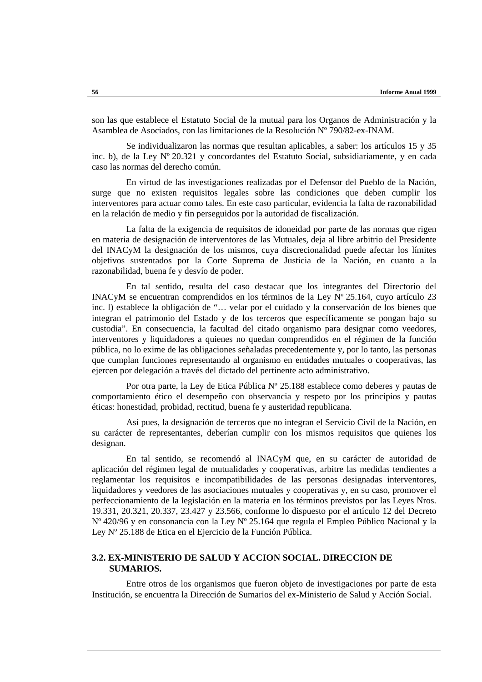son las que establece el Estatuto Social de la mutual para los Organos de Administración y la Asamblea de Asociados, con las limitaciones de la Resolución Nº 790/82-ex-INAM.

Se individualizaron las normas que resultan aplicables, a saber: los artículos 15 y 35 inc. b), de la Ley Nº 20.321 y concordantes del Estatuto Social, subsidiariamente, y en cada caso las normas del derecho común.

En virtud de las investigaciones realizadas por el Defensor del Pueblo de la Nación, surge que no existen requisitos legales sobre las condiciones que deben cumplir los interventores para actuar como tales. En este caso particular, evidencia la falta de razonabilidad en la relación de medio y fin perseguidos por la autoridad de fiscalización.

La falta de la exigencia de requisitos de idoneidad por parte de las normas que rigen en materia de designación de interventores de las Mutuales, deja al libre arbitrio del Presidente del INACyM la designación de los mismos, cuya discrecionalidad puede afectar los límites objetivos sustentados por la Corte Suprema de Justicia de la Nación, en cuanto a la razonabilidad, buena fe y desvío de poder.

En tal sentido, resulta del caso destacar que los integrantes del Directorio del INACyM se encuentran comprendidos en los términos de la Ley Nº 25.164, cuyo artículo 23 inc. l) establece la obligación de "… velar por el cuidado y la conservación de los bienes que integran el patrimonio del Estado y de los terceros que específicamente se pongan bajo su custodia". En consecuencia, la facultad del citado organismo para designar como veedores, interventores y liquidadores a quienes no quedan comprendidos en el régimen de la función pública, no lo exime de las obligaciones señaladas precedentemente y, por lo tanto, las personas que cumplan funciones representando al organismo en entidades mutuales o cooperativas, las ejercen por delegación a través del dictado del pertinente acto administrativo.

Por otra parte, la Ley de Etica Pública Nº 25.188 establece como deberes y pautas de comportamiento ético el desempeño con observancia y respeto por los principios y pautas éticas: honestidad, probidad, rectitud, buena fe y austeridad republicana.

Así pues, la designación de terceros que no integran el Servicio Civil de la Nación, en su carácter de representantes, deberían cumplir con los mismos requisitos que quienes los designan.

En tal sentido, se recomendó al INACyM que, en su carácter de autoridad de aplicación del régimen legal de mutualidades y cooperativas, arbitre las medidas tendientes a reglamentar los requisitos e incompatibilidades de las personas designadas interventores, liquidadores y veedores de las asociaciones mutuales y cooperativas y, en su caso, promover el perfeccionamiento de la legislación en la materia en los términos previstos por las Leyes Nros. 19.331, 20.321, 20.337, 23.427 y 23.566, conforme lo dispuesto por el artículo 12 del Decreto Nº 420/96 y en consonancia con la Ley Nº 25.164 que regula el Empleo Público Nacional y la Ley Nº 25.188 de Etica en el Ejercicio de la Función Pública.

# **3.2. EX-MINISTERIO DE SALUD Y ACCION SOCIAL. DIRECCION DE SUMARIOS.**

Entre otros de los organismos que fueron objeto de investigaciones por parte de esta Institución, se encuentra la Dirección de Sumarios del ex-Ministerio de Salud y Acción Social.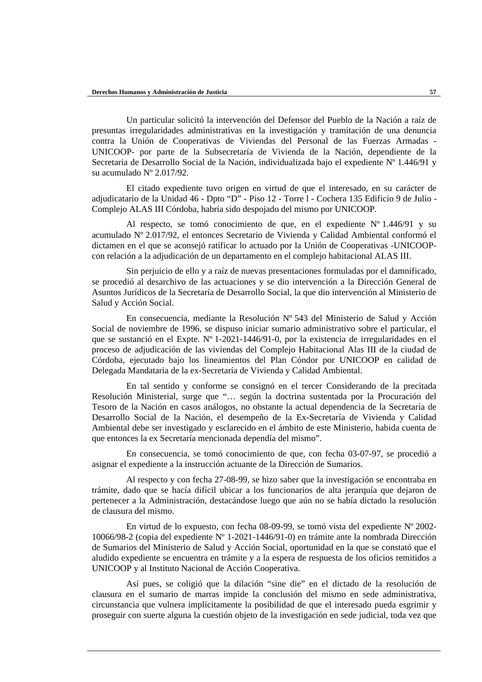Un particular solicitó la intervención del Defensor del Pueblo de la Nación a raíz de presuntas irregularidades administrativas en la investigación y tramitación de una denuncia contra la Unión de Cooperativas de Viviendas del Personal de las Fuerzas Armadas - UNICOOP- por parte de la Subsecretaría de Vivienda de la Nación, dependiente de la Secretaria de Desarrollo Social de la Nación, individualizada bajo el expediente Nº 1.446/91 y su acumulado Nº 2.017/92.

El citado expediente tuvo origen en virtud de que el interesado, en su carácter de adjudicatario de la Unidad 46 - Dpto "D" - Piso 12 - Torre l - Cochera 135 Edificio 9 de Julio - Complejo ALAS III Córdoba, habría sido despojado del mismo por UNICOOP.

Al respecto, se tomó conocimiento de que, en el expediente  $N^{\circ}$  1.446/91 y su acumulado Nº 2.017/92, el entonces Secretario de Vivienda y Calidad Ambiental conformó el dictamen en el que se aconsejó ratificar lo actuado por la Unión de Cooperativas -UNICOOPcon relación a la adjudicación de un departamento en el complejo habitacional ALAS III.

Sin perjuicio de ello y a raíz de nuevas presentaciones formuladas por el damnificado, se procedió al desarchivo de las actuaciones y se dio intervención a la Dirección General de Asuntos Jurídicos de la Secretaría de Desarrollo Social, la que dio intervención al Ministerio de Salud y Acción Social.

En consecuencia, mediante la Resolución Nº 543 del Ministerio de Salud y Acción Social de noviembre de 1996, se dispuso iniciar sumario administrativo sobre el particular, el que se sustanció en el Expte. Nº 1-2021-1446/91-0, por la existencia de irregularidades en el proceso de adjudicación de las viviendas del Complejo Habitacional Alas III de la ciudad de Córdoba, ejecutado bajo los lineamientos del Plan Cóndor por UNICOOP en calidad de Delegada Mandataria de la ex-Secretaría de Vivienda y Calidad Ambiental.

En tal sentido y conforme se consignó en el tercer Considerando de la precitada Resolución Ministerial, surge que "… según la doctrina sustentada por la Procuración del Tesoro de la Nación en casos análogos, no obstante la actual dependencia de la Secretaría de Desarrollo Social de la Nación, el desempeño de la Ex-Secretaría de Vivienda y Calidad Ambiental debe ser investigado y esclarecido en el ámbito de este Ministerio, habida cuenta de que entonces la ex Secretaría mencionada dependía del mismo".

En consecuencia, se tomó conocimiento de que, con fecha 03-07-97, se procedió a asignar el expediente a la instrucción actuante de la Dirección de Sumarios.

Al respecto y con fecha 27-08-99, se hizo saber que la investigación se encontraba en trámite, dado que se hacía difícil ubicar a los funcionarios de alta jerarquía que dejaron de pertenecer a la Administración, destacándose luego que aún no se había dictado la resolución de clausura del mismo.

En virtud de lo expuesto, con fecha 08-09-99, se tomó vista del expediente Nº 2002- 10066/98-2 (copia del expediente Nº 1-2021-1446/91-0) en trámite ante la nombrada Dirección de Sumarios del Ministerio de Salud y Acción Social, oportunidad en la que se constató que el aludido expediente se encuentra en trámite y a la espera de respuesta de los oficios remitidos a UNICOOP y al Instituto Nacional de Acción Cooperativa.

Así pues, se coligió que la dilación "sine die" en el dictado de la resolución de clausura en el sumario de marras impide la conclusión del mismo en sede administrativa, circunstancia que vulnera implícitamente la posibilidad de que el interesado pueda esgrimir y proseguir con suerte alguna la cuestión objeto de la investigación en sede judicial, toda vez que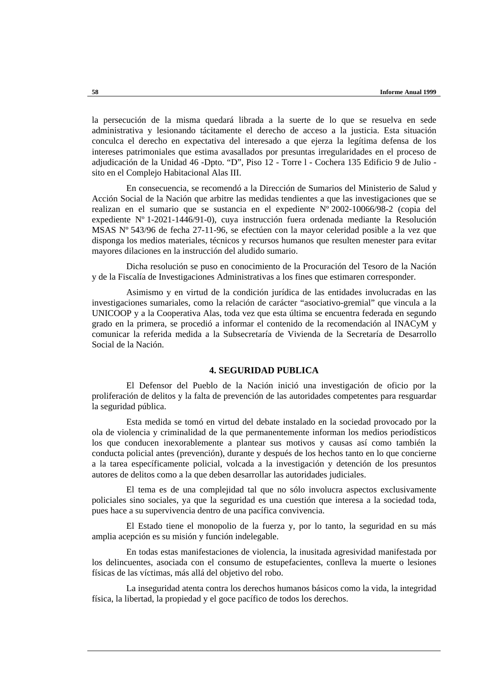la persecución de la misma quedará librada a la suerte de lo que se resuelva en sede administrativa y lesionando tácitamente el derecho de acceso a la justicia. Esta situación conculca el derecho en expectativa del interesado a que ejerza la legítima defensa de los intereses patrimoniales que estima avasallados por presuntas irregularidades en el proceso de adjudicación de la Unidad 46 -Dpto. "D", Piso 12 - Torre l - Cochera 135 Edificio 9 de Julio sito en el Complejo Habitacional Alas III.

En consecuencia, se recomendó a la Dirección de Sumarios del Ministerio de Salud y Acción Social de la Nación que arbitre las medidas tendientes a que las investigaciones que se realizan en el sumario que se sustancia en el expediente Nº 2002-10066/98-2 (copia del expediente Nº 1-2021-1446/91-0), cuya instrucción fuera ordenada mediante la Resolución MSAS Nº 543/96 de fecha 27-11-96, se efectúen con la mayor celeridad posible a la vez que disponga los medios materiales, técnicos y recursos humanos que resulten menester para evitar mayores dilaciones en la instrucción del aludido sumario.

Dicha resolución se puso en conocimiento de la Procuración del Tesoro de la Nación y de la Fiscalía de Investigaciones Administrativas a los fines que estimaren corresponder.

Asimismo y en virtud de la condición jurídica de las entidades involucradas en las investigaciones sumariales, como la relación de carácter "asociativo-gremial" que vincula a la UNICOOP y a la Cooperativa Alas, toda vez que esta última se encuentra federada en segundo grado en la primera, se procedió a informar el contenido de la recomendación al INACyM y comunicar la referida medida a la Subsecretaría de Vivienda de la Secretaría de Desarrollo Social de la Nación.

### **4. SEGURIDAD PUBLICA**

El Defensor del Pueblo de la Nación inició una investigación de oficio por la proliferación de delitos y la falta de prevención de las autoridades competentes para resguardar la seguridad pública.

Esta medida se tomó en virtud del debate instalado en la sociedad provocado por la ola de violencia y criminalidad de la que permanentemente informan los medios periodísticos los que conducen inexorablemente a plantear sus motivos y causas así como también la conducta policial antes (prevención), durante y después de los hechos tanto en lo que concierne a la tarea específicamente policial, volcada a la investigación y detención de los presuntos autores de delitos como a la que deben desarrollar las autoridades judiciales.

El tema es de una complejidad tal que no sólo involucra aspectos exclusivamente policiales sino sociales, ya que la seguridad es una cuestión que interesa a la sociedad toda, pues hace a su supervivencia dentro de una pacífica convivencia.

El Estado tiene el monopolio de la fuerza y, por lo tanto, la seguridad en su más amplia acepción es su misión y función indelegable.

En todas estas manifestaciones de violencia, la inusitada agresividad manifestada por los delincuentes, asociada con el consumo de estupefacientes, conlleva la muerte o lesiones físicas de las víctimas, más allá del objetivo del robo.

La inseguridad atenta contra los derechos humanos básicos como la vida, la integridad física, la libertad, la propiedad y el goce pacífico de todos los derechos.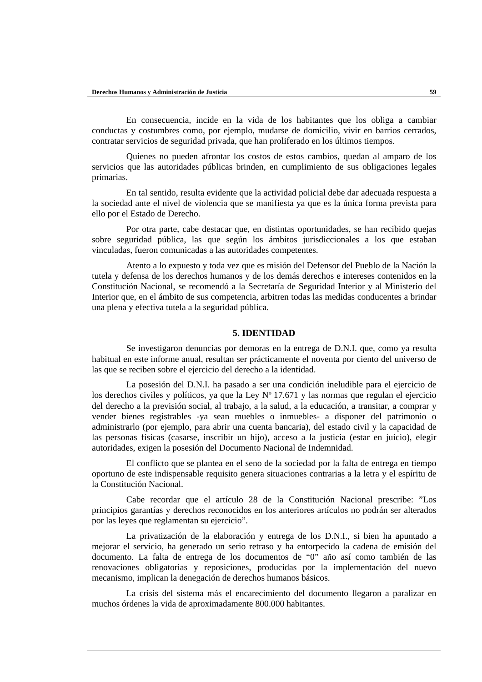En consecuencia, incide en la vida de los habitantes que los obliga a cambiar conductas y costumbres como, por ejemplo, mudarse de domicilio, vivir en barrios cerrados, contratar servicios de seguridad privada, que han proliferado en los últimos tiempos.

Quienes no pueden afrontar los costos de estos cambios, quedan al amparo de los servicios que las autoridades públicas brinden, en cumplimiento de sus obligaciones legales primarias.

En tal sentido, resulta evidente que la actividad policial debe dar adecuada respuesta a la sociedad ante el nivel de violencia que se manifiesta ya que es la única forma prevista para ello por el Estado de Derecho.

Por otra parte, cabe destacar que, en distintas oportunidades, se han recibido quejas sobre seguridad pública, las que según los ámbitos jurisdiccionales a los que estaban vinculadas, fueron comunicadas a las autoridades competentes.

Atento a lo expuesto y toda vez que es misión del Defensor del Pueblo de la Nación la tutela y defensa de los derechos humanos y de los demás derechos e intereses contenidos en la Constitución Nacional, se recomendó a la Secretaría de Seguridad Interior y al Ministerio del Interior que, en el ámbito de sus competencia, arbitren todas las medidas conducentes a brindar una plena y efectiva tutela a la seguridad pública.

#### **5. IDENTIDAD**

Se investigaron denuncias por demoras en la entrega de D.N.I. que, como ya resulta habitual en este informe anual, resultan ser prácticamente el noventa por ciento del universo de las que se reciben sobre el ejercicio del derecho a la identidad.

La posesión del D.N.I. ha pasado a ser una condición ineludible para el ejercicio de los derechos civiles y políticos, ya que la Ley Nº 17.671 y las normas que regulan el ejercicio del derecho a la previsión social, al trabajo, a la salud, a la educación, a transitar, a comprar y vender bienes registrables -ya sean muebles o inmuebles- a disponer del patrimonio o administrarlo (por ejemplo, para abrir una cuenta bancaria), del estado civil y la capacidad de las personas físicas (casarse, inscribir un hijo), acceso a la justicia (estar en juicio), elegir autoridades, exigen la posesión del Documento Nacional de Indemnidad.

El conflicto que se plantea en el seno de la sociedad por la falta de entrega en tiempo oportuno de este indispensable requisito genera situaciones contrarias a la letra y el espíritu de la Constitución Nacional.

Cabe recordar que el artículo 28 de la Constitución Nacional prescribe: "Los principios garantías y derechos reconocidos en los anteriores artículos no podrán ser alterados por las leyes que reglamentan su ejercicio".

La privatización de la elaboración y entrega de los D.N.I., si bien ha apuntado a mejorar el servicio, ha generado un serio retraso y ha entorpecido la cadena de emisión del documento. La falta de entrega de los documentos de "0" año así como también de las renovaciones obligatorias y reposiciones, producidas por la implementación del nuevo mecanismo, implican la denegación de derechos humanos básicos.

La crisis del sistema más el encarecimiento del documento llegaron a paralizar en muchos órdenes la vida de aproximadamente 800.000 habitantes.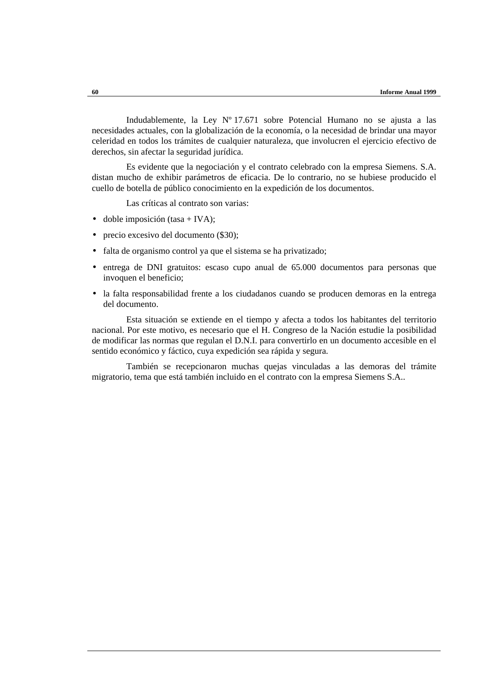Indudablemente, la Ley Nº 17.671 sobre Potencial Humano no se ajusta a las necesidades actuales, con la globalización de la economía, o la necesidad de brindar una mayor celeridad en todos los trámites de cualquier naturaleza, que involucren el ejercicio efectivo de derechos, sin afectar la seguridad jurídica.

Es evidente que la negociación y el contrato celebrado con la empresa Siemens. S.A. distan mucho de exhibir parámetros de eficacia. De lo contrario, no se hubiese producido el cuello de botella de público conocimiento en la expedición de los documentos.

Las críticas al contrato son varias:

- $\bullet$  doble imposición (tasa + IVA);
- precio excesivo del documento (\$30);
- falta de organismo control ya que el sistema se ha privatizado;
- entrega de DNI gratuitos: escaso cupo anual de 65.000 documentos para personas que invoquen el beneficio;
- la falta responsabilidad frente a los ciudadanos cuando se producen demoras en la entrega del documento.

Esta situación se extiende en el tiempo y afecta a todos los habitantes del territorio nacional. Por este motivo, es necesario que el H. Congreso de la Nación estudie la posibilidad de modificar las normas que regulan el D.N.I. para convertirlo en un documento accesible en el sentido económico y fáctico, cuya expedición sea rápida y segura.

También se recepcionaron muchas quejas vinculadas a las demoras del trámite migratorio, tema que está también incluido en el contrato con la empresa Siemens S.A..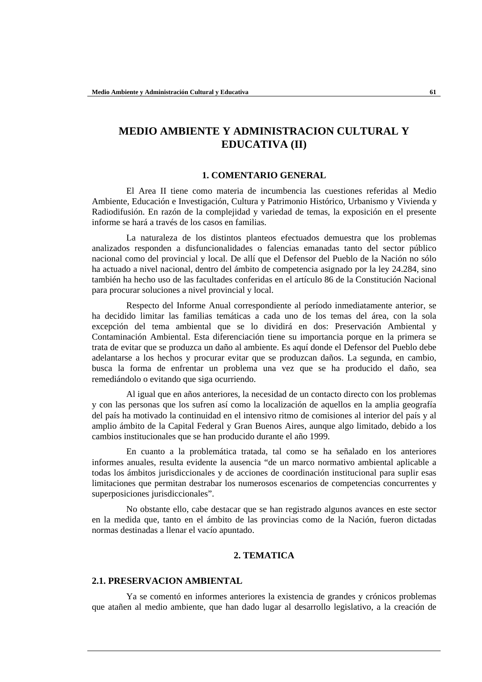# **MEDIO AMBIENTE Y ADMINISTRACION CULTURAL Y EDUCATIVA (II)**

#### **1. COMENTARIO GENERAL**

El Area II tiene como materia de incumbencia las cuestiones referidas al Medio Ambiente, Educación e Investigación, Cultura y Patrimonio Histórico, Urbanismo y Vivienda y Radiodifusión. En razón de la complejidad y variedad de temas, la exposición en el presente informe se hará a través de los casos en familias.

La naturaleza de los distintos planteos efectuados demuestra que los problemas analizados responden a disfuncionalidades o falencias emanadas tanto del sector público nacional como del provincial y local. De allí que el Defensor del Pueblo de la Nación no sólo ha actuado a nivel nacional, dentro del ámbito de competencia asignado por la ley 24.284, sino también ha hecho uso de las facultades conferidas en el artículo 86 de la Constitución Nacional para procurar soluciones a nivel provincial y local.

Respecto del Informe Anual correspondiente al período inmediatamente anterior, se ha decidido limitar las familias temáticas a cada uno de los temas del área, con la sola excepción del tema ambiental que se lo dividirá en dos: Preservación Ambiental y Contaminación Ambiental. Esta diferenciación tiene su importancia porque en la primera se trata de evitar que se produzca un daño al ambiente. Es aquí donde el Defensor del Pueblo debe adelantarse a los hechos y procurar evitar que se produzcan daños. La segunda, en cambio, busca la forma de enfrentar un problema una vez que se ha producido el daño, sea remediándolo o evitando que siga ocurriendo.

Al igual que en años anteriores, la necesidad de un contacto directo con los problemas y con las personas que los sufren así como la localización de aquellos en la amplia geografía del país ha motivado la continuidad en el intensivo ritmo de comisiones al interior del país y al amplio ámbito de la Capital Federal y Gran Buenos Aires, aunque algo limitado, debido a los cambios institucionales que se han producido durante el año 1999.

En cuanto a la problemática tratada, tal como se ha señalado en los anteriores informes anuales, resulta evidente la ausencia "de un marco normativo ambiental aplicable a todas los ámbitos jurisdiccionales y de acciones de coordinación institucional para suplir esas limitaciones que permitan destrabar los numerosos escenarios de competencias concurrentes y superposiciones jurisdiccionales".

No obstante ello, cabe destacar que se han registrado algunos avances en este sector en la medida que, tanto en el ámbito de las provincias como de la Nación, fueron dictadas normas destinadas a llenar el vacío apuntado.

# **2. TEMATICA**

# **2.1. PRESERVACION AMBIENTAL**

Ya se comentó en informes anteriores la existencia de grandes y crónicos problemas que atañen al medio ambiente, que han dado lugar al desarrollo legislativo, a la creación de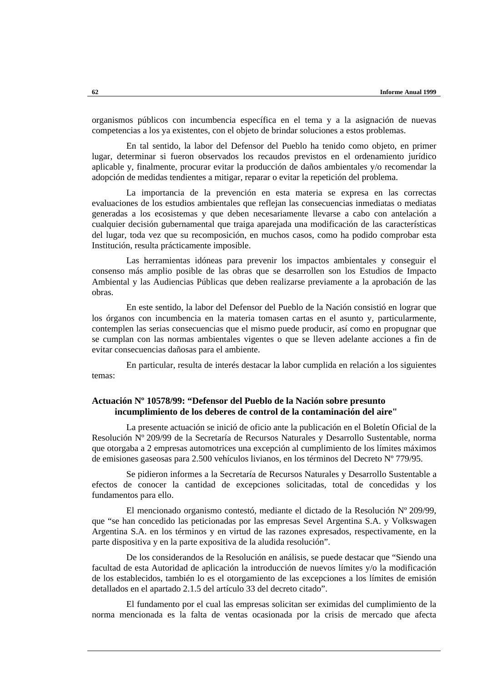organismos públicos con incumbencia específica en el tema y a la asignación de nuevas competencias a los ya existentes, con el objeto de brindar soluciones a estos problemas.

En tal sentido, la labor del Defensor del Pueblo ha tenido como objeto, en primer lugar, determinar si fueron observados los recaudos previstos en el ordenamiento jurídico aplicable y, finalmente, procurar evitar la producción de daños ambientales y/o recomendar la adopción de medidas tendientes a mitigar, reparar o evitar la repetición del problema.

La importancia de la prevención en esta materia se expresa en las correctas evaluaciones de los estudios ambientales que reflejan las consecuencias inmediatas o mediatas generadas a los ecosistemas y que deben necesariamente llevarse a cabo con antelación a cualquier decisión gubernamental que traiga aparejada una modificación de las características del lugar, toda vez que su recomposición, en muchos casos, como ha podido comprobar esta Institución, resulta prácticamente imposible.

Las herramientas idóneas para prevenir los impactos ambientales y conseguir el consenso más amplio posible de las obras que se desarrollen son los Estudios de Impacto Ambiental y las Audiencias Públicas que deben realizarse previamente a la aprobación de las obras.

En este sentido, la labor del Defensor del Pueblo de la Nación consistió en lograr que los órganos con incumbencia en la materia tomasen cartas en el asunto y, particularmente, contemplen las serias consecuencias que el mismo puede producir, así como en propugnar que se cumplan con las normas ambientales vigentes o que se lleven adelante acciones a fin de evitar consecuencias dañosas para el ambiente.

En particular, resulta de interés destacar la labor cumplida en relación a los siguientes temas:

# **Actuación Nº 10578/99: "Defensor del Pueblo de la Nación sobre presunto incumplimiento de los deberes de control de la contaminación del aire"**

La presente actuación se inició de oficio ante la publicación en el Boletín Oficial de la Resolución Nº 209/99 de la Secretaría de Recursos Naturales y Desarrollo Sustentable, norma que otorgaba a 2 empresas automotrices una excepción al cumplimiento de los límites máximos de emisiones gaseosas para 2.500 vehículos livianos, en los términos del Decreto Nº 779/95.

Se pidieron informes a la Secretaría de Recursos Naturales y Desarrollo Sustentable a efectos de conocer la cantidad de excepciones solicitadas, total de concedidas y los fundamentos para ello.

El mencionado organismo contestó, mediante el dictado de la Resolución Nº 209/99, que "se han concedido las peticionadas por las empresas Sevel Argentina S.A. y Volkswagen Argentina S.A. en los términos y en virtud de las razones expresados, respectivamente, en la parte dispositiva y en la parte expositiva de la aludida resolución".

De los considerandos de la Resolución en análisis, se puede destacar que "Siendo una facultad de esta Autoridad de aplicación la introducción de nuevos límites y/o la modificación de los establecidos, también lo es el otorgamiento de las excepciones a los límites de emisión detallados en el apartado 2.1.5 del artículo 33 del decreto citado".

El fundamento por el cual las empresas solicitan ser eximidas del cumplimiento de la norma mencionada es la falta de ventas ocasionada por la crisis de mercado que afecta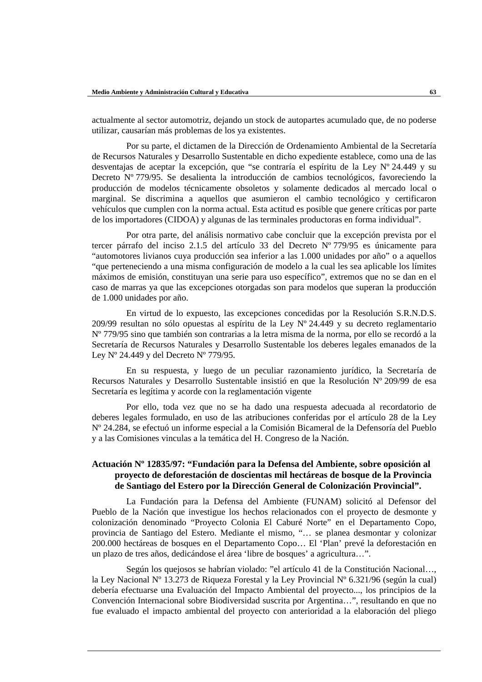actualmente al sector automotriz, dejando un stock de autopartes acumulado que, de no poderse utilizar, causarían más problemas de los ya existentes.

Por su parte, el dictamen de la Dirección de Ordenamiento Ambiental de la Secretaría de Recursos Naturales y Desarrollo Sustentable en dicho expediente establece, como una de las desventajas de aceptar la excepción, que "se contraría el espíritu de la Ley Nº 24.449 y su Decreto Nº 779/95. Se desalienta la introducción de cambios tecnológicos, favoreciendo la producción de modelos técnicamente obsoletos y solamente dedicados al mercado local o marginal. Se discrimina a aquellos que asumieron el cambio tecnológico y certificaron vehículos que cumplen con la norma actual. Esta actitud es posible que genere críticas por parte de los importadores (CIDOA) y algunas de las terminales productoras en forma individual".

Por otra parte, del análisis normativo cabe concluir que la excepción prevista por el tercer párrafo del inciso 2.1.5 del artículo 33 del Decreto Nº 779/95 es únicamente para "automotores livianos cuya producción sea inferior a las 1.000 unidades por año" o a aquellos "que perteneciendo a una misma configuración de modelo a la cual les sea aplicable los límites máximos de emisión, constituyan una serie para uso específico", extremos que no se dan en el caso de marras ya que las excepciones otorgadas son para modelos que superan la producción de 1.000 unidades por año.

En virtud de lo expuesto, las excepciones concedidas por la Resolución S.R.N.D.S. 209/99 resultan no sólo opuestas al espíritu de la Ley  $N^{\circ}$  24.449 y su decreto reglamentario Nº 779/95 sino que también son contrarias a la letra misma de la norma, por ello se recordó a la Secretaría de Recursos Naturales y Desarrollo Sustentable los deberes legales emanados de la Ley  $N^{\circ}$  24.449 y del Decreto  $N^{\circ}$  779/95.

En su respuesta, y luego de un peculiar razonamiento jurídico, la Secretaría de Recursos Naturales y Desarrollo Sustentable insistió en que la Resolución Nº 209/99 de esa Secretaría es legítima y acorde con la reglamentación vigente

Por ello, toda vez que no se ha dado una respuesta adecuada al recordatorio de deberes legales formulado, en uso de las atribuciones conferidas por el artículo 28 de la Ley Nº 24.284, se efectuó un informe especial a la Comisión Bicameral de la Defensoría del Pueblo y a las Comisiones vinculas a la temática del H. Congreso de la Nación.

# **Actuación Nº 12835/97: "Fundación para la Defensa del Ambiente, sobre oposición al proyecto de deforestación de doscientas mil hectáreas de bosque de la Provincia de Santiago del Estero por la Dirección General de Colonización Provincial".**

La Fundación para la Defensa del Ambiente (FUNAM) solicitó al Defensor del Pueblo de la Nación que investigue los hechos relacionados con el proyecto de desmonte y colonización denominado "Proyecto Colonia El Caburé Norte" en el Departamento Copo, provincia de Santiago del Estero. Mediante el mismo, "… se planea desmontar y colonizar 200.000 hectáreas de bosques en el Departamento Copo… El 'Plan' prevé la deforestación en un plazo de tres años, dedicándose el área 'libre de bosques' a agricultura…".

Según los quejosos se habrían violado: "el artículo 41 de la Constitución Nacional…, la Ley Nacional N° 13.273 de Riqueza Forestal y la Ley Provincial N° 6.321/96 (según la cual) debería efectuarse una Evaluación del Impacto Ambiental del proyecto..., los principios de la Convención Internacional sobre Biodiversidad suscrita por Argentina…", resultando en que no fue evaluado el impacto ambiental del proyecto con anterioridad a la elaboración del pliego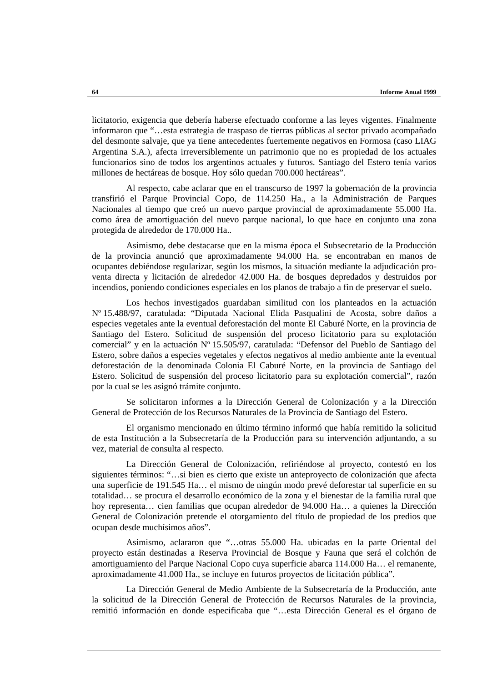licitatorio, exigencia que debería haberse efectuado conforme a las leyes vigentes. Finalmente informaron que "…esta estrategia de traspaso de tierras públicas al sector privado acompañado del desmonte salvaje, que ya tiene antecedentes fuertemente negativos en Formosa (caso LIAG Argentina S.A.), afecta irreversiblemente un patrimonio que no es propiedad de los actuales funcionarios sino de todos los argentinos actuales y futuros. Santiago del Estero tenía varios millones de hectáreas de bosque. Hoy sólo quedan 700.000 hectáreas".

Al respecto, cabe aclarar que en el transcurso de 1997 la gobernación de la provincia transfirió el Parque Provincial Copo, de 114.250 Ha., a la Administración de Parques Nacionales al tiempo que creó un nuevo parque provincial de aproximadamente 55.000 Ha. como área de amortiguación del nuevo parque nacional, lo que hace en conjunto una zona protegida de alrededor de 170.000 Ha..

Asimismo, debe destacarse que en la misma época el Subsecretario de la Producción de la provincia anunció que aproximadamente 94.000 Ha. se encontraban en manos de ocupantes debiéndose regularizar, según los mismos, la situación mediante la adjudicación proventa directa y licitación de alrededor 42.000 Ha. de bosques depredados y destruidos por incendios, poniendo condiciones especiales en los planos de trabajo a fin de preservar el suelo.

Los hechos investigados guardaban similitud con los planteados en la actuación Nº 15.488/97, caratulada: "Diputada Nacional Elida Pasqualini de Acosta, sobre daños a especies vegetales ante la eventual deforestación del monte El Caburé Norte, en la provincia de Santiago del Estero. Solicitud de suspensión del proceso licitatorio para su explotación comercial" y en la actuación Nº 15.505/97, caratulada: "Defensor del Pueblo de Santiago del Estero, sobre daños a especies vegetales y efectos negativos al medio ambiente ante la eventual deforestación de la denominada Colonia El Caburé Norte, en la provincia de Santiago del Estero. Solicitud de suspensión del proceso licitatorio para su explotación comercial", razón por la cual se les asignó trámite conjunto.

Se solicitaron informes a la Dirección General de Colonización y a la Dirección General de Protección de los Recursos Naturales de la Provincia de Santiago del Estero.

El organismo mencionado en último término informó que había remitido la solicitud de esta Institución a la Subsecretaría de la Producción para su intervención adjuntando, a su vez, material de consulta al respecto.

La Dirección General de Colonización, refiriéndose al proyecto, contestó en los siguientes términos: "…si bien es cierto que existe un anteproyecto de colonización que afecta una superficie de 191.545 Ha… el mismo de ningún modo prevé deforestar tal superficie en su totalidad… se procura el desarrollo económico de la zona y el bienestar de la familia rural que hoy representa… cien familias que ocupan alrededor de 94.000 Ha… a quienes la Dirección General de Colonización pretende el otorgamiento del título de propiedad de los predios que ocupan desde muchísimos años".

Asimismo, aclararon que "…otras 55.000 Ha. ubicadas en la parte Oriental del proyecto están destinadas a Reserva Provincial de Bosque y Fauna que será el colchón de amortiguamiento del Parque Nacional Copo cuya superficie abarca 114.000 Ha… el remanente, aproximadamente 41.000 Ha., se incluye en futuros proyectos de licitación pública".

La Dirección General de Medio Ambiente de la Subsecretaría de la Producción, ante la solicitud de la Dirección General de Protección de Recursos Naturales de la provincia, remitió información en donde especificaba que "…esta Dirección General es el órgano de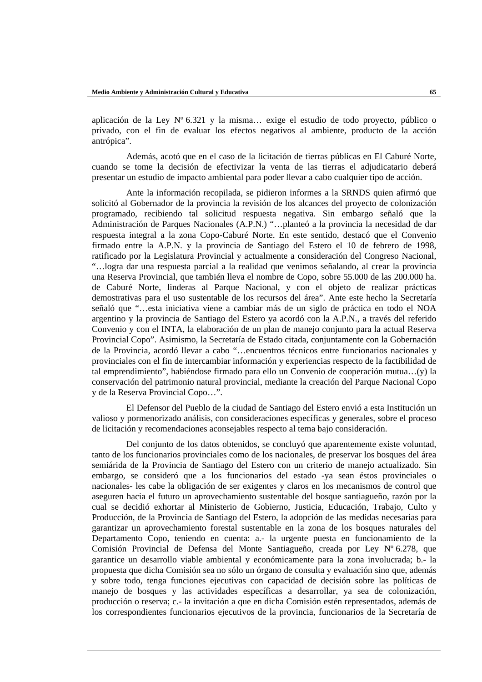aplicación de la Ley  $N^{\circ}$  6.321 y la misma... exige el estudio de todo proyecto, público o privado, con el fin de evaluar los efectos negativos al ambiente, producto de la acción antrópica".

Además, acotó que en el caso de la licitación de tierras públicas en El Caburé Norte, cuando se tome la decisión de efectivizar la venta de las tierras el adjudicatario deberá presentar un estudio de impacto ambiental para poder llevar a cabo cualquier tipo de acción.

Ante la información recopilada, se pidieron informes a la SRNDS quien afirmó que solicitó al Gobernador de la provincia la revisión de los alcances del proyecto de colonización programado, recibiendo tal solicitud respuesta negativa. Sin embargo señaló que la Administración de Parques Nacionales (A.P.N.) "…planteó a la provincia la necesidad de dar respuesta integral a la zona Copo-Caburé Norte. En este sentido, destacó que el Convenio firmado entre la A.P.N. y la provincia de Santiago del Estero el 10 de febrero de 1998, ratificado por la Legislatura Provincial y actualmente a consideración del Congreso Nacional, "…logra dar una respuesta parcial a la realidad que venimos señalando, al crear la provincia una Reserva Provincial, que también lleva el nombre de Copo, sobre 55.000 de las 200.000 ha. de Caburé Norte, linderas al Parque Nacional, y con el objeto de realizar prácticas demostrativas para el uso sustentable de los recursos del área". Ante este hecho la Secretaría señaló que "…esta iniciativa viene a cambiar más de un siglo de práctica en todo el NOA argentino y la provincia de Santiago del Estero ya acordó con la A.P.N., a través del referido Convenio y con el INTA, la elaboración de un plan de manejo conjunto para la actual Reserva Provincial Copo". Asimismo, la Secretaría de Estado citada, conjuntamente con la Gobernación de la Provincia, acordó llevar a cabo "…encuentros técnicos entre funcionarios nacionales y provinciales con el fin de intercambiar información y experiencias respecto de la factibilidad de tal emprendimiento", habiéndose firmado para ello un Convenio de cooperación mutua…(y) la conservación del patrimonio natural provincial, mediante la creación del Parque Nacional Copo y de la Reserva Provincial Copo…".

El Defensor del Pueblo de la ciudad de Santiago del Estero envió a esta Institución un valioso y pormenorizado análisis, con consideraciones específicas y generales, sobre el proceso de licitación y recomendaciones aconsejables respecto al tema bajo consideración.

Del conjunto de los datos obtenidos, se concluyó que aparentemente existe voluntad, tanto de los funcionarios provinciales como de los nacionales, de preservar los bosques del área semiárida de la Provincia de Santiago del Estero con un criterio de manejo actualizado. Sin embargo, se consideró que a los funcionarios del estado -ya sean éstos provinciales o nacionales- les cabe la obligación de ser exigentes y claros en los mecanismos de control que aseguren hacia el futuro un aprovechamiento sustentable del bosque santiagueño, razón por la cual se decidió exhortar al Ministerio de Gobierno, Justicia, Educación, Trabajo, Culto y Producción, de la Provincia de Santiago del Estero, la adopción de las medidas necesarias para garantizar un aprovechamiento forestal sustentable en la zona de los bosques naturales del Departamento Copo, teniendo en cuenta: a.- la urgente puesta en funcionamiento de la Comisión Provincial de Defensa del Monte Santiagueño, creada por Ley Nº 6.278, que garantice un desarrollo viable ambiental y económicamente para la zona involucrada; b.- la propuesta que dicha Comisión sea no sólo un órgano de consulta y evaluación sino que, además y sobre todo, tenga funciones ejecutivas con capacidad de decisión sobre las políticas de manejo de bosques y las actividades específicas a desarrollar, ya sea de colonización, producción o reserva; c.- la invitación a que en dicha Comisión estén representados, además de los correspondientes funcionarios ejecutivos de la provincia, funcionarios de la Secretaría de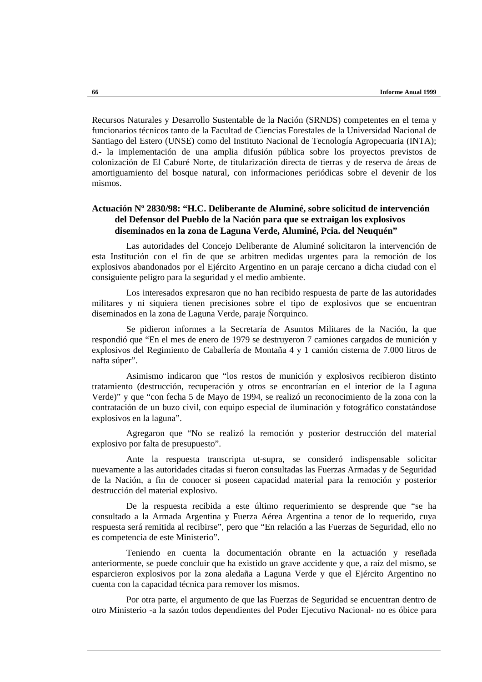Recursos Naturales y Desarrollo Sustentable de la Nación (SRNDS) competentes en el tema y funcionarios técnicos tanto de la Facultad de Ciencias Forestales de la Universidad Nacional de Santiago del Estero (UNSE) como del Instituto Nacional de Tecnología Agropecuaria (INTA); d.- la implementación de una amplia difusión pública sobre los proyectos previstos de colonización de El Caburé Norte, de titularización directa de tierras y de reserva de áreas de amortiguamiento del bosque natural, con informaciones periódicas sobre el devenir de los mismos.

# **Actuación Nº 2830/98: "H.C. Deliberante de Aluminé, sobre solicitud de intervención del Defensor del Pueblo de la Nación para que se extraigan los explosivos diseminados en la zona de Laguna Verde, Aluminé, Pcia. del Neuquén"**

Las autoridades del Concejo Deliberante de Aluminé solicitaron la intervención de esta Institución con el fin de que se arbitren medidas urgentes para la remoción de los explosivos abandonados por el Ejército Argentino en un paraje cercano a dicha ciudad con el consiguiente peligro para la seguridad y el medio ambiente.

Los interesados expresaron que no han recibido respuesta de parte de las autoridades militares y ni siquiera tienen precisiones sobre el tipo de explosivos que se encuentran diseminados en la zona de Laguna Verde, paraje Ñorquinco.

Se pidieron informes a la Secretaría de Asuntos Militares de la Nación, la que respondió que "En el mes de enero de 1979 se destruyeron 7 camiones cargados de munición y explosivos del Regimiento de Caballería de Montaña 4 y 1 camión cisterna de 7.000 litros de nafta súper".

Asimismo indicaron que "los restos de munición y explosivos recibieron distinto tratamiento (destrucción, recuperación y otros se encontrarían en el interior de la Laguna Verde)" y que "con fecha 5 de Mayo de 1994, se realizó un reconocimiento de la zona con la contratación de un buzo civil, con equipo especial de iluminación y fotográfico constatándose explosivos en la laguna".

Agregaron que "No se realizó la remoción y posterior destrucción del material explosivo por falta de presupuesto".

Ante la respuesta transcripta ut-supra, se consideró indispensable solicitar nuevamente a las autoridades citadas si fueron consultadas las Fuerzas Armadas y de Seguridad de la Nación, a fin de conocer si poseen capacidad material para la remoción y posterior destrucción del material explosivo.

De la respuesta recibida a este último requerimiento se desprende que "se ha consultado a la Armada Argentina y Fuerza Aérea Argentina a tenor de lo requerido, cuya respuesta será remitida al recibirse", pero que "En relación a las Fuerzas de Seguridad, ello no es competencia de este Ministerio".

Teniendo en cuenta la documentación obrante en la actuación y reseñada anteriormente, se puede concluir que ha existido un grave accidente y que, a raíz del mismo, se esparcieron explosivos por la zona aledaña a Laguna Verde y que el Ejército Argentino no cuenta con la capacidad técnica para remover los mismos.

Por otra parte, el argumento de que las Fuerzas de Seguridad se encuentran dentro de otro Ministerio -a la sazón todos dependientes del Poder Ejecutivo Nacional- no es óbice para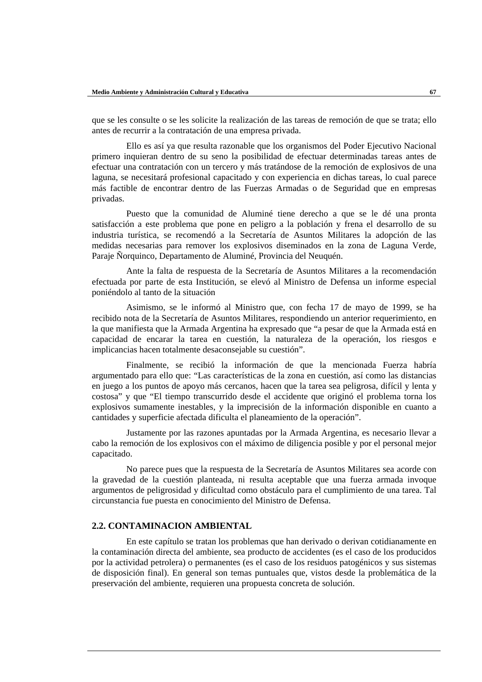que se les consulte o se les solicite la realización de las tareas de remoción de que se trata; ello antes de recurrir a la contratación de una empresa privada.

Ello es así ya que resulta razonable que los organismos del Poder Ejecutivo Nacional primero inquieran dentro de su seno la posibilidad de efectuar determinadas tareas antes de efectuar una contratación con un tercero y más tratándose de la remoción de explosivos de una laguna, se necesitará profesional capacitado y con experiencia en dichas tareas, lo cual parece más factible de encontrar dentro de las Fuerzas Armadas o de Seguridad que en empresas privadas.

Puesto que la comunidad de Aluminé tiene derecho a que se le dé una pronta satisfacción a este problema que pone en peligro a la población y frena el desarrollo de su industria turística, se recomendó a la Secretaría de Asuntos Militares la adopción de las medidas necesarias para remover los explosivos diseminados en la zona de Laguna Verde, Paraje Ñorquinco, Departamento de Aluminé, Provincia del Neuquén.

Ante la falta de respuesta de la Secretaría de Asuntos Militares a la recomendación efectuada por parte de esta Institución, se elevó al Ministro de Defensa un informe especial poniéndolo al tanto de la situación

Asimismo, se le informó al Ministro que, con fecha 17 de mayo de 1999, se ha recibido nota de la Secretaría de Asuntos Militares, respondiendo un anterior requerimiento, en la que manifiesta que la Armada Argentina ha expresado que "a pesar de que la Armada está en capacidad de encarar la tarea en cuestión, la naturaleza de la operación, los riesgos e implicancias hacen totalmente desaconsejable su cuestión".

Finalmente, se recibió la información de que la mencionada Fuerza habría argumentado para ello que: "Las características de la zona en cuestión, así como las distancias en juego a los puntos de apoyo más cercanos, hacen que la tarea sea peligrosa, difícil y lenta y costosa" y que "El tiempo transcurrido desde el accidente que originó el problema torna los explosivos sumamente inestables, y la imprecisión de la información disponible en cuanto a cantidades y superficie afectada dificulta el planeamiento de la operación".

Justamente por las razones apuntadas por la Armada Argentina, es necesario llevar a cabo la remoción de los explosivos con el máximo de diligencia posible y por el personal mejor capacitado.

No parece pues que la respuesta de la Secretaría de Asuntos Militares sea acorde con la gravedad de la cuestión planteada, ni resulta aceptable que una fuerza armada invoque argumentos de peligrosidad y dificultad como obstáculo para el cumplimiento de una tarea. Tal circunstancia fue puesta en conocimiento del Ministro de Defensa.

### **2.2. CONTAMINACION AMBIENTAL**

En este capítulo se tratan los problemas que han derivado o derivan cotidianamente en la contaminación directa del ambiente, sea producto de accidentes (es el caso de los producidos por la actividad petrolera) o permanentes (es el caso de los residuos patogénicos y sus sistemas de disposición final). En general son temas puntuales que, vistos desde la problemática de la preservación del ambiente, requieren una propuesta concreta de solución.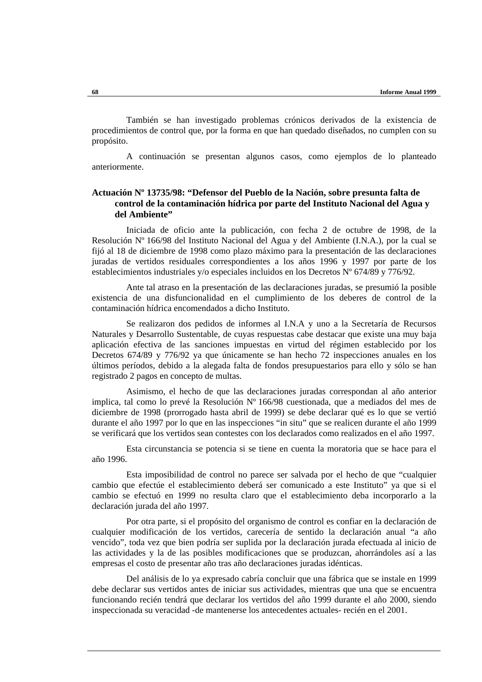También se han investigado problemas crónicos derivados de la existencia de procedimientos de control que, por la forma en que han quedado diseñados, no cumplen con su propósito.

A continuación se presentan algunos casos, como ejemplos de lo planteado anteriormente.

# **Actuación Nº 13735/98: "Defensor del Pueblo de la Nación, sobre presunta falta de control de la contaminación hídrica por parte del Instituto Nacional del Agua y del Ambiente"**

Iniciada de oficio ante la publicación, con fecha 2 de octubre de 1998, de la Resolución Nº 166/98 del Instituto Nacional del Agua y del Ambiente (I.N.A.), por la cual se fijó al 18 de diciembre de 1998 como plazo máximo para la presentación de las declaraciones juradas de vertidos residuales correspondientes a los años 1996 y 1997 por parte de los establecimientos industriales y/o especiales incluidos en los Decretos Nº 674/89 y 776/92.

Ante tal atraso en la presentación de las declaraciones juradas, se presumió la posible existencia de una disfuncionalidad en el cumplimiento de los deberes de control de la contaminación hídrica encomendados a dicho Instituto.

Se realizaron dos pedidos de informes al I.N.A y uno a la Secretaría de Recursos Naturales y Desarrollo Sustentable, de cuyas respuestas cabe destacar que existe una muy baja aplicación efectiva de las sanciones impuestas en virtud del régimen establecido por los Decretos 674/89 y 776/92 ya que únicamente se han hecho 72 inspecciones anuales en los últimos períodos, debido a la alegada falta de fondos presupuestarios para ello y sólo se han registrado 2 pagos en concepto de multas.

Asimismo, el hecho de que las declaraciones juradas correspondan al año anterior implica, tal como lo prevé la Resolución Nº 166/98 cuestionada, que a mediados del mes de diciembre de 1998 (prorrogado hasta abril de 1999) se debe declarar qué es lo que se vertió durante el año 1997 por lo que en las inspecciones "in situ" que se realicen durante el año 1999 se verificará que los vertidos sean contestes con los declarados como realizados en el año 1997.

Esta circunstancia se potencia si se tiene en cuenta la moratoria que se hace para el año 1996.

Esta imposibilidad de control no parece ser salvada por el hecho de que "cualquier cambio que efectúe el establecimiento deberá ser comunicado a este Instituto" ya que si el cambio se efectuó en 1999 no resulta claro que el establecimiento deba incorporarlo a la declaración jurada del año 1997.

Por otra parte, si el propósito del organismo de control es confiar en la declaración de cualquier modificación de los vertidos, carecería de sentido la declaración anual "a año vencido", toda vez que bien podría ser suplida por la declaración jurada efectuada al inicio de las actividades y la de las posibles modificaciones que se produzcan, ahorrándoles así a las empresas el costo de presentar año tras año declaraciones juradas idénticas.

Del análisis de lo ya expresado cabría concluir que una fábrica que se instale en 1999 debe declarar sus vertidos antes de iniciar sus actividades, mientras que una que se encuentra funcionando recién tendrá que declarar los vertidos del año 1999 durante el año 2000, siendo inspeccionada su veracidad -de mantenerse los antecedentes actuales- recién en el 2001.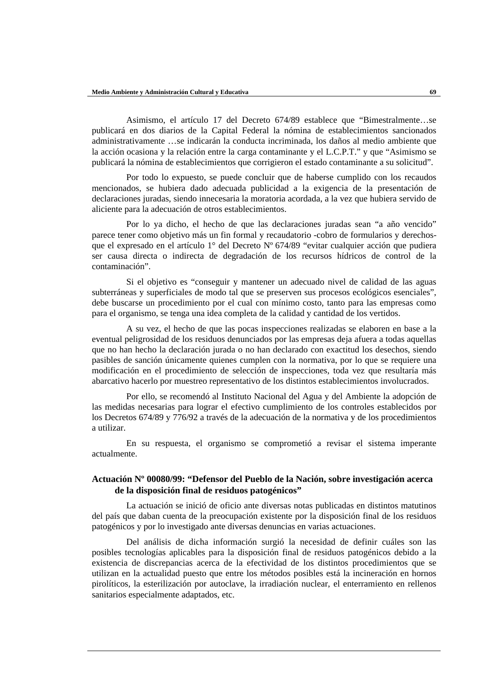Asimismo, el artículo 17 del Decreto 674/89 establece que "Bimestralmente…se publicará en dos diarios de la Capital Federal la nómina de establecimientos sancionados administrativamente …se indicarán la conducta incriminada, los daños al medio ambiente que la acción ocasiona y la relación entre la carga contaminante y el L.C.P.T." y que "Asimismo se publicará la nómina de establecimientos que corrigieron el estado contaminante a su solicitud".

Por todo lo expuesto, se puede concluir que de haberse cumplido con los recaudos mencionados, se hubiera dado adecuada publicidad a la exigencia de la presentación de declaraciones juradas, siendo innecesaria la moratoria acordada, a la vez que hubiera servido de aliciente para la adecuación de otros establecimientos.

Por lo ya dicho, el hecho de que las declaraciones juradas sean "a año vencido" parece tener como objetivo más un fin formal y recaudatorio -cobro de formularios y derechosque el expresado en el artículo 1<sup>°</sup> del Decreto N<sup>°</sup> 674/89 "evitar cualquier acción que pudiera ser causa directa o indirecta de degradación de los recursos hídricos de control de la contaminación".

Si el objetivo es "conseguir y mantener un adecuado nivel de calidad de las aguas subterráneas y superficiales de modo tal que se preserven sus procesos ecológicos esenciales", debe buscarse un procedimiento por el cual con mínimo costo, tanto para las empresas como para el organismo, se tenga una idea completa de la calidad y cantidad de los vertidos.

A su vez, el hecho de que las pocas inspecciones realizadas se elaboren en base a la eventual peligrosidad de los residuos denunciados por las empresas deja afuera a todas aquellas que no han hecho la declaración jurada o no han declarado con exactitud los desechos, siendo pasibles de sanción únicamente quienes cumplen con la normativa, por lo que se requiere una modificación en el procedimiento de selección de inspecciones, toda vez que resultaría más abarcativo hacerlo por muestreo representativo de los distintos establecimientos involucrados.

Por ello, se recomendó al Instituto Nacional del Agua y del Ambiente la adopción de las medidas necesarias para lograr el efectivo cumplimiento de los controles establecidos por los Decretos 674/89 y 776/92 a través de la adecuación de la normativa y de los procedimientos a utilizar.

En su respuesta, el organismo se comprometió a revisar el sistema imperante actualmente.

## **Actuación Nº 00080/99: "Defensor del Pueblo de la Nación, sobre investigación acerca de la disposición final de residuos patogénicos"**

La actuación se inició de oficio ante diversas notas publicadas en distintos matutinos del país que daban cuenta de la preocupación existente por la disposición final de los residuos patogénicos y por lo investigado ante diversas denuncias en varias actuaciones.

Del análisis de dicha información surgió la necesidad de definir cuáles son las posibles tecnologías aplicables para la disposición final de residuos patogénicos debido a la existencia de discrepancias acerca de la efectividad de los distintos procedimientos que se utilizan en la actualidad puesto que entre los métodos posibles está la incineración en hornos pirolíticos, la esterilización por autoclave, la irradiación nuclear, el enterramiento en rellenos sanitarios especialmente adaptados, etc.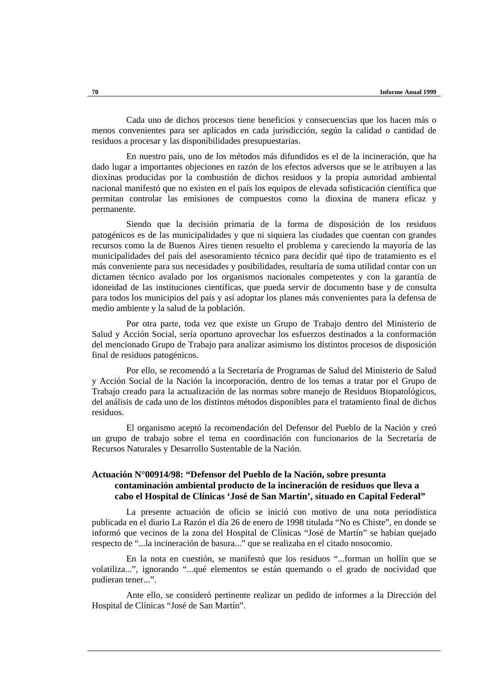Cada uno de dichos procesos tiene beneficios y consecuencias que los hacen más o menos convenientes para ser aplicados en cada jurisdicción, según la calidad o cantidad de residuos a procesar y las disponibilidades presupuestarias.

En nuestro país, uno de los métodos más difundidos es el de la incineración, que ha dado lugar a importantes objeciones en razón de los efectos adversos que se le atribuyen a las dioxinas producidas por la combustión de dichos residuos y la propia autoridad ambiental nacional manifestó que no existen en el país los equipos de elevada sofisticación científica que permitan controlar las emisiones de compuestos como la dioxina de manera eficaz y permanente.

Siendo que la decisión primaria de la forma de disposición de los residuos patogénicos es de las municipalidades y que ni siquiera las ciudades que cuentan con grandes recursos como la de Buenos Aires tienen resuelto el problema y careciendo la mayoría de las municipalidades del país del asesoramiento técnico para decidir qué tipo de tratamiento es el más conveniente para sus necesidades y posibilidades, resultaría de suma utilidad contar con un dictamen técnico avalado por los organismos nacionales competentes y con la garantía de idoneidad de las instituciones científicas, que pueda servir de documento base y de consulta para todos los municipios del país y así adoptar los planes más convenientes para la defensa de medio ambiente y la salud de la población.

Por otra parte, toda vez que existe un Grupo de Trabajo dentro del Ministerio de Salud y Acción Social, sería oportuno aprovechar los esfuerzos destinados a la conformación del mencionado Grupo de Trabajo para analizar asimismo los distintos procesos de disposición final de residuos patogénicos.

Por ello, se recomendó a la Secretaría de Programas de Salud del Ministerio de Salud y Acción Social de la Nación la incorporación, dentro de los temas a tratar por el Grupo de Trabajo creado para la actualización de las normas sobre manejo de Residuos Biopatológicos, del análisis de cada uno de los distintos métodos disponibles para el tratamiento final de dichos residuos.

El organismo aceptó la recomendación del Defensor del Pueblo de la Nación y creó un grupo de trabajo sobre el tema en coordinación con funcionarios de la Secretaría de Recursos Naturales y Desarrollo Sustentable de la Nación.

### **Actuación N°00914/98: "Defensor del Pueblo de la Nación, sobre presunta contaminación ambiental producto de la incineración de residuos que lleva a cabo el Hospital de Clínicas 'José de San Martín', situado en Capital Federal"**

La presente actuación de oficio se inició con motivo de una nota periodística publicada en el diario La Razón el día 26 de enero de 1998 titulada "No es Chiste", en donde se informó que vecinos de la zona del Hospital de Clínicas "José de Martín" se habían quejado respecto de "...la incineración de basura..." que se realizaba en el citado nosocomio.

En la nota en cuestión, se manifestó que los residuos "...forman un hollín que se volatiliza...", ignorando "...qué elementos se están quemando o el grado de nocividad que pudieran tener...".

Ante ello, se consideró pertinente realizar un pedido de informes a la Dirección del Hospital de Clínicas "José de San Martín".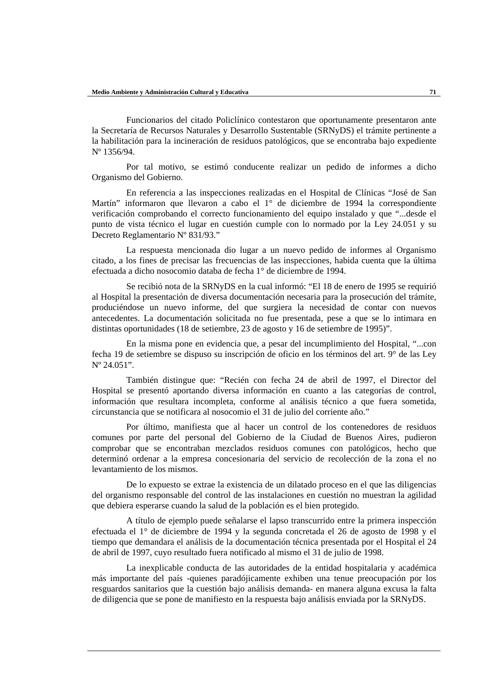Funcionarios del citado Policlínico contestaron que oportunamente presentaron ante la Secretaría de Recursos Naturales y Desarrollo Sustentable (SRNyDS) el trámite pertinente a la habilitación para la incineración de residuos patológicos, que se encontraba bajo expediente Nº 1356/94.

Por tal motivo, se estimó conducente realizar un pedido de informes a dicho Organismo del Gobierno.

En referencia a las inspecciones realizadas en el Hospital de Clínicas "José de San Martín" informaron que llevaron a cabo el 1° de diciembre de 1994 la correspondiente verificación comprobando el correcto funcionamiento del equipo instalado y que "...desde el punto de vista técnico el lugar en cuestión cumple con lo normado por la Ley 24.051 y su Decreto Reglamentario Nº 831/93."

La respuesta mencionada dio lugar a un nuevo pedido de informes al Organismo citado, a los fines de precisar las frecuencias de las inspecciones, habida cuenta que la última efectuada a dicho nosocomio databa de fecha 1° de diciembre de 1994.

Se recibió nota de la SRNyDS en la cual informó: "El 18 de enero de 1995 se requirió al Hospital la presentación de diversa documentación necesaria para la prosecución del trámite, produciéndose un nuevo informe, del que surgiera la necesidad de contar con nuevos antecedentes. La documentación solicitada no fue presentada, pese a que se lo intimara en distintas oportunidades (18 de setiembre, 23 de agosto y 16 de setiembre de 1995)".

En la misma pone en evidencia que, a pesar del incumplimiento del Hospital, "...con fecha 19 de setiembre se dispuso su inscripción de oficio en los términos del art. 9° de las Ley Nº 24.051".

También distingue que: "Recién con fecha 24 de abril de 1997, el Director del Hospital se presentó aportando diversa información en cuanto a las categorías de control, información que resultara incompleta, conforme al análisis técnico a que fuera sometida, circunstancia que se notificara al nosocomio el 31 de julio del corriente año."

Por último, manifiesta que al hacer un control de los contenedores de residuos comunes por parte del personal del Gobierno de la Ciudad de Buenos Aires, pudieron comprobar que se encontraban mezclados residuos comunes con patológicos, hecho que determinó ordenar a la empresa concesionaria del servicio de recolección de la zona el no levantamiento de los mismos.

De lo expuesto se extrae la existencia de un dilatado proceso en el que las diligencias del organismo responsable del control de las instalaciones en cuestión no muestran la agilidad que debiera esperarse cuando la salud de la población es el bien protegido.

A título de ejemplo puede señalarse el lapso transcurrido entre la primera inspección efectuada el 1° de diciembre de 1994 y la segunda concretada el 26 de agosto de 1998 y el tiempo que demandara el análisis de la documentación técnica presentada por el Hospital el 24 de abril de 1997, cuyo resultado fuera notificado al mismo el 31 de julio de 1998.

La inexplicable conducta de las autoridades de la entidad hospitalaria y académica más importante del país -quienes paradójicamente exhiben una tenue preocupación por los resguardos sanitarios que la cuestión bajo análisis demanda- en manera alguna excusa la falta de diligencia que se pone de manifiesto en la respuesta bajo análisis enviada por la SRNyDS.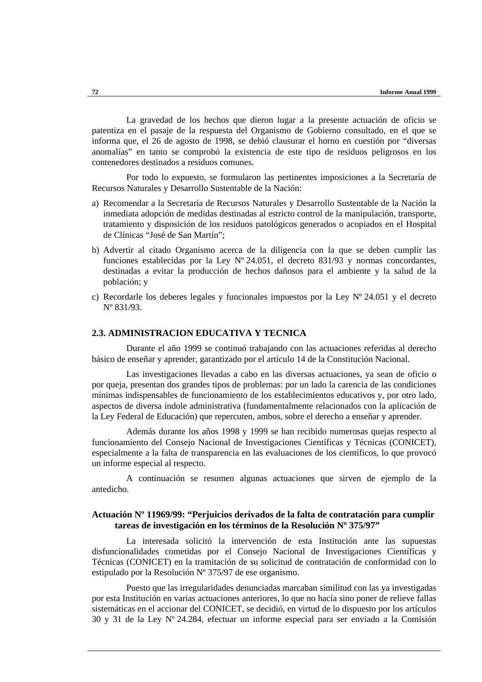La gravedad de los hechos que dieron lugar a la presente actuación de oficio se patentiza en el pasaje de la respuesta del Organismo de Gobierno consultado, en el que se informa que, el 26 de agosto de 1998, se debió clausurar el horno en cuestión por "diversas anomalías" en tanto se comprobó la existencia de este tipo de residuos peligrosos en los contenedores destinados a residuos comunes.

Por todo lo expuesto, se formularon las pertinentes imposiciones a la Secretaría de Recursos Naturales y Desarrollo Sustentable de la Nación:

- a) Recomendar a la Secretaría de Recursos Naturales y Desarrollo Sustentable de la Nación la inmediata adopción de medidas destinadas al estricto control de la manipulación, transporte, tratamiento y disposición de los residuos patológicos generados o acopiados en el Hospital de Clínicas "José de San Martín";
- b) Advertir al citado Organismo acerca de la diligencia con la que se deben cumplir las funciones establecidas por la Ley Nº 24.051, el decreto 831/93 y normas concordantes, destinadas a evitar la producción de hechos dañosos para el ambiente y la salud de la población; y
- c) Recordarle los deberes legales y funcionales impuestos por la Ley  $N^{\circ}$  24.051 y el decreto Nº 831/93.

### **2.3. ADMINISTRACION EDUCATIVA Y TECNICA**

Durante el año 1999 se continuó trabajando con las actuaciones referidas al derecho básico de enseñar y aprender, garantizado por el artículo 14 de la Constitución Nacional.

Las investigaciones llevadas a cabo en las diversas actuaciones, ya sean de oficio o por queja, presentan dos grandes tipos de problemas: por un lado la carencia de las condiciones mínimas indispensables de funcionamiento de los establecimientos educativos y, por otro lado, aspectos de diversa índole administrativa (fundamentalmente relacionados con la aplicación de la Ley Federal de Educación) que repercuten, ambos, sobre el derecho a enseñar y aprender.

Además durante los años 1998 y 1999 se han recibido numerosas quejas respecto al funcionamiento del Consejo Nacional de Investigaciones Científicas y Técnicas (CONICET), especialmente a la falta de transparencia en las evaluaciones de los científicos, lo que provocó un informe especial al respecto.

A continuación se resumen algunas actuaciones que sirven de ejemplo de la antedicho.

### **Actuación Nº 11969/99: "Perjuicios derivados de la falta de contratación para cumplir tareas de investigación en los términos de la Resolución Nº 375/97"**

La interesada solicitó la intervención de esta Institución ante las supuestas disfuncionalidades cometidas por el Consejo Nacional de Investigaciones Científicas y Técnicas (CONICET) en la tramitación de su solicitud de contratación de conformidad con lo estipulado por la Resolución Nº 375/97 de ese organismo.

Puesto que las irregularidades denunciadas marcaban similitud con las ya investigadas por esta Institución en varias actuaciones anteriores, lo que no hacía sino poner de relieve fallas sistemáticas en el accionar del CONICET, se decidió, en virtud de lo dispuesto por los artículos 30 y 31 de la Ley Nº 24.284, efectuar un informe especial para ser enviado a la Comisión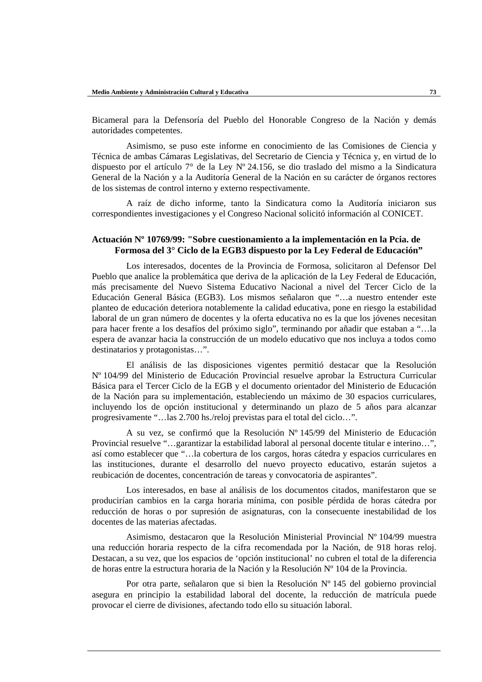Bicameral para la Defensoría del Pueblo del Honorable Congreso de la Nación y demás autoridades competentes.

Asimismo, se puso este informe en conocimiento de las Comisiones de Ciencia y Técnica de ambas Cámaras Legislativas, del Secretario de Ciencia y Técnica y, en virtud de lo dispuesto por el artículo 7° de la Ley Nº 24.156, se dio traslado del mismo a la Sindicatura General de la Nación y a la Auditoría General de la Nación en su carácter de órganos rectores de los sistemas de control interno y externo respectivamente.

A raíz de dicho informe, tanto la Sindicatura como la Auditoría iniciaron sus correspondientes investigaciones y el Congreso Nacional solicitó información al CONICET.

### **Actuación Nº 10769/99: "Sobre cuestionamiento a la implementación en la Pcia. de Formosa del 3° Ciclo de la EGB3 dispuesto por la Ley Federal de Educación"**

Los interesados, docentes de la Provincia de Formosa, solicitaron al Defensor Del Pueblo que analice la problemática que deriva de la aplicación de la Ley Federal de Educación, más precisamente del Nuevo Sistema Educativo Nacional a nivel del Tercer Ciclo de la Educación General Básica (EGB3). Los mismos señalaron que "…a nuestro entender este planteo de educación deteriora notablemente la calidad educativa, pone en riesgo la estabilidad laboral de un gran número de docentes y la oferta educativa no es la que los jóvenes necesitan para hacer frente a los desafíos del próximo siglo", terminando por añadir que estaban a "…la espera de avanzar hacia la construcción de un modelo educativo que nos incluya a todos como destinatarios y protagonistas…".

El análisis de las disposiciones vigentes permitió destacar que la Resolución Nº 104/99 del Ministerio de Educación Provincial resuelve aprobar la Estructura Curricular Básica para el Tercer Ciclo de la EGB y el documento orientador del Ministerio de Educación de la Nación para su implementación, estableciendo un máximo de 30 espacios curriculares, incluyendo los de opción institucional y determinando un plazo de 5 años para alcanzar progresivamente "…las 2.700 hs./reloj previstas para el total del ciclo…".

A su vez, se confirmó que la Resolución Nº 145/99 del Ministerio de Educación Provincial resuelve "…garantizar la estabilidad laboral al personal docente titular e interino…", así como establecer que "…la cobertura de los cargos, horas cátedra y espacios curriculares en las instituciones, durante el desarrollo del nuevo proyecto educativo, estarán sujetos a reubicación de docentes, concentración de tareas y convocatoria de aspirantes".

Los interesados, en base al análisis de los documentos citados, manifestaron que se producirían cambios en la carga horaria mínima, con posible pérdida de horas cátedra por reducción de horas o por supresión de asignaturas, con la consecuente inestabilidad de los docentes de las materias afectadas.

Asimismo, destacaron que la Resolución Ministerial Provincial Nº 104/99 muestra una reducción horaria respecto de la cifra recomendada por la Nación, de 918 horas reloj. Destacan, a su vez, que los espacios de 'opción institucional' no cubren el total de la diferencia de horas entre la estructura horaria de la Nación y la Resolución Nº 104 de la Provincia.

Por otra parte, señalaron que si bien la Resolución Nº 145 del gobierno provincial asegura en principio la estabilidad laboral del docente, la reducción de matrícula puede provocar el cierre de divisiones, afectando todo ello su situación laboral.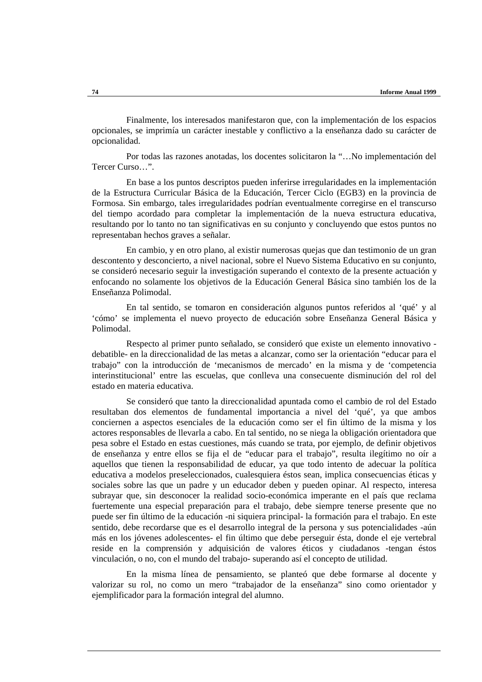Finalmente, los interesados manifestaron que, con la implementación de los espacios opcionales, se imprimía un carácter inestable y conflictivo a la enseñanza dado su carácter de opcionalidad.

Por todas las razones anotadas, los docentes solicitaron la "…No implementación del Tercer Curso…"

En base a los puntos descriptos pueden inferirse irregularidades en la implementación de la Estructura Curricular Básica de la Educación, Tercer Ciclo (EGB3) en la provincia de Formosa. Sin embargo, tales irregularidades podrían eventualmente corregirse en el transcurso del tiempo acordado para completar la implementación de la nueva estructura educativa, resultando por lo tanto no tan significativas en su conjunto y concluyendo que estos puntos no representaban hechos graves a señalar.

En cambio, y en otro plano, al existir numerosas quejas que dan testimonio de un gran descontento y desconcierto, a nivel nacional, sobre el Nuevo Sistema Educativo en su conjunto, se consideró necesario seguir la investigación superando el contexto de la presente actuación y enfocando no solamente los objetivos de la Educación General Básica sino también los de la Enseñanza Polimodal.

En tal sentido, se tomaron en consideración algunos puntos referidos al 'qué' y al 'cómo' se implementa el nuevo proyecto de educación sobre Enseñanza General Básica y Polimodal.

Respecto al primer punto señalado, se consideró que existe un elemento innovativo debatible- en la direccionalidad de las metas a alcanzar, como ser la orientación "educar para el trabajo" con la introducción de 'mecanismos de mercado' en la misma y de 'competencia interinstitucional' entre las escuelas, que conlleva una consecuente disminución del rol del estado en materia educativa.

Se consideró que tanto la direccionalidad apuntada como el cambio de rol del Estado resultaban dos elementos de fundamental importancia a nivel del 'qué', ya que ambos conciernen a aspectos esenciales de la educación como ser el fin último de la misma y los actores responsables de llevarla a cabo. En tal sentido, no se niega la obligación orientadora que pesa sobre el Estado en estas cuestiones, más cuando se trata, por ejemplo, de definir objetivos de enseñanza y entre ellos se fija el de "educar para el trabajo", resulta ilegítimo no oír a aquellos que tienen la responsabilidad de educar, ya que todo intento de adecuar la política educativa a modelos preseleccionados, cualesquiera éstos sean, implica consecuencias éticas y sociales sobre las que un padre y un educador deben y pueden opinar. Al respecto, interesa subrayar que, sin desconocer la realidad socio-económica imperante en el país que reclama fuertemente una especial preparación para el trabajo, debe siempre tenerse presente que no puede ser fin último de la educación -ni siquiera principal- la formación para el trabajo. En este sentido, debe recordarse que es el desarrollo integral de la persona y sus potencialidades -aún más en los jóvenes adolescentes- el fin último que debe perseguir ésta, donde el eje vertebral reside en la comprensión y adquisición de valores éticos y ciudadanos -tengan éstos vinculación, o no, con el mundo del trabajo- superando así el concepto de utilidad.

En la misma línea de pensamiento, se planteó que debe formarse al docente y valorizar su rol, no como un mero "trabajador de la enseñanza" sino como orientador y ejemplificador para la formación integral del alumno.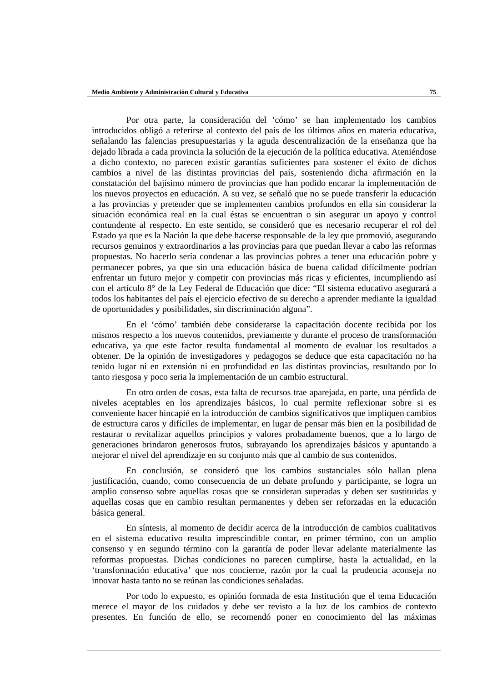Por otra parte, la consideración del 'cómo' se han implementado los cambios introducidos obligó a referirse al contexto del país de los últimos años en materia educativa, señalando las falencias presupuestarias y la aguda descentralización de la enseñanza que ha dejado librada a cada provincia la solución de la ejecución de la política educativa. Ateniéndose a dicho contexto, no parecen existir garantías suficientes para sostener el éxito de dichos cambios a nivel de las distintas provincias del país, sosteniendo dicha afirmación en la constatación del bajísimo número de provincias que han podido encarar la implementación de los nuevos proyectos en educación. A su vez, se señaló que no se puede transferir la educación a las provincias y pretender que se implementen cambios profundos en ella sin considerar la situación económica real en la cual éstas se encuentran o sin asegurar un apoyo y control contundente al respecto. En este sentido, se consideró que es necesario recuperar el rol del Estado ya que es la Nación la que debe hacerse responsable de la ley que promovió, asegurando recursos genuinos y extraordinarios a las provincias para que puedan llevar a cabo las reformas propuestas. No hacerlo sería condenar a las provincias pobres a tener una educación pobre y permanecer pobres, ya que sin una educación básica de buena calidad difícilmente podrían enfrentar un futuro mejor y competir con provincias más ricas y eficientes, incumpliendo así con el artículo 8° de la Ley Federal de Educación que dice: "El sistema educativo asegurará a todos los habitantes del país el ejercicio efectivo de su derecho a aprender mediante la igualdad de oportunidades y posibilidades, sin discriminación alguna".

En el 'cómo' también debe considerarse la capacitación docente recibida por los mismos respecto a los nuevos contenidos, previamente y durante el proceso de transformación educativa, ya que este factor resulta fundamental al momento de evaluar los resultados a obtener. De la opinión de investigadores y pedagogos se deduce que esta capacitación no ha tenido lugar ni en extensión ni en profundidad en las distintas provincias, resultando por lo tanto riesgosa y poco seria la implementación de un cambio estructural.

En otro orden de cosas, esta falta de recursos trae aparejada, en parte, una pérdida de niveles aceptables en los aprendizajes básicos, lo cual permite reflexionar sobre si es conveniente hacer hincapié en la introducción de cambios significativos que impliquen cambios de estructura caros y difíciles de implementar, en lugar de pensar más bien en la posibilidad de restaurar o revitalizar aquellos principios y valores probadamente buenos, que a lo largo de generaciones brindaron generosos frutos, subrayando los aprendizajes básicos y apuntando a mejorar el nivel del aprendizaje en su conjunto más que al cambio de sus contenidos.

En conclusión, se consideró que los cambios sustanciales sólo hallan plena justificación, cuando, como consecuencia de un debate profundo y participante, se logra un amplio consenso sobre aquellas cosas que se consideran superadas y deben ser sustituidas y aquellas cosas que en cambio resultan permanentes y deben ser reforzadas en la educación básica general.

En síntesis, al momento de decidir acerca de la introducción de cambios cualitativos en el sistema educativo resulta imprescindible contar, en primer término, con un amplio consenso y en segundo término con la garantía de poder llevar adelante materialmente las reformas propuestas. Dichas condiciones no parecen cumplirse, hasta la actualidad, en la 'transformación educativa' que nos concierne, razón por la cual la prudencia aconseja no innovar hasta tanto no se reúnan las condiciones señaladas.

Por todo lo expuesto, es opinión formada de esta Institución que el tema Educación merece el mayor de los cuidados y debe ser revisto a la luz de los cambios de contexto presentes. En función de ello, se recomendó poner en conocimiento del las máximas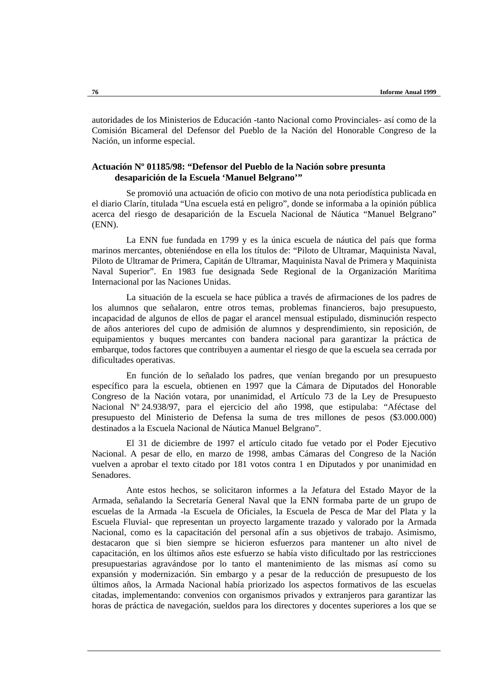autoridades de los Ministerios de Educación -tanto Nacional como Provinciales- así como de la Comisión Bicameral del Defensor del Pueblo de la Nación del Honorable Congreso de la Nación, un informe especial.

### **Actuación Nº 01185/98: "Defensor del Pueblo de la Nación sobre presunta desaparición de la Escuela 'Manuel Belgrano'"**

Se promovió una actuación de oficio con motivo de una nota periodística publicada en el diario Clarín, titulada "Una escuela está en peligro", donde se informaba a la opinión pública acerca del riesgo de desaparición de la Escuela Nacional de Náutica "Manuel Belgrano" (ENN).

La ENN fue fundada en 1799 y es la única escuela de náutica del país que forma marinos mercantes, obteniéndose en ella los títulos de: "Piloto de Ultramar, Maquinista Naval, Piloto de Ultramar de Primera, Capitán de Ultramar, Maquinista Naval de Primera y Maquinista Naval Superior". En 1983 fue designada Sede Regional de la Organización Marítima Internacional por las Naciones Unidas.

La situación de la escuela se hace pública a través de afirmaciones de los padres de los alumnos que señalaron, entre otros temas, problemas financieros, bajo presupuesto, incapacidad de algunos de ellos de pagar el arancel mensual estipulado, disminución respecto de años anteriores del cupo de admisión de alumnos y desprendimiento, sin reposición, de equipamientos y buques mercantes con bandera nacional para garantizar la práctica de embarque, todos factores que contribuyen a aumentar el riesgo de que la escuela sea cerrada por dificultades operativas.

En función de lo señalado los padres, que venían bregando por un presupuesto específico para la escuela, obtienen en 1997 que la Cámara de Diputados del Honorable Congreso de la Nación votara, por unanimidad, el Artículo 73 de la Ley de Presupuesto Nacional Nº 24.938/97, para el ejercicio del año 1998, que estipulaba: "Aféctase del presupuesto del Ministerio de Defensa la suma de tres millones de pesos (\$3.000.000) destinados a la Escuela Nacional de Náutica Manuel Belgrano".

El 31 de diciembre de 1997 el artículo citado fue vetado por el Poder Ejecutivo Nacional. A pesar de ello, en marzo de 1998, ambas Cámaras del Congreso de la Nación vuelven a aprobar el texto citado por 181 votos contra 1 en Diputados y por unanimidad en Senadores.

Ante estos hechos, se solicitaron informes a la Jefatura del Estado Mayor de la Armada, señalando la Secretaría General Naval que la ENN formaba parte de un grupo de escuelas de la Armada -la Escuela de Oficiales, la Escuela de Pesca de Mar del Plata y la Escuela Fluvial- que representan un proyecto largamente trazado y valorado por la Armada Nacional, como es la capacitación del personal afín a sus objetivos de trabajo. Asimismo, destacaron que si bien siempre se hicieron esfuerzos para mantener un alto nivel de capacitación, en los últimos años este esfuerzo se había visto dificultado por las restricciones presupuestarias agravándose por lo tanto el mantenimiento de las mismas así como su expansión y modernización. Sin embargo y a pesar de la reducción de presupuesto de los últimos años, la Armada Nacional había priorizado los aspectos formativos de las escuelas citadas, implementando: convenios con organismos privados y extranjeros para garantizar las horas de práctica de navegación, sueldos para los directores y docentes superiores a los que se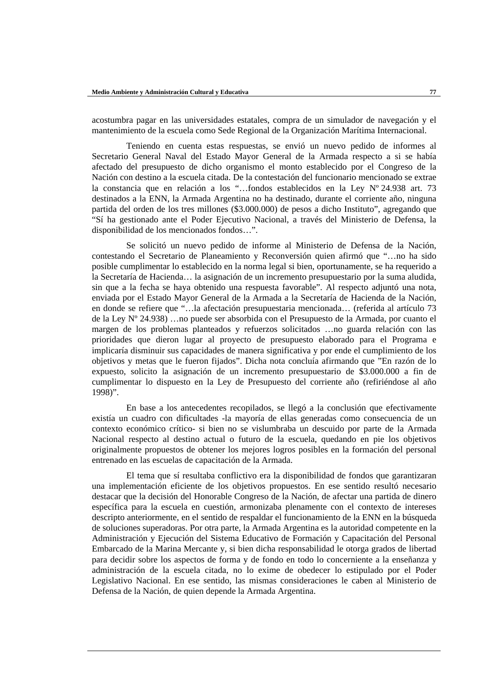acostumbra pagar en las universidades estatales, compra de un simulador de navegación y el mantenimiento de la escuela como Sede Regional de la Organización Marítima Internacional.

Teniendo en cuenta estas respuestas, se envió un nuevo pedido de informes al Secretario General Naval del Estado Mayor General de la Armada respecto a si se había afectado del presupuesto de dicho organismo el monto establecido por el Congreso de la Nación con destino a la escuela citada. De la contestación del funcionario mencionado se extrae la constancia que en relación a los "…fondos establecidos en la Ley Nº 24.938 art. 73 destinados a la ENN, la Armada Argentina no ha destinado, durante el corriente año, ninguna partida del orden de los tres millones (\$3.000.000) de pesos a dicho Instituto", agregando que "Sí ha gestionado ante el Poder Ejecutivo Nacional, a través del Ministerio de Defensa, la disponibilidad de los mencionados fondos…".

Se solicitó un nuevo pedido de informe al Ministerio de Defensa de la Nación, contestando el Secretario de Planeamiento y Reconversión quien afirmó que "…no ha sido posible cumplimentar lo establecido en la norma legal si bien, oportunamente, se ha requerido a la Secretaría de Hacienda… la asignación de un incremento presupuestario por la suma aludida, sin que a la fecha se haya obtenido una respuesta favorable". Al respecto adjuntó una nota, enviada por el Estado Mayor General de la Armada a la Secretaría de Hacienda de la Nación, en donde se refiere que "…la afectación presupuestaria mencionada… (referida al artículo 73 de la Ley Nº 24.938) …no puede ser absorbida con el Presupuesto de la Armada, por cuanto el margen de los problemas planteados y refuerzos solicitados …no guarda relación con las prioridades que dieron lugar al proyecto de presupuesto elaborado para el Programa e implicaría disminuir sus capacidades de manera significativa y por ende el cumplimiento de los objetivos y metas que le fueron fijados". Dicha nota concluía afirmando que "En razón de lo expuesto, solicito la asignación de un incremento presupuestario de \$3.000.000 a fin de cumplimentar lo dispuesto en la Ley de Presupuesto del corriente año (refiriéndose al año 1998)".

En base a los antecedentes recopilados, se llegó a la conclusión que efectivamente existía un cuadro con dificultades -la mayoría de ellas generadas como consecuencia de un contexto económico crítico- si bien no se vislumbraba un descuido por parte de la Armada Nacional respecto al destino actual o futuro de la escuela, quedando en pie los objetivos originalmente propuestos de obtener los mejores logros posibles en la formación del personal entrenado en las escuelas de capacitación de la Armada.

El tema que sí resultaba conflictivo era la disponibilidad de fondos que garantizaran una implementación eficiente de los objetivos propuestos. En ese sentido resultó necesario destacar que la decisión del Honorable Congreso de la Nación, de afectar una partida de dinero específica para la escuela en cuestión, armonizaba plenamente con el contexto de intereses descripto anteriormente, en el sentido de respaldar el funcionamiento de la ENN en la búsqueda de soluciones superadoras. Por otra parte, la Armada Argentina es la autoridad competente en la Administración y Ejecución del Sistema Educativo de Formación y Capacitación del Personal Embarcado de la Marina Mercante y, si bien dicha responsabilidad le otorga grados de libertad para decidir sobre los aspectos de forma y de fondo en todo lo concerniente a la enseñanza y administración de la escuela citada, no lo exime de obedecer lo estipulado por el Poder Legislativo Nacional. En ese sentido, las mismas consideraciones le caben al Ministerio de Defensa de la Nación, de quien depende la Armada Argentina.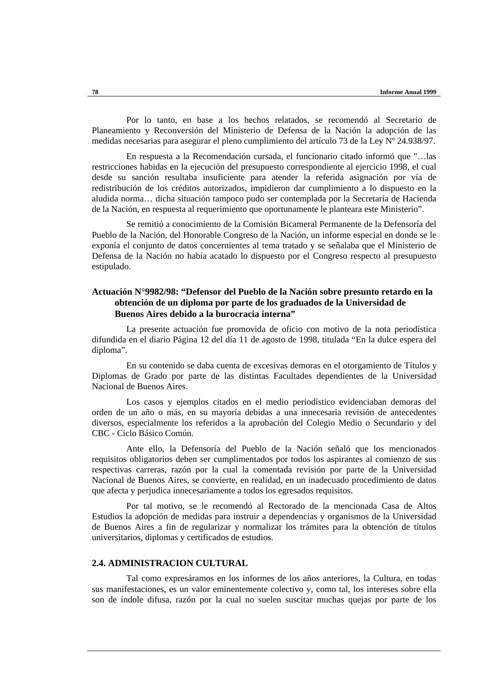Por lo tanto, en base a los hechos relatados, se recomendó al Secretario de Planeamiento y Reconversión del Ministerio de Defensa de la Nación la adopción de las medidas necesarias para asegurar el pleno cumplimiento del artículo 73 de la Ley Nº 24.938/97.

En respuesta a la Recomendación cursada, el funcionario citado informó que "…las restricciones habidas en la ejecución del presupuesto correspondiente al ejercicio 1998, el cual desde su sanción resultaba insuficiente para atender la referida asignación por vía de redistribución de los créditos autorizados, impidieron dar cumplimiento a lo dispuesto en la aludida norma… dicha situación tampoco pudo ser contemplada por la Secretaría de Hacienda de la Nación, en respuesta al requerimiento que oportunamente le planteara este Ministerio".

Se remitió a conocimiento de la Comisión Bicameral Permanente de la Defensoría del Pueblo de la Nación, del Honorable Congreso de la Nación, un informe especial en donde se le exponía el conjunto de datos concernientes al tema tratado y se señalaba que el Ministerio de Defensa de la Nación no había acatado lo dispuesto por el Congreso respecto al presupuesto estipulado.

### **Actuación N°9982/98: "Defensor del Pueblo de la Nación sobre presunto retardo en la obtención de un diploma por parte de los graduados de la Universidad de Buenos Aires debido a la burocracia interna"**

La presente actuación fue promovida de oficio con motivo de la nota periodística difundida en el diario Página 12 del día 11 de agosto de 1998, titulada "En la dulce espera del diploma".

En su contenido se daba cuenta de excesivas demoras en el otorgamiento de Títulos y Diplomas de Grado por parte de las distintas Facultades dependientes de la Universidad Nacional de Buenos Aires.

Los casos y ejemplos citados en el medio periodístico evidenciaban demoras del orden de un año o más, en su mayoría debidas a una innecesaria revisión de antecedentes diversos, especialmente los referidos a la aprobación del Colegio Medio o Secundario y del CBC - Ciclo Básico Común.

Ante ello, la Defensoría del Pueblo de la Nación señaló que los mencionados requisitos obligatorios deben ser cumplimentados por todos los aspirantes al comienzo de sus respectivas carreras, razón por la cual la comentada revisión por parte de la Universidad Nacional de Buenos Aires, se convierte, en realidad, en un inadecuado procedimiento de datos que afecta y perjudica innecesariamente a todos los egresados requisitos.

Por tal motivo, se le recomendó al Rectorado de la mencionada Casa de Altos Estudios la adopción de medidas para instruir a dependencias y organismos de la Universidad de Buenos Aires a fin de regularizar y normalizar los trámites para la obtención de títulos universitarios, diplomas y certificados de estudios.

### **2.4. ADMINISTRACION CULTURAL**

Tal como expresáramos en los informes de los años anteriores, la Cultura, en todas sus manifestaciones, es un valor eminentemente colectivo y, como tal, los intereses sobre ella son de índole difusa, razón por la cual no suelen suscitar muchas quejas por parte de los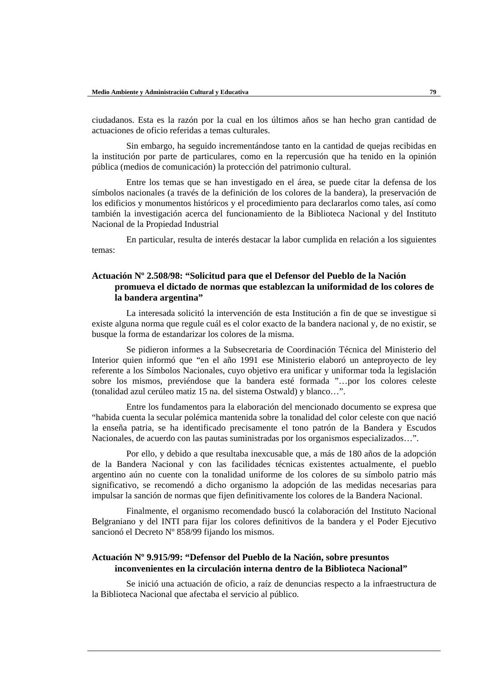ciudadanos. Esta es la razón por la cual en los últimos años se han hecho gran cantidad de actuaciones de oficio referidas a temas culturales.

Sin embargo, ha seguido incrementándose tanto en la cantidad de quejas recibidas en la institución por parte de particulares, como en la repercusión que ha tenido en la opinión pública (medios de comunicación) la protección del patrimonio cultural.

Entre los temas que se han investigado en el área, se puede citar la defensa de los símbolos nacionales (a través de la definición de los colores de la bandera), la preservación de los edificios y monumentos históricos y el procedimiento para declararlos como tales, así como también la investigación acerca del funcionamiento de la Biblioteca Nacional y del Instituto Nacional de la Propiedad Industrial

En particular, resulta de interés destacar la labor cumplida en relación a los siguientes temas:

## **Actuación Nº 2.508/98: "Solicitud para que el Defensor del Pueblo de la Nación promueva el dictado de normas que establezcan la uniformidad de los colores de la bandera argentina"**

La interesada solicitó la intervención de esta Institución a fin de que se investigue si existe alguna norma que regule cuál es el color exacto de la bandera nacional y, de no existir, se busque la forma de estandarizar los colores de la misma.

Se pidieron informes a la Subsecretaria de Coordinación Técnica del Ministerio del Interior quien informó que "en el año 1991 ese Ministerio elaboró un anteproyecto de ley referente a los Símbolos Nacionales, cuyo objetivo era unificar y uniformar toda la legislación sobre los mismos, previéndose que la bandera esté formada "…por los colores celeste (tonalidad azul cerúleo matiz 15 na. del sistema Ostwald) y blanco…".

Entre los fundamentos para la elaboración del mencionado documento se expresa que "habida cuenta la secular polémica mantenida sobre la tonalidad del color celeste con que nació la enseña patria, se ha identificado precisamente el tono patrón de la Bandera y Escudos Nacionales, de acuerdo con las pautas suministradas por los organismos especializados…".

Por ello, y debido a que resultaba inexcusable que, a más de 180 años de la adopción de la Bandera Nacional y con las facilidades técnicas existentes actualmente, el pueblo argentino aún no cuente con la tonalidad uniforme de los colores de su símbolo patrio más significativo, se recomendó a dicho organismo la adopción de las medidas necesarias para impulsar la sanción de normas que fijen definitivamente los colores de la Bandera Nacional.

Finalmente, el organismo recomendado buscó la colaboración del Instituto Nacional Belgraniano y del INTI para fijar los colores definitivos de la bandera y el Poder Ejecutivo sancionó el Decreto Nº 858/99 fijando los mismos.

### **Actuación Nº 9.915/99: "Defensor del Pueblo de la Nación, sobre presuntos inconvenientes en la circulación interna dentro de la Biblioteca Nacional"**

Se inició una actuación de oficio, a raíz de denuncias respecto a la infraestructura de la Biblioteca Nacional que afectaba el servicio al público.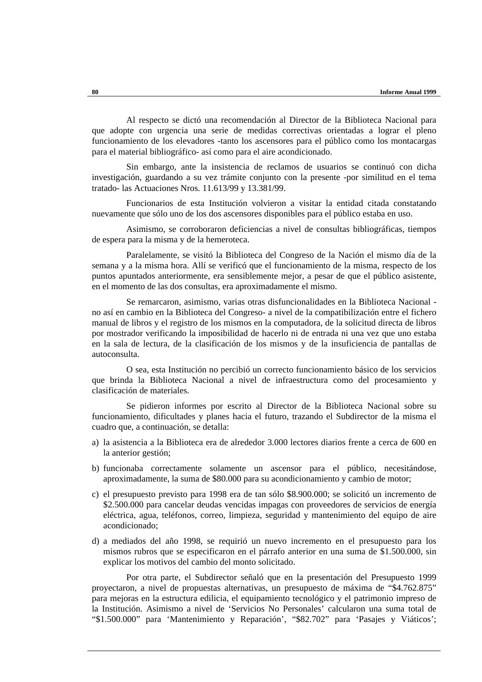Al respecto se dictó una recomendación al Director de la Biblioteca Nacional para que adopte con urgencia una serie de medidas correctivas orientadas a lograr el pleno funcionamiento de los elevadores -tanto los ascensores para el público como los montacargas para el material bibliográfico- así como para el aire acondicionado.

Sin embargo, ante la insistencia de reclamos de usuarios se continuó con dicha investigación, guardando a su vez trámite conjunto con la presente -por similitud en el tema tratado- las Actuaciones Nros. 11.613/99 y 13.381/99.

Funcionarios de esta Institución volvieron a visitar la entidad citada constatando nuevamente que sólo uno de los dos ascensores disponibles para el público estaba en uso.

Asimismo, se corroboraron deficiencias a nivel de consultas bibliográficas, tiempos de espera para la misma y de la hemeroteca.

Paralelamente, se visitó la Biblioteca del Congreso de la Nación el mismo día de la semana y a la misma hora. Allí se verificó que el funcionamiento de la misma, respecto de los puntos apuntados anteriormente, era sensiblemente mejor, a pesar de que el público asistente, en el momento de las dos consultas, era aproximadamente el mismo.

Se remarcaron, asimismo, varias otras disfuncionalidades en la Biblioteca Nacional no así en cambio en la Biblioteca del Congreso- a nivel de la compatibilización entre el fichero manual de libros y el registro de los mismos en la computadora, de la solicitud directa de libros por mostrador verificando la imposibilidad de hacerlo ni de entrada ni una vez que uno estaba en la sala de lectura, de la clasificación de los mismos y de la insuficiencia de pantallas de autoconsulta.

O sea, esta Institución no percibió un correcto funcionamiento básico de los servicios que brinda la Biblioteca Nacional a nivel de infraestructura como del procesamiento y clasificación de materiales.

Se pidieron informes por escrito al Director de la Biblioteca Nacional sobre su funcionamiento, dificultades y planes hacia el futuro, trazando el Subdirector de la misma el cuadro que, a continuación, se detalla:

- a) la asistencia a la Biblioteca era de alrededor 3.000 lectores diarios frente a cerca de 600 en la anterior gestión;
- b) funcionaba correctamente solamente un ascensor para el público, necesitándose, aproximadamente, la suma de \$80.000 para su acondicionamiento y cambio de motor;
- c) el presupuesto previsto para 1998 era de tan sólo \$8.900.000; se solicitó un incremento de \$2.500.000 para cancelar deudas vencidas impagas con proveedores de servicios de energía eléctrica, agua, teléfonos, correo, limpieza, seguridad y mantenimiento del equipo de aire acondicionado;
- d) a mediados del año 1998, se requirió un nuevo incremento en el presupuesto para los mismos rubros que se especificaron en el párrafo anterior en una suma de \$1.500.000, sin explicar los motivos del cambio del monto solicitado.

Por otra parte, el Subdirector señaló que en la presentación del Presupuesto 1999 proyectaron, a nivel de propuestas alternativas, un presupuesto de máxima de "\$4.762.875" para mejoras en la estructura edilicia, el equipamiento tecnológico y el patrimonio impreso de la Institución. Asimismo a nivel de 'Servicios No Personales' calcularon una suma total de "\$1.500.000" para 'Mantenimiento y Reparación', "\$82.702" para 'Pasajes y Viáticos';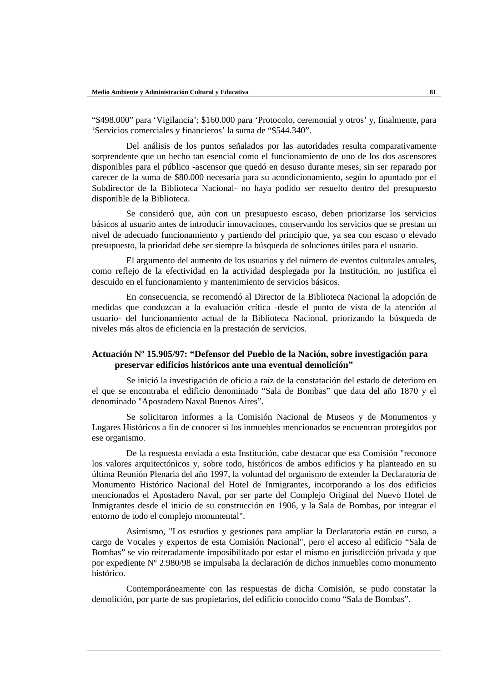"\$498.000" para 'Vigilancia'; \$160.000 para 'Protocolo, ceremonial y otros' y, finalmente, para 'Servicios comerciales y financieros' la suma de "\$544.340".

Del análisis de los puntos señalados por las autoridades resulta comparativamente sorprendente que un hecho tan esencial como el funcionamiento de uno de los dos ascensores disponibles para el público -ascensor que quedó en desuso durante meses, sin ser reparado por carecer de la suma de \$80.000 necesaria para su acondicionamiento, según lo apuntado por el Subdirector de la Biblioteca Nacional- no haya podido ser resuelto dentro del presupuesto disponible de la Biblioteca.

Se consideró que, aún con un presupuesto escaso, deben priorizarse los servicios básicos al usuario antes de introducir innovaciones, conservando los servicios que se prestan un nivel de adecuado funcionamiento y partiendo del principio que, ya sea con escaso o elevado presupuesto, la prioridad debe ser siempre la búsqueda de soluciones útiles para el usuario.

El argumento del aumento de los usuarios y del número de eventos culturales anuales, como reflejo de la efectividad en la actividad desplegada por la Institución, no justifica el descuido en el funcionamiento y mantenimiento de servicios básicos.

En consecuencia, se recomendó al Director de la Biblioteca Nacional la adopción de medidas que conduzcan a la evaluación crítica -desde el punto de vista de la atención al usuario- del funcionamiento actual de la Biblioteca Nacional, priorizando la búsqueda de niveles más altos de eficiencia en la prestación de servicios.

### **Actuación Nº 15.905/97: "Defensor del Pueblo de la Nación, sobre investigación para preservar edificios históricos ante una eventual demolición"**

Se inició la investigación de oficio a raíz de la constatación del estado de deterioro en el que se encontraba el edificio denominado "Sala de Bombas" que data del año 1870 y el denominado "Apostadero Naval Buenos Aires".

Se solicitaron informes a la Comisión Nacional de Museos y de Monumentos y Lugares Históricos a fin de conocer si los inmuebles mencionados se encuentran protegidos por ese organismo.

De la respuesta enviada a esta Institución, cabe destacar que esa Comisión "reconoce los valores arquitectónicos y, sobre todo, históricos de ambos edificios y ha planteado en su última Reunión Plenaria del año 1997, la voluntad del organismo de extender la Declaratoria de Monumento Histórico Nacional del Hotel de Inmigrantes, incorporando a los dos edificios mencionados el Apostadero Naval, por ser parte del Complejo Original del Nuevo Hotel de Inmigrantes desde el inicio de su construcción en 1906, y la Sala de Bombas, por integrar el entorno de todo el complejo monumental".

Asimismo, "Los estudios y gestiones para ampliar la Declaratoria están en curso, a cargo de Vocales y expertos de esta Comisión Nacional", pero el acceso al edificio "Sala de Bombas" se vio reiteradamente imposibilitado por estar el mismo en jurisdicción privada y que por expediente Nº 2.980/98 se impulsaba la declaración de dichos inmuebles como monumento histórico.

Contemporáneamente con las respuestas de dicha Comisión, se pudo constatar la demolición, por parte de sus propietarios, del edificio conocido como "Sala de Bombas".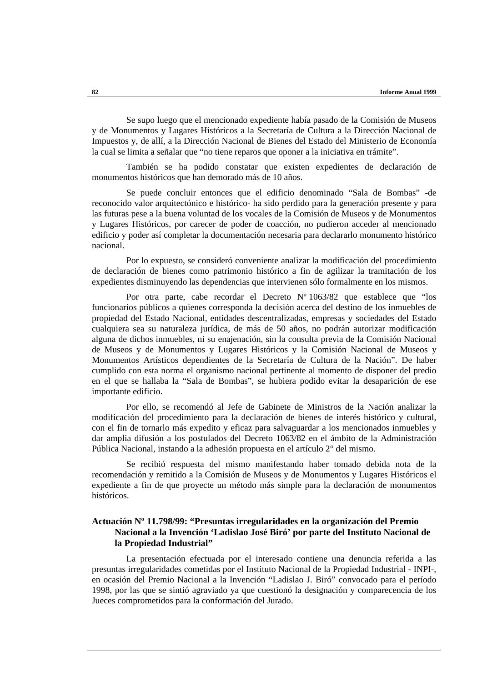Se supo luego que el mencionado expediente había pasado de la Comisión de Museos y de Monumentos y Lugares Históricos a la Secretaría de Cultura a la Dirección Nacional de Impuestos y, de allí, a la Dirección Nacional de Bienes del Estado del Ministerio de Economía la cual se limita a señalar que "no tiene reparos que oponer a la iniciativa en trámite".

También se ha podido constatar que existen expedientes de declaración de monumentos históricos que han demorado más de 10 años.

Se puede concluir entonces que el edificio denominado "Sala de Bombas" -de reconocido valor arquitectónico e histórico- ha sido perdido para la generación presente y para las futuras pese a la buena voluntad de los vocales de la Comisión de Museos y de Monumentos y Lugares Históricos, por carecer de poder de coacción, no pudieron acceder al mencionado edificio y poder así completar la documentación necesaria para declararlo monumento histórico nacional.

Por lo expuesto, se consideró conveniente analizar la modificación del procedimiento de declaración de bienes como patrimonio histórico a fin de agilizar la tramitación de los expedientes disminuyendo las dependencias que intervienen sólo formalmente en los mismos.

Por otra parte, cabe recordar el Decreto Nº 1063/82 que establece que "los funcionarios públicos a quienes corresponda la decisión acerca del destino de los inmuebles de propiedad del Estado Nacional, entidades descentralizadas, empresas y sociedades del Estado cualquiera sea su naturaleza jurídica, de más de 50 años, no podrán autorizar modificación alguna de dichos inmuebles, ni su enajenación, sin la consulta previa de la Comisión Nacional de Museos y de Monumentos y Lugares Históricos y la Comisión Nacional de Museos y Monumentos Artísticos dependientes de la Secretaría de Cultura de la Nación". De haber cumplido con esta norma el organismo nacional pertinente al momento de disponer del predio en el que se hallaba la "Sala de Bombas", se hubiera podido evitar la desaparición de ese importante edificio.

Por ello, se recomendó al Jefe de Gabinete de Ministros de la Nación analizar la modificación del procedimiento para la declaración de bienes de interés histórico y cultural, con el fin de tornarlo más expedito y eficaz para salvaguardar a los mencionados inmuebles y dar amplia difusión a los postulados del Decreto 1063/82 en el ámbito de la Administración Pública Nacional, instando a la adhesión propuesta en el artículo 2° del mismo.

Se recibió respuesta del mismo manifestando haber tomado debida nota de la recomendación y remitido a la Comisión de Museos y de Monumentos y Lugares Históricos el expediente a fin de que proyecte un método más simple para la declaración de monumentos históricos.

## **Actuación Nº 11.798/99: "Presuntas irregularidades en la organización del Premio Nacional a la Invención 'Ladislao José Biró' por parte del Instituto Nacional de la Propiedad Industrial"**

La presentación efectuada por el interesado contiene una denuncia referida a las presuntas irregularidades cometidas por el Instituto Nacional de la Propiedad Industrial - INPI-, en ocasión del Premio Nacional a la Invención "Ladislao J. Biró" convocado para el período 1998, por las que se sintió agraviado ya que cuestionó la designación y comparecencia de los Jueces comprometidos para la conformación del Jurado.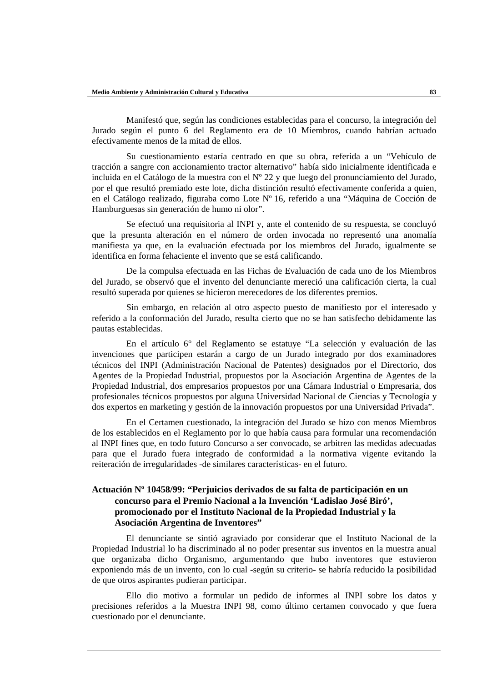Manifestó que, según las condiciones establecidas para el concurso, la integración del Jurado según el punto 6 del Reglamento era de 10 Miembros, cuando habrían actuado efectivamente menos de la mitad de ellos.

Su cuestionamiento estaría centrado en que su obra, referida a un "Vehículo de tracción a sangre con accionamiento tractor alternativo" había sido inicialmente identificada e incluida en el Catálogo de la muestra con el Nº 22 y que luego del pronunciamiento del Jurado, por el que resultó premiado este lote, dicha distinción resultó efectivamente conferida a quien, en el Catálogo realizado, figuraba como Lote Nº 16, referido a una "Máquina de Cocción de Hamburguesas sin generación de humo ni olor".

Se efectuó una requisitoria al INPI y, ante el contenido de su respuesta, se concluyó que la presunta alteración en el número de orden invocada no representó una anomalía manifiesta ya que, en la evaluación efectuada por los miembros del Jurado, igualmente se identifica en forma fehaciente el invento que se está calificando.

De la compulsa efectuada en las Fichas de Evaluación de cada uno de los Miembros del Jurado, se observó que el invento del denunciante mereció una calificación cierta, la cual resultó superada por quienes se hicieron merecedores de los diferentes premios.

Sin embargo, en relación al otro aspecto puesto de manifiesto por el interesado y referido a la conformación del Jurado, resulta cierto que no se han satisfecho debidamente las pautas establecidas.

En el artículo 6° del Reglamento se estatuye "La selección y evaluación de las invenciones que participen estarán a cargo de un Jurado integrado por dos examinadores técnicos del INPI (Administración Nacional de Patentes) designados por el Directorio, dos Agentes de la Propiedad Industrial, propuestos por la Asociación Argentina de Agentes de la Propiedad Industrial, dos empresarios propuestos por una Cámara Industrial o Empresaria, dos profesionales técnicos propuestos por alguna Universidad Nacional de Ciencias y Tecnología y dos expertos en marketing y gestión de la innovación propuestos por una Universidad Privada".

En el Certamen cuestionado, la integración del Jurado se hizo con menos Miembros de los establecidos en el Reglamento por lo que había causa para formular una recomendación al INPI fines que, en todo futuro Concurso a ser convocado, se arbitren las medidas adecuadas para que el Jurado fuera integrado de conformidad a la normativa vigente evitando la reiteración de irregularidades -de similares características- en el futuro.

### **Actuación Nº 10458/99: "Perjuicios derivados de su falta de participación en un concurso para el Premio Nacional a la Invención 'Ladislao José Biró', promocionado por el Instituto Nacional de la Propiedad Industrial y la Asociación Argentina de Inventores"**

El denunciante se sintió agraviado por considerar que el Instituto Nacional de la Propiedad Industrial lo ha discriminado al no poder presentar sus inventos en la muestra anual que organizaba dicho Organismo, argumentando que hubo inventores que estuvieron exponiendo más de un invento, con lo cual -según su criterio- se habría reducido la posibilidad de que otros aspirantes pudieran participar.

Ello dio motivo a formular un pedido de informes al INPI sobre los datos y precisiones referidos a la Muestra INPI 98, como último certamen convocado y que fuera cuestionado por el denunciante.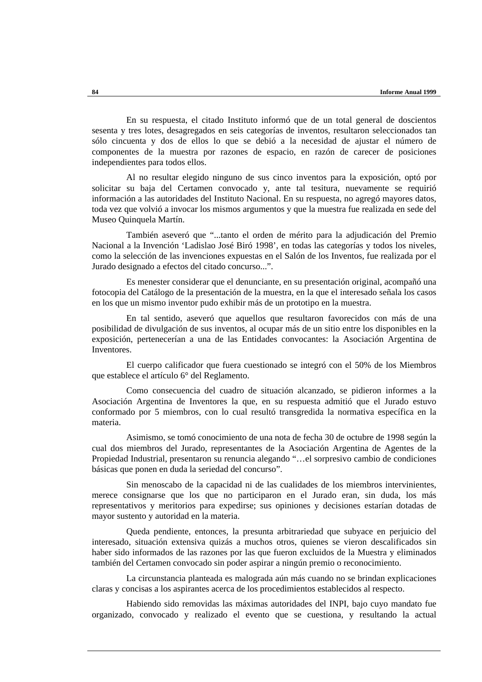En su respuesta, el citado Instituto informó que de un total general de doscientos sesenta y tres lotes, desagregados en seis categorías de inventos, resultaron seleccionados tan sólo cincuenta y dos de ellos lo que se debió a la necesidad de ajustar el número de componentes de la muestra por razones de espacio, en razón de carecer de posiciones independientes para todos ellos.

Al no resultar elegido ninguno de sus cinco inventos para la exposición, optó por solicitar su baja del Certamen convocado y, ante tal tesitura, nuevamente se requirió información a las autoridades del Instituto Nacional. En su respuesta, no agregó mayores datos, toda vez que volvió a invocar los mismos argumentos y que la muestra fue realizada en sede del Museo Quinquela Martín.

También aseveró que "...tanto el orden de mérito para la adjudicación del Premio Nacional a la Invención 'Ladislao José Biró 1998', en todas las categorías y todos los niveles, como la selección de las invenciones expuestas en el Salón de los Inventos, fue realizada por el Jurado designado a efectos del citado concurso...".

Es menester considerar que el denunciante, en su presentación original, acompañó una fotocopia del Catálogo de la presentación de la muestra, en la que el interesado señala los casos en los que un mismo inventor pudo exhibir más de un prototipo en la muestra.

En tal sentido, aseveró que aquellos que resultaron favorecidos con más de una posibilidad de divulgación de sus inventos, al ocupar más de un sitio entre los disponibles en la exposición, pertenecerían a una de las Entidades convocantes: la Asociación Argentina de Inventores.

El cuerpo calificador que fuera cuestionado se integró con el 50% de los Miembros que establece el artículo 6° del Reglamento.

Como consecuencia del cuadro de situación alcanzado, se pidieron informes a la Asociación Argentina de Inventores la que, en su respuesta admitió que el Jurado estuvo conformado por 5 miembros, con lo cual resultó transgredida la normativa específica en la materia.

Asimismo, se tomó conocimiento de una nota de fecha 30 de octubre de 1998 según la cual dos miembros del Jurado, representantes de la Asociación Argentina de Agentes de la Propiedad Industrial, presentaron su renuncia alegando "…el sorpresivo cambio de condiciones básicas que ponen en duda la seriedad del concurso".

Sin menoscabo de la capacidad ni de las cualidades de los miembros intervinientes, merece consignarse que los que no participaron en el Jurado eran, sin duda, los más representativos y meritorios para expedirse; sus opiniones y decisiones estarían dotadas de mayor sustento y autoridad en la materia.

Queda pendiente, entonces, la presunta arbitrariedad que subyace en perjuicio del interesado, situación extensiva quizás a muchos otros, quienes se vieron descalificados sin haber sido informados de las razones por las que fueron excluidos de la Muestra y eliminados también del Certamen convocado sin poder aspirar a ningún premio o reconocimiento.

La circunstancia planteada es malograda aún más cuando no se brindan explicaciones claras y concisas a los aspirantes acerca de los procedimientos establecidos al respecto.

Habiendo sido removidas las máximas autoridades del INPI, bajo cuyo mandato fue organizado, convocado y realizado el evento que se cuestiona, y resultando la actual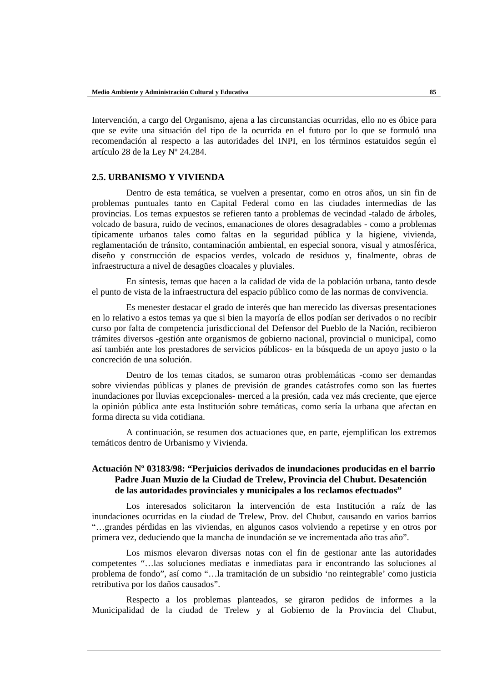Intervención, a cargo del Organismo, ajena a las circunstancias ocurridas, ello no es óbice para que se evite una situación del tipo de la ocurrida en el futuro por lo que se formuló una recomendación al respecto a las autoridades del INPI, en los términos estatuidos según el artículo 28 de la Ley Nº 24.284.

#### **2.5. URBANISMO Y VIVIENDA**

Dentro de esta temática, se vuelven a presentar, como en otros años, un sin fin de problemas puntuales tanto en Capital Federal como en las ciudades intermedias de las provincias. Los temas expuestos se refieren tanto a problemas de vecindad -talado de árboles, volcado de basura, ruido de vecinos, emanaciones de olores desagradables - como a problemas típicamente urbanos tales como faltas en la seguridad pública y la higiene, vivienda, reglamentación de tránsito, contaminación ambiental, en especial sonora, visual y atmosférica, diseño y construcción de espacios verdes, volcado de residuos y, finalmente, obras de infraestructura a nivel de desagües cloacales y pluviales.

En síntesis, temas que hacen a la calidad de vida de la población urbana, tanto desde el punto de vista de la infraestructura del espacio público como de las normas de convivencia.

Es menester destacar el grado de interés que han merecido las diversas presentaciones en lo relativo a estos temas ya que si bien la mayoría de ellos podían ser derivados o no recibir curso por falta de competencia jurisdiccional del Defensor del Pueblo de la Nación, recibieron trámites diversos -gestión ante organismos de gobierno nacional, provincial o municipal, como así también ante los prestadores de servicios públicos- en la búsqueda de un apoyo justo o la concreción de una solución.

Dentro de los temas citados, se sumaron otras problemáticas -como ser demandas sobre viviendas públicas y planes de previsión de grandes catástrofes como son las fuertes inundaciones por lluvias excepcionales- merced a la presión, cada vez más creciente, que ejerce la opinión pública ante esta lnstitución sobre temáticas, como sería la urbana que afectan en forma directa su vida cotidiana.

A continuación, se resumen dos actuaciones que, en parte, ejemplifican los extremos temáticos dentro de Urbanismo y Vivienda.

## **Actuación Nº 03183/98: "Perjuicios derivados de inundaciones producidas en el barrio Padre Juan Muzio de la Ciudad de Trelew, Provincia del Chubut. Desatención de las autoridades provinciales y municipales a los reclamos efectuados"**

Los interesados solicitaron la intervención de esta Institución a raíz de las inundaciones ocurridas en la ciudad de Trelew, Prov. del Chubut, causando en varios barrios "…grandes pérdidas en las viviendas, en algunos casos volviendo a repetirse y en otros por primera vez, deduciendo que la mancha de inundación se ve incrementada año tras año".

Los mismos elevaron diversas notas con el fin de gestionar ante las autoridades competentes "…las soluciones mediatas e inmediatas para ir encontrando las soluciones al problema de fondo", así como "…la tramitación de un subsidio 'no reintegrable' como justicia retributiva por los daños causados".

Respecto a los problemas planteados, se giraron pedidos de informes a la Municipalidad de la ciudad de Trelew y al Gobierno de la Provincia del Chubut,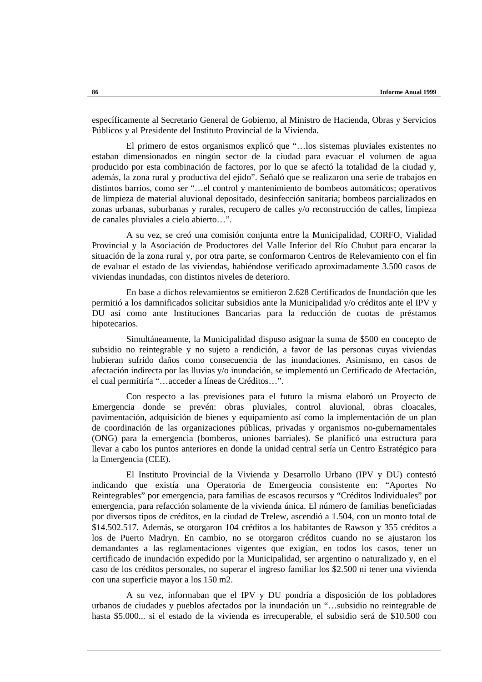específicamente al Secretario General de Gobierno, al Ministro de Hacienda, Obras y Servicios Públicos y al Presidente del Instituto Provincial de la Vivienda.

El primero de estos organismos explicó que "…los sistemas pluviales existentes no estaban dimensionados en ningún sector de la ciudad para evacuar el volumen de agua producido por esta combinación de factores, por lo que se afectó la totalidad de la ciudad y, además, la zona rural y productiva del ejido". Señaló que se realizaron una serie de trabajos en distintos barrios, como ser "…el control y mantenimiento de bombeos automáticos; operativos de limpieza de material aluvional depositado, desinfección sanitaria; bombeos parcializados en zonas urbanas, suburbanas y rurales, recupero de calles y/o reconstrucción de calles, limpieza de canales pluviales a cielo abierto…".

A su vez, se creó una comisión conjunta entre la Municipalidad, CORFO, Vialidad Provincial y la Asociación de Productores del Valle Inferior del Río Chubut para encarar la situación de la zona rural y, por otra parte, se conformaron Centros de Relevamiento con el fin de evaluar el estado de las viviendas, habiéndose verificado aproximadamente 3.500 casos de viviendas inundadas, con distintos niveles de deterioro.

En base a dichos relevamientos se emitieron 2.628 Certificados de Inundación que les permitió a los damnificados solicitar subsidios ante la Municipalidad y/o créditos ante el IPV y DU así como ante Instituciones Bancarias para la reducción de cuotas de préstamos hipotecarios.

Simultáneamente, la Municipalidad dispuso asignar la suma de \$500 en concepto de subsidio no reintegrable y no sujeto a rendición, a favor de las personas cuyas viviendas hubieran sufrido daños como consecuencia de las inundaciones. Asimismo, en casos de afectación indirecta por las lluvias y/o inundación, se implementó un Certificado de Afectación, el cual permitiría "…acceder a líneas de Créditos…".

Con respecto a las previsiones para el futuro la misma elaboró un Proyecto de Emergencia donde se prevén: obras pluviales, control aluvional, obras cloacales, pavimentación, adquisición de bienes y equipamiento así como la implementación de un plan de coordinación de las organizaciones públicas, privadas y organismos no-gubernamentales (ONG) para la emergencia (bomberos, uniones barriales). Se planificó una estructura para llevar a cabo los puntos anteriores en donde la unidad central sería un Centro Estratégico para la Emergencia (CEE).

El Instituto Provincial de la Vivienda y Desarrollo Urbano (IPV y DU) contestó indicando que existía una Operatoria de Emergencia consistente en: "Aportes No Reintegrables" por emergencia, para familias de escasos recursos y "Créditos Individuales" por emergencia, para refacción solamente de la vivienda única. El número de familias beneficiadas por diversos tipos de créditos, en la ciudad de Trelew, ascendió a 1.504, con un monto total de \$14.502.517. Además, se otorgaron 104 créditos a los habitantes de Rawson y 355 créditos a los de Puerto Madryn. En cambio, no se otorgaron créditos cuando no se ajustaron los demandantes a las reglamentaciones vigentes que exigían, en todos los casos, tener un certificado de inundación expedido por la Municipalidad, ser argentino o naturalizado y, en el caso de los créditos personales, no superar el ingreso familiar los \$2.500 ni tener una vivienda con una superficie mayor a los 150 m2.

A su vez, informaban que el IPV y DU pondría a disposición de los pobladores urbanos de ciudades y pueblos afectados por la inundación un "…subsidio no reintegrable de hasta \$5.000... si el estado de la vivienda es irrecuperable, el subsidio será de \$10.500 con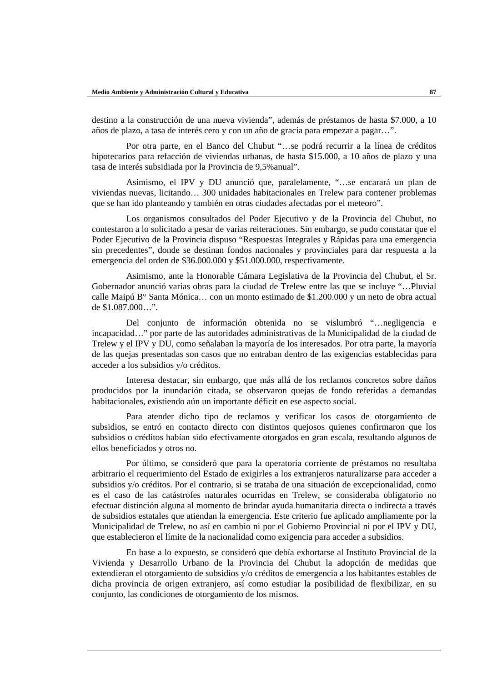destino a la construcción de una nueva vivienda", además de préstamos de hasta \$7.000, a 10 años de plazo, a tasa de interés cero y con un año de gracia para empezar a pagar…".

Por otra parte, en el Banco del Chubut "…se podrá recurrir a la línea de créditos hipotecarios para refacción de viviendas urbanas, de hasta \$15.000, a 10 años de plazo y una tasa de interés subsidiada por la Provincia de 9,5%anual".

Asimismo, el IPV y DU anunció que, paralelamente, "…se encarará un plan de viviendas nuevas, licitando… 300 unidades habitacionales en Trelew para contener problemas que se han ido planteando y también en otras ciudades afectadas por el meteoro".

Los organismos consultados del Poder Ejecutivo y de la Provincia del Chubut, no contestaron a lo solicitado a pesar de varias reiteraciones. Sin embargo, se pudo constatar que el Poder Ejecutivo de la Provincia dispuso "Respuestas Integrales y Rápidas para una emergencia sin precedentes", donde se destinan fondos nacionales y provinciales para dar respuesta a la emergencia del orden de \$36.000.000 y \$51.000.000, respectivamente.

Asimismo, ante la Honorable Cámara Legislativa de la Provincia del Chubut, el Sr. Gobernador anunció varias obras para la ciudad de Trelew entre las que se incluye "…Pluvial calle Maipú B° Santa Mónica… con un monto estimado de \$1.200.000 y un neto de obra actual de \$1.087.000…".

Del conjunto de información obtenida no se vislumbró "…negligencia e incapacidad…" por parte de las autoridades administrativas de la Municipalidad de la ciudad de Trelew y el IPV y DU, como señalaban la mayoría de los interesados. Por otra parte, la mayoría de las quejas presentadas son casos que no entraban dentro de las exigencias establecidas para acceder a los subsidios y/o créditos.

Interesa destacar, sin embargo, que más allá de los reclamos concretos sobre daños producidos por la inundación citada, se observaron quejas de fondo referidas a demandas habitacionales, existiendo aún un importante déficit en ese aspecto social.

Para atender dicho tipo de reclamos y verificar los casos de otorgamiento de subsidios, se entró en contacto directo con distintos quejosos quienes confirmaron que los subsidios o créditos habían sido efectivamente otorgados en gran escala, resultando algunos de ellos beneficiados y otros no.

Por último, se consideró que para la operatoria corriente de préstamos no resultaba arbitrario el requerimiento del Estado de exigirles a los extranjeros naturalizarse para acceder a subsidios y/o créditos. Por el contrario, si se trataba de una situación de excepcionalidad, como es el caso de las catástrofes naturales ocurridas en Trelew, se consideraba obligatorio no efectuar distinción alguna al momento de brindar ayuda humanitaria directa o indirecta a través de subsidios estatales que atiendan la emergencia. Este criterio fue aplicado ampliamente por la Municipalidad de Trelew, no así en cambio ni por el Gobierno Provincial ni por el IPV y DU, que establecieron el límite de la nacionalidad como exigencia para acceder a subsidios.

En base a lo expuesto, se consideró que debía exhortarse al Instituto Provincial de la Vivienda y Desarrollo Urbano de la Provincia del Chubut la adopción de medidas que extendieran el otorgamiento de subsidios y/o créditos de emergencia a los habitantes estables de dicha provincia de origen extranjero, así como estudiar la posibilidad de flexibilizar, en su conjunto, las condiciones de otorgamiento de los mismos.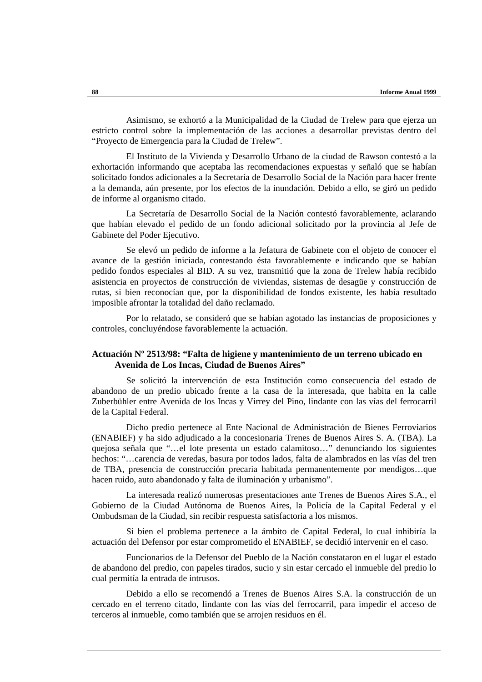Asimismo, se exhortó a la Municipalidad de la Ciudad de Trelew para que ejerza un estricto control sobre la implementación de las acciones a desarrollar previstas dentro del "Proyecto de Emergencia para la Ciudad de Trelew".

El Instituto de la Vivienda y Desarrollo Urbano de la ciudad de Rawson contestó a la exhortación informando que aceptaba las recomendaciones expuestas y señaló que se habían solicitado fondos adicionales a la Secretaría de Desarrollo Social de la Nación para hacer frente a la demanda, aún presente, por los efectos de la inundación. Debido a ello, se giró un pedido de informe al organismo citado.

La Secretaría de Desarrollo Social de la Nación contestó favorablemente, aclarando que habían elevado el pedido de un fondo adicional solicitado por la provincia al Jefe de Gabinete del Poder Ejecutivo.

Se elevó un pedido de informe a la Jefatura de Gabinete con el objeto de conocer el avance de la gestión iniciada, contestando ésta favorablemente e indicando que se habían pedido fondos especiales al BID. A su vez, transmitió que la zona de Trelew había recibido asistencia en proyectos de construcción de viviendas, sistemas de desagüe y construcción de rutas, si bien reconocían que, por la disponibilidad de fondos existente, les había resultado imposible afrontar la totalidad del daño reclamado.

Por lo relatado, se consideró que se habían agotado las instancias de proposiciones y controles, concluyéndose favorablemente la actuación.

### **Actuación Nº 2513/98: "Falta de higiene y mantenimiento de un terreno ubicado en Avenida de Los Incas, Ciudad de Buenos Aires"**

Se solicitó la intervención de esta Institución como consecuencia del estado de abandono de un predio ubicado frente a la casa de la interesada, que habita en la calle Zuberbühler entre Avenida de los Incas y Virrey del Pino, lindante con las vías del ferrocarril de la Capital Federal.

Dicho predio pertenece al Ente Nacional de Administración de Bienes Ferroviarios (ENABIEF) y ha sido adjudicado a la concesionaria Trenes de Buenos Aires S. A. (TBA). La quejosa señala que "…el lote presenta un estado calamitoso…" denunciando los siguientes hechos: "…carencia de veredas, basura por todos lados, falta de alambrados en las vías del tren de TBA, presencia de construcción precaria habitada permanentemente por mendigos…que hacen ruido, auto abandonado y falta de iluminación y urbanismo".

La interesada realizó numerosas presentaciones ante Trenes de Buenos Aires S.A., el Gobierno de la Ciudad Autónoma de Buenos Aires, la Policía de la Capital Federal y el Ombudsman de la Ciudad, sin recibir respuesta satisfactoria a los mismos.

Si bien el problema pertenece a la ámbito de Capital Federal, lo cual inhibiría la actuación del Defensor por estar comprometido el ENABIEF, se decidió intervenir en el caso.

Funcionarios de la Defensor del Pueblo de la Nación constataron en el lugar el estado de abandono del predio, con papeles tirados, sucio y sin estar cercado el inmueble del predio lo cual permitía la entrada de intrusos.

Debido a ello se recomendó a Trenes de Buenos Aires S.A. la construcción de un cercado en el terreno citado, lindante con las vías del ferrocarril, para impedir el acceso de terceros al inmueble, como también que se arrojen residuos en él.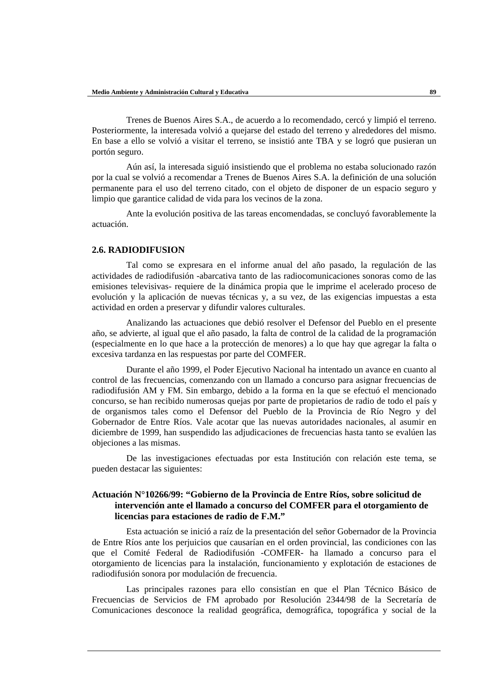Trenes de Buenos Aires S.A., de acuerdo a lo recomendado, cercó y limpió el terreno. Posteriormente, la interesada volvió a quejarse del estado del terreno y alrededores del mismo. En base a ello se volvió a visitar el terreno, se insistió ante TBA y se logró que pusieran un portón seguro.

Aún así, la interesada siguió insistiendo que el problema no estaba solucionado razón por la cual se volvió a recomendar a Trenes de Buenos Aires S.A. la definición de una solución permanente para el uso del terreno citado, con el objeto de disponer de un espacio seguro y limpio que garantice calidad de vida para los vecinos de la zona.

Ante la evolución positiva de las tareas encomendadas, se concluyó favorablemente la actuación.

#### **2.6. RADIODIFUSION**

Tal como se expresara en el informe anual del año pasado, la regulación de las actividades de radiodifusión -abarcativa tanto de las radiocomunicaciones sonoras como de las emisiones televisivas- requiere de la dinámica propia que le imprime el acelerado proceso de evolución y la aplicación de nuevas técnicas y, a su vez, de las exigencias impuestas a esta actividad en orden a preservar y difundir valores culturales.

Analizando las actuaciones que debió resolver el Defensor del Pueblo en el presente año, se advierte, al igual que el año pasado, la falta de control de la calidad de la programación (especialmente en lo que hace a la protección de menores) a lo que hay que agregar la falta o excesiva tardanza en las respuestas por parte del COMFER.

Durante el año 1999, el Poder Ejecutivo Nacional ha intentado un avance en cuanto al control de las frecuencias, comenzando con un llamado a concurso para asignar frecuencias de radiodifusión AM y FM. Sin embargo, debido a la forma en la que se efectuó el mencionado concurso, se han recibido numerosas quejas por parte de propietarios de radio de todo el país y de organismos tales como el Defensor del Pueblo de la Provincia de Río Negro y del Gobernador de Entre Ríos. Vale acotar que las nuevas autoridades nacionales, al asumir en diciembre de 1999, han suspendido las adjudicaciones de frecuencias hasta tanto se evalúen las objeciones a las mismas.

De las investigaciones efectuadas por esta Institución con relación este tema, se pueden destacar las siguientes:

### **Actuación N°10266/99: "Gobierno de la Provincia de Entre Ríos, sobre solicitud de intervención ante el llamado a concurso del COMFER para el otorgamiento de licencias para estaciones de radio de F.M."**

Esta actuación se inició a raíz de la presentación del señor Gobernador de la Provincia de Entre Ríos ante los perjuicios que causarían en el orden provincial, las condiciones con las que el Comité Federal de Radiodifusión -COMFER- ha llamado a concurso para el otorgamiento de licencias para la instalación, funcionamiento y explotación de estaciones de radiodifusión sonora por modulación de frecuencia.

Las principales razones para ello consistían en que el Plan Técnico Básico de Frecuencias de Servicios de FM aprobado por Resolución 2344/98 de la Secretaría de Comunicaciones desconoce la realidad geográfica, demográfica, topográfica y social de la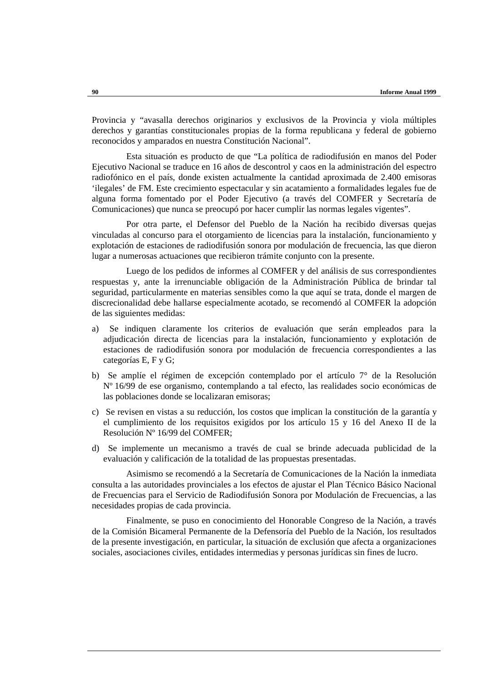Provincia y "avasalla derechos originarios y exclusivos de la Provincia y viola múltiples derechos y garantías constitucionales propias de la forma republicana y federal de gobierno reconocidos y amparados en nuestra Constitución Nacional".

Esta situación es producto de que "La política de radiodifusión en manos del Poder Ejecutivo Nacional se traduce en 16 años de descontrol y caos en la administración del espectro radiofónico en el país, donde existen actualmente la cantidad aproximada de 2.400 emisoras 'ilegales' de FM. Este crecimiento espectacular y sin acatamiento a formalidades legales fue de alguna forma fomentado por el Poder Ejecutivo (a través del COMFER y Secretaría de Comunicaciones) que nunca se preocupó por hacer cumplir las normas legales vigentes".

Por otra parte, el Defensor del Pueblo de la Nación ha recibido diversas quejas vinculadas al concurso para el otorgamiento de licencias para la instalación, funcionamiento y explotación de estaciones de radiodifusión sonora por modulación de frecuencia, las que dieron lugar a numerosas actuaciones que recibieron trámite conjunto con la presente.

Luego de los pedidos de informes al COMFER y del análisis de sus correspondientes respuestas y, ante la irrenunciable obligación de la Administración Pública de brindar tal seguridad, particularmente en materias sensibles como la que aquí se trata, donde el margen de discrecionalidad debe hallarse especialmente acotado, se recomendó al COMFER la adopción de las siguientes medidas:

- a) Se indiquen claramente los criterios de evaluación que serán empleados para la adjudicación directa de licencias para la instalación, funcionamiento y explotación de estaciones de radiodifusión sonora por modulación de frecuencia correspondientes a las categorías E, F y G;
- b) Se amplíe el régimen de excepción contemplado por el artículo 7° de la Resolución Nº 16/99 de ese organismo, contemplando a tal efecto, las realidades socio económicas de las poblaciones donde se localizaran emisoras;
- c) Se revisen en vistas a su reducción, los costos que implican la constitución de la garantía y el cumplimiento de los requisitos exigidos por los artículo 15 y 16 del Anexo II de la Resolución Nº 16/99 del COMFER;
- d) Se implemente un mecanismo a través de cual se brinde adecuada publicidad de la evaluación y calificación de la totalidad de las propuestas presentadas.

Asimismo se recomendó a la Secretaría de Comunicaciones de la Nación la inmediata consulta a las autoridades provinciales a los efectos de ajustar el Plan Técnico Básico Nacional de Frecuencias para el Servicio de Radiodifusión Sonora por Modulación de Frecuencias, a las necesidades propias de cada provincia.

Finalmente, se puso en conocimiento del Honorable Congreso de la Nación, a través de la Comisión Bicameral Permanente de la Defensoría del Pueblo de la Nación, los resultados de la presente investigación, en particular, la situación de exclusión que afecta a organizaciones sociales, asociaciones civiles, entidades intermedias y personas jurídicas sin fines de lucro.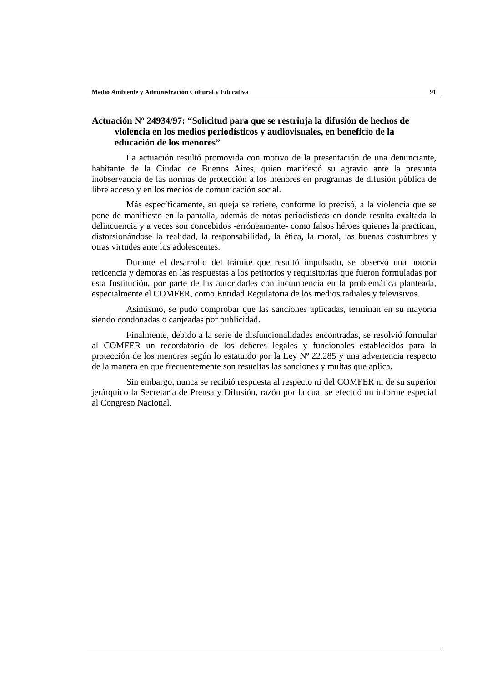### **Actuación Nº 24934/97: "Solicitud para que se restrinja la difusión de hechos de violencia en los medios periodísticos y audiovisuales, en beneficio de la educación de los menores"**

La actuación resultó promovida con motivo de la presentación de una denunciante, habitante de la Ciudad de Buenos Aires, quien manifestó su agravio ante la presunta inobservancia de las normas de protección a los menores en programas de difusión pública de libre acceso y en los medios de comunicación social.

Más específicamente, su queja se refiere, conforme lo precisó, a la violencia que se pone de manifiesto en la pantalla, además de notas periodísticas en donde resulta exaltada la delincuencia y a veces son concebidos -erróneamente- como falsos héroes quienes la practican, distorsionándose la realidad, la responsabilidad, la ética, la moral, las buenas costumbres y otras virtudes ante los adolescentes.

Durante el desarrollo del trámite que resultó impulsado, se observó una notoria reticencia y demoras en las respuestas a los petitorios y requisitorias que fueron formuladas por esta Institución, por parte de las autoridades con incumbencia en la problemática planteada, especialmente el COMFER, como Entidad Regulatoria de los medios radiales y televisivos.

Asimismo, se pudo comprobar que las sanciones aplicadas, terminan en su mayoría siendo condonadas o canjeadas por publicidad.

Finalmente, debido a la serie de disfuncionalidades encontradas, se resolvió formular al COMFER un recordatorio de los deberes legales y funcionales establecidos para la protección de los menores según lo estatuido por la Ley Nº 22.285 y una advertencia respecto de la manera en que frecuentemente son resueltas las sanciones y multas que aplica.

Sin embargo, nunca se recibió respuesta al respecto ni del COMFER ni de su superior jerárquico la Secretaría de Prensa y Difusión, razón por la cual se efectuó un informe especial al Congreso Nacional.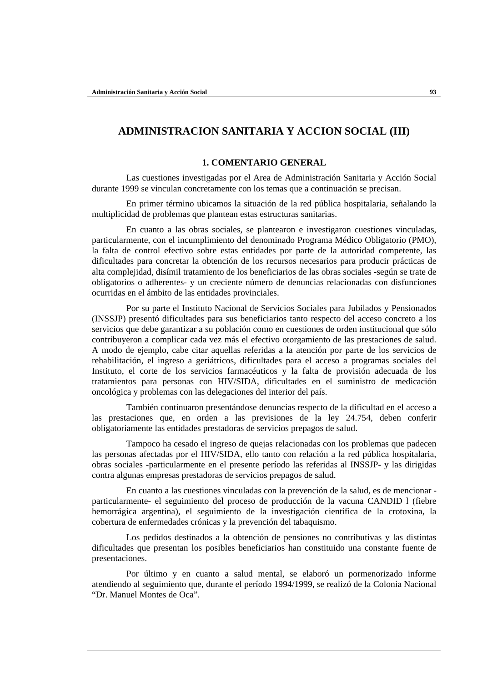# **ADMINISTRACION SANITARIA Y ACCION SOCIAL (III)**

#### **1. COMENTARIO GENERAL**

Las cuestiones investigadas por el Area de Administración Sanitaria y Acción Social durante 1999 se vinculan concretamente con los temas que a continuación se precisan.

En primer término ubicamos la situación de la red pública hospitalaria, señalando la multiplicidad de problemas que plantean estas estructuras sanitarias.

En cuanto a las obras sociales, se plantearon e investigaron cuestiones vinculadas, particularmente, con el incumplimiento del denominado Programa Médico Obligatorio (PMO), la falta de control efectivo sobre estas entidades por parte de la autoridad competente, las dificultades para concretar la obtención de los recursos necesarios para producir prácticas de alta complejidad, disímil tratamiento de los beneficiarios de las obras sociales -según se trate de obligatorios o adherentes- y un creciente número de denuncias relacionadas con disfunciones ocurridas en el ámbito de las entidades provinciales.

Por su parte el Instituto Nacional de Servicios Sociales para Jubilados y Pensionados (INSSJP) presentó dificultades para sus beneficiarios tanto respecto del acceso concreto a los servicios que debe garantizar a su población como en cuestiones de orden institucional que sólo contribuyeron a complicar cada vez más el efectivo otorgamiento de las prestaciones de salud. A modo de ejemplo, cabe citar aquellas referidas a la atención por parte de los servicios de rehabilitación, el ingreso a geriátricos, dificultades para el acceso a programas sociales del Instituto, el corte de los servicios farmacéuticos y la falta de provisión adecuada de los tratamientos para personas con HIV/SIDA, dificultades en el suministro de medicación oncológica y problemas con las delegaciones del interior del país.

También continuaron presentándose denuncias respecto de la dificultad en el acceso a las prestaciones que, en orden a las previsiones de la ley 24.754, deben conferir obligatoriamente las entidades prestadoras de servicios prepagos de salud.

Tampoco ha cesado el ingreso de quejas relacionadas con los problemas que padecen las personas afectadas por el HIV/SIDA, ello tanto con relación a la red pública hospitalaria, obras sociales -particularmente en el presente período las referidas al INSSJP- y las dirigidas contra algunas empresas prestadoras de servicios prepagos de salud.

En cuanto a las cuestiones vinculadas con la prevención de la salud, es de mencionar particularmente- el seguimiento del proceso de producción de la vacuna CANDID l (fiebre hemorrágica argentina), el seguimiento de la investigación científica de la crotoxina, la cobertura de enfermedades crónicas y la prevención del tabaquismo.

Los pedidos destinados a la obtención de pensiones no contributivas y las distintas dificultades que presentan los posibles beneficiarios han constituido una constante fuente de presentaciones.

Por último y en cuanto a salud mental, se elaboró un pormenorizado informe atendiendo al seguimiento que, durante el período 1994/1999, se realizó de la Colonia Nacional "Dr. Manuel Montes de Oca".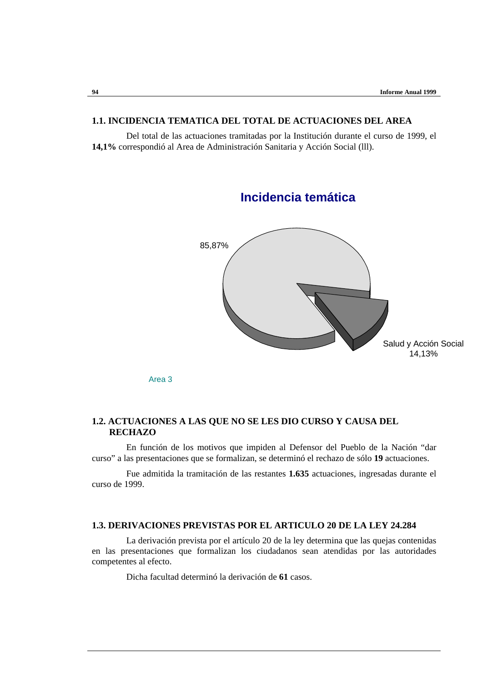### **1.1. INCIDENCIA TEMATICA DEL TOTAL DE ACTUACIONES DEL AREA**

Del total de las actuaciones tramitadas por la Institución durante el curso de 1999, el **14,1%** correspondió al Area de Administración Sanitaria y Acción Social (lll).



Area 3

## **1.2. ACTUACIONES A LAS QUE NO SE LES DIO CURSO Y CAUSA DEL RECHAZO**

En función de los motivos que impiden al Defensor del Pueblo de la Nación "dar curso" a las presentaciones que se formalizan, se determinó el rechazo de sólo **19** actuaciones.

Fue admitida la tramitación de las restantes **1.635** actuaciones, ingresadas durante el curso de 1999.

#### **1.3. DERIVACIONES PREVISTAS POR EL ARTICULO 20 DE LA LEY 24.284**

La derivación prevista por el artículo 20 de la ley determina que las quejas contenidas en las presentaciones que formalizan los ciudadanos sean atendidas por las autoridades competentes al efecto.

Dicha facultad determinó la derivación de **61** casos.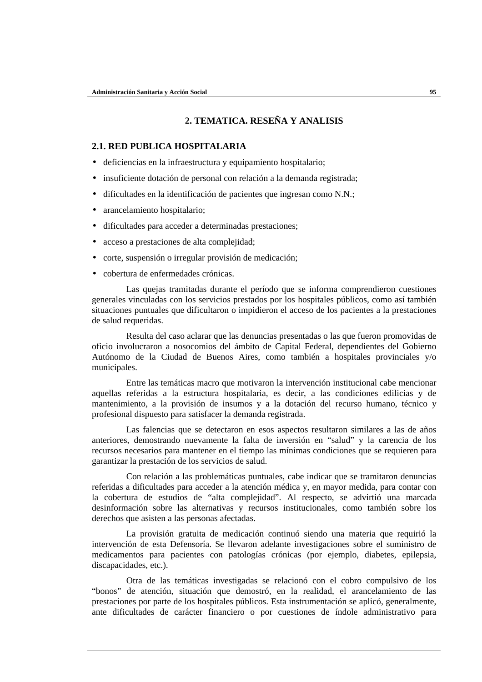# **2. TEMATICA. RESEÑA Y ANALISIS**

#### **2.1. RED PUBLICA HOSPITALARIA**

- deficiencias en la infraestructura y equipamiento hospitalario;
- insuficiente dotación de personal con relación a la demanda registrada;
- dificultades en la identificación de pacientes que ingresan como N.N.;
- arancelamiento hospitalario;
- dificultades para acceder a determinadas prestaciones;
- acceso a prestaciones de alta complejidad;
- corte, suspensión o irregular provisión de medicación;
- cobertura de enfermedades crónicas.

Las quejas tramitadas durante el período que se informa comprendieron cuestiones generales vinculadas con los servicios prestados por los hospitales públicos, como así también situaciones puntuales que dificultaron o impidieron el acceso de los pacientes a la prestaciones de salud requeridas.

Resulta del caso aclarar que las denuncias presentadas o las que fueron promovidas de oficio involucraron a nosocomios del ámbito de Capital Federal, dependientes del Gobierno Autónomo de la Ciudad de Buenos Aires, como también a hospitales provinciales y/o municipales.

Entre las temáticas macro que motivaron la intervención institucional cabe mencionar aquellas referidas a la estructura hospitalaria, es decir, a las condiciones edilicias y de mantenimiento, a la provisión de insumos y a la dotación del recurso humano, técnico y profesional dispuesto para satisfacer la demanda registrada.

Las falencias que se detectaron en esos aspectos resultaron similares a las de años anteriores, demostrando nuevamente la falta de inversión en "salud" y la carencia de los recursos necesarios para mantener en el tiempo las mínimas condiciones que se requieren para garantizar la prestación de los servicios de salud.

Con relación a las problemáticas puntuales, cabe indicar que se tramitaron denuncias referidas a dificultades para acceder a la atención médica y, en mayor medida, para contar con la cobertura de estudios de "alta complejidad". Al respecto, se advirtió una marcada desinformación sobre las alternativas y recursos institucionales, como también sobre los derechos que asisten a las personas afectadas.

La provisión gratuita de medicación continuó siendo una materia que requirió la intervención de esta Defensoría. Se llevaron adelante investigaciones sobre el suministro de medicamentos para pacientes con patologías crónicas (por ejemplo, diabetes, epilepsia, discapacidades, etc.).

Otra de las temáticas investigadas se relacionó con el cobro compulsivo de los "bonos" de atención, situación que demostró, en la realidad, el arancelamiento de las prestaciones por parte de los hospitales públicos. Esta instrumentación se aplicó, generalmente, ante dificultades de carácter financiero o por cuestiones de índole administrativo para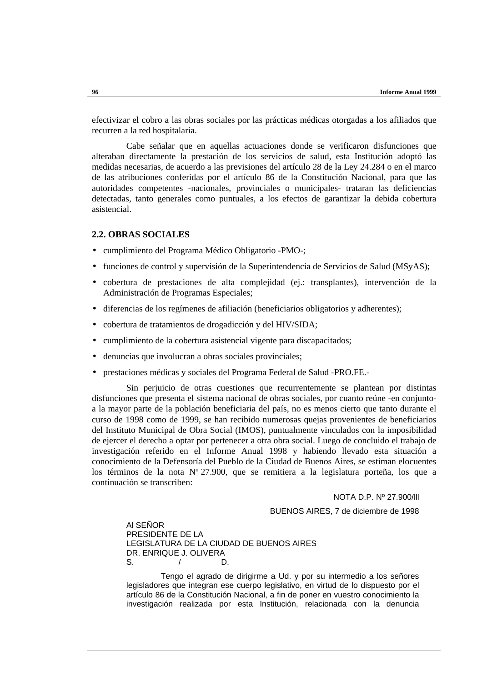efectivizar el cobro a las obras sociales por las prácticas médicas otorgadas a los afiliados que recurren a la red hospitalaria.

Cabe señalar que en aquellas actuaciones donde se verificaron disfunciones que alteraban directamente la prestación de los servicios de salud, esta Institución adoptó las medidas necesarias, de acuerdo a las previsiones del artículo 28 de la Ley 24.284 o en el marco de las atribuciones conferidas por el artículo 86 de la Constitución Nacional, para que las autoridades competentes -nacionales, provinciales o municipales- trataran las deficiencias detectadas, tanto generales como puntuales, a los efectos de garantizar la debida cobertura asistencial.

#### **2.2. OBRAS SOCIALES**

- cumplimiento del Programa Médico Obligatorio -PMO-;
- funciones de control y supervisión de la Superintendencia de Servicios de Salud (MSyAS);
- cobertura de prestaciones de alta complejidad (ej.: transplantes), intervención de la Administración de Programas Especiales;
- diferencias de los regímenes de afiliación (beneficiarios obligatorios y adherentes);
- cobertura de tratamientos de drogadicción y del HIV/SIDA;
- cumplimiento de la cobertura asistencial vigente para discapacitados;
- denuncias que involucran a obras sociales provinciales;
- prestaciones médicas y sociales del Programa Federal de Salud -PRO.FE.-

Sin perjuicio de otras cuestiones que recurrentemente se plantean por distintas disfunciones que presenta el sistema nacional de obras sociales, por cuanto reúne -en conjuntoa la mayor parte de la población beneficiaria del país, no es menos cierto que tanto durante el curso de 1998 como de 1999, se han recibido numerosas quejas provenientes de beneficiarios del Instituto Municipal de Obra Social (IMOS), puntualmente vinculados con la imposibilidad de ejercer el derecho a optar por pertenecer a otra obra social. Luego de concluido el trabajo de investigación referido en el Informe Anual 1998 y habiendo llevado esta situación a conocimiento de la Defensoría del Pueblo de la Ciudad de Buenos Aires, se estiman elocuentes los términos de la nota Nº 27.900, que se remitiera a la legislatura porteña, los que a continuación se transcriben:

NOTA D.P. Nº 27.900/lll

BUENOS AIRES, 7 de diciembre de 1998

Al SEÑOR PRESIDENTE DE LA LEGISLATURA DE LA CIUDAD DE BUENOS AIRES DR. ENRIQUE J. OLIVERA S. / D.

Tengo el agrado de dirigirme a Ud. y por su intermedio a los señores legisladores que integran ese cuerpo legislativo, en virtud de lo dispuesto por el artículo 86 de la Constitución Nacional, a fin de poner en vuestro conocimiento la investigación realizada por esta Institución, relacionada con la denuncia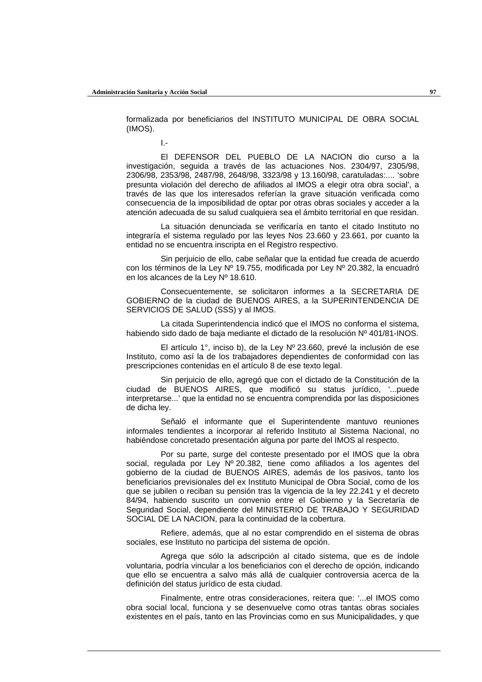formalizada por beneficiarios del INSTITUTO MUNICIPAL DE OBRA SOCIAL (IMOS).

I.-

El DEFENSOR DEL PUEBLO DE LA NACION dio curso a la investigación, seguida a través de las actuaciones Nos. 2304/97, 2305/98, 2306/98, 2353/98, 2487/98, 2648/98, 3323/98 y 13.160/98, caratuladas:.... 'sobre presunta violación del derecho de afiliados al IMOS a elegir otra obra social', a través de las que los interesados referían la grave situación verificada como consecuencia de la imposibilidad de optar por otras obras sociales y acceder a la atención adecuada de su salud cualquiera sea el ámbito territorial en que residan.

La situación denunciada se verificaría en tanto el citado Instituto no integraría el sistema regulado por las leyes Nos 23.660 y 23.661, por cuanto la entidad no se encuentra inscripta en el Registro respectivo.

Sin perjuicio de ello, cabe señalar que la entidad fue creada de acuerdo con los términos de la Ley Nº 19.755, modificada por Ley Nº 20.382, la encuadró en los alcances de la Ley Nº 18.610.

Consecuentemente, se solicitaron informes a la SECRETARIA DE GOBIERNO de la ciudad de BUENOS AIRES, a la SUPERINTENDENCIA DE SERVICIOS DE SALUD (SSS) y al IMOS.

La citada Superintendencia indicó que el IMOS no conforma el sistema, habiendo sido dado de baja mediante el dictado de la resolución Nº 401/81-INOS.

El artículo 1°, inciso b), de la Ley Nº 23.660, prevé la inclusión de ese Instituto, como así la de los trabajadores dependientes de conformidad con las prescripciones contenidas en el artículo 8 de ese texto legal.

Sin perjuicio de ello, agregó que con el dictado de la Constitución de la ciudad de BUENOS AIRES, que modificó su status jurídico, '...puede interpretarse...' que la entidad no se encuentra comprendida por las disposiciones de dicha ley.

Señaló el informante que el Superintendente mantuvo reuniones informales tendientes a incorporar al referido Instituto al Sistema Nacional, no habiéndose concretado presentación alguna por parte del IMOS al respecto.

Por su parte, surge del conteste presentado por el IMOS que la obra social, regulada por Ley Nº 20.382, tiene como afiliados a los agentes del gobierno de la ciudad de BUENOS AIRES, además de los pasivos, tanto los beneficiarios previsionales del ex Instituto Municipal de Obra Social, como de los que se jubilen o reciban su pensión tras la vigencia de la ley 22.241 y el decreto 84/94, habiendo suscrito un convenio entre el Gobierno y la Secretaría de Seguridad Social, dependiente del MINISTERIO DE TRABAJO Y SEGURIDAD SOCIAL DE LA NACION, para la continuidad de la cobertura.

Refiere, además, que al no estar comprendido en el sistema de obras sociales, ese Instituto no participa del sistema de opción.

Agrega que sólo la adscripción al citado sistema, que es de índole voluntaria, podría vincular a los beneficiarios con el derecho de opción, indicando que ello se encuentra a salvo más allá de cualquier controversia acerca de la definición del status jurídico de esta ciudad.

Finalmente, entre otras consideraciones, reitera que: '...el IMOS como obra social local, funciona y se desenvuelve como otras tantas obras sociales existentes en el país, tanto en las Provincias como en sus Municipalidades, y que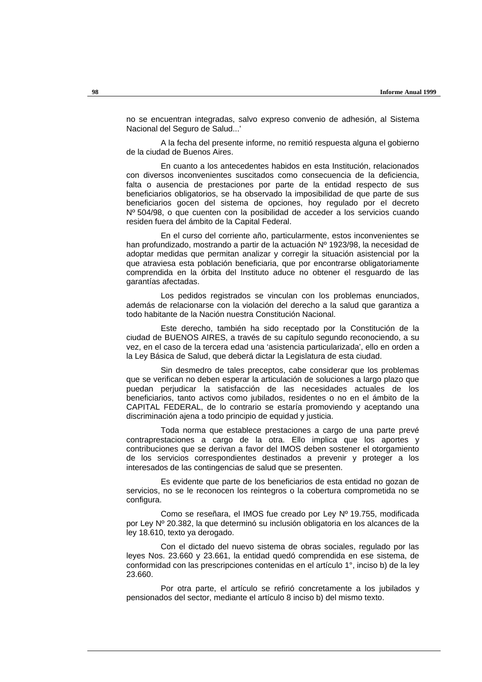no se encuentran integradas, salvo expreso convenio de adhesión, al Sistema Nacional del Seguro de Salud...'

A la fecha del presente informe, no remitió respuesta alguna el gobierno de la ciudad de Buenos Aires.

En cuanto a los antecedentes habidos en esta Institución, relacionados con diversos inconvenientes suscitados como consecuencia de la deficiencia, falta o ausencia de prestaciones por parte de la entidad respecto de sus beneficiarios obligatorios, se ha observado la imposibilidad de que parte de sus beneficiarios gocen del sistema de opciones, hoy regulado por el decreto Nº 504/98, o que cuenten con la posibilidad de acceder a los servicios cuando residen fuera del ámbito de la Capital Federal.

En el curso del corriente año, particularmente, estos inconvenientes se han profundizado, mostrando a partir de la actuación Nº 1923/98, la necesidad de adoptar medidas que permitan analizar y corregir la situación asistencial por la que atraviesa esta población beneficiaria, que por encontrarse obligatoriamente comprendida en la órbita del Instituto aduce no obtener el resguardo de las garantías afectadas.

Los pedidos registrados se vinculan con los problemas enunciados, además de relacionarse con la violación del derecho a la salud que garantiza a todo habitante de la Nación nuestra Constitución Nacional.

Este derecho, también ha sido receptado por la Constitución de la ciudad de BUENOS AIRES, a través de su capítulo segundo reconociendo, a su vez, en el caso de la tercera edad una 'asistencia particularizada', ello en orden a la Ley Básica de Salud, que deberá dictar la Legislatura de esta ciudad.

Sin desmedro de tales preceptos, cabe considerar que los problemas que se verifican no deben esperar la articulación de soluciones a largo plazo que puedan perjudicar la satisfacción de las necesidades actuales de los beneficiarios, tanto activos como jubilados, residentes o no en el ámbito de la CAPITAL FEDERAL, de lo contrario se estaría promoviendo y aceptando una discriminación ajena a todo principio de equidad y justicia.

Toda norma que establece prestaciones a cargo de una parte prevé contraprestaciones a cargo de la otra. Ello implica que los aportes y contribuciones que se derivan a favor del IMOS deben sostener el otorgamiento de los servicios correspondientes destinados a prevenir y proteger a los interesados de las contingencias de salud que se presenten.

Es evidente que parte de los beneficiarios de esta entidad no gozan de servicios, no se le reconocen los reintegros o la cobertura comprometida no se configura.

Como se reseñara, el IMOS fue creado por Ley Nº 19.755, modificada por Ley Nº 20.382, la que determinó su inclusión obligatoria en los alcances de la ley 18.610, texto ya derogado.

Con el dictado del nuevo sistema de obras sociales, regulado por las leyes Nos. 23.660 y 23.661, la entidad quedó comprendida en ese sistema, de conformidad con las prescripciones contenidas en el artículo 1°, inciso b) de la ley 23.660.

Por otra parte, el artículo se refirió concretamente a los jubilados y pensionados del sector, mediante el artículo 8 inciso b) del mismo texto.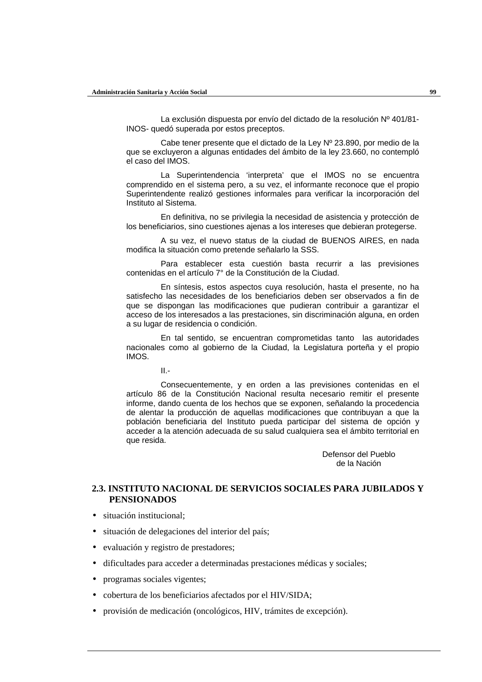La exclusión dispuesta por envío del dictado de la resolución Nº 401/81- INOS- quedó superada por estos preceptos.

Cabe tener presente que el dictado de la Ley Nº 23.890, por medio de la que se excluyeron a algunas entidades del ámbito de la ley 23.660, no contempló el caso del IMOS.

La Superintendencia 'interpreta' que el IMOS no se encuentra comprendido en el sistema pero, a su vez, el informante reconoce que el propio Superintendente realizó gestiones informales para verificar la incorporación del Instituto al Sistema.

En definitiva, no se privilegia la necesidad de asistencia y protección de los beneficiarios, sino cuestiones ajenas a los intereses que debieran protegerse.

A su vez, el nuevo status de la ciudad de BUENOS AIRES, en nada modifica la situación como pretende señalarlo la SSS.

Para establecer esta cuestión basta recurrir a las previsiones contenidas en el artículo 7° de la Constitución de la Ciudad.

En síntesis, estos aspectos cuya resolución, hasta el presente, no ha satisfecho las necesidades de los beneficiarios deben ser observados a fin de que se dispongan las modificaciones que pudieran contribuir a garantizar el acceso de los interesados a las prestaciones, sin discriminación alguna, en orden a su lugar de residencia o condición.

En tal sentido, se encuentran comprometidas tanto las autoridades nacionales como al gobierno de la Ciudad, la Legislatura porteña y el propio IMOS.

II.-

Consecuentemente, y en orden a las previsiones contenidas en el artículo 86 de la Constitución Nacional resulta necesario remitir el presente informe, dando cuenta de los hechos que se exponen, señalando la procedencia de alentar la producción de aquellas modificaciones que contribuyan a que la población beneficiaria del Instituto pueda participar del sistema de opción y acceder a la atención adecuada de su salud cualquiera sea el ámbito territorial en que resida.

> Defensor del Pueblo de la Nación

### **2.3. INSTITUTO NACIONAL DE SERVICIOS SOCIALES PARA JUBILADOS Y PENSIONADOS**

- situación institucional:
- situación de delegaciones del interior del país;
- evaluación y registro de prestadores;
- dificultades para acceder a determinadas prestaciones médicas y sociales;
- programas sociales vigentes;
- cobertura de los beneficiarios afectados por el HIV/SIDA;
- provisión de medicación (oncológicos, HIV, trámites de excepción).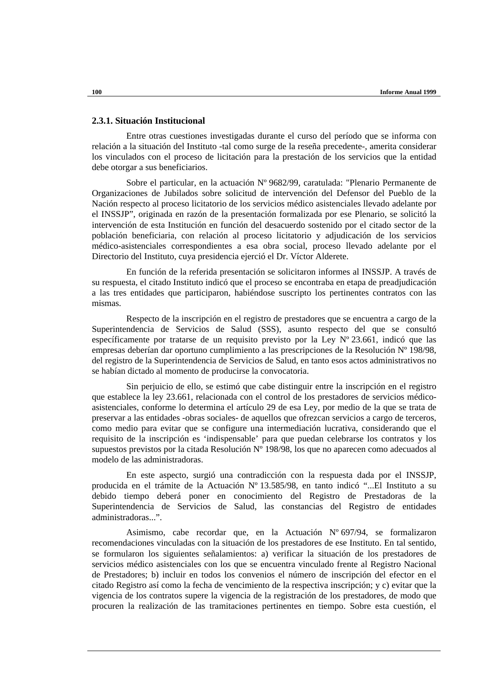#### **2.3.1. Situación Institucional**

Entre otras cuestiones investigadas durante el curso del período que se informa con relación a la situación del Instituto -tal como surge de la reseña precedente-, amerita considerar los vinculados con el proceso de licitación para la prestación de los servicios que la entidad debe otorgar a sus beneficiarios.

Sobre el particular, en la actuación Nº 9682/99, caratulada: "Plenario Permanente de Organizaciones de Jubilados sobre solicitud de intervención del Defensor del Pueblo de la Nación respecto al proceso licitatorio de los servicios médico asistenciales llevado adelante por el INSSJP", originada en razón de la presentación formalizada por ese Plenario, se solicitó la intervención de esta Institución en función del desacuerdo sostenido por el citado sector de la población beneficiaria, con relación al proceso licitatorio y adjudicación de los servicios médico-asistenciales correspondientes a esa obra social, proceso llevado adelante por el Directorio del Instituto, cuya presidencia ejerció el Dr. Víctor Alderete.

En función de la referida presentación se solicitaron informes al INSSJP. A través de su respuesta, el citado Instituto indicó que el proceso se encontraba en etapa de preadjudicación a las tres entidades que participaron, habiéndose suscripto los pertinentes contratos con las mismas.

Respecto de la inscripción en el registro de prestadores que se encuentra a cargo de la Superintendencia de Servicios de Salud (SSS), asunto respecto del que se consultó específicamente por tratarse de un requisito previsto por la Ley Nº 23.661, indicó que las empresas deberían dar oportuno cumplimiento a las prescripciones de la Resolución Nº 198/98, del registro de la Superintendencia de Servicios de Salud, en tanto esos actos administrativos no se habían dictado al momento de producirse la convocatoria.

Sin perjuicio de ello, se estimó que cabe distinguir entre la inscripción en el registro que establece la ley 23.661, relacionada con el control de los prestadores de servicios médicoasistenciales, conforme lo determina el artículo 29 de esa Ley, por medio de la que se trata de preservar a las entidades -obras sociales- de aquellos que ofrezcan servicios a cargo de terceros, como medio para evitar que se configure una intermediación lucrativa, considerando que el requisito de la inscripción es 'indispensable' para que puedan celebrarse los contratos y los supuestos previstos por la citada Resolución Nº 198/98, los que no aparecen como adecuados al modelo de las administradoras.

En este aspecto, surgió una contradicción con la respuesta dada por el INSSJP, producida en el trámite de la Actuación Nº 13.585/98, en tanto indicó "...El Instituto a su debido tiempo deberá poner en conocimiento del Registro de Prestadoras de la Superintendencia de Servicios de Salud, las constancias del Registro de entidades administradoras...".

Asimismo, cabe recordar que, en la Actuación Nº 697/94, se formalizaron recomendaciones vinculadas con la situación de los prestadores de ese Instituto. En tal sentido, se formularon los siguientes señalamientos: a) verificar la situación de los prestadores de servicios médico asistenciales con los que se encuentra vinculado frente al Registro Nacional de Prestadores; b) incluir en todos los convenios el número de inscripción del efector en el citado Registro así como la fecha de vencimiento de la respectiva inscripción; y c) evitar que la vigencia de los contratos supere la vigencia de la registración de los prestadores, de modo que procuren la realización de las tramitaciones pertinentes en tiempo. Sobre esta cuestión, el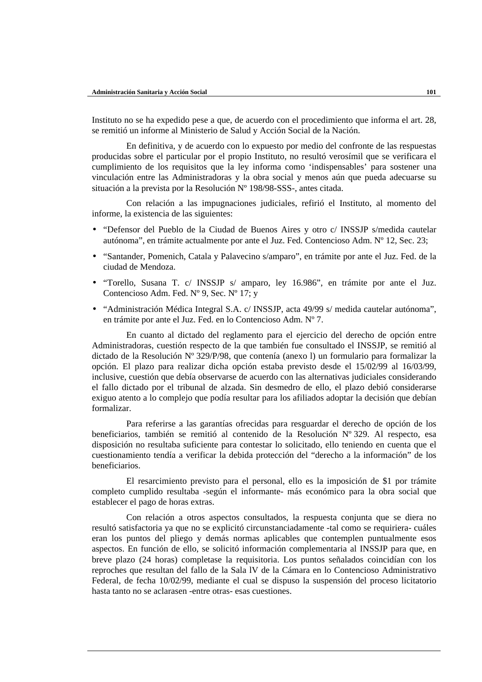Instituto no se ha expedido pese a que, de acuerdo con el procedimiento que informa el art. 28, se remitió un informe al Ministerio de Salud y Acción Social de la Nación.

En definitiva, y de acuerdo con lo expuesto por medio del confronte de las respuestas producidas sobre el particular por el propio Instituto, no resultó verosímil que se verificara el cumplimiento de los requisitos que la ley informa como 'indispensables' para sostener una vinculación entre las Administradoras y la obra social y menos aún que pueda adecuarse su situación a la prevista por la Resolución Nº 198/98-SSS-, antes citada.

Con relación a las impugnaciones judiciales, refirió el Instituto, al momento del informe, la existencia de las siguientes:

- "Defensor del Pueblo de la Ciudad de Buenos Aires y otro c/ INSSJP s/medida cautelar autónoma", en trámite actualmente por ante el Juz. Fed. Contencioso Adm. Nº 12, Sec. 23;
- "Santander, Pomenich, Catala y Palavecino s/amparo", en trámite por ante el Juz. Fed. de la ciudad de Mendoza.
- "Torello, Susana T. c/ INSSJP s/ amparo, ley 16.986", en trámite por ante el Juz. Contencioso Adm. Fed. Nº 9, Sec. Nº 17; y
- "Administración Médica Integral S.A. c/ INSSJP, acta 49/99 s/ medida cautelar autónoma", en trámite por ante el Juz. Fed. en lo Contencioso Adm. Nº 7.

En cuanto al dictado del reglamento para el ejercicio del derecho de opción entre Administradoras, cuestión respecto de la que también fue consultado el INSSJP, se remitió al dictado de la Resolución Nº 329/P/98, que contenía (anexo l) un formulario para formalizar la opción. El plazo para realizar dicha opción estaba previsto desde el 15/02/99 al 16/03/99, inclusive, cuestión que debía observarse de acuerdo con las alternativas judiciales considerando el fallo dictado por el tribunal de alzada. Sin desmedro de ello, el plazo debió considerarse exiguo atento a lo complejo que podía resultar para los afiliados adoptar la decisión que debían formalizar.

Para referirse a las garantías ofrecidas para resguardar el derecho de opción de los beneficiarios, también se remitió al contenido de la Resolución Nº 329. Al respecto, esa disposición no resultaba suficiente para contestar lo solicitado, ello teniendo en cuenta que el cuestionamiento tendía a verificar la debida protección del "derecho a la información" de los beneficiarios.

El resarcimiento previsto para el personal, ello es la imposición de \$1 por trámite completo cumplido resultaba -según el informante- más económico para la obra social que establecer el pago de horas extras.

Con relación a otros aspectos consultados, la respuesta conjunta que se diera no resultó satisfactoria ya que no se explicitó circunstanciadamente -tal como se requiriera- cuáles eran los puntos del pliego y demás normas aplicables que contemplen puntualmente esos aspectos. En función de ello, se solicitó información complementaria al INSSJP para que, en breve plazo (24 horas) completase la requisitoria. Los puntos señalados coincidían con los reproches que resultan del fallo de la Sala lV de la Cámara en lo Contencioso Administrativo Federal, de fecha 10/02/99, mediante el cual se dispuso la suspensión del proceso licitatorio hasta tanto no se aclarasen -entre otras- esas cuestiones.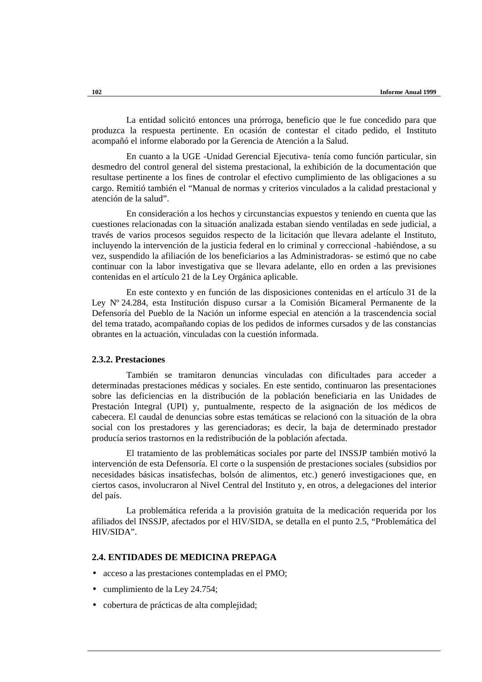La entidad solicitó entonces una prórroga, beneficio que le fue concedido para que produzca la respuesta pertinente. En ocasión de contestar el citado pedido, el Instituto acompañó el informe elaborado por la Gerencia de Atención a la Salud.

En cuanto a la UGE -Unidad Gerencial Ejecutiva- tenía como función particular, sin desmedro del control general del sistema prestacional, la exhibición de la documentación que resultase pertinente a los fines de controlar el efectivo cumplimiento de las obligaciones a su cargo. Remitió también el "Manual de normas y criterios vinculados a la calidad prestacional y atención de la salud".

En consideración a los hechos y circunstancias expuestos y teniendo en cuenta que las cuestiones relacionadas con la situación analizada estaban siendo ventiladas en sede judicial, a través de varios procesos seguidos respecto de la licitación que llevara adelante el Instituto, incluyendo la intervención de la justicia federal en lo criminal y correccional -habiéndose, a su vez, suspendido la afiliación de los beneficiarios a las Administradoras- se estimó que no cabe continuar con la labor investigativa que se llevara adelante, ello en orden a las previsiones contenidas en el artículo 21 de la Ley Orgánica aplicable.

En este contexto y en función de las disposiciones contenidas en el artículo 31 de la Ley Nº 24.284, esta Institución dispuso cursar a la Comisión Bicameral Permanente de la Defensoría del Pueblo de la Nación un informe especial en atención a la trascendencia social del tema tratado, acompañando copias de los pedidos de informes cursados y de las constancias obrantes en la actuación, vinculadas con la cuestión informada.

#### **2.3.2. Prestaciones**

También se tramitaron denuncias vinculadas con dificultades para acceder a determinadas prestaciones médicas y sociales. En este sentido, continuaron las presentaciones sobre las deficiencias en la distribución de la población beneficiaria en las Unidades de Prestación Integral (UPI) y, puntualmente, respecto de la asignación de los médicos de cabecera. El caudal de denuncias sobre estas temáticas se relacionó con la situación de la obra social con los prestadores y las gerenciadoras; es decir, la baja de determinado prestador producía serios trastornos en la redistribución de la población afectada.

El tratamiento de las problemáticas sociales por parte del INSSJP también motivó la intervención de esta Defensoría. El corte o la suspensión de prestaciones sociales (subsidios por necesidades básicas insatisfechas, bolsón de alimentos, etc.) generó investigaciones que, en ciertos casos, involucraron al Nivel Central del Instituto y, en otros, a delegaciones del interior del país.

La problemática referida a la provisión gratuita de la medicación requerida por los afiliados del INSSJP, afectados por el HIV/SIDA, se detalla en el punto 2.5, "Problemática del HIV/SIDA".

#### **2.4. ENTIDADES DE MEDICINA PREPAGA**

- acceso a las prestaciones contempladas en el PMO;
- cumplimiento de la Ley 24.754;
- cobertura de prácticas de alta complejidad;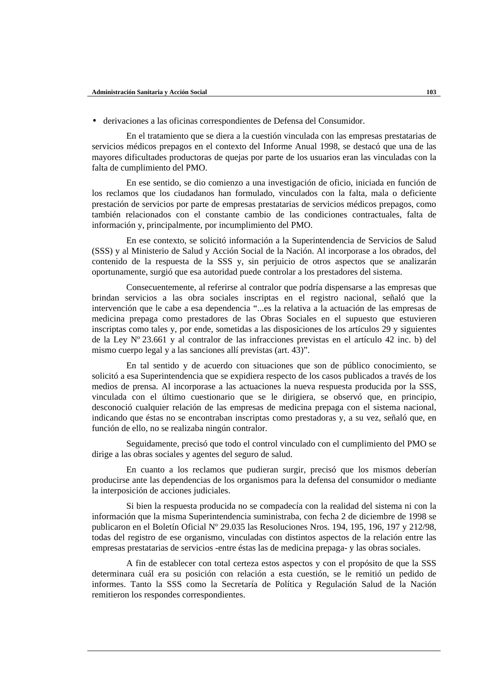• derivaciones a las oficinas correspondientes de Defensa del Consumidor.

En el tratamiento que se diera a la cuestión vinculada con las empresas prestatarias de servicios médicos prepagos en el contexto del Informe Anual 1998, se destacó que una de las mayores dificultades productoras de quejas por parte de los usuarios eran las vinculadas con la falta de cumplimiento del PMO.

En ese sentido, se dio comienzo a una investigación de oficio, iniciada en función de los reclamos que los ciudadanos han formulado, vinculados con la falta, mala o deficiente prestación de servicios por parte de empresas prestatarias de servicios médicos prepagos, como también relacionados con el constante cambio de las condiciones contractuales, falta de información y, principalmente, por incumplimiento del PMO.

En ese contexto, se solicitó información a la Superintendencia de Servicios de Salud (SSS) y al Ministerio de Salud y Acción Social de la Nación. Al incorporase a los obrados, del contenido de la respuesta de la SSS y, sin perjuicio de otros aspectos que se analizarán oportunamente, surgió que esa autoridad puede controlar a los prestadores del sistema.

Consecuentemente, al referirse al contralor que podría dispensarse a las empresas que brindan servicios a las obra sociales inscriptas en el registro nacional, señaló que la intervención que le cabe a esa dependencia "...es la relativa a la actuación de las empresas de medicina prepaga como prestadores de las Obras Sociales en el supuesto que estuvieren inscriptas como tales y, por ende, sometidas a las disposiciones de los artículos 29 y siguientes de la Ley Nº 23.661 y al contralor de las infracciones previstas en el artículo 42 inc. b) del mismo cuerpo legal y a las sanciones allí previstas (art. 43)".

En tal sentido y de acuerdo con situaciones que son de público conocimiento, se solicitó a esa Superintendencia que se expidiera respecto de los casos publicados a través de los medios de prensa. Al incorporase a las actuaciones la nueva respuesta producida por la SSS, vinculada con el último cuestionario que se le dirigiera, se observó que, en principio, desconoció cualquier relación de las empresas de medicina prepaga con el sistema nacional, indicando que éstas no se encontraban inscriptas como prestadoras y, a su vez, señaló que, en función de ello, no se realizaba ningún contralor.

Seguidamente, precisó que todo el control vinculado con el cumplimiento del PMO se dirige a las obras sociales y agentes del seguro de salud.

En cuanto a los reclamos que pudieran surgir, precisó que los mismos deberían producirse ante las dependencias de los organismos para la defensa del consumidor o mediante la interposición de acciones judiciales.

Si bien la respuesta producida no se compadecía con la realidad del sistema ni con la información que la misma Superintendencia suministraba, con fecha 2 de diciembre de 1998 se publicaron en el Boletín Oficial Nº 29.035 las Resoluciones Nros. 194, 195, 196, 197 y 212/98, todas del registro de ese organismo, vinculadas con distintos aspectos de la relación entre las empresas prestatarias de servicios -entre éstas las de medicina prepaga- y las obras sociales.

A fin de establecer con total certeza estos aspectos y con el propósito de que la SSS determinara cuál era su posición con relación a esta cuestión, se le remitió un pedido de informes. Tanto la SSS como la Secretaría de Política y Regulación Salud de la Nación remitieron los respondes correspondientes.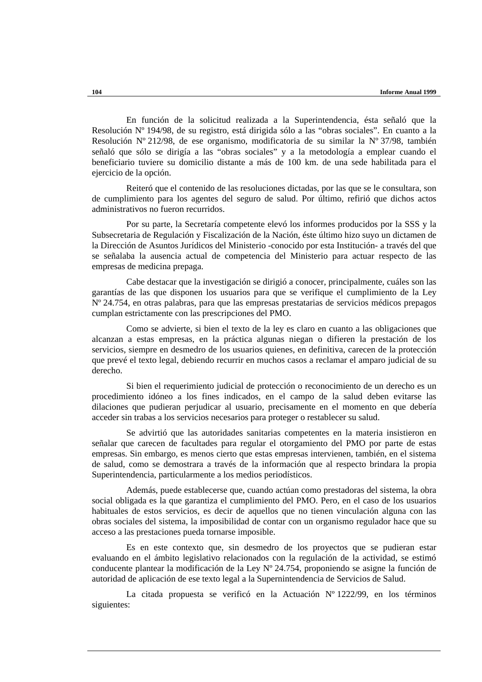En función de la solicitud realizada a la Superintendencia, ésta señaló que la Resolución Nº 194/98, de su registro, está dirigida sólo a las "obras sociales". En cuanto a la Resolución Nº 212/98, de ese organismo, modificatoria de su similar la Nº 37/98, también señaló que sólo se dirigía a las "obras sociales" y a la metodología a emplear cuando el beneficiario tuviere su domicilio distante a más de 100 km. de una sede habilitada para el ejercicio de la opción.

Reiteró que el contenido de las resoluciones dictadas, por las que se le consultara, son de cumplimiento para los agentes del seguro de salud. Por último, refirió que dichos actos administrativos no fueron recurridos.

Por su parte, la Secretaría competente elevó los informes producidos por la SSS y la Subsecretaria de Regulación y Fiscalización de la Nación, éste último hizo suyo un dictamen de la Dirección de Asuntos Jurídicos del Ministerio -conocido por esta Institución- a través del que se señalaba la ausencia actual de competencia del Ministerio para actuar respecto de las empresas de medicina prepaga.

Cabe destacar que la investigación se dirigió a conocer, principalmente, cuáles son las garantías de las que disponen los usuarios para que se verifique el cumplimiento de la Ley Nº 24.754, en otras palabras, para que las empresas prestatarias de servicios médicos prepagos cumplan estrictamente con las prescripciones del PMO.

Como se advierte, si bien el texto de la ley es claro en cuanto a las obligaciones que alcanzan a estas empresas, en la práctica algunas niegan o difieren la prestación de los servicios, siempre en desmedro de los usuarios quienes, en definitiva, carecen de la protección que prevé el texto legal, debiendo recurrir en muchos casos a reclamar el amparo judicial de su derecho.

Si bien el requerimiento judicial de protección o reconocimiento de un derecho es un procedimiento idóneo a los fines indicados, en el campo de la salud deben evitarse las dilaciones que pudieran perjudicar al usuario, precisamente en el momento en que debería acceder sin trabas a los servicios necesarios para proteger o restablecer su salud.

Se advirtió que las autoridades sanitarias competentes en la materia insistieron en señalar que carecen de facultades para regular el otorgamiento del PMO por parte de estas empresas. Sin embargo, es menos cierto que estas empresas intervienen, también, en el sistema de salud, como se demostrara a través de la información que al respecto brindara la propia Superintendencia, particularmente a los medios periodísticos.

Además, puede establecerse que, cuando actúan como prestadoras del sistema, la obra social obligada es la que garantiza el cumplimiento del PMO. Pero, en el caso de los usuarios habituales de estos servicios, es decir de aquellos que no tienen vinculación alguna con las obras sociales del sistema, la imposibilidad de contar con un organismo regulador hace que su acceso a las prestaciones pueda tornarse imposible.

Es en este contexto que, sin desmedro de los proyectos que se pudieran estar evaluando en el ámbito legislativo relacionados con la regulación de la actividad, se estimó conducente plantear la modificación de la Ley Nº 24.754, proponiendo se asigne la función de autoridad de aplicación de ese texto legal a la Supernintendencia de Servicios de Salud.

La citada propuesta se verificó en la Actuación Nº 1222/99, en los términos siguientes: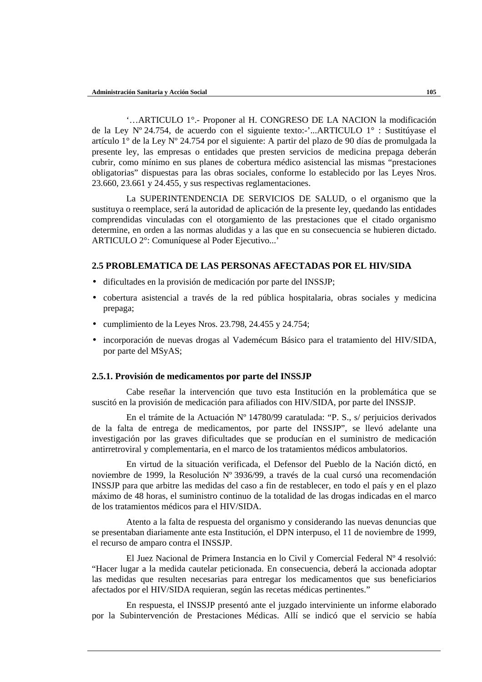'…ARTICULO 1°.- Proponer al H. CONGRESO DE LA NACION la modificación de la Ley Nº 24.754, de acuerdo con el siguiente texto:-'...ARTICULO 1° : Sustitúyase el artículo 1° de la Ley Nº 24.754 por el siguiente: A partir del plazo de 90 días de promulgada la presente ley, las empresas o entidades que presten servicios de medicina prepaga deberán cubrir, como mínimo en sus planes de cobertura médico asistencial las mismas "prestaciones obligatorias" dispuestas para las obras sociales, conforme lo establecido por las Leyes Nros. 23.660, 23.661 y 24.455, y sus respectivas reglamentaciones.

La SUPERINTENDENCIA DE SERVICIOS DE SALUD, o el organismo que la sustituya o reemplace, será la autoridad de aplicación de la presente ley, quedando las entidades comprendidas vinculadas con el otorgamiento de las prestaciones que el citado organismo determine, en orden a las normas aludidas y a las que en su consecuencia se hubieren dictado. ARTICULO 2°: Comuníquese al Poder Ejecutivo...'

# **2.5 PROBLEMATICA DE LAS PERSONAS AFECTADAS POR EL HIV/SIDA**

- dificultades en la provisión de medicación por parte del INSSJP;
- cobertura asistencial a través de la red pública hospitalaria, obras sociales y medicina prepaga;
- cumplimiento de la Leyes Nros. 23.798, 24.455 y 24.754;
- incorporación de nuevas drogas al Vademécum Básico para el tratamiento del HIV/SIDA, por parte del MSyAS;

## **2.5.1. Provisión de medicamentos por parte del INSSJP**

Cabe reseñar la intervención que tuvo esta Institución en la problemática que se suscitó en la provisión de medicación para afiliados con HIV/SIDA, por parte del INSSJP.

En el trámite de la Actuación Nº 14780/99 caratulada: "P. S., s/ perjuicios derivados de la falta de entrega de medicamentos, por parte del INSSJP", se llevó adelante una investigación por las graves dificultades que se producían en el suministro de medicación antirretroviral y complementaria, en el marco de los tratamientos médicos ambulatorios.

En virtud de la situación verificada, el Defensor del Pueblo de la Nación dictó, en noviembre de 1999, la Resolución Nº 3936/99, a través de la cual cursó una recomendación INSSJP para que arbitre las medidas del caso a fin de restablecer, en todo el país y en el plazo máximo de 48 horas, el suministro continuo de la totalidad de las drogas indicadas en el marco de los tratamientos médicos para el HIV/SIDA.

Atento a la falta de respuesta del organismo y considerando las nuevas denuncias que se presentaban diariamente ante esta Institución, el DPN interpuso, el 11 de noviembre de 1999, el recurso de amparo contra el INSSJP.

El Juez Nacional de Primera Instancia en lo Civil y Comercial Federal Nº 4 resolvió: "Hacer lugar a la medida cautelar peticionada. En consecuencia, deberá la accionada adoptar las medidas que resulten necesarias para entregar los medicamentos que sus beneficiarios afectados por el HIV/SIDA requieran, según las recetas médicas pertinentes."

En respuesta, el INSSJP presentó ante el juzgado interviniente un informe elaborado por la Subintervención de Prestaciones Médicas. Allí se indicó que el servicio se había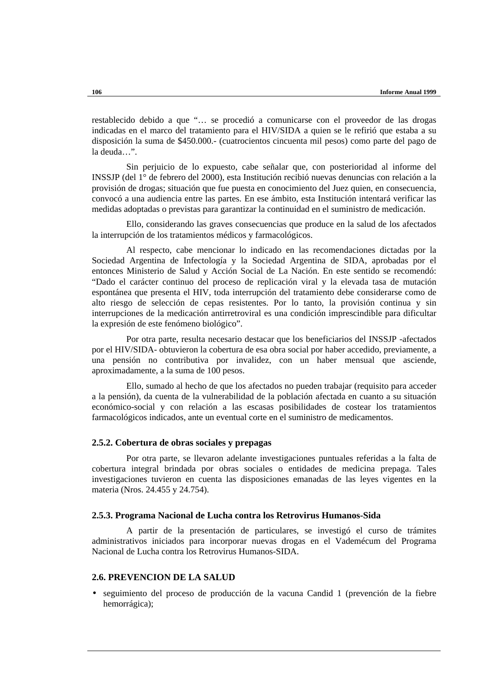restablecido debido a que "… se procedió a comunicarse con el proveedor de las drogas indicadas en el marco del tratamiento para el HIV/SIDA a quien se le refirió que estaba a su disposición la suma de \$450.000.- (cuatrocientos cincuenta mil pesos) como parte del pago de la deuda…".

Sin perjuicio de lo expuesto, cabe señalar que, con posterioridad al informe del INSSJP (del 1° de febrero del 2000), esta Institución recibió nuevas denuncias con relación a la provisión de drogas; situación que fue puesta en conocimiento del Juez quien, en consecuencia, convocó a una audiencia entre las partes. En ese ámbito, esta Institución intentará verificar las medidas adoptadas o previstas para garantizar la continuidad en el suministro de medicación.

Ello, considerando las graves consecuencias que produce en la salud de los afectados la interrupción de los tratamientos médicos y farmacológicos.

Al respecto, cabe mencionar lo indicado en las recomendaciones dictadas por la Sociedad Argentina de Infectología y la Sociedad Argentina de SIDA, aprobadas por el entonces Ministerio de Salud y Acción Social de La Nación. En este sentido se recomendó: "Dado el carácter continuo del proceso de replicación viral y la elevada tasa de mutación espontánea que presenta el HIV, toda interrupción del tratamiento debe considerarse como de alto riesgo de selección de cepas resistentes. Por lo tanto, la provisión continua y sin interrupciones de la medicación antirretroviral es una condición imprescindible para dificultar la expresión de este fenómeno biológico".

Por otra parte, resulta necesario destacar que los beneficiarios del INSSJP -afectados por el HIV/SIDA- obtuvieron la cobertura de esa obra social por haber accedido, previamente, a una pensión no contributiva por invalidez, con un haber mensual que asciende, aproximadamente, a la suma de 100 pesos.

Ello, sumado al hecho de que los afectados no pueden trabajar (requisito para acceder a la pensión), da cuenta de la vulnerabilidad de la población afectada en cuanto a su situación económico-social y con relación a las escasas posibilidades de costear los tratamientos farmacológicos indicados, ante un eventual corte en el suministro de medicamentos.

#### **2.5.2. Cobertura de obras sociales y prepagas**

Por otra parte, se llevaron adelante investigaciones puntuales referidas a la falta de cobertura integral brindada por obras sociales o entidades de medicina prepaga. Tales investigaciones tuvieron en cuenta las disposiciones emanadas de las leyes vigentes en la materia (Nros. 24.455 y 24.754).

#### **2.5.3. Programa Nacional de Lucha contra los Retrovirus Humanos-Sida**

A partir de la presentación de particulares, se investigó el curso de trámites administrativos iniciados para incorporar nuevas drogas en el Vademécum del Programa Nacional de Lucha contra los Retrovirus Humanos-SIDA.

# **2.6. PREVENCION DE LA SALUD**

• seguimiento del proceso de producción de la vacuna Candid 1 (prevención de la fiebre hemorrágica);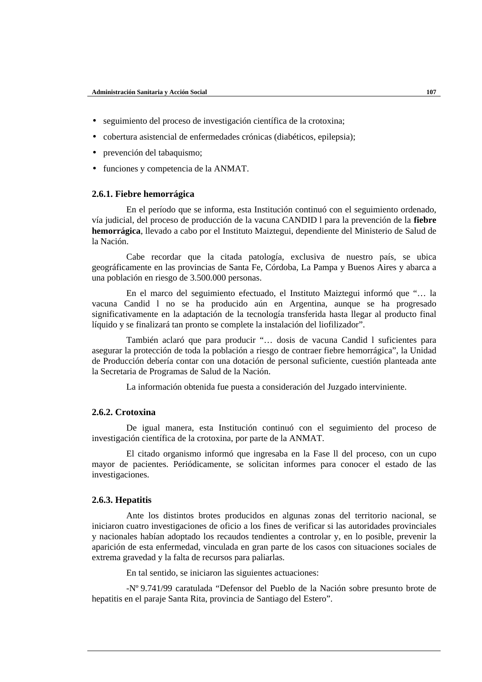- seguimiento del proceso de investigación científica de la crotoxina;
- cobertura asistencial de enfermedades crónicas (diabéticos, epilepsia);
- prevención del tabaquismo;
- funciones y competencia de la ANMAT.

## **2.6.1. Fiebre hemorrágica**

En el período que se informa, esta Institución continuó con el seguimiento ordenado, vía judicial, del proceso de producción de la vacuna CANDID l para la prevención de la **fiebre hemorrágica**, llevado a cabo por el Instituto Maiztegui, dependiente del Ministerio de Salud de la Nación.

Cabe recordar que la citada patología, exclusiva de nuestro país, se ubica geográficamente en las provincias de Santa Fe, Córdoba, La Pampa y Buenos Aires y abarca a una población en riesgo de 3.500.000 personas.

En el marco del seguimiento efectuado, el Instituto Maiztegui informó que "… la vacuna Candid l no se ha producido aún en Argentina, aunque se ha progresado significativamente en la adaptación de la tecnología transferida hasta llegar al producto final líquido y se finalizará tan pronto se complete la instalación del liofilizador".

También aclaró que para producir "… dosis de vacuna Candid l suficientes para asegurar la protección de toda la población a riesgo de contraer fiebre hemorrágica", la Unidad de Producción debería contar con una dotación de personal suficiente, cuestión planteada ante la Secretaria de Programas de Salud de la Nación.

La información obtenida fue puesta a consideración del Juzgado interviniente.

# **2.6.2. Crotoxina**

De igual manera, esta Institución continuó con el seguimiento del proceso de investigación científica de la crotoxina, por parte de la ANMAT.

El citado organismo informó que ingresaba en la Fase ll del proceso, con un cupo mayor de pacientes. Periódicamente, se solicitan informes para conocer el estado de las investigaciones.

## **2.6.3. Hepatitis**

Ante los distintos brotes producidos en algunas zonas del territorio nacional, se iniciaron cuatro investigaciones de oficio a los fines de verificar si las autoridades provinciales y nacionales habían adoptado los recaudos tendientes a controlar y, en lo posible, prevenir la aparición de esta enfermedad, vinculada en gran parte de los casos con situaciones sociales de extrema gravedad y la falta de recursos para paliarlas.

En tal sentido, se iniciaron las siguientes actuaciones:

-Nº 9.741/99 caratulada "Defensor del Pueblo de la Nación sobre presunto brote de hepatitis en el paraje Santa Rita, provincia de Santiago del Estero".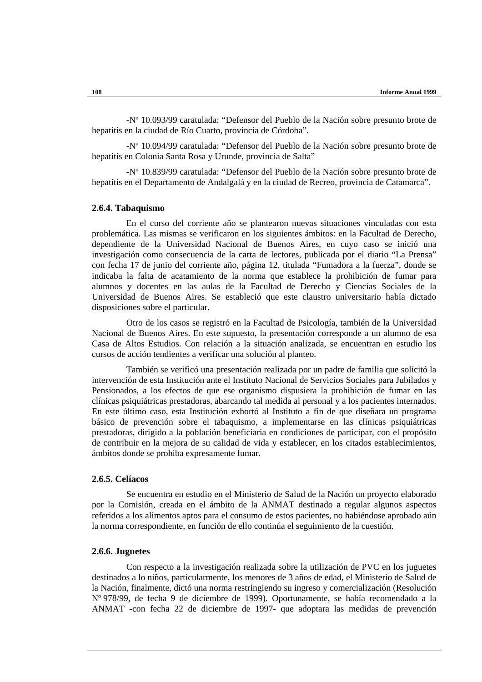-Nº 10.093/99 caratulada: "Defensor del Pueblo de la Nación sobre presunto brote de hepatitis en la ciudad de Río Cuarto, provincia de Córdoba".

-Nº 10.094/99 caratulada: "Defensor del Pueblo de la Nación sobre presunto brote de hepatitis en Colonia Santa Rosa y Urunde, provincia de Salta"

-Nº 10.839/99 caratulada: "Defensor del Pueblo de la Nación sobre presunto brote de hepatitis en el Departamento de Andalgalá y en la ciudad de Recreo, provincia de Catamarca".

## **2.6.4. Tabaquismo**

En el curso del corriente año se plantearon nuevas situaciones vinculadas con esta problemática. Las mismas se verificaron en los siguientes ámbitos: en la Facultad de Derecho, dependiente de la Universidad Nacional de Buenos Aires, en cuyo caso se inició una investigación como consecuencia de la carta de lectores, publicada por el diario "La Prensa" con fecha 17 de junio del corriente año, página 12, titulada "Fumadora a la fuerza", donde se indicaba la falta de acatamiento de la norma que establece la prohibición de fumar para alumnos y docentes en las aulas de la Facultad de Derecho y Ciencias Sociales de la Universidad de Buenos Aires. Se estableció que este claustro universitario había dictado disposiciones sobre el particular.

Otro de los casos se registró en la Facultad de Psicología, también de la Universidad Nacional de Buenos Aires. En este supuesto, la presentación corresponde a un alumno de esa Casa de Altos Estudios. Con relación a la situación analizada, se encuentran en estudio los cursos de acción tendientes a verificar una solución al planteo.

También se verificó una presentación realizada por un padre de familia que solicitó la intervención de esta Institución ante el Instituto Nacional de Servicios Sociales para Jubilados y Pensionados, a los efectos de que ese organismo dispusiera la prohibición de fumar en las clínicas psiquiátricas prestadoras, abarcando tal medida al personal y a los pacientes internados. En este último caso, esta Institución exhortó al Instituto a fin de que diseñara un programa básico de prevención sobre el tabaquismo, a implementarse en las clínicas psiquiátricas prestadoras, dirigido a la población beneficiaria en condiciones de participar, con el propósito de contribuir en la mejora de su calidad de vida y establecer, en los citados establecimientos, ámbitos donde se prohiba expresamente fumar.

## **2.6.5. Celíacos**

Se encuentra en estudio en el Ministerio de Salud de la Nación un proyecto elaborado por la Comisión, creada en el ámbito de la ANMAT destinado a regular algunos aspectos referidos a los alimentos aptos para el consumo de estos pacientes, no habiéndose aprobado aún la norma correspondiente, en función de ello continúa el seguimiento de la cuestión.

#### **2.6.6. Juguetes**

Con respecto a la investigación realizada sobre la utilización de PVC en los juguetes destinados a lo niños, particularmente, los menores de 3 años de edad, el Ministerio de Salud de la Nación, finalmente, dictó una norma restringiendo su ingreso y comercialización (Resolución Nº 978/99, de fecha 9 de diciembre de 1999). Oportunamente, se había recomendado a la ANMAT -con fecha 22 de diciembre de 1997- que adoptara las medidas de prevención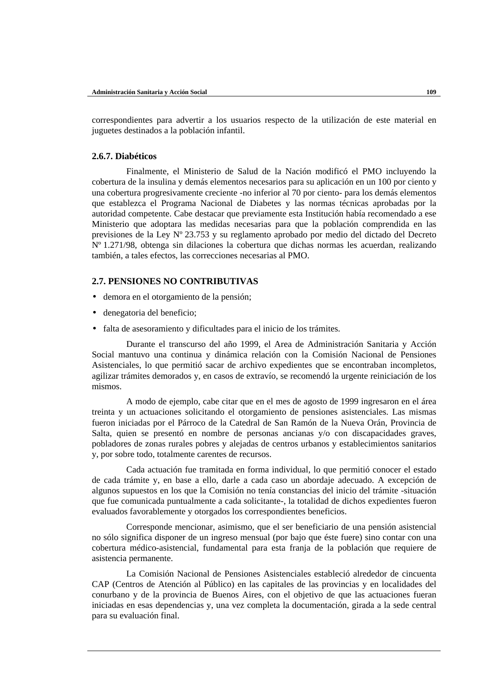correspondientes para advertir a los usuarios respecto de la utilización de este material en juguetes destinados a la población infantil.

## **2.6.7. Diabéticos**

Finalmente, el Ministerio de Salud de la Nación modificó el PMO incluyendo la cobertura de la insulina y demás elementos necesarios para su aplicación en un 100 por ciento y una cobertura progresivamente creciente -no inferior al 70 por ciento- para los demás elementos que establezca el Programa Nacional de Diabetes y las normas técnicas aprobadas por la autoridad competente. Cabe destacar que previamente esta Institución había recomendado a ese Ministerio que adoptara las medidas necesarias para que la población comprendida en las previsiones de la Ley Nº 23.753 y su reglamento aprobado por medio del dictado del Decreto Nº 1.271/98, obtenga sin dilaciones la cobertura que dichas normas les acuerdan, realizando también, a tales efectos, las correcciones necesarias al PMO.

# **2.7. PENSIONES NO CONTRIBUTIVAS**

- demora en el otorgamiento de la pensión;
- denegatoria del beneficio;
- falta de asesoramiento y dificultades para el inicio de los trámites.

Durante el transcurso del año 1999, el Area de Administración Sanitaria y Acción Social mantuvo una continua y dinámica relación con la Comisión Nacional de Pensiones Asistenciales, lo que permitió sacar de archivo expedientes que se encontraban incompletos, agilizar trámites demorados y, en casos de extravío, se recomendó la urgente reiniciación de los mismos.

A modo de ejemplo, cabe citar que en el mes de agosto de 1999 ingresaron en el área treinta y un actuaciones solicitando el otorgamiento de pensiones asistenciales. Las mismas fueron iniciadas por el Párroco de la Catedral de San Ramón de la Nueva Orán, Provincia de Salta, quien se presentó en nombre de personas ancianas y/o con discapacidades graves, pobladores de zonas rurales pobres y alejadas de centros urbanos y establecimientos sanitarios y, por sobre todo, totalmente carentes de recursos.

Cada actuación fue tramitada en forma individual, lo que permitió conocer el estado de cada trámite y, en base a ello, darle a cada caso un abordaje adecuado. A excepción de algunos supuestos en los que la Comisión no tenía constancias del inicio del trámite -situación que fue comunicada puntualmente a cada solicitante-, la totalidad de dichos expedientes fueron evaluados favorablemente y otorgados los correspondientes beneficios.

Corresponde mencionar, asimismo, que el ser beneficiario de una pensión asistencial no sólo significa disponer de un ingreso mensual (por bajo que éste fuere) sino contar con una cobertura médico-asistencial, fundamental para esta franja de la población que requiere de asistencia permanente.

La Comisión Nacional de Pensiones Asistenciales estableció alrededor de cincuenta CAP (Centros de Atención al Público) en las capitales de las provincias y en localidades del conurbano y de la provincia de Buenos Aires, con el objetivo de que las actuaciones fueran iniciadas en esas dependencias y, una vez completa la documentación, girada a la sede central para su evaluación final.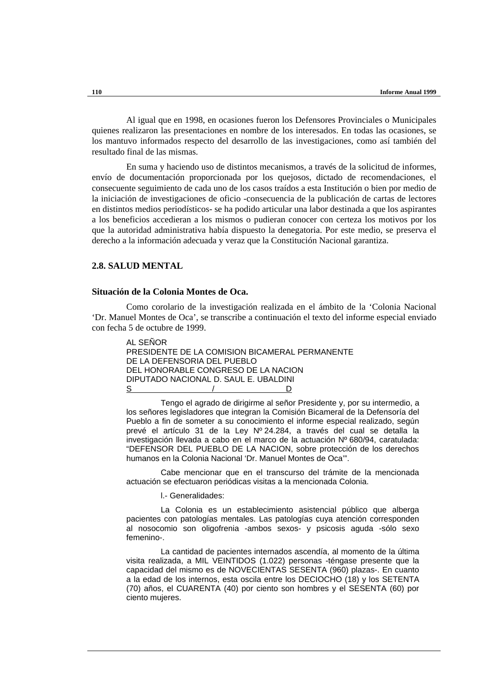Al igual que en 1998, en ocasiones fueron los Defensores Provinciales o Municipales quienes realizaron las presentaciones en nombre de los interesados. En todas las ocasiones, se los mantuvo informados respecto del desarrollo de las investigaciones, como así también del resultado final de las mismas.

En suma y haciendo uso de distintos mecanismos, a través de la solicitud de informes, envío de documentación proporcionada por los quejosos, dictado de recomendaciones, el consecuente seguimiento de cada uno de los casos traídos a esta Institución o bien por medio de la iniciación de investigaciones de oficio -consecuencia de la publicación de cartas de lectores en distintos medios periodísticos- se ha podido articular una labor destinada a que los aspirantes a los beneficios accedieran a los mismos o pudieran conocer con certeza los motivos por los que la autoridad administrativa había dispuesto la denegatoria. Por este medio, se preserva el derecho a la información adecuada y veraz que la Constitución Nacional garantiza.

# **2.8. SALUD MENTAL**

## **Situación de la Colonia Montes de Oca.**

Como corolario de la investigación realizada en el ámbito de la 'Colonia Nacional 'Dr. Manuel Montes de Oca', se transcribe a continuación el texto del informe especial enviado con fecha 5 de octubre de 1999.

| AL SENOR |                                       |                                                |  |
|----------|---------------------------------------|------------------------------------------------|--|
|          |                                       | PRESIDENTE DE LA COMISION BICAMERAL PERMANENTE |  |
|          | DE LA DEFENSORIA DEL PUEBLO           |                                                |  |
|          | DEL HONORABLE CONGRESO DE LA NACION   |                                                |  |
|          | DIPUTADO NACIONAL D. SAUL E. UBALDINI |                                                |  |
| S        |                                       |                                                |  |

Tengo el agrado de dirigirme al señor Presidente y, por su intermedio, a los señores legisladores que integran la Comisión Bicameral de la Defensoría del Pueblo a fin de someter a su conocimiento el informe especial realizado, según prevé el artículo 31 de la Ley Nº 24.284, a través del cual se detalla la investigación llevada a cabo en el marco de la actuación Nº 680/94, caratulada: "DEFENSOR DEL PUEBLO DE LA NACION, sobre protección de los derechos humanos en la Colonia Nacional 'Dr. Manuel Montes de Oca'".

Cabe mencionar que en el transcurso del trámite de la mencionada actuación se efectuaron periódicas visitas a la mencionada Colonia.

l.- Generalidades:

La Colonia es un establecimiento asistencial público que alberga pacientes con patologías mentales. Las patologías cuya atención corresponden al nosocomio son oligofrenia -ambos sexos- y psicosis aguda -sólo sexo femenino-.

La cantidad de pacientes internados ascendía, al momento de la última visita realizada, a MIL VEINTIDOS (1.022) personas -téngase presente que la capacidad del mismo es de NOVECIENTAS SESENTA (960) plazas-. En cuanto a la edad de los internos, esta oscila entre los DECIOCHO (18) y los SETENTA (70) años, el CUARENTA (40) por ciento son hombres y el SESENTA (60) por ciento mujeres.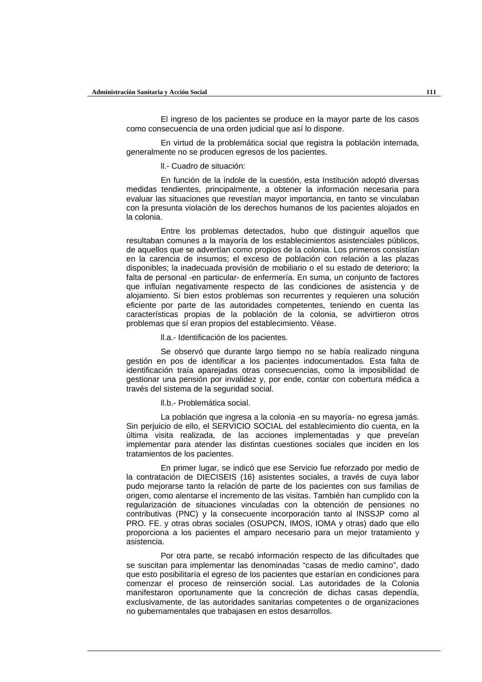El ingreso de los pacientes se produce en la mayor parte de los casos como consecuencia de una orden judicial que así lo dispone.

En virtud de la problemática social que registra la población internada, generalmente no se producen egresos de los pacientes.

ll.- Cuadro de situación:

En función de la índole de la cuestión, esta Institución adoptó diversas medidas tendientes, principalmente, a obtener la información necesaria para evaluar las situaciones que revestían mayor importancia, en tanto se vinculaban con la presunta violación de los derechos humanos de los pacientes alojados en la colonia.

Entre los problemas detectados, hubo que distinguir aquellos que resultaban comunes a la mayoría de los establecimientos asistenciales públicos, de aquellos que se advertían como propios de la colonia. Los primeros consistían en la carencia de insumos; el exceso de población con relación a las plazas disponibles; la inadecuada provisión de mobiliario o el su estado de deterioro; la falta de personal -en particular- de enfermería. En suma, un conjunto de factores que influían negativamente respecto de las condiciones de asistencia y de alojamiento. Si bien estos problemas son recurrentes y requieren una solución eficiente por parte de las autoridades competentes, teniendo en cuenta las características propias de la población de la colonia, se advirtieron otros problemas que sí eran propios del establecimiento. Véase.

ll.a.- Identificación de los pacientes.

Se observó que durante largo tiempo no se había realizado ninguna gestión en pos de identificar a los pacientes indocumentados. Esta falta de identificación traía aparejadas otras consecuencias, como la imposibilidad de gestionar una pensión por invalidez y, por ende, contar con cobertura médica a través del sistema de la seguridad social.

ll.b.- Problemática social.

La población que ingresa a la colonia -en su mayoría- no egresa jamás. Sin perjuicio de ello, el SERVICIO SOCIAL del establecimiento dio cuenta, en la última visita realizada, de las acciones implementadas y que preveían implementar para atender las distintas cuestiones sociales que inciden en los tratamientos de los pacientes.

En primer lugar, se indicó que ese Servicio fue reforzado por medio de la contratación de DIECISEIS (16) asistentes sociales, a través de cuya labor pudo mejorarse tanto la relación de parte de los pacientes con sus familias de origen, como alentarse el incremento de las visitas. También han cumplido con la regularización de situaciones vinculadas con la obtención de pensiones no contributivas (PNC) y la consecuente incorporación tanto al INSSJP como al PRO. FE. y otras obras sociales (OSUPCN, IMOS, IOMA y otras) dado que ello proporciona a los pacientes el amparo necesario para un mejor tratamiento y asistencia.

Por otra parte, se recabó información respecto de las dificultades que se suscitan para implementar las denominadas "casas de medio camino", dado que esto posibilitaría el egreso de los pacientes que estarían en condiciones para comenzar el proceso de reinserción social. Las autoridades de la Colonia manifestaron oportunamente que la concreción de dichas casas dependía, exclusivamente, de las autoridades sanitarias competentes o de organizaciones no gubernamentales que trabajasen en estos desarrollos.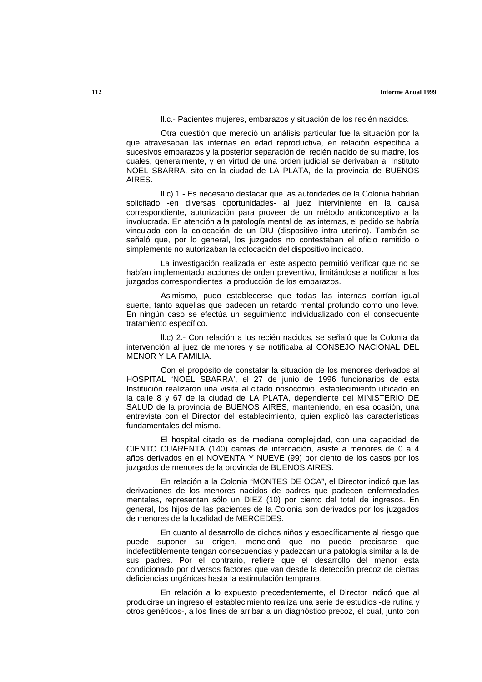ll.c.- Pacientes mujeres, embarazos y situación de los recién nacidos.

Otra cuestión que mereció un análisis particular fue la situación por la que atravesaban las internas en edad reproductiva, en relación específica a sucesivos embarazos y la posterior separación del recién nacido de su madre, los cuales, generalmente, y en virtud de una orden judicial se derivaban al Instituto NOEL SBARRA, sito en la ciudad de LA PLATA, de la provincia de BUENOS AIRES.

ll.c) 1.- Es necesario destacar que las autoridades de la Colonia habrían solicitado -en diversas oportunidades- al juez interviniente en la causa correspondiente, autorización para proveer de un método anticonceptivo a la involucrada. En atención a la patología mental de las internas, el pedido se habría vinculado con la colocación de un DIU (dispositivo intra uterino). También se señaló que, por lo general, los juzgados no contestaban el oficio remitido o simplemente no autorizaban la colocación del dispositivo indicado.

La investigación realizada en este aspecto permitió verificar que no se habían implementado acciones de orden preventivo, limitándose a notificar a los juzgados correspondientes la producción de los embarazos.

Asimismo, pudo establecerse que todas las internas corrían igual suerte, tanto aquellas que padecen un retardo mental profundo como uno leve. En ningún caso se efectúa un seguimiento individualizado con el consecuente tratamiento específico.

ll.c) 2.- Con relación a los recién nacidos, se señaló que la Colonia da intervención al juez de menores y se notificaba al CONSEJO NACIONAL DEL MENOR Y LA FAMILIA.

Con el propósito de constatar la situación de los menores derivados al HOSPITAL 'NOEL SBARRA', el 27 de junio de 1996 funcionarios de esta Institución realizaron una visita al citado nosocomio, establecimiento ubicado en la calle 8 y 67 de la ciudad de LA PLATA, dependiente del MINISTERIO DE SALUD de la provincia de BUENOS AIRES, manteniendo, en esa ocasión, una entrevista con el Director del establecimiento, quien explicó las características fundamentales del mismo.

El hospital citado es de mediana complejidad, con una capacidad de CIENTO CUARENTA (140) camas de internación, asiste a menores de 0 a 4 años derivados en el NOVENTA Y NUEVE (99) por ciento de los casos por los juzgados de menores de la provincia de BUENOS AIRES.

En relación a la Colonia "MONTES DE OCA", el Director indicó que las derivaciones de los menores nacidos de padres que padecen enfermedades mentales, representan sólo un DIEZ (10) por ciento del total de ingresos. En general, los hijos de las pacientes de la Colonia son derivados por los juzgados de menores de la localidad de MERCEDES.

En cuanto al desarrollo de dichos niños y específicamente al riesgo que puede suponer su origen, mencionó que no puede precisarse que indefectiblemente tengan consecuencias y padezcan una patología similar a la de sus padres. Por el contrario, refiere que el desarrollo del menor está condicionado por diversos factores que van desde la detección precoz de ciertas deficiencias orgánicas hasta la estimulación temprana.

En relación a lo expuesto precedentemente, el Director indicó que al producirse un ingreso el establecimiento realiza una serie de estudios -de rutina y otros genéticos-, a los fines de arribar a un diagnóstico precoz, el cual, junto con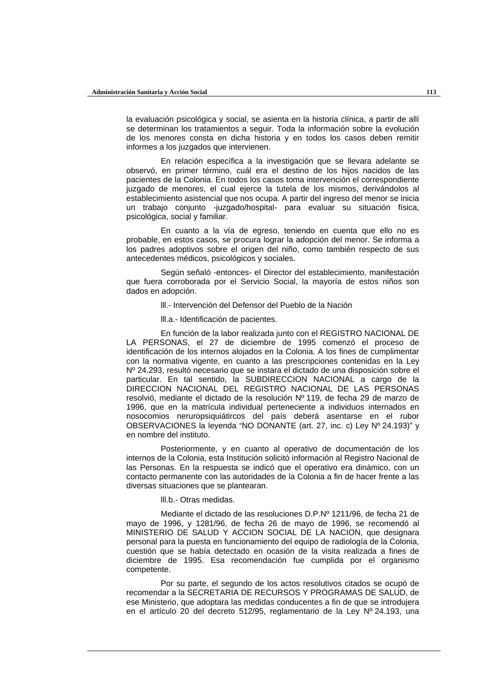la evaluación psicológica y social, se asienta en la historia clínica, a partir de allí se determinan los tratamientos a seguir. Toda la información sobre la evolución de los menores consta en dicha historia y en todos los casos deben remitir informes a los juzgados que intervienen.

En relación específica a la investigación que se llevara adelante se observó, en primer término, cuál era el destino de los hijos nacidos de las pacientes de la Colonia. En todos los casos toma intervención el correspondiente juzgado de menores, el cual ejerce la tutela de los mismos, derivándolos al establecimiento asistencial que nos ocupa. A partir del ingreso del menor se inicia un trabajo conjunto -juzgado/hospital- para evaluar su situación física, psicológica, social y familiar.

En cuanto a la vía de egreso, teniendo en cuenta que ello no es probable, en estos casos, se procura lograr la adopción del menor. Se informa a los padres adoptivos sobre el origen del niño, como también respecto de sus antecedentes médicos, psicológicos y sociales.

Según señaló -entonces- el Director del establecimiento, manifestación que fuera corroborada por el Servicio Social, la mayoría de estos niños son dados en adopción.

lll.- Intervención del Defensor del Pueblo de la Nación

lll.a.- Identificación de pacientes.

En función de la labor realizada junto con el REGISTRO NACIONAL DE LA PERSONAS, el 27 de diciembre de 1995 comenzó el proceso de identificación de los internos alojados en la Colonia. A los fines de cumplimentar con la normativa vigente, en cuanto a las prescripciones contenidas en la Ley Nº 24.293, resultó necesario que se instara el dictado de una disposición sobre el particular. En tal sentido, la SUBDIRECCION NACIONAL a cargo de la DIRECCION NACIONAL DEL REGISTRO NACIONAL DE LAS PERSONAS resolvió, mediante el dictado de la resolución Nº 119, de fecha 29 de marzo de 1996, que en la matrícula individual perteneciente a individuos internados en nosocomios neruropsiquiátircos del país deberá asentarse en el rubor OBSERVACIONES la leyenda "NO DONANTE (art. 27, inc. c) Ley Nº 24.193)" y en nombre del instituto.

Posteriormente, y en cuanto al operativo de documentación de los internos de la Colonia, esta Institución solicitó información al Registro Nacional de las Personas. En la respuesta se indicó que el operativo era dinámico, con un contacto permanente con las autoridades de la Colonia a fin de hacer frente a las diversas situaciones que se plantearan.

lll.b.- Otras medidas.

Mediante el dictado de las resoluciones D.P.Nº 1211/96, de fecha 21 de mayo de 1996, y 1281/96, de fecha 26 de mayo de 1996, se recomendó al MINISTERIO DE SALUD Y ACCION SOCIAL DE LA NACION, que designara personal para la puesta en funcionamiento del equipo de radiología de la Colonia, cuestión que se había detectado en ocasión de la visita realizada a fines de diciembre de 1995. Esa recomendación fue cumplida por el organismo competente.

Por su parte, el segundo de los actos resolutivos citados se ocupó de recomendar a la SECRETARIA DE RECURSOS Y PROGRAMAS DE SALUD, de ese Ministerio, que adoptara las medidas conducentes a fin de que se introdujera en el artículo 20 del decreto 512/95, reglamentario de la Ley Nº 24.193, una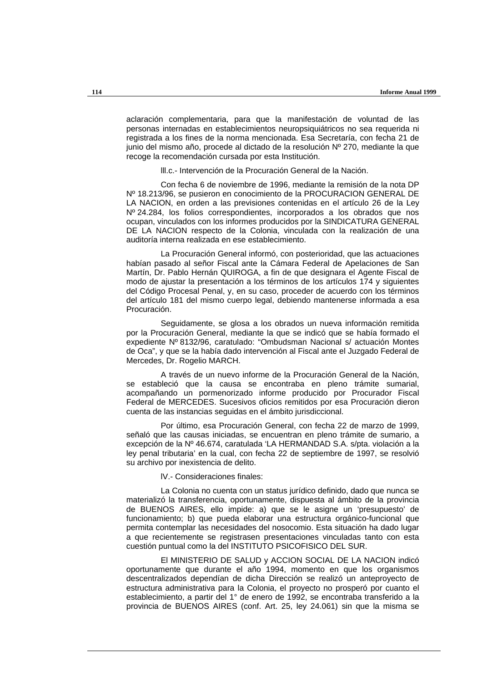aclaración complementaria, para que la manifestación de voluntad de las personas internadas en establecimientos neuropsiquiátricos no sea requerida ni registrada a los fines de la norma mencionada. Esa Secretaría, con fecha 21 de junio del mismo año, procede al dictado de la resolución Nº 270, mediante la que recoge la recomendación cursada por esta Institución.

lll.c.- Intervención de la Procuración General de la Nación.

Con fecha 6 de noviembre de 1996, mediante la remisión de la nota DP Nº 18.213/96, se pusieron en conocimiento de la PROCURACION GENERAL DE LA NACION, en orden a las previsiones contenidas en el artículo 26 de la Ley Nº 24.284, los folios correspondientes, incorporados a los obrados que nos ocupan, vinculados con los informes producidos por la SINDICATURA GENERAL DE LA NACION respecto de la Colonia, vinculada con la realización de una auditoría interna realizada en ese establecimiento.

La Procuración General informó, con posterioridad, que las actuaciones habían pasado al señor Fiscal ante la Cámara Federal de Apelaciones de San Martín, Dr. Pablo Hernán QUIROGA, a fin de que designara el Agente Fiscal de modo de ajustar la presentación a los términos de los artículos 174 y siguientes del Código Procesal Penal, y, en su caso, proceder de acuerdo con los términos del artículo 181 del mismo cuerpo legal, debiendo mantenerse informada a esa Procuración.

Seguidamente, se glosa a los obrados un nueva información remitida por la Procuración General, mediante la que se indicó que se había formado el expediente Nº 8132/96, caratulado: "Ombudsman Nacional s/ actuación Montes de Oca", y que se la había dado intervención al Fiscal ante el Juzgado Federal de Mercedes, Dr. Rogelio MARCH.

A través de un nuevo informe de la Procuración General de la Nación, se estableció que la causa se encontraba en pleno trámite sumarial, acompañando un pormenorizado informe producido por Procurador Fiscal Federal de MERCEDES. Sucesivos oficios remitidos por esa Procuración dieron cuenta de las instancias seguidas en el ámbito jurisdiccional.

Por último, esa Procuración General, con fecha 22 de marzo de 1999, señaló que las causas iniciadas, se encuentran en pleno trámite de sumario, a excepción de la Nº 46.674, caratulada 'LA HERMANDAD S.A. s/pta. violación a la ley penal tributaria' en la cual, con fecha 22 de septiembre de 1997, se resolvió su archivo por inexistencia de delito.

lV.- Consideraciones finales:

La Colonia no cuenta con un status jurídico definido, dado que nunca se materializó la transferencia, oportunamente, dispuesta al ámbito de la provincia de BUENOS AIRES, ello impide: a) que se le asigne un 'presupuesto' de funcionamiento; b) que pueda elaborar una estructura orgánico-funcional que permita contemplar las necesidades del nosocomio. Esta situación ha dado lugar a que recientemente se registrasen presentaciones vinculadas tanto con esta cuestión puntual como la del INSTITUTO PSICOFISICO DEL SUR.

El MINISTERIO DE SALUD y ACCION SOCIAL DE LA NACION indicó oportunamente que durante el año 1994, momento en que los organismos descentralizados dependían de dicha Dirección se realizó un anteproyecto de estructura administrativa para la Colonia, el proyecto no prosperó por cuanto el establecimiento, a partir del 1° de enero de 1992, se encontraba transferido a la provincia de BUENOS AIRES (conf. Art. 25, ley 24.061) sin que la misma se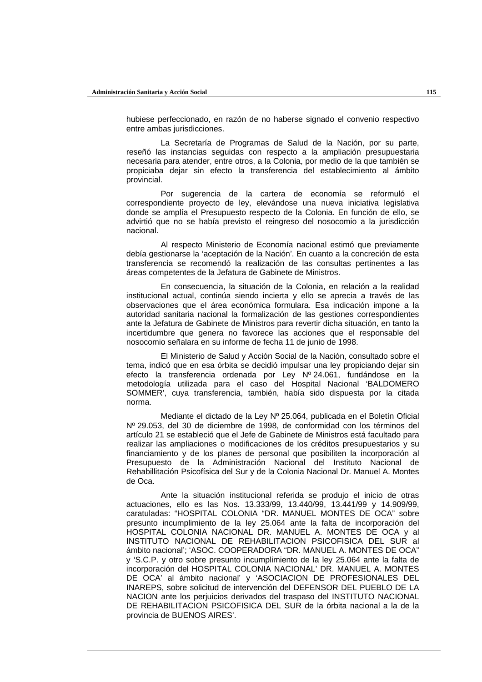hubiese perfeccionado, en razón de no haberse signado el convenio respectivo entre ambas jurisdicciones.

La Secretaría de Programas de Salud de la Nación, por su parte, reseñó las instancias seguidas con respecto a la ampliación presupuestaria necesaria para atender, entre otros, a la Colonia, por medio de la que también se propiciaba dejar sin efecto la transferencia del establecimiento al ámbito provincial.

Por sugerencia de la cartera de economía se reformuló el correspondiente proyecto de ley, elevándose una nueva iniciativa legislativa donde se amplía el Presupuesto respecto de la Colonia. En función de ello, se advirtió que no se había previsto el reingreso del nosocomio a la jurisdicción nacional.

Al respecto Ministerio de Economía nacional estimó que previamente debía gestionarse la 'aceptación de la Nación'. En cuanto a la concreción de esta transferencia se recomendó la realización de las consultas pertinentes a las áreas competentes de la Jefatura de Gabinete de Ministros.

En consecuencia, la situación de la Colonia, en relación a la realidad institucional actual, continúa siendo incierta y ello se aprecia a través de las observaciones que el área económica formulara. Esa indicación impone a la autoridad sanitaria nacional la formalización de las gestiones correspondientes ante la Jefatura de Gabinete de Ministros para revertir dicha situación, en tanto la incertidumbre que genera no favorece las acciones que el responsable del nosocomio señalara en su informe de fecha 11 de junio de 1998.

El Ministerio de Salud y Acción Social de la Nación, consultado sobre el tema, indicó que en esa órbita se decidió impulsar una ley propiciando dejar sin efecto la transferencia ordenada por Ley Nº 24.061, fundándose en la metodología utilizada para el caso del Hospital Nacional 'BALDOMERO SOMMER', cuya transferencia, también, había sido dispuesta por la citada norma.

Mediante el dictado de la Ley Nº 25.064, publicada en el Boletín Oficial Nº 29.053, del 30 de diciembre de 1998, de conformidad con los términos del artículo 21 se estableció que el Jefe de Gabinete de Ministros está facultado para realizar las ampliaciones o modificaciones de los créditos presupuestarios y su financiamiento y de los planes de personal que posibiliten la incorporación al Presupuesto de la Administración Nacional del Instituto Nacional de Rehabillitación Psicofísica del Sur y de la Colonia Nacional Dr. Manuel A. Montes de Oca.

Ante la situación institucional referida se produjo el inicio de otras actuaciones, ello es las Nos. 13.333/99, 13.440/99, 13.441/99 y 14.909/99, caratuladas: "HOSPITAL COLONIA "DR. MANUEL MONTES DE OCA" sobre presunto incumplimiento de la ley 25.064 ante la falta de incorporación del HOSPITAL COLONIA NACIONAL DR. MANUEL A. MONTES DE OCA y al INSTITUTO NACIONAL DE REHABILITACION PSICOFISICA DEL SUR al ámbito nacional'; 'ASOC. COOPERADORA "DR. MANUEL A. MONTES DE OCA" y 'S.C.P. y otro sobre presunto incumplimiento de la ley 25.064 ante la falta de incorporación del HOSPITAL COLONIA NACIONAL' DR. MANUEL A. MONTES DE OCA' al ámbito nacional' y 'ASOCIACION DE PROFESIONALES DEL INAREPS, sobre solicitud de intervención del DEFENSOR DEL PUEBLO DE LA NACION ante los perjuicios derivados del traspaso del INSTITUTO NACIONAL DE REHABILITACION PSICOFISICA DEL SUR de la órbita nacional a la de la provincia de BUENOS AIRES'.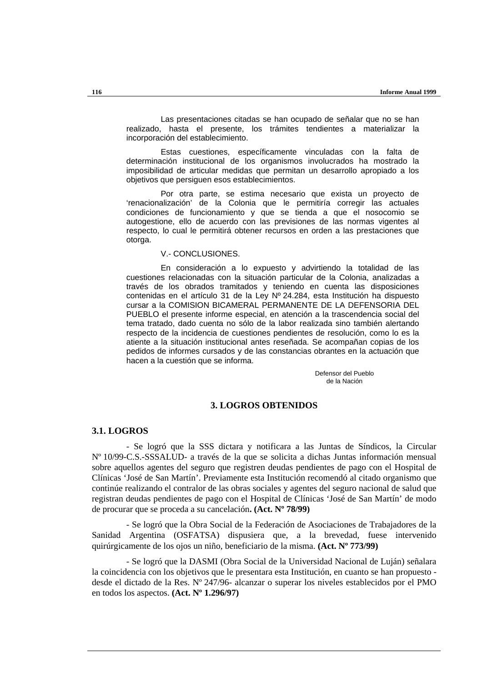Las presentaciones citadas se han ocupado de señalar que no se han realizado, hasta el presente, los trámites tendientes a materializar la incorporación del establecimiento.

Estas cuestiones, específicamente vinculadas con la falta de determinación institucional de los organismos involucrados ha mostrado la imposibilidad de articular medidas que permitan un desarrollo apropiado a los objetivos que persiguen esos establecimientos.

Por otra parte, se estima necesario que exista un proyecto de 'renacionalización' de la Colonia que le permitiría corregir las actuales condiciones de funcionamiento y que se tienda a que el nosocomio se autogestione, ello de acuerdo con las previsiones de las normas vigentes al respecto, lo cual le permitirá obtener recursos en orden a las prestaciones que otorga.

#### V.- CONCLUSIONES.

En consideración a lo expuesto y advirtiendo la totalidad de las cuestiones relacionadas con la situación particular de la Colonia, analizadas a través de los obrados tramitados y teniendo en cuenta las disposiciones contenidas en el artículo 31 de la Ley Nº 24.284, esta Institución ha dispuesto cursar a la COMISION BICAMERAL PERMANENTE DE LA DEFENSORIA DEL PUEBLO el presente informe especial, en atención a la trascendencia social del tema tratado, dado cuenta no sólo de la labor realizada sino también alertando respecto de la incidencia de cuestiones pendientes de resolución, como lo es la atiente a la situación institucional antes reseñada. Se acompañan copias de los pedidos de informes cursados y de las constancias obrantes en la actuación que hacen a la cuestión que se informa.

> Defensor del Pueblo de la Nación

# **3. LOGROS OBTENIDOS**

## **3.1. LOGROS**

- Se logró que la SSS dictara y notificara a las Juntas de Síndicos, la Circular Nº 10/99-C.S.-SSSALUD- a través de la que se solicita a dichas Juntas información mensual sobre aquellos agentes del seguro que registren deudas pendientes de pago con el Hospital de Clínicas 'José de San Martín'. Previamente esta Institución recomendó al citado organismo que continúe realizando el contralor de las obras sociales y agentes del seguro nacional de salud que registran deudas pendientes de pago con el Hospital de Clínicas 'José de San Martín' de modo de procurar que se proceda a su cancelación**. (Act. Nº 78/99)**

- Se logró que la Obra Social de la Federación de Asociaciones de Trabajadores de la Sanidad Argentina (OSFATSA) dispusiera que, a la brevedad, fuese intervenido quirúrgicamente de los ojos un niño, beneficiario de la misma. **(Act. Nº 773/99)**

- Se logró que la DASMI (Obra Social de la Universidad Nacional de Luján) señalara la coincidencia con los objetivos que le presentara esta Institución, en cuanto se han propuesto desde el dictado de la Res. Nº 247/96- alcanzar o superar los niveles establecidos por el PMO en todos los aspectos. **(Act. Nº 1.296/97)**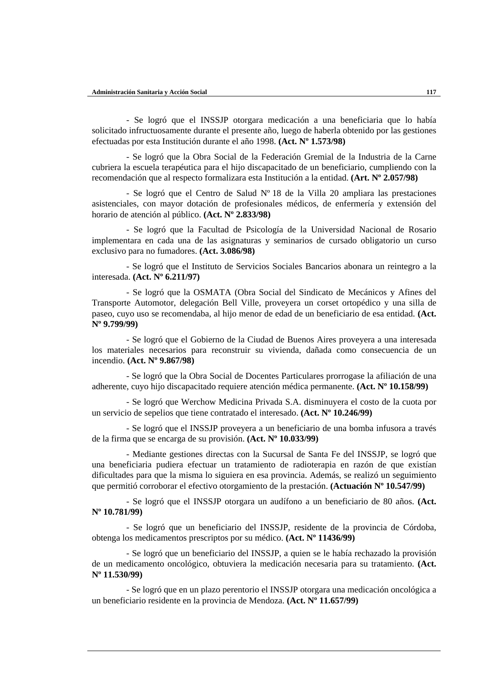- Se logró que el INSSJP otorgara medicación a una beneficiaria que lo había solicitado infructuosamente durante el presente año, luego de haberla obtenido por las gestiones efectuadas por esta Institución durante el año 1998. **(Act. Nº 1.573/98)**

- Se logró que la Obra Social de la Federación Gremial de la Industria de la Carne cubriera la escuela terapéutica para el hijo discapacitado de un beneficiario, cumpliendo con la recomendación que al respecto formalizara esta Institución a la entidad. **(Art. Nº 2.057/98)**

- Se logró que el Centro de Salud Nº 18 de la Villa 20 ampliara las prestaciones asistenciales, con mayor dotación de profesionales médicos, de enfermería y extensión del horario de atención al público. **(Act. Nº 2.833/98)**

- Se logró que la Facultad de Psicología de la Universidad Nacional de Rosario implementara en cada una de las asignaturas y seminarios de cursado obligatorio un curso exclusivo para no fumadores. **(Act. 3.086/98)**

- Se logró que el Instituto de Servicios Sociales Bancarios abonara un reintegro a la interesada. **(Act. Nº 6.211/97)**

- Se logró que la OSMATA (Obra Social del Sindicato de Mecánicos y Afines del Transporte Automotor, delegación Bell Ville, proveyera un corset ortopédico y una silla de paseo, cuyo uso se recomendaba, al hijo menor de edad de un beneficiario de esa entidad. **(Act. Nº 9.799/99)**

- Se logró que el Gobierno de la Ciudad de Buenos Aires proveyera a una interesada los materiales necesarios para reconstruir su vivienda, dañada como consecuencia de un incendio. **(Act. Nº 9.867/98)**

- Se logró que la Obra Social de Docentes Particulares prorrogase la afiliación de una adherente, cuyo hijo discapacitado requiere atención médica permanente. **(Act. Nº 10.158/99)**

- Se logró que Werchow Medicina Privada S.A. disminuyera el costo de la cuota por un servicio de sepelios que tiene contratado el interesado. **(Act. Nº 10.246/99)**

- Se logró que el INSSJP proveyera a un beneficiario de una bomba infusora a través de la firma que se encarga de su provisión. **(Act. Nº 10.033/99)**

- Mediante gestiones directas con la Sucursal de Santa Fe del INSSJP, se logró que una beneficiaria pudiera efectuar un tratamiento de radioterapia en razón de que existían dificultades para que la misma lo siguiera en esa provincia. Además, se realizó un seguimiento que permitió corroborar el efectivo otorgamiento de la prestación. **(Actuación Nº 10.547/99)**

- Se logró que el INSSJP otorgara un audífono a un beneficiario de 80 años. **(Act. Nº 10.781/99)**

- Se logró que un beneficiario del INSSJP, residente de la provincia de Córdoba, obtenga los medicamentos prescriptos por su médico. **(Act. Nº 11436/99)**

- Se logró que un beneficiario del INSSJP, a quien se le había rechazado la provisión de un medicamento oncológico, obtuviera la medicación necesaria para su tratamiento. **(Act. Nº 11.530/99)**

- Se logró que en un plazo perentorio el INSSJP otorgara una medicación oncológica a un beneficiario residente en la provincia de Mendoza. **(Act. Nº 11.657/99)**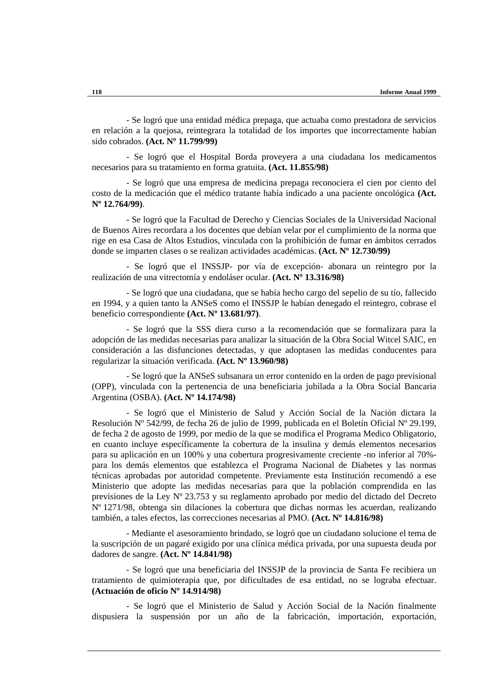- Se logró que una entidad médica prepaga, que actuaba como prestadora de servicios en relación a la quejosa, reintegrara la totalidad de los importes que incorrectamente habían sido cobrados. **(Act. Nº 11.799/99)**

- Se logró que el Hospital Borda proveyera a una ciudadana los medicamentos necesarios para su tratamiento en forma gratuita. **(Act. 11.855/98)**

- Se logró que una empresa de medicina prepaga reconociera el cien por ciento del costo de la medicación que el médico tratante había indicado a una paciente oncológica **(Act. Nº 12.764/99)**.

- Se logró que la Facultad de Derecho y Ciencias Sociales de la Universidad Nacional de Buenos Aires recordara a los docentes que debían velar por el cumplimiento de la norma que rige en esa Casa de Altos Estudios, vinculada con la prohibición de fumar en ámbitos cerrados donde se imparten clases o se realizan actividades académicas. **(Act. Nº 12.730/99)**

- Se logró que el INSSJP- por vía de excepción- abonara un reintegro por la realización de una vitrectomía y endoláser ocular. **(Act. Nº 13.316/98)**

- Se logró que una ciudadana, que se había hecho cargo del sepelio de su tío, fallecido en 1994, y a quien tanto la ANSeS como el INSSJP le habían denegado el reintegro, cobrase el beneficio correspondiente **(Act. Nº 13.681/97)**.

- Se logró que la SSS diera curso a la recomendación que se formalizara para la adopción de las medidas necesarias para analizar la situación de la Obra Social Witcel SAIC, en consideración a las disfunciones detectadas, y que adoptasen las medidas conducentes para regularizar la situación verificada. **(Act. Nº 13.960/98)**

- Se logró que la ANSeS subsanara un error contenido en la orden de pago previsional (OPP), vinculada con la pertenencia de una beneficiaria jubilada a la Obra Social Bancaria Argentina (OSBA). **(Act. Nº 14.174/98)**

- Se logró que el Ministerio de Salud y Acción Social de la Nación dictara la Resolución Nº 542/99, de fecha 26 de julio de 1999, publicada en el Boletín Oficial Nº 29.199, de fecha 2 de agosto de 1999, por medio de la que se modifica el Programa Medico Obligatorio, en cuanto incluye específicamente la cobertura de la insulina y demás elementos necesarios para su aplicación en un 100% y una cobertura progresivamente creciente -no inferior al 70% para los demás elementos que establezca el Programa Nacional de Diabetes y las normas técnicas aprobadas por autoridad competente. Previamente esta Institución recomendó a ese Ministerio que adopte las medidas necesarias para que la población comprendida en las previsiones de la Ley Nº 23.753 y su reglamento aprobado por medio del dictado del Decreto Nº 1271/98, obtenga sin dilaciones la cobertura que dichas normas les acuerdan, realizando también, a tales efectos, las correcciones necesarias al PMO. **(Act. Nº 14.816/98)**

- Mediante el asesoramiento brindado, se logró que un ciudadano solucione el tema de la suscripción de un pagaré exigido por una clínica médica privada, por una supuesta deuda por dadores de sangre. **(Act. Nº 14.841/98)**

- Se logró que una beneficiaria del INSSJP de la provincia de Santa Fe recibiera un tratamiento de quimioterapia que, por dificultades de esa entidad, no se lograba efectuar. **(Actuación de oficio Nº 14.914/98)**

- Se logró que el Ministerio de Salud y Acción Social de la Nación finalmente dispusiera la suspensión por un año de la fabricación, importación, exportación,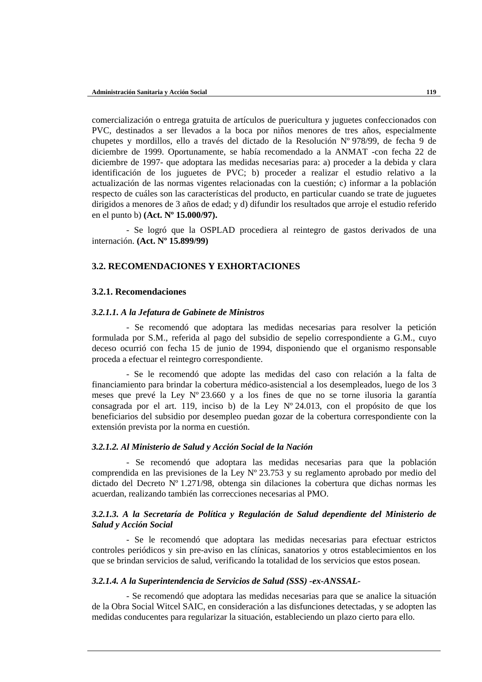comercialización o entrega gratuita de artículos de puericultura y juguetes confeccionados con PVC, destinados a ser llevados a la boca por niños menores de tres años, especialmente chupetes y mordillos, ello a través del dictado de la Resolución Nº 978/99, de fecha 9 de diciembre de 1999. Oportunamente, se había recomendado a la ANMAT -con fecha 22 de diciembre de 1997- que adoptara las medidas necesarias para: a) proceder a la debida y clara identificación de los juguetes de PVC; b) proceder a realizar el estudio relativo a la actualización de las normas vigentes relacionadas con la cuestión; c) informar a la población respecto de cuáles son las características del producto, en particular cuando se trate de juguetes dirigidos a menores de 3 años de edad; y d) difundir los resultados que arroje el estudio referido en el punto b) **(Act. Nº 15.000/97).**

- Se logró que la OSPLAD procediera al reintegro de gastos derivados de una internación. **(Act. Nº 15.899/99)**

# **3.2. RECOMENDACIONES Y EXHORTACIONES**

## **3.2.1. Recomendaciones**

#### *3.2.1.1. A la Jefatura de Gabinete de Ministros*

- Se recomendó que adoptara las medidas necesarias para resolver la petición formulada por S.M., referida al pago del subsidio de sepelio correspondiente a G.M., cuyo deceso ocurrió con fecha 15 de junio de 1994, disponiendo que el organismo responsable proceda a efectuar el reintegro correspondiente.

- Se le recomendó que adopte las medidas del caso con relación a la falta de financiamiento para brindar la cobertura médico-asistencial a los desempleados, luego de los 3 meses que prevé la Ley Nº 23.660 y a los fines de que no se torne ilusoria la garantía consagrada por el art. 119, inciso b) de la Ley Nº 24.013, con el propósito de que los beneficiarios del subsidio por desempleo puedan gozar de la cobertura correspondiente con la extensión prevista por la norma en cuestión.

## *3.2.1.2. Al Ministerio de Salud y Acción Social de la Nación*

- Se recomendó que adoptara las medidas necesarias para que la población comprendida en las previsiones de la Ley Nº 23.753 y su reglamento aprobado por medio del dictado del Decreto Nº 1.271/98, obtenga sin dilaciones la cobertura que dichas normas les acuerdan, realizando también las correcciones necesarias al PMO.

# *3.2.1.3. A la Secretaría de Política y Regulación de Salud dependiente del Ministerio de Salud y Acción Social*

- Se le recomendó que adoptara las medidas necesarias para efectuar estrictos controles periódicos y sin pre-aviso en las clínicas, sanatorios y otros establecimientos en los que se brindan servicios de salud, verificando la totalidad de los servicios que estos posean.

#### *3.2.1.4. A la Superintendencia de Servicios de Salud (SSS) -ex-ANSSAL-*

- Se recomendó que adoptara las medidas necesarias para que se analice la situación de la Obra Social Witcel SAIC, en consideración a las disfunciones detectadas, y se adopten las medidas conducentes para regularizar la situación, estableciendo un plazo cierto para ello.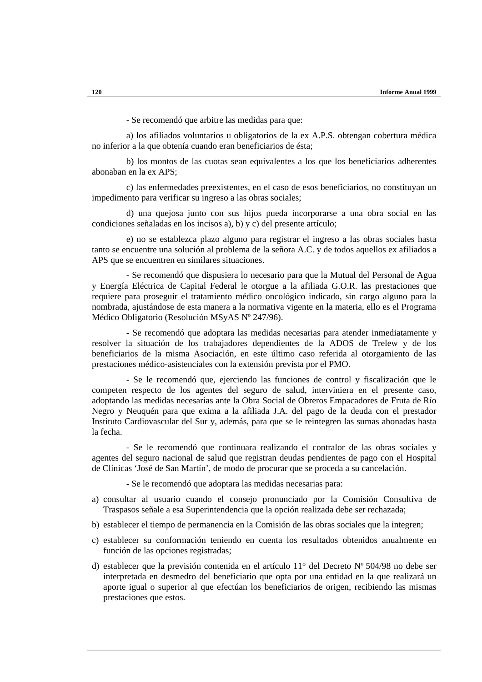- Se recomendó que arbitre las medidas para que:

a) los afiliados voluntarios u obligatorios de la ex A.P.S. obtengan cobertura médica no inferior a la que obtenía cuando eran beneficiarios de ésta;

b) los montos de las cuotas sean equivalentes a los que los beneficiarios adherentes abonaban en la ex APS;

c) las enfermedades preexistentes, en el caso de esos beneficiarios, no constituyan un impedimento para verificar su ingreso a las obras sociales;

d) una quejosa junto con sus hijos pueda incorporarse a una obra social en las condiciones señaladas en los incisos a), b) y c) del presente artículo;

e) no se establezca plazo alguno para registrar el ingreso a las obras sociales hasta tanto se encuentre una solución al problema de la señora A.C. y de todos aquellos ex afiliados a APS que se encuentren en similares situaciones.

- Se recomendó que dispusiera lo necesario para que la Mutual del Personal de Agua y Energía Eléctrica de Capital Federal le otorgue a la afiliada G.O.R. las prestaciones que requiere para proseguir el tratamiento médico oncológico indicado, sin cargo alguno para la nombrada, ajustándose de esta manera a la normativa vigente en la materia, ello es el Programa Médico Obligatorio (Resolución MSyAS Nº 247/96).

- Se recomendó que adoptara las medidas necesarias para atender inmediatamente y resolver la situación de los trabajadores dependientes de la ADOS de Trelew y de los beneficiarios de la misma Asociación, en este último caso referida al otorgamiento de las prestaciones médico-asistenciales con la extensión prevista por el PMO.

- Se le recomendó que, ejerciendo las funciones de control y fiscalización que le competen respecto de los agentes del seguro de salud, interviniera en el presente caso, adoptando las medidas necesarias ante la Obra Social de Obreros Empacadores de Fruta de Río Negro y Neuquén para que exima a la afiliada J.A. del pago de la deuda con el prestador Instituto Cardiovascular del Sur y, además, para que se le reintegren las sumas abonadas hasta la fecha.

- Se le recomendó que continuara realizando el contralor de las obras sociales y agentes del seguro nacional de salud que registran deudas pendientes de pago con el Hospital de Clínicas 'José de San Martín', de modo de procurar que se proceda a su cancelación.

- Se le recomendó que adoptara las medidas necesarias para:

- a) consultar al usuario cuando el consejo pronunciado por la Comisión Consultiva de Traspasos señale a esa Superintendencia que la opción realizada debe ser rechazada;
- b) establecer el tiempo de permanencia en la Comisión de las obras sociales que la integren;
- c) establecer su conformación teniendo en cuenta los resultados obtenidos anualmente en función de las opciones registradas;
- d) establecer que la previsión contenida en el artículo 11° del Decreto Nº 504/98 no debe ser interpretada en desmedro del beneficiario que opta por una entidad en la que realizará un aporte igual o superior al que efectúan los beneficiarios de origen, recibiendo las mismas prestaciones que estos.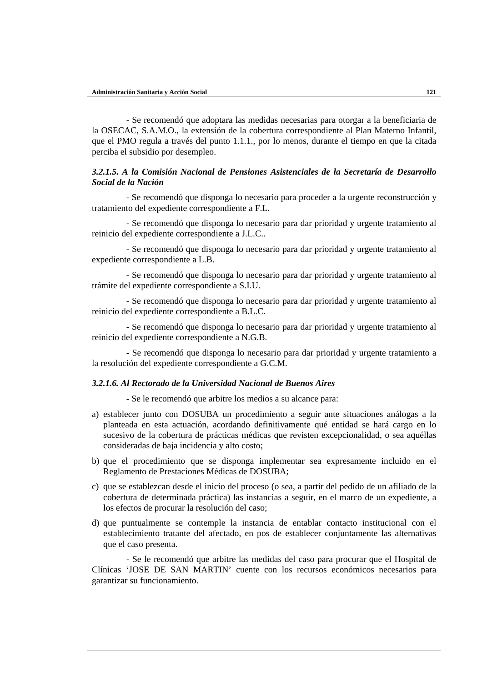- Se recomendó que adoptara las medidas necesarias para otorgar a la beneficiaria de la OSECAC, S.A.M.O., la extensión de la cobertura correspondiente al Plan Materno Infantil, que el PMO regula a través del punto 1.1.1., por lo menos, durante el tiempo en que la citada perciba el subsidio por desempleo.

# *3.2.1.5. A la Comisión Nacional de Pensiones Asistenciales de la Secretaría de Desarrollo Social de la Nación*

- Se recomendó que disponga lo necesario para proceder a la urgente reconstrucción y tratamiento del expediente correspondiente a F.L.

- Se recomendó que disponga lo necesario para dar prioridad y urgente tratamiento al reinicio del expediente correspondiente a J.L.C..

- Se recomendó que disponga lo necesario para dar prioridad y urgente tratamiento al expediente correspondiente a L.B.

- Se recomendó que disponga lo necesario para dar prioridad y urgente tratamiento al trámite del expediente correspondiente a S.I.U.

- Se recomendó que disponga lo necesario para dar prioridad y urgente tratamiento al reinicio del expediente correspondiente a B.L.C.

- Se recomendó que disponga lo necesario para dar prioridad y urgente tratamiento al reinicio del expediente correspondiente a N.G.B.

- Se recomendó que disponga lo necesario para dar prioridad y urgente tratamiento a la resolución del expediente correspondiente a G.C.M.

#### *3.2.1.6. Al Rectorado de la Universidad Nacional de Buenos Aires*

- Se le recomendó que arbitre los medios a su alcance para:

- a) establecer junto con DOSUBA un procedimiento a seguir ante situaciones análogas a la planteada en esta actuación, acordando definitivamente qué entidad se hará cargo en lo sucesivo de la cobertura de prácticas médicas que revisten excepcionalidad, o sea aquéllas consideradas de baja incidencia y alto costo;
- b) que el procedimiento que se disponga implementar sea expresamente incluido en el Reglamento de Prestaciones Médicas de DOSUBA;
- c) que se establezcan desde el inicio del proceso (o sea, a partir del pedido de un afiliado de la cobertura de determinada práctica) las instancias a seguir, en el marco de un expediente, a los efectos de procurar la resolución del caso;
- d) que puntualmente se contemple la instancia de entablar contacto institucional con el establecimiento tratante del afectado, en pos de establecer conjuntamente las alternativas que el caso presenta.

- Se le recomendó que arbitre las medidas del caso para procurar que el Hospital de Clínicas 'JOSE DE SAN MARTIN' cuente con los recursos económicos necesarios para garantizar su funcionamiento.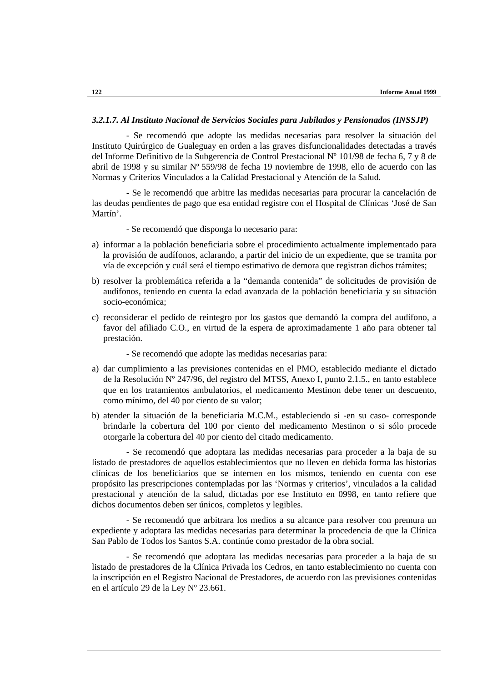#### *3.2.1.7. Al Instituto Nacional de Servicios Sociales para Jubilados y Pensionados (INSSJP)*

- Se recomendó que adopte las medidas necesarias para resolver la situación del Instituto Quirúrgico de Gualeguay en orden a las graves disfuncionalidades detectadas a través del Informe Definitivo de la Subgerencia de Control Prestacional Nº 101/98 de fecha 6, 7 y 8 de abril de 1998 y su similar Nº 559/98 de fecha 19 noviembre de 1998, ello de acuerdo con las Normas y Criterios Vinculados a la Calidad Prestacional y Atención de la Salud.

- Se le recomendó que arbitre las medidas necesarias para procurar la cancelación de las deudas pendientes de pago que esa entidad registre con el Hospital de Clínicas 'José de San Martín'.

- Se recomendó que disponga lo necesario para:

- a) informar a la población beneficiaria sobre el procedimiento actualmente implementado para la provisión de audífonos, aclarando, a partir del inicio de un expediente, que se tramita por vía de excepción y cuál será el tiempo estimativo de demora que registran dichos trámites;
- b) resolver la problemática referida a la "demanda contenida" de solicitudes de provisión de audífonos, teniendo en cuenta la edad avanzada de la población beneficiaria y su situación socio-económica;
- c) reconsiderar el pedido de reintegro por los gastos que demandó la compra del audífono, a favor del afiliado C.O., en virtud de la espera de aproximadamente 1 año para obtener tal prestación.

- Se recomendó que adopte las medidas necesarias para:

- a) dar cumplimiento a las previsiones contenidas en el PMO, establecido mediante el dictado de la Resolución Nº 247/96, del registro del MTSS, Anexo I, punto 2.1.5., en tanto establece que en los tratamientos ambulatorios, el medicamento Mestinon debe tener un descuento, como mínimo, del 40 por ciento de su valor;
- b) atender la situación de la beneficiaria M.C.M., estableciendo si -en su caso- corresponde brindarle la cobertura del 100 por ciento del medicamento Mestinon o si sólo procede otorgarle la cobertura del 40 por ciento del citado medicamento.

- Se recomendó que adoptara las medidas necesarias para proceder a la baja de su listado de prestadores de aquellos establecimientos que no lleven en debida forma las historias clínicas de los beneficiarios que se internen en los mismos, teniendo en cuenta con ese propósito las prescripciones contempladas por las 'Normas y criterios', vinculados a la calidad prestacional y atención de la salud, dictadas por ese Instituto en 0998, en tanto refiere que dichos documentos deben ser únicos, completos y legibles.

- Se recomendó que arbitrara los medios a su alcance para resolver con premura un expediente y adoptara las medidas necesarias para determinar la procedencia de que la Clínica San Pablo de Todos los Santos S.A. continúe como prestador de la obra social.

- Se recomendó que adoptara las medidas necesarias para proceder a la baja de su listado de prestadores de la Clínica Privada los Cedros, en tanto establecimiento no cuenta con la inscripción en el Registro Nacional de Prestadores, de acuerdo con las previsiones contenidas en el artículo 29 de la Ley Nº 23.661.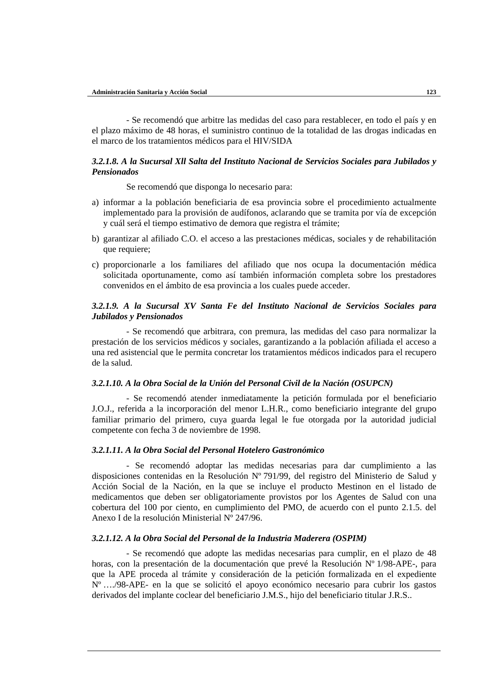- Se recomendó que arbitre las medidas del caso para restablecer, en todo el país y en el plazo máximo de 48 horas, el suministro continuo de la totalidad de las drogas indicadas en el marco de los tratamientos médicos para el HIV/SIDA

# *3.2.1.8. A la Sucursal Xll Salta del Instituto Nacional de Servicios Sociales para Jubilados y Pensionados*

Se recomendó que disponga lo necesario para:

- a) informar a la población beneficiaria de esa provincia sobre el procedimiento actualmente implementado para la provisión de audífonos, aclarando que se tramita por vía de excepción y cuál será el tiempo estimativo de demora que registra el trámite;
- b) garantizar al afiliado C.O. el acceso a las prestaciones médicas, sociales y de rehabilitación que requiere;
- c) proporcionarle a los familiares del afiliado que nos ocupa la documentación médica solicitada oportunamente, como así también información completa sobre los prestadores convenidos en el ámbito de esa provincia a los cuales puede acceder.

# *3.2.1.9. A la Sucursal XV Santa Fe del Instituto Nacional de Servicios Sociales para Jubilados y Pensionados*

- Se recomendó que arbitrara, con premura, las medidas del caso para normalizar la prestación de los servicios médicos y sociales, garantizando a la población afiliada el acceso a una red asistencial que le permita concretar los tratamientos médicos indicados para el recupero de la salud.

## *3.2.1.10. A la Obra Social de la Unión del Personal Civil de la Nación (OSUPCN)*

- Se recomendó atender inmediatamente la petición formulada por el beneficiario J.O.J., referida a la incorporación del menor L.H.R., como beneficiario integrante del grupo familiar primario del primero, cuya guarda legal le fue otorgada por la autoridad judicial competente con fecha 3 de noviembre de 1998.

#### *3.2.1.11. A la Obra Social del Personal Hotelero Gastronómico*

- Se recomendó adoptar las medidas necesarias para dar cumplimiento a las disposiciones contenidas en la Resolución Nº 791/99, del registro del Ministerio de Salud y Acción Social de la Nación, en la que se incluye el producto Mestinon en el listado de medicamentos que deben ser obligatoriamente provistos por los Agentes de Salud con una cobertura del 100 por ciento, en cumplimiento del PMO, de acuerdo con el punto 2.1.5. del Anexo I de la resolución Ministerial Nº 247/96.

#### *3.2.1.12. A la Obra Social del Personal de la Industria Maderera (OSPIM)*

- Se recomendó que adopte las medidas necesarias para cumplir, en el plazo de 48 horas, con la presentación de la documentación que prevé la Resolución Nº 1/98-APE-, para que la APE proceda al trámite y consideración de la petición formalizada en el expediente Nº …./98-APE- en la que se solicitó el apoyo económico necesario para cubrir los gastos derivados del implante coclear del beneficiario J.M.S., hijo del beneficiario titular J.R.S..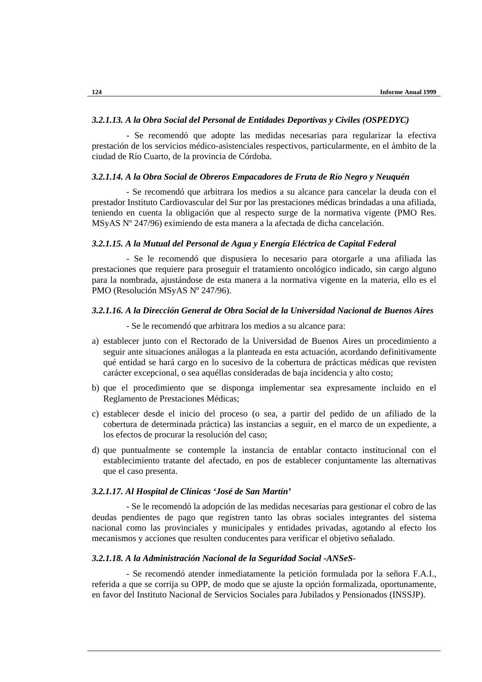#### *3.2.1.13. A la Obra Social del Personal de Entidades Deportivas y Civiles (OSPEDYC)*

- Se recomendó que adopte las medidas necesarias para regularizar la efectiva prestación de los servicios médico-asistenciales respectivos, particularmente, en el ámbito de la ciudad de Río Cuarto, de la provincia de Córdoba.

#### *3.2.1.14. A la Obra Social de Obreros Empacadores de Fruta de Río Negro y Neuquén*

- Se recomendó que arbitrara los medios a su alcance para cancelar la deuda con el prestador Instituto Cardiovascular del Sur por las prestaciones médicas brindadas a una afiliada, teniendo en cuenta la obligación que al respecto surge de la normativa vigente (PMO Res. MSyAS Nº 247/96) eximiendo de esta manera a la afectada de dicha cancelación.

## *3.2.1.15. A la Mutual del Personal de Agua y Energía Eléctrica de Capital Federal*

- Se le recomendó que dispusiera lo necesario para otorgarle a una afiliada las prestaciones que requiere para proseguir el tratamiento oncológico indicado, sin cargo alguno para la nombrada, ajustándose de esta manera a la normativa vigente en la materia, ello es el PMO (Resolución MSyAS Nº 247/96).

## *3.2.1.16. A la Dirección General de Obra Social de la Universidad Nacional de Buenos Aires*

- Se le recomendó que arbitrara los medios a su alcance para:

- a) establecer junto con el Rectorado de la Universidad de Buenos Aires un procedimiento a seguir ante situaciones análogas a la planteada en esta actuación, acordando definitivamente qué entidad se hará cargo en lo sucesivo de la cobertura de prácticas médicas que revisten carácter excepcional, o sea aquéllas consideradas de baja incidencia y alto costo;
- b) que el procedimiento que se disponga implementar sea expresamente incluido en el Reglamento de Prestaciones Médicas;
- c) establecer desde el inicio del proceso (o sea, a partir del pedido de un afiliado de la cobertura de determinada práctica) las instancias a seguir, en el marco de un expediente, a los efectos de procurar la resolución del caso;
- d) que puntualmente se contemple la instancia de entablar contacto institucional con el establecimiento tratante del afectado, en pos de establecer conjuntamente las alternativas que el caso presenta.

# *3.2.1.17. Al Hospital de Clínicas 'José de San Martín'*

- Se le recomendó la adopción de las medidas necesarias para gestionar el cobro de las deudas pendientes de pago que registren tanto las obras sociales integrantes del sistema nacional como las provinciales y municipales y entidades privadas, agotando al efecto los mecanismos y acciones que resulten conducentes para verificar el objetivo señalado.

## *3.2.1.18. A la Administración Nacional de la Seguridad Social -ANSeS-*

- Se recomendó atender inmediatamente la petición formulada por la señora F.A.I., referida a que se corrija su OPP, de modo que se ajuste la opción formalizada, oportunamente, en favor del Instituto Nacional de Servicios Sociales para Jubilados y Pensionados (INSSJP).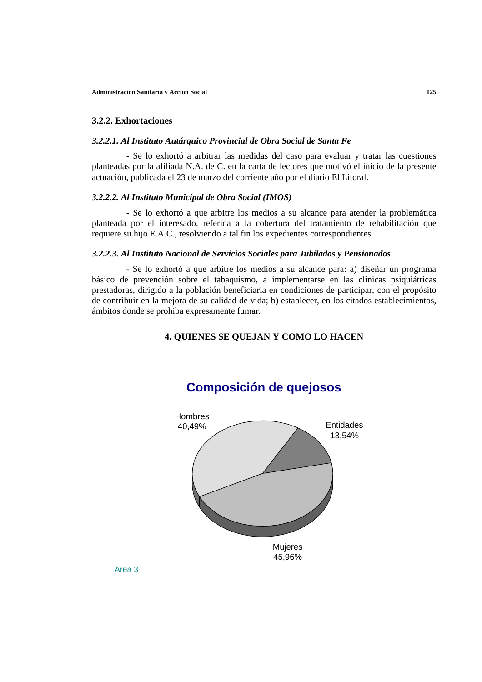## **3.2.2. Exhortaciones**

#### *3.2.2.1. Al Instituto Autárquico Provincial de Obra Social de Santa Fe*

- Se lo exhortó a arbitrar las medidas del caso para evaluar y tratar las cuestiones planteadas por la afiliada N.A. de C. en la carta de lectores que motivó el inicio de la presente actuación, publicada el 23 de marzo del corriente año por el diario El Litoral.

#### *3.2.2.2. Al Instituto Municipal de Obra Social (IMOS)*

- Se lo exhortó a que arbitre los medios a su alcance para atender la problemática planteada por el interesado, referida a la cobertura del tratamiento de rehabilitación que requiere su hijo E.A.C., resolviendo a tal fin los expedientes correspondientes.

#### *3.2.2.3. Al Instituto Nacional de Servicios Sociales para Jubilados y Pensionados*

- Se lo exhortó a que arbitre los medios a su alcance para: a) diseñar un programa básico de prevención sobre el tabaquismo, a implementarse en las clínicas psiquiátricas prestadoras, dirigido a la población beneficiaria en condiciones de participar, con el propósito de contribuir en la mejora de su calidad de vida; b) establecer, en los citados establecimientos, ámbitos donde se prohiba expresamente fumar.

# **4. QUIENES SE QUEJAN Y COMO LO HACEN**



# **Composición de quejosos**

Area 3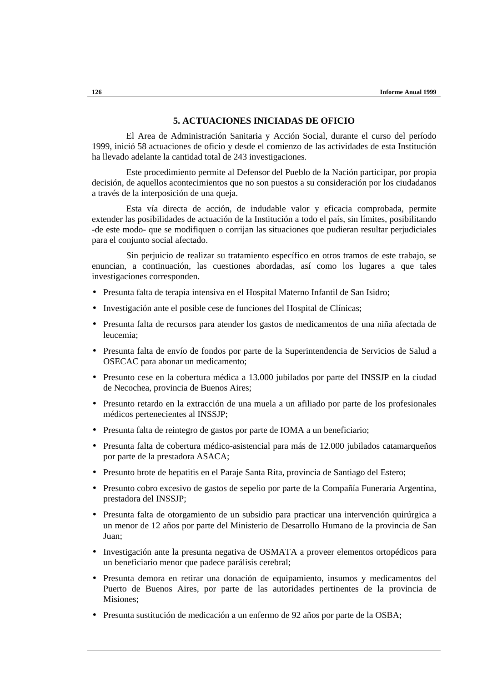# **5. ACTUACIONES INICIADAS DE OFICIO**

El Area de Administración Sanitaria y Acción Social, durante el curso del período 1999, inició 58 actuaciones de oficio y desde el comienzo de las actividades de esta Institución ha llevado adelante la cantidad total de 243 investigaciones.

Este procedimiento permite al Defensor del Pueblo de la Nación participar, por propia decisión, de aquellos acontecimientos que no son puestos a su consideración por los ciudadanos a través de la interposición de una queja.

Esta vía directa de acción, de indudable valor y eficacia comprobada, permite extender las posibilidades de actuación de la Institución a todo el país, sin límites, posibilitando -de este modo- que se modifiquen o corrijan las situaciones que pudieran resultar perjudiciales para el conjunto social afectado.

Sin perjuicio de realizar su tratamiento específico en otros tramos de este trabajo, se enuncian, a continuación, las cuestiones abordadas, así como los lugares a que tales investigaciones corresponden.

- Presunta falta de terapia intensiva en el Hospital Materno Infantil de San Isidro;
- Investigación ante el posible cese de funciones del Hospital de Clínicas;
- Presunta falta de recursos para atender los gastos de medicamentos de una niña afectada de leucemia;
- Presunta falta de envío de fondos por parte de la Superintendencia de Servicios de Salud a OSECAC para abonar un medicamento;
- Presunto cese en la cobertura médica a 13.000 jubilados por parte del INSSJP en la ciudad de Necochea, provincia de Buenos Aires;
- Presunto retardo en la extracción de una muela a un afiliado por parte de los profesionales médicos pertenecientes al INSSJP;
- Presunta falta de reintegro de gastos por parte de IOMA a un beneficiario;
- Presunta falta de cobertura médico-asistencial para más de 12.000 jubilados catamarqueños por parte de la prestadora ASACA;
- Presunto brote de hepatitis en el Paraje Santa Rita, provincia de Santiago del Estero;
- Presunto cobro excesivo de gastos de sepelio por parte de la Compañía Funeraria Argentina, prestadora del INSSJP;
- Presunta falta de otorgamiento de un subsidio para practicar una intervención quirúrgica a un menor de 12 años por parte del Ministerio de Desarrollo Humano de la provincia de San Juan;
- Investigación ante la presunta negativa de OSMATA a proveer elementos ortopédicos para un beneficiario menor que padece parálisis cerebral;
- Presunta demora en retirar una donación de equipamiento, insumos y medicamentos del Puerto de Buenos Aires, por parte de las autoridades pertinentes de la provincia de Misiones;
- Presunta sustitución de medicación a un enfermo de 92 años por parte de la OSBA;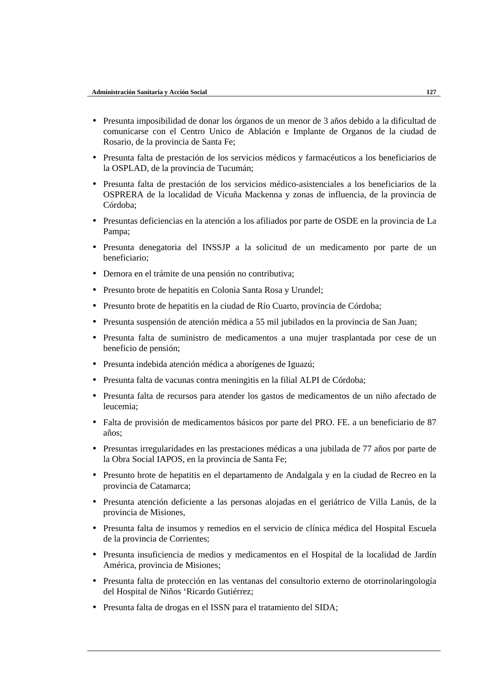- Presunta imposibilidad de donar los órganos de un menor de 3 años debido a la dificultad de comunicarse con el Centro Unico de Ablación e Implante de Organos de la ciudad de Rosario, de la provincia de Santa Fe;
- Presunta falta de prestación de los servicios médicos y farmacéuticos a los beneficiarios de la OSPLAD, de la provincia de Tucumán;
- Presunta falta de prestación de los servicios médico-asistenciales a los beneficiarios de la OSPRERA de la localidad de Vicuña Mackenna y zonas de influencia, de la provincia de Córdoba;
- Presuntas deficiencias en la atención a los afiliados por parte de OSDE en la provincia de La Pampa;
- Presunta denegatoria del INSSJP a la solicitud de un medicamento por parte de un beneficiario;
- Demora en el trámite de una pensión no contributiva;
- Presunto brote de hepatitis en Colonia Santa Rosa y Urundel;
- Presunto brote de hepatitis en la ciudad de Río Cuarto, provincia de Córdoba;
- Presunta suspensión de atención médica a 55 mil jubilados en la provincia de San Juan;
- Presunta falta de suministro de medicamentos a una mujer trasplantada por cese de un beneficio de pensión;
- Presunta indebida atención médica a aborígenes de Iguazú;
- Presunta falta de vacunas contra meningitis en la filial ALPI de Córdoba;
- Presunta falta de recursos para atender los gastos de medicamentos de un niño afectado de leucemia;
- Falta de provisión de medicamentos básicos por parte del PRO. FE. a un beneficiario de 87 años;
- Presuntas irregularidades en las prestaciones médicas a una jubilada de 77 años por parte de la Obra Social IAPOS, en la provincia de Santa Fe;
- Presunto brote de hepatitis en el departamento de Andalgala y en la ciudad de Recreo en la provincia de Catamarca;
- Presunta atención deficiente a las personas alojadas en el geriátrico de Villa Lanús, de la provincia de Misiones,
- Presunta falta de insumos y remedios en el servicio de clínica médica del Hospital Escuela de la provincia de Corrientes;
- Presunta insuficiencia de medios y medicamentos en el Hospital de la localidad de Jardín América, provincia de Misiones;
- Presunta falta de protección en las ventanas del consultorio externo de otorrinolaringología del Hospital de Niños 'Ricardo Gutiérrez;
- Presunta falta de drogas en el ISSN para el tratamiento del SIDA;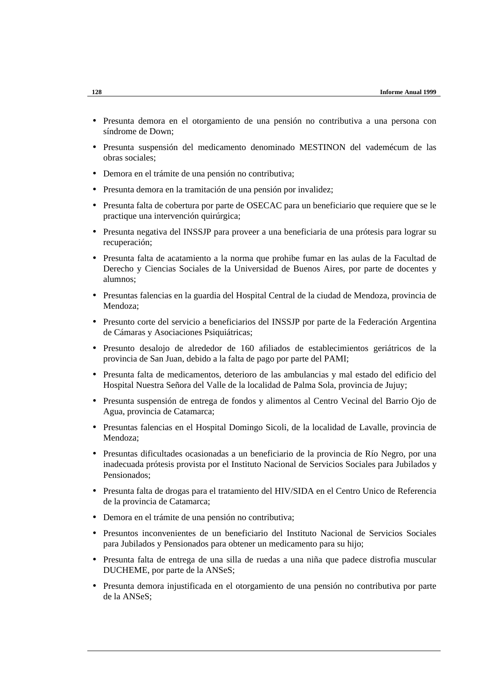- Presunta demora en el otorgamiento de una pensión no contributiva a una persona con síndrome de Down;
- Presunta suspensión del medicamento denominado MESTINON del vademécum de las obras sociales;
- Demora en el trámite de una pensión no contributiva;
- Presunta demora en la tramitación de una pensión por invalidez;
- Presunta falta de cobertura por parte de OSECAC para un beneficiario que requiere que se le practique una intervención quirúrgica;
- Presunta negativa del INSSJP para proveer a una beneficiaria de una prótesis para lograr su recuperación;
- Presunta falta de acatamiento a la norma que prohibe fumar en las aulas de la Facultad de Derecho y Ciencias Sociales de la Universidad de Buenos Aires, por parte de docentes y alumnos;
- Presuntas falencias en la guardia del Hospital Central de la ciudad de Mendoza, provincia de Mendoza;
- Presunto corte del servicio a beneficiarios del INSSJP por parte de la Federación Argentina de Cámaras y Asociaciones Psiquiátricas;
- Presunto desalojo de alrededor de 160 afiliados de establecimientos geriátricos de la provincia de San Juan, debido a la falta de pago por parte del PAMI;
- Presunta falta de medicamentos, deterioro de las ambulancias y mal estado del edificio del Hospital Nuestra Señora del Valle de la localidad de Palma Sola, provincia de Jujuy;
- Presunta suspensión de entrega de fondos y alimentos al Centro Vecinal del Barrio Ojo de Agua, provincia de Catamarca;
- Presuntas falencias en el Hospital Domingo Sicoli, de la localidad de Lavalle, provincia de Mendoza;
- Presuntas dificultades ocasionadas a un beneficiario de la provincia de Río Negro, por una inadecuada prótesis provista por el Instituto Nacional de Servicios Sociales para Jubilados y Pensionados;
- Presunta falta de drogas para el tratamiento del HIV/SIDA en el Centro Unico de Referencia de la provincia de Catamarca;
- Demora en el trámite de una pensión no contributiva;
- Presuntos inconvenientes de un beneficiario del Instituto Nacional de Servicios Sociales para Jubilados y Pensionados para obtener un medicamento para su hijo;
- Presunta falta de entrega de una silla de ruedas a una niña que padece distrofia muscular DUCHEME, por parte de la ANSeS;
- Presunta demora injustificada en el otorgamiento de una pensión no contributiva por parte de la ANSeS;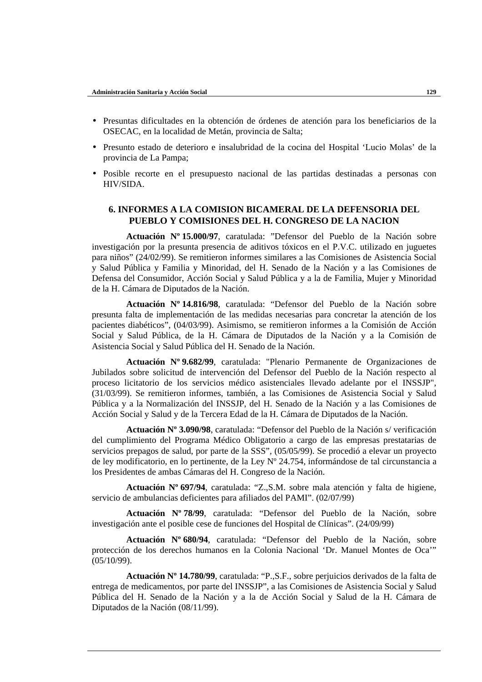- Presuntas dificultades en la obtención de órdenes de atención para los beneficiarios de la OSECAC, en la localidad de Metán, provincia de Salta;
- Presunto estado de deterioro e insalubridad de la cocina del Hospital 'Lucio Molas' de la provincia de La Pampa;
- Posible recorte en el presupuesto nacional de las partidas destinadas a personas con HIV/SIDA.

# **6. INFORMES A LA COMISION BICAMERAL DE LA DEFENSORIA DEL PUEBLO Y COMISIONES DEL H. CONGRESO DE LA NACION**

**Actuación Nº 15.000/97**, caratulada: "Defensor del Pueblo de la Nación sobre investigación por la presunta presencia de aditivos tóxicos en el P.V.C. utilizado en juguetes para niños" (24/02/99). Se remitieron informes similares a las Comisiones de Asistencia Social y Salud Pública y Familia y Minoridad, del H. Senado de la Nación y a las Comisiones de Defensa del Consumidor, Acción Social y Salud Pública y a la de Familia, Mujer y Minoridad de la H. Cámara de Diputados de la Nación.

**Actuación Nº 14.816/98**, caratulada: "Defensor del Pueblo de la Nación sobre presunta falta de implementación de las medidas necesarias para concretar la atención de los pacientes diabéticos", (04/03/99). Asimismo, se remitieron informes a la Comisión de Acción Social y Salud Pública, de la H. Cámara de Diputados de la Nación y a la Comisión de Asistencia Social y Salud Pública del H. Senado de la Nación.

**Actuación Nº 9.682/99**, caratulada: "Plenario Permanente de Organizaciones de Jubilados sobre solicitud de intervención del Defensor del Pueblo de la Nación respecto al proceso licitatorio de los servicios médico asistenciales llevado adelante por el INSSJP", (31/03/99). Se remitieron informes, también, a las Comisiones de Asistencia Social y Salud Pública y a la Normalización del INSSJP, del H. Senado de la Nación y a las Comisiones de Acción Social y Salud y de la Tercera Edad de la H. Cámara de Diputados de la Nación.

**Actuación Nº 3.090/98**, caratulada: "Defensor del Pueblo de la Nación s/ verificación del cumplimiento del Programa Médico Obligatorio a cargo de las empresas prestatarias de servicios prepagos de salud, por parte de la SSS", (05/05/99). Se procedió a elevar un proyecto de ley modificatorio, en lo pertinente, de la Ley Nº 24.754, informándose de tal circunstancia a los Presidentes de ambas Cámaras del H. Congreso de la Nación.

**Actuación Nº 697/94**, caratulada: "Z.,S.M. sobre mala atención y falta de higiene, servicio de ambulancias deficientes para afiliados del PAMI". (02/07/99)

**Actuación Nº 78/99**, caratulada: "Defensor del Pueblo de la Nación, sobre investigación ante el posible cese de funciones del Hospital de Clínicas". (24/09/99)

**Actuación Nº 680/94**, caratulada: "Defensor del Pueblo de la Nación, sobre protección de los derechos humanos en la Colonia Nacional 'Dr. Manuel Montes de Oca'" (05/10/99).

**Actuación Nº 14.780/99**, caratulada: "P.,S.F., sobre perjuicios derivados de la falta de entrega de medicamentos, por parte del INSSJP", a las Comisiones de Asistencia Social y Salud Pública del H. Senado de la Nación y a la de Acción Social y Salud de la H. Cámara de Diputados de la Nación (08/11/99).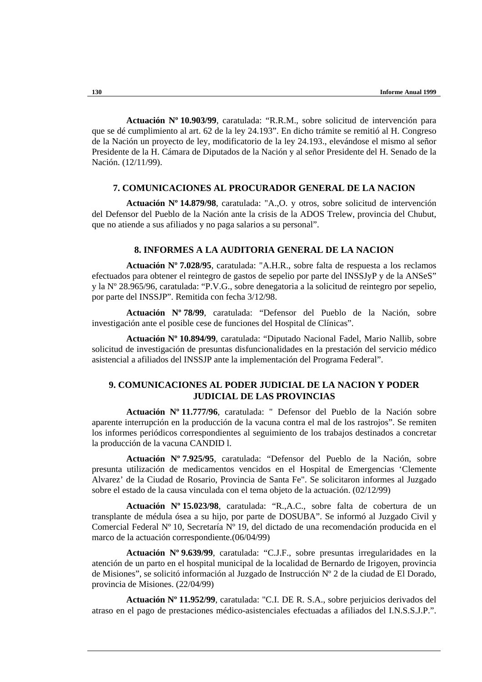**Actuación Nº 10.903/99**, caratulada: "R.R.M., sobre solicitud de intervención para que se dé cumplimiento al art. 62 de la ley 24.193". En dicho trámite se remitió al H. Congreso de la Nación un proyecto de ley, modificatorio de la ley 24.193., elevándose el mismo al señor Presidente de la H. Cámara de Diputados de la Nación y al señor Presidente del H. Senado de la Nación. (12/11/99).

## **7. COMUNICACIONES AL PROCURADOR GENERAL DE LA NACION**

**Actuación Nº 14.879/98**, caratulada: "A.,O. y otros, sobre solicitud de intervención del Defensor del Pueblo de la Nación ante la crisis de la ADOS Trelew, provincia del Chubut, que no atiende a sus afiliados y no paga salarios a su personal".

## **8. INFORMES A LA AUDITORIA GENERAL DE LA NACION**

**Actuación Nº 7.028/95**, caratulada: "A.H.R., sobre falta de respuesta a los reclamos efectuados para obtener el reintegro de gastos de sepelio por parte del INSSJyP y de la ANSeS" y la Nº 28.965/96, caratulada: "P.V.G., sobre denegatoria a la solicitud de reintegro por sepelio, por parte del INSSJP". Remitida con fecha 3/12/98.

**Actuación Nº 78/99**, caratulada: "Defensor del Pueblo de la Nación, sobre investigación ante el posible cese de funciones del Hospital de Clínicas".

**Actuación Nº 10.894/99**, caratulada: "Diputado Nacional Fadel, Mario Nallib, sobre solicitud de investigación de presuntas disfuncionalidades en la prestación del servicio médico asistencial a afiliados del INSSJP ante la implementación del Programa Federal".

# **9. COMUNICACIONES AL PODER JUDICIAL DE LA NACION Y PODER JUDICIAL DE LAS PROVINCIAS**

**Actuación Nº 11.777/96**, caratulada: " Defensor del Pueblo de la Nación sobre aparente interrupción en la producción de la vacuna contra el mal de los rastrojos". Se remiten los informes periódicos correspondientes al seguimiento de los trabajos destinados a concretar la producción de la vacuna CANDID l.

**Actuación Nº 7.925/95**, caratulada: "Defensor del Pueblo de la Nación, sobre presunta utilización de medicamentos vencidos en el Hospital de Emergencias 'Clemente Alvarez' de la Ciudad de Rosario, Provincia de Santa Fe". Se solicitaron informes al Juzgado sobre el estado de la causa vinculada con el tema objeto de la actuación. (02/12/99)

**Actuación Nº 15.023/98**, caratulada: "R.,A.C., sobre falta de cobertura de un transplante de médula ósea a su hijo, por parte de DOSUBA". Se informó al Juzgado Civil y Comercial Federal Nº 10, Secretaría Nº 19, del dictado de una recomendación producida en el marco de la actuación correspondiente.(06/04/99)

**Actuación Nº 9.639/99**, caratulada: "C.J.F., sobre presuntas irregularidades en la atención de un parto en el hospital municipal de la localidad de Bernardo de Irigoyen, provincia de Misiones", se solicitó información al Juzgado de Instrucción Nº 2 de la ciudad de El Dorado, provincia de Misiones. (22/04/99)

**Actuación Nº 11.952/99**, caratulada: "C.I. DE R. S.A., sobre perjuicios derivados del atraso en el pago de prestaciones médico-asistenciales efectuadas a afiliados del I.N.S.S.J.P.".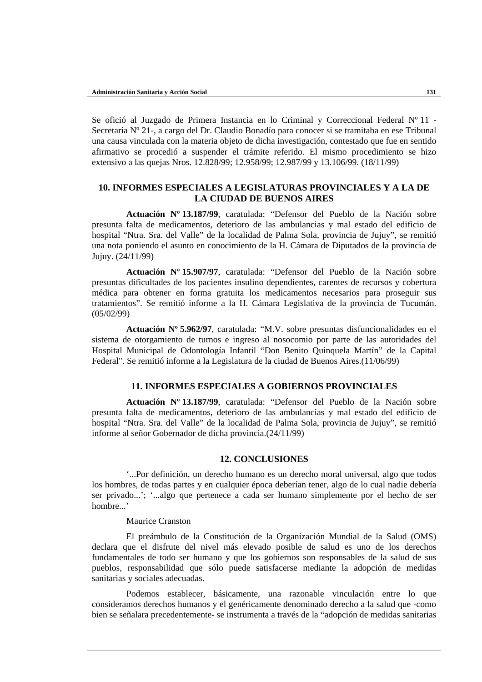Se ofició al Juzgado de Primera Instancia en lo Criminal y Correccional Federal Nº 11 - Secretaría Nº 21-, a cargo del Dr. Claudio Bonadío para conocer si se tramitaba en ese Tribunal una causa vinculada con la materia objeto de dicha investigación, contestado que fue en sentido afirmativo se procedió a suspender el trámite referido. El mismo procedimiento se hizo extensivo a las quejas Nros. 12.828/99; 12.958/99; 12.987/99 y 13.106/99. (18/11/99)

# **10. INFORMES ESPECIALES A LEGISLATURAS PROVINCIALES Y A LA DE LA CIUDAD DE BUENOS AIRES**

**Actuación Nº 13.187/99**, caratulada: "Defensor del Pueblo de la Nación sobre presunta falta de medicamentos, deterioro de las ambulancias y mal estado del edificio de hospital "Ntra. Sra. del Valle" de la localidad de Palma Sola, provincia de Jujuy", se remitió una nota poniendo el asunto en conocimiento de la H. Cámara de Diputados de la provincia de Jujuy. (24/11/99)

**Actuación Nº 15.907/97**, caratulada: "Defensor del Pueblo de la Nación sobre presuntas dificultades de los pacientes insulino dependientes, carentes de recursos y cobertura médica para obtener en forma gratuita los medicamentos necesarios para proseguir sus tratamientos". Se remitió informe a la H. Cámara Legislativa de la provincia de Tucumán. (05/02/99)

**Actuación Nº 5.962/97**, caratulada: "M.V. sobre presuntas disfuncionalidades en el sistema de otorgamiento de turnos e ingreso al nosocomio por parte de las autoridades del Hospital Municipal de Odontología Infantil "Don Benito Quinquela Martín" de la Capital Federal". Se remitió informe a la Legislatura de la ciudad de Buenos Aires.(11/06/99)

# **11. INFORMES ESPECIALES A GOBIERNOS PROVINCIALES**

**Actuación Nº 13.187/99**, caratulada: "Defensor del Pueblo de la Nación sobre presunta falta de medicamentos, deterioro de las ambulancias y mal estado del edificio de hospital "Ntra. Sra. del Valle" de la localidad de Palma Sola, provincia de Jujuy", se remitió informe al señor Gobernador de dicha provincia.(24/11/99)

## **12. CONCLUSIONES**

'...Por definición, un derecho humano es un derecho moral universal, algo que todos los hombres, de todas partes y en cualquier época deberían tener, algo de lo cual nadie debería ser privado...'; '...algo que pertenece a cada ser humano simplemente por el hecho de ser hombre.<sup>'</sup>

## Maurice Cranston

El preámbulo de la Constitución de la Organización Mundial de la Salud (OMS) declara que el disfrute del nivel más elevado posible de salud es uno de los derechos fundamentales de todo ser humano y que los gobiernos son responsables de la salud de sus pueblos, responsabilidad que sólo puede satisfacerse mediante la adopción de medidas sanitarias y sociales adecuadas.

Podemos establecer, básicamente, una razonable vinculación entre lo que consideramos derechos humanos y el genéricamente denominado derecho a la salud que -como bien se señalara precedentemente- se instrumenta a través de la "adopción de medidas sanitarias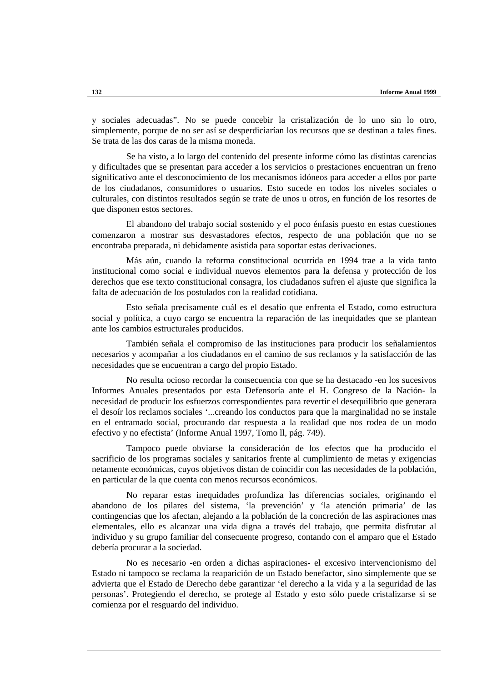y sociales adecuadas". No se puede concebir la cristalización de lo uno sin lo otro, simplemente, porque de no ser así se desperdiciarían los recursos que se destinan a tales fines. Se trata de las dos caras de la misma moneda.

Se ha visto, a lo largo del contenido del presente informe cómo las distintas carencias y dificultades que se presentan para acceder a los servicios o prestaciones encuentran un freno significativo ante el desconocimiento de los mecanismos idóneos para acceder a ellos por parte de los ciudadanos, consumidores o usuarios. Esto sucede en todos los niveles sociales o culturales, con distintos resultados según se trate de unos u otros, en función de los resortes de que disponen estos sectores.

El abandono del trabajo social sostenido y el poco énfasis puesto en estas cuestiones comenzaron a mostrar sus desvastadores efectos, respecto de una población que no se encontraba preparada, ni debidamente asistida para soportar estas derivaciones.

Más aún, cuando la reforma constitucional ocurrida en 1994 trae a la vida tanto institucional como social e individual nuevos elementos para la defensa y protección de los derechos que ese texto constitucional consagra, los ciudadanos sufren el ajuste que significa la falta de adecuación de los postulados con la realidad cotidiana.

Esto señala precisamente cuál es el desafío que enfrenta el Estado, como estructura social y política, a cuyo cargo se encuentra la reparación de las inequidades que se plantean ante los cambios estructurales producidos.

También señala el compromiso de las instituciones para producir los señalamientos necesarios y acompañar a los ciudadanos en el camino de sus reclamos y la satisfacción de las necesidades que se encuentran a cargo del propio Estado.

No resulta ocioso recordar la consecuencia con que se ha destacado -en los sucesivos Informes Anuales presentados por esta Defensoría ante el H. Congreso de la Nación- la necesidad de producir los esfuerzos correspondientes para revertir el desequilibrio que generara el desoír los reclamos sociales '...creando los conductos para que la marginalidad no se instale en el entramado social, procurando dar respuesta a la realidad que nos rodea de un modo efectivo y no efectista' (Informe Anual 1997, Tomo ll, pág. 749).

Tampoco puede obviarse la consideración de los efectos que ha producido el sacrificio de los programas sociales y sanitarios frente al cumplimiento de metas y exigencias netamente económicas, cuyos objetivos distan de coincidir con las necesidades de la población, en particular de la que cuenta con menos recursos económicos.

No reparar estas inequidades profundiza las diferencias sociales, originando el abandono de los pilares del sistema, 'la prevención' y 'la atención primaria' de las contingencias que los afectan, alejando a la población de la concreción de las aspiraciones mas elementales, ello es alcanzar una vida digna a través del trabajo, que permita disfrutar al individuo y su grupo familiar del consecuente progreso, contando con el amparo que el Estado debería procurar a la sociedad.

No es necesario -en orden a dichas aspiraciones- el excesivo intervencionismo del Estado ni tampoco se reclama la reaparición de un Estado benefactor, sino simplemente que se advierta que el Estado de Derecho debe garantizar 'el derecho a la vida y a la seguridad de las personas'. Protegiendo el derecho, se protege al Estado y esto sólo puede cristalizarse si se comienza por el resguardo del individuo.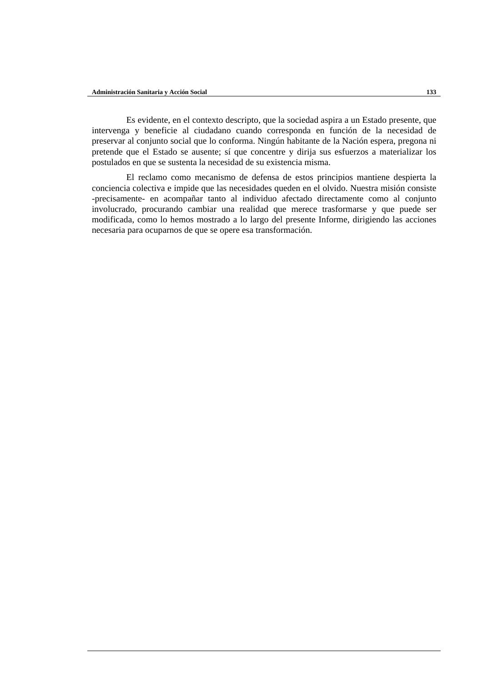Es evidente, en el contexto descripto, que la sociedad aspira a un Estado presente, que intervenga y beneficie al ciudadano cuando corresponda en función de la necesidad de preservar al conjunto social que lo conforma. Ningún habitante de la Nación espera, pregona ni pretende que el Estado se ausente; sí que concentre y dirija sus esfuerzos a materializar los postulados en que se sustenta la necesidad de su existencia misma.

El reclamo como mecanismo de defensa de estos principios mantiene despierta la conciencia colectiva e impide que las necesidades queden en el olvido. Nuestra misión consiste -precisamente- en acompañar tanto al individuo afectado directamente como al conjunto involucrado, procurando cambiar una realidad que merece trasformarse y que puede ser modificada, como lo hemos mostrado a lo largo del presente Informe, dirigiendo las acciones necesaria para ocuparnos de que se opere esa transformación.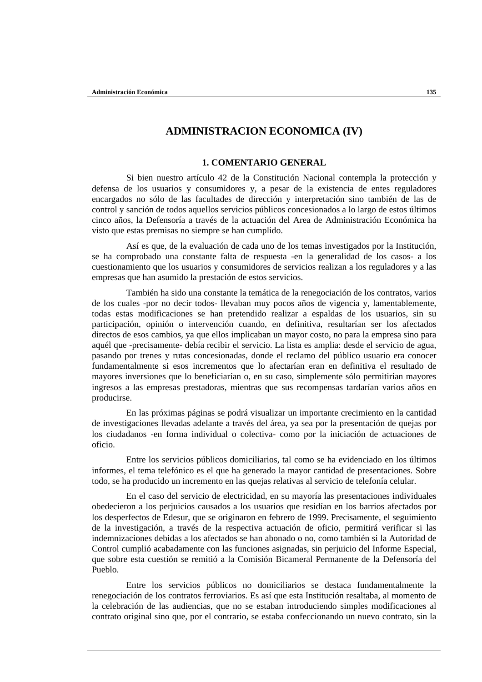# **ADMINISTRACION ECONOMICA (IV)**

# **1. COMENTARIO GENERAL**

Si bien nuestro artículo 42 de la Constitución Nacional contempla la protección y defensa de los usuarios y consumidores y, a pesar de la existencia de entes reguladores encargados no sólo de las facultades de dirección y interpretación sino también de las de control y sanción de todos aquellos servicios públicos concesionados a lo largo de estos últimos cinco años, la Defensoría a través de la actuación del Area de Administración Económica ha visto que estas premisas no siempre se han cumplido.

Así es que, de la evaluación de cada uno de los temas investigados por la Institución, se ha comprobado una constante falta de respuesta -en la generalidad de los casos- a los cuestionamiento que los usuarios y consumidores de servicios realizan a los reguladores y a las empresas que han asumido la prestación de estos servicios.

También ha sido una constante la temática de la renegociación de los contratos, varios de los cuales -por no decir todos- llevaban muy pocos años de vigencia y, lamentablemente, todas estas modificaciones se han pretendido realizar a espaldas de los usuarios, sin su participación, opinión o intervención cuando, en definitiva, resultarían ser los afectados directos de esos cambios, ya que ellos implicaban un mayor costo, no para la empresa sino para aquél que -precisamente- debía recibir el servicio. La lista es amplia: desde el servicio de agua, pasando por trenes y rutas concesionadas, donde el reclamo del público usuario era conocer fundamentalmente si esos incrementos que lo afectarían eran en definitiva el resultado de mayores inversiones que lo beneficiarían o, en su caso, simplemente sólo permitirían mayores ingresos a las empresas prestadoras, mientras que sus recompensas tardarían varios años en producirse.

En las próximas páginas se podrá visualizar un importante crecimiento en la cantidad de investigaciones llevadas adelante a través del área, ya sea por la presentación de quejas por los ciudadanos -en forma individual o colectiva- como por la iniciación de actuaciones de oficio.

Entre los servicios públicos domiciliarios, tal como se ha evidenciado en los últimos informes, el tema telefónico es el que ha generado la mayor cantidad de presentaciones. Sobre todo, se ha producido un incremento en las quejas relativas al servicio de telefonía celular.

En el caso del servicio de electricidad, en su mayoría las presentaciones individuales obedecieron a los perjuicios causados a los usuarios que residían en los barrios afectados por los desperfectos de Edesur, que se originaron en febrero de 1999. Precisamente, el seguimiento de la investigación, a través de la respectiva actuación de oficio, permitirá verificar si las indemnizaciones debidas a los afectados se han abonado o no, como también si la Autoridad de Control cumplió acabadamente con las funciones asignadas, sin perjuicio del Informe Especial, que sobre esta cuestión se remitió a la Comisión Bicameral Permanente de la Defensoría del Pueblo.

Entre los servicios públicos no domiciliarios se destaca fundamentalmente la renegociación de los contratos ferroviarios. Es así que esta Institución resaltaba, al momento de la celebración de las audiencias, que no se estaban introduciendo simples modificaciones al contrato original sino que, por el contrario, se estaba confeccionando un nuevo contrato, sin la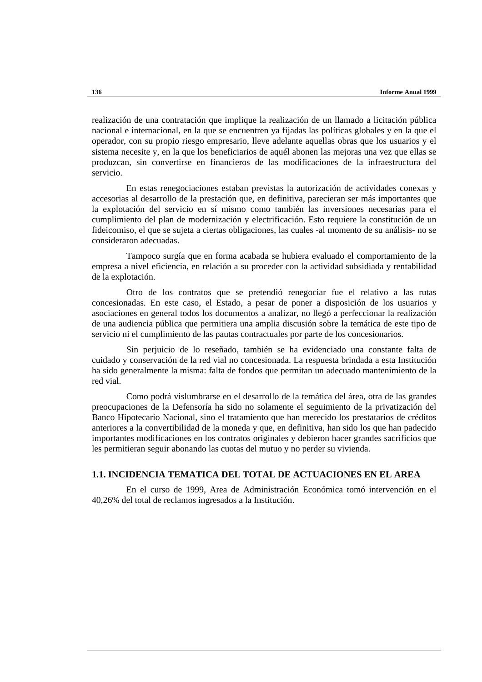realización de una contratación que implique la realización de un llamado a licitación pública nacional e internacional, en la que se encuentren ya fijadas las políticas globales y en la que el operador, con su propio riesgo empresario, lleve adelante aquellas obras que los usuarios y el sistema necesite y, en la que los beneficiarios de aquél abonen las mejoras una vez que ellas se produzcan, sin convertirse en financieros de las modificaciones de la infraestructura del servicio.

En estas renegociaciones estaban previstas la autorización de actividades conexas y accesorias al desarrollo de la prestación que, en definitiva, parecieran ser más importantes que la explotación del servicio en sí mismo como también las inversiones necesarias para el cumplimiento del plan de modernización y electrificación. Esto requiere la constitución de un fideicomiso, el que se sujeta a ciertas obligaciones, las cuales -al momento de su análisis- no se consideraron adecuadas.

Tampoco surgía que en forma acabada se hubiera evaluado el comportamiento de la empresa a nivel eficiencia, en relación a su proceder con la actividad subsidiada y rentabilidad de la explotación.

Otro de los contratos que se pretendió renegociar fue el relativo a las rutas concesionadas. En este caso, el Estado, a pesar de poner a disposición de los usuarios y asociaciones en general todos los documentos a analizar, no llegó a perfeccionar la realización de una audiencia pública que permitiera una amplia discusión sobre la temática de este tipo de servicio ni el cumplimiento de las pautas contractuales por parte de los concesionarios.

Sin perjuicio de lo reseñado, también se ha evidenciado una constante falta de cuidado y conservación de la red vial no concesionada. La respuesta brindada a esta Institución ha sido generalmente la misma: falta de fondos que permitan un adecuado mantenimiento de la red vial.

Como podrá vislumbrarse en el desarrollo de la temática del área, otra de las grandes preocupaciones de la Defensoría ha sido no solamente el seguimiento de la privatización del Banco Hipotecario Nacional, sino el tratamiento que han merecido los prestatarios de créditos anteriores a la convertibilidad de la moneda y que, en definitiva, han sido los que han padecido importantes modificaciones en los contratos originales y debieron hacer grandes sacrificios que les permitieran seguir abonando las cuotas del mutuo y no perder su vivienda.

# **1.1. INCIDENCIA TEMATICA DEL TOTAL DE ACTUACIONES EN EL AREA**

En el curso de 1999, Area de Administración Económica tomó intervención en el 40,26% del total de reclamos ingresados a la Institución.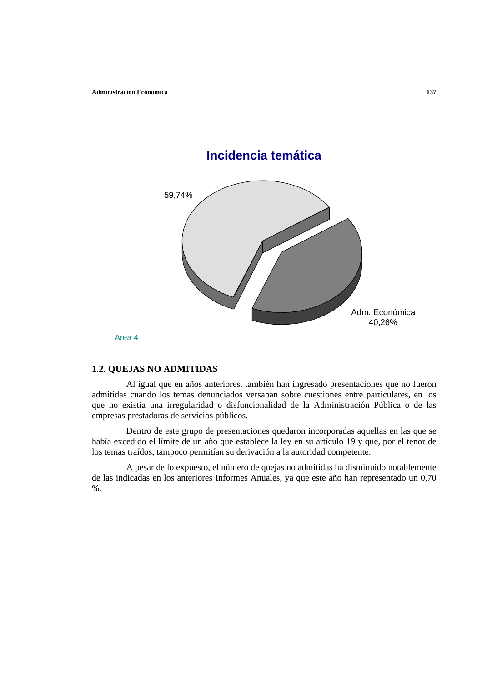

Area 4

# **1.2. QUEJAS NO ADMITIDAS**

Al igual que en años anteriores, también han ingresado presentaciones que no fueron admitidas cuando los temas denunciados versaban sobre cuestiones entre particulares, en los que no existía una irregularidad o disfuncionalidad de la Administración Pública o de las empresas prestadoras de servicios públicos.

Dentro de este grupo de presentaciones quedaron incorporadas aquellas en las que se había excedido el límite de un año que establece la ley en su artículo 19 y que, por el tenor de los temas traídos, tampoco permitían su derivación a la autoridad competente.

A pesar de lo expuesto, el número de quejas no admitidas ha disminuido notablemente de las indicadas en los anteriores Informes Anuales, ya que este año han representado un 0,70 %.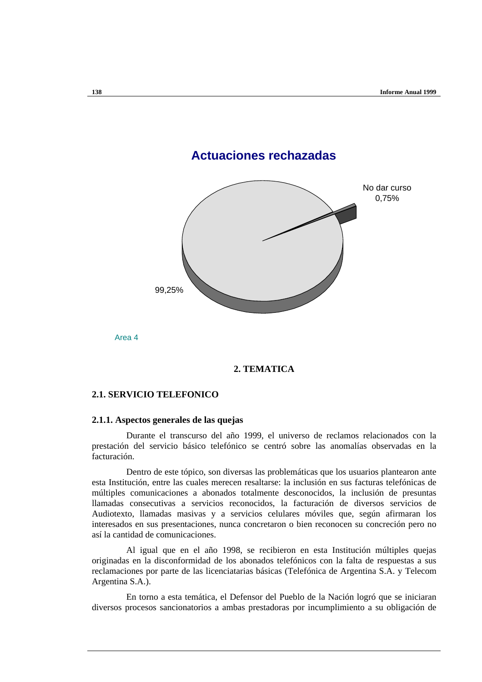

Area 4

# **2. TEMATICA**

# **2.1. SERVICIO TELEFONICO**

#### **2.1.1. Aspectos generales de las quejas**

Durante el transcurso del año 1999, el universo de reclamos relacionados con la prestación del servicio básico telefónico se centró sobre las anomalías observadas en la facturación.

Dentro de este tópico, son diversas las problemáticas que los usuarios plantearon ante esta Institución, entre las cuales merecen resaltarse: la inclusión en sus facturas telefónicas de múltiples comunicaciones a abonados totalmente desconocidos, la inclusión de presuntas llamadas consecutivas a servicios reconocidos, la facturación de diversos servicios de Audiotexto, llamadas masivas y a servicios celulares móviles que, según afirmaran los interesados en sus presentaciones, nunca concretaron o bien reconocen su concreción pero no así la cantidad de comunicaciones.

Al igual que en el año 1998, se recibieron en esta Institución múltiples quejas originadas en la disconformidad de los abonados telefónicos con la falta de respuestas a sus reclamaciones por parte de las licenciatarias básicas (Telefónica de Argentina S.A. y Telecom Argentina S.A.).

En torno a esta temática, el Defensor del Pueblo de la Nación logró que se iniciaran diversos procesos sancionatorios a ambas prestadoras por incumplimiento a su obligación de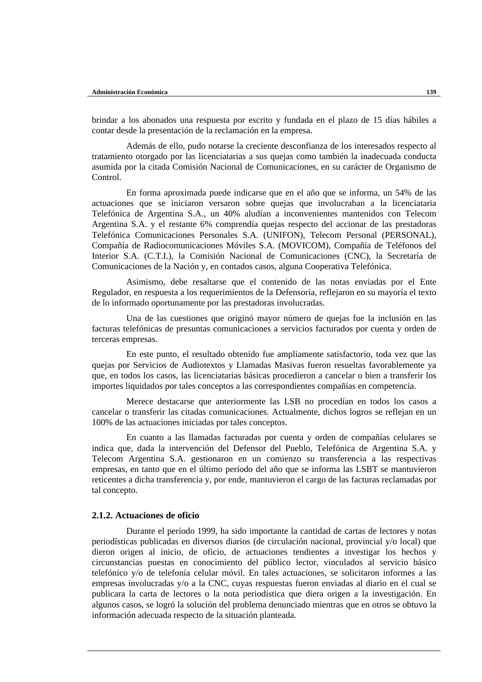brindar a los abonados una respuesta por escrito y fundada en el plazo de 15 días hábiles a contar desde la presentación de la reclamación en la empresa.

Además de ello, pudo notarse la creciente desconfianza de los interesados respecto al tratamiento otorgado por las licenciatarias a sus quejas como también la inadecuada conducta asumida por la citada Comisión Nacional de Comunicaciones, en su carácter de Organismo de Control.

En forma aproximada puede indicarse que en el año que se informa, un 54% de las actuaciones que se iniciaron versaron sobre quejas que involucraban a la licenciataria Telefónica de Argentina S.A., un 40% aludían a inconvenientes mantenidos con Telecom Argentina S.A. y el restante 6% comprendía quejas respecto del accionar de las prestadoras Telefónica Comunicaciones Personales S.A. (UNIFON), Telecom Personal (PERSONAL), Compañía de Radiocomunicaciones Móviles S.A. (MOVICOM), Compañía de Teléfonos del Interior S.A. (C.T.I.), la Comisión Nacional de Comunicaciones (CNC), la Secretaría de Comunicaciones de la Nación y, en contados casos, alguna Cooperativa Telefónica.

Asimismo, debe resaltarse que el contenido de las notas enviadas por el Ente Regulador, en respuesta a los requerimientos de la Defensoría, reflejaron en su mayoría el texto de lo informado oportunamente por las prestadoras involucradas.

Una de las cuestiones que originó mayor número de quejas fue la inclusión en las facturas telefónicas de presuntas comunicaciones a servicios facturados por cuenta y orden de terceras empresas.

En este punto, el resultado obtenido fue ampliamente satisfactorio, toda vez que las quejas por Servicios de Audiotextos y Llamadas Masivas fueron resueltas favorablemente ya que, en todos los casos, las licenciatarias básicas procedieron a cancelar o bien a transferir los importes liquidados por tales conceptos a las correspondientes compañías en competencia.

Merece destacarse que anteriormente las LSB no procedían en todos los casos a cancelar o transferir las citadas comunicaciones. Actualmente, dichos logros se reflejan en un 100% de las actuaciones iniciadas por tales conceptos.

En cuanto a las llamadas facturadas por cuenta y orden de compañías celulares se indica que, dada la intervención del Defensor del Pueblo, Telefónica de Argentina S.A. y Telecom Argentina S.A. gestionaron en un comienzo su transferencia a las respectivas empresas, en tanto que en el último período del año que se informa las LSBT se mantuvieron reticentes a dicha transferencia y, por ende, mantuvieron el cargo de las facturas reclamadas por tal concepto.

#### **2.1.2. Actuaciones de oficio**

Durante el período 1999, ha sido importante la cantidad de cartas de lectores y notas periodísticas publicadas en diversos diarios (de circulación nacional, provincial y/o local) que dieron origen al inicio, de oficio, de actuaciones tendientes a investigar los hechos y circunstancias puestas en conocimiento del público lector, vinculados al servicio básico telefónico y/o de telefonía celular móvil. En tales actuaciones, se solicitaron informes a las empresas involucradas y/o a la CNC, cuyas respuestas fueron enviadas al diario en el cual se publicara la carta de lectores o la nota periodística que diera origen a la investigación. En algunos casos, se logró la solución del problema denunciado mientras que en otros se obtuvo la información adecuada respecto de la situación planteada.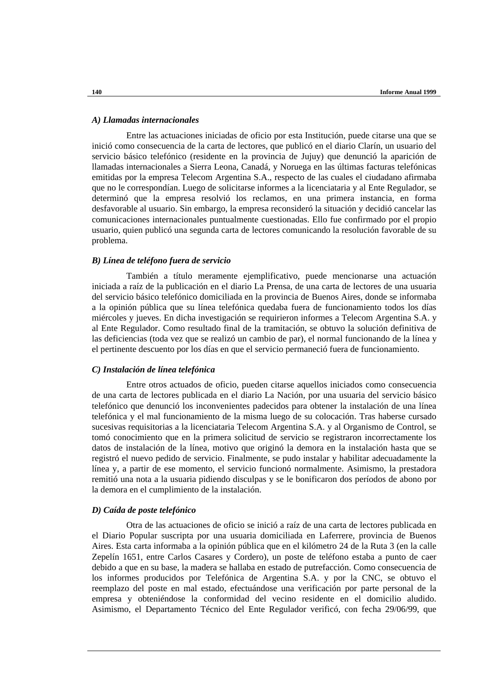### *A) Llamadas internacionales*

Entre las actuaciones iniciadas de oficio por esta Institución, puede citarse una que se inició como consecuencia de la carta de lectores, que publicó en el diario Clarín, un usuario del servicio básico telefónico (residente en la provincia de Jujuy) que denunció la aparición de llamadas internacionales a Sierra Leona, Canadá, y Noruega en las últimas facturas telefónicas emitidas por la empresa Telecom Argentina S.A., respecto de las cuales el ciudadano afirmaba que no le correspondían. Luego de solicitarse informes a la licenciataria y al Ente Regulador, se determinó que la empresa resolvió los reclamos, en una primera instancia, en forma desfavorable al usuario. Sin embargo, la empresa reconsideró la situación y decidió cancelar las comunicaciones internacionales puntualmente cuestionadas. Ello fue confirmado por el propio usuario, quien publicó una segunda carta de lectores comunicando la resolución favorable de su problema.

# *B) Línea de teléfono fuera de servicio*

También a título meramente ejemplificativo, puede mencionarse una actuación iniciada a raíz de la publicación en el diario La Prensa, de una carta de lectores de una usuaria del servicio básico telefónico domiciliada en la provincia de Buenos Aires, donde se informaba a la opinión pública que su línea telefónica quedaba fuera de funcionamiento todos los días miércoles y jueves. En dicha investigación se requirieron informes a Telecom Argentina S.A. y al Ente Regulador. Como resultado final de la tramitación, se obtuvo la solución definitiva de las deficiencias (toda vez que se realizó un cambio de par), el normal funcionando de la línea y el pertinente descuento por los días en que el servicio permaneció fuera de funcionamiento.

#### *C) Instalación de línea telefónica*

Entre otros actuados de oficio, pueden citarse aquellos iniciados como consecuencia de una carta de lectores publicada en el diario La Nación, por una usuaria del servicio básico telefónico que denunció los inconvenientes padecidos para obtener la instalación de una línea telefónica y el mal funcionamiento de la misma luego de su colocación. Tras haberse cursado sucesivas requisitorias a la licenciataria Telecom Argentina S.A. y al Organismo de Control, se tomó conocimiento que en la primera solicitud de servicio se registraron incorrectamente los datos de instalación de la línea, motivo que originó la demora en la instalación hasta que se registró el nuevo pedido de servicio. Finalmente, se pudo instalar y habilitar adecuadamente la línea y, a partir de ese momento, el servicio funcionó normalmente. Asimismo, la prestadora remitió una nota a la usuaria pidiendo disculpas y se le bonificaron dos períodos de abono por la demora en el cumplimiento de la instalación.

#### *D) Caída de poste telefónico*

Otra de las actuaciones de oficio se inició a raíz de una carta de lectores publicada en el Diario Popular suscripta por una usuaria domiciliada en Laferrere, provincia de Buenos Aires. Esta carta informaba a la opinión pública que en el kilómetro 24 de la Ruta 3 (en la calle Zepelín 1651, entre Carlos Casares y Cordero), un poste de teléfono estaba a punto de caer debido a que en su base, la madera se hallaba en estado de putrefacción. Como consecuencia de los informes producidos por Telefónica de Argentina S.A. y por la CNC, se obtuvo el reemplazo del poste en mal estado, efectuándose una verificación por parte personal de la empresa y obteniéndose la conformidad del vecino residente en el domicilio aludido. Asimismo, el Departamento Técnico del Ente Regulador verificó, con fecha 29/06/99, que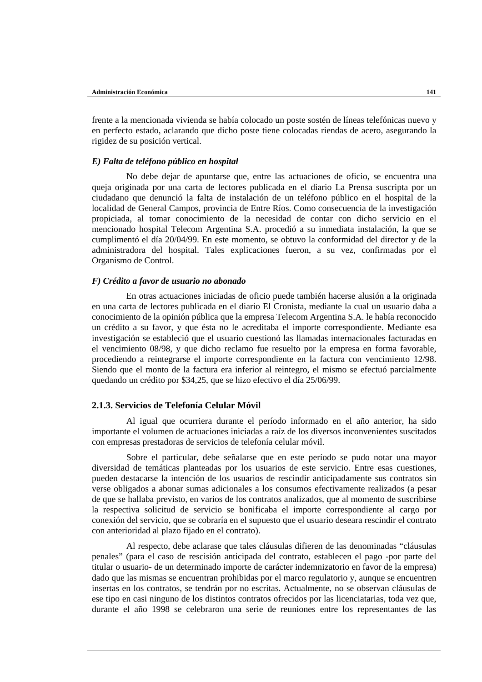frente a la mencionada vivienda se había colocado un poste sostén de líneas telefónicas nuevo y en perfecto estado, aclarando que dicho poste tiene colocadas riendas de acero, asegurando la rigidez de su posición vertical.

#### *E) Falta de teléfono público en hospital*

No debe dejar de apuntarse que, entre las actuaciones de oficio, se encuentra una queja originada por una carta de lectores publicada en el diario La Prensa suscripta por un ciudadano que denunció la falta de instalación de un teléfono público en el hospital de la localidad de General Campos, provincia de Entre Ríos. Como consecuencia de la investigación propiciada, al tomar conocimiento de la necesidad de contar con dicho servicio en el mencionado hospital Telecom Argentina S.A. procedió a su inmediata instalación, la que se cumplimentó el día 20/04/99. En este momento, se obtuvo la conformidad del director y de la administradora del hospital. Tales explicaciones fueron, a su vez, confirmadas por el Organismo de Control.

### *F) Crédito a favor de usuario no abonado*

En otras actuaciones iniciadas de oficio puede también hacerse alusión a la originada en una carta de lectores publicada en el diario El Cronista, mediante la cual un usuario daba a conocimiento de la opinión pública que la empresa Telecom Argentina S.A. le había reconocido un crédito a su favor, y que ésta no le acreditaba el importe correspondiente. Mediante esa investigación se estableció que el usuario cuestionó las llamadas internacionales facturadas en el vencimiento 08/98, y que dicho reclamo fue resuelto por la empresa en forma favorable, procediendo a reintegrarse el importe correspondiente en la factura con vencimiento 12/98. Siendo que el monto de la factura era inferior al reintegro, el mismo se efectuó parcialmente quedando un crédito por \$34,25, que se hizo efectivo el día 25/06/99.

# **2.1.3. Servicios de Telefonía Celular Móvil**

Al igual que ocurriera durante el período informado en el año anterior, ha sido importante el volumen de actuaciones iniciadas a raíz de los diversos inconvenientes suscitados con empresas prestadoras de servicios de telefonía celular móvil.

Sobre el particular, debe señalarse que en este período se pudo notar una mayor diversidad de temáticas planteadas por los usuarios de este servicio. Entre esas cuestiones, pueden destacarse la intención de los usuarios de rescindir anticipadamente sus contratos sin verse obligados a abonar sumas adicionales a los consumos efectivamente realizados (a pesar de que se hallaba previsto, en varios de los contratos analizados, que al momento de suscribirse la respectiva solicitud de servicio se bonificaba el importe correspondiente al cargo por conexión del servicio, que se cobraría en el supuesto que el usuario deseara rescindir el contrato con anterioridad al plazo fijado en el contrato).

Al respecto, debe aclarase que tales cláusulas difieren de las denominadas "cláusulas penales" (para el caso de rescisión anticipada del contrato, establecen el pago -por parte del titular o usuario- de un determinado importe de carácter indemnizatorio en favor de la empresa) dado que las mismas se encuentran prohibidas por el marco regulatorio y, aunque se encuentren insertas en los contratos, se tendrán por no escritas. Actualmente, no se observan cláusulas de ese tipo en casi ninguno de los distintos contratos ofrecidos por las licenciatarias, toda vez que, durante el año 1998 se celebraron una serie de reuniones entre los representantes de las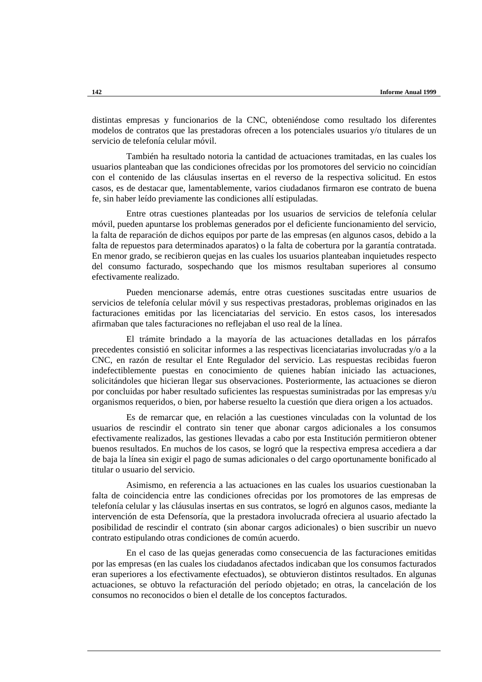distintas empresas y funcionarios de la CNC, obteniéndose como resultado los diferentes modelos de contratos que las prestadoras ofrecen a los potenciales usuarios y/o titulares de un servicio de telefonía celular móvil.

También ha resultado notoria la cantidad de actuaciones tramitadas, en las cuales los usuarios planteaban que las condiciones ofrecidas por los promotores del servicio no coincidían con el contenido de las cláusulas insertas en el reverso de la respectiva solicitud. En estos casos, es de destacar que, lamentablemente, varios ciudadanos firmaron ese contrato de buena fe, sin haber leído previamente las condiciones allí estipuladas.

Entre otras cuestiones planteadas por los usuarios de servicios de telefonía celular móvil, pueden apuntarse los problemas generados por el deficiente funcionamiento del servicio, la falta de reparación de dichos equipos por parte de las empresas (en algunos casos, debido a la falta de repuestos para determinados aparatos) o la falta de cobertura por la garantía contratada. En menor grado, se recibieron quejas en las cuales los usuarios planteaban inquietudes respecto del consumo facturado, sospechando que los mismos resultaban superiores al consumo efectivamente realizado.

Pueden mencionarse además, entre otras cuestiones suscitadas entre usuarios de servicios de telefonía celular móvil y sus respectivas prestadoras, problemas originados en las facturaciones emitidas por las licenciatarias del servicio. En estos casos, los interesados afirmaban que tales facturaciones no reflejaban el uso real de la línea.

El trámite brindado a la mayoría de las actuaciones detalladas en los párrafos precedentes consistió en solicitar informes a las respectivas licenciatarias involucradas y/o a la CNC, en razón de resultar el Ente Regulador del servicio. Las respuestas recibidas fueron indefectiblemente puestas en conocimiento de quienes habían iniciado las actuaciones, solicitándoles que hicieran llegar sus observaciones. Posteriormente, las actuaciones se dieron por concluidas por haber resultado suficientes las respuestas suministradas por las empresas y/u organismos requeridos, o bien, por haberse resuelto la cuestión que diera origen a los actuados.

Es de remarcar que, en relación a las cuestiones vinculadas con la voluntad de los usuarios de rescindir el contrato sin tener que abonar cargos adicionales a los consumos efectivamente realizados, las gestiones llevadas a cabo por esta Institución permitieron obtener buenos resultados. En muchos de los casos, se logró que la respectiva empresa accediera a dar de baja la línea sin exigir el pago de sumas adicionales o del cargo oportunamente bonificado al titular o usuario del servicio.

Asimismo, en referencia a las actuaciones en las cuales los usuarios cuestionaban la falta de coincidencia entre las condiciones ofrecidas por los promotores de las empresas de telefonía celular y las cláusulas insertas en sus contratos, se logró en algunos casos, mediante la intervención de esta Defensoría, que la prestadora involucrada ofreciera al usuario afectado la posibilidad de rescindir el contrato (sin abonar cargos adicionales) o bien suscribir un nuevo contrato estipulando otras condiciones de común acuerdo.

En el caso de las quejas generadas como consecuencia de las facturaciones emitidas por las empresas (en las cuales los ciudadanos afectados indicaban que los consumos facturados eran superiores a los efectivamente efectuados), se obtuvieron distintos resultados. En algunas actuaciones, se obtuvo la refacturación del período objetado; en otras, la cancelación de los consumos no reconocidos o bien el detalle de los conceptos facturados.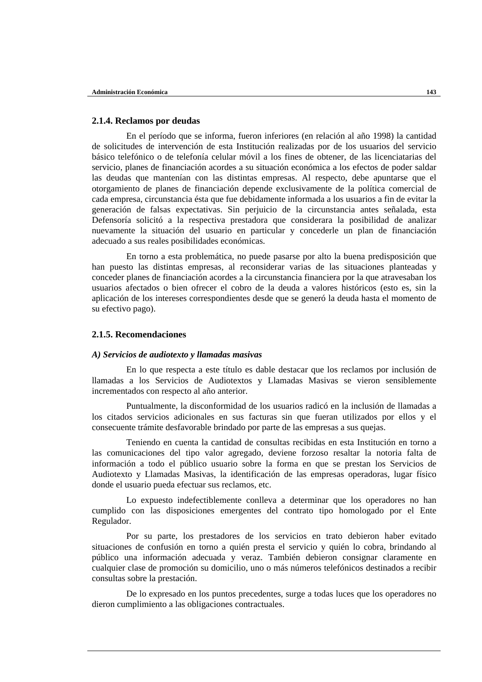# **2.1.4. Reclamos por deudas**

En el período que se informa, fueron inferiores (en relación al año 1998) la cantidad de solicitudes de intervención de esta Institución realizadas por de los usuarios del servicio básico telefónico o de telefonía celular móvil a los fines de obtener, de las licenciatarias del servicio, planes de financiación acordes a su situación económica a los efectos de poder saldar las deudas que mantenían con las distintas empresas. Al respecto, debe apuntarse que el otorgamiento de planes de financiación depende exclusivamente de la política comercial de cada empresa, circunstancia ésta que fue debidamente informada a los usuarios a fin de evitar la generación de falsas expectativas. Sin perjuicio de la circunstancia antes señalada, esta Defensoría solicitó a la respectiva prestadora que considerara la posibilidad de analizar nuevamente la situación del usuario en particular y concederle un plan de financiación adecuado a sus reales posibilidades económicas.

En torno a esta problemática, no puede pasarse por alto la buena predisposición que han puesto las distintas empresas, al reconsiderar varias de las situaciones planteadas y conceder planes de financiación acordes a la circunstancia financiera por la que atravesaban los usuarios afectados o bien ofrecer el cobro de la deuda a valores históricos (esto es, sin la aplicación de los intereses correspondientes desde que se generó la deuda hasta el momento de su efectivo pago).

## **2.1.5. Recomendaciones**

#### *A) Servicios de audiotexto y llamadas masivas*

En lo que respecta a este título es dable destacar que los reclamos por inclusión de llamadas a los Servicios de Audiotextos y Llamadas Masivas se vieron sensiblemente incrementados con respecto al año anterior.

Puntualmente, la disconformidad de los usuarios radicó en la inclusión de llamadas a los citados servicios adicionales en sus facturas sin que fueran utilizados por ellos y el consecuente trámite desfavorable brindado por parte de las empresas a sus quejas.

Teniendo en cuenta la cantidad de consultas recibidas en esta Institución en torno a las comunicaciones del tipo valor agregado, deviene forzoso resaltar la notoria falta de información a todo el público usuario sobre la forma en que se prestan los Servicios de Audiotexto y Llamadas Masivas, la identificación de las empresas operadoras, lugar físico donde el usuario pueda efectuar sus reclamos, etc.

Lo expuesto indefectiblemente conlleva a determinar que los operadores no han cumplido con las disposiciones emergentes del contrato tipo homologado por el Ente Regulador.

Por su parte, los prestadores de los servicios en trato debieron haber evitado situaciones de confusión en torno a quién presta el servicio y quién lo cobra, brindando al público una información adecuada y veraz. También debieron consignar claramente en cualquier clase de promoción su domicilio, uno o más números telefónicos destinados a recibir consultas sobre la prestación.

De lo expresado en los puntos precedentes, surge a todas luces que los operadores no dieron cumplimiento a las obligaciones contractuales.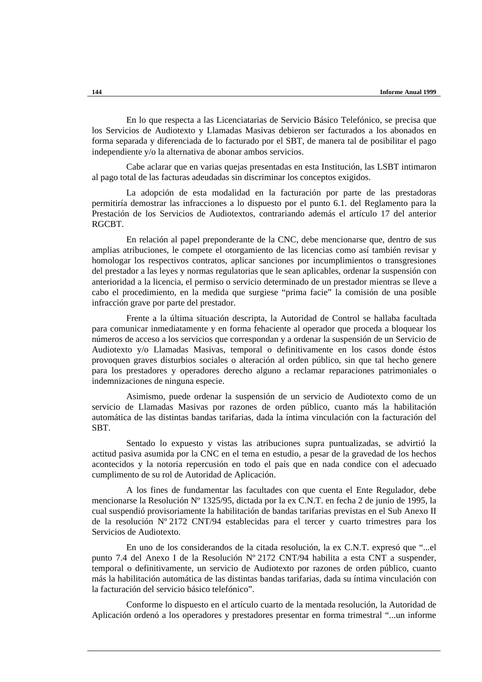En lo que respecta a las Licenciatarias de Servicio Básico Telefónico, se precisa que los Servicios de Audiotexto y Llamadas Masivas debieron ser facturados a los abonados en forma separada y diferenciada de lo facturado por el SBT, de manera tal de posibilitar el pago independiente y/o la alternativa de abonar ambos servicios.

Cabe aclarar que en varias quejas presentadas en esta Institución, las LSBT intimaron al pago total de las facturas adeudadas sin discriminar los conceptos exigidos.

La adopción de esta modalidad en la facturación por parte de las prestadoras permitiría demostrar las infracciones a lo dispuesto por el punto 6.1. del Reglamento para la Prestación de los Servicios de Audiotextos, contrariando además el artículo 17 del anterior **RGCBT** 

En relación al papel preponderante de la CNC, debe mencionarse que, dentro de sus amplias atribuciones, le compete el otorgamiento de las licencias como así también revisar y homologar los respectivos contratos, aplicar sanciones por incumplimientos o transgresiones del prestador a las leyes y normas regulatorias que le sean aplicables, ordenar la suspensión con anterioridad a la licencia, el permiso o servicio determinado de un prestador mientras se lleve a cabo el procedimiento, en la medida que surgiese "prima facie" la comisión de una posible infracción grave por parte del prestador.

Frente a la última situación descripta, la Autoridad de Control se hallaba facultada para comunicar inmediatamente y en forma fehaciente al operador que proceda a bloquear los números de acceso a los servicios que correspondan y a ordenar la suspensión de un Servicio de Audiotexto y/o Llamadas Masivas, temporal o definitivamente en los casos donde éstos provoquen graves disturbios sociales o alteración al orden público, sin que tal hecho genere para los prestadores y operadores derecho alguno a reclamar reparaciones patrimoniales o indemnizaciones de ninguna especie.

Asimismo, puede ordenar la suspensión de un servicio de Audiotexto como de un servicio de Llamadas Masivas por razones de orden público, cuanto más la habilitación automática de las distintas bandas tarifarias, dada la íntima vinculación con la facturación del SBT.

Sentado lo expuesto y vistas las atribuciones supra puntualizadas, se advirtió la actitud pasiva asumida por la CNC en el tema en estudio, a pesar de la gravedad de los hechos acontecidos y la notoria repercusión en todo el país que en nada condice con el adecuado cumplimento de su rol de Autoridad de Aplicación.

A los fines de fundamentar las facultades con que cuenta el Ente Regulador, debe mencionarse la Resolución Nº 1325/95, dictada por la ex C.N.T. en fecha 2 de junio de 1995, la cual suspendió provisoriamente la habilitación de bandas tarifarias previstas en el Sub Anexo II de la resolución  $N^{\circ}$  2172 CNT/94 establecidas para el tercer y cuarto trimestres para los Servicios de Audiotexto.

En uno de los considerandos de la citada resolución, la ex C.N.T. expresó que "...el punto 7.4 del Anexo I de la Resolución Nº 2172 CNT/94 habilita a esta CNT a suspender, temporal o definitivamente, un servicio de Audiotexto por razones de orden público, cuanto más la habilitación automática de las distintas bandas tarifarias, dada su íntima vinculación con la facturación del servicio básico telefónico".

Conforme lo dispuesto en el artículo cuarto de la mentada resolución, la Autoridad de Aplicación ordenó a los operadores y prestadores presentar en forma trimestral "...un informe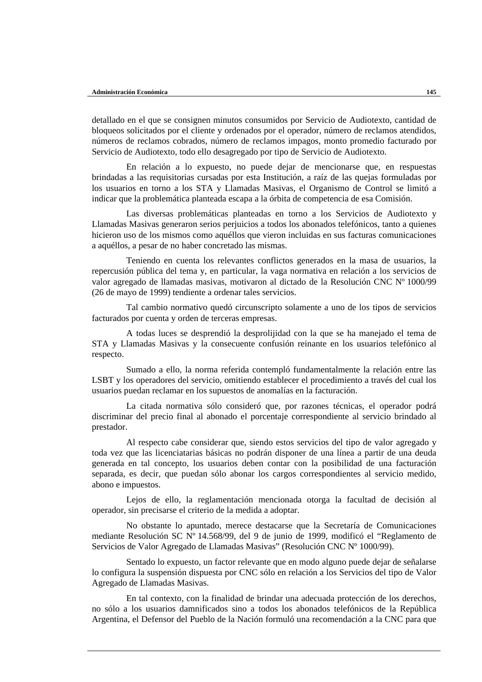detallado en el que se consignen minutos consumidos por Servicio de Audiotexto, cantidad de bloqueos solicitados por el cliente y ordenados por el operador, número de reclamos atendidos, números de reclamos cobrados, número de reclamos impagos, monto promedio facturado por Servicio de Audiotexto, todo ello desagregado por tipo de Servicio de Audiotexto.

En relación a lo expuesto, no puede dejar de mencionarse que, en respuestas brindadas a las requisitorias cursadas por esta Institución, a raíz de las quejas formuladas por los usuarios en torno a los STA y Llamadas Masivas, el Organismo de Control se limitó a indicar que la problemática planteada escapa a la órbita de competencia de esa Comisión.

Las diversas problemáticas planteadas en torno a los Servicios de Audiotexto y Llamadas Masivas generaron serios perjuicios a todos los abonados telefónicos, tanto a quienes hicieron uso de los mismos como aquéllos que vieron incluidas en sus facturas comunicaciones a aquéllos, a pesar de no haber concretado las mismas.

Teniendo en cuenta los relevantes conflictos generados en la masa de usuarios, la repercusión pública del tema y, en particular, la vaga normativa en relación a los servicios de valor agregado de llamadas masivas, motivaron al dictado de la Resolución CNC Nº 1000/99 (26 de mayo de 1999) tendiente a ordenar tales servicios.

Tal cambio normativo quedó circunscripto solamente a uno de los tipos de servicios facturados por cuenta y orden de terceras empresas.

A todas luces se desprendió la desprolijidad con la que se ha manejado el tema de STA y Llamadas Masivas y la consecuente confusión reinante en los usuarios telefónico al respecto.

Sumado a ello, la norma referida contempló fundamentalmente la relación entre las LSBT y los operadores del servicio, omitiendo establecer el procedimiento a través del cual los usuarios puedan reclamar en los supuestos de anomalías en la facturación.

La citada normativa sólo consideró que, por razones técnicas, el operador podrá discriminar del precio final al abonado el porcentaje correspondiente al servicio brindado al prestador.

Al respecto cabe considerar que, siendo estos servicios del tipo de valor agregado y toda vez que las licenciatarias básicas no podrán disponer de una línea a partir de una deuda generada en tal concepto, los usuarios deben contar con la posibilidad de una facturación separada, es decir, que puedan sólo abonar los cargos correspondientes al servicio medido, abono e impuestos.

Lejos de ello, la reglamentación mencionada otorga la facultad de decisión al operador, sin precisarse el criterio de la medida a adoptar.

No obstante lo apuntado, merece destacarse que la Secretaría de Comunicaciones mediante Resolución SC Nº 14.568/99, del 9 de junio de 1999, modificó el "Reglamento de Servicios de Valor Agregado de Llamadas Masivas" (Resolución CNC Nº 1000/99).

Sentado lo expuesto, un factor relevante que en modo alguno puede dejar de señalarse lo configura la suspensión dispuesta por CNC sólo en relación a los Servicios del tipo de Valor Agregado de Llamadas Masivas.

En tal contexto, con la finalidad de brindar una adecuada protección de los derechos, no sólo a los usuarios damnificados sino a todos los abonados telefónicos de la República Argentina, el Defensor del Pueblo de la Nación formuló una recomendación a la CNC para que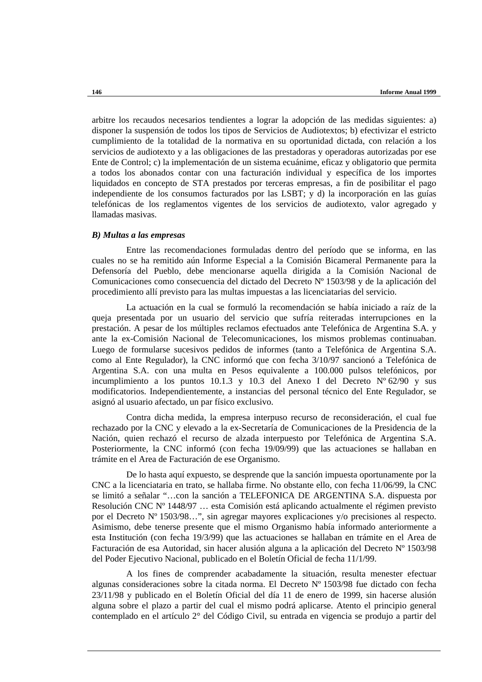arbitre los recaudos necesarios tendientes a lograr la adopción de las medidas siguientes: a) disponer la suspensión de todos los tipos de Servicios de Audiotextos; b) efectivizar el estricto cumplimiento de la totalidad de la normativa en su oportunidad dictada, con relación a los servicios de audiotexto y a las obligaciones de las prestadoras y operadoras autorizadas por ese Ente de Control; c) la implementación de un sistema ecuánime, eficaz y obligatorio que permita a todos los abonados contar con una facturación individual y específica de los importes liquidados en concepto de STA prestados por terceras empresas, a fin de posibilitar el pago independiente de los consumos facturados por las LSBT; y d) la incorporación en las guías telefónicas de los reglamentos vigentes de los servicios de audiotexto, valor agregado y llamadas masivas.

#### *B) Multas a las empresas*

Entre las recomendaciones formuladas dentro del período que se informa, en las cuales no se ha remitido aún Informe Especial a la Comisión Bicameral Permanente para la Defensoría del Pueblo, debe mencionarse aquella dirigida a la Comisión Nacional de Comunicaciones como consecuencia del dictado del Decreto Nº 1503/98 y de la aplicación del procedimiento allí previsto para las multas impuestas a las licenciatarias del servicio.

La actuación en la cual se formuló la recomendación se había iniciado a raíz de la queja presentada por un usuario del servicio que sufría reiteradas interrupciones en la prestación. A pesar de los múltiples reclamos efectuados ante Telefónica de Argentina S.A. y ante la ex-Comisión Nacional de Telecomunicaciones, los mismos problemas continuaban. Luego de formularse sucesivos pedidos de informes (tanto a Telefónica de Argentina S.A. como al Ente Regulador), la CNC informó que con fecha 3/10/97 sancionó a Telefónica de Argentina S.A. con una multa en Pesos equivalente a 100.000 pulsos telefónicos, por incumplimiento a los puntos 10.1.3 y 10.3 del Anexo I del Decreto Nº 62/90 y sus modificatorios. Independientemente, a instancias del personal técnico del Ente Regulador, se asignó al usuario afectado, un par físico exclusivo.

Contra dicha medida, la empresa interpuso recurso de reconsideración, el cual fue rechazado por la CNC y elevado a la ex-Secretaría de Comunicaciones de la Presidencia de la Nación, quien rechazó el recurso de alzada interpuesto por Telefónica de Argentina S.A. Posteriormente, la CNC informó (con fecha 19/09/99) que las actuaciones se hallaban en trámite en el Area de Facturación de ese Organismo.

De lo hasta aquí expuesto, se desprende que la sanción impuesta oportunamente por la CNC a la licenciataria en trato, se hallaba firme. No obstante ello, con fecha 11/06/99, la CNC se limitó a señalar "…con la sanción a TELEFONICA DE ARGENTINA S.A. dispuesta por Resolución CNC Nº 1448/97 … esta Comisión está aplicando actualmente el régimen previsto por el Decreto Nº 1503/98…", sin agregar mayores explicaciones y/o precisiones al respecto. Asimismo, debe tenerse presente que el mismo Organismo había informado anteriormente a esta Institución (con fecha 19/3/99) que las actuaciones se hallaban en trámite en el Area de Facturación de esa Autoridad, sin hacer alusión alguna a la aplicación del Decreto Nº 1503/98 del Poder Ejecutivo Nacional, publicado en el Boletín Oficial de fecha 11/1/99.

A los fines de comprender acabadamente la situación, resulta menester efectuar algunas consideraciones sobre la citada norma. El Decreto Nº 1503/98 fue dictado con fecha 23/11/98 y publicado en el Boletín Oficial del día 11 de enero de 1999, sin hacerse alusión alguna sobre el plazo a partir del cual el mismo podrá aplicarse. Atento el principio general contemplado en el artículo 2° del Código Civil, su entrada en vigencia se produjo a partir del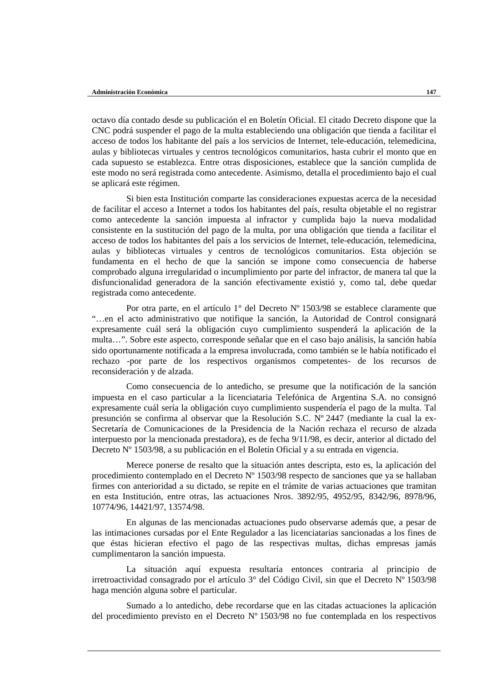octavo día contado desde su publicación el en Boletín Oficial. El citado Decreto dispone que la CNC podrá suspender el pago de la multa estableciendo una obligación que tienda a facilitar el acceso de todos los habitante del país a los servicios de Internet, tele-educación, telemedicina, aulas y bibliotecas virtuales y centros tecnológicos comunitarios, hasta cubrir el monto que en cada supuesto se establezca. Entre otras disposiciones, establece que la sanción cumplida de este modo no será registrada como antecedente. Asimismo, detalla el procedimiento bajo el cual se aplicará este régimen.

Si bien esta Institución comparte las consideraciones expuestas acerca de la necesidad de facilitar el acceso a Internet a todos los habitantes del país, resulta objetable el no registrar como antecedente la sanción impuesta al infractor y cumplida bajo la nueva modalidad consistente en la sustitución del pago de la multa, por una obligación que tienda a facilitar el acceso de todos los habitantes del país a los servicios de Internet, tele-educación, telemedicina, aulas y bibliotecas virtuales y centros de tecnológicos comunitarios. Esta objeción se fundamenta en el hecho de que la sanción se impone como consecuencia de haberse comprobado alguna irregularidad o incumplimiento por parte del infractor, de manera tal que la disfuncionalidad generadora de la sanción efectivamente existió y, como tal, debe quedar registrada como antecedente.

Por otra parte, en el artículo 1° del Decreto Nº 1503/98 se establece claramente que "…en el acto administrativo que notifique la sanción, la Autoridad de Control consignará expresamente cuál será la obligación cuyo cumplimiento suspenderá la aplicación de la multa…". Sobre este aspecto, corresponde señalar que en el caso bajo análisis, la sanción había sido oportunamente notificada a la empresa involucrada, como también se le había notificado el rechazo -por parte de los respectivos organismos competentes- de los recursos de reconsideración y de alzada.

Como consecuencia de lo antedicho, se presume que la notificación de la sanción impuesta en el caso particular a la licenciataria Telefónica de Argentina S.A. no consignó expresamente cuál sería la obligación cuyo cumplimiento suspendería el pago de la multa. Tal presunción se confirma al observar que la Resolución S.C. Nº 2447 (mediante la cual la ex-Secretaría de Comunicaciones de la Presidencia de la Nación rechaza el recurso de alzada interpuesto por la mencionada prestadora), es de fecha 9/11/98, es decir, anterior al dictado del Decreto Nº 1503/98, a su publicación en el Boletín Oficial y a su entrada en vigencia.

Merece ponerse de resalto que la situación antes descripta, esto es, la aplicación del procedimiento contemplado en el Decreto Nº 1503/98 respecto de sanciones que ya se hallaban firmes con anterioridad a su dictado, se repite en el trámite de varias actuaciones que tramitan en esta Institución, entre otras, las actuaciones Nros. 3892/95, 4952/95, 8342/96, 8978/96, 10774/96, 14421/97, 13574/98.

En algunas de las mencionadas actuaciones pudo observarse además que, a pesar de las intimaciones cursadas por el Ente Regulador a las licenciatarias sancionadas a los fines de que éstas hicieran efectivo el pago de las respectivas multas, dichas empresas jamás cumplimentaron la sanción impuesta.

La situación aquí expuesta resultaría entonces contraria al principio de irretroactividad consagrado por el artículo 3° del Código Civil, sin que el Decreto Nº 1503/98 haga mención alguna sobre el particular.

Sumado a lo antedicho, debe recordarse que en las citadas actuaciones la aplicación del procedimiento previsto en el Decreto Nº 1503/98 no fue contemplada en los respectivos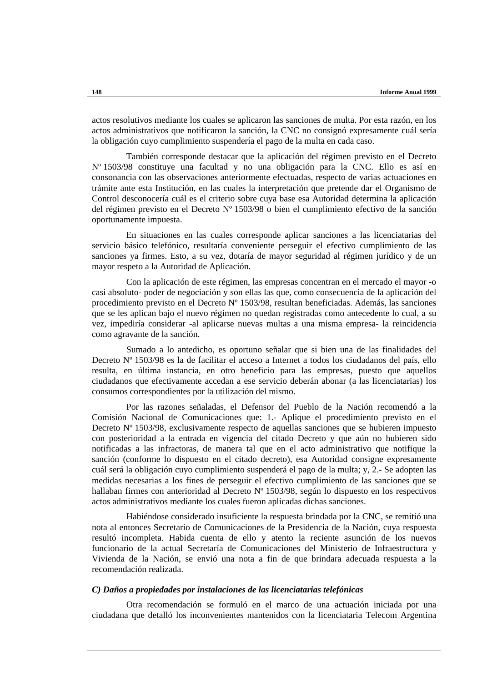actos resolutivos mediante los cuales se aplicaron las sanciones de multa. Por esta razón, en los actos administrativos que notificaron la sanción, la CNC no consignó expresamente cuál sería la obligación cuyo cumplimiento suspendería el pago de la multa en cada caso.

También corresponde destacar que la aplicación del régimen previsto en el Decreto Nº 1503/98 constituye una facultad y no una obligación para la CNC. Ello es así en consonancia con las observaciones anteriormente efectuadas, respecto de varias actuaciones en trámite ante esta Institución, en las cuales la interpretación que pretende dar el Organismo de Control desconocería cuál es el criterio sobre cuya base esa Autoridad determina la aplicación del régimen previsto en el Decreto Nº 1503/98 o bien el cumplimiento efectivo de la sanción oportunamente impuesta.

En situaciones en las cuales corresponde aplicar sanciones a las licenciatarias del servicio básico telefónico, resultaría conveniente perseguir el efectivo cumplimiento de las sanciones ya firmes. Esto, a su vez, dotaría de mayor seguridad al régimen jurídico y de un mayor respeto a la Autoridad de Aplicación.

Con la aplicación de este régimen, las empresas concentran en el mercado el mayor -o casi absoluto- poder de negociación y son ellas las que, como consecuencia de la aplicación del procedimiento previsto en el Decreto Nº 1503/98, resultan beneficiadas. Además, las sanciones que se les aplican bajo el nuevo régimen no quedan registradas como antecedente lo cual, a su vez, impediría considerar -al aplicarse nuevas multas a una misma empresa- la reincidencia como agravante de la sanción.

Sumado a lo antedicho, es oportuno señalar que si bien una de las finalidades del Decreto Nº 1503/98 es la de facilitar el acceso a Internet a todos los ciudadanos del país, ello resulta, en última instancia, en otro beneficio para las empresas, puesto que aquellos ciudadanos que efectivamente accedan a ese servicio deberán abonar (a las licenciatarias) los consumos correspondientes por la utilización del mismo.

Por las razones señaladas, el Defensor del Pueblo de la Nación recomendó a la Comisión Nacional de Comunicaciones que: 1.- Aplique el procedimiento previsto en el Decreto Nº 1503/98, exclusivamente respecto de aquellas sanciones que se hubieren impuesto con posterioridad a la entrada en vigencia del citado Decreto y que aún no hubieren sido notificadas a las infractoras, de manera tal que en el acto administrativo que notifique la sanción (conforme lo dispuesto en el citado decreto), esa Autoridad consigne expresamente cuál será la obligación cuyo cumplimiento suspenderá el pago de la multa; y, 2.- Se adopten las medidas necesarias a los fines de perseguir el efectivo cumplimiento de las sanciones que se hallaban firmes con anterioridad al Decreto Nº 1503/98, según lo dispuesto en los respectivos actos administrativos mediante los cuales fueron aplicadas dichas sanciones.

Habiéndose considerado insuficiente la respuesta brindada por la CNC, se remitió una nota al entonces Secretario de Comunicaciones de la Presidencia de la Nación, cuya respuesta resultó incompleta. Habida cuenta de ello y atento la reciente asunción de los nuevos funcionario de la actual Secretaría de Comunicaciones del Ministerio de Infraestructura y Vivienda de la Nación, se envió una nota a fin de que brindara adecuada respuesta a la recomendación realizada.

## *C) Daños a propiedades por instalaciones de las licenciatarias telefónicas*

Otra recomendación se formuló en el marco de una actuación iniciada por una ciudadana que detalló los inconvenientes mantenidos con la licenciataria Telecom Argentina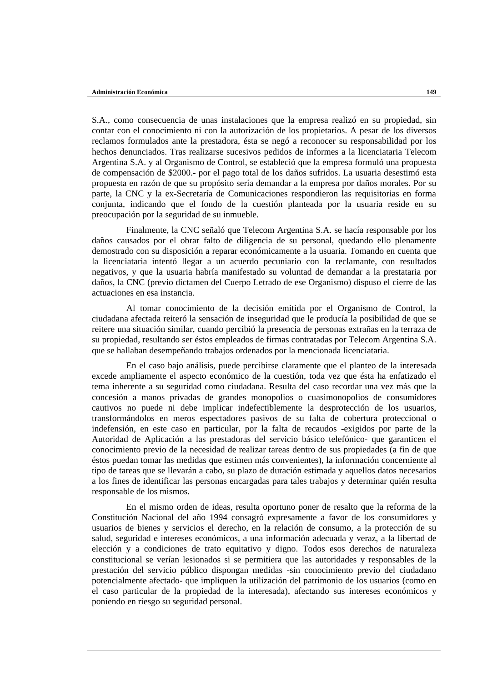S.A., como consecuencia de unas instalaciones que la empresa realizó en su propiedad, sin contar con el conocimiento ni con la autorización de los propietarios. A pesar de los diversos reclamos formulados ante la prestadora, ésta se negó a reconocer su responsabilidad por los hechos denunciados. Tras realizarse sucesivos pedidos de informes a la licenciataria Telecom Argentina S.A. y al Organismo de Control, se estableció que la empresa formuló una propuesta de compensación de \$2000.- por el pago total de los daños sufridos. La usuaria desestimó esta propuesta en razón de que su propósito sería demandar a la empresa por daños morales. Por su parte, la CNC y la ex-Secretaría de Comunicaciones respondieron las requisitorias en forma conjunta, indicando que el fondo de la cuestión planteada por la usuaria reside en su preocupación por la seguridad de su inmueble.

Finalmente, la CNC señaló que Telecom Argentina S.A. se hacía responsable por los daños causados por el obrar falto de diligencia de su personal, quedando ello plenamente demostrado con su disposición a reparar económicamente a la usuaria. Tomando en cuenta que la licenciataria intentó llegar a un acuerdo pecuniario con la reclamante, con resultados negativos, y que la usuaria habría manifestado su voluntad de demandar a la prestataria por daños, la CNC (previo dictamen del Cuerpo Letrado de ese Organismo) dispuso el cierre de las actuaciones en esa instancia.

Al tomar conocimiento de la decisión emitida por el Organismo de Control, la ciudadana afectada reiteró la sensación de inseguridad que le producía la posibilidad de que se reitere una situación similar, cuando percibió la presencia de personas extrañas en la terraza de su propiedad, resultando ser éstos empleados de firmas contratadas por Telecom Argentina S.A. que se hallaban desempeñando trabajos ordenados por la mencionada licenciataria.

En el caso bajo análisis, puede percibirse claramente que el planteo de la interesada excede ampliamente el aspecto económico de la cuestión, toda vez que ésta ha enfatizado el tema inherente a su seguridad como ciudadana. Resulta del caso recordar una vez más que la concesión a manos privadas de grandes monopolios o cuasimonopolios de consumidores cautivos no puede ni debe implicar indefectiblemente la desprotección de los usuarios, transformándolos en meros espectadores pasivos de su falta de cobertura proteccional o indefensión, en este caso en particular, por la falta de recaudos -exigidos por parte de la Autoridad de Aplicación a las prestadoras del servicio básico telefónico- que garanticen el conocimiento previo de la necesidad de realizar tareas dentro de sus propiedades (a fin de que éstos puedan tomar las medidas que estimen más convenientes), la información concerniente al tipo de tareas que se llevarán a cabo, su plazo de duración estimada y aquellos datos necesarios a los fines de identificar las personas encargadas para tales trabajos y determinar quién resulta responsable de los mismos.

En el mismo orden de ideas, resulta oportuno poner de resalto que la reforma de la Constitución Nacional del año 1994 consagró expresamente a favor de los consumidores y usuarios de bienes y servicios el derecho, en la relación de consumo, a la protección de su salud, seguridad e intereses económicos, a una información adecuada y veraz, a la libertad de elección y a condiciones de trato equitativo y digno. Todos esos derechos de naturaleza constitucional se verían lesionados si se permitiera que las autoridades y responsables de la prestación del servicio público dispongan medidas -sin conocimiento previo del ciudadano potencialmente afectado- que impliquen la utilización del patrimonio de los usuarios (como en el caso particular de la propiedad de la interesada), afectando sus intereses económicos y poniendo en riesgo su seguridad personal.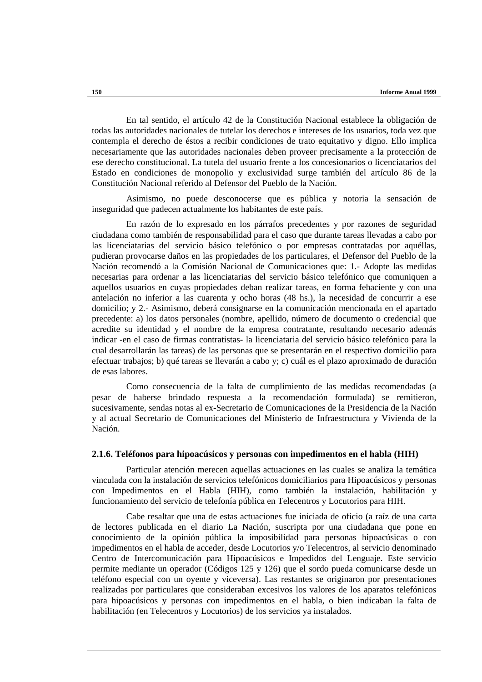En tal sentido, el artículo 42 de la Constitución Nacional establece la obligación de todas las autoridades nacionales de tutelar los derechos e intereses de los usuarios, toda vez que contempla el derecho de éstos a recibir condiciones de trato equitativo y digno. Ello implica necesariamente que las autoridades nacionales deben proveer precisamente a la protección de ese derecho constitucional. La tutela del usuario frente a los concesionarios o licenciatarios del Estado en condiciones de monopolio y exclusividad surge también del artículo 86 de la Constitución Nacional referido al Defensor del Pueblo de la Nación.

Asimismo, no puede desconocerse que es pública y notoria la sensación de inseguridad que padecen actualmente los habitantes de este país.

En razón de lo expresado en los párrafos precedentes y por razones de seguridad ciudadana como también de responsabilidad para el caso que durante tareas llevadas a cabo por las licenciatarias del servicio básico telefónico o por empresas contratadas por aquéllas, pudieran provocarse daños en las propiedades de los particulares, el Defensor del Pueblo de la Nación recomendó a la Comisión Nacional de Comunicaciones que: 1.- Adopte las medidas necesarias para ordenar a las licenciatarias del servicio básico telefónico que comuniquen a aquellos usuarios en cuyas propiedades deban realizar tareas, en forma fehaciente y con una antelación no inferior a las cuarenta y ocho horas (48 hs.), la necesidad de concurrir a ese domicilio; y 2.- Asimismo, deberá consignarse en la comunicación mencionada en el apartado precedente: a) los datos personales (nombre, apellido, número de documento o credencial que acredite su identidad y el nombre de la empresa contratante, resultando necesario además indicar -en el caso de firmas contratistas- la licenciataria del servicio básico telefónico para la cual desarrollarán las tareas) de las personas que se presentarán en el respectivo domicilio para efectuar trabajos; b) qué tareas se llevarán a cabo y; c) cuál es el plazo aproximado de duración de esas labores.

Como consecuencia de la falta de cumplimiento de las medidas recomendadas (a pesar de haberse brindado respuesta a la recomendación formulada) se remitieron, sucesivamente, sendas notas al ex-Secretario de Comunicaciones de la Presidencia de la Nación y al actual Secretario de Comunicaciones del Ministerio de Infraestructura y Vivienda de la Nación.

#### **2.1.6. Teléfonos para hipoacúsicos y personas con impedimentos en el habla (HIH)**

Particular atención merecen aquellas actuaciones en las cuales se analiza la temática vinculada con la instalación de servicios telefónicos domiciliarios para Hipoacúsicos y personas con Impedimentos en el Habla (HIH), como también la instalación, habilitación y funcionamiento del servicio de telefonía pública en Telecentros y Locutorios para HIH.

Cabe resaltar que una de estas actuaciones fue iniciada de oficio (a raíz de una carta de lectores publicada en el diario La Nación, suscripta por una ciudadana que pone en conocimiento de la opinión pública la imposibilidad para personas hipoacúsicas o con impedimentos en el habla de acceder, desde Locutorios y/o Telecentros, al servicio denominado Centro de Intercomunicación para Hipoacúsicos e Impedidos del Lenguaje. Este servicio permite mediante un operador (Códigos 125 y 126) que el sordo pueda comunicarse desde un teléfono especial con un oyente y viceversa). Las restantes se originaron por presentaciones realizadas por particulares que consideraban excesivos los valores de los aparatos telefónicos para hipoacúsicos y personas con impedimentos en el habla, o bien indicaban la falta de habilitación (en Telecentros y Locutorios) de los servicios ya instalados.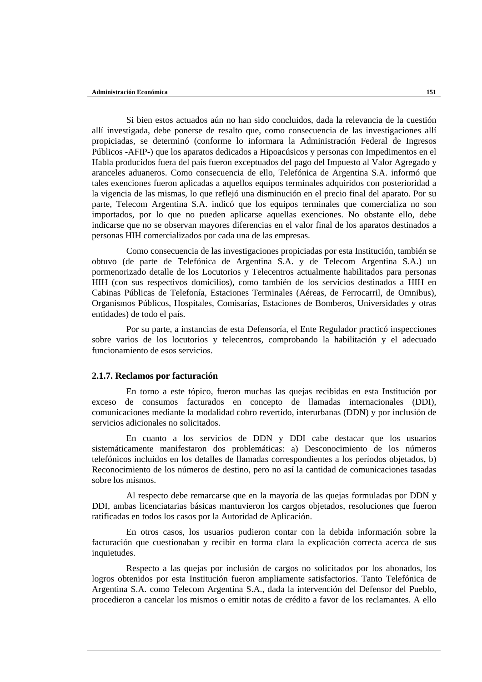Si bien estos actuados aún no han sido concluidos, dada la relevancia de la cuestión allí investigada, debe ponerse de resalto que, como consecuencia de las investigaciones allí propiciadas, se determinó (conforme lo informara la Administración Federal de Ingresos Públicos -AFIP-) que los aparatos dedicados a Hipoacúsicos y personas con Impedimentos en el Habla producidos fuera del país fueron exceptuados del pago del Impuesto al Valor Agregado y aranceles aduaneros. Como consecuencia de ello, Telefónica de Argentina S.A. informó que tales exenciones fueron aplicadas a aquellos equipos terminales adquiridos con posterioridad a la vigencia de las mismas, lo que reflejó una disminución en el precio final del aparato. Por su parte, Telecom Argentina S.A. indicó que los equipos terminales que comercializa no son importados, por lo que no pueden aplicarse aquellas exenciones. No obstante ello, debe indicarse que no se observan mayores diferencias en el valor final de los aparatos destinados a personas HIH comercializados por cada una de las empresas.

Como consecuencia de las investigaciones propiciadas por esta Institución, también se obtuvo (de parte de Telefónica de Argentina S.A. y de Telecom Argentina S.A.) un pormenorizado detalle de los Locutorios y Telecentros actualmente habilitados para personas HIH (con sus respectivos domicilios), como también de los servicios destinados a HIH en Cabinas Públicas de Telefonía, Estaciones Terminales (Aéreas, de Ferrocarril, de Omnibus), Organismos Públicos, Hospitales, Comisarías, Estaciones de Bomberos, Universidades y otras entidades) de todo el país.

Por su parte, a instancias de esta Defensoría, el Ente Regulador practicó inspecciones sobre varios de los locutorios y telecentros, comprobando la habilitación y el adecuado funcionamiento de esos servicios.

## **2.1.7. Reclamos por facturación**

En torno a este tópico, fueron muchas las quejas recibidas en esta Institución por exceso de consumos facturados en concepto de llamadas internacionales (DDI), comunicaciones mediante la modalidad cobro revertido, interurbanas (DDN) y por inclusión de servicios adicionales no solicitados.

En cuanto a los servicios de DDN y DDI cabe destacar que los usuarios sistemáticamente manifestaron dos problemáticas: a) Desconocimiento de los números telefónicos incluidos en los detalles de llamadas correspondientes a los períodos objetados, b) Reconocimiento de los números de destino, pero no así la cantidad de comunicaciones tasadas sobre los mismos.

Al respecto debe remarcarse que en la mayoría de las quejas formuladas por DDN y DDI, ambas licenciatarias básicas mantuvieron los cargos objetados, resoluciones que fueron ratificadas en todos los casos por la Autoridad de Aplicación.

En otros casos, los usuarios pudieron contar con la debida información sobre la facturación que cuestionaban y recibir en forma clara la explicación correcta acerca de sus inquietudes.

Respecto a las quejas por inclusión de cargos no solicitados por los abonados, los logros obtenidos por esta Institución fueron ampliamente satisfactorios. Tanto Telefónica de Argentina S.A. como Telecom Argentina S.A., dada la intervención del Defensor del Pueblo, procedieron a cancelar los mismos o emitir notas de crédito a favor de los reclamantes. A ello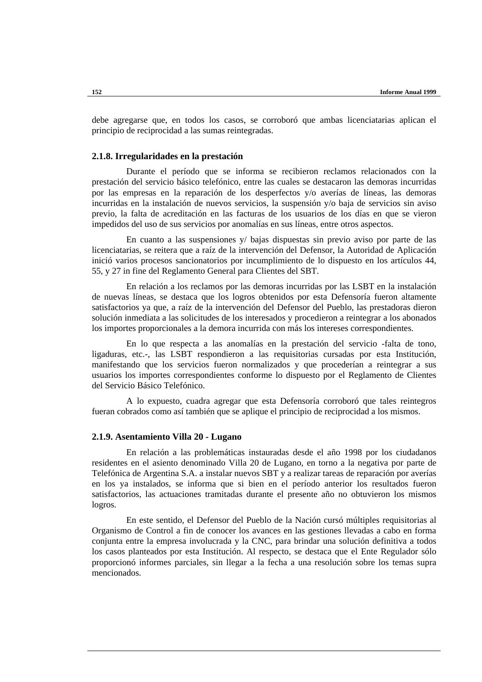debe agregarse que, en todos los casos, se corroboró que ambas licenciatarias aplican el principio de reciprocidad a las sumas reintegradas.

### **2.1.8. Irregularidades en la prestación**

Durante el período que se informa se recibieron reclamos relacionados con la prestación del servicio básico telefónico, entre las cuales se destacaron las demoras incurridas por las empresas en la reparación de los desperfectos y/o averías de líneas, las demoras incurridas en la instalación de nuevos servicios, la suspensión y/o baja de servicios sin aviso previo, la falta de acreditación en las facturas de los usuarios de los días en que se vieron impedidos del uso de sus servicios por anomalías en sus líneas, entre otros aspectos.

En cuanto a las suspensiones y/ bajas dispuestas sin previo aviso por parte de las licenciatarias, se reitera que a raíz de la intervención del Defensor, la Autoridad de Aplicación inició varios procesos sancionatorios por incumplimiento de lo dispuesto en los artículos 44, 55, y 27 in fine del Reglamento General para Clientes del SBT.

En relación a los reclamos por las demoras incurridas por las LSBT en la instalación de nuevas líneas, se destaca que los logros obtenidos por esta Defensoría fueron altamente satisfactorios ya que, a raíz de la intervención del Defensor del Pueblo, las prestadoras dieron solución inmediata a las solicitudes de los interesados y procedieron a reintegrar a los abonados los importes proporcionales a la demora incurrida con más los intereses correspondientes.

En lo que respecta a las anomalías en la prestación del servicio -falta de tono, ligaduras, etc.-, las LSBT respondieron a las requisitorias cursadas por esta Institución, manifestando que los servicios fueron normalizados y que procederían a reintegrar a sus usuarios los importes correspondientes conforme lo dispuesto por el Reglamento de Clientes del Servicio Básico Telefónico.

A lo expuesto, cuadra agregar que esta Defensoría corroboró que tales reintegros fueran cobrados como así también que se aplique el principio de reciprocidad a los mismos.

### **2.1.9. Asentamiento Villa 20 - Lugano**

En relación a las problemáticas instauradas desde el año 1998 por los ciudadanos residentes en el asiento denominado Villa 20 de Lugano, en torno a la negativa por parte de Telefónica de Argentina S.A. a instalar nuevos SBT y a realizar tareas de reparación por averías en los ya instalados, se informa que si bien en el período anterior los resultados fueron satisfactorios, las actuaciones tramitadas durante el presente año no obtuvieron los mismos logros.

En este sentido, el Defensor del Pueblo de la Nación cursó múltiples requisitorias al Organismo de Control a fin de conocer los avances en las gestiones llevadas a cabo en forma conjunta entre la empresa involucrada y la CNC, para brindar una solución definitiva a todos los casos planteados por esta Institución. Al respecto, se destaca que el Ente Regulador sólo proporcionó informes parciales, sin llegar a la fecha a una resolución sobre los temas supra mencionados.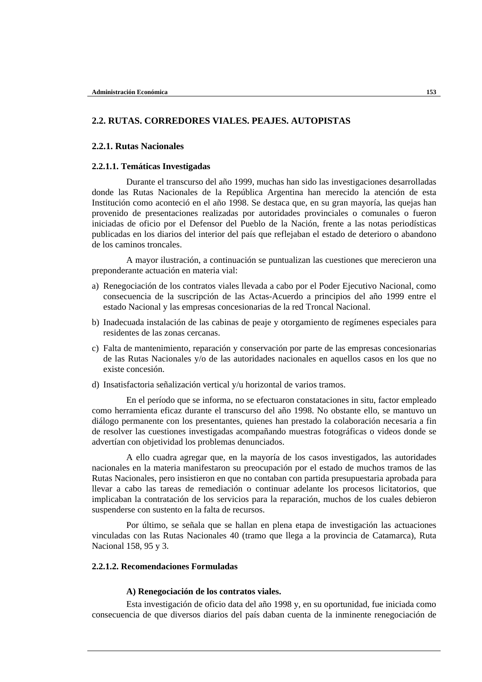# **2.2. RUTAS. CORREDORES VIALES. PEAJES. AUTOPISTAS**

# **2.2.1. Rutas Nacionales**

#### **2.2.1.1. Temáticas Investigadas**

Durante el transcurso del año 1999, muchas han sido las investigaciones desarrolladas donde las Rutas Nacionales de la República Argentina han merecido la atención de esta Institución como aconteció en el año 1998. Se destaca que, en su gran mayoría, las quejas han provenido de presentaciones realizadas por autoridades provinciales o comunales o fueron iniciadas de oficio por el Defensor del Pueblo de la Nación, frente a las notas periodísticas publicadas en los diarios del interior del país que reflejaban el estado de deterioro o abandono de los caminos troncales.

A mayor ilustración, a continuación se puntualizan las cuestiones que merecieron una preponderante actuación en materia vial:

- a) Renegociación de los contratos viales llevada a cabo por el Poder Ejecutivo Nacional, como consecuencia de la suscripción de las Actas-Acuerdo a principios del año 1999 entre el estado Nacional y las empresas concesionarias de la red Troncal Nacional.
- b) Inadecuada instalación de las cabinas de peaje y otorgamiento de regímenes especiales para residentes de las zonas cercanas.
- c) Falta de mantenimiento, reparación y conservación por parte de las empresas concesionarias de las Rutas Nacionales y/o de las autoridades nacionales en aquellos casos en los que no existe concesión.
- d) Insatisfactoria señalización vertical y/u horizontal de varios tramos.

En el período que se informa, no se efectuaron constataciones in situ, factor empleado como herramienta eficaz durante el transcurso del año 1998. No obstante ello, se mantuvo un diálogo permanente con los presentantes, quienes han prestado la colaboración necesaria a fin de resolver las cuestiones investigadas acompañando muestras fotográficas o videos donde se advertían con objetividad los problemas denunciados.

A ello cuadra agregar que, en la mayoría de los casos investigados, las autoridades nacionales en la materia manifestaron su preocupación por el estado de muchos tramos de las Rutas Nacionales, pero insistieron en que no contaban con partida presupuestaria aprobada para llevar a cabo las tareas de remediación o continuar adelante los procesos licitatorios, que implicaban la contratación de los servicios para la reparación, muchos de los cuales debieron suspenderse con sustento en la falta de recursos.

Por último, se señala que se hallan en plena etapa de investigación las actuaciones vinculadas con las Rutas Nacionales 40 (tramo que llega a la provincia de Catamarca), Ruta Nacional 158, 95 y 3.

# **2.2.1.2. Recomendaciones Formuladas**

#### **A) Renegociación de los contratos viales.**

Esta investigación de oficio data del año 1998 y, en su oportunidad, fue iniciada como consecuencia de que diversos diarios del país daban cuenta de la inminente renegociación de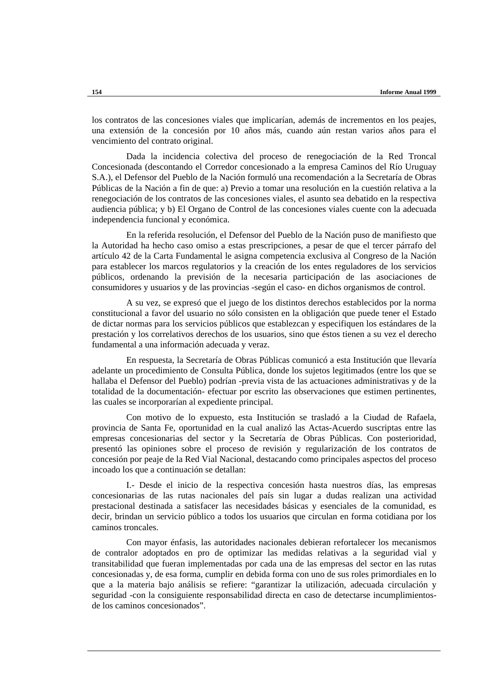los contratos de las concesiones viales que implicarían, además de incrementos en los peajes, una extensión de la concesión por 10 años más, cuando aún restan varios años para el vencimiento del contrato original.

Dada la incidencia colectiva del proceso de renegociación de la Red Troncal Concesionada (descontando el Corredor concesionado a la empresa Caminos del Río Uruguay S.A.), el Defensor del Pueblo de la Nación formuló una recomendación a la Secretaría de Obras Públicas de la Nación a fin de que: a) Previo a tomar una resolución en la cuestión relativa a la renegociación de los contratos de las concesiones viales, el asunto sea debatido en la respectiva audiencia pública; y b) El Organo de Control de las concesiones viales cuente con la adecuada independencia funcional y económica.

En la referida resolución, el Defensor del Pueblo de la Nación puso de manifiesto que la Autoridad ha hecho caso omiso a estas prescripciones, a pesar de que el tercer párrafo del artículo 42 de la Carta Fundamental le asigna competencia exclusiva al Congreso de la Nación para establecer los marcos regulatorios y la creación de los entes reguladores de los servicios públicos, ordenando la previsión de la necesaria participación de las asociaciones de consumidores y usuarios y de las provincias -según el caso- en dichos organismos de control.

A su vez, se expresó que el juego de los distintos derechos establecidos por la norma constitucional a favor del usuario no sólo consisten en la obligación que puede tener el Estado de dictar normas para los servicios públicos que establezcan y especifiquen los estándares de la prestación y los correlativos derechos de los usuarios, sino que éstos tienen a su vez el derecho fundamental a una información adecuada y veraz.

En respuesta, la Secretaría de Obras Públicas comunicó a esta Institución que llevaría adelante un procedimiento de Consulta Pública, donde los sujetos legitimados (entre los que se hallaba el Defensor del Pueblo) podrían -previa vista de las actuaciones administrativas y de la totalidad de la documentación- efectuar por escrito las observaciones que estimen pertinentes, las cuales se incorporarían al expediente principal.

Con motivo de lo expuesto, esta Institución se trasladó a la Ciudad de Rafaela, provincia de Santa Fe, oportunidad en la cual analizó las Actas-Acuerdo suscriptas entre las empresas concesionarias del sector y la Secretaría de Obras Públicas. Con posterioridad, presentó las opiniones sobre el proceso de revisión y regularización de los contratos de concesión por peaje de la Red Vial Nacional, destacando como principales aspectos del proceso incoado los que a continuación se detallan:

I.- Desde el inicio de la respectiva concesión hasta nuestros días, las empresas concesionarias de las rutas nacionales del país sin lugar a dudas realizan una actividad prestacional destinada a satisfacer las necesidades básicas y esenciales de la comunidad, es decir, brindan un servicio público a todos los usuarios que circulan en forma cotidiana por los caminos troncales.

Con mayor énfasis, las autoridades nacionales debieran refortalecer los mecanismos de contralor adoptados en pro de optimizar las medidas relativas a la seguridad vial y transitabilidad que fueran implementadas por cada una de las empresas del sector en las rutas concesionadas y, de esa forma, cumplir en debida forma con uno de sus roles primordiales en lo que a la materia bajo análisis se refiere: "garantizar la utilización, adecuada circulación y seguridad -con la consiguiente responsabilidad directa en caso de detectarse incumplimientosde los caminos concesionados".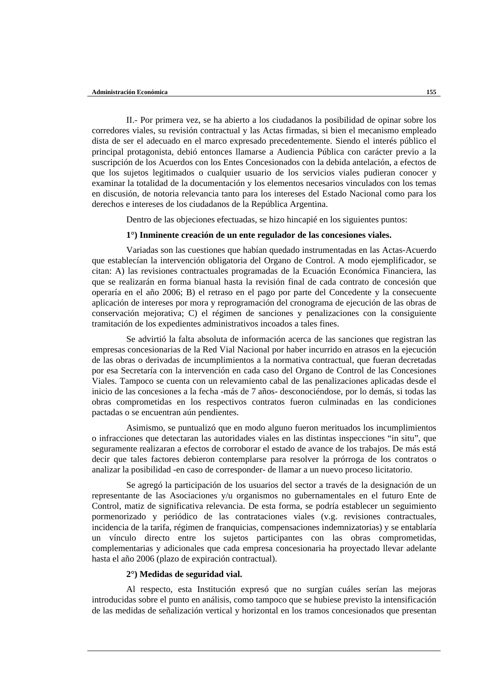II.- Por primera vez, se ha abierto a los ciudadanos la posibilidad de opinar sobre los corredores viales, su revisión contractual y las Actas firmadas, si bien el mecanismo empleado dista de ser el adecuado en el marco expresado precedentemente. Siendo el interés público el principal protagonista, debió entonces llamarse a Audiencia Pública con carácter previo a la suscripción de los Acuerdos con los Entes Concesionados con la debida antelación, a efectos de que los sujetos legitimados o cualquier usuario de los servicios viales pudieran conocer y examinar la totalidad de la documentación y los elementos necesarios vinculados con los temas en discusión, de notoria relevancia tanto para los intereses del Estado Nacional como para los derechos e intereses de los ciudadanos de la República Argentina.

Dentro de las objeciones efectuadas, se hizo hincapié en los siguientes puntos:

#### **1°) Inminente creación de un ente regulador de las concesiones viales.**

Variadas son las cuestiones que habían quedado instrumentadas en las Actas-Acuerdo que establecían la intervención obligatoria del Organo de Control. A modo ejemplificador, se citan: A) las revisiones contractuales programadas de la Ecuación Económica Financiera, las que se realizarán en forma bianual hasta la revisión final de cada contrato de concesión que operaría en el año 2006; B) el retraso en el pago por parte del Concedente y la consecuente aplicación de intereses por mora y reprogramación del cronograma de ejecución de las obras de conservación mejorativa; C) el régimen de sanciones y penalizaciones con la consiguiente tramitación de los expedientes administrativos incoados a tales fines.

Se advirtió la falta absoluta de información acerca de las sanciones que registran las empresas concesionarias de la Red Vial Nacional por haber incurrido en atrasos en la ejecución de las obras o derivadas de incumplimientos a la normativa contractual, que fueran decretadas por esa Secretaría con la intervención en cada caso del Organo de Control de las Concesiones Viales. Tampoco se cuenta con un relevamiento cabal de las penalizaciones aplicadas desde el inicio de las concesiones a la fecha -más de 7 años- desconociéndose, por lo demás, si todas las obras comprometidas en los respectivos contratos fueron culminadas en las condiciones pactadas o se encuentran aún pendientes.

Asimismo, se puntualizó que en modo alguno fueron merituados los incumplimientos o infracciones que detectaran las autoridades viales en las distintas inspecciones "in situ", que seguramente realizaran a efectos de corroborar el estado de avance de los trabajos. De más está decir que tales factores debieron contemplarse para resolver la prórroga de los contratos o analizar la posibilidad -en caso de corresponder- de llamar a un nuevo proceso licitatorio.

Se agregó la participación de los usuarios del sector a través de la designación de un representante de las Asociaciones y/u organismos no gubernamentales en el futuro Ente de Control, matiz de significativa relevancia. De esta forma, se podría establecer un seguimiento pormenorizado y periódico de las contrataciones viales (v.g. revisiones contractuales, incidencia de la tarifa, régimen de franquicias, compensaciones indemnizatorias) y se entablaría un vínculo directo entre los sujetos participantes con las obras comprometidas, complementarias y adicionales que cada empresa concesionaria ha proyectado llevar adelante hasta el año 2006 (plazo de expiración contractual).

# **2°) Medidas de seguridad vial.**

Al respecto, esta Institución expresó que no surgían cuáles serían las mejoras introducidas sobre el punto en análisis, como tampoco que se hubiese previsto la intensificación de las medidas de señalización vertical y horizontal en los tramos concesionados que presentan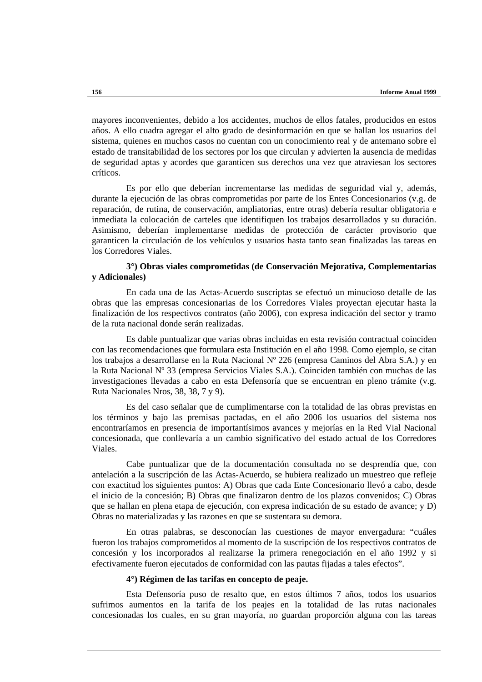mayores inconvenientes, debido a los accidentes, muchos de ellos fatales, producidos en estos años. A ello cuadra agregar el alto grado de desinformación en que se hallan los usuarios del sistema, quienes en muchos casos no cuentan con un conocimiento real y de antemano sobre el estado de transitabilidad de los sectores por los que circulan y advierten la ausencia de medidas de seguridad aptas y acordes que garanticen sus derechos una vez que atraviesan los sectores críticos.

Es por ello que deberían incrementarse las medidas de seguridad vial y, además, durante la ejecución de las obras comprometidas por parte de los Entes Concesionarios (v.g. de reparación, de rutina, de conservación, ampliatorias, entre otras) debería resultar obligatoria e inmediata la colocación de carteles que identifiquen los trabajos desarrollados y su duración. Asimismo, deberían implementarse medidas de protección de carácter provisorio que garanticen la circulación de los vehículos y usuarios hasta tanto sean finalizadas las tareas en los Corredores Viales.

# **3°) Obras viales comprometidas (de Conservación Mejorativa, Complementarias y Adicionales)**

En cada una de las Actas-Acuerdo suscriptas se efectuó un minucioso detalle de las obras que las empresas concesionarias de los Corredores Viales proyectan ejecutar hasta la finalización de los respectivos contratos (año 2006), con expresa indicación del sector y tramo de la ruta nacional donde serán realizadas.

Es dable puntualizar que varias obras incluidas en esta revisión contractual coinciden con las recomendaciones que formulara esta Institución en el año 1998. Como ejemplo, se citan los trabajos a desarrollarse en la Ruta Nacional Nº 226 (empresa Caminos del Abra S.A.) y en la Ruta Nacional Nº 33 (empresa Servicios Viales S.A.). Coinciden también con muchas de las investigaciones llevadas a cabo en esta Defensoría que se encuentran en pleno trámite (v.g. Ruta Nacionales Nros, 38, 38, 7 y 9).

Es del caso señalar que de cumplimentarse con la totalidad de las obras previstas en los términos y bajo las premisas pactadas, en el año 2006 los usuarios del sistema nos encontraríamos en presencia de importantísimos avances y mejorías en la Red Vial Nacional concesionada, que conllevaría a un cambio significativo del estado actual de los Corredores Viales.

Cabe puntualizar que de la documentación consultada no se desprendía que, con antelación a la suscripción de las Actas-Acuerdo, se hubiera realizado un muestreo que refleje con exactitud los siguientes puntos: A) Obras que cada Ente Concesionario llevó a cabo, desde el inicio de la concesión; B) Obras que finalizaron dentro de los plazos convenidos; C) Obras que se hallan en plena etapa de ejecución, con expresa indicación de su estado de avance; y D) Obras no materializadas y las razones en que se sustentara su demora.

En otras palabras, se desconocían las cuestiones de mayor envergadura: "cuáles fueron los trabajos comprometidos al momento de la suscripción de los respectivos contratos de concesión y los incorporados al realizarse la primera renegociación en el año 1992 y si efectivamente fueron ejecutados de conformidad con las pautas fijadas a tales efectos".

#### **4°) Régimen de las tarifas en concepto de peaje.**

Esta Defensoría puso de resalto que, en estos últimos 7 años, todos los usuarios sufrimos aumentos en la tarifa de los peajes en la totalidad de las rutas nacionales concesionadas los cuales, en su gran mayoría, no guardan proporción alguna con las tareas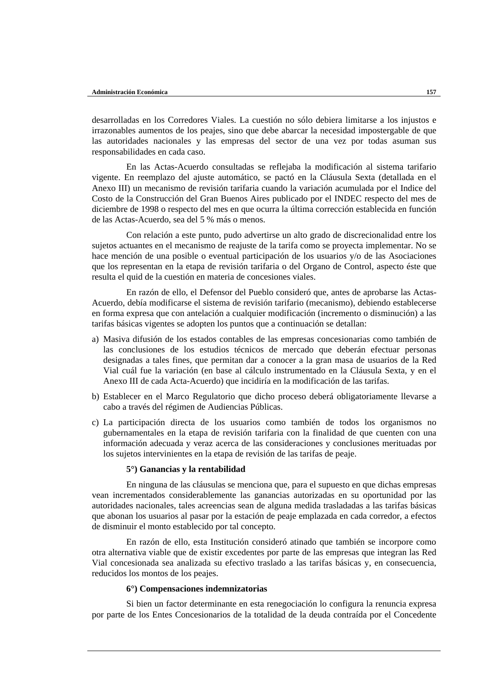desarrolladas en los Corredores Viales. La cuestión no sólo debiera limitarse a los injustos e irrazonables aumentos de los peajes, sino que debe abarcar la necesidad impostergable de que las autoridades nacionales y las empresas del sector de una vez por todas asuman sus responsabilidades en cada caso.

En las Actas-Acuerdo consultadas se reflejaba la modificación al sistema tarifario vigente. En reemplazo del ajuste automático, se pactó en la Cláusula Sexta (detallada en el Anexo III) un mecanismo de revisión tarifaria cuando la variación acumulada por el Indice del Costo de la Construcción del Gran Buenos Aires publicado por el INDEC respecto del mes de diciembre de 1998 o respecto del mes en que ocurra la última corrección establecida en función de las Actas-Acuerdo, sea del 5 % más o menos.

Con relación a este punto, pudo advertirse un alto grado de discrecionalidad entre los sujetos actuantes en el mecanismo de reajuste de la tarifa como se proyecta implementar. No se hace mención de una posible o eventual participación de los usuarios y/o de las Asociaciones que los representan en la etapa de revisión tarifaria o del Organo de Control, aspecto éste que resulta el quid de la cuestión en materia de concesiones viales.

En razón de ello, el Defensor del Pueblo consideró que, antes de aprobarse las Actas-Acuerdo, debía modificarse el sistema de revisión tarifario (mecanismo), debiendo establecerse en forma expresa que con antelación a cualquier modificación (incremento o disminución) a las tarifas básicas vigentes se adopten los puntos que a continuación se detallan:

- a) Masiva difusión de los estados contables de las empresas concesionarias como también de las conclusiones de los estudios técnicos de mercado que deberán efectuar personas designadas a tales fines, que permitan dar a conocer a la gran masa de usuarios de la Red Vial cuál fue la variación (en base al cálculo instrumentado en la Cláusula Sexta, y en el Anexo III de cada Acta-Acuerdo) que incidiría en la modificación de las tarifas.
- b) Establecer en el Marco Regulatorio que dicho proceso deberá obligatoriamente llevarse a cabo a través del régimen de Audiencias Públicas.
- c) La participación directa de los usuarios como también de todos los organismos no gubernamentales en la etapa de revisión tarifaria con la finalidad de que cuenten con una información adecuada y veraz acerca de las consideraciones y conclusiones merituadas por los sujetos intervinientes en la etapa de revisión de las tarifas de peaje.

#### **5°) Ganancias y la rentabilidad**

En ninguna de las cláusulas se menciona que, para el supuesto en que dichas empresas vean incrementados considerablemente las ganancias autorizadas en su oportunidad por las autoridades nacionales, tales acreencias sean de alguna medida trasladadas a las tarifas básicas que abonan los usuarios al pasar por la estación de peaje emplazada en cada corredor, a efectos de disminuir el monto establecido por tal concepto.

En razón de ello, esta Institución consideró atinado que también se incorpore como otra alternativa viable que de existir excedentes por parte de las empresas que integran las Red Vial concesionada sea analizada su efectivo traslado a las tarifas básicas y, en consecuencia, reducidos los montos de los peajes.

## **6°) Compensaciones indemnizatorias**

Si bien un factor determinante en esta renegociación lo configura la renuncia expresa por parte de los Entes Concesionarios de la totalidad de la deuda contraída por el Concedente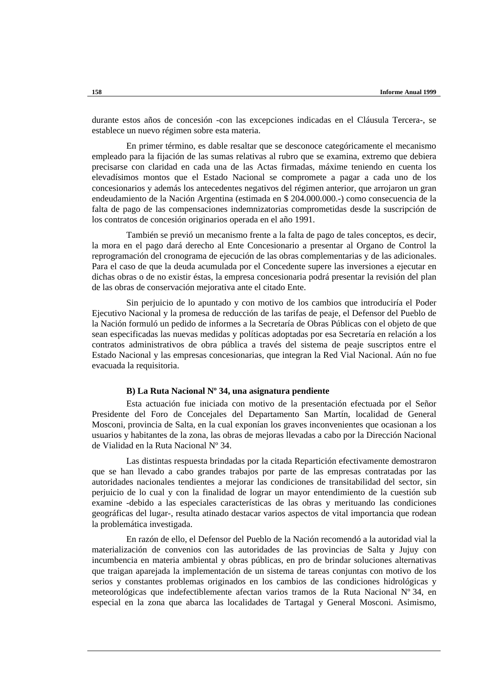durante estos años de concesión -con las excepciones indicadas en el Cláusula Tercera-, se establece un nuevo régimen sobre esta materia.

En primer término, es dable resaltar que se desconoce categóricamente el mecanismo empleado para la fijación de las sumas relativas al rubro que se examina, extremo que debiera precisarse con claridad en cada una de las Actas firmadas, máxime teniendo en cuenta los elevadísimos montos que el Estado Nacional se compromete a pagar a cada uno de los concesionarios y además los antecedentes negativos del régimen anterior, que arrojaron un gran endeudamiento de la Nación Argentina (estimada en \$ 204.000.000.-) como consecuencia de la falta de pago de las compensaciones indemnizatorias comprometidas desde la suscripción de los contratos de concesión originarios operada en el año 1991.

También se previó un mecanismo frente a la falta de pago de tales conceptos, es decir, la mora en el pago dará derecho al Ente Concesionario a presentar al Organo de Control la reprogramación del cronograma de ejecución de las obras complementarias y de las adicionales. Para el caso de que la deuda acumulada por el Concedente supere las inversiones a ejecutar en dichas obras o de no existir éstas, la empresa concesionaria podrá presentar la revisión del plan de las obras de conservación mejorativa ante el citado Ente.

Sin perjuicio de lo apuntado y con motivo de los cambios que introduciría el Poder Ejecutivo Nacional y la promesa de reducción de las tarifas de peaje, el Defensor del Pueblo de la Nación formuló un pedido de informes a la Secretaría de Obras Públicas con el objeto de que sean especificadas las nuevas medidas y políticas adoptadas por esa Secretaría en relación a los contratos administrativos de obra pública a través del sistema de peaje suscriptos entre el Estado Nacional y las empresas concesionarias, que integran la Red Vial Nacional. Aún no fue evacuada la requisitoria.

#### **B) La Ruta Nacional Nº 34, una asignatura pendiente**

Esta actuación fue iniciada con motivo de la presentación efectuada por el Señor Presidente del Foro de Concejales del Departamento San Martín, localidad de General Mosconi, provincia de Salta, en la cual exponían los graves inconvenientes que ocasionan a los usuarios y habitantes de la zona, las obras de mejoras llevadas a cabo por la Dirección Nacional de Vialidad en la Ruta Nacional Nº 34.

Las distintas respuesta brindadas por la citada Repartición efectivamente demostraron que se han llevado a cabo grandes trabajos por parte de las empresas contratadas por las autoridades nacionales tendientes a mejorar las condiciones de transitabilidad del sector, sin perjuicio de lo cual y con la finalidad de lograr un mayor entendimiento de la cuestión sub examine -debido a las especiales características de las obras y merituando las condiciones geográficas del lugar-, resulta atinado destacar varios aspectos de vital importancia que rodean la problemática investigada.

En razón de ello, el Defensor del Pueblo de la Nación recomendó a la autoridad vial la materialización de convenios con las autoridades de las provincias de Salta y Jujuy con incumbencia en materia ambiental y obras públicas, en pro de brindar soluciones alternativas que traigan aparejada la implementación de un sistema de tareas conjuntas con motivo de los serios y constantes problemas originados en los cambios de las condiciones hidrológicas y meteorológicas que indefectiblemente afectan varios tramos de la Ruta Nacional Nº 34, en especial en la zona que abarca las localidades de Tartagal y General Mosconi. Asimismo,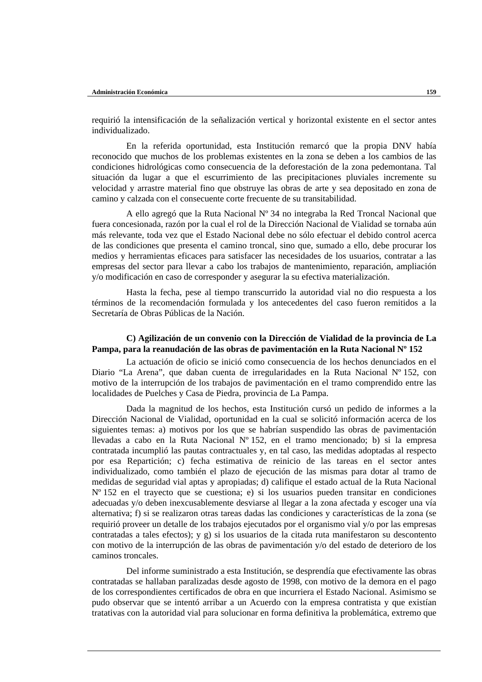requirió la intensificación de la señalización vertical y horizontal existente en el sector antes individualizado.

En la referida oportunidad, esta Institución remarcó que la propia DNV había reconocido que muchos de los problemas existentes en la zona se deben a los cambios de las condiciones hidrológicas como consecuencia de la deforestación de la zona pedemontana. Tal situación da lugar a que el escurrimiento de las precipitaciones pluviales incremente su velocidad y arrastre material fino que obstruye las obras de arte y sea depositado en zona de camino y calzada con el consecuente corte frecuente de su transitabilidad.

A ello agregó que la Ruta Nacional Nº 34 no integraba la Red Troncal Nacional que fuera concesionada, razón por la cual el rol de la Dirección Nacional de Vialidad se tornaba aún más relevante, toda vez que el Estado Nacional debe no sólo efectuar el debido control acerca de las condiciones que presenta el camino troncal, sino que, sumado a ello, debe procurar los medios y herramientas eficaces para satisfacer las necesidades de los usuarios, contratar a las empresas del sector para llevar a cabo los trabajos de mantenimiento, reparación, ampliación y/o modificación en caso de corresponder y asegurar la su efectiva materialización.

Hasta la fecha, pese al tiempo transcurrido la autoridad vial no dio respuesta a los términos de la recomendación formulada y los antecedentes del caso fueron remitidos a la Secretaría de Obras Públicas de la Nación.

## **C) Agilización de un convenio con la Dirección de Vialidad de la provincia de La Pampa, para la reanudación de las obras de pavimentación en la Ruta Nacional Nº 152**

La actuación de oficio se inició como consecuencia de los hechos denunciados en el Diario "La Arena", que daban cuenta de irregularidades en la Ruta Nacional Nº 152, con motivo de la interrupción de los trabajos de pavimentación en el tramo comprendido entre las localidades de Puelches y Casa de Piedra, provincia de La Pampa.

Dada la magnitud de los hechos, esta Institución cursó un pedido de informes a la Dirección Nacional de Vialidad, oportunidad en la cual se solicitó información acerca de los siguientes temas: a) motivos por los que se habrían suspendido las obras de pavimentación llevadas a cabo en la Ruta Nacional Nº 152, en el tramo mencionado; b) si la empresa contratada incumplió las pautas contractuales y, en tal caso, las medidas adoptadas al respecto por esa Repartición; c) fecha estimativa de reinicio de las tareas en el sector antes individualizado, como también el plazo de ejecución de las mismas para dotar al tramo de medidas de seguridad vial aptas y apropiadas; d) califique el estado actual de la Ruta Nacional Nº 152 en el trayecto que se cuestiona; e) si los usuarios pueden transitar en condiciones adecuadas y/o deben inexcusablemente desviarse al llegar a la zona afectada y escoger una vía alternativa; f) si se realizaron otras tareas dadas las condiciones y características de la zona (se requirió proveer un detalle de los trabajos ejecutados por el organismo vial y/o por las empresas contratadas a tales efectos); y g) si los usuarios de la citada ruta manifestaron su descontento con motivo de la interrupción de las obras de pavimentación y/o del estado de deterioro de los caminos troncales.

Del informe suministrado a esta Institución, se desprendía que efectivamente las obras contratadas se hallaban paralizadas desde agosto de 1998, con motivo de la demora en el pago de los correspondientes certificados de obra en que incurriera el Estado Nacional. Asimismo se pudo observar que se intentó arribar a un Acuerdo con la empresa contratista y que existían tratativas con la autoridad vial para solucionar en forma definitiva la problemática, extremo que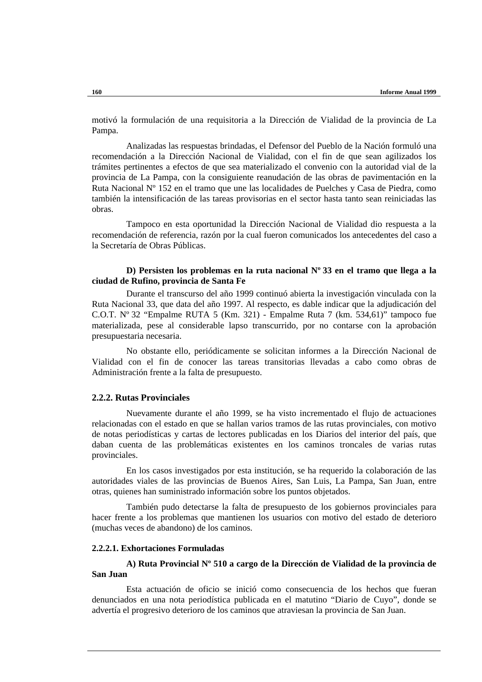motivó la formulación de una requisitoria a la Dirección de Vialidad de la provincia de La Pampa.

Analizadas las respuestas brindadas, el Defensor del Pueblo de la Nación formuló una recomendación a la Dirección Nacional de Vialidad, con el fin de que sean agilizados los trámites pertinentes a efectos de que sea materializado el convenio con la autoridad vial de la provincia de La Pampa, con la consiguiente reanudación de las obras de pavimentación en la Ruta Nacional Nº 152 en el tramo que une las localidades de Puelches y Casa de Piedra, como también la intensificación de las tareas provisorias en el sector hasta tanto sean reiniciadas las obras.

Tampoco en esta oportunidad la Dirección Nacional de Vialidad dio respuesta a la recomendación de referencia, razón por la cual fueron comunicados los antecedentes del caso a la Secretaría de Obras Públicas.

# **D) Persisten los problemas en la ruta nacional Nº 33 en el tramo que llega a la ciudad de Rufino, provincia de Santa Fe**

Durante el transcurso del año 1999 continuó abierta la investigación vinculada con la Ruta Nacional 33, que data del año 1997. Al respecto, es dable indicar que la adjudicación del C.O.T. Nº 32 "Empalme RUTA 5 (Km. 321) - Empalme Ruta 7 (km. 534,61)" tampoco fue materializada, pese al considerable lapso transcurrido, por no contarse con la aprobación presupuestaria necesaria.

No obstante ello, periódicamente se solicitan informes a la Dirección Nacional de Vialidad con el fin de conocer las tareas transitorias llevadas a cabo como obras de Administración frente a la falta de presupuesto.

# **2.2.2. Rutas Provinciales**

Nuevamente durante el año 1999, se ha visto incrementado el flujo de actuaciones relacionadas con el estado en que se hallan varios tramos de las rutas provinciales, con motivo de notas periodísticas y cartas de lectores publicadas en los Diarios del interior del país, que daban cuenta de las problemáticas existentes en los caminos troncales de varias rutas provinciales.

En los casos investigados por esta institución, se ha requerido la colaboración de las autoridades viales de las provincias de Buenos Aires, San Luis, La Pampa, San Juan, entre otras, quienes han suministrado información sobre los puntos objetados.

También pudo detectarse la falta de presupuesto de los gobiernos provinciales para hacer frente a los problemas que mantienen los usuarios con motivo del estado de deterioro (muchas veces de abandono) de los caminos.

# **2.2.2.1. Exhortaciones Formuladas**

# **A) Ruta Provincial Nº 510 a cargo de la Dirección de Vialidad de la provincia de San Juan**

Esta actuación de oficio se inició como consecuencia de los hechos que fueran denunciados en una nota periodística publicada en el matutino "Diario de Cuyo", donde se advertía el progresivo deterioro de los caminos que atraviesan la provincia de San Juan.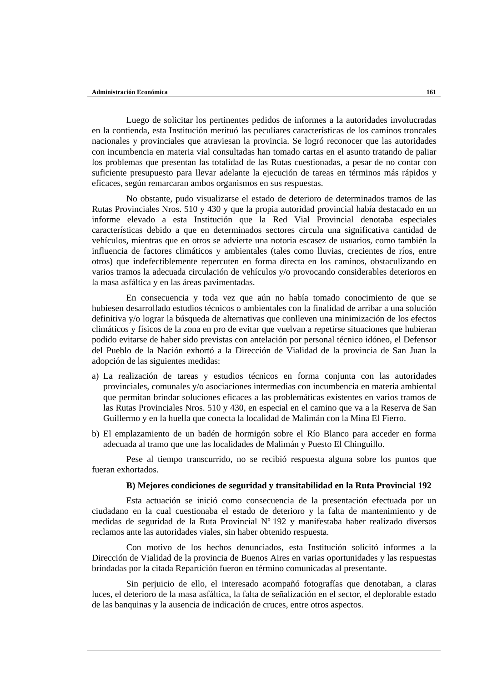Luego de solicitar los pertinentes pedidos de informes a la autoridades involucradas en la contienda, esta Institución merituó las peculiares características de los caminos troncales nacionales y provinciales que atraviesan la provincia. Se logró reconocer que las autoridades con incumbencia en materia vial consultadas han tomado cartas en el asunto tratando de paliar los problemas que presentan las totalidad de las Rutas cuestionadas, a pesar de no contar con suficiente presupuesto para llevar adelante la ejecución de tareas en términos más rápidos y eficaces, según remarcaran ambos organismos en sus respuestas.

No obstante, pudo visualizarse el estado de deterioro de determinados tramos de las Rutas Provinciales Nros. 510 y 430 y que la propia autoridad provincial había destacado en un informe elevado a esta Institución que la Red Vial Provincial denotaba especiales características debido a que en determinados sectores circula una significativa cantidad de vehículos, mientras que en otros se advierte una notoria escasez de usuarios, como también la influencia de factores climáticos y ambientales (tales como lluvias, crecientes de ríos, entre otros) que indefectiblemente repercuten en forma directa en los caminos, obstaculizando en varios tramos la adecuada circulación de vehículos y/o provocando considerables deterioros en la masa asfáltica y en las áreas pavimentadas.

En consecuencia y toda vez que aún no había tomado conocimiento de que se hubiesen desarrollado estudios técnicos o ambientales con la finalidad de arribar a una solución definitiva y/o lograr la búsqueda de alternativas que conlleven una minimización de los efectos climáticos y físicos de la zona en pro de evitar que vuelvan a repetirse situaciones que hubieran podido evitarse de haber sido previstas con antelación por personal técnico idóneo, el Defensor del Pueblo de la Nación exhortó a la Dirección de Vialidad de la provincia de San Juan la adopción de las siguientes medidas:

- a) La realización de tareas y estudios técnicos en forma conjunta con las autoridades provinciales, comunales y/o asociaciones intermedias con incumbencia en materia ambiental que permitan brindar soluciones eficaces a las problemáticas existentes en varios tramos de las Rutas Provinciales Nros. 510 y 430, en especial en el camino que va a la Reserva de San Guillermo y en la huella que conecta la localidad de Malimán con la Mina El Fierro.
- b) El emplazamiento de un badén de hormigón sobre el Río Blanco para acceder en forma adecuada al tramo que une las localidades de Malimán y Puesto El Chinguillo.

Pese al tiempo transcurrido, no se recibió respuesta alguna sobre los puntos que fueran exhortados.

### **B) Mejores condiciones de seguridad y transitabilidad en la Ruta Provincial 192**

Esta actuación se inició como consecuencia de la presentación efectuada por un ciudadano en la cual cuestionaba el estado de deterioro y la falta de mantenimiento y de medidas de seguridad de la Ruta Provincial Nº 192 y manifestaba haber realizado diversos reclamos ante las autoridades viales, sin haber obtenido respuesta.

Con motivo de los hechos denunciados, esta Institución solicitó informes a la Dirección de Vialidad de la provincia de Buenos Aires en varias oportunidades y las respuestas brindadas por la citada Repartición fueron en término comunicadas al presentante.

Sin perjuicio de ello, el interesado acompañó fotografías que denotaban, a claras luces, el deterioro de la masa asfáltica, la falta de señalización en el sector, el deplorable estado de las banquinas y la ausencia de indicación de cruces, entre otros aspectos.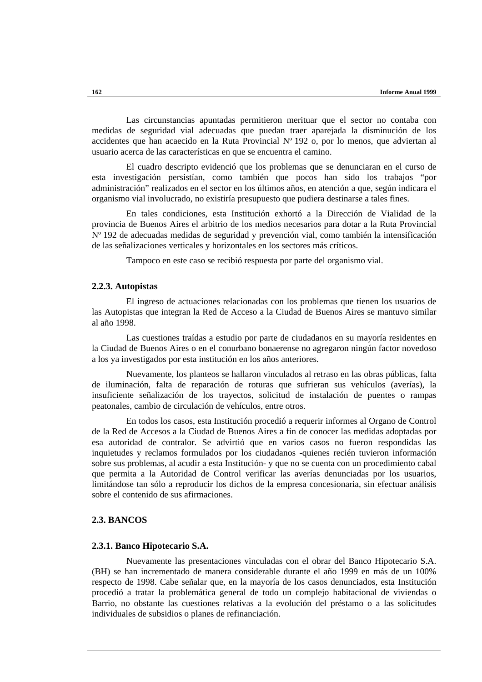Las circunstancias apuntadas permitieron merituar que el sector no contaba con medidas de seguridad vial adecuadas que puedan traer aparejada la disminución de los accidentes que han acaecido en la Ruta Provincial Nº 192 o, por lo menos, que adviertan al usuario acerca de las características en que se encuentra el camino.

El cuadro descripto evidenció que los problemas que se denunciaran en el curso de esta investigación persistían, como también que pocos han sido los trabajos "por administración" realizados en el sector en los últimos años, en atención a que, según indicara el organismo vial involucrado, no existiría presupuesto que pudiera destinarse a tales fines.

En tales condiciones, esta Institución exhortó a la Dirección de Vialidad de la provincia de Buenos Aires el arbitrio de los medios necesarios para dotar a la Ruta Provincial Nº 192 de adecuadas medidas de seguridad y prevención vial, como también la intensificación de las señalizaciones verticales y horizontales en los sectores más críticos.

Tampoco en este caso se recibió respuesta por parte del organismo vial.

#### **2.2.3. Autopistas**

El ingreso de actuaciones relacionadas con los problemas que tienen los usuarios de las Autopistas que integran la Red de Acceso a la Ciudad de Buenos Aires se mantuvo similar al año 1998.

Las cuestiones traídas a estudio por parte de ciudadanos en su mayoría residentes en la Ciudad de Buenos Aires o en el conurbano bonaerense no agregaron ningún factor novedoso a los ya investigados por esta institución en los años anteriores.

Nuevamente, los planteos se hallaron vinculados al retraso en las obras públicas, falta de iluminación, falta de reparación de roturas que sufrieran sus vehículos (averías), la insuficiente señalización de los trayectos, solicitud de instalación de puentes o rampas peatonales, cambio de circulación de vehículos, entre otros.

En todos los casos, esta Institución procedió a requerir informes al Organo de Control de la Red de Accesos a la Ciudad de Buenos Aires a fin de conocer las medidas adoptadas por esa autoridad de contralor. Se advirtió que en varios casos no fueron respondidas las inquietudes y reclamos formulados por los ciudadanos -quienes recién tuvieron información sobre sus problemas, al acudir a esta Institución- y que no se cuenta con un procedimiento cabal que permita a la Autoridad de Control verificar las averías denunciadas por los usuarios, limitándose tan sólo a reproducir los dichos de la empresa concesionaria, sin efectuar análisis sobre el contenido de sus afirmaciones.

## **2.3. BANCOS**

#### **2.3.1. Banco Hipotecario S.A.**

Nuevamente las presentaciones vinculadas con el obrar del Banco Hipotecario S.A. (BH) se han incrementado de manera considerable durante el año 1999 en más de un 100% respecto de 1998. Cabe señalar que, en la mayoría de los casos denunciados, esta Institución procedió a tratar la problemática general de todo un complejo habitacional de viviendas o Barrio, no obstante las cuestiones relativas a la evolución del préstamo o a las solicitudes individuales de subsidios o planes de refinanciación.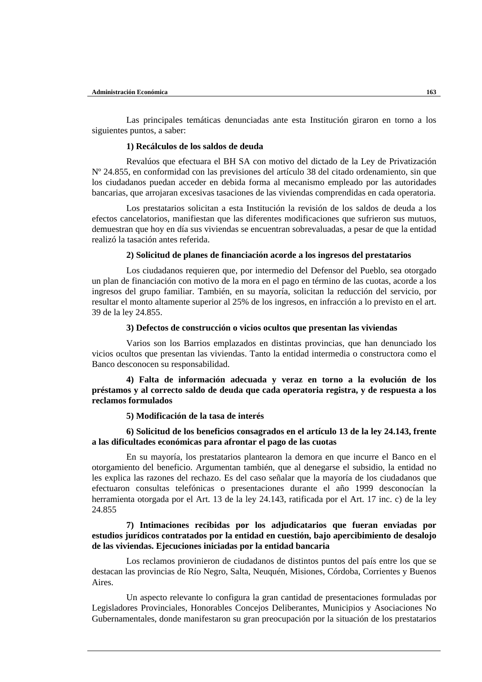Las principales temáticas denunciadas ante esta Institución giraron en torno a los siguientes puntos, a saber:

## **1) Recálculos de los saldos de deuda**

Revalúos que efectuara el BH SA con motivo del dictado de la Ley de Privatización Nº 24.855, en conformidad con las previsiones del artículo 38 del citado ordenamiento, sin que los ciudadanos puedan acceder en debida forma al mecanismo empleado por las autoridades bancarias, que arrojaran excesivas tasaciones de las viviendas comprendidas en cada operatoria.

Los prestatarios solicitan a esta Institución la revisión de los saldos de deuda a los efectos cancelatorios, manifiestan que las diferentes modificaciones que sufrieron sus mutuos, demuestran que hoy en día sus viviendas se encuentran sobrevaluadas, a pesar de que la entidad realizó la tasación antes referida.

# **2) Solicitud de planes de financiación acorde a los ingresos del prestatarios**

Los ciudadanos requieren que, por intermedio del Defensor del Pueblo, sea otorgado un plan de financiación con motivo de la mora en el pago en término de las cuotas, acorde a los ingresos del grupo familiar. También, en su mayoría, solicitan la reducción del servicio, por resultar el monto altamente superior al 25% de los ingresos, en infracción a lo previsto en el art. 39 de la ley 24.855.

#### **3) Defectos de construcción o vicios ocultos que presentan las viviendas**

Varios son los Barrios emplazados en distintas provincias, que han denunciado los vicios ocultos que presentan las viviendas. Tanto la entidad intermedia o constructora como el Banco desconocen su responsabilidad.

**4) Falta de información adecuada y veraz en torno a la evolución de los préstamos y al correcto saldo de deuda que cada operatoria registra, y de respuesta a los reclamos formulados**

#### **5) Modificación de la tasa de interés**

## **6) Solicitud de los beneficios consagrados en el artículo 13 de la ley 24.143, frente a las dificultades económicas para afrontar el pago de las cuotas**

En su mayoría, los prestatarios plantearon la demora en que incurre el Banco en el otorgamiento del beneficio. Argumentan también, que al denegarse el subsidio, la entidad no les explica las razones del rechazo. Es del caso señalar que la mayoría de los ciudadanos que efectuaron consultas telefónicas o presentaciones durante el año 1999 desconocían la herramienta otorgada por el Art. 13 de la ley 24.143, ratificada por el Art. 17 inc. c) de la ley 24.855

# **7) Intimaciones recibidas por los adjudicatarios que fueran enviadas por estudios jurídicos contratados por la entidad en cuestión, bajo apercibimiento de desalojo de las viviendas. Ejecuciones iniciadas por la entidad bancaria**

Los reclamos provinieron de ciudadanos de distintos puntos del país entre los que se destacan las provincias de Río Negro, Salta, Neuquén, Misiones, Córdoba, Corrientes y Buenos Aires.

Un aspecto relevante lo configura la gran cantidad de presentaciones formuladas por Legisladores Provinciales, Honorables Concejos Deliberantes, Municipios y Asociaciones No Gubernamentales, donde manifestaron su gran preocupación por la situación de los prestatarios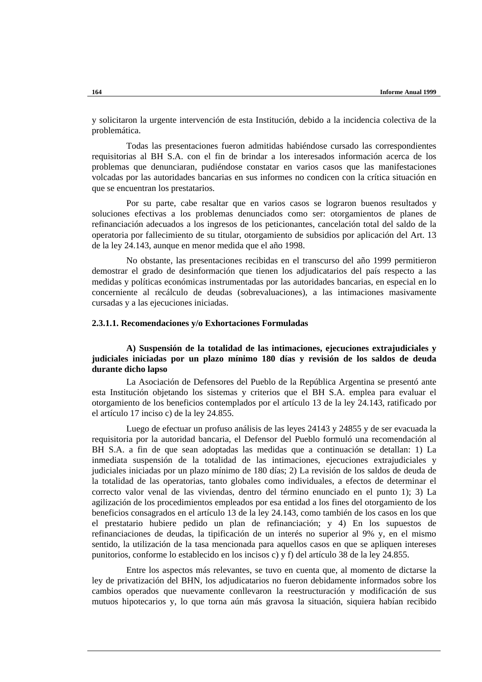y solicitaron la urgente intervención de esta Institución, debido a la incidencia colectiva de la problemática.

Todas las presentaciones fueron admitidas habiéndose cursado las correspondientes requisitorias al BH S.A. con el fin de brindar a los interesados información acerca de los problemas que denunciaran, pudiéndose constatar en varios casos que las manifestaciones volcadas por las autoridades bancarias en sus informes no condicen con la crítica situación en que se encuentran los prestatarios.

Por su parte, cabe resaltar que en varios casos se lograron buenos resultados y soluciones efectivas a los problemas denunciados como ser: otorgamientos de planes de refinanciación adecuados a los ingresos de los peticionantes, cancelación total del saldo de la operatoria por fallecimiento de su titular, otorgamiento de subsidios por aplicación del Art. 13 de la ley 24.143, aunque en menor medida que el año 1998.

No obstante, las presentaciones recibidas en el transcurso del año 1999 permitieron demostrar el grado de desinformación que tienen los adjudicatarios del país respecto a las medidas y políticas económicas instrumentadas por las autoridades bancarias, en especial en lo concerniente al recálculo de deudas (sobrevaluaciones), a las intimaciones masivamente cursadas y a las ejecuciones iniciadas.

## **2.3.1.1. Recomendaciones y/o Exhortaciones Formuladas**

# **A) Suspensión de la totalidad de las intimaciones, ejecuciones extrajudiciales y judiciales iniciadas por un plazo mínimo 180 días y revisión de los saldos de deuda durante dicho lapso**

La Asociación de Defensores del Pueblo de la República Argentina se presentó ante esta Institución objetando los sistemas y criterios que el BH S.A. emplea para evaluar el otorgamiento de los beneficios contemplados por el artículo 13 de la ley 24.143, ratificado por el artículo 17 inciso c) de la ley 24.855.

Luego de efectuar un profuso análisis de las leyes 24143 y 24855 y de ser evacuada la requisitoria por la autoridad bancaria, el Defensor del Pueblo formuló una recomendación al BH S.A. a fin de que sean adoptadas las medidas que a continuación se detallan: 1) La inmediata suspensión de la totalidad de las intimaciones, ejecuciones extrajudiciales y judiciales iniciadas por un plazo mínimo de 180 días; 2) La revisión de los saldos de deuda de la totalidad de las operatorias, tanto globales como individuales, a efectos de determinar el correcto valor venal de las viviendas, dentro del término enunciado en el punto 1); 3) La agilización de los procedimientos empleados por esa entidad a los fines del otorgamiento de los beneficios consagrados en el artículo 13 de la ley 24.143, como también de los casos en los que el prestatario hubiere pedido un plan de refinanciación; y 4) En los supuestos de refinanciaciones de deudas, la tipificación de un interés no superior al 9% y, en el mismo sentido, la utilización de la tasa mencionada para aquellos casos en que se apliquen intereses punitorios, conforme lo establecido en los incisos c) y f) del artículo 38 de la ley 24.855.

Entre los aspectos más relevantes, se tuvo en cuenta que, al momento de dictarse la ley de privatización del BHN, los adjudicatarios no fueron debidamente informados sobre los cambios operados que nuevamente conllevaron la reestructuración y modificación de sus mutuos hipotecarios y, lo que torna aún más gravosa la situación, siquiera habían recibido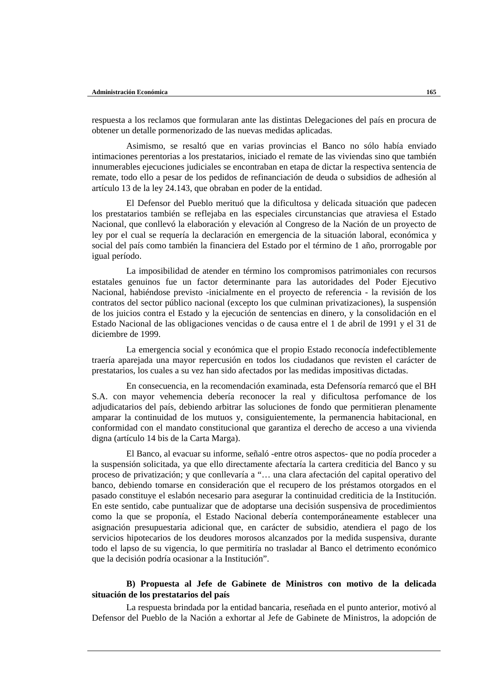respuesta a los reclamos que formularan ante las distintas Delegaciones del país en procura de obtener un detalle pormenorizado de las nuevas medidas aplicadas.

Asimismo, se resaltó que en varias provincias el Banco no sólo había enviado intimaciones perentorias a los prestatarios, iniciado el remate de las viviendas sino que también innumerables ejecuciones judiciales se encontraban en etapa de dictar la respectiva sentencia de remate, todo ello a pesar de los pedidos de refinanciación de deuda o subsidios de adhesión al artículo 13 de la ley 24.143, que obraban en poder de la entidad.

El Defensor del Pueblo merituó que la dificultosa y delicada situación que padecen los prestatarios también se reflejaba en las especiales circunstancias que atraviesa el Estado Nacional, que conllevó la elaboración y elevación al Congreso de la Nación de un proyecto de ley por el cual se requería la declaración en emergencia de la situación laboral, económica y social del país como también la financiera del Estado por el término de 1 año, prorrogable por igual período.

La imposibilidad de atender en término los compromisos patrimoniales con recursos estatales genuinos fue un factor determinante para las autoridades del Poder Ejecutivo Nacional, habiéndose previsto -inicialmente en el proyecto de referencia - la revisión de los contratos del sector público nacional (excepto los que culminan privatizaciones), la suspensión de los juicios contra el Estado y la ejecución de sentencias en dinero, y la consolidación en el Estado Nacional de las obligaciones vencidas o de causa entre el 1 de abril de 1991 y el 31 de diciembre de 1999.

La emergencia social y económica que el propio Estado reconocía indefectiblemente traería aparejada una mayor repercusión en todos los ciudadanos que revisten el carácter de prestatarios, los cuales a su vez han sido afectados por las medidas impositivas dictadas.

En consecuencia, en la recomendación examinada, esta Defensoría remarcó que el BH S.A. con mayor vehemencia debería reconocer la real y dificultosa perfomance de los adjudicatarios del país, debiendo arbitrar las soluciones de fondo que permitieran plenamente amparar la continuidad de los mutuos y, consiguientemente, la permanencia habitacional, en conformidad con el mandato constitucional que garantiza el derecho de acceso a una vivienda digna (artículo 14 bis de la Carta Marga).

El Banco, al evacuar su informe, señaló -entre otros aspectos- que no podía proceder a la suspensión solicitada, ya que ello directamente afectaría la cartera crediticia del Banco y su proceso de privatización; y que conllevaría a "… una clara afectación del capital operativo del banco, debiendo tomarse en consideración que el recupero de los préstamos otorgados en el pasado constituye el eslabón necesario para asegurar la continuidad crediticia de la Institución. En este sentido, cabe puntualizar que de adoptarse una decisión suspensiva de procedimientos como la que se proponía, el Estado Nacional debería contemporáneamente establecer una asignación presupuestaria adicional que, en carácter de subsidio, atendiera el pago de los servicios hipotecarios de los deudores morosos alcanzados por la medida suspensiva, durante todo el lapso de su vigencia, lo que permitiría no trasladar al Banco el detrimento económico que la decisión podría ocasionar a la Institución".

# **B) Propuesta al Jefe de Gabinete de Ministros con motivo de la delicada situación de los prestatarios del país**

La respuesta brindada por la entidad bancaria, reseñada en el punto anterior, motivó al Defensor del Pueblo de la Nación a exhortar al Jefe de Gabinete de Ministros, la adopción de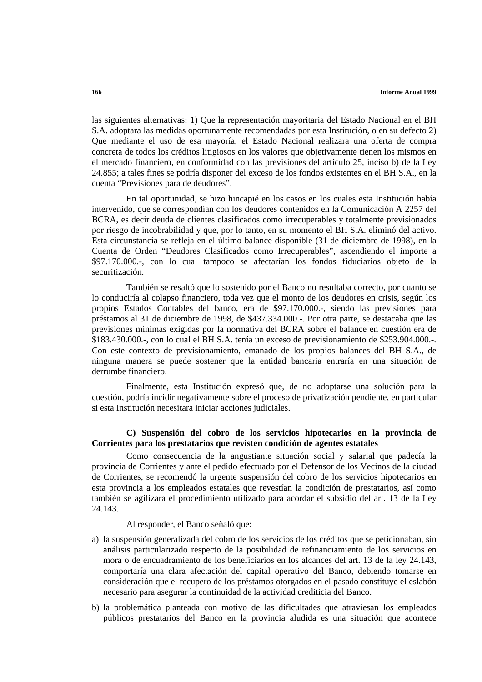las siguientes alternativas: 1) Que la representación mayoritaria del Estado Nacional en el BH S.A. adoptara las medidas oportunamente recomendadas por esta Institución, o en su defecto 2) Que mediante el uso de esa mayoría, el Estado Nacional realizara una oferta de compra concreta de todos los créditos litigiosos en los valores que objetivamente tienen los mismos en el mercado financiero, en conformidad con las previsiones del artículo 25, inciso b) de la Ley 24.855; a tales fines se podría disponer del exceso de los fondos existentes en el BH S.A., en la cuenta "Previsiones para de deudores".

En tal oportunidad, se hizo hincapié en los casos en los cuales esta Institución había intervenido, que se correspondían con los deudores contenidos en la Comunicación A 2257 del BCRA, es decir deuda de clientes clasificados como irrecuperables y totalmente previsionados por riesgo de incobrabilidad y que, por lo tanto, en su momento el BH S.A. eliminó del activo. Esta circunstancia se refleja en el último balance disponible (31 de diciembre de 1998), en la Cuenta de Orden "Deudores Clasificados como Irrecuperables", ascendiendo el importe a \$97.170.000.-, con lo cual tampoco se afectarían los fondos fiduciarios objeto de la securitización.

También se resaltó que lo sostenido por el Banco no resultaba correcto, por cuanto se lo conduciría al colapso financiero, toda vez que el monto de los deudores en crisis, según los propios Estados Contables del banco, era de \$97.170.000.-, siendo las previsiones para préstamos al 31 de diciembre de 1998, de \$437.334.000.-. Por otra parte, se destacaba que las previsiones mínimas exigidas por la normativa del BCRA sobre el balance en cuestión era de \$183.430.000.-, con lo cual el BH S.A. tenía un exceso de previsionamiento de \$253.904.000.-. Con este contexto de previsionamiento, emanado de los propios balances del BH S.A., de ninguna manera se puede sostener que la entidad bancaria entraría en una situación de derrumbe financiero.

Finalmente, esta Institución expresó que, de no adoptarse una solución para la cuestión, podría incidir negativamente sobre el proceso de privatización pendiente, en particular si esta Institución necesitara iniciar acciones judiciales.

# **C) Suspensión del cobro de los servicios hipotecarios en la provincia de Corrientes para los prestatarios que revisten condición de agentes estatales**

Como consecuencia de la angustiante situación social y salarial que padecía la provincia de Corrientes y ante el pedido efectuado por el Defensor de los Vecinos de la ciudad de Corrientes, se recomendó la urgente suspensión del cobro de los servicios hipotecarios en esta provincia a los empleados estatales que revestían la condición de prestatarios, así como también se agilizara el procedimiento utilizado para acordar el subsidio del art. 13 de la Ley 24.143.

Al responder, el Banco señaló que:

- a) la suspensión generalizada del cobro de los servicios de los créditos que se peticionaban, sin análisis particularizado respecto de la posibilidad de refinanciamiento de los servicios en mora o de encuadramiento de los beneficiarios en los alcances del art. 13 de la ley 24.143, comportaría una clara afectación del capital operativo del Banco, debiendo tomarse en consideración que el recupero de los préstamos otorgados en el pasado constituye el eslabón necesario para asegurar la continuidad de la actividad crediticia del Banco.
- b) la problemática planteada con motivo de las dificultades que atraviesan los empleados públicos prestatarios del Banco en la provincia aludida es una situación que acontece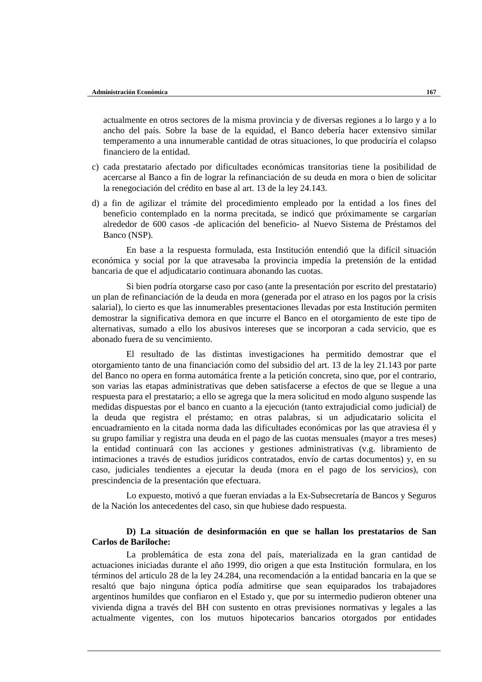actualmente en otros sectores de la misma provincia y de diversas regiones a lo largo y a lo ancho del país. Sobre la base de la equidad, el Banco debería hacer extensivo similar temperamento a una innumerable cantidad de otras situaciones, lo que produciría el colapso financiero de la entidad.

- c) cada prestatario afectado por dificultades económicas transitorias tiene la posibilidad de acercarse al Banco a fin de lograr la refinanciación de su deuda en mora o bien de solicitar la renegociación del crédito en base al art. 13 de la ley 24.143.
- d) a fin de agilizar el trámite del procedimiento empleado por la entidad a los fines del beneficio contemplado en la norma precitada, se indicó que próximamente se cargarían alrededor de 600 casos -de aplicación del beneficio- al Nuevo Sistema de Préstamos del Banco (NSP).

En base a la respuesta formulada, esta Institución entendió que la difícil situación económica y social por la que atravesaba la provincia impedía la pretensión de la entidad bancaria de que el adjudicatario continuara abonando las cuotas.

Si bien podría otorgarse caso por caso (ante la presentación por escrito del prestatario) un plan de refinanciación de la deuda en mora (generada por el atraso en los pagos por la crisis salarial), lo cierto es que las innumerables presentaciones llevadas por esta Institución permiten demostrar la significativa demora en que incurre el Banco en el otorgamiento de este tipo de alternativas, sumado a ello los abusivos intereses que se incorporan a cada servicio, que es abonado fuera de su vencimiento.

El resultado de las distintas investigaciones ha permitido demostrar que el otorgamiento tanto de una financiación como del subsidio del art. 13 de la ley 21.143 por parte del Banco no opera en forma automática frente a la petición concreta, sino que, por el contrario, son varias las etapas administrativas que deben satisfacerse a efectos de que se llegue a una respuesta para el prestatario; a ello se agrega que la mera solicitud en modo alguno suspende las medidas dispuestas por el banco en cuanto a la ejecución (tanto extrajudicial como judicial) de la deuda que registra el préstamo; en otras palabras, si un adjudicatario solicita el encuadramiento en la citada norma dada las dificultades económicas por las que atraviesa él y su grupo familiar y registra una deuda en el pago de las cuotas mensuales (mayor a tres meses) la entidad continuará con las acciones y gestiones administrativas (v.g. libramiento de intimaciones a través de estudios jurídicos contratados, envío de cartas documentos) y, en su caso, judiciales tendientes a ejecutar la deuda (mora en el pago de los servicios), con prescindencia de la presentación que efectuara.

Lo expuesto, motivó a que fueran enviadas a la Ex-Subsecretaría de Bancos y Seguros de la Nación los antecedentes del caso, sin que hubiese dado respuesta.

## **D) La situación de desinformación en que se hallan los prestatarios de San Carlos de Bariloche:**

La problemática de esta zona del país, materializada en la gran cantidad de actuaciones iniciadas durante el año 1999, dio origen a que esta Institución formulara, en los términos del articulo 28 de la ley 24.284, una recomendación a la entidad bancaria en la que se resaltó que bajo ninguna óptica podía admitirse que sean equiparados los trabajadores argentinos humildes que confiaron en el Estado y, que por su intermedio pudieron obtener una vivienda digna a través del BH con sustento en otras previsiones normativas y legales a las actualmente vigentes, con los mutuos hipotecarios bancarios otorgados por entidades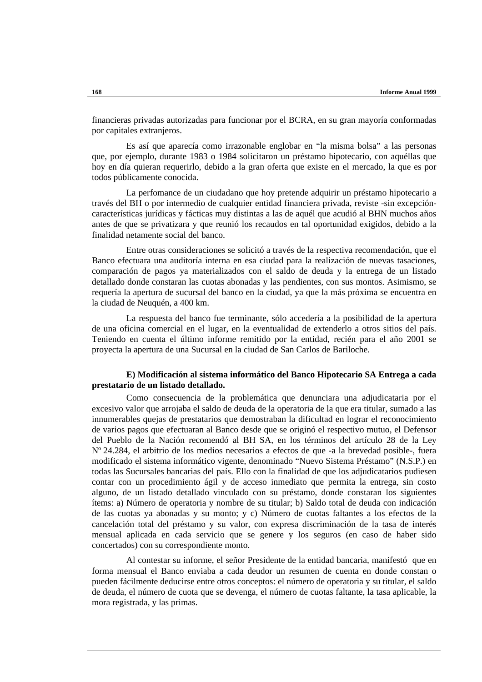financieras privadas autorizadas para funcionar por el BCRA, en su gran mayoría conformadas por capitales extranjeros.

Es así que aparecía como irrazonable englobar en "la misma bolsa" a las personas que, por ejemplo, durante 1983 o 1984 solicitaron un préstamo hipotecario, con aquéllas que hoy en día quieran requerirlo, debido a la gran oferta que existe en el mercado, la que es por todos públicamente conocida.

La perfomance de un ciudadano que hoy pretende adquirir un préstamo hipotecario a través del BH o por intermedio de cualquier entidad financiera privada, reviste -sin excepcióncaracterísticas jurídicas y fácticas muy distintas a las de aquél que acudió al BHN muchos años antes de que se privatizara y que reunió los recaudos en tal oportunidad exigidos, debido a la finalidad netamente social del banco.

Entre otras consideraciones se solicitó a través de la respectiva recomendación, que el Banco efectuara una auditoría interna en esa ciudad para la realización de nuevas tasaciones, comparación de pagos ya materializados con el saldo de deuda y la entrega de un listado detallado donde constaran las cuotas abonadas y las pendientes, con sus montos. Asimismo, se requería la apertura de sucursal del banco en la ciudad, ya que la más próxima se encuentra en la ciudad de Neuquén, a 400 km.

La respuesta del banco fue terminante, sólo accedería a la posibilidad de la apertura de una oficina comercial en el lugar, en la eventualidad de extenderlo a otros sitios del país. Teniendo en cuenta el último informe remitido por la entidad, recién para el año 2001 se proyecta la apertura de una Sucursal en la ciudad de San Carlos de Bariloche.

## **E) Modificación al sistema informático del Banco Hipotecario SA Entrega a cada prestatario de un listado detallado.**

Como consecuencia de la problemática que denunciara una adjudicataria por el excesivo valor que arrojaba el saldo de deuda de la operatoria de la que era titular, sumado a las innumerables quejas de prestatarios que demostraban la dificultad en lograr el reconocimiento de varios pagos que efectuaran al Banco desde que se originó el respectivo mutuo, el Defensor del Pueblo de la Nación recomendó al BH SA, en los términos del artículo 28 de la Ley Nº 24.284, el arbitrio de los medios necesarios a efectos de que -a la brevedad posible-, fuera modificado el sistema informático vigente, denominado "Nuevo Sistema Préstamo" (N.S.P.) en todas las Sucursales bancarias del país. Ello con la finalidad de que los adjudicatarios pudiesen contar con un procedimiento ágil y de acceso inmediato que permita la entrega, sin costo alguno, de un listado detallado vinculado con su préstamo, donde constaran los siguientes ítems: a) Número de operatoria y nombre de su titular; b) Saldo total de deuda con indicación de las cuotas ya abonadas y su monto; y c) Número de cuotas faltantes a los efectos de la cancelación total del préstamo y su valor, con expresa discriminación de la tasa de interés mensual aplicada en cada servicio que se genere y los seguros (en caso de haber sido concertados) con su correspondiente monto.

Al contestar su informe, el señor Presidente de la entidad bancaria, manifestó que en forma mensual el Banco enviaba a cada deudor un resumen de cuenta en donde constan o pueden fácilmente deducirse entre otros conceptos: el número de operatoria y su titular, el saldo de deuda, el número de cuota que se devenga, el número de cuotas faltante, la tasa aplicable, la mora registrada, y las primas.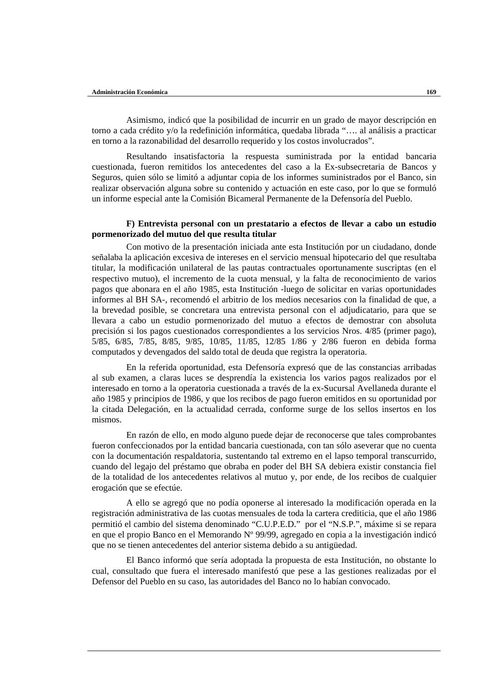Asimismo, indicó que la posibilidad de incurrir en un grado de mayor descripción en torno a cada crédito y/o la redefinición informática, quedaba librada "…. al análisis a practicar en torno a la razonabilidad del desarrollo requerido y los costos involucrados".

Resultando insatisfactoria la respuesta suministrada por la entidad bancaria cuestionada, fueron remitidos los antecedentes del caso a la Ex-subsecretaria de Bancos y Seguros, quien sólo se limitó a adjuntar copia de los informes suministrados por el Banco, sin realizar observación alguna sobre su contenido y actuación en este caso, por lo que se formuló un informe especial ante la Comisión Bicameral Permanente de la Defensoría del Pueblo.

# **F) Entrevista personal con un prestatario a efectos de llevar a cabo un estudio pormenorizado del mutuo del que resulta titular**

Con motivo de la presentación iniciada ante esta Institución por un ciudadano, donde señalaba la aplicación excesiva de intereses en el servicio mensual hipotecario del que resultaba titular, la modificación unilateral de las pautas contractuales oportunamente suscriptas (en el respectivo mutuo), el incremento de la cuota mensual, y la falta de reconocimiento de varios pagos que abonara en el año 1985, esta Institución -luego de solicitar en varias oportunidades informes al BH SA-, recomendó el arbitrio de los medios necesarios con la finalidad de que, a la brevedad posible, se concretara una entrevista personal con el adjudicatario, para que se llevara a cabo un estudio pormenorizado del mutuo a efectos de demostrar con absoluta precisión si los pagos cuestionados correspondientes a los servicios Nros. 4/85 (primer pago), 5/85, 6/85, 7/85, 8/85, 9/85, 10/85, 11/85, 12/85 1/86 y 2/86 fueron en debida forma computados y devengados del saldo total de deuda que registra la operatoria.

En la referida oportunidad, esta Defensoría expresó que de las constancias arribadas al sub examen, a claras luces se desprendía la existencia los varios pagos realizados por el interesado en torno a la operatoria cuestionada a través de la ex-Sucursal Avellaneda durante el año 1985 y principios de 1986, y que los recibos de pago fueron emitidos en su oportunidad por la citada Delegación, en la actualidad cerrada, conforme surge de los sellos insertos en los mismos.

En razón de ello, en modo alguno puede dejar de reconocerse que tales comprobantes fueron confeccionados por la entidad bancaria cuestionada, con tan sólo aseverar que no cuenta con la documentación respaldatoria, sustentando tal extremo en el lapso temporal transcurrido, cuando del legajo del préstamo que obraba en poder del BH SA debiera existir constancia fiel de la totalidad de los antecedentes relativos al mutuo y, por ende, de los recibos de cualquier erogación que se efectúe.

A ello se agregó que no podía oponerse al interesado la modificación operada en la registración administrativa de las cuotas mensuales de toda la cartera crediticia, que el año 1986 permitió el cambio del sistema denominado "C.U.P.E.D." por el "N.S.P.", máxime si se repara en que el propio Banco en el Memorando Nº 99/99, agregado en copia a la investigación indicó que no se tienen antecedentes del anterior sistema debido a su antigüedad.

El Banco informó que sería adoptada la propuesta de esta Institución, no obstante lo cual, consultado que fuera el interesado manifestó que pese a las gestiones realizadas por el Defensor del Pueblo en su caso, las autoridades del Banco no lo habían convocado.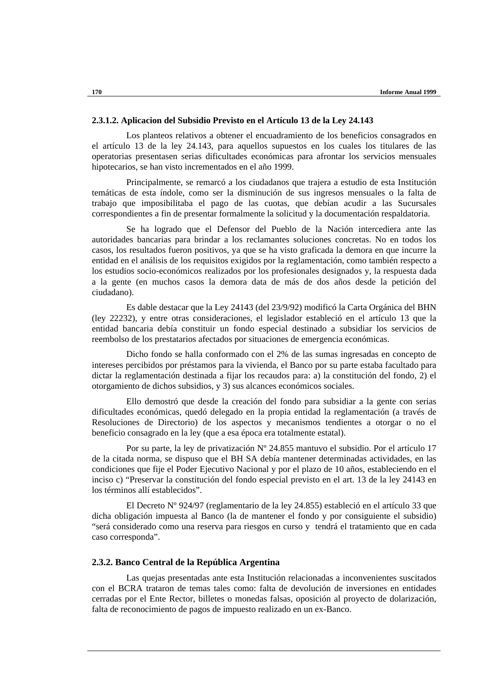## **2.3.1.2. Aplicacion del Subsidio Previsto en el Artículo 13 de la Ley 24.143**

Los planteos relativos a obtener el encuadramiento de los beneficios consagrados en el artículo 13 de la ley 24.143, para aquellos supuestos en los cuales los titulares de las operatorias presentasen serias dificultades económicas para afrontar los servicios mensuales hipotecarios, se han visto incrementados en el año 1999.

Principalmente, se remarcó a los ciudadanos que trajera a estudio de esta Institución temáticas de esta índole, como ser la disminución de sus ingresos mensuales o la falta de trabajo que imposibilitaba el pago de las cuotas, que debían acudir a las Sucursales correspondientes a fin de presentar formalmente la solicitud y la documentación respaldatoria.

Se ha logrado que el Defensor del Pueblo de la Nación intercediera ante las autoridades bancarias para brindar a los reclamantes soluciones concretas. No en todos los casos, los resultados fueron positivos, ya que se ha visto graficada la demora en que incurre la entidad en el análisis de los requisitos exigidos por la reglamentación, como también respecto a los estudios socio-económicos realizados por los profesionales designados y, la respuesta dada a la gente (en muchos casos la demora data de más de dos años desde la petición del ciudadano).

Es dable destacar que la Ley 24143 (del 23/9/92) modificó la Carta Orgánica del BHN (ley 22232), y entre otras consideraciones, el legislador estableció en el artículo 13 que la entidad bancaria debía constituir un fondo especial destinado a subsidiar los servicios de reembolso de los prestatarios afectados por situaciones de emergencia económicas.

Dicho fondo se halla conformado con el 2% de las sumas ingresadas en concepto de intereses percibidos por préstamos para la vivienda, el Banco por su parte estaba facultado para dictar la reglamentación destinada a fijar los recaudos para: a) la constitución del fondo, 2) el otorgamiento de dichos subsidios, y 3) sus alcances económicos sociales.

Ello demostró que desde la creación del fondo para subsidiar a la gente con serias dificultades económicas, quedó delegado en la propia entidad la reglamentación (a través de Resoluciones de Directorio) de los aspectos y mecanismos tendientes a otorgar o no el beneficio consagrado en la ley (que a esa época era totalmente estatal).

Por su parte, la ley de privatización Nº 24.855 mantuvo el subsidio. Por el artículo 17 de la citada norma, se dispuso que el BH SA debía mantener determinadas actividades, en las condiciones que fije el Poder Ejecutivo Nacional y por el plazo de 10 años, estableciendo en el inciso c) "Preservar la constitución del fondo especial previsto en el art. 13 de la ley 24143 en los términos allí establecidos".

El Decreto Nº 924/97 (reglamentario de la ley 24.855) estableció en el artículo 33 que dicha obligación impuesta al Banco (la de mantener el fondo y por consiguiente el subsidio) "será considerado como una reserva para riesgos en curso y tendrá el tratamiento que en cada caso corresponda".

# **2.3.2. Banco Central de la República Argentina**

Las quejas presentadas ante esta Institución relacionadas a inconvenientes suscitados con el BCRA trataron de temas tales como: falta de devolución de inversiones en entidades cerradas por el Ente Rector, billetes o monedas falsas, oposición al proyecto de dolarización, falta de reconocimiento de pagos de impuesto realizado en un ex-Banco.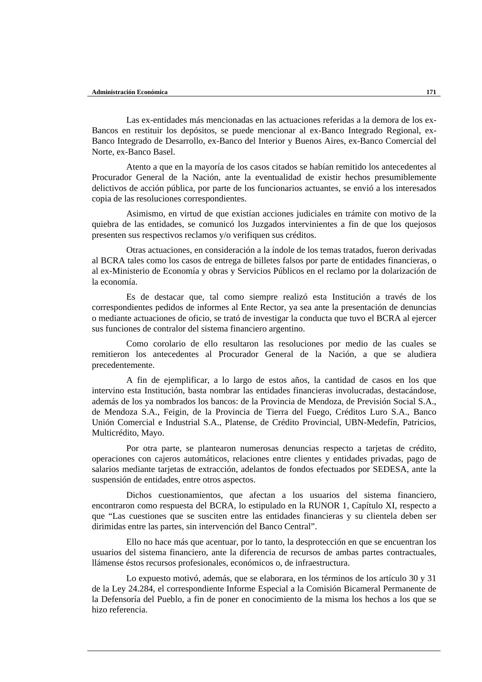Las ex-entidades más mencionadas en las actuaciones referidas a la demora de los ex-Bancos en restituir los depósitos, se puede mencionar al ex-Banco Integrado Regional, ex-Banco Integrado de Desarrollo, ex-Banco del Interior y Buenos Aires, ex-Banco Comercial del Norte, ex-Banco Basel.

Atento a que en la mayoría de los casos citados se habían remitido los antecedentes al Procurador General de la Nación, ante la eventualidad de existir hechos presumiblemente delictivos de acción pública, por parte de los funcionarios actuantes, se envió a los interesados copia de las resoluciones correspondientes.

Asimismo, en virtud de que existían acciones judiciales en trámite con motivo de la quiebra de las entidades, se comunicó los Juzgados intervinientes a fin de que los quejosos presenten sus respectivos reclamos y/o verifiquen sus créditos.

Otras actuaciones, en consideración a la índole de los temas tratados, fueron derivadas al BCRA tales como los casos de entrega de billetes falsos por parte de entidades financieras, o al ex-Ministerio de Economía y obras y Servicios Públicos en el reclamo por la dolarización de la economía.

Es de destacar que, tal como siempre realizó esta Institución a través de los correspondientes pedidos de informes al Ente Rector, ya sea ante la presentación de denuncias o mediante actuaciones de oficio, se trató de investigar la conducta que tuvo el BCRA al ejercer sus funciones de contralor del sistema financiero argentino.

Como corolario de ello resultaron las resoluciones por medio de las cuales se remitieron los antecedentes al Procurador General de la Nación, a que se aludiera precedentemente.

A fin de ejemplificar, a lo largo de estos años, la cantidad de casos en los que intervino esta Institución, basta nombrar las entidades financieras involucradas, destacándose, además de los ya nombrados los bancos: de la Provincia de Mendoza, de Previsión Social S.A., de Mendoza S.A., Feigin, de la Provincia de Tierra del Fuego, Créditos Luro S.A., Banco Unión Comercial e Industrial S.A., Platense, de Crédito Provincial, UBN-Medefín, Patricios, Multicrédito, Mayo.

Por otra parte, se plantearon numerosas denuncias respecto a tarjetas de crédito, operaciones con cajeros automáticos, relaciones entre clientes y entidades privadas, pago de salarios mediante tarjetas de extracción, adelantos de fondos efectuados por SEDESA, ante la suspensión de entidades, entre otros aspectos.

Dichos cuestionamientos, que afectan a los usuarios del sistema financiero, encontraron como respuesta del BCRA, lo estipulado en la RUNOR 1, Capítulo XI, respecto a que "Las cuestiones que se susciten entre las entidades financieras y su clientela deben ser dirimidas entre las partes, sin intervención del Banco Central".

Ello no hace más que acentuar, por lo tanto, la desprotección en que se encuentran los usuarios del sistema financiero, ante la diferencia de recursos de ambas partes contractuales, llámense éstos recursos profesionales, económicos o, de infraestructura.

Lo expuesto motivó, además, que se elaborara, en los términos de los artículo 30 y 31 de la Ley 24.284, el correspondiente Informe Especial a la Comisión Bicameral Permanente de la Defensoría del Pueblo, a fin de poner en conocimiento de la misma los hechos a los que se hizo referencia.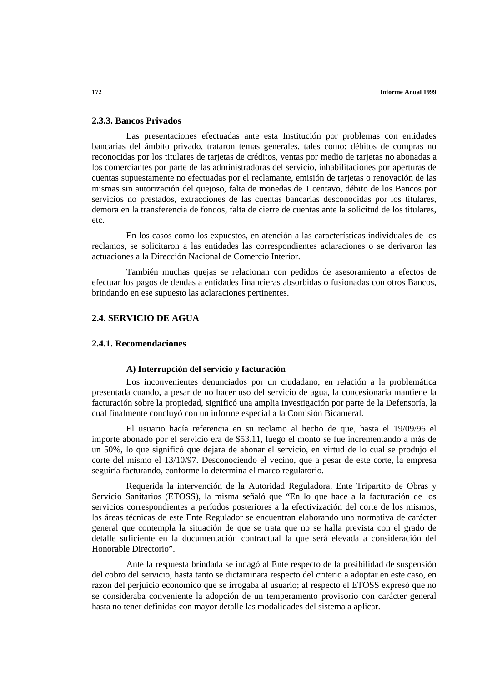## **2.3.3. Bancos Privados**

Las presentaciones efectuadas ante esta Institución por problemas con entidades bancarias del ámbito privado, trataron temas generales, tales como: débitos de compras no reconocidas por los titulares de tarjetas de créditos, ventas por medio de tarjetas no abonadas a los comerciantes por parte de las administradoras del servicio, inhabilitaciones por aperturas de cuentas supuestamente no efectuadas por el reclamante, emisión de tarjetas o renovación de las mismas sin autorización del quejoso, falta de monedas de 1 centavo, débito de los Bancos por servicios no prestados, extracciones de las cuentas bancarias desconocidas por los titulares, demora en la transferencia de fondos, falta de cierre de cuentas ante la solicitud de los titulares, etc.

En los casos como los expuestos, en atención a las características individuales de los reclamos, se solicitaron a las entidades las correspondientes aclaraciones o se derivaron las actuaciones a la Dirección Nacional de Comercio Interior.

También muchas quejas se relacionan con pedidos de asesoramiento a efectos de efectuar los pagos de deudas a entidades financieras absorbidas o fusionadas con otros Bancos, brindando en ese supuesto las aclaraciones pertinentes.

# **2.4. SERVICIO DE AGUA**

### **2.4.1. Recomendaciones**

## **A) Interrupción del servicio y facturación**

Los inconvenientes denunciados por un ciudadano, en relación a la problemática presentada cuando, a pesar de no hacer uso del servicio de agua, la concesionaria mantiene la facturación sobre la propiedad, significó una amplia investigación por parte de la Defensoría, la cual finalmente concluyó con un informe especial a la Comisión Bicameral.

El usuario hacía referencia en su reclamo al hecho de que, hasta el 19/09/96 el importe abonado por el servicio era de \$53.11, luego el monto se fue incrementando a más de un 50%, lo que significó que dejara de abonar el servicio, en virtud de lo cual se produjo el corte del mismo el 13/10/97. Desconociendo el vecino, que a pesar de este corte, la empresa seguiría facturando, conforme lo determina el marco regulatorio.

Requerida la intervención de la Autoridad Reguladora, Ente Tripartito de Obras y Servicio Sanitarios (ETOSS), la misma señaló que "En lo que hace a la facturación de los servicios correspondientes a períodos posteriores a la efectivización del corte de los mismos, las áreas técnicas de este Ente Regulador se encuentran elaborando una normativa de carácter general que contempla la situación de que se trata que no se halla prevista con el grado de detalle suficiente en la documentación contractual la que será elevada a consideración del Honorable Directorio".

Ante la respuesta brindada se indagó al Ente respecto de la posibilidad de suspensión del cobro del servicio, hasta tanto se dictaminara respecto del criterio a adoptar en este caso, en razón del perjuicio económico que se irrogaba al usuario; al respecto el ETOSS expresó que no se consideraba conveniente la adopción de un temperamento provisorio con carácter general hasta no tener definidas con mayor detalle las modalidades del sistema a aplicar.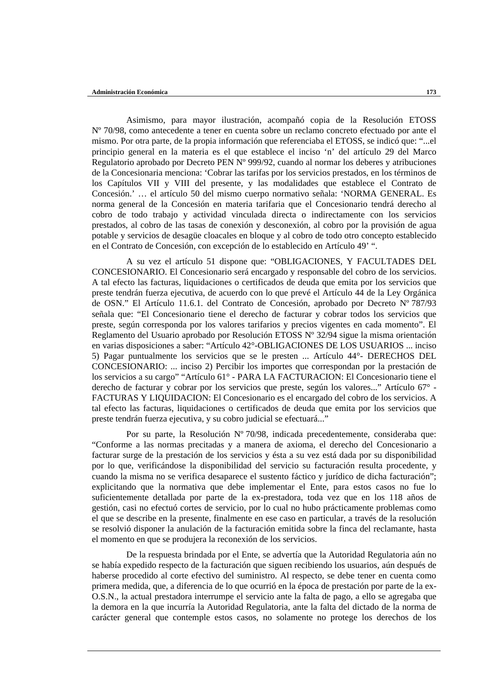Asimismo, para mayor ilustración, acompañó copia de la Resolución ETOSS Nº 70/98, como antecedente a tener en cuenta sobre un reclamo concreto efectuado por ante el mismo. Por otra parte, de la propia información que referenciaba el ETOSS, se indicó que: "...el principio general en la materia es el que establece el inciso 'n' del artículo 29 del Marco Regulatorio aprobado por Decreto PEN Nº 999/92, cuando al normar los deberes y atribuciones de la Concesionaria menciona: 'Cobrar las tarifas por los servicios prestados, en los términos de los Capítulos VII y VIII del presente, y las modalidades que establece el Contrato de Concesión.' … el artículo 50 del mismo cuerpo normativo señala: 'NORMA GENERAL. Es norma general de la Concesión en materia tarifaria que el Concesionario tendrá derecho al cobro de todo trabajo y actividad vinculada directa o indirectamente con los servicios prestados, al cobro de las tasas de conexión y desconexión, al cobro por la provisión de agua potable y servicios de desagüe cloacales en bloque y al cobro de todo otro concepto establecido en el Contrato de Concesión, con excepción de lo establecido en Artículo 49' ".

A su vez el artículo 51 dispone que: "OBLIGACIONES, Y FACULTADES DEL CONCESIONARIO. El Concesionario será encargado y responsable del cobro de los servicios. A tal efecto las facturas, liquidaciones o certificados de deuda que emita por los servicios que preste tendrán fuerza ejecutiva, de acuerdo con lo que prevé el Artículo 44 de la Ley Orgánica de OSN." El Artículo 11.6.1. del Contrato de Concesión, aprobado por Decreto Nº 787/93 señala que: "El Concesionario tiene el derecho de facturar y cobrar todos los servicios que preste, según corresponda por los valores tarifarios y precios vigentes en cada momento". El Reglamento del Usuario aprobado por Resolución ETOSS Nº 32/94 sigue la misma orientación en varias disposiciones a saber: "Artículo 42°-OBLIGACIONES DE LOS USUARIOS ... inciso 5) Pagar puntualmente los servicios que se le presten ... Artículo 44°- DERECHOS DEL CONCESIONARIO: ... inciso 2) Percibir los importes que correspondan por la prestación de los servicios a su cargo" "Artículo 61° - PARA LA FACTURACION: El Concesionario tiene el derecho de facturar y cobrar por los servicios que preste, según los valores..." Artículo 67° - FACTURAS Y LIQUIDACION: El Concesionario es el encargado del cobro de los servicios. A tal efecto las facturas, liquidaciones o certificados de deuda que emita por los servicios que preste tendrán fuerza ejecutiva, y su cobro judicial se efectuará..."

Por su parte, la Resolución Nº 70/98, indicada precedentemente, consideraba que: "Conforme a las normas precitadas y a manera de axioma, el derecho del Concesionario a facturar surge de la prestación de los servicios y ésta a su vez está dada por su disponibilidad por lo que, verificándose la disponibilidad del servicio su facturación resulta procedente, y cuando la misma no se verifica desaparece el sustento fáctico y jurídico de dicha facturación"; explicitando que la normativa que debe implementar el Ente, para estos casos no fue lo suficientemente detallada por parte de la ex-prestadora, toda vez que en los 118 años de gestión, casi no efectuó cortes de servicio, por lo cual no hubo prácticamente problemas como el que se describe en la presente, finalmente en ese caso en particular, a través de la resolución se resolvió disponer la anulación de la facturación emitida sobre la finca del reclamante, hasta el momento en que se produjera la reconexión de los servicios.

De la respuesta brindada por el Ente, se advertía que la Autoridad Regulatoria aún no se había expedido respecto de la facturación que siguen recibiendo los usuarios, aún después de haberse procedido al corte efectivo del suministro. Al respecto, se debe tener en cuenta como primera medida, que, a diferencia de lo que ocurrió en la época de prestación por parte de la ex-O.S.N., la actual prestadora interrumpe el servicio ante la falta de pago, a ello se agregaba que la demora en la que incurría la Autoridad Regulatoria, ante la falta del dictado de la norma de carácter general que contemple estos casos, no solamente no protege los derechos de los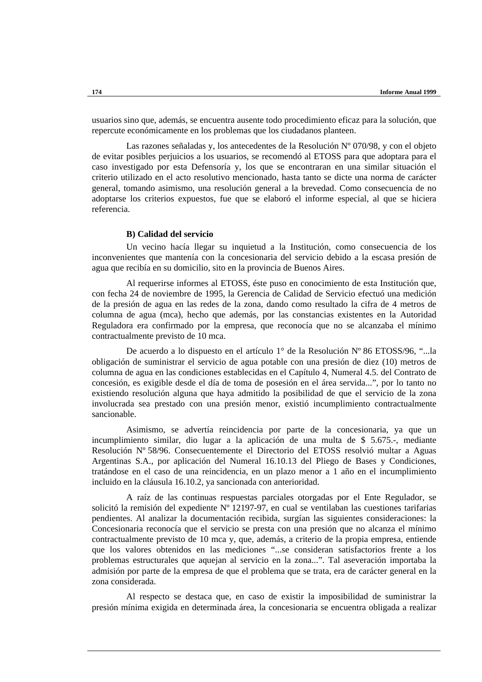usuarios sino que, además, se encuentra ausente todo procedimiento eficaz para la solución, que repercute económicamente en los problemas que los ciudadanos planteen.

Las razones señaladas y, los antecedentes de la Resolución Nº 070/98, y con el objeto de evitar posibles perjuicios a los usuarios, se recomendó al ETOSS para que adoptara para el caso investigado por esta Defensoría y, los que se encontraran en una similar situación el criterio utilizado en el acto resolutivo mencionado, hasta tanto se dicte una norma de carácter general, tomando asimismo, una resolución general a la brevedad. Como consecuencia de no adoptarse los criterios expuestos, fue que se elaboró el informe especial, al que se hiciera referencia.

## **B) Calidad del servicio**

Un vecino hacía llegar su inquietud a la Institución, como consecuencia de los inconvenientes que mantenía con la concesionaria del servicio debido a la escasa presión de agua que recibía en su domicilio, sito en la provincia de Buenos Aires.

Al requerirse informes al ETOSS, éste puso en conocimiento de esta Institución que, con fecha 24 de noviembre de 1995, la Gerencia de Calidad de Servicio efectuó una medición de la presión de agua en las redes de la zona, dando como resultado la cifra de 4 metros de columna de agua (mca), hecho que además, por las constancias existentes en la Autoridad Reguladora era confirmado por la empresa, que reconocía que no se alcanzaba el mínimo contractualmente previsto de 10 mca.

De acuerdo a lo dispuesto en el artículo 1° de la Resolución Nº 86 ETOSS/96, "...la obligación de suministrar el servicio de agua potable con una presión de diez (10) metros de columna de agua en las condiciones establecidas en el Capítulo 4, Numeral 4.5. del Contrato de concesión, es exigible desde el día de toma de posesión en el área servida...", por lo tanto no existiendo resolución alguna que haya admitido la posibilidad de que el servicio de la zona involucrada sea prestado con una presión menor, existió incumplimiento contractualmente sancionable.

Asimismo, se advertía reincidencia por parte de la concesionaria, ya que un incumplimiento similar, dio lugar a la aplicación de una multa de \$ 5.675.-, mediante Resolución Nº 58/96. Consecuentemente el Directorio del ETOSS resolvió multar a Aguas Argentinas S.A., por aplicación del Numeral 16.10.13 del Pliego de Bases y Condiciones, tratándose en el caso de una reincidencia, en un plazo menor a 1 año en el incumplimiento incluido en la cláusula 16.10.2, ya sancionada con anterioridad.

A raíz de las continuas respuestas parciales otorgadas por el Ente Regulador, se solicitó la remisión del expediente Nº 12197-97, en cual se ventilaban las cuestiones tarifarias pendientes. Al analizar la documentación recibida, surgían las siguientes consideraciones: la Concesionaria reconocía que el servicio se presta con una presión que no alcanza el mínimo contractualmente previsto de 10 mca y, que, además, a criterio de la propia empresa, entiende que los valores obtenidos en las mediciones "...se consideran satisfactorios frente a los problemas estructurales que aquejan al servicio en la zona...". Tal aseveración importaba la admisión por parte de la empresa de que el problema que se trata, era de carácter general en la zona considerada.

Al respecto se destaca que, en caso de existir la imposibilidad de suministrar la presión mínima exigida en determinada área, la concesionaria se encuentra obligada a realizar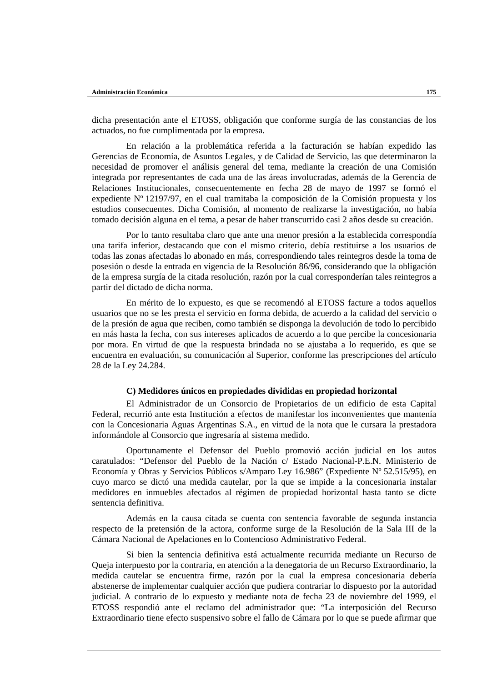dicha presentación ante el ETOSS, obligación que conforme surgía de las constancias de los actuados, no fue cumplimentada por la empresa.

En relación a la problemática referida a la facturación se habían expedido las Gerencias de Economía, de Asuntos Legales, y de Calidad de Servicio, las que determinaron la necesidad de promover el análisis general del tema, mediante la creación de una Comisión integrada por representantes de cada una de las áreas involucradas, además de la Gerencia de Relaciones Institucionales, consecuentemente en fecha 28 de mayo de 1997 se formó el expediente Nº 12197/97, en el cual tramitaba la composición de la Comisión propuesta y los estudios consecuentes. Dicha Comisión, al momento de realizarse la investigación, no había tomado decisión alguna en el tema, a pesar de haber transcurrido casi 2 años desde su creación.

Por lo tanto resultaba claro que ante una menor presión a la establecida correspondía una tarifa inferior, destacando que con el mismo criterio, debía restituirse a los usuarios de todas las zonas afectadas lo abonado en más, correspondiendo tales reintegros desde la toma de posesión o desde la entrada en vigencia de la Resolución 86/96, considerando que la obligación de la empresa surgía de la citada resolución, razón por la cual corresponderían tales reintegros a partir del dictado de dicha norma.

En mérito de lo expuesto, es que se recomendó al ETOSS facture a todos aquellos usuarios que no se les presta el servicio en forma debida, de acuerdo a la calidad del servicio o de la presión de agua que reciben, como también se disponga la devolución de todo lo percibido en más hasta la fecha, con sus intereses aplicados de acuerdo a lo que percibe la concesionaria por mora. En virtud de que la respuesta brindada no se ajustaba a lo requerido, es que se encuentra en evaluación, su comunicación al Superior, conforme las prescripciones del artículo 28 de la Ley 24.284.

#### **C) Medidores únicos en propiedades divididas en propiedad horizontal**

El Administrador de un Consorcio de Propietarios de un edificio de esta Capital Federal, recurrió ante esta Institución a efectos de manifestar los inconvenientes que mantenía con la Concesionaria Aguas Argentinas S.A., en virtud de la nota que le cursara la prestadora informándole al Consorcio que ingresaría al sistema medido.

Oportunamente el Defensor del Pueblo promovió acción judicial en los autos caratulados: "Defensor del Pueblo de la Nación c/ Estado Nacional-P.E.N. Ministerio de Economía y Obras y Servicios Públicos s/Amparo Ley 16.986" (Expediente Nº 52.515/95), en cuyo marco se dictó una medida cautelar, por la que se impide a la concesionaria instalar medidores en inmuebles afectados al régimen de propiedad horizontal hasta tanto se dicte sentencia definitiva.

Además en la causa citada se cuenta con sentencia favorable de segunda instancia respecto de la pretensión de la actora, conforme surge de la Resolución de la Sala III de la Cámara Nacional de Apelaciones en lo Contencioso Administrativo Federal.

Si bien la sentencia definitiva está actualmente recurrida mediante un Recurso de Queja interpuesto por la contraria, en atención a la denegatoria de un Recurso Extraordinario, la medida cautelar se encuentra firme, razón por la cual la empresa concesionaria debería abstenerse de implementar cualquier acción que pudiera contrariar lo dispuesto por la autoridad judicial. A contrario de lo expuesto y mediante nota de fecha 23 de noviembre del 1999, el ETOSS respondió ante el reclamo del administrador que: "La interposición del Recurso Extraordinario tiene efecto suspensivo sobre el fallo de Cámara por lo que se puede afirmar que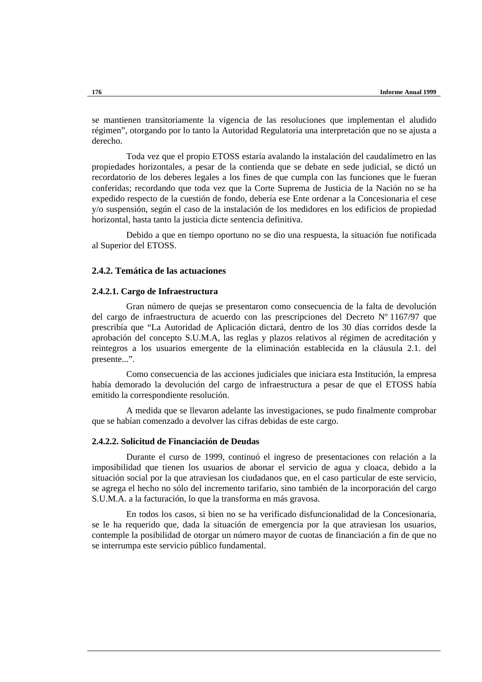se mantienen transitoriamente la vigencia de las resoluciones que implementan el aludido régimen", otorgando por lo tanto la Autoridad Regulatoria una interpretación que no se ajusta a derecho.

Toda vez que el propio ETOSS estaría avalando la instalación del caudalímetro en las propiedades horizontales, a pesar de la contienda que se debate en sede judicial, se dictó un recordatorio de los deberes legales a los fines de que cumpla con las funciones que le fueran conferidas; recordando que toda vez que la Corte Suprema de Justicia de la Nación no se ha expedido respecto de la cuestión de fondo, debería ese Ente ordenar a la Concesionaria el cese y/o suspensión, según el caso de la instalación de los medidores en los edificios de propiedad horizontal, hasta tanto la justicia dicte sentencia definitiva.

Debido a que en tiempo oportuno no se dio una respuesta, la situación fue notificada al Superior del ETOSS.

### **2.4.2. Temática de las actuaciones**

#### **2.4.2.1. Cargo de Infraestructura**

Gran número de quejas se presentaron como consecuencia de la falta de devolución del cargo de infraestructura de acuerdo con las prescripciones del Decreto Nº 1167/97 que prescribía que "La Autoridad de Aplicación dictará, dentro de los 30 días corridos desde la aprobación del concepto S.U.M.A, las reglas y plazos relativos al régimen de acreditación y reintegros a los usuarios emergente de la eliminación establecida en la cláusula 2.1. del presente...".

Como consecuencia de las acciones judiciales que iniciara esta Institución, la empresa había demorado la devolución del cargo de infraestructura a pesar de que el ETOSS había emitido la correspondiente resolución.

A medida que se llevaron adelante las investigaciones, se pudo finalmente comprobar que se habían comenzado a devolver las cifras debidas de este cargo.

## **2.4.2.2. Solicitud de Financiación de Deudas**

Durante el curso de 1999, continuó el ingreso de presentaciones con relación a la imposibilidad que tienen los usuarios de abonar el servicio de agua y cloaca, debido a la situación social por la que atraviesan los ciudadanos que, en el caso particular de este servicio, se agrega el hecho no sólo del incremento tarifario, sino también de la incorporación del cargo S.U.M.A. a la facturación, lo que la transforma en más gravosa.

En todos los casos, si bien no se ha verificado disfuncionalidad de la Concesionaria, se le ha requerido que, dada la situación de emergencia por la que atraviesan los usuarios, contemple la posibilidad de otorgar un número mayor de cuotas de financiación a fin de que no se interrumpa este servicio público fundamental.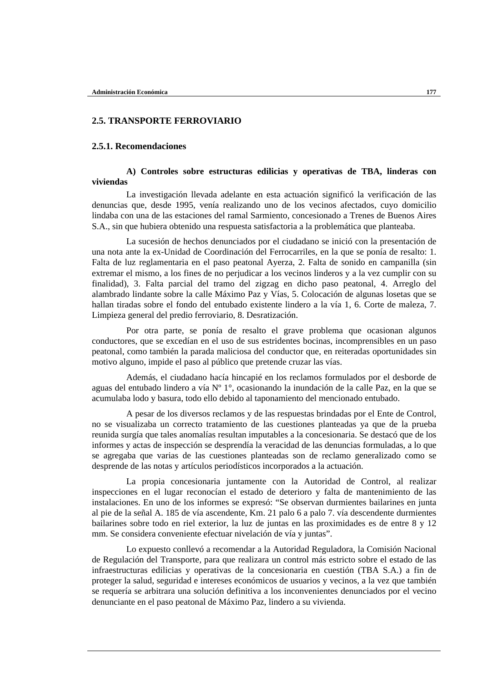## **2.5. TRANSPORTE FERROVIARIO**

## **2.5.1. Recomendaciones**

## **A) Controles sobre estructuras edilicias y operativas de TBA, linderas con viviendas**

La investigación llevada adelante en esta actuación significó la verificación de las denuncias que, desde 1995, venía realizando uno de los vecinos afectados, cuyo domicilio lindaba con una de las estaciones del ramal Sarmiento, concesionado a Trenes de Buenos Aires S.A., sin que hubiera obtenido una respuesta satisfactoria a la problemática que planteaba.

La sucesión de hechos denunciados por el ciudadano se inició con la presentación de una nota ante la ex-Unidad de Coordinación del Ferrocarriles, en la que se ponía de resalto: 1. Falta de luz reglamentaria en el paso peatonal Ayerza, 2. Falta de sonido en campanilla (sin extremar el mismo, a los fines de no perjudicar a los vecinos linderos y a la vez cumplir con su finalidad), 3. Falta parcial del tramo del zigzag en dicho paso peatonal, 4. Arreglo del alambrado lindante sobre la calle Máximo Paz y Vías, 5. Colocación de algunas losetas que se hallan tiradas sobre el fondo del entubado existente lindero a la vía 1, 6. Corte de maleza, 7. Limpieza general del predio ferroviario, 8. Desratización.

Por otra parte, se ponía de resalto el grave problema que ocasionan algunos conductores, que se excedían en el uso de sus estridentes bocinas, incomprensibles en un paso peatonal, como también la parada maliciosa del conductor que, en reiteradas oportunidades sin motivo alguno, impide el paso al público que pretende cruzar las vías.

Además, el ciudadano hacía hincapié en los reclamos formulados por el desborde de aguas del entubado lindero a vía Nº 1°, ocasionando la inundación de la calle Paz, en la que se acumulaba lodo y basura, todo ello debido al taponamiento del mencionado entubado.

A pesar de los diversos reclamos y de las respuestas brindadas por el Ente de Control, no se visualizaba un correcto tratamiento de las cuestiones planteadas ya que de la prueba reunida surgía que tales anomalías resultan imputables a la concesionaria. Se destacó que de los informes y actas de inspección se desprendía la veracidad de las denuncias formuladas, a lo que se agregaba que varias de las cuestiones planteadas son de reclamo generalizado como se desprende de las notas y artículos periodísticos incorporados a la actuación.

La propia concesionaria juntamente con la Autoridad de Control, al realizar inspecciones en el lugar reconocían el estado de deterioro y falta de mantenimiento de las instalaciones. En uno de los informes se expresó: "Se observan durmientes bailarines en junta al pie de la señal A. 185 de vía ascendente, Km. 21 palo 6 a palo 7. vía descendente durmientes bailarines sobre todo en riel exterior, la luz de juntas en las proximidades es de entre 8 y 12 mm. Se considera conveniente efectuar nivelación de vía y juntas".

Lo expuesto conllevó a recomendar a la Autoridad Reguladora, la Comisión Nacional de Regulación del Transporte, para que realizara un control más estricto sobre el estado de las infraestructuras edilicias y operativas de la concesionaria en cuestión (TBA S.A.) a fin de proteger la salud, seguridad e intereses económicos de usuarios y vecinos, a la vez que también se requería se arbitrara una solución definitiva a los inconvenientes denunciados por el vecino denunciante en el paso peatonal de Máximo Paz, lindero a su vivienda.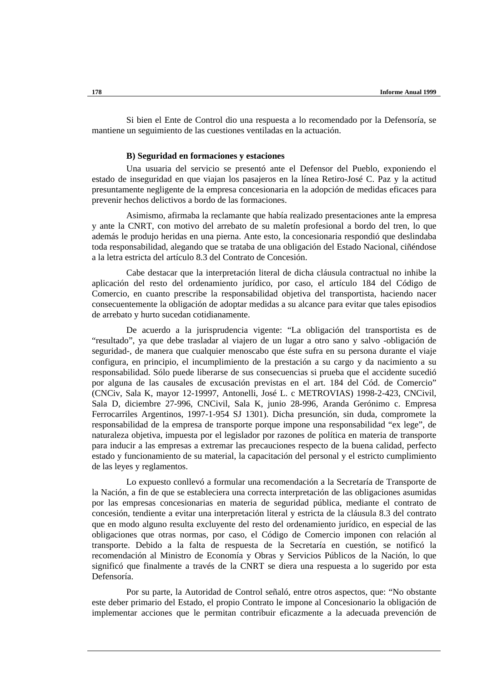Si bien el Ente de Control dio una respuesta a lo recomendado por la Defensoría, se mantiene un seguimiento de las cuestiones ventiladas en la actuación.

#### **B) Seguridad en formaciones y estaciones**

Una usuaria del servicio se presentó ante el Defensor del Pueblo, exponiendo el estado de inseguridad en que viajan los pasajeros en la línea Retiro-José C. Paz y la actitud presuntamente negligente de la empresa concesionaria en la adopción de medidas eficaces para prevenir hechos delictivos a bordo de las formaciones.

Asimismo, afirmaba la reclamante que había realizado presentaciones ante la empresa y ante la CNRT, con motivo del arrebato de su maletín profesional a bordo del tren, lo que además le produjo heridas en una pierna. Ante esto, la concesionaria respondió que deslindaba toda responsabilidad, alegando que se trataba de una obligación del Estado Nacional, ciñéndose a la letra estricta del artículo 8.3 del Contrato de Concesión.

Cabe destacar que la interpretación literal de dicha cláusula contractual no inhibe la aplicación del resto del ordenamiento jurídico, por caso, el artículo 184 del Código de Comercio, en cuanto prescribe la responsabilidad objetiva del transportista, haciendo nacer consecuentemente la obligación de adoptar medidas a su alcance para evitar que tales episodios de arrebato y hurto sucedan cotidianamente.

De acuerdo a la jurisprudencia vigente: "La obligación del transportista es de "resultado", ya que debe trasladar al viajero de un lugar a otro sano y salvo -obligación de seguridad-, de manera que cualquier menoscabo que éste sufra en su persona durante el viaje configura, en principio, el incumplimiento de la prestación a su cargo y da nacimiento a su responsabilidad. Sólo puede liberarse de sus consecuencias si prueba que el accidente sucedió por alguna de las causales de excusación previstas en el art. 184 del Cód. de Comercio" (CNCiv, Sala K, mayor 12-19997, Antonelli, José L. c METROVIAS) 1998-2-423, CNCivil, Sala D, diciembre 27-996, CNCivil, Sala K, junio 28-996, Aranda Gerónimo c. Empresa Ferrocarriles Argentinos, 1997-1-954 SJ 1301). Dicha presunción, sin duda, compromete la responsabilidad de la empresa de transporte porque impone una responsabilidad "ex lege", de naturaleza objetiva, impuesta por el legislador por razones de política en materia de transporte para inducir a las empresas a extremar las precauciones respecto de la buena calidad, perfecto estado y funcionamiento de su material, la capacitación del personal y el estricto cumplimiento de las leyes y reglamentos.

Lo expuesto conllevó a formular una recomendación a la Secretaría de Transporte de la Nación, a fin de que se estableciera una correcta interpretación de las obligaciones asumidas por las empresas concesionarias en materia de seguridad pública, mediante el contrato de concesión, tendiente a evitar una interpretación literal y estricta de la cláusula 8.3 del contrato que en modo alguno resulta excluyente del resto del ordenamiento jurídico, en especial de las obligaciones que otras normas, por caso, el Código de Comercio imponen con relación al transporte. Debido a la falta de respuesta de la Secretaría en cuestión, se notificó la recomendación al Ministro de Economía y Obras y Servicios Públicos de la Nación, lo que significó que finalmente a través de la CNRT se diera una respuesta a lo sugerido por esta Defensoría.

Por su parte, la Autoridad de Control señaló, entre otros aspectos, que: "No obstante este deber primario del Estado, el propio Contrato le impone al Concesionario la obligación de implementar acciones que le permitan contribuir eficazmente a la adecuada prevención de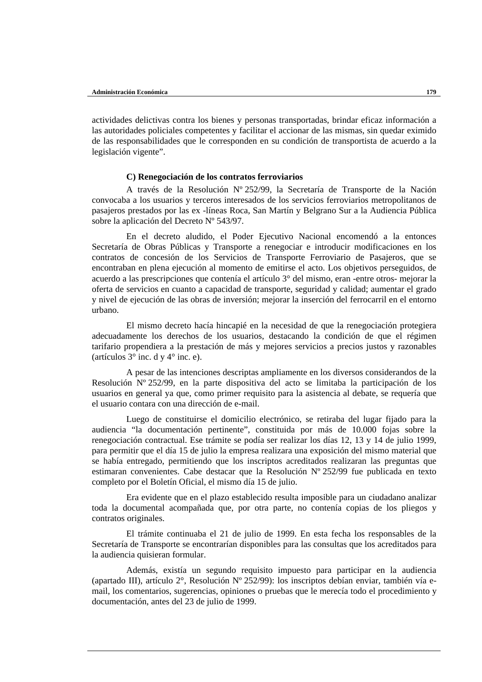actividades delictivas contra los bienes y personas transportadas, brindar eficaz información a las autoridades policiales competentes y facilitar el accionar de las mismas, sin quedar eximido de las responsabilidades que le corresponden en su condición de transportista de acuerdo a la legislación vigente".

#### **C) Renegociación de los contratos ferroviarios**

A través de la Resolución Nº 252/99, la Secretaría de Transporte de la Nación convocaba a los usuarios y terceros interesados de los servicios ferroviarios metropolitanos de pasajeros prestados por las ex -líneas Roca, San Martín y Belgrano Sur a la Audiencia Pública sobre la aplicación del Decreto Nº 543/97.

En el decreto aludido, el Poder Ejecutivo Nacional encomendó a la entonces Secretaría de Obras Públicas y Transporte a renegociar e introducir modificaciones en los contratos de concesión de los Servicios de Transporte Ferroviario de Pasajeros, que se encontraban en plena ejecución al momento de emitirse el acto. Los objetivos perseguidos, de acuerdo a las prescripciones que contenía el artículo 3° del mismo, eran -entre otros- mejorar la oferta de servicios en cuanto a capacidad de transporte, seguridad y calidad; aumentar el grado y nivel de ejecución de las obras de inversión; mejorar la inserción del ferrocarril en el entorno urbano.

El mismo decreto hacía hincapié en la necesidad de que la renegociación protegiera adecuadamente los derechos de los usuarios, destacando la condición de que el régimen tarifario propendiera a la prestación de más y mejores servicios a precios justos y razonables (artículos  $3^\circ$  inc. d y  $4^\circ$  inc. e).

A pesar de las intenciones descriptas ampliamente en los diversos considerandos de la Resolución Nº 252/99, en la parte dispositiva del acto se limitaba la participación de los usuarios en general ya que, como primer requisito para la asistencia al debate, se requería que el usuario contara con una dirección de e-mail.

Luego de constituirse el domicilio electrónico, se retiraba del lugar fijado para la audiencia "la documentación pertinente", constituida por más de 10.000 fojas sobre la renegociación contractual. Ese trámite se podía ser realizar los días 12, 13 y 14 de julio 1999, para permitir que el día 15 de julio la empresa realizara una exposición del mismo material que se había entregado, permitiendo que los inscriptos acreditados realizaran las preguntas que estimaran convenientes. Cabe destacar que la Resolución Nº 252/99 fue publicada en texto completo por el Boletín Oficial, el mismo día 15 de julio.

Era evidente que en el plazo establecido resulta imposible para un ciudadano analizar toda la documental acompañada que, por otra parte, no contenía copias de los pliegos y contratos originales.

El trámite continuaba el 21 de julio de 1999. En esta fecha los responsables de la Secretaría de Transporte se encontrarían disponibles para las consultas que los acreditados para la audiencia quisieran formular.

Además, existía un segundo requisito impuesto para participar en la audiencia (apartado III), artículo 2°, Resolución Nº 252/99): los inscriptos debían enviar, también vía email, los comentarios, sugerencias, opiniones o pruebas que le merecía todo el procedimiento y documentación, antes del 23 de julio de 1999.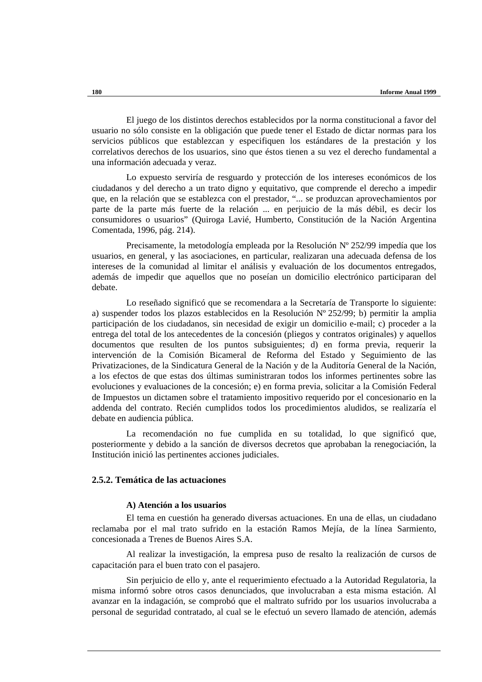El juego de los distintos derechos establecidos por la norma constitucional a favor del usuario no sólo consiste en la obligación que puede tener el Estado de dictar normas para los servicios públicos que establezcan y especifiquen los estándares de la prestación y los correlativos derechos de los usuarios, sino que éstos tienen a su vez el derecho fundamental a una información adecuada y veraz.

Lo expuesto serviría de resguardo y protección de los intereses económicos de los ciudadanos y del derecho a un trato digno y equitativo, que comprende el derecho a impedir que, en la relación que se establezca con el prestador, "... se produzcan aprovechamientos por parte de la parte más fuerte de la relación ... en perjuicio de la más débil, es decir los consumidores o usuarios" (Quiroga Lavié, Humberto, Constitución de la Nación Argentina Comentada, 1996, pág. 214).

Precisamente, la metodología empleada por la Resolución Nº 252/99 impedía que los usuarios, en general, y las asociaciones, en particular, realizaran una adecuada defensa de los intereses de la comunidad al limitar el análisis y evaluación de los documentos entregados, además de impedir que aquellos que no poseían un domicilio electrónico participaran del debate.

Lo reseñado significó que se recomendara a la Secretaría de Transporte lo siguiente: a) suspender todos los plazos establecidos en la Resolución Nº 252/99; b) permitir la amplia participación de los ciudadanos, sin necesidad de exigir un domicilio e-mail; c) proceder a la entrega del total de los antecedentes de la concesión (pliegos y contratos originales) y aquellos documentos que resulten de los puntos subsiguientes; d) en forma previa, requerir la intervención de la Comisión Bicameral de Reforma del Estado y Seguimiento de las Privatizaciones, de la Sindicatura General de la Nación y de la Auditoría General de la Nación, a los efectos de que estas dos últimas suministraran todos los informes pertinentes sobre las evoluciones y evaluaciones de la concesión; e) en forma previa, solicitar a la Comisión Federal de Impuestos un dictamen sobre el tratamiento impositivo requerido por el concesionario en la addenda del contrato. Recién cumplidos todos los procedimientos aludidos, se realizaría el debate en audiencia pública.

La recomendación no fue cumplida en su totalidad, lo que significó que, posteriormente y debido a la sanción de diversos decretos que aprobaban la renegociación, la Institución inició las pertinentes acciones judiciales.

## **2.5.2. Temática de las actuaciones**

#### **A) Atención a los usuarios**

El tema en cuestión ha generado diversas actuaciones. En una de ellas, un ciudadano reclamaba por el mal trato sufrido en la estación Ramos Mejía, de la línea Sarmiento, concesionada a Trenes de Buenos Aires S.A.

Al realizar la investigación, la empresa puso de resalto la realización de cursos de capacitación para el buen trato con el pasajero.

Sin perjuicio de ello y, ante el requerimiento efectuado a la Autoridad Regulatoria, la misma informó sobre otros casos denunciados, que involucraban a esta misma estación. Al avanzar en la indagación, se comprobó que el maltrato sufrido por los usuarios involucraba a personal de seguridad contratado, al cual se le efectuó un severo llamado de atención, además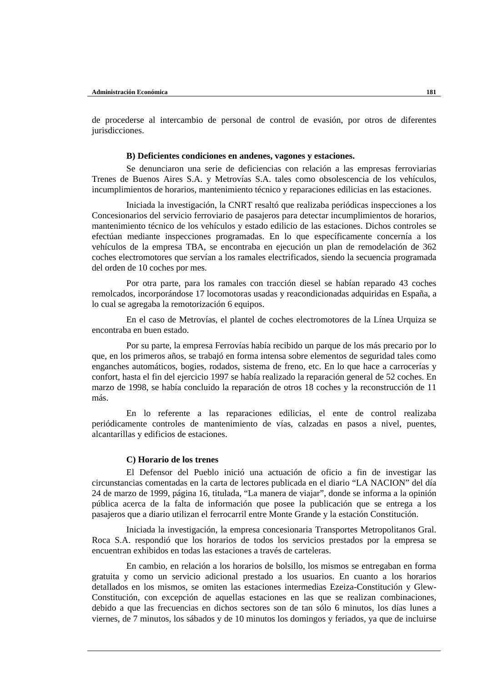de procederse al intercambio de personal de control de evasión, por otros de diferentes jurisdicciones.

#### **B) Deficientes condiciones en andenes, vagones y estaciones.**

Se denunciaron una serie de deficiencias con relación a las empresas ferroviarias Trenes de Buenos Aires S.A. y Metrovías S.A. tales como obsolescencia de los vehículos, incumplimientos de horarios, mantenimiento técnico y reparaciones edilicias en las estaciones.

Iniciada la investigación, la CNRT resaltó que realizaba periódicas inspecciones a los Concesionarios del servicio ferroviario de pasajeros para detectar incumplimientos de horarios, mantenimiento técnico de los vehículos y estado edilicio de las estaciones. Dichos controles se efectúan mediante inspecciones programadas. En lo que específicamente concernía a los vehículos de la empresa TBA, se encontraba en ejecución un plan de remodelación de 362 coches electromotores que servían a los ramales electrificados, siendo la secuencia programada del orden de 10 coches por mes.

Por otra parte, para los ramales con tracción diesel se habían reparado 43 coches remolcados, incorporándose 17 locomotoras usadas y reacondicionadas adquiridas en España, a lo cual se agregaba la remotorización 6 equipos.

En el caso de Metrovías, el plantel de coches electromotores de la Línea Urquiza se encontraba en buen estado.

Por su parte, la empresa Ferrovías había recibido un parque de los más precario por lo que, en los primeros años, se trabajó en forma intensa sobre elementos de seguridad tales como enganches automáticos, bogies, rodados, sistema de freno, etc. En lo que hace a carrocerías y confort, hasta el fin del ejercicio 1997 se había realizado la reparación general de 52 coches. En marzo de 1998, se había concluido la reparación de otros 18 coches y la reconstrucción de 11 más.

En lo referente a las reparaciones edilicias, el ente de control realizaba periódicamente controles de mantenimiento de vías, calzadas en pasos a nivel, puentes, alcantarillas y edificios de estaciones.

#### **C) Horario de los trenes**

El Defensor del Pueblo inició una actuación de oficio a fin de investigar las circunstancias comentadas en la carta de lectores publicada en el diario "LA NACION" del día 24 de marzo de 1999, página 16, titulada, "La manera de viajar", donde se informa a la opinión pública acerca de la falta de información que posee la publicación que se entrega a los pasajeros que a diario utilizan el ferrocarril entre Monte Grande y la estación Constitución.

Iniciada la investigación, la empresa concesionaria Transportes Metropolitanos Gral. Roca S.A. respondió que los horarios de todos los servicios prestados por la empresa se encuentran exhibidos en todas las estaciones a través de carteleras.

En cambio, en relación a los horarios de bolsillo, los mismos se entregaban en forma gratuita y como un servicio adicional prestado a los usuarios. En cuanto a los horarios detallados en los mismos, se omiten las estaciones intermedias Ezeiza-Constitución y Glew-Constitución, con excepción de aquellas estaciones en las que se realizan combinaciones, debido a que las frecuencias en dichos sectores son de tan sólo 6 minutos, los días lunes a viernes, de 7 minutos, los sábados y de 10 minutos los domingos y feriados, ya que de incluirse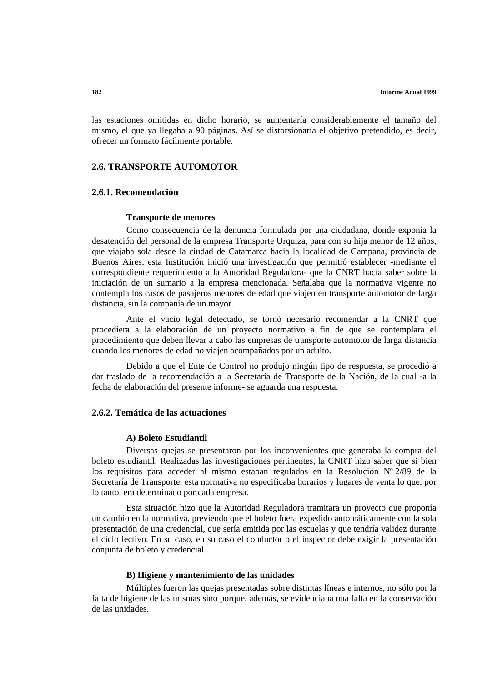las estaciones omitidas en dicho horario, se aumentaría considerablemente el tamaño del mismo, el que ya llegaba a 90 páginas. Así se distorsionaría el objetivo pretendido, es decir, ofrecer un formato fácilmente portable.

## **2.6. TRANSPORTE AUTOMOTOR**

## **2.6.1. Recomendación**

#### **Transporte de menores**

Como consecuencia de la denuncia formulada por una ciudadana, donde exponía la desatención del personal de la empresa Transporte Urquiza, para con su hija menor de 12 años, que viajaba sola desde la ciudad de Catamarca hacia la localidad de Campana, provincia de Buenos Aires, esta Institución inició una investigación que permitió establecer -mediante el correspondiente requerimiento a la Autoridad Reguladora- que la CNRT hacía saber sobre la iniciación de un sumario a la empresa mencionada. Señalaba que la normativa vigente no contempla los casos de pasajeros menores de edad que viajen en transporte automotor de larga distancia, sin la compañía de un mayor.

Ante el vacío legal detectado, se tornó necesario recomendar a la CNRT que procediera a la elaboración de un proyecto normativo a fin de que se contemplara el procedimiento que deben llevar a cabo las empresas de transporte automotor de larga distancia cuando los menores de edad no viajen acompañados por un adulto.

Debido a que el Ente de Control no produjo ningún tipo de respuesta, se procedió a dar traslado de la recomendación a la Secretaría de Transporte de la Nación, de la cual -a la fecha de elaboración del presente informe- se aguarda una respuesta.

## **2.6.2. Temática de las actuaciones**

## **A) Boleto Estudiantil**

Diversas quejas se presentaron por los inconvenientes que generaba la compra del boleto estudiantil. Realizadas las investigaciones pertinentes, la CNRT hizo saber que si bien los requisitos para acceder al mismo estaban regulados en la Resolución Nº 2/89 de la Secretaría de Transporte, esta normativa no especificaba horarios y lugares de venta lo que, por lo tanto, era determinado por cada empresa.

Esta situación hizo que la Autoridad Reguladora tramitara un proyecto que proponía un cambio en la normativa, previendo que el boleto fuera expedido automáticamente con la sola presentación de una credencial, que sería emitida por las escuelas y que tendría validez durante el ciclo lectivo. En su caso, en su caso el conductor o el inspector debe exigir la presentación conjunta de boleto y credencial.

#### **B) Higiene y mantenimiento de las unidades**

Múltiples fueron las quejas presentadas sobre distintas líneas e internos, no sólo por la falta de higiene de las mismas sino porque, además, se evidenciaba una falta en la conservación de las unidades.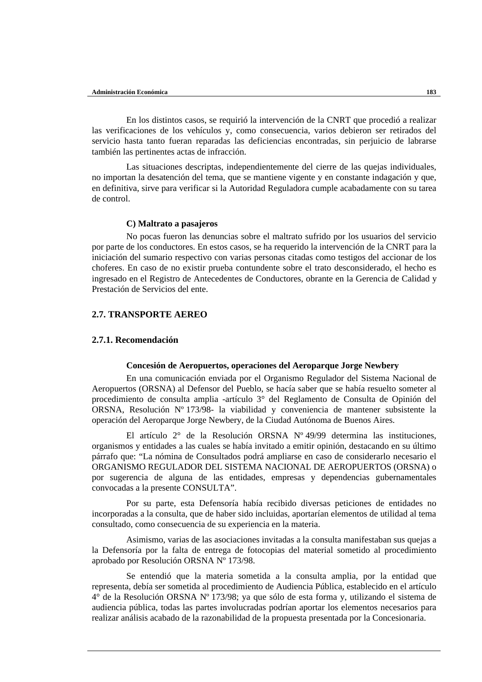En los distintos casos, se requirió la intervención de la CNRT que procedió a realizar las verificaciones de los vehículos y, como consecuencia, varios debieron ser retirados del servicio hasta tanto fueran reparadas las deficiencias encontradas, sin perjuicio de labrarse también las pertinentes actas de infracción.

Las situaciones descriptas, independientemente del cierre de las quejas individuales, no importan la desatención del tema, que se mantiene vigente y en constante indagación y que, en definitiva, sirve para verificar si la Autoridad Reguladora cumple acabadamente con su tarea de control.

#### **C) Maltrato a pasajeros**

No pocas fueron las denuncias sobre el maltrato sufrido por los usuarios del servicio por parte de los conductores. En estos casos, se ha requerido la intervención de la CNRT para la iniciación del sumario respectivo con varias personas citadas como testigos del accionar de los choferes. En caso de no existir prueba contundente sobre el trato desconsiderado, el hecho es ingresado en el Registro de Antecedentes de Conductores, obrante en la Gerencia de Calidad y Prestación de Servicios del ente.

## **2.7. TRANSPORTE AEREO**

## **2.7.1. Recomendación**

#### **Concesión de Aeropuertos, operaciones del Aeroparque Jorge Newbery**

En una comunicación enviada por el Organismo Regulador del Sistema Nacional de Aeropuertos (ORSNA) al Defensor del Pueblo, se hacía saber que se había resuelto someter al procedimiento de consulta amplia -artículo 3° del Reglamento de Consulta de Opinión del ORSNA, Resolución Nº 173/98- la viabilidad y conveniencia de mantener subsistente la operación del Aeroparque Jorge Newbery, de la Ciudad Autónoma de Buenos Aires.

El artículo 2° de la Resolución ORSNA Nº 49/99 determina las instituciones, organismos y entidades a las cuales se había invitado a emitir opinión, destacando en su último párrafo que: "La nómina de Consultados podrá ampliarse en caso de considerarlo necesario el ORGANISMO REGULADOR DEL SISTEMA NACIONAL DE AEROPUERTOS (ORSNA) o por sugerencia de alguna de las entidades, empresas y dependencias gubernamentales convocadas a la presente CONSULTA".

Por su parte, esta Defensoría había recibido diversas peticiones de entidades no incorporadas a la consulta, que de haber sido incluidas, aportarían elementos de utilidad al tema consultado, como consecuencia de su experiencia en la materia.

Asimismo, varias de las asociaciones invitadas a la consulta manifestaban sus quejas a la Defensoría por la falta de entrega de fotocopias del material sometido al procedimiento aprobado por Resolución ORSNA Nº 173/98.

Se entendió que la materia sometida a la consulta amplia, por la entidad que representa, debía ser sometida al procedimiento de Audiencia Pública, establecido en el artículo 4° de la Resolución ORSNA Nº 173/98; ya que sólo de esta forma y, utilizando el sistema de audiencia pública, todas las partes involucradas podrían aportar los elementos necesarios para realizar análisis acabado de la razonabilidad de la propuesta presentada por la Concesionaria.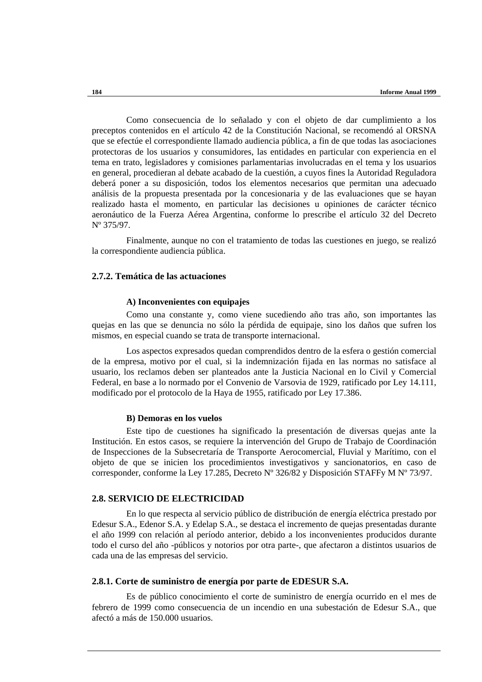Como consecuencia de lo señalado y con el objeto de dar cumplimiento a los preceptos contenidos en el artículo 42 de la Constitución Nacional, se recomendó al ORSNA que se efectúe el correspondiente llamado audiencia pública, a fin de que todas las asociaciones protectoras de los usuarios y consumidores, las entidades en particular con experiencia en el tema en trato, legisladores y comisiones parlamentarias involucradas en el tema y los usuarios en general, procedieran al debate acabado de la cuestión, a cuyos fines la Autoridad Reguladora deberá poner a su disposición, todos los elementos necesarios que permitan una adecuado análisis de la propuesta presentada por la concesionaria y de las evaluaciones que se hayan realizado hasta el momento, en particular las decisiones u opiniones de carácter técnico aeronáutico de la Fuerza Aérea Argentina, conforme lo prescribe el artículo 32 del Decreto Nº 375/97.

Finalmente, aunque no con el tratamiento de todas las cuestiones en juego, se realizó la correspondiente audiencia pública.

## **2.7.2. Temática de las actuaciones**

#### **A) Inconvenientes con equipajes**

Como una constante y, como viene sucediendo año tras año, son importantes las quejas en las que se denuncia no sólo la pérdida de equipaje, sino los daños que sufren los mismos, en especial cuando se trata de transporte internacional.

Los aspectos expresados quedan comprendidos dentro de la esfera o gestión comercial de la empresa, motivo por el cual, si la indemnización fijada en las normas no satisface al usuario, los reclamos deben ser planteados ante la Justicia Nacional en lo Civil y Comercial Federal, en base a lo normado por el Convenio de Varsovia de 1929, ratificado por Ley 14.111, modificado por el protocolo de la Haya de 1955, ratificado por Ley 17.386.

#### **B) Demoras en los vuelos**

Este tipo de cuestiones ha significado la presentación de diversas quejas ante la Institución. En estos casos, se requiere la intervención del Grupo de Trabajo de Coordinación de Inspecciones de la Subsecretaría de Transporte Aerocomercial, Fluvial y Marítimo, con el objeto de que se inicien los procedimientos investigativos y sancionatorios, en caso de corresponder, conforme la Ley 17.285, Decreto Nº 326/82 y Disposición STAFFy M Nº 73/97.

## **2.8. SERVICIO DE ELECTRICIDAD**

En lo que respecta al servicio público de distribución de energía eléctrica prestado por Edesur S.A., Edenor S.A. y Edelap S.A., se destaca el incremento de quejas presentadas durante el año 1999 con relación al período anterior, debido a los inconvenientes producidos durante todo el curso del año -públicos y notorios por otra parte-, que afectaron a distintos usuarios de cada una de las empresas del servicio.

## **2.8.1. Corte de suministro de energía por parte de EDESUR S.A.**

Es de público conocimiento el corte de suministro de energía ocurrido en el mes de febrero de 1999 como consecuencia de un incendio en una subestación de Edesur S.A., que afectó a más de 150.000 usuarios.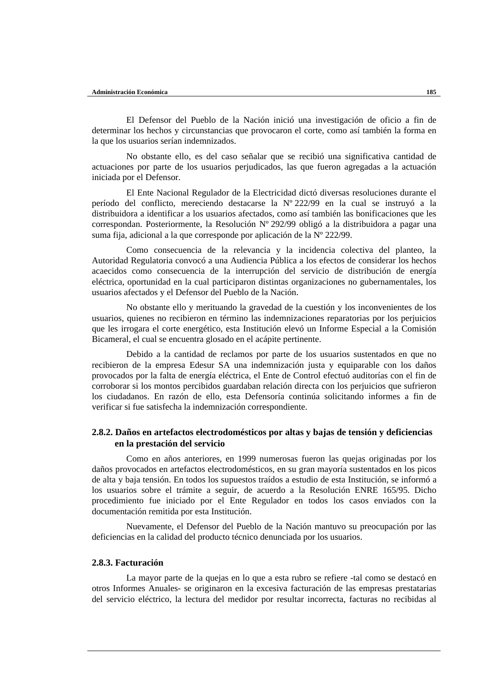El Defensor del Pueblo de la Nación inició una investigación de oficio a fin de determinar los hechos y circunstancias que provocaron el corte, como así también la forma en la que los usuarios serían indemnizados.

No obstante ello, es del caso señalar que se recibió una significativa cantidad de actuaciones por parte de los usuarios perjudicados, las que fueron agregadas a la actuación iniciada por el Defensor.

El Ente Nacional Regulador de la Electricidad dictó diversas resoluciones durante el período del conflicto, mereciendo destacarse la Nº 222/99 en la cual se instruyó a la distribuidora a identificar a los usuarios afectados, como así también las bonificaciones que les correspondan. Posteriormente, la Resolución Nº 292/99 obligó a la distribuidora a pagar una suma fija, adicional a la que corresponde por aplicación de la Nº 222/99.

Como consecuencia de la relevancia y la incidencia colectiva del planteo, la Autoridad Regulatoria convocó a una Audiencia Pública a los efectos de considerar los hechos acaecidos como consecuencia de la interrupción del servicio de distribución de energía eléctrica, oportunidad en la cual participaron distintas organizaciones no gubernamentales, los usuarios afectados y el Defensor del Pueblo de la Nación.

No obstante ello y merituando la gravedad de la cuestión y los inconvenientes de los usuarios, quienes no recibieron en término las indemnizaciones reparatorias por los perjuicios que les irrogara el corte energético, esta Institución elevó un Informe Especial a la Comisión Bicameral, el cual se encuentra glosado en el acápite pertinente.

Debido a la cantidad de reclamos por parte de los usuarios sustentados en que no recibieron de la empresa Edesur SA una indemnización justa y equiparable con los daños provocados por la falta de energía eléctrica, el Ente de Control efectuó auditorías con el fin de corroborar si los montos percibidos guardaban relación directa con los perjuicios que sufrieron los ciudadanos. En razón de ello, esta Defensoría continúa solicitando informes a fin de verificar si fue satisfecha la indemnización correspondiente.

## **2.8.2. Daños en artefactos electrodomésticos por altas y bajas de tensión y deficiencias en la prestación del servicio**

Como en años anteriores, en 1999 numerosas fueron las quejas originadas por los daños provocados en artefactos electrodomésticos, en su gran mayoría sustentados en los picos de alta y baja tensión. En todos los supuestos traídos a estudio de esta Institución, se informó a los usuarios sobre el trámite a seguir, de acuerdo a la Resolución ENRE 165/95. Dicho procedimiento fue iniciado por el Ente Regulador en todos los casos enviados con la documentación remitida por esta Institución.

Nuevamente, el Defensor del Pueblo de la Nación mantuvo su preocupación por las deficiencias en la calidad del producto técnico denunciada por los usuarios.

## **2.8.3. Facturación**

La mayor parte de la quejas en lo que a esta rubro se refiere -tal como se destacó en otros Informes Anuales- se originaron en la excesiva facturación de las empresas prestatarias del servicio eléctrico, la lectura del medidor por resultar incorrecta, facturas no recibidas al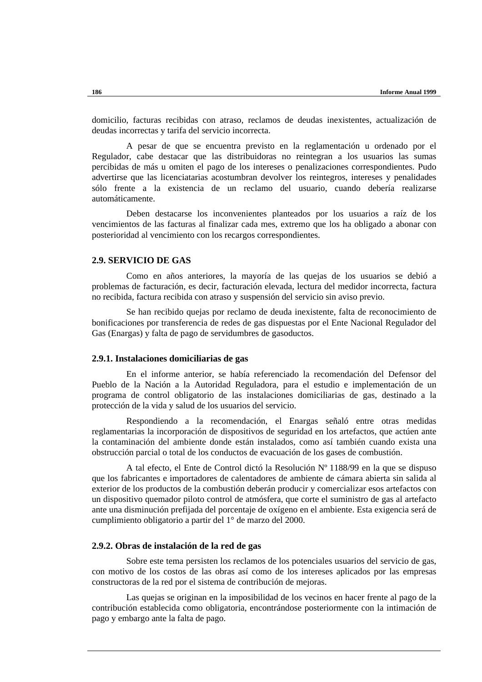domicilio, facturas recibidas con atraso, reclamos de deudas inexistentes, actualización de deudas incorrectas y tarifa del servicio incorrecta.

A pesar de que se encuentra previsto en la reglamentación u ordenado por el Regulador, cabe destacar que las distribuidoras no reintegran a los usuarios las sumas percibidas de más u omiten el pago de los intereses o penalizaciones correspondientes. Pudo advertirse que las licenciatarias acostumbran devolver los reintegros, intereses y penalidades sólo frente a la existencia de un reclamo del usuario, cuando debería realizarse automáticamente.

Deben destacarse los inconvenientes planteados por los usuarios a raíz de los vencimientos de las facturas al finalizar cada mes, extremo que los ha obligado a abonar con posterioridad al vencimiento con los recargos correspondientes.

## **2.9. SERVICIO DE GAS**

Como en años anteriores, la mayoría de las quejas de los usuarios se debió a problemas de facturación, es decir, facturación elevada, lectura del medidor incorrecta, factura no recibida, factura recibida con atraso y suspensión del servicio sin aviso previo.

Se han recibido quejas por reclamo de deuda inexistente, falta de reconocimiento de bonificaciones por transferencia de redes de gas dispuestas por el Ente Nacional Regulador del Gas (Enargas) y falta de pago de servidumbres de gasoductos.

## **2.9.1. Instalaciones domiciliarias de gas**

En el informe anterior, se había referenciado la recomendación del Defensor del Pueblo de la Nación a la Autoridad Reguladora, para el estudio e implementación de un programa de control obligatorio de las instalaciones domiciliarias de gas, destinado a la protección de la vida y salud de los usuarios del servicio.

Respondiendo a la recomendación, el Enargas señaló entre otras medidas reglamentarias la incorporación de dispositivos de seguridad en los artefactos, que actúen ante la contaminación del ambiente donde están instalados, como así también cuando exista una obstrucción parcial o total de los conductos de evacuación de los gases de combustión.

A tal efecto, el Ente de Control dictó la Resolución Nº 1188/99 en la que se dispuso que los fabricantes e importadores de calentadores de ambiente de cámara abierta sin salida al exterior de los productos de la combustión deberán producir y comercializar esos artefactos con un dispositivo quemador piloto control de atmósfera, que corte el suministro de gas al artefacto ante una disminución prefijada del porcentaje de oxígeno en el ambiente. Esta exigencia será de cumplimiento obligatorio a partir del 1° de marzo del 2000.

## **2.9.2. Obras de instalación de la red de gas**

Sobre este tema persisten los reclamos de los potenciales usuarios del servicio de gas, con motivo de los costos de las obras así como de los intereses aplicados por las empresas constructoras de la red por el sistema de contribución de mejoras.

Las quejas se originan en la imposibilidad de los vecinos en hacer frente al pago de la contribución establecida como obligatoria, encontrándose posteriormente con la intimación de pago y embargo ante la falta de pago.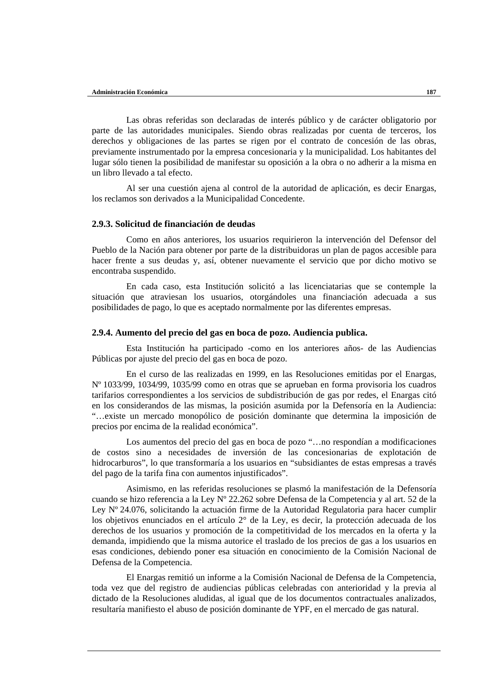Las obras referidas son declaradas de interés público y de carácter obligatorio por parte de las autoridades municipales. Siendo obras realizadas por cuenta de terceros, los derechos y obligaciones de las partes se rigen por el contrato de concesión de las obras, previamente instrumentado por la empresa concesionaria y la municipalidad. Los habitantes del lugar sólo tienen la posibilidad de manifestar su oposición a la obra o no adherir a la misma en un libro llevado a tal efecto.

Al ser una cuestión ajena al control de la autoridad de aplicación, es decir Enargas, los reclamos son derivados a la Municipalidad Concedente.

## **2.9.3. Solicitud de financiación de deudas**

Como en años anteriores, los usuarios requirieron la intervención del Defensor del Pueblo de la Nación para obtener por parte de la distribuidoras un plan de pagos accesible para hacer frente a sus deudas y, así, obtener nuevamente el servicio que por dicho motivo se encontraba suspendido.

En cada caso, esta Institución solicitó a las licenciatarias que se contemple la situación que atraviesan los usuarios, otorgándoles una financiación adecuada a sus posibilidades de pago, lo que es aceptado normalmente por las diferentes empresas.

## **2.9.4. Aumento del precio del gas en boca de pozo. Audiencia publica.**

Esta Institución ha participado -como en los anteriores años- de las Audiencias Públicas por ajuste del precio del gas en boca de pozo.

En el curso de las realizadas en 1999, en las Resoluciones emitidas por el Enargas, Nº 1033/99, 1034/99, 1035/99 como en otras que se aprueban en forma provisoria los cuadros tarifarios correspondientes a los servicios de subdistribución de gas por redes, el Enargas citó en los considerandos de las mismas, la posición asumida por la Defensoría en la Audiencia: "…existe un mercado monopólico de posición dominante que determina la imposición de precios por encima de la realidad económica".

Los aumentos del precio del gas en boca de pozo "…no respondían a modificaciones de costos sino a necesidades de inversión de las concesionarias de explotación de hidrocarburos", lo que transformaría a los usuarios en "subsidiantes de estas empresas a través del pago de la tarifa fina con aumentos injustificados".

Asimismo, en las referidas resoluciones se plasmó la manifestación de la Defensoría cuando se hizo referencia a la Ley Nº 22.262 sobre Defensa de la Competencia y al art. 52 de la Ley Nº 24.076, solicitando la actuación firme de la Autoridad Regulatoria para hacer cumplir los objetivos enunciados en el artículo 2° de la Ley, es decir, la protección adecuada de los derechos de los usuarios y promoción de la competitividad de los mercados en la oferta y la demanda, impidiendo que la misma autorice el traslado de los precios de gas a los usuarios en esas condiciones, debiendo poner esa situación en conocimiento de la Comisión Nacional de Defensa de la Competencia.

El Enargas remitió un informe a la Comisión Nacional de Defensa de la Competencia, toda vez que del registro de audiencias públicas celebradas con anterioridad y la previa al dictado de la Resoluciones aludidas, al igual que de los documentos contractuales analizados, resultaría manifiesto el abuso de posición dominante de YPF, en el mercado de gas natural.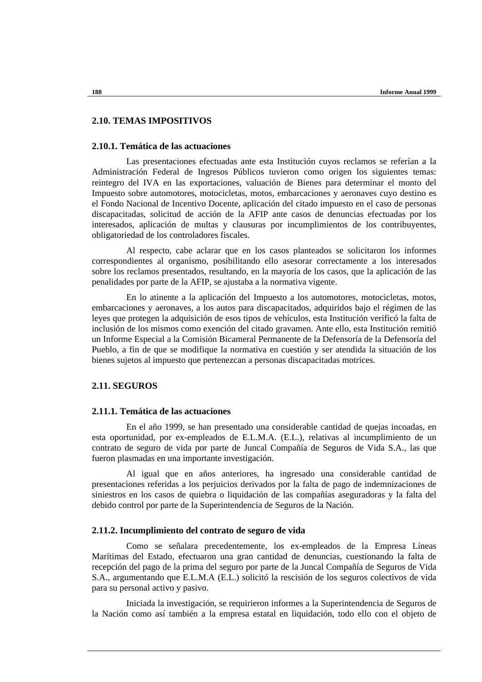## **2.10. TEMAS IMPOSITIVOS**

## **2.10.1. Temática de las actuaciones**

Las presentaciones efectuadas ante esta Institución cuyos reclamos se referían a la Administración Federal de Ingresos Públicos tuvieron como origen los siguientes temas: reintegro del IVA en las exportaciones, valuación de Bienes para determinar el monto del Impuesto sobre automotores, motocicletas, motos, embarcaciones y aeronaves cuyo destino es el Fondo Nacional de Incentivo Docente, aplicación del citado impuesto en el caso de personas discapacitadas, solicitud de acción de la AFIP ante casos de denuncias efectuadas por los interesados, aplicación de multas y clausuras por incumplimientos de los contribuyentes, obligatoriedad de los controladores fiscales.

Al respecto, cabe aclarar que en los casos planteados se solicitaron los informes correspondientes al organismo, posibilitando ello asesorar correctamente a los interesados sobre los reclamos presentados, resultando, en la mayoría de los casos, que la aplicación de las penalidades por parte de la AFIP, se ajustaba a la normativa vigente.

En lo atinente a la aplicación del Impuesto a los automotores, motocicletas, motos, embarcaciones y aeronaves, a los autos para discapacitados, adquiridos bajo el régimen de las leyes que protegen la adquisición de esos tipos de vehículos, esta Institución verificó la falta de inclusión de los mismos como exención del citado gravamen. Ante ello, esta Institución remitió un Informe Especial a la Comisión Bicameral Permanente de la Defensoría de la Defensoría del Pueblo, a fin de que se modifique la normativa en cuestión y ser atendida la situación de los bienes sujetos al impuesto que pertenezcan a personas discapacitadas motrices.

## **2.11. SEGUROS**

## **2.11.1. Temática de las actuaciones**

En el año 1999, se han presentado una considerable cantidad de quejas incoadas, en esta oportunidad, por ex-empleados de E.L.M.A. (E.L.), relativas al incumplimiento de un contrato de seguro de vida por parte de Juncal Compañía de Seguros de Vida S.A., las que fueron plasmadas en una importante investigación.

Al igual que en años anteriores, ha ingresado una considerable cantidad de presentaciones referidas a los perjuicios derivados por la falta de pago de indemnizaciones de siniestros en los casos de quiebra o liquidación de las compañías aseguradoras y la falta del debido control por parte de la Superintendencia de Seguros de la Nación.

#### **2.11.2. Incumplimiento del contrato de seguro de vida**

Como se señalara precedentemente, los ex-empleados de la Empresa Líneas Marítimas del Estado, efectuaron una gran cantidad de denuncias, cuestionando la falta de recepción del pago de la prima del seguro por parte de la Juncal Compañía de Seguros de Vida S.A., argumentando que E.L.M.A (E.L.) solicitó la rescisión de los seguros colectivos de vida para su personal activo y pasivo.

Iniciada la investigación, se requirieron informes a la Superintendencia de Seguros de la Nación como así también a la empresa estatal en liquidación, todo ello con el objeto de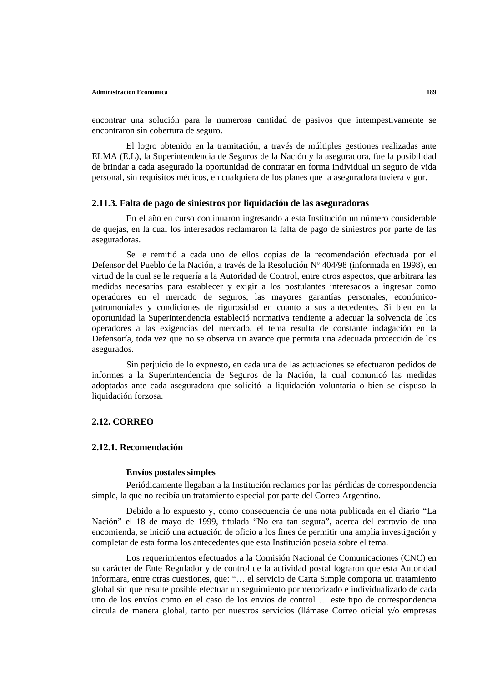encontrar una solución para la numerosa cantidad de pasivos que intempestivamente se encontraron sin cobertura de seguro.

El logro obtenido en la tramitación, a través de múltiples gestiones realizadas ante ELMA (E.L), la Superintendencia de Seguros de la Nación y la aseguradora, fue la posibilidad de brindar a cada asegurado la oportunidad de contratar en forma individual un seguro de vida personal, sin requisitos médicos, en cualquiera de los planes que la aseguradora tuviera vigor.

## **2.11.3. Falta de pago de siniestros por liquidación de las aseguradoras**

En el año en curso continuaron ingresando a esta Institución un número considerable de quejas, en la cual los interesados reclamaron la falta de pago de siniestros por parte de las aseguradoras.

Se le remitió a cada uno de ellos copias de la recomendación efectuada por el Defensor del Pueblo de la Nación, a través de la Resolución Nº 404/98 (informada en 1998), en virtud de la cual se le requería a la Autoridad de Control, entre otros aspectos, que arbitrara las medidas necesarias para establecer y exigir a los postulantes interesados a ingresar como operadores en el mercado de seguros, las mayores garantías personales, económicopatromoniales y condiciones de rigurosidad en cuanto a sus antecedentes. Si bien en la oportunidad la Superintendencia estableció normativa tendiente a adecuar la solvencia de los operadores a las exigencias del mercado, el tema resulta de constante indagación en la Defensoría, toda vez que no se observa un avance que permita una adecuada protección de los asegurados.

Sin perjuicio de lo expuesto, en cada una de las actuaciones se efectuaron pedidos de informes a la Superintendencia de Seguros de la Nación, la cual comunicó las medidas adoptadas ante cada aseguradora que solicitó la liquidación voluntaria o bien se dispuso la liquidación forzosa.

## **2.12. CORREO**

## **2.12.1. Recomendación**

#### **Envíos postales simples**

Periódicamente llegaban a la Institución reclamos por las pérdidas de correspondencia simple, la que no recibía un tratamiento especial por parte del Correo Argentino.

Debido a lo expuesto y, como consecuencia de una nota publicada en el diario "La Nación" el 18 de mayo de 1999, titulada "No era tan segura", acerca del extravío de una encomienda, se inició una actuación de oficio a los fines de permitir una amplia investigación y completar de esta forma los antecedentes que esta Institución poseía sobre el tema.

Los requerimientos efectuados a la Comisión Nacional de Comunicaciones (CNC) en su carácter de Ente Regulador y de control de la actividad postal lograron que esta Autoridad informara, entre otras cuestiones, que: "… el servicio de Carta Simple comporta un tratamiento global sin que resulte posible efectuar un seguimiento pormenorizado e individualizado de cada uno de los envíos como en el caso de los envíos de control … este tipo de correspondencia circula de manera global, tanto por nuestros servicios (llámase Correo oficial y/o empresas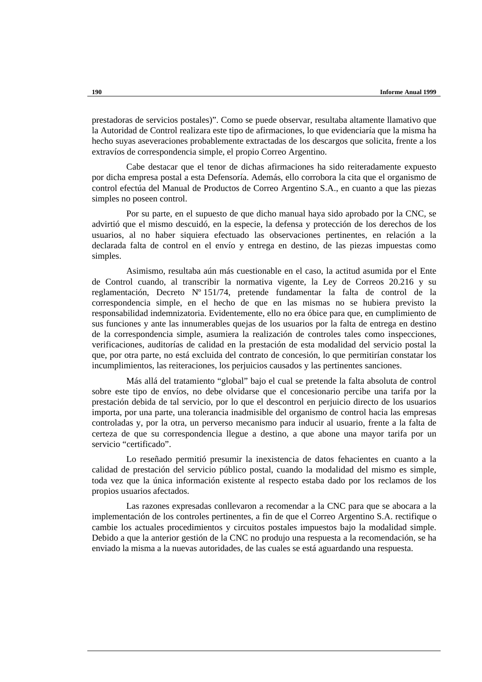prestadoras de servicios postales)". Como se puede observar, resultaba altamente llamativo que la Autoridad de Control realizara este tipo de afirmaciones, lo que evidenciaría que la misma ha hecho suyas aseveraciones probablemente extractadas de los descargos que solicita, frente a los extravíos de correspondencia simple, el propio Correo Argentino.

Cabe destacar que el tenor de dichas afirmaciones ha sido reiteradamente expuesto por dicha empresa postal a esta Defensoría. Además, ello corrobora la cita que el organismo de control efectúa del Manual de Productos de Correo Argentino S.A., en cuanto a que las piezas simples no poseen control.

Por su parte, en el supuesto de que dicho manual haya sido aprobado por la CNC, se advirtió que el mismo descuidó, en la especie, la defensa y protección de los derechos de los usuarios, al no haber siquiera efectuado las observaciones pertinentes, en relación a la declarada falta de control en el envío y entrega en destino, de las piezas impuestas como simples.

Asimismo, resultaba aún más cuestionable en el caso, la actitud asumida por el Ente de Control cuando, al transcribir la normativa vigente, la Ley de Correos 20.216 y su reglamentación, Decreto Nº 151/74, pretende fundamentar la falta de control de la correspondencia simple, en el hecho de que en las mismas no se hubiera previsto la responsabilidad indemnizatoria. Evidentemente, ello no era óbice para que, en cumplimiento de sus funciones y ante las innumerables quejas de los usuarios por la falta de entrega en destino de la correspondencia simple, asumiera la realización de controles tales como inspecciones, verificaciones, auditorías de calidad en la prestación de esta modalidad del servicio postal la que, por otra parte, no está excluida del contrato de concesión, lo que permitirían constatar los incumplimientos, las reiteraciones, los perjuicios causados y las pertinentes sanciones.

Más allá del tratamiento "global" bajo el cual se pretende la falta absoluta de control sobre este tipo de envíos, no debe olvidarse que el concesionario percibe una tarifa por la prestación debida de tal servicio, por lo que el descontrol en perjuicio directo de los usuarios importa, por una parte, una tolerancia inadmisible del organismo de control hacia las empresas controladas y, por la otra, un perverso mecanismo para inducir al usuario, frente a la falta de certeza de que su correspondencia llegue a destino, a que abone una mayor tarifa por un servicio "certificado".

Lo reseñado permitió presumir la inexistencia de datos fehacientes en cuanto a la calidad de prestación del servicio público postal, cuando la modalidad del mismo es simple, toda vez que la única información existente al respecto estaba dado por los reclamos de los propios usuarios afectados.

Las razones expresadas conllevaron a recomendar a la CNC para que se abocara a la implementación de los controles pertinentes, a fin de que el Correo Argentino S.A. rectifique o cambie los actuales procedimientos y circuitos postales impuestos bajo la modalidad simple. Debido a que la anterior gestión de la CNC no produjo una respuesta a la recomendación, se ha enviado la misma a la nuevas autoridades, de las cuales se está aguardando una respuesta.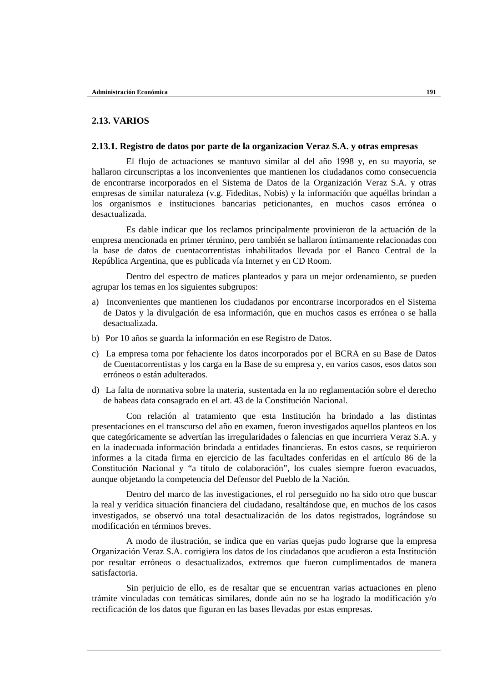## **2.13. VARIOS**

## **2.13.1. Registro de datos por parte de la organizacion Veraz S.A. y otras empresas**

El flujo de actuaciones se mantuvo similar al del año 1998 y, en su mayoría, se hallaron circunscriptas a los inconvenientes que mantienen los ciudadanos como consecuencia de encontrarse incorporados en el Sistema de Datos de la Organización Veraz S.A. y otras empresas de similar naturaleza (v.g. Fideditas, Nobis) y la información que aquéllas brindan a los organismos e instituciones bancarias peticionantes, en muchos casos errónea o desactualizada.

Es dable indicar que los reclamos principalmente provinieron de la actuación de la empresa mencionada en primer término, pero también se hallaron íntimamente relacionadas con la base de datos de cuentacorrentistas inhabilitados llevada por el Banco Central de la República Argentina, que es publicada vía Internet y en CD Room.

Dentro del espectro de matices planteados y para un mejor ordenamiento, se pueden agrupar los temas en los siguientes subgrupos:

- a) Inconvenientes que mantienen los ciudadanos por encontrarse incorporados en el Sistema de Datos y la divulgación de esa información, que en muchos casos es errónea o se halla desactualizada.
- b) Por 10 años se guarda la información en ese Registro de Datos.
- c) La empresa toma por fehaciente los datos incorporados por el BCRA en su Base de Datos de Cuentacorrentistas y los carga en la Base de su empresa y, en varios casos, esos datos son erróneos o están adulterados.
- d) La falta de normativa sobre la materia, sustentada en la no reglamentación sobre el derecho de habeas data consagrado en el art. 43 de la Constitución Nacional.

Con relación al tratamiento que esta Institución ha brindado a las distintas presentaciones en el transcurso del año en examen, fueron investigados aquellos planteos en los que categóricamente se advertían las irregularidades o falencias en que incurriera Veraz S.A. y en la inadecuada información brindada a entidades financieras. En estos casos, se requirieron informes a la citada firma en ejercicio de las facultades conferidas en el artículo 86 de la Constitución Nacional y "a título de colaboración", los cuales siempre fueron evacuados, aunque objetando la competencia del Defensor del Pueblo de la Nación.

Dentro del marco de las investigaciones, el rol perseguido no ha sido otro que buscar la real y verídica situación financiera del ciudadano, resaltándose que, en muchos de los casos investigados, se observó una total desactualización de los datos registrados, lográndose su modificación en términos breves.

A modo de ilustración, se indica que en varias quejas pudo lograrse que la empresa Organización Veraz S.A. corrigiera los datos de los ciudadanos que acudieron a esta Institución por resultar erróneos o desactualizados, extremos que fueron cumplimentados de manera satisfactoria.

Sin perjuicio de ello, es de resaltar que se encuentran varias actuaciones en pleno trámite vinculadas con temáticas similares, donde aún no se ha logrado la modificación y/o rectificación de los datos que figuran en las bases llevadas por estas empresas.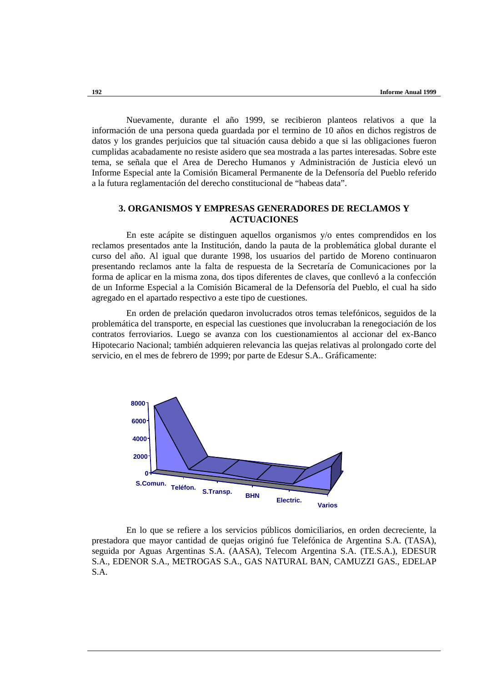Nuevamente, durante el año 1999, se recibieron planteos relativos a que la información de una persona queda guardada por el termino de 10 años en dichos registros de datos y los grandes perjuicios que tal situación causa debido a que si las obligaciones fueron cumplidas acabadamente no resiste asidero que sea mostrada a las partes interesadas. Sobre este tema, se señala que el Area de Derecho Humanos y Administración de Justicia elevó un Informe Especial ante la Comisión Bicameral Permanente de la Defensoría del Pueblo referido a la futura reglamentación del derecho constitucional de "habeas data".

## **3. ORGANISMOS Y EMPRESAS GENERADORES DE RECLAMOS Y ACTUACIONES**

En este acápite se distinguen aquellos organismos y/o entes comprendidos en los reclamos presentados ante la Institución, dando la pauta de la problemática global durante el curso del año. Al igual que durante 1998, los usuarios del partido de Moreno continuaron presentando reclamos ante la falta de respuesta de la Secretaría de Comunicaciones por la forma de aplicar en la misma zona, dos tipos diferentes de claves, que conllevó a la confección de un Informe Especial a la Comisión Bicameral de la Defensoría del Pueblo, el cual ha sido agregado en el apartado respectivo a este tipo de cuestiones.

En orden de prelación quedaron involucrados otros temas telefónicos, seguidos de la problemática del transporte, en especial las cuestiones que involucraban la renegociación de los contratos ferroviarios. Luego se avanza con los cuestionamientos al accionar del ex-Banco Hipotecario Nacional; también adquieren relevancia las quejas relativas al prolongado corte del servicio, en el mes de febrero de 1999; por parte de Edesur S.A.. Gráficamente:



En lo que se refiere a los servicios públicos domiciliarios, en orden decreciente, la prestadora que mayor cantidad de quejas originó fue Telefónica de Argentina S.A. (TASA), seguida por Aguas Argentinas S.A. (AASA), Telecom Argentina S.A. (TE.S.A.), EDESUR S.A., EDENOR S.A., METROGAS S.A., GAS NATURAL BAN, CAMUZZI GAS., EDELAP S.A.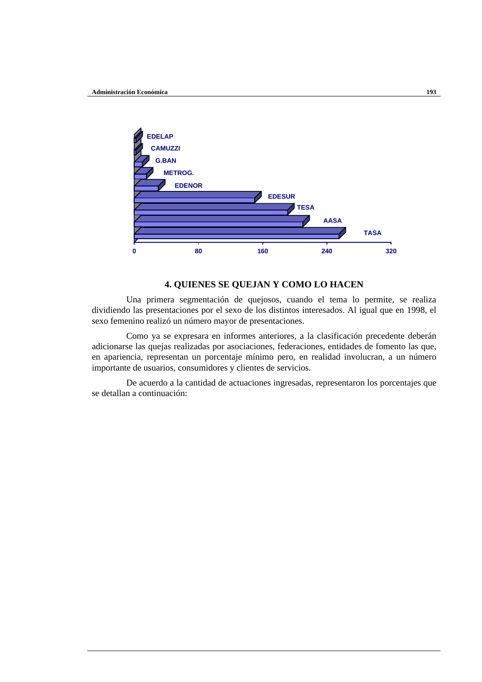

## **4. QUIENES SE QUEJAN Y COMO LO HACEN**

Una primera segmentación de quejosos, cuando el tema lo permite, se realiza dividiendo las presentaciones por el sexo de los distintos interesados. Al igual que en 1998, el sexo femenino realizó un número mayor de presentaciones.

Como ya se expresara en informes anteriores, a la clasificación precedente deberán adicionarse las quejas realizadas por asociaciones, federaciones, entidades de fomento las que, en apariencia, representan un porcentaje mínimo pero, en realidad involucran, a un número importante de usuarios, consumidores y clientes de servicios.

De acuerdo a la cantidad de actuaciones ingresadas, representaron los porcentajes que se detallan a continuación: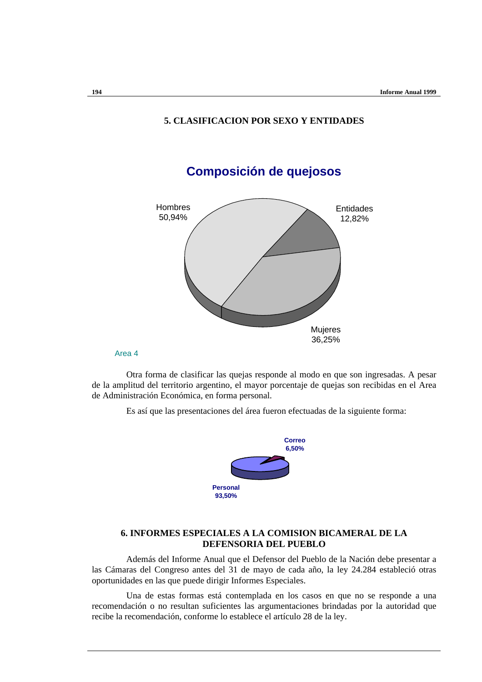# **Composición de quejosos** Hombres 50,94% Mujeres 36,25% Entidades 12,82%

# **5. CLASIFICACION POR SEXO Y ENTIDADES**

Area 4

Otra forma de clasificar las quejas responde al modo en que son ingresadas. A pesar de la amplitud del territorio argentino, el mayor porcentaje de quejas son recibidas en el Area de Administración Económica, en forma personal.

Es así que las presentaciones del área fueron efectuadas de la siguiente forma:



## **6. INFORMES ESPECIALES A LA COMISION BICAMERAL DE LA DEFENSORIA DEL PUEBLO**

Además del Informe Anual que el Defensor del Pueblo de la Nación debe presentar a las Cámaras del Congreso antes del 31 de mayo de cada año, la ley 24.284 estableció otras oportunidades en las que puede dirigir Informes Especiales.

Una de estas formas está contemplada en los casos en que no se responde a una recomendación o no resultan suficientes las argumentaciones brindadas por la autoridad que recibe la recomendación, conforme lo establece el artículo 28 de la ley.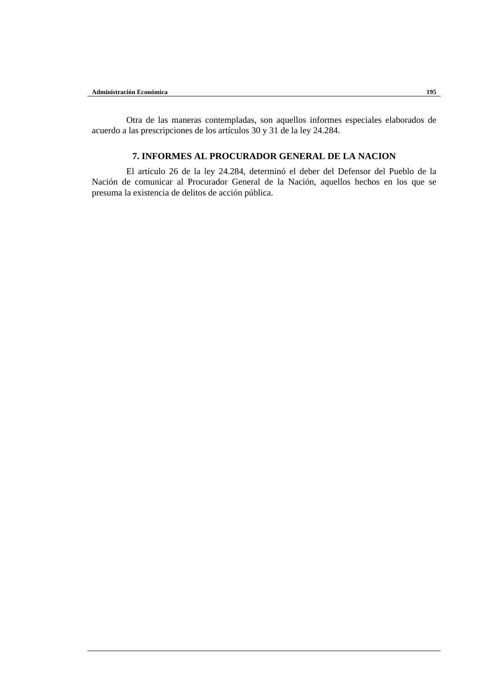Otra de las maneras contempladas, son aquellos informes especiales elaborados de acuerdo a las prescripciones de los artículos 30 y 31 de la ley 24.284.

# **7. INFORMES AL PROCURADOR GENERAL DE LA NACION**

El artículo 26 de la ley 24.284, determinó el deber del Defensor del Pueblo de la Nación de comunicar al Procurador General de la Nación, aquellos hechos en los que se presuma la existencia de delitos de acción pública.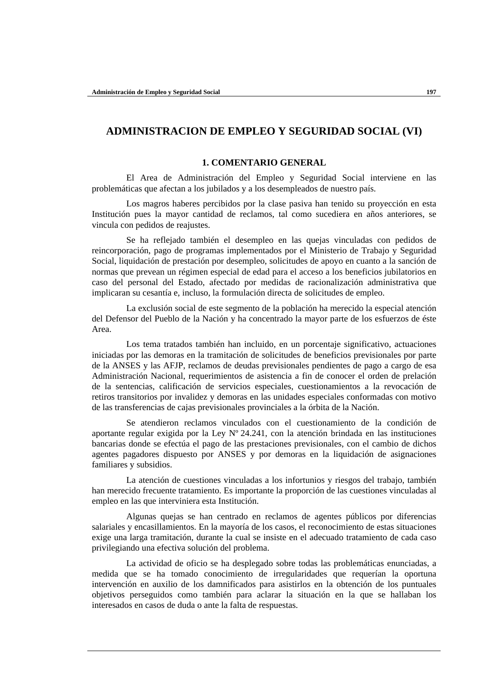# **ADMINISTRACION DE EMPLEO Y SEGURIDAD SOCIAL (VI)**

## **1. COMENTARIO GENERAL**

El Area de Administración del Empleo y Seguridad Social interviene en las problemáticas que afectan a los jubilados y a los desempleados de nuestro país.

Los magros haberes percibidos por la clase pasiva han tenido su proyección en esta Institución pues la mayor cantidad de reclamos, tal como sucediera en años anteriores, se vincula con pedidos de reajustes.

Se ha reflejado también el desempleo en las quejas vinculadas con pedidos de reincorporación, pago de programas implementados por el Ministerio de Trabajo y Seguridad Social, liquidación de prestación por desempleo, solicitudes de apoyo en cuanto a la sanción de normas que prevean un régimen especial de edad para el acceso a los beneficios jubilatorios en caso del personal del Estado, afectado por medidas de racionalización administrativa que implicaran su cesantía e, incluso, la formulación directa de solicitudes de empleo.

La exclusión social de este segmento de la población ha merecido la especial atención del Defensor del Pueblo de la Nación y ha concentrado la mayor parte de los esfuerzos de éste Area.

Los tema tratados también han incluido, en un porcentaje significativo, actuaciones iniciadas por las demoras en la tramitación de solicitudes de beneficios previsionales por parte de la ANSES y las AFJP, reclamos de deudas previsionales pendientes de pago a cargo de esa Administración Nacional, requerimientos de asistencia a fin de conocer el orden de prelación de la sentencias, calificación de servicios especiales, cuestionamientos a la revocación de retiros transitorios por invalidez y demoras en las unidades especiales conformadas con motivo de las transferencias de cajas previsionales provinciales a la órbita de la Nación.

Se atendieron reclamos vinculados con el cuestionamiento de la condición de aportante regular exigida por la Ley Nº 24.241, con la atención brindada en las instituciones bancarias donde se efectúa el pago de las prestaciones previsionales, con el cambio de dichos agentes pagadores dispuesto por ANSES y por demoras en la liquidación de asignaciones familiares y subsidios.

La atención de cuestiones vinculadas a los infortunios y riesgos del trabajo, también han merecido frecuente tratamiento. Es importante la proporción de las cuestiones vinculadas al empleo en las que interviniera esta Institución.

Algunas quejas se han centrado en reclamos de agentes públicos por diferencias salariales y encasillamientos. En la mayoría de los casos, el reconocimiento de estas situaciones exige una larga tramitación, durante la cual se insiste en el adecuado tratamiento de cada caso privilegiando una efectiva solución del problema.

La actividad de oficio se ha desplegado sobre todas las problemáticas enunciadas, a medida que se ha tomado conocimiento de irregularidades que requerían la oportuna intervención en auxilio de los damnificados para asistirlos en la obtención de los puntuales objetivos perseguidos como también para aclarar la situación en la que se hallaban los interesados en casos de duda o ante la falta de respuestas.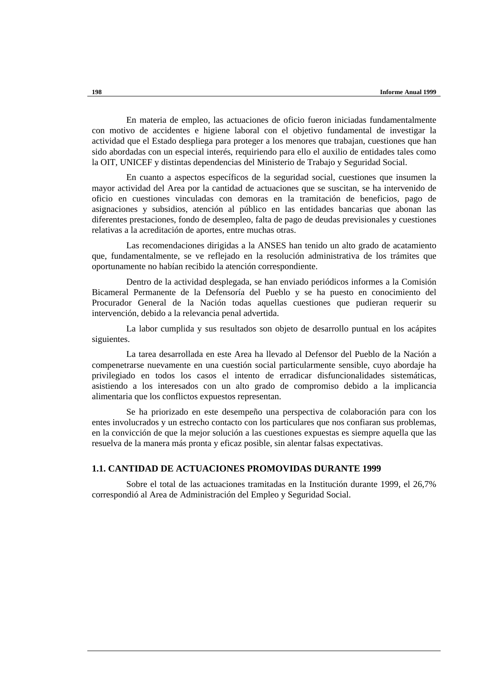En materia de empleo, las actuaciones de oficio fueron iniciadas fundamentalmente con motivo de accidentes e higiene laboral con el objetivo fundamental de investigar la actividad que el Estado despliega para proteger a los menores que trabajan, cuestiones que han sido abordadas con un especial interés, requiriendo para ello el auxilio de entidades tales como la OIT, UNICEF y distintas dependencias del Ministerio de Trabajo y Seguridad Social.

En cuanto a aspectos específicos de la seguridad social, cuestiones que insumen la mayor actividad del Area por la cantidad de actuaciones que se suscitan, se ha intervenido de oficio en cuestiones vinculadas con demoras en la tramitación de beneficios, pago de asignaciones y subsidios, atención al público en las entidades bancarias que abonan las diferentes prestaciones, fondo de desempleo, falta de pago de deudas previsionales y cuestiones relativas a la acreditación de aportes, entre muchas otras.

Las recomendaciones dirigidas a la ANSES han tenido un alto grado de acatamiento que, fundamentalmente, se ve reflejado en la resolución administrativa de los trámites que oportunamente no habían recibido la atención correspondiente.

Dentro de la actividad desplegada, se han enviado periódicos informes a la Comisión Bicameral Permanente de la Defensoría del Pueblo y se ha puesto en conocimiento del Procurador General de la Nación todas aquellas cuestiones que pudieran requerir su intervención, debido a la relevancia penal advertida.

La labor cumplida y sus resultados son objeto de desarrollo puntual en los acápites siguientes.

La tarea desarrollada en este Area ha llevado al Defensor del Pueblo de la Nación a compenetrarse nuevamente en una cuestión social particularmente sensible, cuyo abordaje ha privilegiado en todos los casos el intento de erradicar disfuncionalidades sistemáticas, asistiendo a los interesados con un alto grado de compromiso debido a la implicancia alimentaria que los conflictos expuestos representan.

Se ha priorizado en este desempeño una perspectiva de colaboración para con los entes involucrados y un estrecho contacto con los particulares que nos confiaran sus problemas, en la convicción de que la mejor solución a las cuestiones expuestas es siempre aquella que las resuelva de la manera más pronta y eficaz posible, sin alentar falsas expectativas.

## **1.1. CANTIDAD DE ACTUACIONES PROMOVIDAS DURANTE 1999**

Sobre el total de las actuaciones tramitadas en la Institución durante 1999, el 26,7% correspondió al Area de Administración del Empleo y Seguridad Social.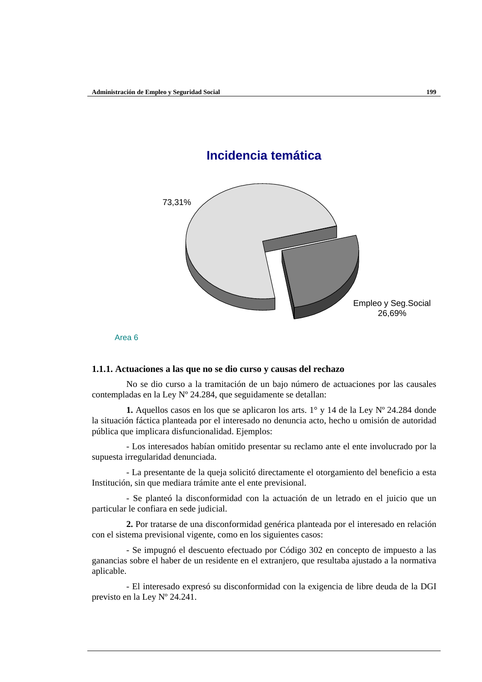



#### **1.1.1. Actuaciones a las que no se dio curso y causas del rechazo**

No se dio curso a la tramitación de un bajo número de actuaciones por las causales contempladas en la Ley Nº 24.284, que seguidamente se detallan:

**1.** Aquellos casos en los que se aplicaron los arts. 1° y 14 de la Ley Nº 24.284 donde la situación fáctica planteada por el interesado no denuncia acto, hecho u omisión de autoridad pública que implicara disfuncionalidad. Ejemplos:

- Los interesados habían omitido presentar su reclamo ante el ente involucrado por la supuesta irregularidad denunciada.

- La presentante de la queja solicitó directamente el otorgamiento del beneficio a esta Institución, sin que mediara trámite ante el ente previsional.

- Se planteó la disconformidad con la actuación de un letrado en el juicio que un particular le confiara en sede judicial.

**2.** Por tratarse de una disconformidad genérica planteada por el interesado en relación con el sistema previsional vigente, como en los siguientes casos:

- Se impugnó el descuento efectuado por Código 302 en concepto de impuesto a las ganancias sobre el haber de un residente en el extranjero, que resultaba ajustado a la normativa aplicable.

- El interesado expresó su disconformidad con la exigencia de libre deuda de la DGI previsto en la Ley Nº 24.241.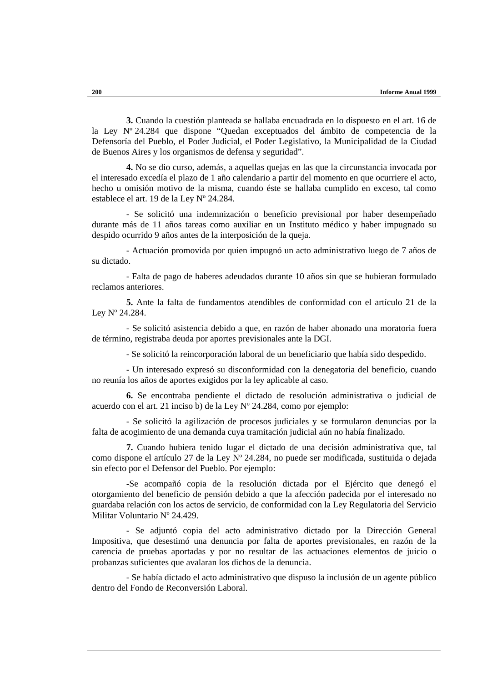**3.** Cuando la cuestión planteada se hallaba encuadrada en lo dispuesto en el art. 16 de la Ley Nº 24.284 que dispone "Quedan exceptuados del ámbito de competencia de la Defensoría del Pueblo, el Poder Judicial, el Poder Legislativo, la Municipalidad de la Ciudad de Buenos Aires y los organismos de defensa y seguridad".

**4.** No se dio curso, además, a aquellas quejas en las que la circunstancia invocada por el interesado excedía el plazo de 1 año calendario a partir del momento en que ocurriere el acto, hecho u omisión motivo de la misma, cuando éste se hallaba cumplido en exceso, tal como establece el art. 19 de la Ley Nº 24.284.

- Se solicitó una indemnización o beneficio previsional por haber desempeñado durante más de 11 años tareas como auxiliar en un Instituto médico y haber impugnado su despido ocurrido 9 años antes de la interposición de la queja.

- Actuación promovida por quien impugnó un acto administrativo luego de 7 años de su dictado.

- Falta de pago de haberes adeudados durante 10 años sin que se hubieran formulado reclamos anteriores.

**5.** Ante la falta de fundamentos atendibles de conformidad con el artículo 21 de la Ley Nº 24.284.

- Se solicitó asistencia debido a que, en razón de haber abonado una moratoria fuera de término, registraba deuda por aportes previsionales ante la DGI.

- Se solicitó la reincorporación laboral de un beneficiario que había sido despedido.

- Un interesado expresó su disconformidad con la denegatoria del beneficio, cuando no reunía los años de aportes exigidos por la ley aplicable al caso.

**6.** Se encontraba pendiente el dictado de resolución administrativa o judicial de acuerdo con el art. 21 inciso b) de la Ley Nº 24.284, como por ejemplo:

- Se solicitó la agilización de procesos judiciales y se formularon denuncias por la falta de acogimiento de una demanda cuya tramitación judicial aún no había finalizado.

**7.** Cuando hubiera tenido lugar el dictado de una decisión administrativa que, tal como dispone el artículo 27 de la Ley Nº 24.284, no puede ser modificada, sustituida o dejada sin efecto por el Defensor del Pueblo. Por ejemplo:

-Se acompañó copia de la resolución dictada por el Ejército que denegó el otorgamiento del beneficio de pensión debido a que la afección padecida por el interesado no guardaba relación con los actos de servicio, de conformidad con la Ley Regulatoria del Servicio Militar Voluntario Nº 24.429.

- Se adjuntó copia del acto administrativo dictado por la Dirección General Impositiva, que desestimó una denuncia por falta de aportes previsionales, en razón de la carencia de pruebas aportadas y por no resultar de las actuaciones elementos de juicio o probanzas suficientes que avalaran los dichos de la denuncia.

- Se había dictado el acto administrativo que dispuso la inclusión de un agente público dentro del Fondo de Reconversión Laboral.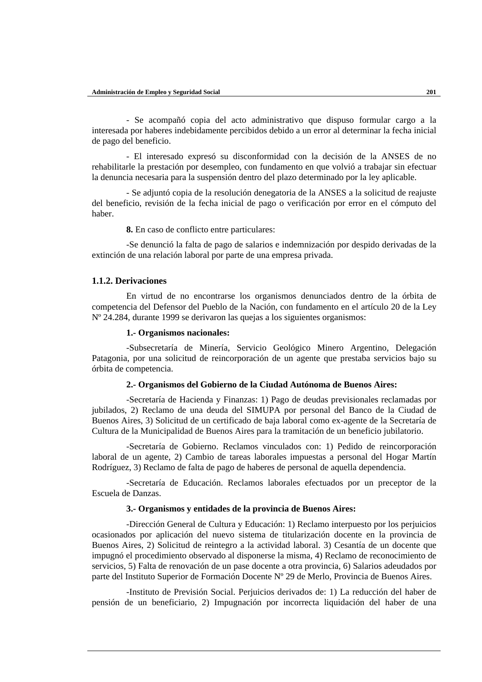- Se acompañó copia del acto administrativo que dispuso formular cargo a la interesada por haberes indebidamente percibidos debido a un error al determinar la fecha inicial de pago del beneficio.

- El interesado expresó su disconformidad con la decisión de la ANSES de no rehabilitarle la prestación por desempleo, con fundamento en que volvió a trabajar sin efectuar la denuncia necesaria para la suspensión dentro del plazo determinado por la ley aplicable.

- Se adjuntó copia de la resolución denegatoria de la ANSES a la solicitud de reajuste del beneficio, revisión de la fecha inicial de pago o verificación por error en el cómputo del haber.

**8.** En caso de conflicto entre particulares:

-Se denunció la falta de pago de salarios e indemnización por despido derivadas de la extinción de una relación laboral por parte de una empresa privada.

## **1.1.2. Derivaciones**

En virtud de no encontrarse los organismos denunciados dentro de la órbita de competencia del Defensor del Pueblo de la Nación, con fundamento en el artículo 20 de la Ley Nº 24.284, durante 1999 se derivaron las quejas a los siguientes organismos:

#### **1.- Organismos nacionales:**

-Subsecretaría de Minería, Servicio Geológico Minero Argentino, Delegación Patagonia, por una solicitud de reincorporación de un agente que prestaba servicios bajo su órbita de competencia.

#### **2.- Organismos del Gobierno de la Ciudad Autónoma de Buenos Aires:**

-Secretaría de Hacienda y Finanzas: 1) Pago de deudas previsionales reclamadas por jubilados, 2) Reclamo de una deuda del SIMUPA por personal del Banco de la Ciudad de Buenos Aires, 3) Solicitud de un certificado de baja laboral como ex-agente de la Secretaría de Cultura de la Municipalidad de Buenos Aires para la tramitación de un beneficio jubilatorio.

-Secretaría de Gobierno. Reclamos vinculados con: 1) Pedido de reincorporación laboral de un agente, 2) Cambio de tareas laborales impuestas a personal del Hogar Martín Rodríguez, 3) Reclamo de falta de pago de haberes de personal de aquella dependencia.

-Secretaría de Educación. Reclamos laborales efectuados por un preceptor de la Escuela de Danzas.

## **3.- Organismos y entidades de la provincia de Buenos Aires:**

-Dirección General de Cultura y Educación: 1) Reclamo interpuesto por los perjuicios ocasionados por aplicación del nuevo sistema de titularización docente en la provincia de Buenos Aires, 2) Solicitud de reintegro a la actividad laboral. 3) Cesantía de un docente que impugnó el procedimiento observado al disponerse la misma, 4) Reclamo de reconocimiento de servicios, 5) Falta de renovación de un pase docente a otra provincia, 6) Salarios adeudados por parte del Instituto Superior de Formación Docente Nº 29 de Merlo, Provincia de Buenos Aires.

-Instituto de Previsión Social. Perjuicios derivados de: 1) La reducción del haber de pensión de un beneficiario, 2) Impugnación por incorrecta liquidación del haber de una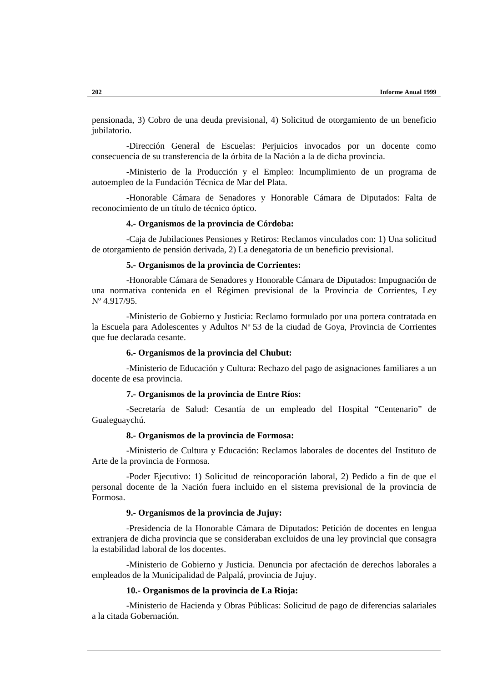pensionada, 3) Cobro de una deuda previsional, 4) Solicitud de otorgamiento de un beneficio jubilatorio.

-Dirección General de Escuelas: Perjuicios invocados por un docente como consecuencia de su transferencia de la órbita de la Nación a la de dicha provincia.

-Ministerio de la Producción y el Empleo: lncumplimiento de un programa de autoempleo de la Fundación Técnica de Mar del Plata.

-Honorable Cámara de Senadores y Honorable Cámara de Diputados: Falta de reconocimiento de un título de técnico óptico.

#### **4.- Organismos de la provincia de Córdoba:**

-Caja de Jubilaciones Pensiones y Retiros: Reclamos vinculados con: 1) Una solicitud de otorgamiento de pensión derivada, 2) La denegatoria de un beneficio previsional.

## **5.- Organismos de la provincia de Corrientes:**

-Honorable Cámara de Senadores y Honorable Cámara de Diputados: Impugnación de una normativa contenida en el Régimen previsional de la Provincia de Corrientes, Ley Nº 4.917/95.

-Ministerio de Gobierno y Justicia: Reclamo formulado por una portera contratada en la Escuela para Adolescentes y Adultos Nº 53 de la ciudad de Goya, Provincia de Corrientes que fue declarada cesante.

## **6.- Organismos de la provincia del Chubut:**

-Ministerio de Educación y Cultura: Rechazo del pago de asignaciones familiares a un docente de esa provincia.

## **7.- Organismos de la provincia de Entre Ríos:**

-Secretaría de Salud: Cesantía de un empleado del Hospital "Centenario" de Gualeguaychú.

#### **8.- Organismos de la provincia de Formosa:**

-Ministerio de Cultura y Educación: Reclamos laborales de docentes del Instituto de Arte de la provincia de Formosa.

-Poder Ejecutivo: 1) Solicitud de reincoporación laboral, 2) Pedido a fin de que el personal docente de la Nación fuera incluido en el sistema previsional de la provincia de Formosa.

#### **9.- Organismos de la provincia de Jujuy:**

-Presidencia de la Honorable Cámara de Diputados: Petición de docentes en lengua extranjera de dicha provincia que se consideraban excluidos de una ley provincial que consagra la estabilidad laboral de los docentes.

-Ministerio de Gobierno y Justicia. Denuncia por afectación de derechos laborales a empleados de la Municipalidad de Palpalá, provincia de Jujuy.

#### **10.- Organismos de la provincia de La Rioja:**

-Ministerio de Hacienda y Obras Públicas: Solicitud de pago de diferencias salariales a la citada Gobernación.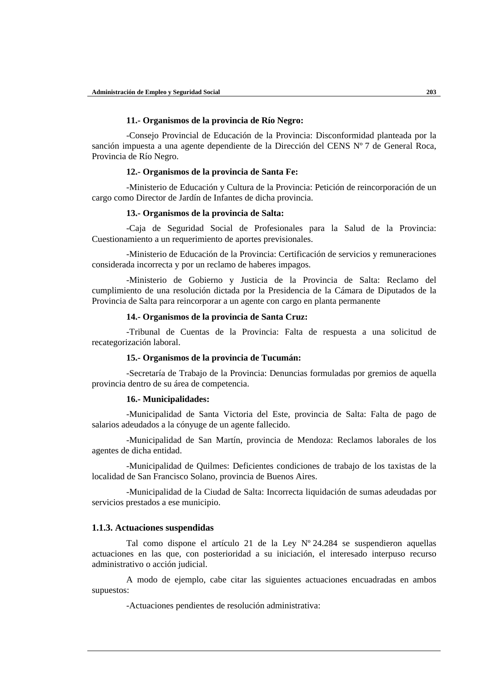#### **11.- Organismos de la provincia de Río Negro:**

-Consejo Provincial de Educación de la Provincia: Disconformidad planteada por la sanción impuesta a una agente dependiente de la Dirección del CENS Nº 7 de General Roca, Provincia de Río Negro.

#### **12.- Organismos de la provincia de Santa Fe:**

-Ministerio de Educación y Cultura de la Provincia: Petición de reincorporación de un cargo como Director de Jardín de Infantes de dicha provincia.

#### **13.- Organismos de la provincia de Salta:**

-Caja de Seguridad Social de Profesionales para la Salud de la Provincia: Cuestionamiento a un requerimiento de aportes previsionales.

-Ministerio de Educación de la Provincia: Certificación de servicios y remuneraciones considerada incorrecta y por un reclamo de haberes impagos.

-Ministerio de Gobierno y Justicia de la Provincia de Salta: Reclamo del cumplimiento de una resolución dictada por la Presidencia de la Cámara de Diputados de la Provincia de Salta para reincorporar a un agente con cargo en planta permanente

## **14.- Organismos de la provincia de Santa Cruz:**

-Tribunal de Cuentas de la Provincia: Falta de respuesta a una solicitud de recategorización laboral.

#### **15.- Organismos de la provincia de Tucumán:**

-Secretaría de Trabajo de la Provincia: Denuncias formuladas por gremios de aquella provincia dentro de su área de competencia.

#### **16.- Municipalidades:**

-Municipalidad de Santa Victoria del Este, provincia de Salta: Falta de pago de salarios adeudados a la cónyuge de un agente fallecido.

-Municipalidad de San Martín, provincia de Mendoza: Reclamos laborales de los agentes de dicha entidad.

-Municipalidad de Quilmes: Deficientes condiciones de trabajo de los taxistas de la localidad de San Francisco Solano, provincia de Buenos Aires.

-Municipalidad de la Ciudad de Salta: Incorrecta liquidación de sumas adeudadas por servicios prestados a ese municipio.

## **1.1.3. Actuaciones suspendidas**

Tal como dispone el artículo 21 de la Ley Nº 24.284 se suspendieron aquellas actuaciones en las que, con posterioridad a su iniciación, el interesado interpuso recurso administrativo o acción judicial.

A modo de ejemplo, cabe citar las siguientes actuaciones encuadradas en ambos supuestos:

-Actuaciones pendientes de resolución administrativa: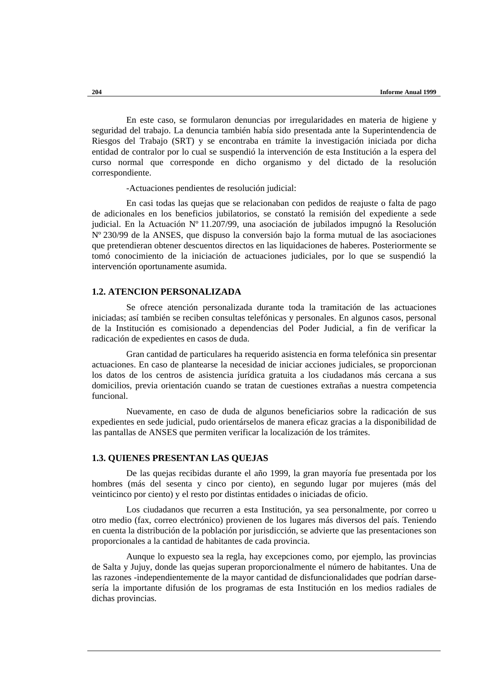En este caso, se formularon denuncias por irregularidades en materia de higiene y seguridad del trabajo. La denuncia también había sido presentada ante la Superintendencia de Riesgos del Trabajo (SRT) y se encontraba en trámite la investigación iniciada por dicha entidad de contralor por lo cual se suspendió la intervención de esta Institución a la espera del curso normal que corresponde en dicho organismo y del dictado de la resolución correspondiente.

-Actuaciones pendientes de resolución judicial:

En casi todas las quejas que se relacionaban con pedidos de reajuste o falta de pago de adicionales en los beneficios jubilatorios, se constató la remisión del expediente a sede judicial. En la Actuación Nº 11.207/99, una asociación de jubilados impugnó la Resolución Nº 230/99 de la ANSES, que dispuso la conversión bajo la forma mutual de las asociaciones que pretendieran obtener descuentos directos en las liquidaciones de haberes. Posteriormente se tomó conocimiento de la iniciación de actuaciones judiciales, por lo que se suspendió la intervención oportunamente asumida.

## **1.2. ATENCION PERSONALIZADA**

Se ofrece atención personalizada durante toda la tramitación de las actuaciones iniciadas; así también se reciben consultas telefónicas y personales. En algunos casos, personal de la Institución es comisionado a dependencias del Poder Judicial, a fin de verificar la radicación de expedientes en casos de duda.

Gran cantidad de particulares ha requerido asistencia en forma telefónica sin presentar actuaciones. En caso de plantearse la necesidad de iniciar acciones judiciales, se proporcionan los datos de los centros de asistencia jurídica gratuita a los ciudadanos más cercana a sus domicilios, previa orientación cuando se tratan de cuestiones extrañas a nuestra competencia funcional.

Nuevamente, en caso de duda de algunos beneficiarios sobre la radicación de sus expedientes en sede judicial, pudo orientárselos de manera eficaz gracias a la disponibilidad de las pantallas de ANSES que permiten verificar la localización de los trámites.

## **1.3. QUIENES PRESENTAN LAS QUEJAS**

De las quejas recibidas durante el año 1999, la gran mayoría fue presentada por los hombres (más del sesenta y cinco por ciento), en segundo lugar por mujeres (más del veinticinco por ciento) y el resto por distintas entidades o iniciadas de oficio.

Los ciudadanos que recurren a esta Institución, ya sea personalmente, por correo u otro medio (fax, correo electrónico) provienen de los lugares más diversos del país. Teniendo en cuenta la distribución de la población por jurisdicción, se advierte que las presentaciones son proporcionales a la cantidad de habitantes de cada provincia.

Aunque lo expuesto sea la regla, hay excepciones como, por ejemplo, las provincias de Salta y Jujuy, donde las quejas superan proporcionalmente el número de habitantes. Una de las razones -independientemente de la mayor cantidad de disfuncionalidades que podrían darsesería la importante difusión de los programas de esta Institución en los medios radiales de dichas provincias.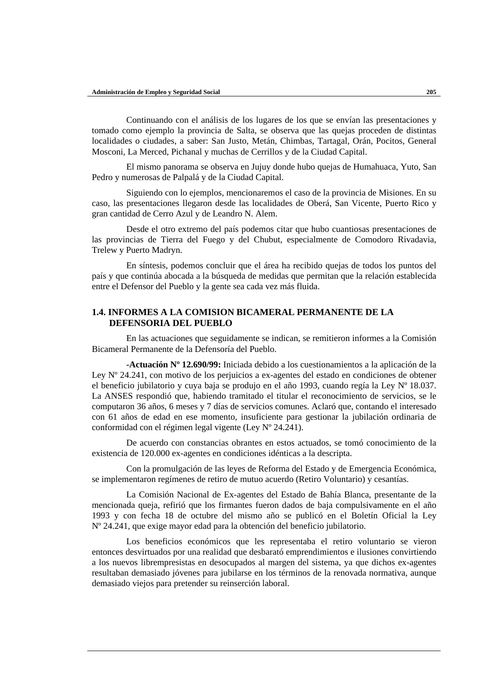Continuando con el análisis de los lugares de los que se envían las presentaciones y tomado como ejemplo la provincia de Salta, se observa que las quejas proceden de distintas localidades o ciudades, a saber: San Justo, Metán, Chimbas, Tartagal, Orán, Pocitos, General Mosconi, La Merced, Pichanal y muchas de Cerrillos y de la Ciudad Capital.

El mismo panorama se observa en Jujuy donde hubo quejas de Humahuaca, Yuto, San Pedro y numerosas de Palpalá y de la Ciudad Capital.

Siguiendo con lo ejemplos, mencionaremos el caso de la provincia de Misiones. En su caso, las presentaciones llegaron desde las localidades de Oberá, San Vicente, Puerto Rico y gran cantidad de Cerro Azul y de Leandro N. Alem.

Desde el otro extremo del país podemos citar que hubo cuantiosas presentaciones de las provincias de Tierra del Fuego y del Chubut, especialmente de Comodoro Rivadavia, Trelew y Puerto Madryn.

En síntesis, podemos concluir que el área ha recibido quejas de todos los puntos del país y que continúa abocada a la búsqueda de medidas que permitan que la relación establecida entre el Defensor del Pueblo y la gente sea cada vez más fluida.

## **1.4. INFORMES A LA COMISION BICAMERAL PERMANENTE DE LA DEFENSORIA DEL PUEBLO**

En las actuaciones que seguidamente se indican, se remitieron informes a la Comisión Bicameral Permanente de la Defensoría del Pueblo.

**-Actuación Nº 12.690/99:** Iniciada debido a los cuestionamientos a la aplicación de la Ley Nº 24.241, con motivo de los perjuicios a ex-agentes del estado en condiciones de obtener el beneficio jubilatorio y cuya baja se produjo en el año 1993, cuando regía la Ley Nº 18.037. La ANSES respondió que, habiendo tramitado el titular el reconocimiento de servicios, se le computaron 36 años, 6 meses y 7 días de servicios comunes. Aclaró que, contando el interesado con 61 años de edad en ese momento, insuficiente para gestionar la jubilación ordinaria de conformidad con el régimen legal vigente (Ley Nº 24.241).

De acuerdo con constancias obrantes en estos actuados, se tomó conocimiento de la existencia de 120.000 ex-agentes en condiciones idénticas a la descripta.

Con la promulgación de las leyes de Reforma del Estado y de Emergencia Económica, se implementaron regímenes de retiro de mutuo acuerdo (Retiro Voluntario) y cesantías.

La Comisión Nacional de Ex-agentes del Estado de Bahía Blanca, presentante de la mencionada queja, refirió que los firmantes fueron dados de baja compulsivamente en el año 1993 y con fecha 18 de octubre del mismo año se publicó en el Boletín Oficial la Ley Nº 24.241, que exige mayor edad para la obtención del beneficio jubilatorio.

Los beneficios económicos que les representaba el retiro voluntario se vieron entonces desvirtuados por una realidad que desbarató emprendimientos e ilusiones convirtiendo a los nuevos librempresistas en desocupados al margen del sistema, ya que dichos ex-agentes resultaban demasiado jóvenes para jubilarse en los términos de la renovada normativa, aunque demasiado viejos para pretender su reinserción laboral.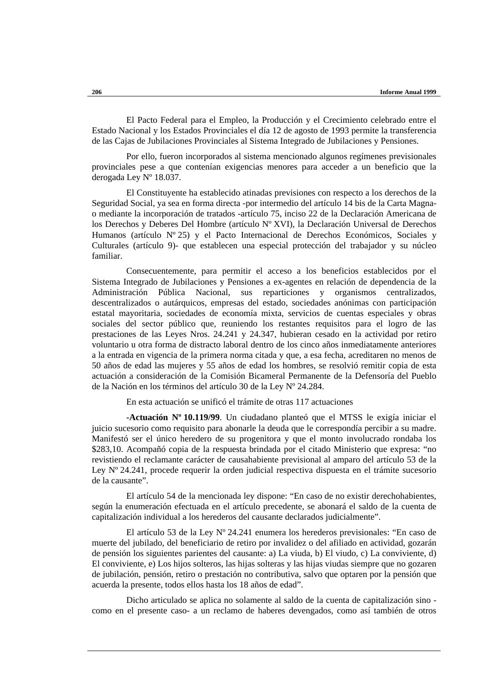El Pacto Federal para el Empleo, la Producción y el Crecimiento celebrado entre el Estado Nacional y los Estados Provinciales el día 12 de agosto de 1993 permite la transferencia de las Cajas de Jubilaciones Provinciales al Sistema Integrado de Jubilaciones y Pensiones.

Por ello, fueron incorporados al sistema mencionado algunos regímenes previsionales provinciales pese a que contenían exigencias menores para acceder a un beneficio que la derogada Ley Nº 18.037.

El Constituyente ha establecido atinadas previsiones con respecto a los derechos de la Seguridad Social, ya sea en forma directa -por intermedio del artículo 14 bis de la Carta Magnao mediante la incorporación de tratados -artículo 75, inciso 22 de la Declaración Americana de los Derechos y Deberes Del Hombre (artículo Nº XVI), la Declaración Universal de Derechos Humanos (artículo Nº 25) y el Pacto Internacional de Derechos Económicos, Sociales y Culturales (artículo 9)- que establecen una especial protección del trabajador y su núcleo familiar.

Consecuentemente, para permitir el acceso a los beneficios establecidos por el Sistema Integrado de Jubilaciones y Pensiones a ex-agentes en relación de dependencia de la Administración Pública Nacional, sus reparticiones y organismos centralizados, descentralizados o autárquicos, empresas del estado, sociedades anónimas con participación estatal mayoritaria, sociedades de economía mixta, servicios de cuentas especiales y obras sociales del sector público que, reuniendo los restantes requisitos para el logro de las prestaciones de las Leyes Nros. 24.241 y 24.347, hubieran cesado en la actividad por retiro voluntario u otra forma de distracto laboral dentro de los cinco años inmediatamente anteriores a la entrada en vigencia de la primera norma citada y que, a esa fecha, acreditaren no menos de 50 años de edad las mujeres y 55 años de edad los hombres, se resolvió remitir copia de esta actuación a consideración de la Comisión Bicameral Permanente de la Defensoría del Pueblo de la Nación en los términos del artículo 30 de la Ley Nº 24.284.

En esta actuación se unificó el trámite de otras 117 actuaciones

**-Actuación Nº 10.119/99**. Un ciudadano planteó que el MTSS le exigía iniciar el juicio sucesorio como requisito para abonarle la deuda que le correspondía percibir a su madre. Manifestó ser el único heredero de su progenitora y que el monto involucrado rondaba los \$283,10. Acompañó copia de la respuesta brindada por el citado Ministerio que expresa: "no revistiendo el reclamante carácter de causahabiente previsional al amparo del artículo 53 de la Ley Nº 24.241, procede requerir la orden judicial respectiva dispuesta en el trámite sucesorio de la causante".

El artículo 54 de la mencionada ley dispone: "En caso de no existir derechohabientes, según la enumeración efectuada en el artículo precedente, se abonará el saldo de la cuenta de capitalización individual a los herederos del causante declarados judicialmente".

El artículo 53 de la Ley Nº 24.241 enumera los herederos previsionales: "En caso de muerte del jubilado, del beneficiario de retiro por invalidez o del afiliado en actividad, gozarán de pensión los siguientes parientes del causante: a) La viuda, b) El viudo, c) La conviviente, d) El conviviente, e) Los hijos solteros, las hijas solteras y las hijas viudas siempre que no gozaren de jubilación, pensión, retiro o prestación no contributiva, salvo que optaren por la pensión que acuerda la presente, todos ellos hasta los 18 años de edad".

Dicho articulado se aplica no solamente al saldo de la cuenta de capitalización sino como en el presente caso- a un reclamo de haberes devengados, como así también de otros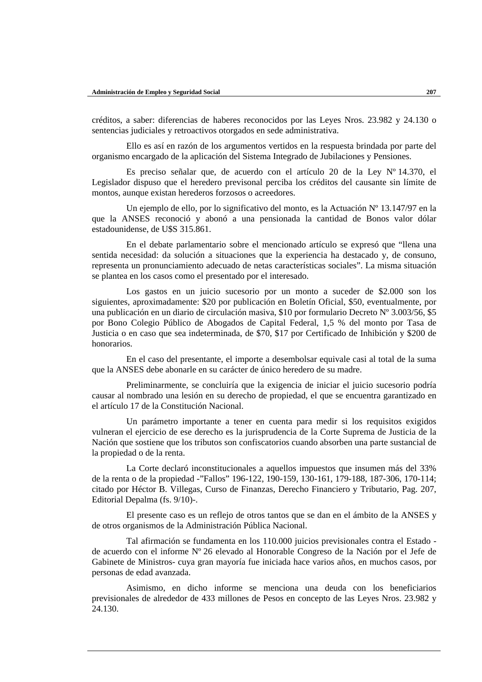créditos, a saber: diferencias de haberes reconocidos por las Leyes Nros. 23.982 y 24.130 o sentencias judiciales y retroactivos otorgados en sede administrativa.

Ello es así en razón de los argumentos vertidos en la respuesta brindada por parte del organismo encargado de la aplicación del Sistema Integrado de Jubilaciones y Pensiones.

Es preciso señalar que, de acuerdo con el artículo 20 de la Ley Nº 14.370, el Legislador dispuso que el heredero previsonal perciba los créditos del causante sin límite de montos, aunque existan herederos forzosos o acreedores.

Un ejemplo de ello, por lo significativo del monto, es la Actuación Nº 13.147/97 en la que la ANSES reconoció y abonó a una pensionada la cantidad de Bonos valor dólar estadounidense, de U\$S 315.861.

En el debate parlamentario sobre el mencionado artículo se expresó que "llena una sentida necesidad: da solución a situaciones que la experiencia ha destacado y, de consuno, representa un pronunciamiento adecuado de netas características sociales". La misma situación se plantea en los casos como el presentado por el interesado.

Los gastos en un juicio sucesorio por un monto a suceder de \$2.000 son los siguientes, aproximadamente: \$20 por publicación en Boletín Oficial, \$50, eventualmente, por una publicación en un diario de circulación masiva, \$10 por formulario Decreto Nº 3.003/56, \$5 por Bono Colegio Público de Abogados de Capital Federal, 1,5 % del monto por Tasa de Justicia o en caso que sea indeterminada, de \$70, \$17 por Certificado de Inhibición y \$200 de honorarios.

En el caso del presentante, el importe a desembolsar equivale casi al total de la suma que la ANSES debe abonarle en su carácter de único heredero de su madre.

Preliminarmente, se concluiría que la exigencia de iniciar el juicio sucesorio podría causar al nombrado una lesión en su derecho de propiedad, el que se encuentra garantizado en el artículo 17 de la Constitución Nacional.

Un parámetro importante a tener en cuenta para medir si los requisitos exigidos vulneran el ejercicio de ese derecho es la jurisprudencia de la Corte Suprema de Justicia de la Nación que sostiene que los tributos son confiscatorios cuando absorben una parte sustancial de la propiedad o de la renta.

La Corte declaró inconstitucionales a aquellos impuestos que insumen más del 33% de la renta o de la propiedad -"Fallos" 196-122, 190-159, 130-161, 179-188, 187-306, 170-114; citado por Héctor B. Villegas, Curso de Finanzas, Derecho Financiero y Tributario, Pag. 207, Editorial Depalma (fs. 9/10)-.

El presente caso es un reflejo de otros tantos que se dan en el ámbito de la ANSES y de otros organismos de la Administración Pública Nacional.

Tal afirmación se fundamenta en los 110.000 juicios previsionales contra el Estado de acuerdo con el informe Nº 26 elevado al Honorable Congreso de la Nación por el Jefe de Gabinete de Ministros- cuya gran mayoría fue iniciada hace varios años, en muchos casos, por personas de edad avanzada.

Asimismo, en dicho informe se menciona una deuda con los beneficiarios previsionales de alrededor de 433 millones de Pesos en concepto de las Leyes Nros. 23.982 y 24.130.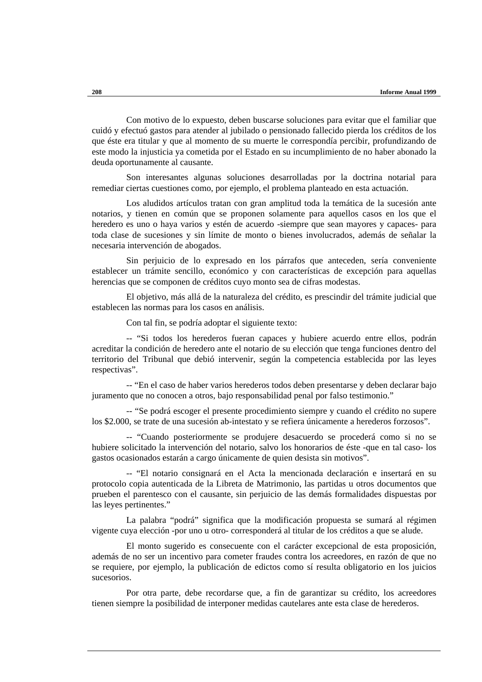Con motivo de lo expuesto, deben buscarse soluciones para evitar que el familiar que cuidó y efectuó gastos para atender al jubilado o pensionado fallecido pierda los créditos de los que éste era titular y que al momento de su muerte le correspondía percibir, profundizando de este modo la injusticia ya cometida por el Estado en su incumplimiento de no haber abonado la deuda oportunamente al causante.

Son interesantes algunas soluciones desarrolladas por la doctrina notarial para remediar ciertas cuestiones como, por ejemplo, el problema planteado en esta actuación.

Los aludidos artículos tratan con gran amplitud toda la temática de la sucesión ante notarios, y tienen en común que se proponen solamente para aquellos casos en los que el heredero es uno o haya varios y estén de acuerdo -siempre que sean mayores y capaces- para toda clase de sucesiones y sin límite de monto o bienes involucrados, además de señalar la necesaria intervención de abogados.

Sin perjuicio de lo expresado en los párrafos que anteceden, sería conveniente establecer un trámite sencillo, económico y con características de excepción para aquellas herencias que se componen de créditos cuyo monto sea de cifras modestas.

El objetivo, más allá de la naturaleza del crédito, es prescindir del trámite judicial que establecen las normas para los casos en análisis.

Con tal fin, se podría adoptar el siguiente texto:

-- "Si todos los herederos fueran capaces y hubiere acuerdo entre ellos, podrán acreditar la condición de heredero ante el notario de su elección que tenga funciones dentro del territorio del Tribunal que debió intervenir, según la competencia establecida por las leyes respectivas".

-- "En el caso de haber varios herederos todos deben presentarse y deben declarar bajo juramento que no conocen a otros, bajo responsabilidad penal por falso testimonio."

-- "Se podrá escoger el presente procedimiento siempre y cuando el crédito no supere los \$2.000, se trate de una sucesión ab-intestato y se refiera únicamente a herederos forzosos".

-- "Cuando posteriormente se produjere desacuerdo se procederá como si no se hubiere solicitado la intervención del notario, salvo los honorarios de éste -que en tal caso- los gastos ocasionados estarán a cargo únicamente de quien desista sin motivos".

-- "El notario consignará en el Acta la mencionada declaración e insertará en su protocolo copia autenticada de la Libreta de Matrimonio, las partidas u otros documentos que prueben el parentesco con el causante, sin perjuicio de las demás formalidades dispuestas por las leyes pertinentes."

La palabra "podrá" significa que la modificación propuesta se sumará al régimen vigente cuya elección -por uno u otro- corresponderá al titular de los créditos a que se alude.

El monto sugerido es consecuente con el carácter excepcional de esta proposición, además de no ser un incentivo para cometer fraudes contra los acreedores, en razón de que no se requiere, por ejemplo, la publicación de edictos como sí resulta obligatorio en los juicios sucesorios.

Por otra parte, debe recordarse que, a fin de garantizar su crédito, los acreedores tienen siempre la posibilidad de interponer medidas cautelares ante esta clase de herederos.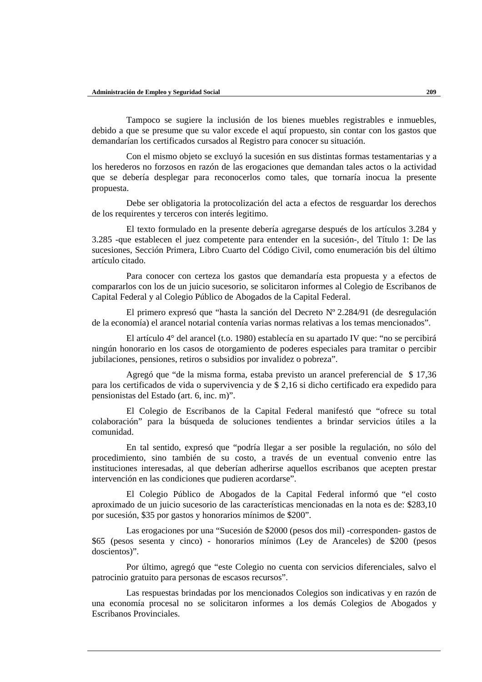Tampoco se sugiere la inclusión de los bienes muebles registrables e inmuebles, debido a que se presume que su valor excede el aquí propuesto, sin contar con los gastos que demandarían los certificados cursados al Registro para conocer su situación.

Con el mismo objeto se excluyó la sucesión en sus distintas formas testamentarias y a los herederos no forzosos en razón de las erogaciones que demandan tales actos o la actividad que se debería desplegar para reconocerlos como tales, que tornaría inocua la presente propuesta.

Debe ser obligatoria la protocolización del acta a efectos de resguardar los derechos de los requirentes y terceros con interés legitimo.

El texto formulado en la presente debería agregarse después de los artículos 3.284 y 3.285 -que establecen el juez competente para entender en la sucesión-, del Título 1: De las sucesiones, Sección Primera, Libro Cuarto del Código Civil, como enumeración bis del último artículo citado.

Para conocer con certeza los gastos que demandaría esta propuesta y a efectos de compararlos con los de un juicio sucesorio, se solicitaron informes al Colegio de Escribanos de Capital Federal y al Colegio Público de Abogados de la Capital Federal.

El primero expresó que "hasta la sanción del Decreto Nº 2.284/91 (de desregulación de la economía) el arancel notarial contenía varias normas relativas a los temas mencionados".

El artículo 4° del arancel (t.o. 1980) establecía en su apartado IV que: "no se percibirá ningún honorario en los casos de otorgamiento de poderes especiales para tramitar o percibir jubilaciones, pensiones, retiros o subsidios por invalidez o pobreza".

Agregó que "de la misma forma, estaba previsto un arancel preferencial de \$ 17,36 para los certificados de vida o supervivencia y de \$ 2,16 si dicho certificado era expedido para pensionistas del Estado (art. 6, inc. m)".

El Colegio de Escribanos de la Capital Federal manifestó que "ofrece su total colaboración" para la búsqueda de soluciones tendientes a brindar servicios útiles a la comunidad.

En tal sentido, expresó que "podría llegar a ser posible la regulación, no sólo del procedimiento, sino también de su costo, a través de un eventual convenio entre las instituciones interesadas, al que deberían adherirse aquellos escribanos que acepten prestar intervención en las condiciones que pudieren acordarse".

El Colegio Público de Abogados de la Capital Federal informó que "el costo aproximado de un juicio sucesorio de las características mencionadas en la nota es de: \$283,10 por sucesión, \$35 por gastos y honorarios mínimos de \$200".

Las erogaciones por una "Sucesión de \$2000 (pesos dos mil) -corresponden- gastos de \$65 (pesos sesenta y cinco) - honorarios mínimos (Ley de Aranceles) de \$200 (pesos doscientos)".

Por último, agregó que "este Colegio no cuenta con servicios diferenciales, salvo el patrocinio gratuito para personas de escasos recursos".

Las respuestas brindadas por los mencionados Colegios son indicativas y en razón de una economía procesal no se solicitaron informes a los demás Colegios de Abogados y Escribanos Provinciales.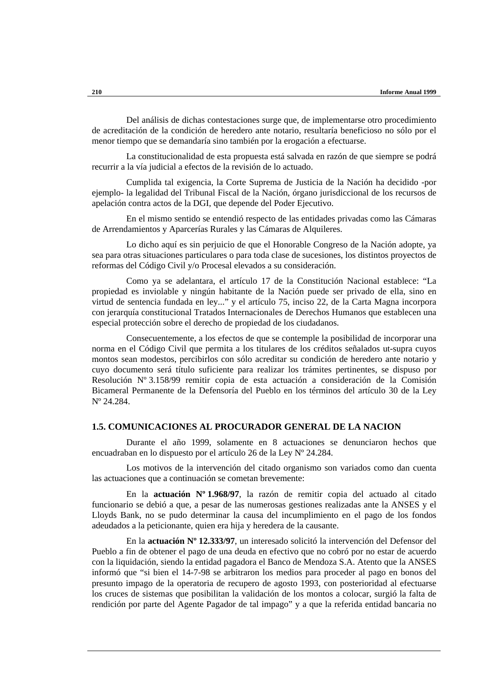Del análisis de dichas contestaciones surge que, de implementarse otro procedimiento de acreditación de la condición de heredero ante notario, resultaría beneficioso no sólo por el menor tiempo que se demandaría sino también por la erogación a efectuarse.

La constitucionalidad de esta propuesta está salvada en razón de que siempre se podrá recurrir a la vía judicial a efectos de la revisión de lo actuado.

Cumplida tal exigencia, la Corte Suprema de Justicia de la Nación ha decidido -por ejemplo- la legalidad del Tribunal Fiscal de la Nación, órgano jurisdiccional de los recursos de apelación contra actos de la DGI, que depende del Poder Ejecutivo.

En el mismo sentido se entendió respecto de las entidades privadas como las Cámaras de Arrendamientos y Aparcerías Rurales y las Cámaras de Alquileres.

Lo dicho aquí es sin perjuicio de que el Honorable Congreso de la Nación adopte, ya sea para otras situaciones particulares o para toda clase de sucesiones, los distintos proyectos de reformas del Código Civil y/o Procesal elevados a su consideración.

Como ya se adelantara, el artículo 17 de la Constitución Nacional establece: "La propiedad es inviolable y ningún habitante de la Nación puede ser privado de ella, sino en virtud de sentencia fundada en ley..." y el artículo 75, inciso 22, de la Carta Magna incorpora con jerarquía constitucional Tratados Internacionales de Derechos Humanos que establecen una especial protección sobre el derecho de propiedad de los ciudadanos.

Consecuentemente, a los efectos de que se contemple la posibilidad de incorporar una norma en el Código Civil que permita a los titulares de los créditos señalados ut-supra cuyos montos sean modestos, percibirlos con sólo acreditar su condición de heredero ante notario y cuyo documento será título suficiente para realizar los trámites pertinentes, se dispuso por Resolución Nº 3.158/99 remitir copia de esta actuación a consideración de la Comisión Bicameral Permanente de la Defensoría del Pueblo en los términos del artículo 30 de la Ley Nº 24.284.

#### **1.5. COMUNICACIONES AL PROCURADOR GENERAL DE LA NACION**

Durante el año 1999, solamente en 8 actuaciones se denunciaron hechos que encuadraban en lo dispuesto por el artículo 26 de la Ley Nº 24.284.

Los motivos de la intervención del citado organismo son variados como dan cuenta las actuaciones que a continuación se cometan brevemente:

En la **actuación Nº 1.968/97**, la razón de remitir copia del actuado al citado funcionario se debió a que, a pesar de las numerosas gestiones realizadas ante la ANSES y el Lloyds Bank, no se pudo determinar la causa del incumplimiento en el pago de los fondos adeudados a la peticionante, quien era hija y heredera de la causante.

En la **actuación Nº 12.333/97**, un interesado solicitó la intervención del Defensor del Pueblo a fin de obtener el pago de una deuda en efectivo que no cobró por no estar de acuerdo con la liquidación, siendo la entidad pagadora el Banco de Mendoza S.A. Atento que la ANSES informó que "si bien el 14-7-98 se arbitraron los medios para proceder al pago en bonos del presunto impago de la operatoria de recupero de agosto 1993, con posterioridad al efectuarse los cruces de sistemas que posibilitan la validación de los montos a colocar, surgió la falta de rendición por parte del Agente Pagador de tal impago" y a que la referida entidad bancaria no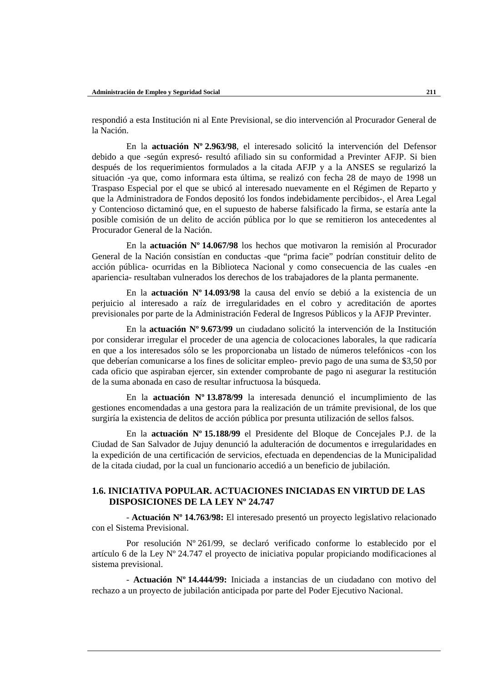respondió a esta Institución ni al Ente Previsional, se dio intervención al Procurador General de la Nación.

En la **actuación Nº 2.963/98**, el interesado solicitó la intervención del Defensor debido a que -según expresó- resultó afiliado sin su conformidad a Previnter AFJP. Si bien después de los requerimientos formulados a la citada AFJP y a la ANSES se regularizó la situación -ya que, como informara esta última, se realizó con fecha 28 de mayo de 1998 un Traspaso Especial por el que se ubicó al interesado nuevamente en el Régimen de Reparto y que la Administradora de Fondos depositó los fondos indebidamente percibidos-, el Area Legal y Contencioso dictaminó que, en el supuesto de haberse falsificado la firma, se estaría ante la posible comisión de un delito de acción pública por lo que se remitieron los antecedentes al Procurador General de la Nación.

En la **actuación Nº 14.067/98** los hechos que motivaron la remisión al Procurador General de la Nación consistían en conductas -que "prima facie" podrían constituir delito de acción pública- ocurridas en la Biblioteca Nacional y como consecuencia de las cuales -en apariencia- resultaban vulnerados los derechos de los trabajadores de la planta permanente.

En la **actuación Nº 14.093/98** la causa del envío se debió a la existencia de un perjuicio al interesado a raíz de irregularidades en el cobro y acreditación de aportes previsionales por parte de la Administración Federal de Ingresos Públicos y la AFJP Previnter.

En la **actuación Nº 9.673/99** un ciudadano solicitó la intervención de la Institución por considerar irregular el proceder de una agencia de colocaciones laborales, la que radicaría en que a los interesados sólo se les proporcionaba un listado de números telefónicos -con los que deberían comunicarse a los fines de solicitar empleo- previo pago de una suma de \$3,50 por cada oficio que aspiraban ejercer, sin extender comprobante de pago ni asegurar la restitución de la suma abonada en caso de resultar infructuosa la búsqueda.

En la **actuación Nº 13.878/99** la interesada denunció el incumplimiento de las gestiones encomendadas a una gestora para la realización de un trámite previsional, de los que surgiría la existencia de delitos de acción pública por presunta utilización de sellos falsos.

En la **actuación Nº 15.188/99** el Presidente del Bloque de Concejales P.J. de la Ciudad de San Salvador de Jujuy denunció la adulteración de documentos e irregularidades en la expedición de una certificación de servicios, efectuada en dependencias de la Municipalidad de la citada ciudad, por la cual un funcionario accedió a un beneficio de jubilación.

## **1.6. INICIATIVA POPULAR. ACTUACIONES INICIADAS EN VIRTUD DE LAS DISPOSICIONES DE LA LEY Nº 24.747**

- **Actuación Nº 14.763/98:** El interesado presentó un proyecto legislativo relacionado con el Sistema Previsional.

Por resolución Nº 261/99, se declaró verificado conforme lo establecido por el artículo 6 de la Ley  $N^{\circ}$  24.747 el proyecto de iniciativa popular propiciando modificaciones al sistema previsional.

- **Actuación Nº 14.444/99:** Iniciada a instancias de un ciudadano con motivo del rechazo a un proyecto de jubilación anticipada por parte del Poder Ejecutivo Nacional.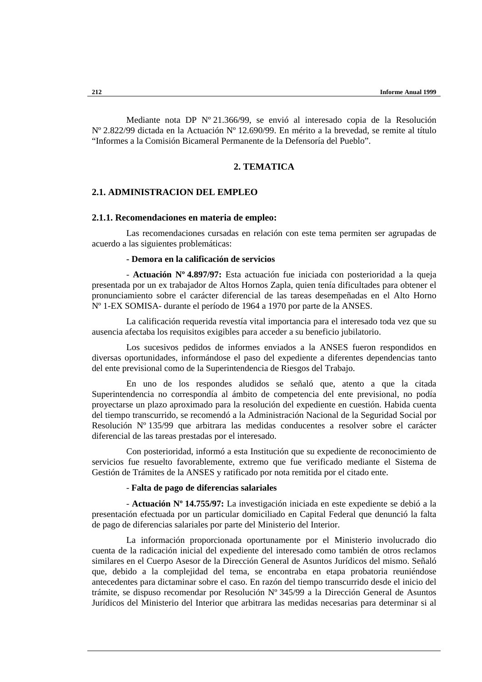Mediante nota DP Nº 21.366/99, se envió al interesado copia de la Resolución Nº 2.822/99 dictada en la Actuación Nº 12.690/99. En mérito a la brevedad, se remite al título "Informes a la Comisión Bicameral Permanente de la Defensoría del Pueblo".

# **2. TEMATICA**

## **2.1. ADMINISTRACION DEL EMPLEO**

## **2.1.1. Recomendaciones en materia de empleo:**

Las recomendaciones cursadas en relación con este tema permiten ser agrupadas de acuerdo a las siguientes problemáticas:

#### **- Demora en la calificación de servicios**

- **Actuación Nº 4.897/97:** Esta actuación fue iniciada con posterioridad a la queja presentada por un ex trabajador de Altos Hornos Zapla, quien tenía dificultades para obtener el pronunciamiento sobre el carácter diferencial de las tareas desempeñadas en el Alto Horno Nº 1-EX SOMISA- durante el período de 1964 a 1970 por parte de la ANSES.

La calificación requerida revestía vital importancia para el interesado toda vez que su ausencia afectaba los requisitos exigibles para acceder a su beneficio jubilatorio.

Los sucesivos pedidos de informes enviados a la ANSES fueron respondidos en diversas oportunidades, informándose el paso del expediente a diferentes dependencias tanto del ente previsional como de la Superintendencia de Riesgos del Trabajo.

En uno de los respondes aludidos se señaló que, atento a que la citada Superintendencia no correspondía al ámbito de competencia del ente previsional, no podía proyectarse un plazo aproximado para la resolución del expediente en cuestión. Habida cuenta del tiempo transcurrido, se recomendó a la Administración Nacional de la Seguridad Social por Resolución Nº 135/99 que arbitrara las medidas conducentes a resolver sobre el carácter diferencial de las tareas prestadas por el interesado.

Con posterioridad, informó a esta Institución que su expediente de reconocimiento de servicios fue resuelto favorablemente, extremo que fue verificado mediante el Sistema de Gestión de Trámites de la ANSES y ratificado por nota remitida por el citado ente.

#### - **Falta de pago de diferencias salariales**

- **Actuación Nº 14.755/97:** La investigación iniciada en este expediente se debió a la presentación efectuada por un particular domiciliado en Capital Federal que denunció la falta de pago de diferencias salariales por parte del Ministerio del Interior.

La información proporcionada oportunamente por el Ministerio involucrado dio cuenta de la radicación inicial del expediente del interesado como también de otros reclamos similares en el Cuerpo Asesor de la Dirección General de Asuntos Jurídicos del mismo. Señaló que, debido a la complejidad del tema, se encontraba en etapa probatoria reuniéndose antecedentes para dictaminar sobre el caso. En razón del tiempo transcurrido desde el inicio del trámite, se dispuso recomendar por Resolución Nº 345/99 a la Dirección General de Asuntos Jurídicos del Ministerio del Interior que arbitrara las medidas necesarias para determinar si al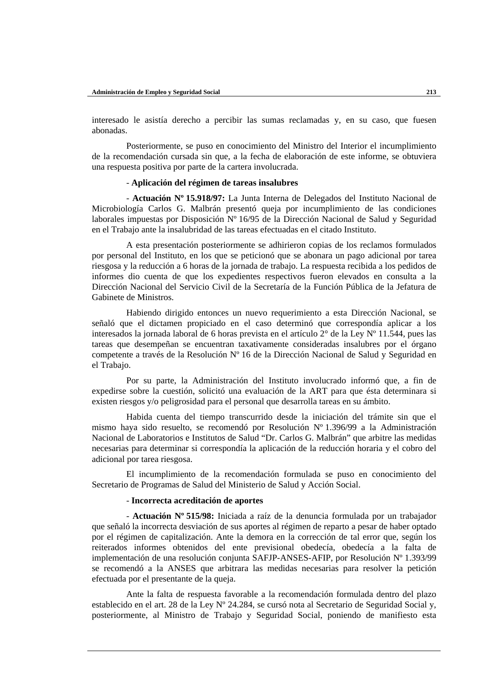interesado le asistía derecho a percibir las sumas reclamadas y, en su caso, que fuesen abonadas.

Posteriormente, se puso en conocimiento del Ministro del Interior el incumplimiento de la recomendación cursada sin que, a la fecha de elaboración de este informe, se obtuviera una respuesta positiva por parte de la cartera involucrada.

## - **Aplicación del régimen de tareas insalubres**

- **Actuación Nº 15.918/97:** La Junta Interna de Delegados del Instituto Nacional de Microbiología Carlos G. Malbrán presentó queja por incumplimiento de las condiciones laborales impuestas por Disposición  $N^{\circ}$  16/95 de la Dirección Nacional de Salud y Seguridad en el Trabajo ante la insalubridad de las tareas efectuadas en el citado Instituto.

A esta presentación posteriormente se adhirieron copias de los reclamos formulados por personal del Instituto, en los que se peticionó que se abonara un pago adicional por tarea riesgosa y la reducción a 6 horas de la jornada de trabajo. La respuesta recibida a los pedidos de informes dio cuenta de que los expedientes respectivos fueron elevados en consulta a la Dirección Nacional del Servicio Civil de la Secretaría de la Función Pública de la Jefatura de Gabinete de Ministros.

Habiendo dirigido entonces un nuevo requerimiento a esta Dirección Nacional, se señaló que el dictamen propiciado en el caso determinó que correspondía aplicar a los interesados la jornada laboral de 6 horas prevista en el artículo  $2^{\circ}$  de la Ley N° 11.544, pues las tareas que desempeñan se encuentran taxativamente consideradas insalubres por el órgano competente a través de la Resolución Nº 16 de la Dirección Nacional de Salud y Seguridad en el Trabajo.

Por su parte, la Administración del Instituto involucrado informó que, a fin de expedirse sobre la cuestión, solicitó una evaluación de la ART para que ésta determinara si existen riesgos y/o peligrosidad para el personal que desarrolla tareas en su ámbito.

Habida cuenta del tiempo transcurrido desde la iniciación del trámite sin que el mismo haya sido resuelto, se recomendó por Resolución Nº 1.396/99 a la Administración Nacional de Laboratorios e Institutos de Salud "Dr. Carlos G. Malbrán" que arbitre las medidas necesarias para determinar si correspondía la aplicación de la reducción horaria y el cobro del adicional por tarea riesgosa.

El incumplimiento de la recomendación formulada se puso en conocimiento del Secretario de Programas de Salud del Ministerio de Salud y Acción Social.

## - **Incorrecta acreditación de aportes**

- **Actuación Nº 515/98:** Iniciada a raíz de la denuncia formulada por un trabajador que señaló la incorrecta desviación de sus aportes al régimen de reparto a pesar de haber optado por el régimen de capitalización. Ante la demora en la corrección de tal error que, según los reiterados informes obtenidos del ente previsional obedecía, obedecía a la falta de implementación de una resolución conjunta SAFJP-ANSES-AFIP, por Resolución Nº 1.393/99 se recomendó a la ANSES que arbitrara las medidas necesarias para resolver la petición efectuada por el presentante de la queja.

Ante la falta de respuesta favorable a la recomendación formulada dentro del plazo establecido en el art. 28 de la Ley Nº 24.284, se cursó nota al Secretario de Seguridad Social y, posteriormente, al Ministro de Trabajo y Seguridad Social, poniendo de manifiesto esta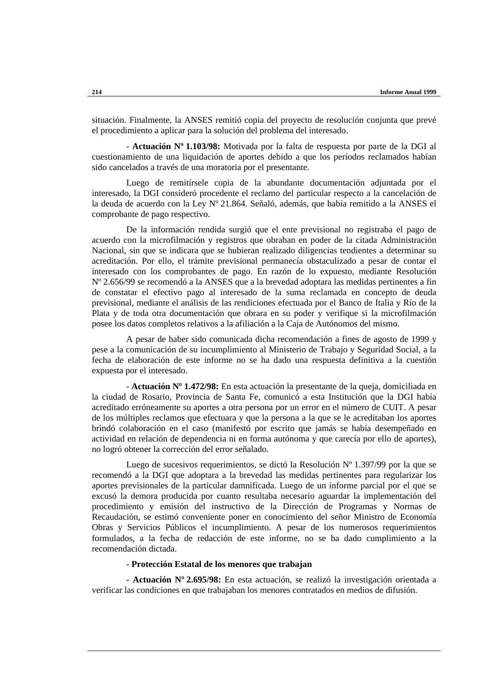situación. Finalmente, la ANSES remitió copia del proyecto de resolución conjunta que prevé el procedimiento a aplicar para la solución del problema del interesado.

- **Actuación Nº 1.103/98:** Motivada por la falta de respuesta por parte de la DGI al cuestionamiento de una liquidación de aportes debido a que los períodos reclamados habían sido cancelados a través de una moratoria por el presentante.

Luego de remitírsele copia de la abundante documentación adjuntada por el interesado, la DGI consideró procedente el reclamo del particular respecto a la cancelación de la deuda de acuerdo con la Ley Nº 21.864. Señaló, además, que había remitido a la ANSES el comprobante de pago respectivo.

De la información rendida surgió que el ente previsional no registraba el pago de acuerdo con la microfilmación y registros que obraban en poder de la citada Administración Nacional, sin que se indicara que se hubieran realizado diligencias tendientes a determinar su acreditación. Por ello, el trámite previsional permanecía obstaculizado a pesar de contar el interesado con los comprobantes de pago. En razón de lo expuesto, mediante Resolución Nº 2.656/99 se recomendó a la ANSES que a la brevedad adoptara las medidas pertinentes a fin de constatar el efectivo pago al interesado de la suma reclamada en concepto de deuda previsional, mediante el análisis de las rendiciones efectuada por el Banco de Italia y Río de la Plata y de toda otra documentación que obrara en su poder y verifique si la microfilmación posee los datos completos relativos a la afiliación a la Caja de Autónomos del mismo.

A pesar de haber sido comunicada dicha recomendación a fines de agosto de 1999 y pese a la comunicación de su incumplimiento al Ministerio de Trabajo y Seguridad Social, a la fecha de elaboración de este informe no se ha dado una respuesta definitiva a la cuestión expuesta por el interesado.

- **Actuación Nº 1.472/98:** En esta actuación la presentante de la queja, domiciliada en la ciudad de Rosario, Provincia de Santa Fe, comunicó a esta Institución que la DGI había acreditado erróneamente su aportes a otra persona por un error en el número de CUIT. A pesar de los múltiples reclamos que efectuara y que la persona a la que se le acreditaban los aportes brindó colaboración en el caso (manifestó por escrito que jamás se había desempeñado en actividad en relación de dependencia ni en forma autónoma y que carecía por ello de aportes), no logró obtener la corrección del error señalado.

Luego de sucesivos requerimientos, se dictó la Resolución Nº 1.397/99 por la que se recomendó a la DGI que adoptara a la brevedad las medidas pertinentes para regularizar los aportes previsionales de la particular damnificada. Luego de un informe parcial por el que se excusó la demora producida por cuanto resultaba necesario aguardar la implementación del procedimiento y emisión del instructivo de la Dirección de Programas y Normas de Recaudación, se estimó conveniente poner en conocimiento del señor Ministro de Economía Obras y Servicios Públicos el incumplimiento. A pesar de los numerosos requerimientos formulados, a la fecha de redacción de este informe, no se ha dado cumplimiento a la recomendación dictada.

## **- Protección Estatal de los menores que trabajan**

**- Actuación Nº 2.695/98:** En esta actuación, se realizó la investigación orientada a verificar las condiciones en que trabajaban los menores contratados en medios de difusión.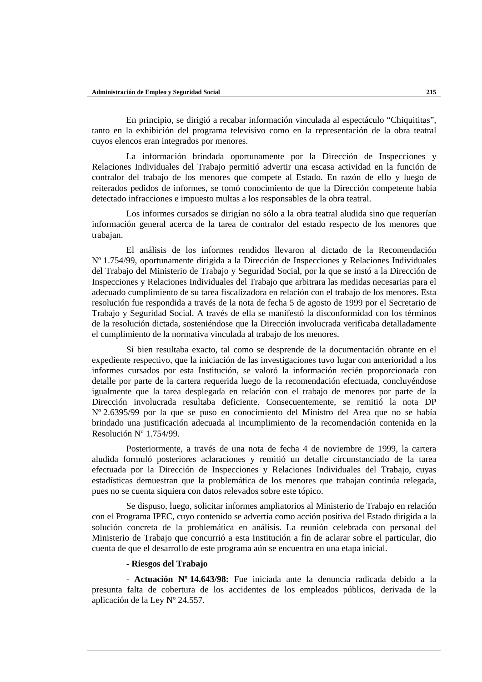En principio, se dirigió a recabar información vinculada al espectáculo "Chiquititas", tanto en la exhibición del programa televisivo como en la representación de la obra teatral cuyos elencos eran integrados por menores.

La información brindada oportunamente por la Dirección de Inspecciones y Relaciones Individuales del Trabajo permitió advertir una escasa actividad en la función de contralor del trabajo de los menores que compete al Estado. En razón de ello y luego de reiterados pedidos de informes, se tomó conocimiento de que la Dirección competente había detectado infracciones e impuesto multas a los responsables de la obra teatral.

Los informes cursados se dirigían no sólo a la obra teatral aludida sino que requerían información general acerca de la tarea de contralor del estado respecto de los menores que trabajan.

El análisis de los informes rendidos llevaron al dictado de la Recomendación Nº 1.754/99, oportunamente dirigida a la Dirección de Inspecciones y Relaciones Individuales del Trabajo del Ministerio de Trabajo y Seguridad Social, por la que se instó a la Dirección de Inspecciones y Relaciones Individuales del Trabajo que arbitrara las medidas necesarias para el adecuado cumplimiento de su tarea fiscalizadora en relación con el trabajo de los menores. Esta resolución fue respondida a través de la nota de fecha 5 de agosto de 1999 por el Secretario de Trabajo y Seguridad Social. A través de ella se manifestó la disconformidad con los términos de la resolución dictada, sosteniéndose que la Dirección involucrada verificaba detalladamente el cumplimiento de la normativa vinculada al trabajo de los menores.

Si bien resultaba exacto, tal como se desprende de la documentación obrante en el expediente respectivo, que la iniciación de las investigaciones tuvo lugar con anterioridad a los informes cursados por esta Institución, se valoró la información recién proporcionada con detalle por parte de la cartera requerida luego de la recomendación efectuada, concluyéndose igualmente que la tarea desplegada en relación con el trabajo de menores por parte de la Dirección involucrada resultaba deficiente. Consecuentemente, se remitió la nota DP Nº 2.6395/99 por la que se puso en conocimiento del Ministro del Area que no se había brindado una justificación adecuada al incumplimiento de la recomendación contenida en la Resolución Nº 1.754/99.

Posteriormente, a través de una nota de fecha 4 de noviembre de 1999, la cartera aludida formuló posteriores aclaraciones y remitió un detalle circunstanciado de la tarea efectuada por la Dirección de Inspecciones y Relaciones Individuales del Trabajo, cuyas estadísticas demuestran que la problemática de los menores que trabajan continúa relegada, pues no se cuenta siquiera con datos relevados sobre este tópico.

Se dispuso, luego, solicitar informes ampliatorios al Ministerio de Trabajo en relación con el Programa IPEC, cuyo contenido se advertía como acción positiva del Estado dirigida a la solución concreta de la problemática en análisis. La reunión celebrada con personal del Ministerio de Trabajo que concurrió a esta Institución a fin de aclarar sobre el particular, dio cuenta de que el desarrollo de este programa aún se encuentra en una etapa inicial.

#### **- Riesgos del Trabajo**

- **Actuación Nº 14.643/98:** Fue iniciada ante la denuncia radicada debido a la presunta falta de cobertura de los accidentes de los empleados públicos, derivada de la aplicación de la Ley Nº 24.557.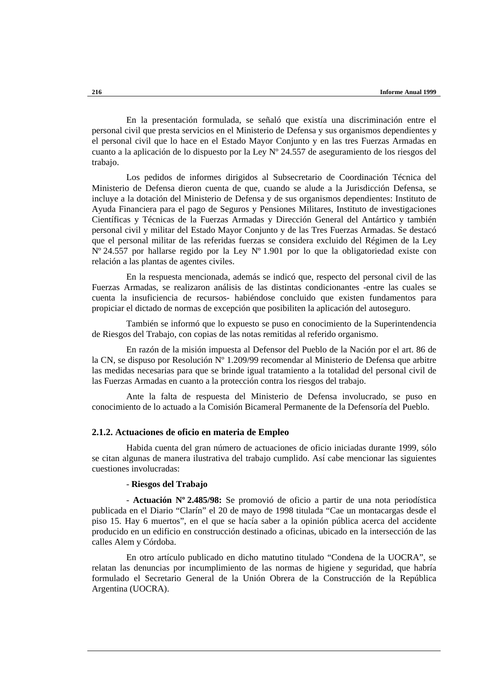En la presentación formulada, se señaló que existía una discriminación entre el personal civil que presta servicios en el Ministerio de Defensa y sus organismos dependientes y el personal civil que lo hace en el Estado Mayor Conjunto y en las tres Fuerzas Armadas en cuanto a la aplicación de lo dispuesto por la Ley Nº 24.557 de aseguramiento de los riesgos del trabajo.

Los pedidos de informes dirigidos al Subsecretario de Coordinación Técnica del Ministerio de Defensa dieron cuenta de que, cuando se alude a la Jurisdicción Defensa, se incluye a la dotación del Ministerio de Defensa y de sus organismos dependientes: Instituto de Ayuda Financiera para el pago de Seguros y Pensiones Militares, Instituto de investigaciones Científicas y Técnicas de la Fuerzas Armadas y Dirección General del Antártico y también personal civil y militar del Estado Mayor Conjunto y de las Tres Fuerzas Armadas. Se destacó que el personal militar de las referidas fuerzas se considera excluido del Régimen de la Ley Nº 24.557 por hallarse regido por la Ley Nº 1.901 por lo que la obligatoriedad existe con relación a las plantas de agentes civiles.

En la respuesta mencionada, además se indicó que, respecto del personal civil de las Fuerzas Armadas, se realizaron análisis de las distintas condicionantes -entre las cuales se cuenta la insuficiencia de recursos- habiéndose concluido que existen fundamentos para propiciar el dictado de normas de excepción que posibiliten la aplicación del autoseguro.

También se informó que lo expuesto se puso en conocimiento de la Superintendencia de Riesgos del Trabajo, con copias de las notas remitidas al referido organismo.

En razón de la misión impuesta al Defensor del Pueblo de la Nación por el art. 86 de la CN, se dispuso por Resolución  $N^{\circ}$  1.209/99 recomendar al Ministerio de Defensa que arbitre las medidas necesarias para que se brinde igual tratamiento a la totalidad del personal civil de las Fuerzas Armadas en cuanto a la protección contra los riesgos del trabajo.

Ante la falta de respuesta del Ministerio de Defensa involucrado, se puso en conocimiento de lo actuado a la Comisión Bicameral Permanente de la Defensoría del Pueblo.

### **2.1.2. Actuaciones de oficio en materia de Empleo**

Habida cuenta del gran número de actuaciones de oficio iniciadas durante 1999, sólo se citan algunas de manera ilustrativa del trabajo cumplido. Así cabe mencionar las siguientes cuestiones involucradas:

### - **Riesgos del Trabajo**

- **Actuación Nº 2.485/98:** Se promovió de oficio a partir de una nota periodística publicada en el Diario "Clarín" el 20 de mayo de 1998 titulada "Cae un montacargas desde el piso 15. Hay 6 muertos", en el que se hacía saber a la opinión pública acerca del accidente producido en un edificio en construcción destinado a oficinas, ubicado en la intersección de las calles Alem y Córdoba.

En otro artículo publicado en dicho matutino titulado "Condena de la UOCRA", se relatan las denuncias por incumplimiento de las normas de higiene y seguridad, que habría formulado el Secretario General de la Unión Obrera de la Construcción de la República Argentina (UOCRA).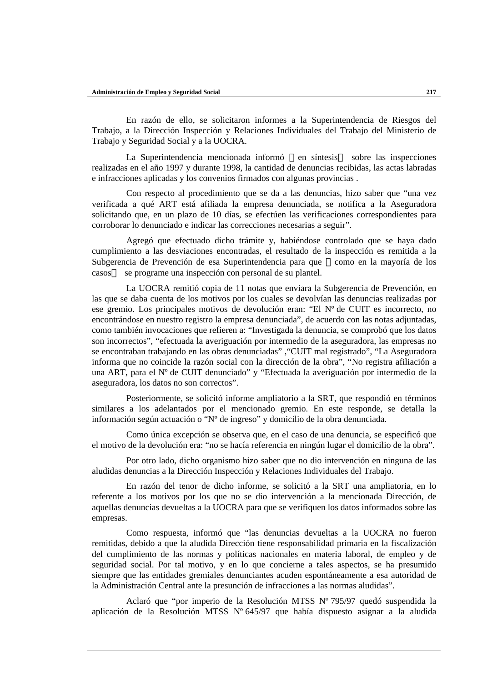En razón de ello, se solicitaron informes a la Superintendencia de Riesgos del Trabajo, a la Dirección Inspección y Relaciones Individuales del Trabajo del Ministerio de Trabajo y Seguridad Social y a la UOCRA.

La Superintendencia mencionada informó —en síntesis sobre las inspecciones realizadas en el año 1997 y durante 1998, la cantidad de denuncias recibidas, las actas labradas e infracciones aplicadas y los convenios firmados con algunas provincias .

Con respecto al procedimiento que se da a las denuncias, hizo saber que "una vez verificada a qué ART está afiliada la empresa denunciada, se notifica a la Aseguradora solicitando que, en un plazo de 10 días, se efectúen las verificaciones correspondientes para corroborar lo denunciado e indicar las correcciones necesarias a seguir".

Agregó que efectuado dicho trámite y, habiéndose controlado que se haya dado cumplimiento a las desviaciones encontradas, el resultado de la inspección es remitida a la Subgerencia de Prevención de esa Superintendencia para que —como en la mayoría de los casos — se programe una inspección con personal de su plantel.

La UOCRA remitió copia de 11 notas que enviara la Subgerencia de Prevención, en las que se daba cuenta de los motivos por los cuales se devolvían las denuncias realizadas por ese gremio. Los principales motivos de devolución eran: "El Nº de CUIT es incorrecto, no encontrándose en nuestro registro la empresa denunciada", de acuerdo con las notas adjuntadas, como también invocaciones que refieren a: "Investigada la denuncia, se comprobó que los datos son incorrectos", "efectuada la averiguación por intermedio de la aseguradora, las empresas no se encontraban trabajando en las obras denunciadas" ,"CUIT mal registrado", "La Aseguradora informa que no coincide la razón social con la dirección de la obra", "No registra afiliación a una ART, para el Nº de CUIT denunciado" y "Efectuada la averiguación por intermedio de la aseguradora, los datos no son correctos".

Posteriormente, se solicitó informe ampliatorio a la SRT, que respondió en términos similares a los adelantados por el mencionado gremio. En este responde, se detalla la información según actuación o "Nº de ingreso" y domicilio de la obra denunciada.

Como única excepción se observa que, en el caso de una denuncia, se especificó que el motivo de la devolución era: "no se hacía referencia en ningún lugar el domicilio de la obra".

Por otro lado, dicho organismo hizo saber que no dio intervención en ninguna de las aludidas denuncias a la Dirección Inspección y Relaciones Individuales del Trabajo.

En razón del tenor de dicho informe, se solicitó a la SRT una ampliatoria, en lo referente a los motivos por los que no se dio intervención a la mencionada Dirección, de aquellas denuncias devueltas a la UOCRA para que se verifiquen los datos informados sobre las empresas.

Como respuesta, informó que "las denuncias devueltas a la UOCRA no fueron remitidas, debido a que la aludida Dirección tiene responsabilidad primaria en la fiscalización del cumplimiento de las normas y políticas nacionales en materia laboral, de empleo y de seguridad social. Por tal motivo, y en lo que concierne a tales aspectos, se ha presumido siempre que las entidades gremiales denunciantes acuden espontáneamente a esa autoridad de la Administración Central ante la presunción de infracciones a las normas aludidas".

Aclaró que "por imperio de la Resolución MTSS Nº 795/97 quedó suspendida la aplicación de la Resolución MTSS Nº 645/97 que había dispuesto asignar a la aludida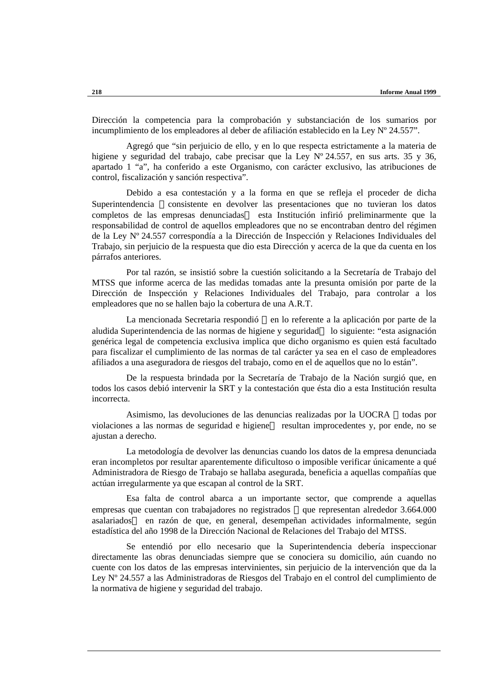Dirección la competencia para la comprobación y substanciación de los sumarios por incumplimiento de los empleadores al deber de afiliación establecido en la Ley Nº 24.557".

Agregó que "sin perjuicio de ello, y en lo que respecta estrictamente a la materia de higiene y seguridad del trabajo, cabe precisar que la Ley N° 24.557, en sus arts. 35 y 36, apartado 1 "a", ha conferido a este Organismo, con carácter exclusivo, las atribuciones de control, fiscalización y sanción respectiva".

Debido a esa contestación y a la forma en que se refleja el proceder de dicha Superintendencia —consistente en devolver las presentaciones que no tuvieran los datos completos de las empresas denunciadas esta Institución infirió preliminarmente que la responsabilidad de control de aquellos empleadores que no se encontraban dentro del régimen de la Ley Nº 24.557 correspondía a la Dirección de Inspección y Relaciones Individuales del Trabajo, sin perjuicio de la respuesta que dio esta Dirección y acerca de la que da cuenta en los párrafos anteriores.

Por tal razón, se insistió sobre la cuestión solicitando a la Secretaría de Trabajo del MTSS que informe acerca de las medidas tomadas ante la presunta omisión por parte de la Dirección de Inspección y Relaciones Individuales del Trabajo, para controlar a los empleadores que no se hallen bajo la cobertura de una A.R.T.

La mencionada Secretaria respondió — en lo referente a la aplicación por parte de la aludida Superintendencia de las normas de higiene y seguridad— lo siguiente: "esta asignación genérica legal de competencia exclusiva implica que dicho organismo es quien está facultado para fiscalizar el cumplimiento de las normas de tal carácter ya sea en el caso de empleadores afiliados a una aseguradora de riesgos del trabajo, como en el de aquellos que no lo están".

De la respuesta brindada por la Secretaría de Trabajo de la Nación surgió que, en todos los casos debió intervenir la SRT y la contestación que ésta dio a esta Institución resulta incorrecta.

Asimismo, las devoluciones de las denuncias realizadas por la UOCRA - todas por violaciones a las normas de seguridad e higiene— resultan improcedentes y, por ende, no se ajustan a derecho.

La metodología de devolver las denuncias cuando los datos de la empresa denunciada eran incompletos por resultar aparentemente dificultoso o imposible verificar únicamente a qué Administradora de Riesgo de Trabajo se hallaba asegurada, beneficia a aquellas compañías que actúan irregularmente ya que escapan al control de la SRT.

Esa falta de control abarca a un importante sector, que comprende a aquellas empresas que cuentan con trabajadores no registrados —que representan alrededor 3.664.000 asalariados en razón de que, en general, desempeñan actividades informalmente, según estadística del año 1998 de la Dirección Nacional de Relaciones del Trabajo del MTSS.

Se entendió por ello necesario que la Superintendencia debería inspeccionar directamente las obras denunciadas siempre que se conociera su domicilio, aún cuando no cuente con los datos de las empresas intervinientes, sin perjuicio de la intervención que da la Ley Nº 24.557 a las Administradoras de Riesgos del Trabajo en el control del cumplimiento de la normativa de higiene y seguridad del trabajo.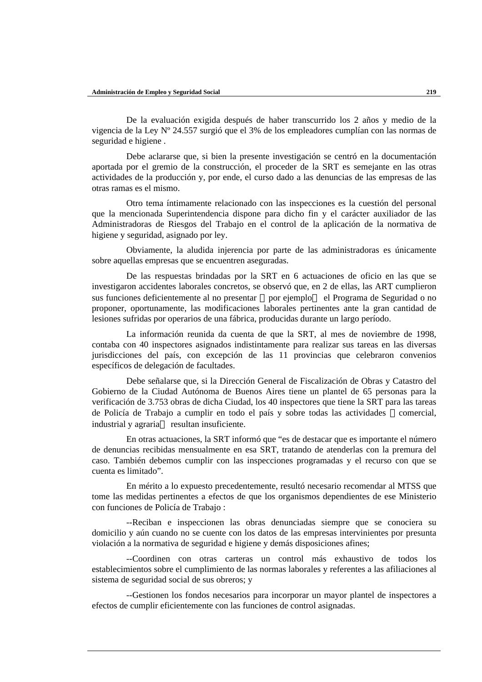De la evaluación exigida después de haber transcurrido los 2 años y medio de la vigencia de la Ley Nº 24.557 surgió que el 3% de los empleadores cumplían con las normas de seguridad e higiene .

Debe aclararse que, si bien la presente investigación se centró en la documentación aportada por el gremio de la construcción, el proceder de la SRT es semejante en las otras actividades de la producción y, por ende, el curso dado a las denuncias de las empresas de las otras ramas es el mismo.

Otro tema íntimamente relacionado con las inspecciones es la cuestión del personal que la mencionada Superintendencia dispone para dicho fin y el carácter auxiliador de las Administradoras de Riesgos del Trabajo en el control de la aplicación de la normativa de higiene y seguridad, asignado por ley.

Obviamente, la aludida injerencia por parte de las administradoras es únicamente sobre aquellas empresas que se encuentren aseguradas.

De las respuestas brindadas por la SRT en 6 actuaciones de oficio en las que se investigaron accidentes laborales concretos, se observó que, en 2 de ellas, las ART cumplieron sus funciones deficientemente al no presentar —por ejemplo — el Programa de Seguridad o no proponer, oportunamente, las modificaciones laborales pertinentes ante la gran cantidad de lesiones sufridas por operarios de una fábrica, producidas durante un largo período.

La información reunida da cuenta de que la SRT, al mes de noviembre de 1998, contaba con 40 inspectores asignados indistintamente para realizar sus tareas en las diversas jurisdicciones del país, con excepción de las 11 provincias que celebraron convenios específicos de delegación de facultades.

Debe señalarse que, si la Dirección General de Fiscalización de Obras y Catastro del Gobierno de la Ciudad Autónoma de Buenos Aires tiene un plantel de 65 personas para la verificación de 3.753 obras de dicha Ciudad, los 40 inspectores que tiene la SRT para las tareas de Policía de Trabajo a cumplir en todo el país y sobre todas las actividades —comercial, industrial y agraria— resultan insuficiente.

En otras actuaciones, la SRT informó que "es de destacar que es importante el número de denuncias recibidas mensualmente en esa SRT, tratando de atenderlas con la premura del caso. También debemos cumplir con las inspecciones programadas y el recurso con que se cuenta es limitado".

En mérito a lo expuesto precedentemente, resultó necesario recomendar al MTSS que tome las medidas pertinentes a efectos de que los organismos dependientes de ese Ministerio con funciones de Policía de Trabajo :

--Reciban e inspeccionen las obras denunciadas siempre que se conociera su domicilio y aún cuando no se cuente con los datos de las empresas intervinientes por presunta violación a la normativa de seguridad e higiene y demás disposiciones afines;

--Coordinen con otras carteras un control más exhaustivo de todos los establecimientos sobre el cumplimiento de las normas laborales y referentes a las afiliaciones al sistema de seguridad social de sus obreros; y

--Gestionen los fondos necesarios para incorporar un mayor plantel de inspectores a efectos de cumplir eficientemente con las funciones de control asignadas.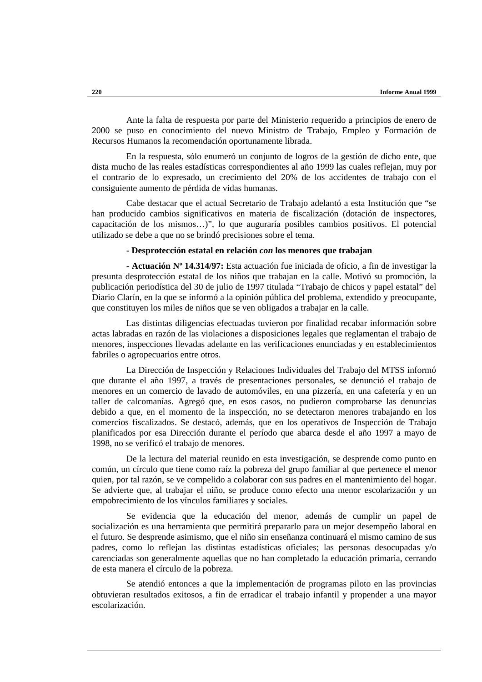Ante la falta de respuesta por parte del Ministerio requerido a principios de enero de 2000 se puso en conocimiento del nuevo Ministro de Trabajo, Empleo y Formación de Recursos Humanos la recomendación oportunamente librada.

En la respuesta, sólo enumeró un conjunto de logros de la gestión de dicho ente, que dista mucho de las reales estadísticas correspondientes al año 1999 las cuales reflejan, muy por el contrario de lo expresado, un crecimiento del 20% de los accidentes de trabajo con el consiguiente aumento de pérdida de vidas humanas.

Cabe destacar que el actual Secretario de Trabajo adelantó a esta Institución que "se han producido cambios significativos en materia de fiscalización (dotación de inspectores, capacitación de los mismos…)", lo que auguraría posibles cambios positivos. El potencial utilizado se debe a que no se brindó precisiones sobre el tema.

#### **- Desprotección estatal en relación** *con* **los menores que trabajan**

**- Actuación Nº 14.314/97:** Esta actuación fue iniciada de oficio, a fin de investigar la presunta desprotección estatal de los niños que trabajan en la calle. Motivó su promoción, la publicación periodística del 30 de julio de 1997 titulada "Trabajo de chicos y papel estatal" del Diario Clarín, en la que se informó a la opinión pública del problema, extendido y preocupante, que constituyen los miles de niños que se ven obligados a trabajar en la calle.

Las distintas diligencias efectuadas tuvieron por finalidad recabar información sobre actas labradas en razón de las violaciones a disposiciones legales que reglamentan el trabajo de menores, inspecciones llevadas adelante en las verificaciones enunciadas y en establecimientos fabriles o agropecuarios entre otros.

La Dirección de Inspección y Relaciones Individuales del Trabajo del MTSS informó que durante el año 1997, a través de presentaciones personales, se denunció el trabajo de menores en un comercio de lavado de automóviles, en una pizzería, en una cafetería y en un taller de calcomanías. Agregó que, en esos casos, no pudieron comprobarse las denuncias debido a que, en el momento de la inspección, no se detectaron menores trabajando en los comercios fiscalizados. Se destacó, además, que en los operativos de Inspección de Trabajo planificados por esa Dirección durante el período que abarca desde el año 1997 a mayo de 1998, no se verificó el trabajo de menores.

De la lectura del material reunido en esta investigación, se desprende como punto en común, un círculo que tiene como raíz la pobreza del grupo familiar al que pertenece el menor quien, por tal razón, se ve compelido a colaborar con sus padres en el mantenimiento del hogar. Se advierte que, al trabajar el niño, se produce como efecto una menor escolarización y un empobrecimiento de los vínculos familiares y sociales.

Se evidencia que la educación del menor, además de cumplir un papel de socialización es una herramienta que permitirá prepararlo para un mejor desempeño laboral en el futuro. Se desprende asimismo, que el niño sin enseñanza continuará el mismo camino de sus padres, como lo reflejan las distintas estadísticas oficiales; las personas desocupadas y/o carenciadas son generalmente aquellas que no han completado la educación primaria, cerrando de esta manera el círculo de la pobreza.

Se atendió entonces a que la implementación de programas piloto en las provincias obtuvieran resultados exitosos, a fin de erradicar el trabajo infantil y propender a una mayor escolarización.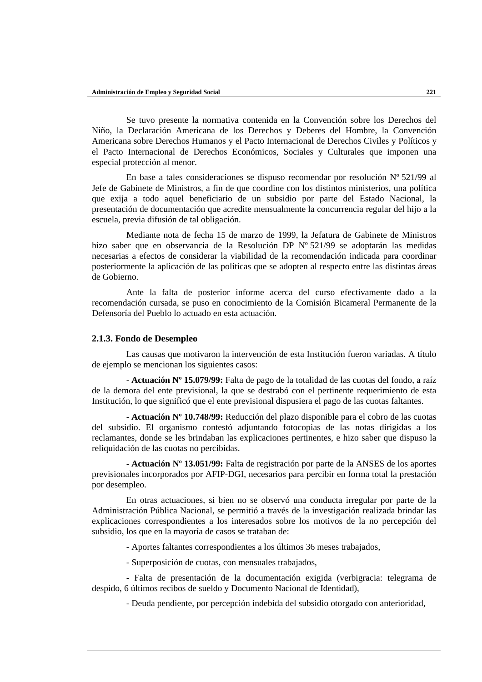Se tuvo presente la normativa contenida en la Convención sobre los Derechos del Niño, la Declaración Americana de los Derechos y Deberes del Hombre, la Convención Americana sobre Derechos Humanos y el Pacto Internacional de Derechos Civiles y Políticos y el Pacto Internacional de Derechos Económicos, Sociales y Culturales que imponen una especial protección al menor.

En base a tales consideraciones se dispuso recomendar por resolución  $N^{\circ}$  521/99 al Jefe de Gabinete de Ministros, a fin de que coordine con los distintos ministerios, una política que exija a todo aquel beneficiario de un subsidio por parte del Estado Nacional, la presentación de documentación que acredite mensualmente la concurrencia regular del hijo a la escuela, previa difusión de tal obligación.

Mediante nota de fecha 15 de marzo de 1999, la Jefatura de Gabinete de Ministros hizo saber que en observancia de la Resolución DP Nº 521/99 se adoptarán las medidas necesarias a efectos de considerar la viabilidad de la recomendación indicada para coordinar posteriormente la aplicación de las políticas que se adopten al respecto entre las distintas áreas de Gobierno.

Ante la falta de posterior informe acerca del curso efectivamente dado a la recomendación cursada, se puso en conocimiento de la Comisión Bicameral Permanente de la Defensoría del Pueblo lo actuado en esta actuación.

#### **2.1.3. Fondo de Desempleo**

Las causas que motivaron la intervención de esta Institución fueron variadas. A título de ejemplo se mencionan los siguientes casos:

- **Actuación Nº 15.079/99:** Falta de pago de la totalidad de las cuotas del fondo, a raíz de la demora del ente previsional, la que se destrabó con el pertinente requerimiento de esta Institución, lo que significó que el ente previsional dispusiera el pago de las cuotas faltantes.

- **Actuación Nº 10.748/99:** Reducción del plazo disponible para el cobro de las cuotas del subsidio. El organismo contestó adjuntando fotocopias de las notas dirigidas a los reclamantes, donde se les brindaban las explicaciones pertinentes, e hizo saber que dispuso la reliquidación de las cuotas no percibidas.

- **Actuación Nº 13.051/99:** Falta de registración por parte de la ANSES de los aportes previsionales incorporados por AFIP-DGI, necesarios para percibir en forma total la prestación por desempleo.

En otras actuaciones, si bien no se observó una conducta irregular por parte de la Administración Pública Nacional, se permitió a través de la investigación realizada brindar las explicaciones correspondientes a los interesados sobre los motivos de la no percepción del subsidio, los que en la mayoría de casos se trataban de:

- Aportes faltantes correspondientes a los últimos 36 meses trabajados,

- Superposición de cuotas, con mensuales trabajados,

- Falta de presentación de la documentación exigida (verbigracia: telegrama de despido, 6 últimos recibos de sueldo y Documento Nacional de Identidad),

- Deuda pendiente, por percepción indebida del subsidio otorgado con anterioridad,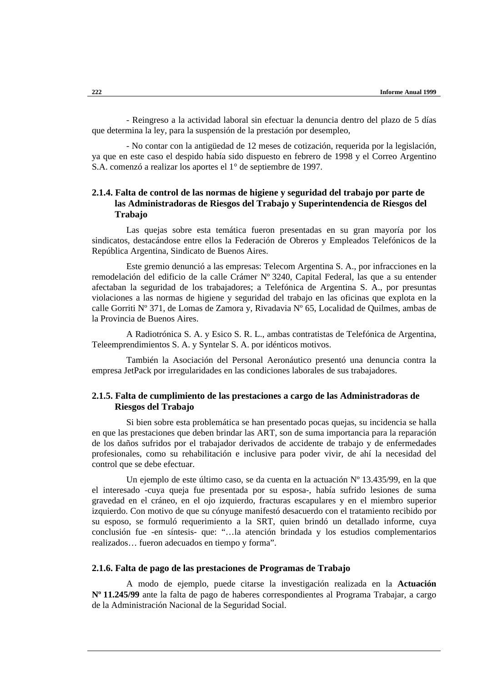- Reingreso a la actividad laboral sin efectuar la denuncia dentro del plazo de 5 días que determina la ley, para la suspensión de la prestación por desempleo,

- No contar con la antigüedad de 12 meses de cotización, requerida por la legislación, ya que en este caso el despido había sido dispuesto en febrero de 1998 y el Correo Argentino S.A. comenzó a realizar los aportes el 1° de septiembre de 1997.

# **2.1.4. Falta de control de las normas de higiene y seguridad del trabajo por parte de las Administradoras de Riesgos del Trabajo y Superintendencia de Riesgos del Trabajo**

Las quejas sobre esta temática fueron presentadas en su gran mayoría por los sindicatos, destacándose entre ellos la Federación de Obreros y Empleados Telefónicos de la República Argentina, Sindicato de Buenos Aires.

Este gremio denunció a las empresas: Telecom Argentina S. A., por infracciones en la remodelación del edificio de la calle Crámer Nº 3240, Capital Federal, las que a su entender afectaban la seguridad de los trabajadores; a Telefónica de Argentina S. A., por presuntas violaciones a las normas de higiene y seguridad del trabajo en las oficinas que explota en la calle Gorriti Nº 371, de Lomas de Zamora y, Rivadavia Nº 65, Localidad de Quilmes, ambas de la Provincia de Buenos Aires.

A Radiotrónica S. A. y Esico S. R. L., ambas contratistas de Telefónica de Argentina, Teleemprendimientos S. A. y Syntelar S. A. por idénticos motivos.

También la Asociación del Personal Aeronáutico presentó una denuncia contra la empresa JetPack por irregularidades en las condiciones laborales de sus trabajadores.

# **2.1.5. Falta de cumplimiento de las prestaciones a cargo de las Administradoras de Riesgos del Trabajo**

Si bien sobre esta problemática se han presentado pocas quejas, su incidencia se halla en que las prestaciones que deben brindar las ART, son de suma importancia para la reparación de los daños sufridos por el trabajador derivados de accidente de trabajo y de enfermedades profesionales, como su rehabilitación e inclusive para poder vivir, de ahí la necesidad del control que se debe efectuar.

Un ejemplo de este último caso, se da cuenta en la actuación Nº 13.435/99, en la que el interesado -cuya queja fue presentada por su esposa-, había sufrido lesiones de suma gravedad en el cráneo, en el ojo izquierdo, fracturas escapulares y en el miembro superior izquierdo. Con motivo de que su cónyuge manifestó desacuerdo con el tratamiento recibido por su esposo, se formuló requerimiento a la SRT, quien brindó un detallado informe, cuya conclusión fue -en síntesis- que: "…la atención brindada y los estudios complementarios realizados… fueron adecuados en tiempo y forma".

### **2.1.6. Falta de pago de las prestaciones de Programas de Trabajo**

A modo de ejemplo, puede citarse la investigación realizada en la **Actuación Nº 11.245/99** ante la falta de pago de haberes correspondientes al Programa Trabajar, a cargo de la Administración Nacional de la Seguridad Social.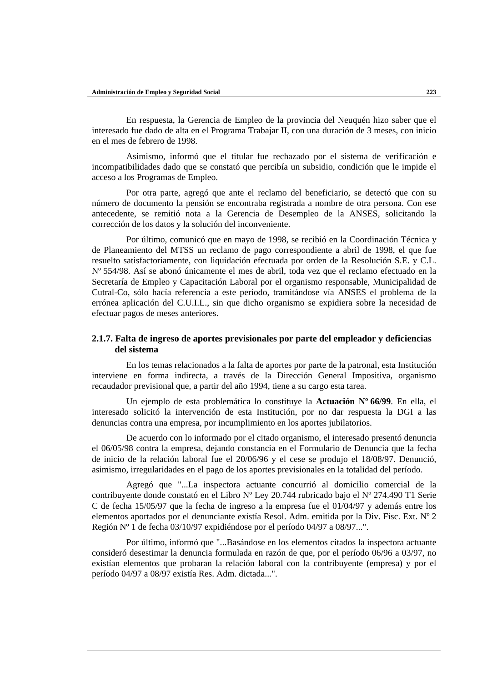En respuesta, la Gerencia de Empleo de la provincia del Neuquén hizo saber que el interesado fue dado de alta en el Programa Trabajar II, con una duración de 3 meses, con inicio en el mes de febrero de 1998.

Asimismo, informó que el titular fue rechazado por el sistema de verificación e incompatibilidades dado que se constató que percibía un subsidio, condición que le impide el acceso a los Programas de Empleo.

Por otra parte, agregó que ante el reclamo del beneficiario, se detectó que con su número de documento la pensión se encontraba registrada a nombre de otra persona. Con ese antecedente, se remitió nota a la Gerencia de Desempleo de la ANSES, solicitando la corrección de los datos y la solución del inconveniente.

Por último, comunicó que en mayo de 1998, se recibió en la Coordinación Técnica y de Planeamiento del MTSS un reclamo de pago correspondiente a abril de 1998, el que fue resuelto satisfactoriamente, con liquidación efectuada por orden de la Resolución S.E. y C.L. Nº 554/98. Así se abonó únicamente el mes de abril, toda vez que el reclamo efectuado en la Secretaría de Empleo y Capacitación Laboral por el organismo responsable, Municipalidad de Cutral-Co, sólo hacía referencia a este período, tramitándose vía ANSES el problema de la errónea aplicación del C.U.I.L., sin que dicho organismo se expidiera sobre la necesidad de efectuar pagos de meses anteriores.

## **2.1.7. Falta de ingreso de aportes previsionales por parte del empleador y deficiencias del sistema**

En los temas relacionados a la falta de aportes por parte de la patronal, esta Institución interviene en forma indirecta, a través de la Dirección General Impositiva, organismo recaudador previsional que, a partir del año 1994, tiene a su cargo esta tarea.

Un ejemplo de esta problemática lo constituye la **Actuación Nº 66/99**. En ella, el interesado solicitó la intervención de esta Institución, por no dar respuesta la DGI a las denuncias contra una empresa, por incumplimiento en los aportes jubilatorios.

De acuerdo con lo informado por el citado organismo, el interesado presentó denuncia el 06/05/98 contra la empresa, dejando constancia en el Formulario de Denuncia que la fecha de inicio de la relación laboral fue el 20/06/96 y el cese se produjo el 18/08/97. Denunció, asimismo, irregularidades en el pago de los aportes previsionales en la totalidad del período.

Agregó que "...La inspectora actuante concurrió al domicilio comercial de la contribuyente donde constató en el Libro Nº Ley 20.744 rubricado bajo el Nº 274.490 T1 Serie C de fecha 15/05/97 que la fecha de ingreso a la empresa fue el 01/04/97 y además entre los elementos aportados por el denunciante existía Resol. Adm. emitida por la Div. Fisc. Ext. Nº 2 Región Nº 1 de fecha 03/10/97 expidiéndose por el período 04/97 a 08/97...".

Por último, informó que "...Basándose en los elementos citados la inspectora actuante consideró desestimar la denuncia formulada en razón de que, por el período 06/96 a 03/97, no existían elementos que probaran la relación laboral con la contribuyente (empresa) y por el período 04/97 a 08/97 existía Res. Adm. dictada...".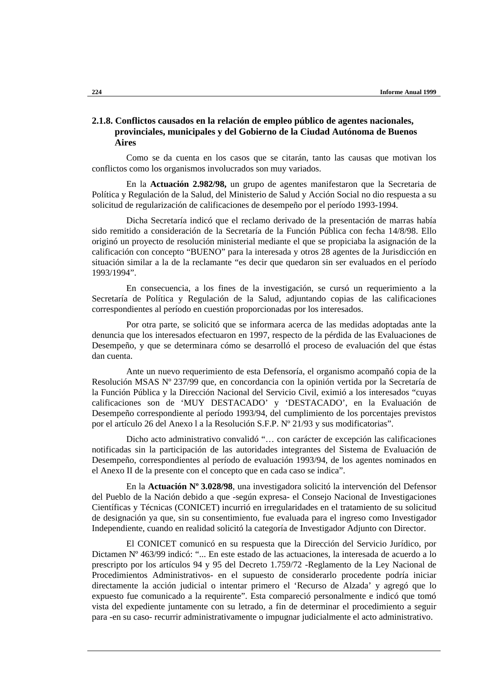# **2.1.8. Conflictos causados en la relación de empleo público de agentes nacionales, provinciales, municipales y del Gobierno de la Ciudad Autónoma de Buenos Aires**

Como se da cuenta en los casos que se citarán, tanto las causas que motivan los conflictos como los organismos involucrados son muy variados.

En la **Actuación 2.982/98,** un grupo de agentes manifestaron que la Secretaria de Política y Regulación de la Salud, del Ministerio de Salud y Acción Social no dio respuesta a su solicitud de regularización de calificaciones de desempeño por el período 1993-1994.

Dicha Secretaría indicó que el reclamo derivado de la presentación de marras había sido remitido a consideración de la Secretaría de la Función Pública con fecha 14/8/98. Ello originó un proyecto de resolución ministerial mediante el que se propiciaba la asignación de la calificación con concepto "BUENO" para la interesada y otros 28 agentes de la Jurisdicción en situación similar a la de la reclamante "es decir que quedaron sin ser evaluados en el período 1993/1994".

En consecuencia, a los fines de la investigación, se cursó un requerimiento a la Secretaría de Política y Regulación de la Salud, adjuntando copias de las calificaciones correspondientes al período en cuestión proporcionadas por los interesados.

Por otra parte, se solicitó que se informara acerca de las medidas adoptadas ante la denuncia que los interesados efectuaron en 1997, respecto de la pérdida de las Evaluaciones de Desempeño, y que se determinara cómo se desarrolló el proceso de evaluación del que éstas dan cuenta.

Ante un nuevo requerimiento de esta Defensoría, el organismo acompañó copia de la Resolución MSAS Nº 237/99 que, en concordancia con la opinión vertida por la Secretaría de la Función Pública y la Dirección Nacional del Servicio Civil, eximió a los interesados "cuyas calificaciones son de 'MUY DESTACADO' y 'DESTACADO', en la Evaluación de Desempeño correspondiente al período 1993/94, del cumplimiento de los porcentajes previstos por el artículo 26 del Anexo l a la Resolución S.F.P. Nº 21/93 y sus modificatorias".

Dicho acto administrativo convalidó "… con carácter de excepción las calificaciones notificadas sin la participación de las autoridades integrantes del Sistema de Evaluación de Desempeño, correspondientes al período de evaluación 1993/94, de los agentes nominados en el Anexo II de la presente con el concepto que en cada caso se indica".

En la **Actuación Nº 3.028/98**, una investigadora solicitó la intervención del Defensor del Pueblo de la Nación debido a que -según expresa- el Consejo Nacional de Investigaciones Científicas y Técnicas (CONICET) incurrió en irregularidades en el tratamiento de su solicitud de designación ya que, sin su consentimiento, fue evaluada para el ingreso como Investigador Independiente, cuando en realidad solicitó la categoría de Investigador Adjunto con Director.

El CONICET comunicó en su respuesta que la Dirección del Servicio Jurídico, por Dictamen Nº 463/99 indicó: "... En este estado de las actuaciones, la interesada de acuerdo a lo prescripto por los artículos 94 y 95 del Decreto 1.759/72 -Reglamento de la Ley Nacional de Procedimientos Administrativos- en el supuesto de considerarlo procedente podría iniciar directamente la acción judicial o intentar primero el 'Recurso de Alzada' y agregó que lo expuesto fue comunicado a la requirente". Esta compareció personalmente e indicó que tomó vista del expediente juntamente con su letrado, a fin de determinar el procedimiento a seguir para -en su caso- recurrir administrativamente o impugnar judicialmente el acto administrativo.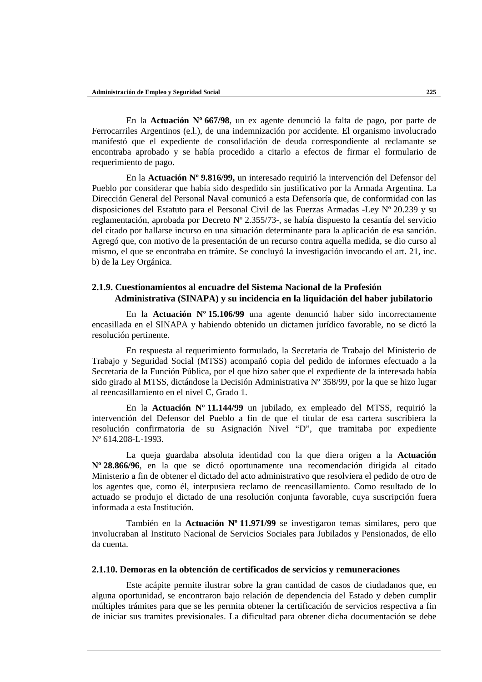En la **Actuación Nº 667/98**, un ex agente denunció la falta de pago, por parte de Ferrocarriles Argentinos (e.l.), de una indemnización por accidente. El organismo involucrado manifestó que el expediente de consolidación de deuda correspondiente al reclamante se encontraba aprobado y se había procedido a citarlo a efectos de firmar el formulario de requerimiento de pago.

En la **Actuación Nº 9.816/99,** un interesado requirió la intervención del Defensor del Pueblo por considerar que había sido despedido sin justificativo por la Armada Argentina. La Dirección General del Personal Naval comunicó a esta Defensoría que, de conformidad con las disposiciones del Estatuto para el Personal Civil de las Fuerzas Armadas -Ley Nº 20.239 y su reglamentación, aprobada por Decreto Nº 2.355/73-, se había dispuesto la cesantía del servicio del citado por hallarse incurso en una situación determinante para la aplicación de esa sanción. Agregó que, con motivo de la presentación de un recurso contra aquella medida, se dio curso al mismo, el que se encontraba en trámite. Se concluyó la investigación invocando el art. 21, inc. b) de la Ley Orgánica.

# **2.1.9. Cuestionamientos al encuadre del Sistema Nacional de la Profesión Administrativa (SINAPA) y su incidencia en la liquidación del haber jubilatorio**

En la **Actuación Nº 15.106/99** una agente denunció haber sido incorrectamente encasillada en el SINAPA y habiendo obtenido un dictamen jurídico favorable, no se dictó la resolución pertinente.

En respuesta al requerimiento formulado, la Secretaria de Trabajo del Ministerio de Trabajo y Seguridad Social (MTSS) acompañó copia del pedido de informes efectuado a la Secretaría de la Función Pública, por el que hizo saber que el expediente de la interesada había sido girado al MTSS, dictándose la Decisión Administrativa Nº 358/99, por la que se hizo lugar al reencasillamiento en el nivel C, Grado 1.

En la **Actuación Nº 11.144/99** un jubilado, ex empleado del MTSS, requirió la intervención del Defensor del Pueblo a fin de que el titular de esa cartera suscribiera la resolución confirmatoria de su Asignación Nivel "D", que tramitaba por expediente Nº 614.208-L-1993.

La queja guardaba absoluta identidad con la que diera origen a la **Actuación Nº 28.866/96**, en la que se dictó oportunamente una recomendación dirigida al citado Ministerio a fin de obtener el dictado del acto administrativo que resolviera el pedido de otro de los agentes que, como él, interpusiera reclamo de reencasillamiento. Como resultado de lo actuado se produjo el dictado de una resolución conjunta favorable, cuya suscripción fuera informada a esta Institución.

También en la **Actuación Nº 11.971/99** se investigaron temas similares, pero que involucraban al Instituto Nacional de Servicios Sociales para Jubilados y Pensionados, de ello da cuenta.

### **2.1.10. Demoras en la obtención de certificados de servicios y remuneraciones**

Este acápite permite ilustrar sobre la gran cantidad de casos de ciudadanos que, en alguna oportunidad, se encontraron bajo relación de dependencia del Estado y deben cumplir múltiples trámites para que se les permita obtener la certificación de servicios respectiva a fin de iniciar sus tramites previsionales. La dificultad para obtener dicha documentación se debe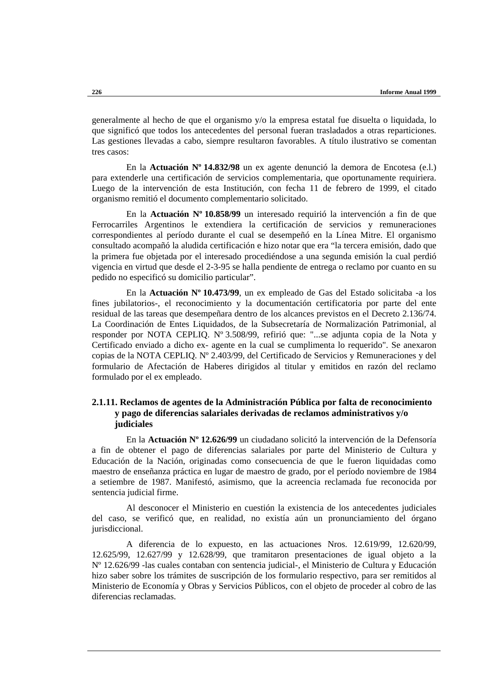generalmente al hecho de que el organismo y/o la empresa estatal fue disuelta o liquidada, lo que significó que todos los antecedentes del personal fueran trasladados a otras reparticiones. Las gestiones llevadas a cabo, siempre resultaron favorables. A título ilustrativo se comentan tres casos:

En la **Actuación Nº 14.832/98** un ex agente denunció la demora de Encotesa (e.l.) para extenderle una certificación de servicios complementaria, que oportunamente requiriera. Luego de la intervención de esta Institución, con fecha 11 de febrero de 1999, el citado organismo remitió el documento complementario solicitado.

En la **Actuación Nº 10.858/99** un interesado requirió la intervención a fin de que Ferrocarriles Argentinos le extendiera la certificación de servicios y remuneraciones correspondientes al período durante el cual se desempeñó en la Línea Mitre. El organismo consultado acompañó la aludida certificación e hizo notar que era "la tercera emisión, dado que la primera fue objetada por el interesado procediéndose a una segunda emisión la cual perdió vigencia en virtud que desde el 2-3-95 se halla pendiente de entrega o reclamo por cuanto en su pedido no especificó su domicilio particular".

En la **Actuación Nº 10.473/99**, un ex empleado de Gas del Estado solicitaba -a los fines jubilatorios-, el reconocimiento y la documentación certificatoria por parte del ente residual de las tareas que desempeñara dentro de los alcances previstos en el Decreto 2.136/74. La Coordinación de Entes Liquidados, de la Subsecretaría de Normalización Patrimonial, al responder por NOTA CEPLIQ. Nº 3.508/99, refirió que: "...se adjunta copia de la Nota y Certificado enviado a dicho ex- agente en la cual se cumplimenta lo requerido". Se anexaron copias de la NOTA CEPLIQ. Nº 2.403/99, del Certificado de Servicios y Remuneraciones y del formulario de Afectación de Haberes dirigidos al titular y emitidos en razón del reclamo formulado por el ex empleado.

# **2.1.11. Reclamos de agentes de la Administración Pública por falta de reconocimiento y pago de diferencias salariales derivadas de reclamos administrativos y/o judiciales**

En la **Actuación Nº 12.626/99** un ciudadano solicitó la intervención de la Defensoría a fin de obtener el pago de diferencias salariales por parte del Ministerio de Cultura y Educación de la Nación, originadas como consecuencia de que le fueron liquidadas como maestro de enseñanza práctica en lugar de maestro de grado, por el período noviembre de 1984 a setiembre de 1987. Manifestó, asimismo, que la acreencia reclamada fue reconocida por sentencia judicial firme.

Al desconocer el Ministerio en cuestión la existencia de los antecedentes judiciales del caso, se verificó que, en realidad, no existía aún un pronunciamiento del órgano jurisdiccional.

A diferencia de lo expuesto, en las actuaciones Nros. 12.619/99, 12.620/99, 12.625/99, 12.627/99 y 12.628/99, que tramitaron presentaciones de igual objeto a la Nº 12.626/99 -las cuales contaban con sentencia judicial-, el Ministerio de Cultura y Educación hizo saber sobre los trámites de suscripción de los formulario respectivo, para ser remitidos al Ministerio de Economía y Obras y Servicios Públicos, con el objeto de proceder al cobro de las diferencias reclamadas.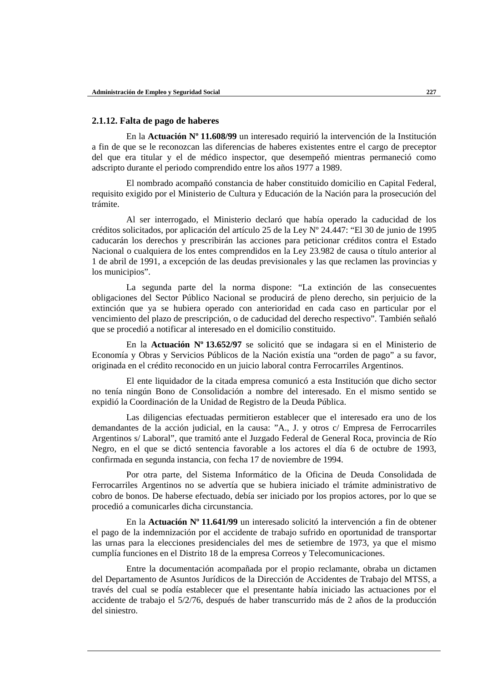## **2.1.12. Falta de pago de haberes**

En la **Actuación Nº 11.608/99** un interesado requirió la intervención de la Institución a fin de que se le reconozcan las diferencias de haberes existentes entre el cargo de preceptor del que era titular y el de médico inspector, que desempeñó mientras permaneció como adscripto durante el periodo comprendido entre los años 1977 a 1989.

El nombrado acompañó constancia de haber constituido domicilio en Capital Federal, requisito exigido por el Ministerio de Cultura y Educación de la Nación para la prosecución del trámite.

Al ser interrogado, el Ministerio declaró que había operado la caducidad de los créditos solicitados, por aplicación del artículo 25 de la Ley Nº 24.447: "El 30 de junio de 1995 caducarán los derechos y prescribirán las acciones para peticionar créditos contra el Estado Nacional o cualquiera de los entes comprendidos en la Ley 23.982 de causa o título anterior al 1 de abril de 1991, a excepción de las deudas previsionales y las que reclamen las provincias y los municipios".

La segunda parte del la norma dispone: "La extinción de las consecuentes obligaciones del Sector Público Nacional se producirá de pleno derecho, sin perjuicio de la extinción que ya se hubiera operado con anterioridad en cada caso en particular por el vencimiento del plazo de prescripción, o de caducidad del derecho respectivo". También señaló que se procedió a notificar al interesado en el domicilio constituido.

En la **Actuación Nº 13.652/97** se solicitó que se indagara si en el Ministerio de Economía y Obras y Servicios Públicos de la Nación existía una "orden de pago" a su favor, originada en el crédito reconocido en un juicio laboral contra Ferrocarriles Argentinos.

El ente liquidador de la citada empresa comunicó a esta Institución que dicho sector no tenía ningún Bono de Consolidación a nombre del interesado. En el mismo sentido se expidió la Coordinación de la Unidad de Registro de la Deuda Pública.

Las diligencias efectuadas permitieron establecer que el interesado era uno de los demandantes de la acción judicial, en la causa: "A., J. y otros c/ Empresa de Ferrocarriles Argentinos s/ Laboral", que tramitó ante el Juzgado Federal de General Roca, provincia de Río Negro, en el que se dictó sentencia favorable a los actores el día 6 de octubre de 1993, confirmada en segunda instancia, con fecha 17 de noviembre de 1994.

Por otra parte, del Sistema Informático de la Oficina de Deuda Consolidada de Ferrocarriles Argentinos no se advertía que se hubiera iniciado el trámite administrativo de cobro de bonos. De haberse efectuado, debía ser iniciado por los propios actores, por lo que se procedió a comunicarles dicha circunstancia.

En la **Actuación Nº 11.641/99** un interesado solicitó la intervención a fin de obtener el pago de la indemnización por el accidente de trabajo sufrido en oportunidad de transportar las urnas para la elecciones presidenciales del mes de setiembre de 1973, ya que el mismo cumplía funciones en el Distrito 18 de la empresa Correos y Telecomunicaciones.

Entre la documentación acompañada por el propio reclamante, obraba un dictamen del Departamento de Asuntos Jurídicos de la Dirección de Accidentes de Trabajo del MTSS, a través del cual se podía establecer que el presentante había iniciado las actuaciones por el accidente de trabajo el 5/2/76, después de haber transcurrido más de 2 años de la producción del siniestro.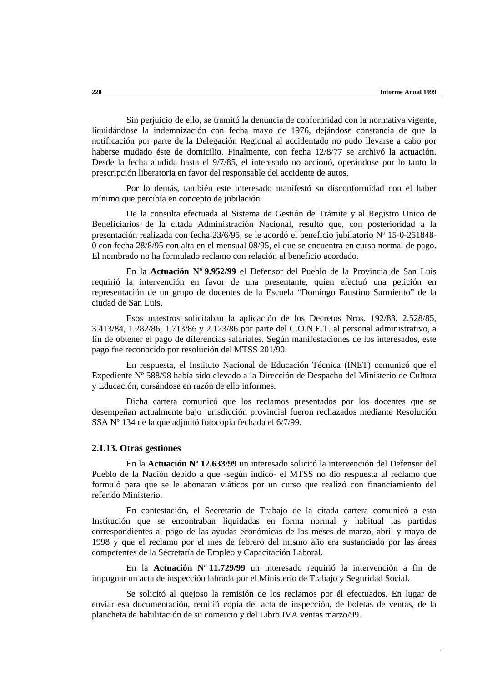Sin perjuicio de ello, se tramitó la denuncia de conformidad con la normativa vigente, liquidándose la indemnización con fecha mayo de 1976, dejándose constancia de que la notificación por parte de la Delegación Regional al accidentado no pudo llevarse a cabo por haberse mudado éste de domicilio. Finalmente, con fecha 12/8/77 se archivó la actuación. Desde la fecha aludida hasta el 9/7/85, el interesado no accionó, operándose por lo tanto la prescripción liberatoria en favor del responsable del accidente de autos.

Por lo demás, también este interesado manifestó su disconformidad con el haber mínimo que percibía en concepto de jubilación.

De la consulta efectuada al Sistema de Gestión de Trámite y al Registro Unico de Beneficiarios de la citada Administración Nacional, resultó que, con posterioridad a la presentación realizada con fecha 23/6/95, se le acordó el beneficio jubilatorio Nº 15-0-251848- 0 con fecha 28/8/95 con alta en el mensual 08/95, el que se encuentra en curso normal de pago. El nombrado no ha formulado reclamo con relación al beneficio acordado.

En la **Actuación Nº 9.952/99** el Defensor del Pueblo de la Provincia de San Luis requirió la intervención en favor de una presentante, quien efectuó una petición en representación de un grupo de docentes de la Escuela "Domingo Faustino Sarmiento" de la ciudad de San Luis.

Esos maestros solicitaban la aplicación de los Decretos Nros. 192/83, 2.528/85, 3.413/84, 1.282/86, 1.713/86 y 2.123/86 por parte del C.O.N.E.T. al personal administrativo, a fin de obtener el pago de diferencias salariales. Según manifestaciones de los interesados, este pago fue reconocido por resolución del MTSS 201/90.

En respuesta, el Instituto Nacional de Educación Técnica (INET) comunicó que el Expediente Nº 588/98 había sido elevado a la Dirección de Despacho del Ministerio de Cultura y Educación, cursándose en razón de ello informes.

Dicha cartera comunicó que los reclamos presentados por los docentes que se desempeñan actualmente bajo jurisdicción provincial fueron rechazados mediante Resolución SSA Nº 134 de la que adjuntó fotocopia fechada el 6/7/99.

## **2.1.13. Otras gestiones**

En la **Actuación Nº 12.633/99** un interesado solicitó la intervención del Defensor del Pueblo de la Nación debido a que -según indicó- el MTSS no dio respuesta al reclamo que formuló para que se le abonaran viáticos por un curso que realizó con financiamiento del referido Ministerio.

En contestación, el Secretario de Trabajo de la citada cartera comunicó a esta Institución que se encontraban liquidadas en forma normal y habitual las partidas correspondientes al pago de las ayudas económicas de los meses de marzo, abril y mayo de 1998 y que el reclamo por el mes de febrero del mismo año era sustanciado por las áreas competentes de la Secretaría de Empleo y Capacitación Laboral.

En la **Actuación Nº 11.729/99** un interesado requirió la intervención a fin de impugnar un acta de inspección labrada por el Ministerio de Trabajo y Seguridad Social.

Se solicitó al quejoso la remisión de los reclamos por él efectuados. En lugar de enviar esa documentación, remitió copia del acta de inspección, de boletas de ventas, de la plancheta de habilitación de su comercio y del Libro IVA ventas marzo/99.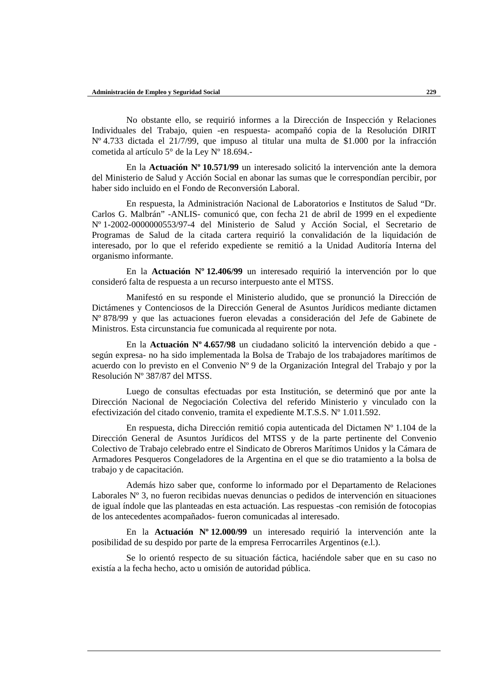No obstante ello, se requirió informes a la Dirección de Inspección y Relaciones Individuales del Trabajo, quien -en respuesta- acompañó copia de la Resolución DIRIT Nº 4.733 dictada el 21/7/99, que impuso al titular una multa de \$1.000 por la infracción cometida al artículo 5° de la Ley Nº 18.694.-

En la **Actuación Nº 10.571/99** un interesado solicitó la intervención ante la demora del Ministerio de Salud y Acción Social en abonar las sumas que le correspondían percibir, por haber sido incluido en el Fondo de Reconversión Laboral.

En respuesta, la Administración Nacional de Laboratorios e Institutos de Salud "Dr. Carlos G. Malbrán" -ANLIS- comunicó que, con fecha 21 de abril de 1999 en el expediente Nº 1-2002-0000000553/97-4 del Ministerio de Salud y Acción Social, el Secretario de Programas de Salud de la citada cartera requirió la convalidación de la liquidación de interesado, por lo que el referido expediente se remitió a la Unidad Auditoría Interna del organismo informante.

En la **Actuación Nº 12.406/99** un interesado requirió la intervención por lo que consideró falta de respuesta a un recurso interpuesto ante el MTSS.

Manifestó en su responde el Ministerio aludido, que se pronunció la Dirección de Dictámenes y Contenciosos de la Dirección General de Asuntos Jurídicos mediante dictamen Nº 878/99 y que las actuaciones fueron elevadas a consideración del Jefe de Gabinete de Ministros. Esta circunstancia fue comunicada al requirente por nota.

En la **Actuación Nº 4.657/98** un ciudadano solicitó la intervención debido a que según expresa- no ha sido implementada la Bolsa de Trabajo de los trabajadores marítimos de acuerdo con lo previsto en el Convenio Nº 9 de la Organización Integral del Trabajo y por la Resolución Nº 387/87 del MTSS.

Luego de consultas efectuadas por esta Institución, se determinó que por ante la Dirección Nacional de Negociación Colectiva del referido Ministerio y vinculado con la efectivización del citado convenio, tramita el expediente M.T.S.S. Nº 1.011.592.

En respuesta, dicha Dirección remitió copia autenticada del Dictamen Nº 1.104 de la Dirección General de Asuntos Jurídicos del MTSS y de la parte pertinente del Convenio Colectivo de Trabajo celebrado entre el Sindicato de Obreros Marítimos Unidos y la Cámara de Armadores Pesqueros Congeladores de la Argentina en el que se dio tratamiento a la bolsa de trabajo y de capacitación.

Además hizo saber que, conforme lo informado por el Departamento de Relaciones Laborales Nº 3, no fueron recibidas nuevas denuncias o pedidos de intervención en situaciones de igual índole que las planteadas en esta actuación. Las respuestas -con remisión de fotocopias de los antecedentes acompañados- fueron comunicadas al interesado.

En la **Actuación Nº 12.000/99** un interesado requirió la intervención ante la posibilidad de su despido por parte de la empresa Ferrocarriles Argentinos (e.l.).

Se lo orientó respecto de su situación fáctica, haciéndole saber que en su caso no existía a la fecha hecho, acto u omisión de autoridad pública.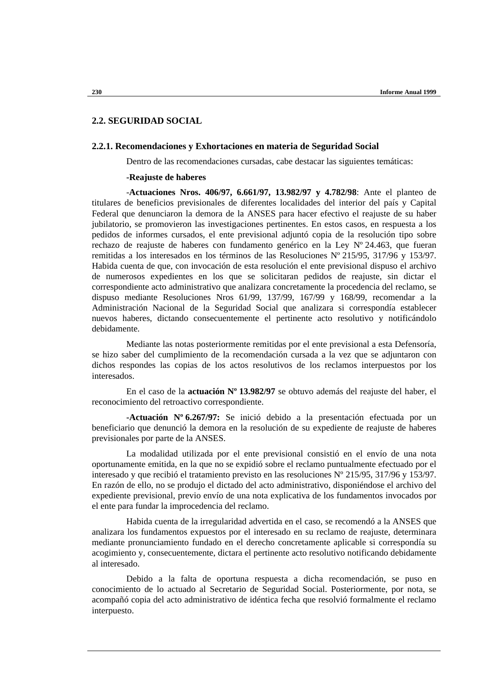# **2.2. SEGURIDAD SOCIAL**

#### **2.2.1. Recomendaciones y Exhortaciones en materia de Seguridad Social**

Dentro de las recomendaciones cursadas, cabe destacar las siguientes temáticas:

#### **-Reajuste de haberes**

-**Actuaciones Nros. 406/97, 6.661/97, 13.982/97 y 4.782/98**: Ante el planteo de titulares de beneficios previsionales de diferentes localidades del interior del país y Capital Federal que denunciaron la demora de la ANSES para hacer efectivo el reajuste de su haber jubilatorio, se promovieron las investigaciones pertinentes. En estos casos, en respuesta a los pedidos de informes cursados, el ente previsional adjuntó copia de la resolución tipo sobre rechazo de reajuste de haberes con fundamento genérico en la Ley Nº 24.463, que fueran remitidas a los interesados en los términos de las Resoluciones Nº 215/95, 317/96 y 153/97. Habida cuenta de que, con invocación de esta resolución el ente previsional dispuso el archivo de numerosos expedientes en los que se solicitaran pedidos de reajuste, sin dictar el correspondiente acto administrativo que analizara concretamente la procedencia del reclamo, se dispuso mediante Resoluciones Nros 61/99, 137/99, 167/99 y 168/99, recomendar a la Administración Nacional de la Seguridad Social que analizara si correspondía establecer nuevos haberes, dictando consecuentemente el pertinente acto resolutivo y notificándolo debidamente.

Mediante las notas posteriormente remitidas por el ente previsional a esta Defensoría, se hizo saber del cumplimiento de la recomendación cursada a la vez que se adjuntaron con dichos respondes las copias de los actos resolutivos de los reclamos interpuestos por los interesados.

En el caso de la **actuación Nº 13.982/97** se obtuvo además del reajuste del haber, el reconocimiento del retroactivo correspondiente.

**-Actuación Nº 6.267/97:** Se inició debido a la presentación efectuada por un beneficiario que denunció la demora en la resolución de su expediente de reajuste de haberes previsionales por parte de la ANSES.

La modalidad utilizada por el ente previsional consistió en el envío de una nota oportunamente emitida, en la que no se expidió sobre el reclamo puntualmente efectuado por el interesado y que recibió el tratamiento previsto en las resoluciones Nº 215/95, 317/96 y 153/97. En razón de ello, no se produjo el dictado del acto administrativo, disponiéndose el archivo del expediente previsional, previo envío de una nota explicativa de los fundamentos invocados por el ente para fundar la improcedencia del reclamo.

Habida cuenta de la irregularidad advertida en el caso, se recomendó a la ANSES que analizara los fundamentos expuestos por el interesado en su reclamo de reajuste, determinara mediante pronunciamiento fundado en el derecho concretamente aplicable si correspondía su acogimiento y, consecuentemente, dictara el pertinente acto resolutivo notificando debidamente al interesado.

Debido a la falta de oportuna respuesta a dicha recomendación, se puso en conocimiento de lo actuado al Secretario de Seguridad Social. Posteriormente, por nota, se acompañó copia del acto administrativo de idéntica fecha que resolvió formalmente el reclamo interpuesto.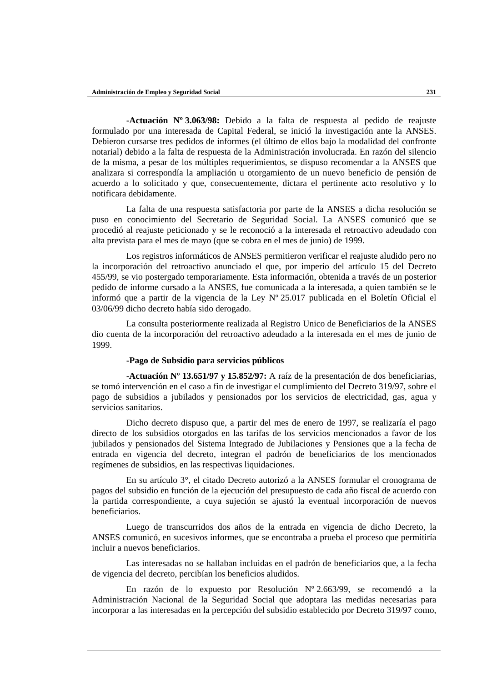**-Actuación Nº 3.063/98:** Debido a la falta de respuesta al pedido de reajuste formulado por una interesada de Capital Federal, se inició la investigación ante la ANSES. Debieron cursarse tres pedidos de informes (el último de ellos bajo la modalidad del confronte notarial) debido a la falta de respuesta de la Administración involucrada. En razón del silencio de la misma, a pesar de los múltiples requerimientos, se dispuso recomendar a la ANSES que analizara si correspondía la ampliación u otorgamiento de un nuevo beneficio de pensión de acuerdo a lo solicitado y que, consecuentemente, dictara el pertinente acto resolutivo y lo notificara debidamente.

La falta de una respuesta satisfactoria por parte de la ANSES a dicha resolución se puso en conocimiento del Secretario de Seguridad Social. La ANSES comunicó que se procedió al reajuste peticionado y se le reconoció a la interesada el retroactivo adeudado con alta prevista para el mes de mayo (que se cobra en el mes de junio) de 1999.

Los registros informáticos de ANSES permitieron verificar el reajuste aludido pero no la incorporación del retroactivo anunciado el que, por imperio del artículo 15 del Decreto 455/99, se vio postergado temporariamente. Esta información, obtenida a través de un posterior pedido de informe cursado a la ANSES, fue comunicada a la interesada, a quien también se le informó que a partir de la vigencia de la Ley Nº 25.017 publicada en el Boletín Oficial el 03/06/99 dicho decreto había sido derogado.

La consulta posteriormente realizada al Registro Unico de Beneficiarios de la ANSES dio cuenta de la incorporación del retroactivo adeudado a la interesada en el mes de junio de 1999.

## **-Pago de Subsidio para servicios públicos**

-**Actuación Nº 13.651/97 y 15.852/97:** A raíz de la presentación de dos beneficiarias, se tomó intervención en el caso a fin de investigar el cumplimiento del Decreto 319/97, sobre el pago de subsidios a jubilados y pensionados por los servicios de electricidad, gas, agua y servicios sanitarios.

Dicho decreto dispuso que, a partir del mes de enero de 1997, se realizaría el pago directo de los subsidios otorgados en las tarifas de los servicios mencionados a favor de los jubilados y pensionados del Sistema Integrado de Jubilaciones y Pensiones que a la fecha de entrada en vigencia del decreto, integran el padrón de beneficiarios de los mencionados regímenes de subsidios, en las respectivas liquidaciones.

En su artículo 3°, el citado Decreto autorizó a la ANSES formular el cronograma de pagos del subsidio en función de la ejecución del presupuesto de cada año fiscal de acuerdo con la partida correspondiente, a cuya sujeción se ajustó la eventual incorporación de nuevos beneficiarios.

Luego de transcurridos dos años de la entrada en vigencia de dicho Decreto, la ANSES comunicó, en sucesivos informes, que se encontraba a prueba el proceso que permitiría incluir a nuevos beneficiarios.

Las interesadas no se hallaban incluidas en el padrón de beneficiarios que, a la fecha de vigencia del decreto, percibían los beneficios aludidos.

En razón de lo expuesto por Resolución Nº 2.663/99, se recomendó a la Administración Nacional de la Seguridad Social que adoptara las medidas necesarias para incorporar a las interesadas en la percepción del subsidio establecido por Decreto 319/97 como,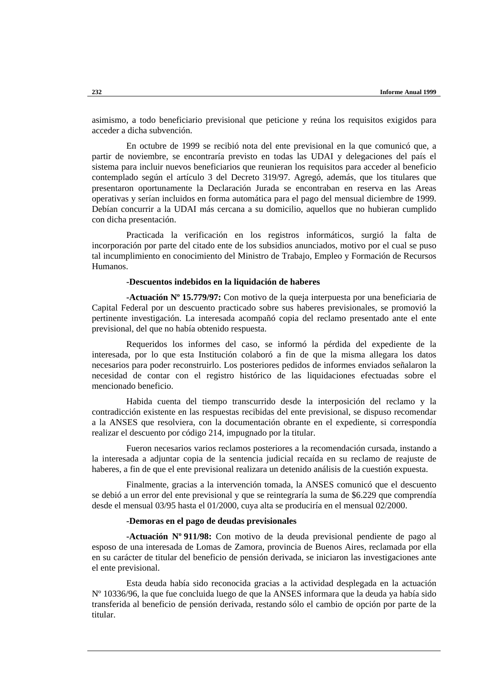asimismo, a todo beneficiario previsional que peticione y reúna los requisitos exigidos para acceder a dicha subvención.

En octubre de 1999 se recibió nota del ente previsional en la que comunicó que, a partir de noviembre, se encontraría previsto en todas las UDAI y delegaciones del país el sistema para incluir nuevos beneficiarios que reunieran los requisitos para acceder al beneficio contemplado según el artículo 3 del Decreto 319/97. Agregó, además, que los titulares que presentaron oportunamente la Declaración Jurada se encontraban en reserva en las Areas operativas y serían incluidos en forma automática para el pago del mensual diciembre de 1999. Debían concurrir a la UDAI más cercana a su domicilio, aquellos que no hubieran cumplido con dicha presentación.

Practicada la verificación en los registros informáticos, surgió la falta de incorporación por parte del citado ente de los subsidios anunciados, motivo por el cual se puso tal incumplimiento en conocimiento del Ministro de Trabajo, Empleo y Formación de Recursos Humanos.

#### **-Descuentos indebidos en la liquidación de haberes**

**-Actuación Nº 15.779/97:** Con motivo de la queja interpuesta por una beneficiaria de Capital Federal por un descuento practicado sobre sus haberes previsionales, se promovió la pertinente investigación. La interesada acompañó copia del reclamo presentado ante el ente previsional, del que no había obtenido respuesta.

Requeridos los informes del caso, se informó la pérdida del expediente de la interesada, por lo que esta Institución colaboró a fin de que la misma allegara los datos necesarios para poder reconstruirlo. Los posteriores pedidos de informes enviados señalaron la necesidad de contar con el registro histórico de las liquidaciones efectuadas sobre el mencionado beneficio.

Habida cuenta del tiempo transcurrido desde la interposición del reclamo y la contradicción existente en las respuestas recibidas del ente previsional, se dispuso recomendar a la ANSES que resolviera, con la documentación obrante en el expediente, si correspondía realizar el descuento por código 214, impugnado por la titular.

Fueron necesarios varios reclamos posteriores a la recomendación cursada, instando a la interesada a adjuntar copia de la sentencia judicial recaída en su reclamo de reajuste de haberes, a fin de que el ente previsional realizara un detenido análisis de la cuestión expuesta.

Finalmente, gracias a la intervención tomada, la ANSES comunicó que el descuento se debió a un error del ente previsional y que se reintegraría la suma de \$6.229 que comprendía desde el mensual 03/95 hasta el 01/2000, cuya alta se produciría en el mensual 02/2000.

# **-Demoras en el pago de deudas previsionales**

**-Actuación Nº 911/98:** Con motivo de la deuda previsional pendiente de pago al esposo de una interesada de Lomas de Zamora, provincia de Buenos Aires, reclamada por ella en su carácter de titular del beneficio de pensión derivada, se iniciaron las investigaciones ante el ente previsional.

Esta deuda había sido reconocida gracias a la actividad desplegada en la actuación Nº 10336/96, la que fue concluida luego de que la ANSES informara que la deuda ya había sido transferida al beneficio de pensión derivada, restando sólo el cambio de opción por parte de la titular.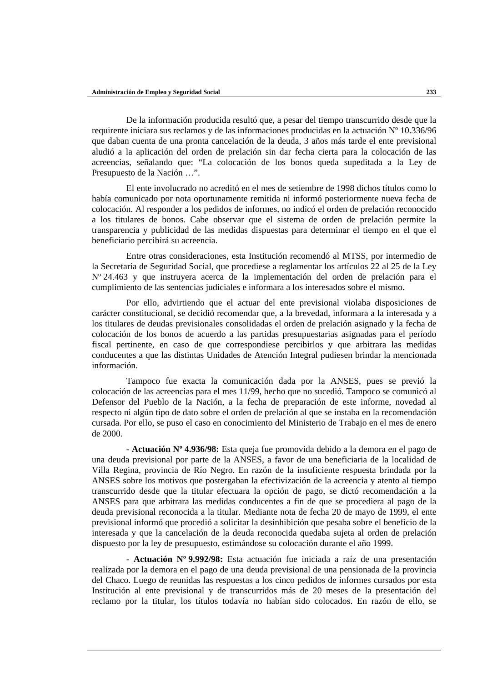De la información producida resultó que, a pesar del tiempo transcurrido desde que la requirente iniciara sus reclamos y de las informaciones producidas en la actuación Nº 10.336/96 que daban cuenta de una pronta cancelación de la deuda, 3 años más tarde el ente previsional aludió a la aplicación del orden de prelación sin dar fecha cierta para la colocación de las acreencias, señalando que: "La colocación de los bonos queda supeditada a la Ley de Presupuesto de la Nación …".

El ente involucrado no acreditó en el mes de setiembre de 1998 dichos títulos como lo había comunicado por nota oportunamente remitida ni informó posteriormente nueva fecha de colocación. Al responder a los pedidos de informes, no indicó el orden de prelación reconocido a los titulares de bonos. Cabe observar que el sistema de orden de prelación permite la transparencia y publicidad de las medidas dispuestas para determinar el tiempo en el que el beneficiario percibirá su acreencia.

Entre otras consideraciones, esta Institución recomendó al MTSS, por intermedio de la Secretaría de Seguridad Social, que procediese a reglamentar los artículos 22 al 25 de la Ley Nº 24.463 y que instruyera acerca de la implementación del orden de prelación para el cumplimiento de las sentencias judiciales e informara a los interesados sobre el mismo.

Por ello, advirtiendo que el actuar del ente previsional violaba disposiciones de carácter constitucional, se decidió recomendar que, a la brevedad, informara a la interesada y a los titulares de deudas previsionales consolidadas el orden de prelación asignado y la fecha de colocación de los bonos de acuerdo a las partidas presupuestarias asignadas para el período fiscal pertinente, en caso de que correspondiese percibirlos y que arbitrara las medidas conducentes a que las distintas Unidades de Atención Integral pudiesen brindar la mencionada información.

Tampoco fue exacta la comunicación dada por la ANSES, pues se previó la colocación de las acreencias para el mes 11/99, hecho que no sucedió. Tampoco se comunicó al Defensor del Pueblo de la Nación, a la fecha de preparación de este informe, novedad al respecto ni algún tipo de dato sobre el orden de prelación al que se instaba en la recomendación cursada. Por ello, se puso el caso en conocimiento del Ministerio de Trabajo en el mes de enero de 2000.

**- Actuación Nº 4.936/98:** Esta queja fue promovida debido a la demora en el pago de una deuda previsional por parte de la ANSES, a favor de una beneficiaria de la localidad de Villa Regina, provincia de Río Negro. En razón de la insuficiente respuesta brindada por la ANSES sobre los motivos que postergaban la efectivización de la acreencia y atento al tiempo transcurrido desde que la titular efectuara la opción de pago, se dictó recomendación a la ANSES para que arbitrara las medidas conducentes a fin de que se procediera al pago de la deuda previsional reconocida a la titular. Mediante nota de fecha 20 de mayo de 1999, el ente previsional informó que procedió a solicitar la desinhibición que pesaba sobre el beneficio de la interesada y que la cancelación de la deuda reconocida quedaba sujeta al orden de prelación dispuesto por la ley de presupuesto, estimándose su colocación durante el año 1999.

**- Actuación Nº 9.992/98:** Esta actuación fue iniciada a raíz de una presentación realizada por la demora en el pago de una deuda previsional de una pensionada de la provincia del Chaco. Luego de reunidas las respuestas a los cinco pedidos de informes cursados por esta Institución al ente previsional y de transcurridos más de 20 meses de la presentación del reclamo por la titular, los títulos todavía no habían sido colocados. En razón de ello, se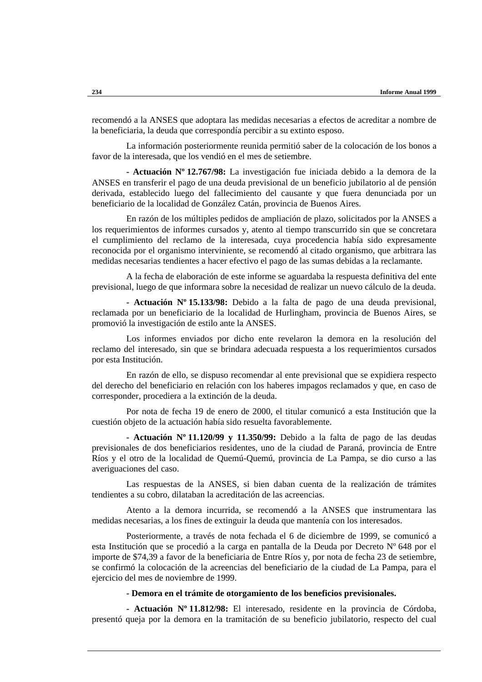recomendó a la ANSES que adoptara las medidas necesarias a efectos de acreditar a nombre de la beneficiaria, la deuda que correspondía percibir a su extinto esposo.

La información posteriormente reunida permitió saber de la colocación de los bonos a favor de la interesada, que los vendió en el mes de setiembre.

**- Actuación Nº 12.767/98:** La investigación fue iniciada debido a la demora de la ANSES en transferir el pago de una deuda previsional de un beneficio jubilatorio al de pensión derivada, establecido luego del fallecimiento del causante y que fuera denunciada por un beneficiario de la localidad de González Catán, provincia de Buenos Aires.

En razón de los múltiples pedidos de ampliación de plazo, solicitados por la ANSES a los requerimientos de informes cursados y, atento al tiempo transcurrido sin que se concretara el cumplimiento del reclamo de la interesada, cuya procedencia había sido expresamente reconocida por el organismo interviniente, se recomendó al citado organismo, que arbitrara las medidas necesarias tendientes a hacer efectivo el pago de las sumas debidas a la reclamante.

A la fecha de elaboración de este informe se aguardaba la respuesta definitiva del ente previsional, luego de que informara sobre la necesidad de realizar un nuevo cálculo de la deuda.

**- Actuación Nº 15.133/98:** Debido a la falta de pago de una deuda previsional, reclamada por un beneficiario de la localidad de Hurlingham, provincia de Buenos Aires, se promovió la investigación de estilo ante la ANSES.

Los informes enviados por dicho ente revelaron la demora en la resolución del reclamo del interesado, sin que se brindara adecuada respuesta a los requerimientos cursados por esta Institución.

En razón de ello, se dispuso recomendar al ente previsional que se expidiera respecto del derecho del beneficiario en relación con los haberes impagos reclamados y que, en caso de corresponder, procediera a la extinción de la deuda.

Por nota de fecha 19 de enero de 2000, el titular comunicó a esta Institución que la cuestión objeto de la actuación había sido resuelta favorablemente.

**- Actuación Nº 11.120/99 y 11.350/99:** Debido a la falta de pago de las deudas previsionales de dos beneficiarios residentes, uno de la ciudad de Paraná, provincia de Entre Ríos y el otro de la localidad de Quemú-Quemú, provincia de La Pampa, se dio curso a las averiguaciones del caso.

Las respuestas de la ANSES, si bien daban cuenta de la realización de trámites tendientes a su cobro, dilataban la acreditación de las acreencias.

Atento a la demora incurrida, se recomendó a la ANSES que instrumentara las medidas necesarias, a los fines de extinguir la deuda que mantenía con los interesados.

Posteriormente, a través de nota fechada el 6 de diciembre de 1999, se comunicó a esta Institución que se procedió a la carga en pantalla de la Deuda por Decreto Nº 648 por el importe de \$74,39 a favor de la beneficiaria de Entre Ríos y, por nota de fecha 23 de setiembre, se confirmó la colocación de la acreencias del beneficiario de la ciudad de La Pampa, para el ejercicio del mes de noviembre de 1999.

**- Demora en el trámite de otorgamiento de los beneficios previsionales.**

**- Actuación Nº 11.812/98:** El interesado, residente en la provincia de Córdoba, presentó queja por la demora en la tramitación de su beneficio jubilatorio, respecto del cual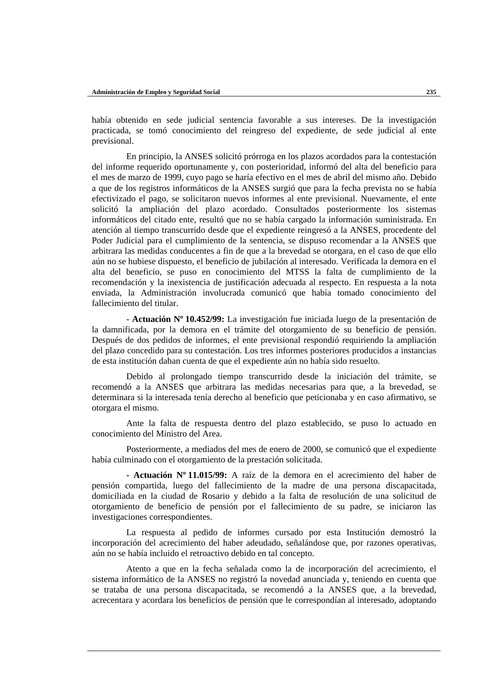había obtenido en sede judicial sentencia favorable a sus intereses. De la investigación practicada, se tomó conocimiento del reingreso del expediente, de sede judicial al ente previsional.

En principio, la ANSES solicitó prórroga en los plazos acordados para la contestación del informe requerido oportunamente y, con posterioridad, informó del alta del beneficio para el mes de marzo de 1999, cuyo pago se haría efectivo en el mes de abril del mismo año. Debido a que de los registros informáticos de la ANSES surgió que para la fecha prevista no se había efectivizado el pago, se solicitaron nuevos informes al ente previsional. Nuevamente, el ente solicitó la ampliación del plazo acordado. Consultados posteriormente los sistemas informáticos del citado ente, resultó que no se había cargado la información suministrada. En atención al tiempo transcurrido desde que el expediente reingresó a la ANSES, procedente del Poder Judicial para el cumplimiento de la sentencia, se dispuso recomendar a la ANSES que arbitrara las medidas conducentes a fin de que a la brevedad se otorgara, en el caso de que ello aún no se hubiese dispuesto, el beneficio de jubilación al interesado. Verificada la demora en el alta del beneficio, se puso en conocimiento del MTSS la falta de cumplimiento de la recomendación y la inexistencia de justificación adecuada al respecto. En respuesta a la nota enviada, la Administración involucrada comunicó que había tomado conocimiento del fallecimiento del titular.

**- Actuación Nº 10.452/99:** La investigación fue iniciada luego de la presentación de la damnificada, por la demora en el trámite del otorgamiento de su beneficio de pensión. Después de dos pedidos de informes, el ente previsional respondió requiriendo la ampliación del plazo concedido para su contestación. Los tres informes posteriores producidos a instancias de esta institución daban cuenta de que el expediente aún no había sido resuelto.

Debido al prolongado tiempo transcurrido desde la iniciación del trámite, se recomendó a la ANSES que arbitrara las medidas necesarias para que, a la brevedad, se determinara si la interesada tenía derecho al beneficio que peticionaba y en caso afirmativo, se otorgara el mismo.

Ante la falta de respuesta dentro del plazo establecido, se puso lo actuado en conocimiento del Ministro del Area.

Posteriormente, a mediados del mes de enero de 2000, se comunicó que el expediente había culminado con el otorgamiento de la prestación solicitada.

**- Actuación Nº 11.015/99:** A raíz de la demora en el acrecimiento del haber de pensión compartida, luego del fallecimiento de la madre de una persona discapacitada, domiciliada en la ciudad de Rosario y debido a la falta de resolución de una solicitud de otorgamiento de beneficio de pensión por el fallecimiento de su padre, se iniciaron las investigaciones correspondientes.

La respuesta al pedido de informes cursado por esta Institución demostró la incorporación del acrecimiento del haber adeudado, señalándose que, por razones operativas, aún no se había incluido el retroactivo debido en tal concepto.

Atento a que en la fecha señalada como la de incorporación del acrecimiento, el sistema informático de la ANSES no registró la novedad anunciada y, teniendo en cuenta que se trataba de una persona discapacitada, se recomendó a la ANSES que, a la brevedad, acrecentara y acordara los beneficios de pensión que le correspondían al interesado, adoptando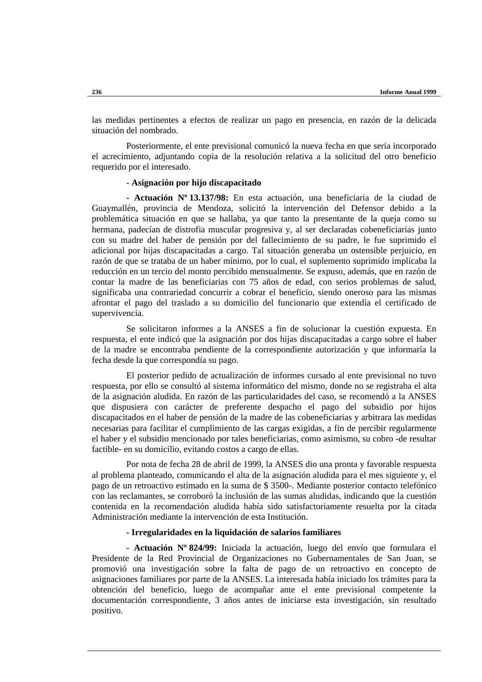las medidas pertinentes a efectos de realizar un pago en presencia, en razón de la delicada situación del nombrado.

Posteriormente, el ente previsional comunicó la nueva fecha en que sería incorporado el acrecimiento, adjuntando copia de la resolución relativa a la solicitud del otro beneficio requerido por el interesado.

## **- Asignación por hijo discapacitado**

**- Actuación Nº 13.137/98:** En esta actuación, una beneficiaria de la ciudad de Guaymallén, provincia de Mendoza, solicitó la intervención del Defensor debido a la problemática situación en que se hallaba, ya que tanto la presentante de la queja como su hermana, padecían de distrofia muscular progresiva y, al ser declaradas cobeneficiarias junto con su madre del haber de pensión por del fallecimiento de su padre, le fue suprimido el adicional por hijas discapacitadas a cargo. Tal situación generaba un ostensible perjuicio, en razón de que se trataba de un haber mínimo, por lo cual, el suplemento suprimido implicaba la reducción en un tercio del monto percibido mensualmente. Se expuso, además, que en razón de contar la madre de las beneficiarias con 75 años de edad, con serios problemas de salud, significaba una contrariedad concurrir a cobrar el beneficio, siendo oneroso para las mismas afrontar el pago del traslado a su domicilio del funcionario que extendía el certificado de supervivencia.

Se solicitaron informes a la ANSES a fin de solucionar la cuestión expuesta. En respuesta, el ente indicó que la asignación por dos hijas discapacitadas a cargo sobre el haber de la madre se encontraba pendiente de la correspondiente autorización y que informaría la fecha desde la que correspondía su pago.

El posterior pedido de actualización de informes cursado al ente previsional no tuvo respuesta, por ello se consultó al sistema informático del mismo, donde no se registraba el alta de la asignación aludida. En razón de las particularidades del caso, se recomendó a la ANSES que dispusiera con carácter de preferente despacho el pago del subsidio por hijos discapacitados en el haber de pensión de la madre de las cobeneficiarias y arbitrara las medidas necesarias para facilitar el cumplimiento de las cargas exigidas, a fin de percibir regularmente el haber y el subsidio mencionado por tales beneficiarias, como asimismo, su cobro -de resultar factible- en su domicilio, evitando costos a cargo de ellas.

Por nota de fecha 28 de abril de 1999, la ANSES dio una pronta y favorable respuesta al problema planteado, comunicando el alta de la asignación aludida para el mes siguiente y, el pago de un retroactivo estimado en la suma de \$ 3500-. Mediante posterior contacto telefónico con las reclamantes, se corroboró la inclusión de las sumas aludidas, indicando que la cuestión contenida en la recomendación aludida había sido satisfactoriamente resuelta por la citada Administración mediante la intervención de esta Institución.

#### **- Irregularidades en la liquidación de salarios familiares**

**- Actuación Nº 824/99:** Iniciada la actuación, luego del envío que formulara el Presidente de la Red Provincial de Organizaciones no Gubernamentales de San Juan, se promovió una investigación sobre la falta de pago de un retroactivo en concepto de asignaciones familiares por parte de la ANSES. La interesada había iniciado los trámites para la obtención del beneficio, luego de acompañar ante el ente previsional competente la documentación correspondiente, 3 años antes de iniciarse esta investigación, sin resultado positivo.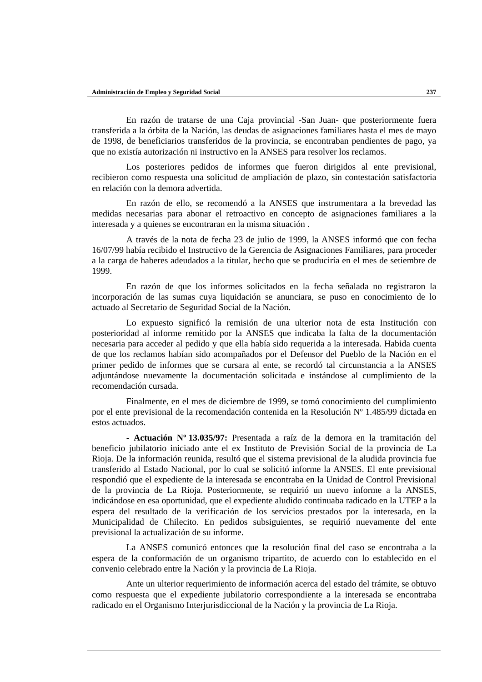En razón de tratarse de una Caja provincial -San Juan- que posteriormente fuera transferida a la órbita de la Nación, las deudas de asignaciones familiares hasta el mes de mayo de 1998, de beneficiarios transferidos de la provincia, se encontraban pendientes de pago, ya que no existía autorización ni instructivo en la ANSES para resolver los reclamos.

Los posteriores pedidos de informes que fueron dirigidos al ente previsional, recibieron como respuesta una solicitud de ampliación de plazo, sin contestación satisfactoria en relación con la demora advertida.

En razón de ello, se recomendó a la ANSES que instrumentara a la brevedad las medidas necesarias para abonar el retroactivo en concepto de asignaciones familiares a la interesada y a quienes se encontraran en la misma situación .

A través de la nota de fecha 23 de julio de 1999, la ANSES informó que con fecha 16/07/99 había recibido el Instructivo de la Gerencia de Asignaciones Familiares, para proceder a la carga de haberes adeudados a la titular, hecho que se produciría en el mes de setiembre de 1999.

En razón de que los informes solicitados en la fecha señalada no registraron la incorporación de las sumas cuya liquidación se anunciara, se puso en conocimiento de lo actuado al Secretario de Seguridad Social de la Nación.

Lo expuesto significó la remisión de una ulterior nota de esta Institución con posterioridad al informe remitido por la ANSES que indicaba la falta de la documentación necesaria para acceder al pedido y que ella había sido requerida a la interesada. Habida cuenta de que los reclamos habían sido acompañados por el Defensor del Pueblo de la Nación en el primer pedido de informes que se cursara al ente, se recordó tal circunstancia a la ANSES adjuntándose nuevamente la documentación solicitada e instándose al cumplimiento de la recomendación cursada.

Finalmente, en el mes de diciembre de 1999, se tomó conocimiento del cumplimiento por el ente previsional de la recomendación contenida en la Resolución Nº 1.485/99 dictada en estos actuados.

**- Actuación Nº 13.035/97:** Presentada a raíz de la demora en la tramitación del beneficio jubilatorio iniciado ante el ex Instituto de Previsión Social de la provincia de La Rioja. De la información reunida, resultó que el sistema previsional de la aludida provincia fue transferido al Estado Nacional, por lo cual se solicitó informe la ANSES. El ente previsional respondió que el expediente de la interesada se encontraba en la Unidad de Control Previsional de la provincia de La Rioja. Posteriormente, se requirió un nuevo informe a la ANSES, indicándose en esa oportunidad, que el expediente aludido continuaba radicado en la UTEP a la espera del resultado de la verificación de los servicios prestados por la interesada, en la Municipalidad de Chilecito. En pedidos subsiguientes, se requirió nuevamente del ente previsional la actualización de su informe.

La ANSES comunicó entonces que la resolución final del caso se encontraba a la espera de la conformación de un organismo tripartito, de acuerdo con lo establecido en el convenio celebrado entre la Nación y la provincia de La Rioja.

Ante un ulterior requerimiento de información acerca del estado del trámite, se obtuvo como respuesta que el expediente jubilatorio correspondiente a la interesada se encontraba radicado en el Organismo Interjurisdiccional de la Nación y la provincia de La Rioja.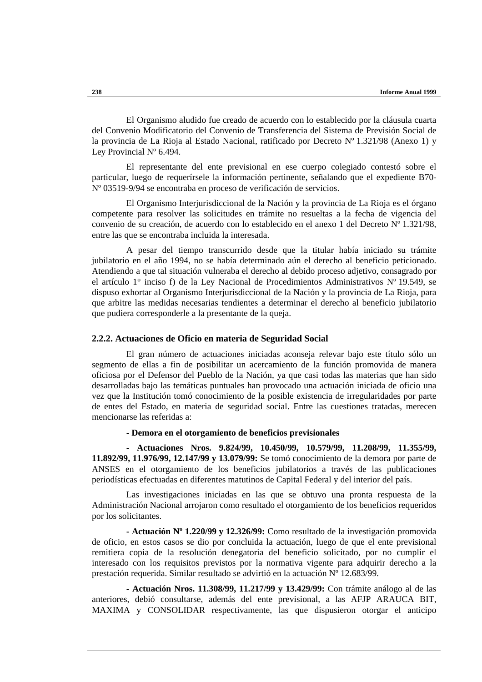El Organismo aludido fue creado de acuerdo con lo establecido por la cláusula cuarta del Convenio Modificatorio del Convenio de Transferencia del Sistema de Previsión Social de la provincia de La Rioja al Estado Nacional, ratificado por Decreto  $N^{\circ}$  1.321/98 (Anexo 1) y Ley Provincial Nº 6.494.

El representante del ente previsional en ese cuerpo colegiado contestó sobre el particular, luego de requerírsele la información pertinente, señalando que el expediente B70- Nº 03519-9/94 se encontraba en proceso de verificación de servicios.

El Organismo Interjurisdiccional de la Nación y la provincia de La Rioja es el órgano competente para resolver las solicitudes en trámite no resueltas a la fecha de vigencia del convenio de su creación, de acuerdo con lo establecido en el anexo 1 del Decreto Nº 1.321/98, entre las que se encontraba incluida la interesada.

A pesar del tiempo transcurrido desde que la titular había iniciado su trámite jubilatorio en el año 1994, no se había determinado aún el derecho al beneficio peticionado. Atendiendo a que tal situación vulneraba el derecho al debido proceso adjetivo, consagrado por el artículo 1° inciso f) de la Ley Nacional de Procedimientos Administrativos Nº 19.549, se dispuso exhortar al Organismo Interjurisdiccional de la Nación y la provincia de La Rioja, para que arbitre las medidas necesarias tendientes a determinar el derecho al beneficio jubilatorio que pudiera corresponderle a la presentante de la queja.

#### **2.2.2. Actuaciones de Oficio en materia de Seguridad Social**

El gran número de actuaciones iniciadas aconseja relevar bajo este título sólo un segmento de ellas a fin de posibilitar un acercamiento de la función promovida de manera oficiosa por el Defensor del Pueblo de la Nación, ya que casi todas las materias que han sido desarrolladas bajo las temáticas puntuales han provocado una actuación iniciada de oficio una vez que la Institución tomó conocimiento de la posible existencia de irregularidades por parte de entes del Estado, en materia de seguridad social. Entre las cuestiones tratadas, merecen mencionarse las referidas a:

**- Demora en el otorgamiento de beneficios previsionales**

**- Actuaciones Nros. 9.824/99, 10.450/99, 10.579/99, 11.208/99, 11.355/99, 11.892/99, 11.976/99, 12.147/99 y 13.079/99:** Se tomó conocimiento de la demora por parte de ANSES en el otorgamiento de los beneficios jubilatorios a través de las publicaciones periodísticas efectuadas en diferentes matutinos de Capital Federal y del interior del país.

Las investigaciones iniciadas en las que se obtuvo una pronta respuesta de la Administración Nacional arrojaron como resultado el otorgamiento de los beneficios requeridos por los solicitantes.

**- Actuación Nº 1.220/99 y 12.326/99:** Como resultado de la investigación promovida de oficio, en estos casos se dio por concluida la actuación, luego de que el ente previsional remitiera copia de la resolución denegatoria del beneficio solicitado, por no cumplir el interesado con los requisitos previstos por la normativa vigente para adquirir derecho a la prestación requerida. Similar resultado se advirtió en la actuación Nº 12.683/99.

**- Actuación Nros. 11.308/99, 11.217/99 y 13.429/99:** Con trámite análogo al de las anteriores, debió consultarse, además del ente previsional, a las AFJP ARAUCA BIT, MAXIMA y CONSOLIDAR respectivamente, las que dispusieron otorgar el anticipo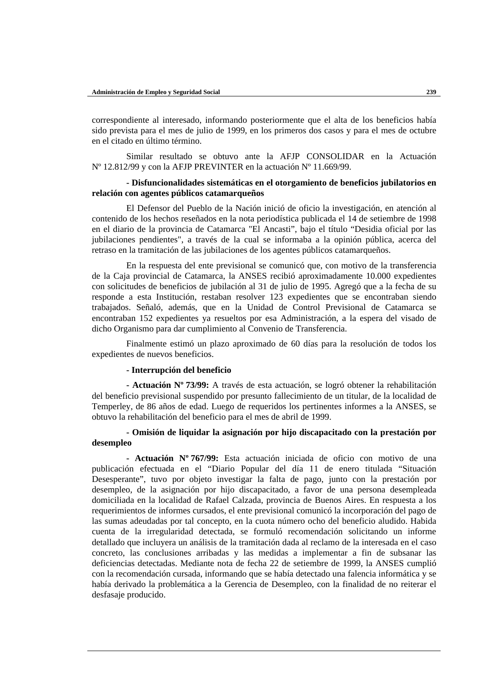correspondiente al interesado, informando posteriormente que el alta de los beneficios había sido prevista para el mes de julio de 1999, en los primeros dos casos y para el mes de octubre en el citado en último término.

Similar resultado se obtuvo ante la AFJP CONSOLIDAR en la Actuación Nº 12.812/99 y con la AFJP PREVINTER en la actuación Nº 11.669/99.

# **- Disfuncionalidades sistemáticas en el otorgamiento de beneficios jubilatorios en relación con agentes públicos catamarqueños**

El Defensor del Pueblo de la Nación inició de oficio la investigación, en atención al contenido de los hechos reseñados en la nota periodística publicada el 14 de setiembre de 1998 en el diario de la provincia de Catamarca "El Ancasti", bajo el título "Desidia oficial por las jubilaciones pendientes", a través de la cual se informaba a la opinión pública, acerca del retraso en la tramitación de las jubilaciones de los agentes públicos catamarqueños.

En la respuesta del ente previsional se comunicó que, con motivo de la transferencia de la Caja provincial de Catamarca, la ANSES recibió aproximadamente 10.000 expedientes con solicitudes de beneficios de jubilación al 31 de julio de 1995. Agregó que a la fecha de su responde a esta Institución, restaban resolver 123 expedientes que se encontraban siendo trabajados. Señaló, además, que en la Unidad de Control Previsional de Catamarca se encontraban 152 expedientes ya resueltos por esa Administración, a la espera del visado de dicho Organismo para dar cumplimiento al Convenio de Transferencia.

Finalmente estimó un plazo aproximado de 60 días para la resolución de todos los expedientes de nuevos beneficios.

#### **- Interrupción del beneficio**

**- Actuación Nº 73/99:** A través de esta actuación, se logró obtener la rehabilitación del beneficio previsional suspendido por presunto fallecimiento de un titular, de la localidad de Temperley, de 86 años de edad. Luego de requeridos los pertinentes informes a la ANSES, se obtuvo la rehabilitación del beneficio para el mes de abril de 1999.

## **- Omisión de liquidar la asignación por hijo discapacitado con la prestación por desempleo**

**- Actuación Nº 767/99:** Esta actuación iniciada de oficio con motivo de una publicación efectuada en el "Diario Popular del día 11 de enero titulada "Situación Desesperante", tuvo por objeto investigar la falta de pago, junto con la prestación por desempleo, de la asignación por hijo discapacitado, a favor de una persona desempleada domiciliada en la localidad de Rafael Calzada, provincia de Buenos Aires. En respuesta a los requerimientos de informes cursados, el ente previsional comunicó la incorporación del pago de las sumas adeudadas por tal concepto, en la cuota número ocho del beneficio aludido. Habida cuenta de la irregularidad detectada, se formuló recomendación solicitando un informe detallado que incluyera un análisis de la tramitación dada al reclamo de la interesada en el caso concreto, las conclusiones arribadas y las medidas a implementar a fin de subsanar las deficiencias detectadas. Mediante nota de fecha 22 de setiembre de 1999, la ANSES cumplió con la recomendación cursada, informando que se había detectado una falencia informática y se había derivado la problemática a la Gerencia de Desempleo, con la finalidad de no reiterar el desfasaje producido.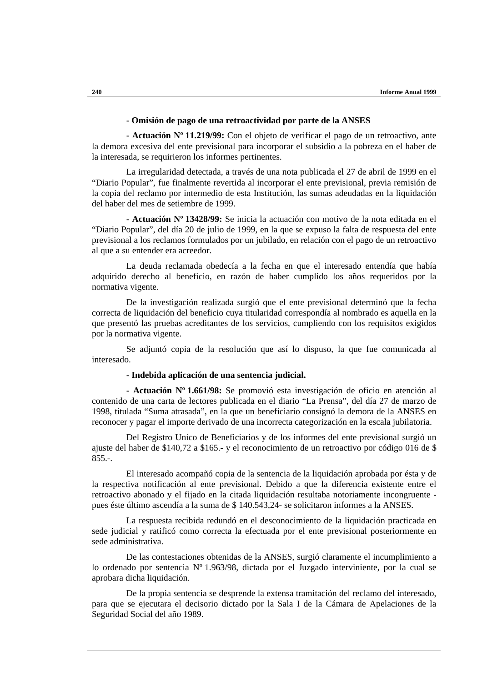### **- Omisión de pago de una retroactividad por parte de la ANSES**

**- Actuación Nº 11.219/99:** Con el objeto de verificar el pago de un retroactivo, ante la demora excesiva del ente previsional para incorporar el subsidio a la pobreza en el haber de la interesada, se requirieron los informes pertinentes.

La irregularidad detectada, a través de una nota publicada el 27 de abril de 1999 en el "Diario Popular", fue finalmente revertida al incorporar el ente previsional, previa remisión de la copia del reclamo por intermedio de esta Institución, las sumas adeudadas en la liquidación del haber del mes de setiembre de 1999.

**- Actuación Nº 13428/99:** Se inicia la actuación con motivo de la nota editada en el "Diario Popular", del día 20 de julio de 1999, en la que se expuso la falta de respuesta del ente previsional a los reclamos formulados por un jubilado, en relación con el pago de un retroactivo al que a su entender era acreedor.

La deuda reclamada obedecía a la fecha en que el interesado entendía que había adquirido derecho al beneficio, en razón de haber cumplido los años requeridos por la normativa vigente.

De la investigación realizada surgió que el ente previsional determinó que la fecha correcta de liquidación del beneficio cuya titularidad correspondía al nombrado es aquella en la que presentó las pruebas acreditantes de los servicios, cumpliendo con los requisitos exigidos por la normativa vigente.

Se adjuntó copia de la resolución que así lo dispuso, la que fue comunicada al interesado.

#### **- Indebida aplicación de una sentencia judicial.**

**- Actuación Nº 1.661/98:** Se promovió esta investigación de oficio en atención al contenido de una carta de lectores publicada en el diario "La Prensa", del día 27 de marzo de 1998, titulada "Suma atrasada", en la que un beneficiario consignó la demora de la ANSES en reconocer y pagar el importe derivado de una incorrecta categorización en la escala jubilatoria.

Del Registro Unico de Beneficiarios y de los informes del ente previsional surgió un ajuste del haber de \$140,72 a \$165.- y el reconocimiento de un retroactivo por código 016 de \$  $855. - .$ 

El interesado acompañó copia de la sentencia de la liquidación aprobada por ésta y de la respectiva notificación al ente previsional. Debido a que la diferencia existente entre el retroactivo abonado y el fijado en la citada liquidación resultaba notoriamente incongruente pues éste último ascendía a la suma de \$ 140.543,24- se solicitaron informes a la ANSES.

La respuesta recibida redundó en el desconocimiento de la liquidación practicada en sede judicial y ratificó como correcta la efectuada por el ente previsional posteriormente en sede administrativa.

De las contestaciones obtenidas de la ANSES, surgió claramente el incumplimiento a lo ordenado por sentencia Nº 1.963/98, dictada por el Juzgado interviniente, por la cual se aprobara dicha liquidación.

De la propia sentencia se desprende la extensa tramitación del reclamo del interesado, para que se ejecutara el decisorio dictado por la Sala I de la Cámara de Apelaciones de la Seguridad Social del año 1989.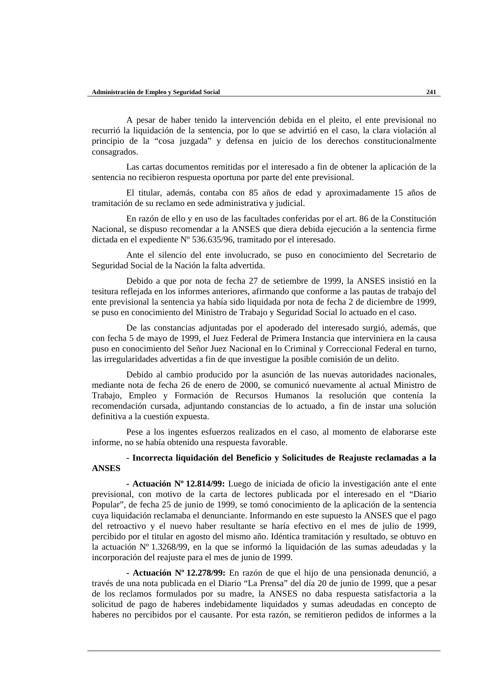A pesar de haber tenido la intervención debida en el pleito, el ente previsional no recurrió la liquidación de la sentencia, por lo que se advirtió en el caso, la clara violación al principio de la "cosa juzgada" y defensa en juicio de los derechos constitucionalmente consagrados.

Las cartas documentos remitidas por el interesado a fin de obtener la aplicación de la sentencia no recibieron respuesta oportuna por parte del ente previsional.

El titular, además, contaba con 85 años de edad y aproximadamente 15 años de tramitación de su reclamo en sede administrativa y judicial.

En razón de ello y en uso de las facultades conferidas por el art. 86 de la Constitución Nacional, se dispuso recomendar a la ANSES que diera debida ejecución a la sentencia firme dictada en el expediente Nº 536.635/96, tramitado por el interesado.

Ante el silencio del ente involucrado, se puso en conocimiento del Secretario de Seguridad Social de la Nación la falta advertida.

Debido a que por nota de fecha 27 de setiembre de 1999, la ANSES insistió en la tesitura reflejada en los informes anteriores, afirmando que conforme a las pautas de trabajo del ente previsional la sentencia ya había sido liquidada por nota de fecha 2 de diciembre de 1999, se puso en conocimiento del Ministro de Trabajo y Seguridad Social lo actuado en el caso.

De las constancias adjuntadas por el apoderado del interesado surgió, además, que con fecha 5 de mayo de 1999, el Juez Federal de Primera Instancia que interviniera en la causa puso en conocimiento del Señor Juez Nacional en lo Criminal y Correccional Federal en turno, las irregularidades advertidas a fin de que investigue la posible comisión de un delito.

Debido al cambio producido por la asunción de las nuevas autoridades nacionales, mediante nota de fecha 26 de enero de 2000, se comunicó nuevamente al actual Ministro de Trabajo, Empleo y Formación de Recursos Humanos la resolución que contenía la recomendación cursada, adjuntando constancias de lo actuado, a fin de instar una solución definitiva a la cuestión expuesta.

Pese a los ingentes esfuerzos realizados en el caso, al momento de elaborarse este informe, no se había obtenido una respuesta favorable.

# **- Incorrecta liquidación del Beneficio y Solicitudes de Reajuste reclamadas a la ANSES**

**- Actuación Nº 12.814/99:** Luego de iniciada de oficio la investigación ante el ente previsional, con motivo de la carta de lectores publicada por el interesado en el "Diario Popular", de fecha 25 de junio de 1999, se tomó conocimiento de la aplicación de la sentencia cuya liquidación reclamaba el denunciante. Informando en este supuesto la ANSES que el pago del retroactivo y el nuevo haber resultante se haría efectivo en el mes de julio de 1999, percibido por el titular en agosto del mismo año. Idéntica tramitación y resultado, se obtuvo en la actuación Nº 1.3268/99, en la que se informó la liquidación de las sumas adeudadas y la incorporación del reajuste para el mes de junio de 1999.

**- Actuación Nº 12.278/99:** En razón de que el hijo de una pensionada denunció, a través de una nota publicada en el Diario "La Prensa" del día 20 de junio de 1999, que a pesar de los reclamos formulados por su madre, la ANSES no daba respuesta satisfactoria a la solicitud de pago de haberes indebidamente liquidados y sumas adeudadas en concepto de haberes no percibidos por el causante. Por esta razón, se remitieron pedidos de informes a la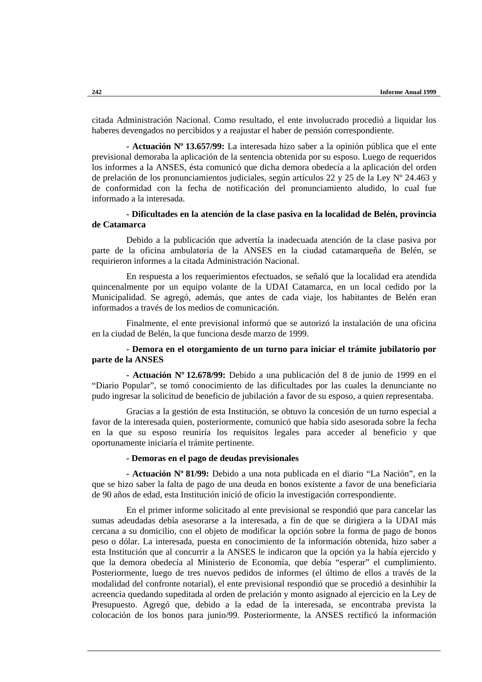citada Administración Nacional. Como resultado, el ente involucrado procedió a liquidar los haberes devengados no percibidos y a reajustar el haber de pensión correspondiente.

**- Actuación Nº 13.657/99:** La interesada hizo saber a la opinión pública que el ente previsional demoraba la aplicación de la sentencia obtenida por su esposo. Luego de requeridos los informes a la ANSES, ésta comunicó que dicha demora obedecía a la aplicación del orden de prelación de los pronunciamientos judiciales, según artículos 22 y 25 de la Ley Nº 24.463 y de conformidad con la fecha de notificación del pronunciamiento aludido, lo cual fue informado a la interesada.

## **- Dificultades en la atención de la clase pasiva en la localidad de Belén, provincia de Catamarca**

Debido a la publicación que advertía la inadecuada atención de la clase pasiva por parte de la oficina ambulatoria de la ANSES en la ciudad catamarqueña de Belén, se requirieron informes a la citada Administración Nacional.

En respuesta a los requerimientos efectuados, se señaló que la localidad era atendida quincenalmente por un equipo volante de la UDAI Catamarca, en un local cedido por la Municipalidad. Se agregó, además, que antes de cada viaje, los habitantes de Belén eran informados a través de los medios de comunicación.

Finalmente, el ente previsional informó que se autorizó la instalación de una oficina en la ciudad de Belén, la que funciona desde marzo de 1999.

# **- Demora en el otorgamiento de un turno para iniciar el trámite jubilatorio por parte de la ANSES**

**- Actuación Nº 12.678/99:** Debido a una publicación del 8 de junio de 1999 en el "Diario Popular", se tomó conocimiento de las dificultades por las cuales la denunciante no pudo ingresar la solicitud de beneficio de jubilación a favor de su esposo, a quien representaba.

Gracias a la gestión de esta Institución, se obtuvo la concesión de un turno especial a favor de la interesada quien, posteriormente, comunicó que había sido asesorada sobre la fecha en la que su esposo reuniría los requisitos legales para acceder al beneficio y que oportunamente iniciaría el trámite pertinente.

### **- Demoras en el pago de deudas previsionales**

**- Actuación Nº 81/99:** Debido a una nota publicada en el diario "La Nación", en la que se hizo saber la falta de pago de una deuda en bonos existente a favor de una beneficiaria de 90 años de edad, esta Institución inició de oficio la investigación correspondiente.

En el primer informe solicitado al ente previsional se respondió que para cancelar las sumas adeudadas debía asesorarse a la interesada, a fin de que se dirigiera a la UDAI más cercana a su domicilio, con el objeto de modificar la opción sobre la forma de pago de bonos peso o dólar. La interesada, puesta en conocimiento de la información obtenida, hizo saber a esta Institución que al concurrir a la ANSES le indicaron que la opción ya la había ejercido y que la demora obedecía al Ministerio de Economía, que debía "esperar" el cumplimiento. Posteriormente, luego de tres nuevos pedidos de informes (el último de ellos a través de la modalidad del confronte notarial), el ente previsional respondió que se procedió a desinhibir la acreencia quedando supeditada al orden de prelación y monto asignado al ejercicio en la Ley de Presupuesto. Agregó que, debido a la edad de la interesada, se encontraba prevista la colocación de los bonos para junio/99. Posteriormente, la ANSES rectificó la información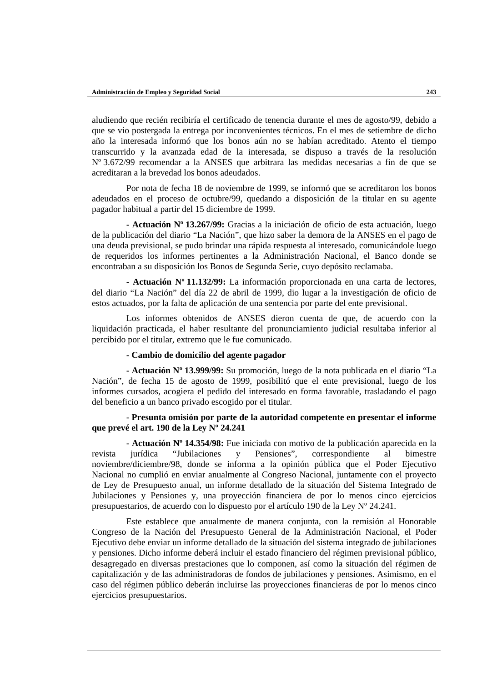aludiendo que recién recibiría el certificado de tenencia durante el mes de agosto/99, debido a que se vio postergada la entrega por inconvenientes técnicos. En el mes de setiembre de dicho año la interesada informó que los bonos aún no se habían acreditado. Atento el tiempo transcurrido y la avanzada edad de la interesada, se dispuso a través de la resolución Nº 3.672/99 recomendar a la ANSES que arbitrara las medidas necesarias a fin de que se acreditaran a la brevedad los bonos adeudados.

Por nota de fecha 18 de noviembre de 1999, se informó que se acreditaron los bonos adeudados en el proceso de octubre/99, quedando a disposición de la titular en su agente pagador habitual a partir del 15 diciembre de 1999.

**- Actuación Nº 13.267/99:** Gracias a la iniciación de oficio de esta actuación, luego de la publicación del diario "La Nación", que hizo saber la demora de la ANSES en el pago de una deuda previsional, se pudo brindar una rápida respuesta al interesado, comunicándole luego de requeridos los informes pertinentes a la Administración Nacional, el Banco donde se encontraban a su disposición los Bonos de Segunda Serie, cuyo depósito reclamaba.

**- Actuación Nº 11.132/99:** La información proporcionada en una carta de lectores, del diario "La Nación" del día 22 de abril de 1999, dio lugar a la investigación de oficio de estos actuados, por la falta de aplicación de una sentencia por parte del ente previsional.

Los informes obtenidos de ANSES dieron cuenta de que, de acuerdo con la liquidación practicada, el haber resultante del pronunciamiento judicial resultaba inferior al percibido por el titular, extremo que le fue comunicado.

### **- Cambio de domicilio del agente pagador**

**- Actuación Nº 13.999/99:** Su promoción, luego de la nota publicada en el diario "La Nación", de fecha 15 de agosto de 1999, posibilitó que el ente previsional, luego de los informes cursados, acogiera el pedido del interesado en forma favorable, trasladando el pago del beneficio a un banco privado escogido por el titular.

## **- Presunta omisión por parte de la autoridad competente en presentar el informe que prevé el art. 190 de la Ley Nº 24.241**

**- Actuación Nº 14.354/98:** Fue iniciada con motivo de la publicación aparecida en la revista jurídica "Jubilaciones y Pensiones", correspondiente al bimestre noviembre/diciembre/98, donde se informa a la opinión pública que el Poder Ejecutivo Nacional no cumplió en enviar anualmente al Congreso Nacional, juntamente con el proyecto de Ley de Presupuesto anual, un informe detallado de la situación del Sistema Integrado de Jubilaciones y Pensiones y, una proyección financiera de por lo menos cinco ejercicios presupuestarios, de acuerdo con lo dispuesto por el artículo 190 de la Ley Nº 24.241.

Este establece que anualmente de manera conjunta, con la remisión al Honorable Congreso de la Nación del Presupuesto General de la Administración Nacional, el Poder Ejecutivo debe enviar un informe detallado de la situación del sistema integrado de jubilaciones y pensiones. Dicho informe deberá incluir el estado financiero del régimen previsional público, desagregado en diversas prestaciones que lo componen, así como la situación del régimen de capitalización y de las administradoras de fondos de jubilaciones y pensiones. Asimismo, en el caso del régimen público deberán incluirse las proyecciones financieras de por lo menos cinco ejercicios presupuestarios.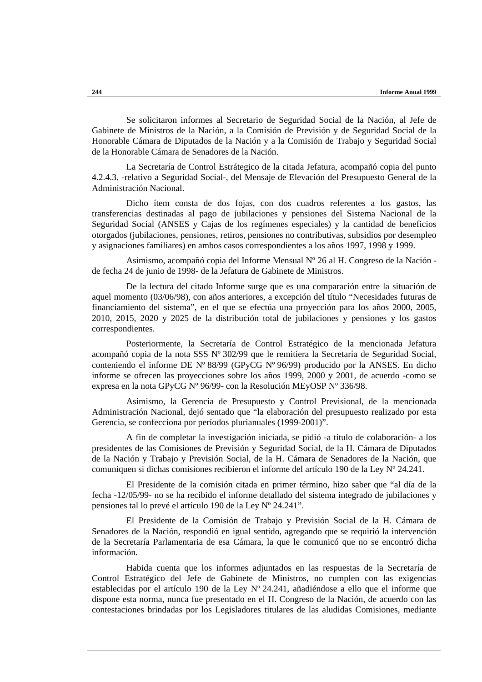Se solicitaron informes al Secretario de Seguridad Social de la Nación, al Jefe de Gabinete de Ministros de la Nación, a la Comisión de Previsión y de Seguridad Social de la Honorable Cámara de Diputados de la Nación y a la Comisión de Trabajo y Seguridad Social de la Honorable Cámara de Senadores de la Nación.

La Secretaría de Control Estrátegico de la citada Jefatura, acompañó copia del punto 4.2.4.3. -relativo a Seguridad Social-, del Mensaje de Elevación del Presupuesto General de la Administración Nacional.

Dicho ítem consta de dos fojas, con dos cuadros referentes a los gastos, las transferencias destinadas al pago de jubilaciones y pensiones del Sistema Nacional de la Seguridad Social (ANSES y Cajas de los regímenes especiales) y la cantidad de beneficios otorgados (jubilaciones, pensiones, retiros, pensiones no contributivas, subsidios por desempleo y asignaciones familiares) en ambos casos correspondientes a los años 1997, 1998 y 1999.

Asimismo, acompañó copia del Informe Mensual Nº 26 al H. Congreso de la Nación de fecha 24 de junio de 1998- de la Jefatura de Gabinete de Ministros.

De la lectura del citado Informe surge que es una comparación entre la situación de aquel momento (03/06/98), con años anteriores, a excepción del título "Necesidades futuras de financiamiento del sistema", en el que se efectúa una proyección para los años 2000, 2005, 2010, 2015, 2020 y 2025 de la distribución total de jubilaciones y pensiones y los gastos correspondientes.

Posteriormente, la Secretaría de Control Estratégico de la mencionada Jefatura acompañó copia de la nota SSS Nº 302/99 que le remitiera la Secretaría de Seguridad Social, conteniendo el informe DE Nº 88/99 (GPyCG Nº 96/99) producido por la ANSES. En dicho informe se ofrecen las proyecciones sobre los años 1999, 2000 y 2001, de acuerdo -como se expresa en la nota GPyCG Nº 96/99- con la Resolución MEyOSP Nº 336/98.

Asimismo, la Gerencia de Presupuesto y Control Previsional, de la mencionada Administración Nacional, dejó sentado que "la elaboración del presupuesto realizado por esta Gerencia, se confecciona por períodos plurianuales (1999-2001)".

A fin de completar la investigación iniciada, se pidió -a título de colaboración- a los presidentes de las Comisiones de Previsión y Seguridad Social, de la H. Cámara de Diputados de la Nación y Trabajo y Previsión Social, de la H. Cámara de Senadores de la Nación, que comuniquen si dichas comisiones recibieron el informe del artículo 190 de la Ley Nº 24.241.

El Presidente de la comisión citada en primer término, hizo saber que "al día de la fecha -12/05/99- no se ha recibido el informe detallado del sistema integrado de jubilaciones y pensiones tal lo prevé el artículo 190 de la Ley Nº 24.241".

El Presidente de la Comisión de Trabajo y Previsión Social de la H. Cámara de Senadores de la Nación, respondió en igual sentido, agregando que se requirió la intervención de la Secretaría Parlamentaria de esa Cámara, la que le comunicó que no se encontró dicha información.

Habida cuenta que los informes adjuntados en las respuestas de la Secretaría de Control Estratégico del Jefe de Gabinete de Ministros, no cumplen con las exigencias establecidas por el artículo 190 de la Ley Nº 24.241, añadiéndose a ello que el informe que dispone esta norma, nunca fue presentado en el H. Congreso de la Nación, de acuerdo con las contestaciones brindadas por los Legisladores titulares de las aludidas Comisiones, mediante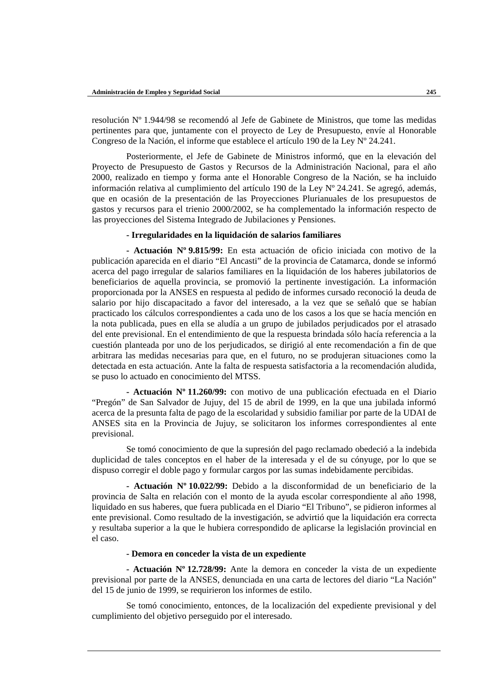resolución Nº 1.944/98 se recomendó al Jefe de Gabinete de Ministros, que tome las medidas pertinentes para que, juntamente con el proyecto de Ley de Presupuesto, envíe al Honorable Congreso de la Nación, el informe que establece el artículo 190 de la Ley Nº 24.241.

Posteriormente, el Jefe de Gabinete de Ministros informó, que en la elevación del Proyecto de Presupuesto de Gastos y Recursos de la Administración Nacional, para el año 2000, realizado en tiempo y forma ante el Honorable Congreso de la Nación, se ha incluido información relativa al cumplimiento del artículo 190 de la Ley Nº 24.241. Se agregó, además, que en ocasión de la presentación de las Proyecciones Plurianuales de los presupuestos de gastos y recursos para el trienio 2000/2002, se ha complementado la información respecto de las proyecciones del Sistema Integrado de Jubilaciones y Pensiones.

## **- Irregularidades en la liquidación de salarios familiares**

**- Actuación Nº 9.815/99:** En esta actuación de oficio iniciada con motivo de la publicación aparecida en el diario "El Ancasti" de la provincia de Catamarca, donde se informó acerca del pago irregular de salarios familiares en la liquidación de los haberes jubilatorios de beneficiarios de aquella provincia, se promovió la pertinente investigación. La información proporcionada por la ANSES en respuesta al pedido de informes cursado reconoció la deuda de salario por hijo discapacitado a favor del interesado, a la vez que se señaló que se habían practicado los cálculos correspondientes a cada uno de los casos a los que se hacía mención en la nota publicada, pues en ella se aludía a un grupo de jubilados perjudicados por el atrasado del ente previsional. En el entendimiento de que la respuesta brindada sólo hacía referencia a la cuestión planteada por uno de los perjudicados, se dirigió al ente recomendación a fin de que arbitrara las medidas necesarias para que, en el futuro, no se produjeran situaciones como la detectada en esta actuación. Ante la falta de respuesta satisfactoria a la recomendación aludida, se puso lo actuado en conocimiento del MTSS.

**- Actuación Nº 11.260/99:** con motivo de una publicación efectuada en el Diario "Pregón" de San Salvador de Jujuy, del 15 de abril de 1999, en la que una jubilada informó acerca de la presunta falta de pago de la escolaridad y subsidio familiar por parte de la UDAI de ANSES sita en la Provincia de Jujuy, se solicitaron los informes correspondientes al ente previsional.

Se tomó conocimiento de que la supresión del pago reclamado obedeció a la indebida duplicidad de tales conceptos en el haber de la interesada y el de su cónyuge, por lo que se dispuso corregir el doble pago y formular cargos por las sumas indebidamente percibidas.

**- Actuación Nº 10.022/99:** Debido a la disconformidad de un beneficiario de la provincia de Salta en relación con el monto de la ayuda escolar correspondiente al año 1998, liquidado en sus haberes, que fuera publicada en el Diario "El Tribuno", se pidieron informes al ente previsional. Como resultado de la investigación, se advirtió que la liquidación era correcta y resultaba superior a la que le hubiera correspondido de aplicarse la legislación provincial en el caso.

#### **- Demora en conceder la vista de un expediente**

**- Actuación Nº 12.728/99:** Ante la demora en conceder la vista de un expediente previsional por parte de la ANSES, denunciada en una carta de lectores del diario "La Nación" del 15 de junio de 1999, se requirieron los informes de estilo.

Se tomó conocimiento, entonces, de la localización del expediente previsional y del cumplimiento del objetivo perseguido por el interesado.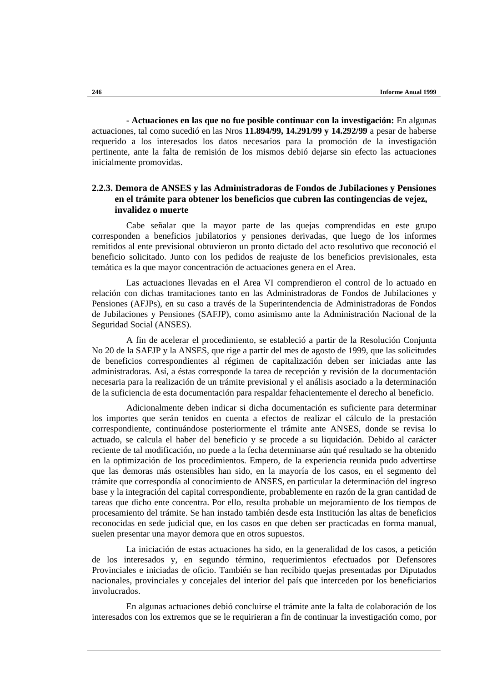**- Actuaciones en las que no fue posible continuar con la investigación:** En algunas actuaciones, tal como sucedió en las Nros **11.894/99, 14.291/99 y 14.292/99** a pesar de haberse requerido a los interesados los datos necesarios para la promoción de la investigación pertinente, ante la falta de remisión de los mismos debió dejarse sin efecto las actuaciones inicialmente promovidas.

# **2.2.3. Demora de ANSES y las Administradoras de Fondos de Jubilaciones y Pensiones en el trámite para obtener los beneficios que cubren las contingencias de vejez, invalidez o muerte**

Cabe señalar que la mayor parte de las quejas comprendidas en este grupo corresponden a beneficios jubilatorios y pensiones derivadas, que luego de los informes remitidos al ente previsional obtuvieron un pronto dictado del acto resolutivo que reconoció el beneficio solicitado. Junto con los pedidos de reajuste de los beneficios previsionales, esta temática es la que mayor concentración de actuaciones genera en el Area.

Las actuaciones llevadas en el Area VI comprendieron el control de lo actuado en relación con dichas tramitaciones tanto en las Administradoras de Fondos de Jubilaciones y Pensiones (AFJPs), en su caso a través de la Superintendencia de Administradoras de Fondos de Jubilaciones y Pensiones (SAFJP), como asimismo ante la Administración Nacional de la Seguridad Social (ANSES).

A fin de acelerar el procedimiento, se estableció a partir de la Resolución Conjunta No 20 de la SAFJP y la ANSES, que rige a partir del mes de agosto de 1999, que las solicitudes de beneficios correspondientes al régimen de capitalización deben ser iniciadas ante las administradoras. Así, a éstas corresponde la tarea de recepción y revisión de la documentación necesaria para la realización de un trámite previsional y el análisis asociado a la determinación de la suficiencia de esta documentación para respaldar fehacientemente el derecho al beneficio.

Adicionalmente deben indicar si dicha documentación es suficiente para determinar los importes que serán tenidos en cuenta a efectos de realizar el cálculo de la prestación correspondiente, continuándose posteriormente el trámite ante ANSES, donde se revisa lo actuado, se calcula el haber del beneficio y se procede a su liquidación. Debido al carácter reciente de tal modificación, no puede a la fecha determinarse aún qué resultado se ha obtenido en la optimización de los procedimientos. Empero, de la experiencia reunida pudo advertirse que las demoras más ostensibles han sido, en la mayoría de los casos, en el segmento del trámite que correspondía al conocimiento de ANSES, en particular la determinación del ingreso base y la integración del capital correspondiente, probablemente en razón de la gran cantidad de tareas que dicho ente concentra. Por ello, resulta probable un mejoramiento de los tiempos de procesamiento del trámite. Se han instado también desde esta Institución las altas de beneficios reconocidas en sede judicial que, en los casos en que deben ser practicadas en forma manual, suelen presentar una mayor demora que en otros supuestos.

La iniciación de estas actuaciones ha sido, en la generalidad de los casos, a petición de los interesados y, en segundo término, requerimientos efectuados por Defensores Provinciales e iniciadas de oficio. También se han recibido quejas presentadas por Diputados nacionales, provinciales y concejales del interior del país que interceden por los beneficiarios involucrados.

En algunas actuaciones debió concluirse el trámite ante la falta de colaboración de los interesados con los extremos que se le requirieran a fin de continuar la investigación como, por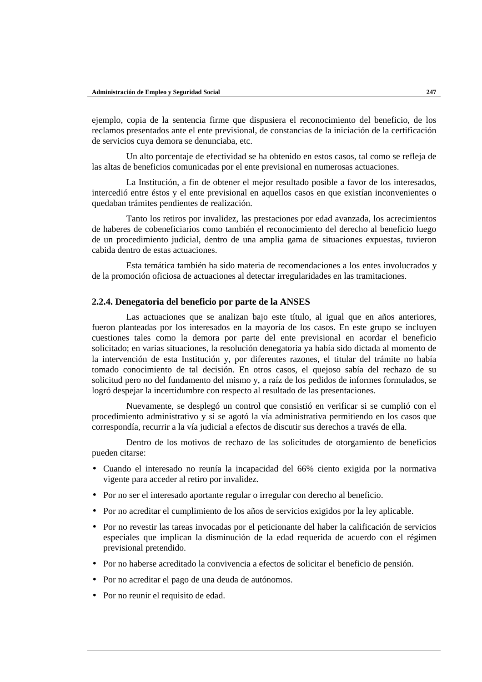ejemplo, copia de la sentencia firme que dispusiera el reconocimiento del beneficio, de los reclamos presentados ante el ente previsional, de constancias de la iniciación de la certificación de servicios cuya demora se denunciaba, etc.

Un alto porcentaje de efectividad se ha obtenido en estos casos, tal como se refleja de las altas de beneficios comunicadas por el ente previsional en numerosas actuaciones.

La Institución, a fin de obtener el mejor resultado posible a favor de los interesados, intercedió entre éstos y el ente previsional en aquellos casos en que existían inconvenientes o quedaban trámites pendientes de realización.

Tanto los retiros por invalidez, las prestaciones por edad avanzada, los acrecimientos de haberes de cobeneficiarios como también el reconocimiento del derecho al beneficio luego de un procedimiento judicial, dentro de una amplia gama de situaciones expuestas, tuvieron cabida dentro de estas actuaciones.

Esta temática también ha sido materia de recomendaciones a los entes involucrados y de la promoción oficiosa de actuaciones al detectar irregularidades en las tramitaciones.

#### **2.2.4. Denegatoria del beneficio por parte de la ANSES**

Las actuaciones que se analizan bajo este título, al igual que en años anteriores, fueron planteadas por los interesados en la mayoría de los casos. En este grupo se incluyen cuestiones tales como la demora por parte del ente previsional en acordar el beneficio solicitado; en varias situaciones, la resolución denegatoria ya había sido dictada al momento de la intervención de esta Institución y, por diferentes razones, el titular del trámite no había tomado conocimiento de tal decisión. En otros casos, el quejoso sabía del rechazo de su solicitud pero no del fundamento del mismo y, a raíz de los pedidos de informes formulados, se logró despejar la incertidumbre con respecto al resultado de las presentaciones.

Nuevamente, se desplegó un control que consistió en verificar si se cumplió con el procedimiento administrativo y si se agotó la vía administrativa permitiendo en los casos que correspondía, recurrir a la vía judicial a efectos de discutir sus derechos a través de ella.

Dentro de los motivos de rechazo de las solicitudes de otorgamiento de beneficios pueden citarse:

- Cuando el interesado no reunía la incapacidad del 66% ciento exigida por la normativa vigente para acceder al retiro por invalidez.
- Por no ser el interesado aportante regular o irregular con derecho al beneficio.
- Por no acreditar el cumplimiento de los años de servicios exigidos por la ley aplicable.
- Por no revestir las tareas invocadas por el peticionante del haber la calificación de servicios especiales que implican la disminución de la edad requerida de acuerdo con el régimen previsional pretendido.
- Por no haberse acreditado la convivencia a efectos de solicitar el beneficio de pensión.
- Por no acreditar el pago de una deuda de autónomos.
- Por no reunir el requisito de edad.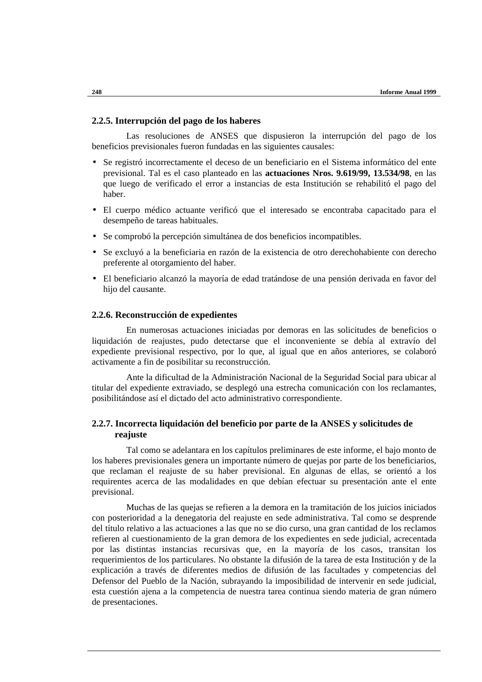## **2.2.5. Interrupción del pago de los haberes**

Las resoluciones de ANSES que dispusieron la interrupción del pago de los beneficios previsionales fueron fundadas en las siguientes causales:

- Se registró incorrectamente el deceso de un beneficiario en el Sistema informático del ente previsional. Tal es el caso planteado en las **actuaciones Nros. 9.619/99, 13.534/98**, en las que luego de verificado el error a instancias de esta Institución se rehabilitó el pago del haber.
- El cuerpo médico actuante verificó que el interesado se encontraba capacitado para el desempeño de tareas habituales.
- Se comprobó la percepción simultánea de dos beneficios incompatibles.
- Se excluyó a la beneficiaria en razón de la existencia de otro derechohabiente con derecho preferente al otorgamiento del haber.
- El beneficiario alcanzó la mayoría de edad tratándose de una pensión derivada en favor del hijo del causante.

### **2.2.6. Reconstrucción de expedientes**

En numerosas actuaciones iniciadas por demoras en las solicitudes de beneficios o liquidación de reajustes, pudo detectarse que el inconveniente se debía al extravío del expediente previsional respectivo, por lo que, al igual que en años anteriores, se colaboró activamente a fin de posibilitar su reconstrucción.

Ante la dificultad de la Administración Nacional de la Seguridad Social para ubicar al titular del expediente extraviado, se desplegó una estrecha comunicación con los reclamantes, posibilitándose así el dictado del acto administrativo correspondiente.

# **2.2.7. Incorrecta liquidación del beneficio por parte de la ANSES y solicitudes de reajuste**

Tal como se adelantara en los capítulos preliminares de este informe, el bajo monto de los haberes previsionales genera un importante número de quejas por parte de los beneficiarios, que reclaman el reajuste de su haber previsional. En algunas de ellas, se orientó a los requirentes acerca de las modalidades en que debían efectuar su presentación ante el ente previsional.

Muchas de las quejas se refieren a la demora en la tramitación de los juicios iniciados con posterioridad a la denegatoria del reajuste en sede administrativa. Tal como se desprende del título relativo a las actuaciones a las que no se dio curso, una gran cantidad de los reclamos refieren al cuestionamiento de la gran demora de los expedientes en sede judicial, acrecentada por las distintas instancias recursivas que, en la mayoría de los casos, transitan los requerimientos de los particulares. No obstante la difusión de la tarea de esta Institución y de la explicación a través de diferentes medios de difusión de las facultades y competencias del Defensor del Pueblo de la Nación, subrayando la imposibilidad de intervenir en sede judicial, esta cuestión ajena a la competencia de nuestra tarea continua siendo materia de gran número de presentaciones.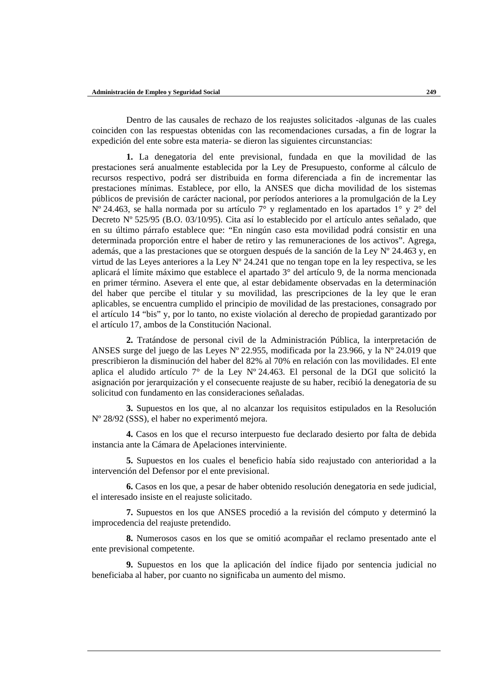Dentro de las causales de rechazo de los reajustes solicitados -algunas de las cuales coinciden con las respuestas obtenidas con las recomendaciones cursadas, a fin de lograr la expedición del ente sobre esta materia- se dieron las siguientes circunstancias:

**1.** La denegatoria del ente previsional, fundada en que la movilidad de las prestaciones será anualmente establecida por la Ley de Presupuesto, conforme al cálculo de recursos respectivo, podrá ser distribuida en forma diferenciada a fin de incrementar las prestaciones mínimas. Establece, por ello, la ANSES que dicha movilidad de los sistemas públicos de previsión de carácter nacional, por períodos anteriores a la promulgación de la Ley Nº 24.463, se halla normada por su artículo 7° y reglamentado en los apartados 1° y 2° del Decreto Nº 525/95 (B.O. 03/10/95). Cita así lo establecido por el artículo antes señalado, que en su último párrafo establece que: "En ningún caso esta movilidad podrá consistir en una determinada proporción entre el haber de retiro y las remuneraciones de los activos". Agrega, además, que a las prestaciones que se otorguen después de la sanción de la Ley Nº 24.463 y, en virtud de las Leyes anteriores a la Ley Nº 24.241 que no tengan tope en la ley respectiva, se les aplicará el límite máximo que establece el apartado 3° del artículo 9, de la norma mencionada en primer término. Asevera el ente que, al estar debidamente observadas en la determinación del haber que percibe el titular y su movilidad, las prescripciones de la ley que le eran aplicables, se encuentra cumplido el principio de movilidad de las prestaciones, consagrado por el artículo 14 "bis" y, por lo tanto, no existe violación al derecho de propiedad garantizado por el artículo 17, ambos de la Constitución Nacional.

**2.** Tratándose de personal civil de la Administración Pública, la interpretación de ANSES surge del juego de las Leyes Nº 22.955, modificada por la 23.966, y la Nº 24.019 que prescribieron la disminución del haber del 82% al 70% en relación con las movilidades. El ente aplica el aludido artículo 7° de la Ley Nº 24.463. El personal de la DGI que solicitó la asignación por jerarquización y el consecuente reajuste de su haber, recibió la denegatoria de su solicitud con fundamento en las consideraciones señaladas.

**3.** Supuestos en los que, al no alcanzar los requisitos estipulados en la Resolución Nº 28/92 (SSS), el haber no experimentó mejora.

**4.** Casos en los que el recurso interpuesto fue declarado desierto por falta de debida instancia ante la Cámara de Apelaciones interviniente.

**5.** Supuestos en los cuales el beneficio había sido reajustado con anterioridad a la intervención del Defensor por el ente previsional.

**6.** Casos en los que, a pesar de haber obtenido resolución denegatoria en sede judicial, el interesado insiste en el reajuste solicitado.

**7.** Supuestos en los que ANSES procedió a la revisión del cómputo y determinó la improcedencia del reajuste pretendido.

**8.** Numerosos casos en los que se omitió acompañar el reclamo presentado ante el ente previsional competente.

**9.** Supuestos en los que la aplicación del índice fijado por sentencia judicial no beneficiaba al haber, por cuanto no significaba un aumento del mismo.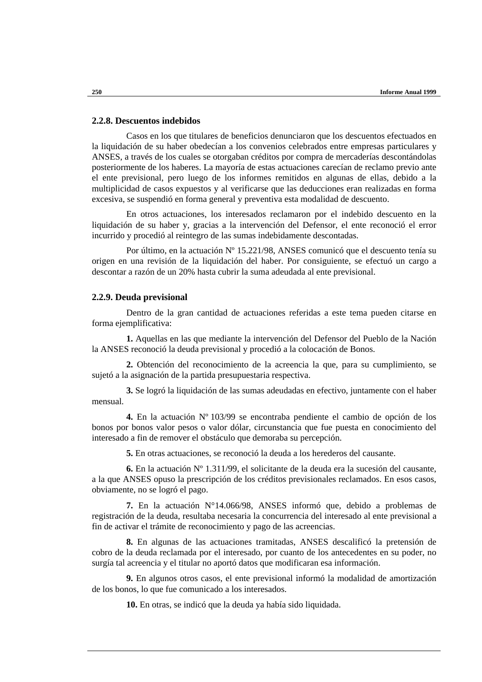### **2.2.8. Descuentos indebidos**

Casos en los que titulares de beneficios denunciaron que los descuentos efectuados en la liquidación de su haber obedecían a los convenios celebrados entre empresas particulares y ANSES, a través de los cuales se otorgaban créditos por compra de mercaderías descontándolas posteriormente de los haberes. La mayoría de estas actuaciones carecían de reclamo previo ante el ente previsional, pero luego de los informes remitidos en algunas de ellas, debido a la multiplicidad de casos expuestos y al verificarse que las deducciones eran realizadas en forma excesiva, se suspendió en forma general y preventiva esta modalidad de descuento.

En otros actuaciones, los interesados reclamaron por el indebido descuento en la liquidación de su haber y, gracias a la intervención del Defensor, el ente reconoció el error incurrido y procedió al reintegro de las sumas indebidamente descontadas.

Por último, en la actuación Nº 15.221/98, ANSES comunicó que el descuento tenía su origen en una revisión de la liquidación del haber. Por consiguiente, se efectuó un cargo a descontar a razón de un 20% hasta cubrir la suma adeudada al ente previsional.

### **2.2.9. Deuda previsional**

Dentro de la gran cantidad de actuaciones referidas a este tema pueden citarse en forma ejemplificativa:

**1.** Aquellas en las que mediante la intervención del Defensor del Pueblo de la Nación la ANSES reconoció la deuda previsional y procedió a la colocación de Bonos.

**2.** Obtención del reconocimiento de la acreencia la que, para su cumplimiento, se sujetó a la asignación de la partida presupuestaria respectiva.

**3.** Se logró la liquidación de las sumas adeudadas en efectivo, juntamente con el haber mensual.

**4.** En la actuación Nº 103/99 se encontraba pendiente el cambio de opción de los bonos por bonos valor pesos o valor dólar, circunstancia que fue puesta en conocimiento del interesado a fin de remover el obstáculo que demoraba su percepción.

**5.** En otras actuaciones, se reconoció la deuda a los herederos del causante.

**6.** En la actuación Nº 1.311/99, el solicitante de la deuda era la sucesión del causante, a la que ANSES opuso la prescripción de los créditos previsionales reclamados. En esos casos, obviamente, no se logró el pago.

**7.** En la actuación N°14.066/98, ANSES informó que, debido a problemas de registración de la deuda, resultaba necesaria la concurrencia del interesado al ente previsional a fin de activar el trámite de reconocimiento y pago de las acreencias.

**8.** En algunas de las actuaciones tramitadas, ANSES descalificó la pretensión de cobro de la deuda reclamada por el interesado, por cuanto de los antecedentes en su poder, no surgía tal acreencia y el titular no aportó datos que modificaran esa información.

**9.** En algunos otros casos, el ente previsional informó la modalidad de amortización de los bonos, lo que fue comunicado a los interesados.

**10.** En otras, se indicó que la deuda ya había sido liquidada.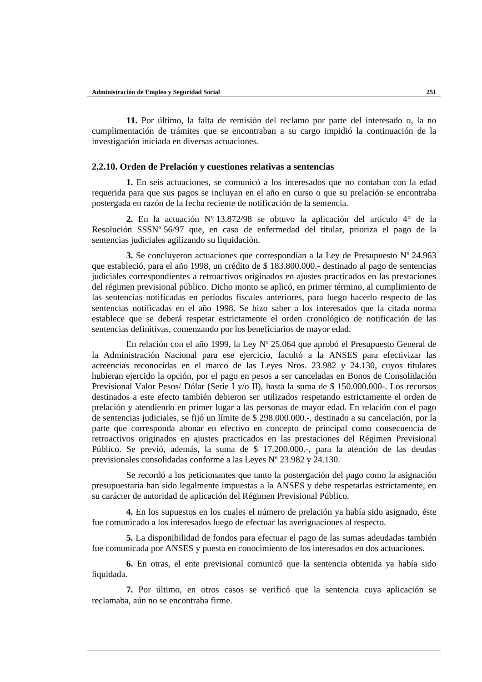**11.** Por último, la falta de remisión del reclamo por parte del interesado o, la no cumplimentación de trámites que se encontraban a su cargo impidió la continuación de la investigación iniciada en diversas actuaciones.

### **2.2.10. Orden de Prelación y cuestiones relativas a sentencias**

**1.** En seis actuaciones, se comunicó a los interesados que no contaban con la edad requerida para que sus pagos se incluyan en el año en curso o que su prelación se encontraba postergada en razón de la fecha reciente de notificación de la sentencia.

**2.** En la actuación Nº 13.872/98 se obtuvo la aplicación del artículo 4° de la Resolución SSSNº 56/97 que, en caso de enfermedad del titular, prioriza el pago de la sentencias judiciales agilizando su liquidación.

**3.** Se concluyeron actuaciones que correspondían a la Ley de Presupuesto Nº 24.963 que estableció, para el año 1998, un crédito de \$ 183.800.000.- destinado al pago de sentencias judiciales correspondientes a retroactivos originados en ajustes practicados en las prestaciones del régimen previsional público. Dicho monto se aplicó, en primer término, al cumplimiento de las sentencias notificadas en períodos fiscales anteriores, para luego hacerlo respecto de las sentencias notificadas en el año 1998. Se hizo saber a los interesados que la citada norma establece que se deberá respetar estrictamente el orden cronológico de notificación de las sentencias definitivas, comenzando por los beneficiarios de mayor edad.

En relación con el año 1999, la Ley Nº 25.064 que aprobó el Presupuesto General de la Administración Nacional para ese ejercicio, facultó a la ANSES para efectivizar las acreencias reconocidas en el marco de las Leyes Nros. 23.982 y 24.130, cuyos titulares hubieran ejercido la opción, por el pago en pesos a ser canceladas en Bonos de Consolidación Previsional Valor Pesos/ Dólar (Serie I y/o II), hasta la suma de \$ 150.000.000-. Los recursos destinados a este efecto también debieron ser utilizados respetando estrictamente el orden de prelación y atendiendo en primer lugar a las personas de mayor edad. En relación con el pago de sentencias judiciales, se fijó un límite de \$ 298.000.000.-, destinado a su cancelación, por la parte que corresponda abonar en efectivo en concepto de principal como consecuencia de retroactivos originados en ajustes practicados en las prestaciones del Régimen Previsional Público. Se previó, además, la suma de \$ 17.200.000.-, para la atención de las deudas previsionales consolidadas conforme a las Leyes Nº 23.982 y 24.130.

Se recordó a los peticionantes que tanto la postergación del pago como la asignación presupuestaria han sido legalmente impuestas a la ANSES y debe respetarlas estrictamente, en su carácter de autoridad de aplicación del Régimen Previsional Público.

**4.** En los supuestos en los cuales el número de prelación ya había sido asignado, éste fue comunicado a los interesados luego de efectuar las averiguaciones al respecto.

**5.** La disponibilidad de fondos para efectuar el pago de las sumas adeudadas también fue comunicada por ANSES y puesta en conocimiento de los interesados en dos actuaciones.

**6.** En otras, el ente previsional comunicó que la sentencia obtenida ya había sido liquidada.

**7.** Por último, en otros casos se verificó que la sentencia cuya aplicación se reclamaba, aún no se encontraba firme.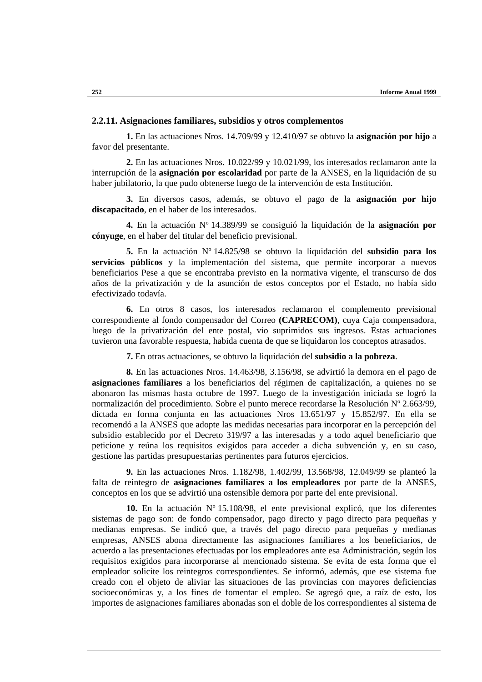### **2.2.11. Asignaciones familiares, subsidios y otros complementos**

**1.** En las actuaciones Nros. 14.709/99 y 12.410/97 se obtuvo la **asignación por hijo** a favor del presentante.

**2.** En las actuaciones Nros. 10.022/99 y 10.021/99, los interesados reclamaron ante la interrupción de la **asignación por escolaridad** por parte de la ANSES, en la liquidación de su haber jubilatorio, la que pudo obtenerse luego de la intervención de esta Institución.

**3.** En diversos casos, además, se obtuvo el pago de la **asignación por hijo discapacitado**, en el haber de los interesados.

**4.** En la actuación Nº 14.389/99 se consiguió la liquidación de la **asignación por cónyuge**, en el haber del titular del beneficio previsional.

**5.** En la actuación Nº 14.825/98 se obtuvo la liquidación del **subsidio para los servicios públicos** y la implementación del sistema, que permite incorporar a nuevos beneficiarios Pese a que se encontraba previsto en la normativa vigente, el transcurso de dos años de la privatización y de la asunción de estos conceptos por el Estado, no había sido efectivizado todavía.

**6.** En otros 8 casos, los interesados reclamaron el complemento previsional correspondiente al fondo compensador del Correo **(CAPRECOM)**, cuya Caja compensadora, luego de la privatización del ente postal, vio suprimidos sus ingresos. Estas actuaciones tuvieron una favorable respuesta, habida cuenta de que se liquidaron los conceptos atrasados.

**7.** En otras actuaciones, se obtuvo la liquidación del **subsidio a la pobreza**.

**8.** En las actuaciones Nros. 14.463/98, 3.156/98, se advirtió la demora en el pago de **asignaciones familiares** a los beneficiarios del régimen de capitalización, a quienes no se abonaron las mismas hasta octubre de 1997. Luego de la investigación iniciada se logró la normalización del procedimiento. Sobre el punto merece recordarse la Resolución Nº 2.663/99, dictada en forma conjunta en las actuaciones Nros 13.651/97 y 15.852/97. En ella se recomendó a la ANSES que adopte las medidas necesarias para incorporar en la percepción del subsidio establecido por el Decreto 319/97 a las interesadas y a todo aquel beneficiario que peticione y reúna los requisitos exigidos para acceder a dicha subvención y, en su caso, gestione las partidas presupuestarias pertinentes para futuros ejercicios.

**9.** En las actuaciones Nros. 1.182/98, 1.402/99, 13.568/98, 12.049/99 se planteó la falta de reintegro de **asignaciones familiares a los empleadores** por parte de la ANSES, conceptos en los que se advirtió una ostensible demora por parte del ente previsional.

**10.** En la actuación Nº 15.108/98, el ente previsional explicó, que los diferentes sistemas de pago son: de fondo compensador, pago directo y pago directo para pequeñas y medianas empresas. Se indicó que, a través del pago directo para pequeñas y medianas empresas, ANSES abona directamente las asignaciones familiares a los beneficiarios, de acuerdo a las presentaciones efectuadas por los empleadores ante esa Administración, según los requisitos exigidos para incorporarse al mencionado sistema. Se evita de esta forma que el empleador solicite los reintegros correspondientes. Se informó, además, que ese sistema fue creado con el objeto de aliviar las situaciones de las provincias con mayores deficiencias socioeconómicas y, a los fines de fomentar el empleo. Se agregó que, a raíz de esto, los importes de asignaciones familiares abonadas son el doble de los correspondientes al sistema de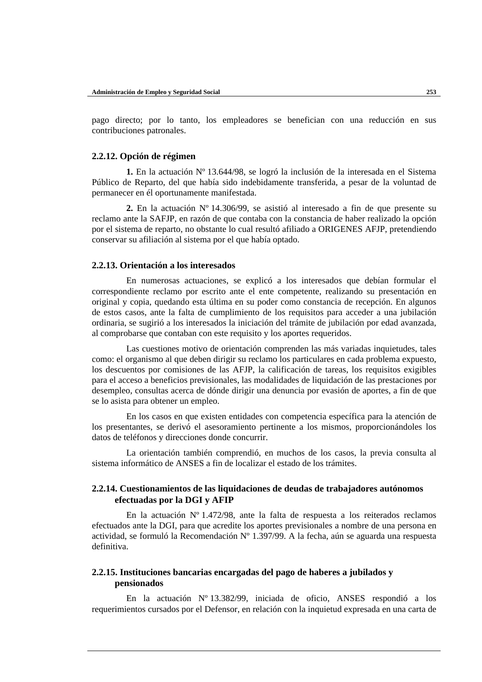pago directo; por lo tanto, los empleadores se benefician con una reducción en sus contribuciones patronales.

### **2.2.12. Opción de régimen**

**1.** En la actuación Nº 13.644/98, se logró la inclusión de la interesada en el Sistema Público de Reparto, del que había sido indebidamente transferida, a pesar de la voluntad de permanecer en él oportunamente manifestada.

**2.** En la actuación Nº 14.306/99, se asistió al interesado a fin de que presente su reclamo ante la SAFJP, en razón de que contaba con la constancia de haber realizado la opción por el sistema de reparto, no obstante lo cual resultó afiliado a ORIGENES AFJP, pretendiendo conservar su afiliación al sistema por el que había optado.

### **2.2.13. Orientación a los interesados**

En numerosas actuaciones, se explicó a los interesados que debían formular el correspondiente reclamo por escrito ante el ente competente, realizando su presentación en original y copia, quedando esta última en su poder como constancia de recepción. En algunos de estos casos, ante la falta de cumplimiento de los requisitos para acceder a una jubilación ordinaria, se sugirió a los interesados la iniciación del trámite de jubilación por edad avanzada, al comprobarse que contaban con este requisito y los aportes requeridos.

Las cuestiones motivo de orientación comprenden las más variadas inquietudes, tales como: el organismo al que deben dirigir su reclamo los particulares en cada problema expuesto, los descuentos por comisiones de las AFJP, la calificación de tareas, los requisitos exigibles para el acceso a beneficios previsionales, las modalidades de liquidación de las prestaciones por desempleo, consultas acerca de dónde dirigir una denuncia por evasión de aportes, a fin de que se lo asista para obtener un empleo.

En los casos en que existen entidades con competencia específica para la atención de los presentantes, se derivó el asesoramiento pertinente a los mismos, proporcionándoles los datos de teléfonos y direcciones donde concurrir.

La orientación también comprendió, en muchos de los casos, la previa consulta al sistema informático de ANSES a fin de localizar el estado de los trámites.

## **2.2.14. Cuestionamientos de las liquidaciones de deudas de trabajadores autónomos efectuadas por la DGI y AFIP**

En la actuación Nº 1.472/98, ante la falta de respuesta a los reiterados reclamos efectuados ante la DGI, para que acredite los aportes previsionales a nombre de una persona en actividad, se formuló la Recomendación Nº 1.397/99. A la fecha, aún se aguarda una respuesta definitiva.

# **2.2.15. Instituciones bancarias encargadas del pago de haberes a jubilados y pensionados**

En la actuación Nº 13.382/99, iniciada de oficio, ANSES respondió a los requerimientos cursados por el Defensor, en relación con la inquietud expresada en una carta de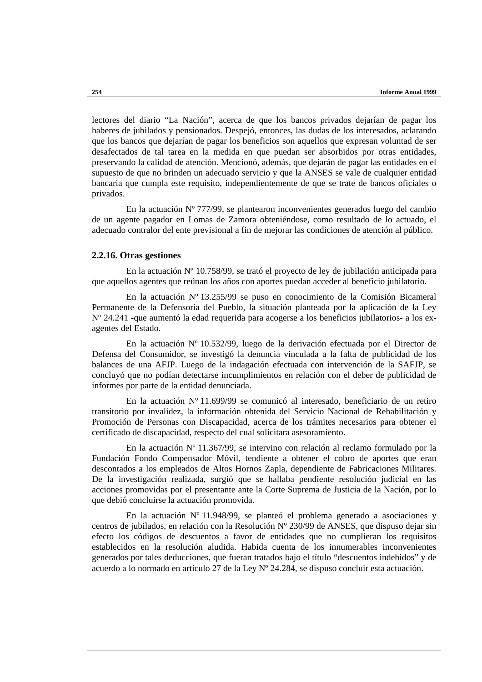lectores del diario "La Nación", acerca de que los bancos privados dejarían de pagar los haberes de jubilados y pensionados. Despejó, entonces, las dudas de los interesados, aclarando que los bancos que dejarían de pagar los beneficios son aquellos que expresan voluntad de ser desafectados de tal tarea en la medida en que puedan ser absorbidos por otras entidades, preservando la calidad de atención. Mencionó, además, que dejarán de pagar las entidades en el supuesto de que no brinden un adecuado servicio y que la ANSES se vale de cualquier entidad bancaria que cumpla este requisito, independientemente de que se trate de bancos oficiales o privados.

En la actuación Nº 777/99, se plantearon inconvenientes generados luego del cambio de un agente pagador en Lomas de Zamora obteniéndose, como resultado de lo actuado, el adecuado contralor del ente previsional a fin de mejorar las condiciones de atención al público.

### **2.2.16. Otras gestiones**

En la actuación Nº 10.758/99, se trató el proyecto de ley de jubilación anticipada para que aquellos agentes que reúnan los años con aportes puedan acceder al beneficio jubilatorio.

En la actuación Nº 13.255/99 se puso en conocimiento de la Comisión Bicameral Permanente de la Defensoría del Pueblo, la situación planteada por la aplicación de la Ley Nº 24.241 -que aumentó la edad requerida para acogerse a los beneficios jubilatorios- a los exagentes del Estado.

En la actuación Nº 10.532/99, luego de la derivación efectuada por el Director de Defensa del Consumidor, se investigó la denuncia vinculada a la falta de publicidad de los balances de una AFJP. Luego de la indagación efectuada con intervención de la SAFJP, se concluyó que no podían detectarse incumplimientos en relación con el deber de publicidad de informes por parte de la entidad denunciada.

En la actuación Nº 11.699/99 se comunicó al interesado, beneficiario de un retiro transitorio por invalidez, la información obtenida del Servicio Nacional de Rehabilitación y Promoción de Personas con Discapacidad, acerca de los trámites necesarios para obtener el certificado de discapacidad, respecto del cual solicitara asesoramiento.

En la actuación Nº 11.367/99, se intervino con relación al reclamo formulado por la Fundación Fondo Compensador Móvil, tendiente a obtener el cobro de aportes que eran descontados a los empleados de Altos Hornos Zapla, dependiente de Fabricaciones Militares. De la investigación realizada, surgió que se hallaba pendiente resolución judicial en las acciones promovidas por el presentante ante la Corte Suprema de Justicia de la Nación, por lo que debió concluirse la actuación promovida.

En la actuación  $N^{\circ}$  11.948/99, se planteó el problema generado a asociaciones y centros de jubilados, en relación con la Resolución Nº 230/99 de ANSES, que dispuso dejar sin efecto los códigos de descuentos a favor de entidades que no cumplieran los requisitos establecidos en la resolución aludida. Habida cuenta de los innumerables inconvenientes generados por tales deducciones, que fueran tratados bajo el título "descuentos indebidos" y de acuerdo a lo normado en artículo 27 de la Ley Nº 24.284, se dispuso concluir esta actuación.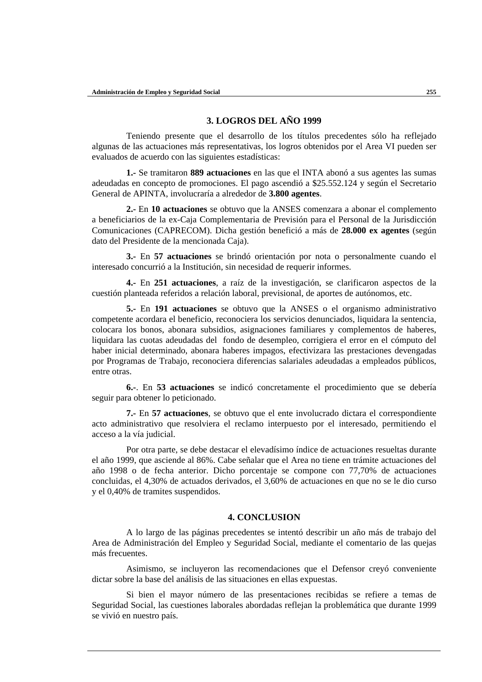# **3. LOGROS DEL AÑO 1999**

Teniendo presente que el desarrollo de los títulos precedentes sólo ha reflejado algunas de las actuaciones más representativas, los logros obtenidos por el Area VI pueden ser evaluados de acuerdo con las siguientes estadísticas:

**1.-** Se tramitaron **889 actuaciones** en las que el INTA abonó a sus agentes las sumas adeudadas en concepto de promociones. El pago ascendió a \$25.552.124 y según el Secretario General de APINTA, involucraría a alrededor de **3.800 agentes**.

**2.-** En **10 actuaciones** se obtuvo que la ANSES comenzara a abonar el complemento a beneficiarios de la ex-Caja Complementaria de Previsión para el Personal de la Jurisdicción Comunicaciones (CAPRECOM). Dicha gestión benefició a más de **28.000 ex agentes** (según dato del Presidente de la mencionada Caja).

**3.-** En **57 actuaciones** se brindó orientación por nota o personalmente cuando el interesado concurrió a la Institución, sin necesidad de requerir informes.

**4.-** En **251 actuaciones**, a raíz de la investigación, se clarificaron aspectos de la cuestión planteada referidos a relación laboral, previsional, de aportes de autónomos, etc.

**5.-** En **191 actuaciones** se obtuvo que la ANSES o el organismo administrativo competente acordara el beneficio, reconociera los servicios denunciados, liquidara la sentencia, colocara los bonos, abonara subsidios, asignaciones familiares y complementos de haberes, liquidara las cuotas adeudadas del fondo de desempleo, corrigiera el error en el cómputo del haber inicial determinado, abonara haberes impagos, efectivizara las prestaciones devengadas por Programas de Trabajo, reconociera diferencias salariales adeudadas a empleados públicos, entre otras.

**6.-**. En **53 actuaciones** se indicó concretamente el procedimiento que se debería seguir para obtener lo peticionado.

**7.-** En **57 actuaciones**, se obtuvo que el ente involucrado dictara el correspondiente acto administrativo que resolviera el reclamo interpuesto por el interesado, permitiendo el acceso a la vía judicial.

Por otra parte, se debe destacar el elevadísimo índice de actuaciones resueltas durante el año 1999, que asciende al 86%. Cabe señalar que el Area no tiene en trámite actuaciones del año 1998 o de fecha anterior. Dicho porcentaje se compone con 77,70% de actuaciones concluidas, el 4,30% de actuados derivados, el 3,60% de actuaciones en que no se le dio curso y el 0,40% de tramites suspendidos.

## **4. CONCLUSION**

A lo largo de las páginas precedentes se intentó describir un año más de trabajo del Area de Administración del Empleo y Seguridad Social, mediante el comentario de las quejas más frecuentes.

Asimismo, se incluyeron las recomendaciones que el Defensor creyó conveniente dictar sobre la base del análisis de las situaciones en ellas expuestas.

Si bien el mayor número de las presentaciones recibidas se refiere a temas de Seguridad Social, las cuestiones laborales abordadas reflejan la problemática que durante 1999 se vivió en nuestro país.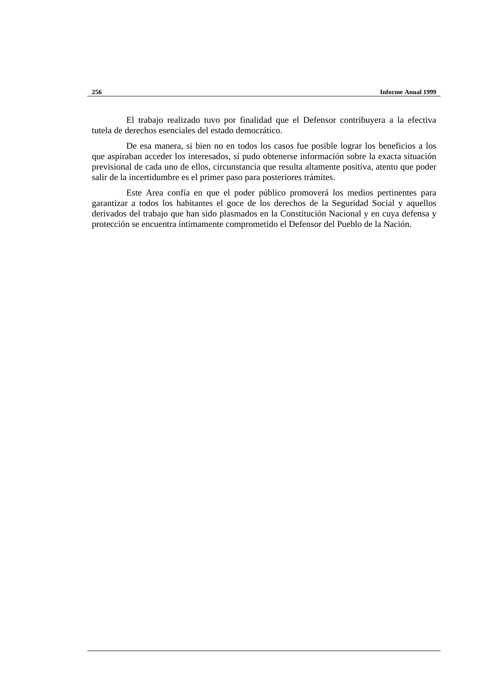El trabajo realizado tuvo por finalidad que el Defensor contribuyera a la efectiva tutela de derechos esenciales del estado democrático.

De esa manera, si bien no en todos los casos fue posible lograr los beneficios a los que aspiraban acceder los interesados, sí pudo obtenerse información sobre la exacta situación previsional de cada uno de ellos, circunstancia que resulta altamente positiva, atento que poder salir de la incertidumbre es el primer paso para posteriores trámites.

Este Area confía en que el poder público promoverá los medios pertinentes para garantizar a todos los habitantes el goce de los derechos de la Seguridad Social y aquellos derivados del trabajo que han sido plasmados en la Constitución Nacional y en cuya defensa y protección se encuentra íntimamente comprometido el Defensor del Pueblo de la Nación.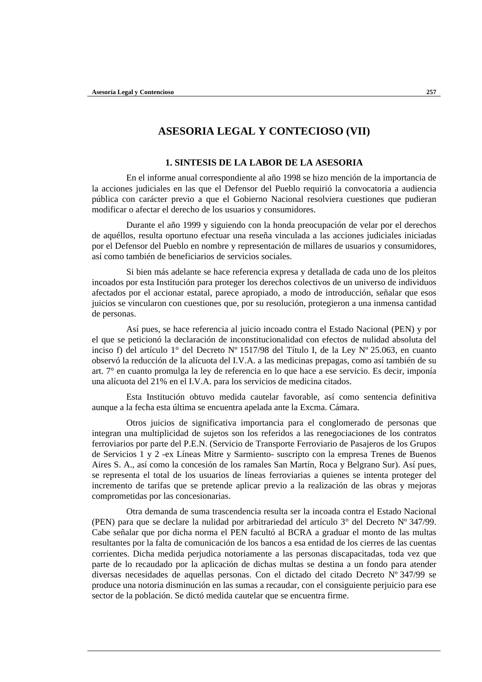# **ASESORIA LEGAL Y CONTECIOSO (VII)**

## **1. SINTESIS DE LA LABOR DE LA ASESORIA**

En el informe anual correspondiente al año 1998 se hizo mención de la importancia de la acciones judiciales en las que el Defensor del Pueblo requirió la convocatoria a audiencia pública con carácter previo a que el Gobierno Nacional resolviera cuestiones que pudieran modificar o afectar el derecho de los usuarios y consumidores.

Durante el año 1999 y siguiendo con la honda preocupación de velar por el derechos de aquéllos, resulta oportuno efectuar una reseña vinculada a las acciones judiciales iniciadas por el Defensor del Pueblo en nombre y representación de millares de usuarios y consumidores, así como también de beneficiarios de servicios sociales.

Si bien más adelante se hace referencia expresa y detallada de cada uno de los pleitos incoados por esta Institución para proteger los derechos colectivos de un universo de individuos afectados por el accionar estatal, parece apropiado, a modo de introducción, señalar que esos juicios se vincularon con cuestiones que, por su resolución, protegieron a una inmensa cantidad de personas.

Así pues, se hace referencia al juicio incoado contra el Estado Nacional (PEN) y por el que se peticionó la declaración de inconstitucionalidad con efectos de nulidad absoluta del inciso f) del artículo 1° del Decreto Nº 1517/98 del Título I, de la Ley Nº 25.063, en cuanto observó la reducción de la alícuota del I.V.A. a las medicinas prepagas, como así también de su art. 7° en cuanto promulga la ley de referencia en lo que hace a ese servicio. Es decir, imponía una alícuota del 21% en el I.V.A. para los servicios de medicina citados.

Esta Institución obtuvo medida cautelar favorable, así como sentencia definitiva aunque a la fecha esta última se encuentra apelada ante la Excma. Cámara.

Otros juicios de significativa importancia para el conglomerado de personas que integran una multiplicidad de sujetos son los referidos a las renegociaciones de los contratos ferroviarios por parte del P.E.N. (Servicio de Transporte Ferroviario de Pasajeros de los Grupos de Servicios 1 y 2 -ex Líneas Mitre y Sarmiento- suscripto con la empresa Trenes de Buenos Aires S. A., así como la concesión de los ramales San Martín, Roca y Belgrano Sur). Así pues, se representa el total de los usuarios de líneas ferroviarias a quienes se intenta proteger del incremento de tarifas que se pretende aplicar previo a la realización de las obras y mejoras comprometidas por las concesionarias.

Otra demanda de suma trascendencia resulta ser la incoada contra el Estado Nacional (PEN) para que se declare la nulidad por arbitrariedad del artículo 3° del Decreto Nº 347/99. Cabe señalar que por dicha norma el PEN facultó al BCRA a graduar el monto de las multas resultantes por la falta de comunicación de los bancos a esa entidad de los cierres de las cuentas corrientes. Dicha medida perjudica notoriamente a las personas discapacitadas, toda vez que parte de lo recaudado por la aplicación de dichas multas se destina a un fondo para atender diversas necesidades de aquellas personas. Con el dictado del citado Decreto Nº 347/99 se produce una notoria disminución en las sumas a recaudar, con el consiguiente perjuicio para ese sector de la población. Se dictó medida cautelar que se encuentra firme.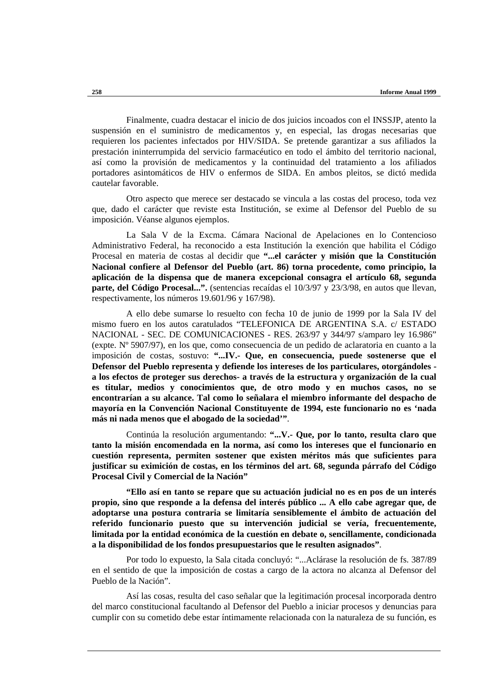Finalmente, cuadra destacar el inicio de dos juicios incoados con el INSSJP, atento la suspensión en el suministro de medicamentos y, en especial, las drogas necesarias que requieren los pacientes infectados por HIV/SIDA. Se pretende garantizar a sus afiliados la prestación ininterrumpida del servicio farmacéutico en todo el ámbito del territorio nacional, así como la provisión de medicamentos y la continuidad del tratamiento a los afiliados portadores asintomáticos de HIV o enfermos de SIDA. En ambos pleitos, se dictó medida cautelar favorable.

Otro aspecto que merece ser destacado se vincula a las costas del proceso, toda vez que, dado el carácter que reviste esta Institución, se exime al Defensor del Pueblo de su imposición. Véanse algunos ejemplos.

La Sala V de la Excma. Cámara Nacional de Apelaciones en lo Contencioso Administrativo Federal, ha reconocido a esta Institución la exención que habilita el Código Procesal en materia de costas al decidir que **"...el carácter y misión que la Constitución Nacional confiere al Defensor del Pueblo (art. 86) torna procedente, como principio, la aplicación de la dispensa que de manera excepcional consagra el artículo 68, segunda parte, del Código Procesal...".** (sentencias recaídas el 10/3/97 y 23/3/98, en autos que llevan, respectivamente, los números 19.601/96 y 167/98).

A ello debe sumarse lo resuelto con fecha 10 de junio de 1999 por la Sala IV del mismo fuero en los autos caratulados "TELEFONICA DE ARGENTINA S.A. c/ ESTADO NACIONAL - SEC. DE COMUNICACIONES - RES. 263/97 y 344/97 s/amparo ley 16.986" (expte. Nº 5907/97), en los que, como consecuencia de un pedido de aclaratoria en cuanto a la imposición de costas, sostuvo: **"...IV.- Que, en consecuencia, puede sostenerse que el Defensor del Pueblo representa y defiende los intereses de los particulares, otorgándoles a los efectos de proteger sus derechos- a través de la estructura y organización de la cual es titular, medios y conocimientos que, de otro modo y en muchos casos, no se encontrarían a su alcance. Tal como lo señalara el miembro informante del despacho de mayoría en la Convención Nacional Constituyente de 1994, este funcionario no es 'nada más ni nada menos que el abogado de la sociedad'"**.

Continúa la resolución argumentando: **"...V.- Que, por lo tanto, resulta claro que tanto la misión encomendada en la norma, así como los intereses que el funcionario en cuestión representa, permiten sostener que existen méritos más que suficientes para justificar su eximición de costas, en los términos del art. 68, segunda párrafo del Código Procesal Civil y Comercial de la Nación"**

**"Ello así en tanto se repare que su actuación judicial no es en pos de un interés propio, sino que responde a la defensa del interés público ... A ello cabe agregar que, de adoptarse una postura contraria se limitaría sensiblemente el ámbito de actuación del referido funcionario puesto que su intervención judicial se vería, frecuentemente, limitada por la entidad económica de la cuestión en debate o, sencillamente, condicionada a la disponibilidad de los fondos presupuestarios que le resulten asignados"**.

Por todo lo expuesto, la Sala citada concluyó: "...Aclárase la resolución de fs. 387/89 en el sentido de que la imposición de costas a cargo de la actora no alcanza al Defensor del Pueblo de la Nación".

Así las cosas, resulta del caso señalar que la legitimación procesal incorporada dentro del marco constitucional facultando al Defensor del Pueblo a iniciar procesos y denuncias para cumplir con su cometido debe estar íntimamente relacionada con la naturaleza de su función, es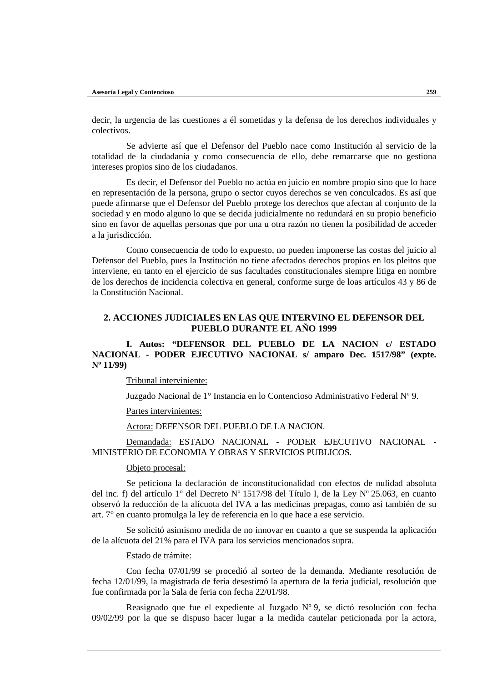decir, la urgencia de las cuestiones a él sometidas y la defensa de los derechos individuales y colectivos.

Se advierte así que el Defensor del Pueblo nace como Institución al servicio de la totalidad de la ciudadanía y como consecuencia de ello, debe remarcarse que no gestiona intereses propios sino de los ciudadanos.

Es decir, el Defensor del Pueblo no actúa en juicio en nombre propio sino que lo hace en representación de la persona, grupo o sector cuyos derechos se ven conculcados. Es así que puede afirmarse que el Defensor del Pueblo protege los derechos que afectan al conjunto de la sociedad y en modo alguno lo que se decida judicialmente no redundará en su propio beneficio sino en favor de aquellas personas que por una u otra razón no tienen la posibilidad de acceder a la jurisdicción.

Como consecuencia de todo lo expuesto, no pueden imponerse las costas del juicio al Defensor del Pueblo, pues la Institución no tiene afectados derechos propios en los pleitos que interviene, en tanto en el ejercicio de sus facultades constitucionales siempre litiga en nombre de los derechos de incidencia colectiva en general, conforme surge de loas artículos 43 y 86 de la Constitución Nacional.

## **2. ACCIONES JUDICIALES EN LAS QUE INTERVINO EL DEFENSOR DEL PUEBLO DURANTE EL AÑO 1999**

# **I. Autos: "DEFENSOR DEL PUEBLO DE LA NACION c/ ESTADO NACIONAL - PODER EJECUTIVO NACIONAL s/ amparo Dec. 1517/98" (expte. Nº 11/99)**

Tribunal interviniente:

Juzgado Nacional de 1° Instancia en lo Contencioso Administrativo Federal Nº 9.

### Partes intervinientes:

Actora: DEFENSOR DEL PUEBLO DE LA NACION.

Demandada: ESTADO NACIONAL - PODER EJECUTIVO NACIONAL - MINISTERIO DE ECONOMIA Y OBRAS Y SERVICIOS PUBLICOS.

#### Objeto procesal:

Se peticiona la declaración de inconstitucionalidad con efectos de nulidad absoluta del inc. f) del artículo 1° del Decreto Nº 1517/98 del Título I, de la Ley Nº 25.063, en cuanto observó la reducción de la alícuota del IVA a las medicinas prepagas, como así también de su art. 7° en cuanto promulga la ley de referencia en lo que hace a ese servicio.

Se solicitó asimismo medida de no innovar en cuanto a que se suspenda la aplicación de la alícuota del 21% para el IVA para los servicios mencionados supra.

### Estado de trámite:

Con fecha 07/01/99 se procedió al sorteo de la demanda. Mediante resolución de fecha 12/01/99, la magistrada de feria desestimó la apertura de la feria judicial, resolución que fue confirmada por la Sala de feria con fecha 22/01/98.

Reasignado que fue el expediente al Juzgado Nº 9, se dictó resolución con fecha 09/02/99 por la que se dispuso hacer lugar a la medida cautelar peticionada por la actora,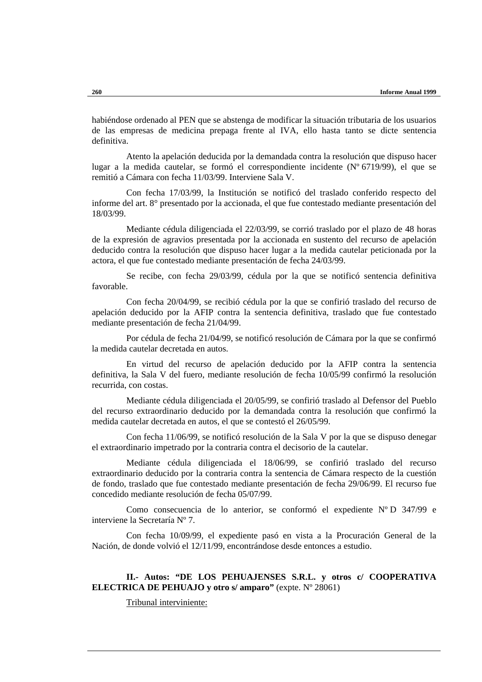habiéndose ordenado al PEN que se abstenga de modificar la situación tributaria de los usuarios de las empresas de medicina prepaga frente al IVA, ello hasta tanto se dicte sentencia definitiva.

Atento la apelación deducida por la demandada contra la resolución que dispuso hacer lugar a la medida cautelar, se formó el correspondiente incidente (Nº 6719/99), el que se remitió a Cámara con fecha 11/03/99. Interviene Sala V.

Con fecha 17/03/99, la Institución se notificó del traslado conferido respecto del informe del art. 8° presentado por la accionada, el que fue contestado mediante presentación del 18/03/99.

Mediante cédula diligenciada el 22/03/99, se corrió traslado por el plazo de 48 horas de la expresión de agravios presentada por la accionada en sustento del recurso de apelación deducido contra la resolución que dispuso hacer lugar a la medida cautelar peticionada por la actora, el que fue contestado mediante presentación de fecha 24/03/99.

Se recibe, con fecha 29/03/99, cédula por la que se notificó sentencia definitiva favorable.

Con fecha 20/04/99, se recibió cédula por la que se confirió traslado del recurso de apelación deducido por la AFIP contra la sentencia definitiva, traslado que fue contestado mediante presentación de fecha 21/04/99.

Por cédula de fecha 21/04/99, se notificó resolución de Cámara por la que se confirmó la medida cautelar decretada en autos.

En virtud del recurso de apelación deducido por la AFIP contra la sentencia definitiva, la Sala V del fuero, mediante resolución de fecha 10/05/99 confirmó la resolución recurrida, con costas.

Mediante cédula diligenciada el 20/05/99, se confirió traslado al Defensor del Pueblo del recurso extraordinario deducido por la demandada contra la resolución que confirmó la medida cautelar decretada en autos, el que se contestó el 26/05/99.

Con fecha 11/06/99, se notificó resolución de la Sala V por la que se dispuso denegar el extraordinario impetrado por la contraria contra el decisorio de la cautelar.

Mediante cédula diligenciada el 18/06/99, se confirió traslado del recurso extraordinario deducido por la contraria contra la sentencia de Cámara respecto de la cuestión de fondo, traslado que fue contestado mediante presentación de fecha 29/06/99. El recurso fue concedido mediante resolución de fecha 05/07/99.

Como consecuencia de lo anterior, se conformó el expediente  $N^{\circ}$ D 347/99 e interviene la Secretaría Nº 7.

Con fecha 10/09/99, el expediente pasó en vista a la Procuración General de la Nación, de donde volvió el 12/11/99, encontrándose desde entonces a estudio.

## **II.- Autos: "DE LOS PEHUAJENSES S.R.L. y otros c/ COOPERATIVA ELECTRICA DE PEHUAJO y otro s/ amparo"** (expte. Nº 28061)

Tribunal interviniente: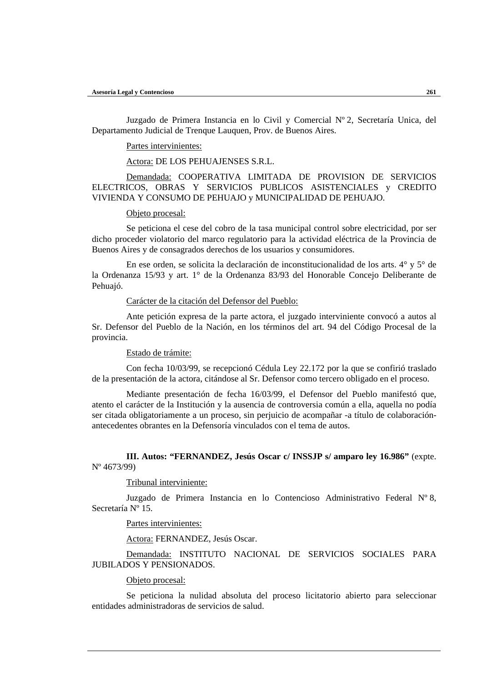Juzgado de Primera Instancia en lo Civil y Comercial Nº 2, Secretaría Unica, del Departamento Judicial de Trenque Lauquen, Prov. de Buenos Aires.

Partes intervinientes:

Actora: DE LOS PEHUAJENSES S.R.L.

Demandada: COOPERATIVA LIMITADA DE PROVISION DE SERVICIOS ELECTRICOS, OBRAS Y SERVICIOS PUBLICOS ASISTENCIALES y CREDITO VIVIENDA Y CONSUMO DE PEHUAJO y MUNICIPALIDAD DE PEHUAJO.

Objeto procesal:

Se peticiona el cese del cobro de la tasa municipal control sobre electricidad, por ser dicho proceder violatorio del marco regulatorio para la actividad eléctrica de la Provincia de Buenos Aires y de consagrados derechos de los usuarios y consumidores.

En ese orden, se solicita la declaración de inconstitucionalidad de los arts. 4° y 5° de la Ordenanza 15/93 y art. 1° de la Ordenanza 83/93 del Honorable Concejo Deliberante de Pehuajó.

### Carácter de la citación del Defensor del Pueblo:

Ante petición expresa de la parte actora, el juzgado interviniente convocó a autos al Sr. Defensor del Pueblo de la Nación, en los términos del art. 94 del Código Procesal de la provincia.

### Estado de trámite:

Con fecha 10/03/99, se recepcionó Cédula Ley 22.172 por la que se confirió traslado de la presentación de la actora, citándose al Sr. Defensor como tercero obligado en el proceso.

Mediante presentación de fecha 16/03/99, el Defensor del Pueblo manifestó que, atento el carácter de la Institución y la ausencia de controversia común a ella, aquella no podía ser citada obligatoriamente a un proceso, sin perjuicio de acompañar -a título de colaboraciónantecedentes obrantes en la Defensoría vinculados con el tema de autos.

**III. Autos: "FERNANDEZ, Jesús Oscar c/ INSSJP s/ amparo ley 16.986"** (expte. Nº 4673/99)

### Tribunal interviniente:

Juzgado de Primera Instancia en lo Contencioso Administrativo Federal Nº 8, Secretaría Nº 15.

#### Partes intervinientes:

Actora: FERNANDEZ, Jesús Oscar.

Demandada: INSTITUTO NACIONAL DE SERVICIOS SOCIALES PARA JUBILADOS Y PENSIONADOS.

### Objeto procesal:

Se peticiona la nulidad absoluta del proceso licitatorio abierto para seleccionar entidades administradoras de servicios de salud.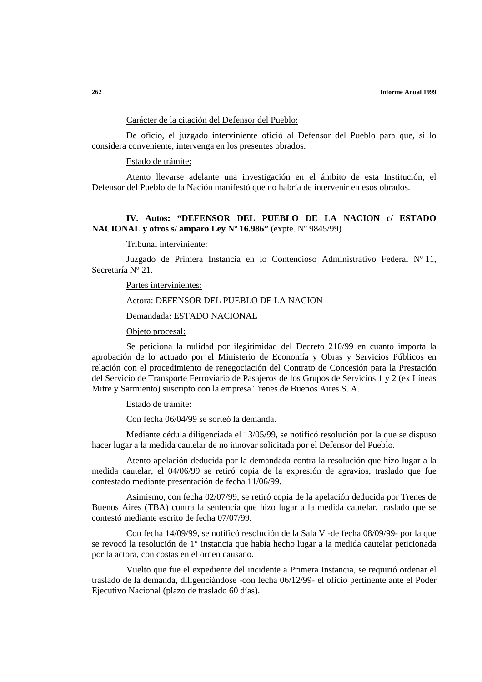## Carácter de la citación del Defensor del Pueblo:

De oficio, el juzgado interviniente ofició al Defensor del Pueblo para que, si lo considera conveniente, intervenga en los presentes obrados.

Estado de trámite:

Atento llevarse adelante una investigación en el ámbito de esta Institución, el Defensor del Pueblo de la Nación manifestó que no habría de intervenir en esos obrados.

## **IV. Autos: "DEFENSOR DEL PUEBLO DE LA NACION c/ ESTADO NACIONAL y otros s/ amparo Ley Nº 16.986"** (expte. Nº 9845/99)

### Tribunal interviniente:

Juzgado de Primera Instancia en lo Contencioso Administrativo Federal Nº 11, Secretaría Nº 21.

### Partes intervinientes:

# Actora: DEFENSOR DEL PUEBLO DE LA NACION

Demandada: ESTADO NACIONAL

Objeto procesal:

Se peticiona la nulidad por ilegitimidad del Decreto 210/99 en cuanto importa la aprobación de lo actuado por el Ministerio de Economía y Obras y Servicios Públicos en relación con el procedimiento de renegociación del Contrato de Concesión para la Prestación del Servicio de Transporte Ferroviario de Pasajeros de los Grupos de Servicios 1 y 2 (ex Líneas Mitre y Sarmiento) suscripto con la empresa Trenes de Buenos Aires S. A.

Estado de trámite:

Con fecha 06/04/99 se sorteó la demanda.

Mediante cédula diligenciada el 13/05/99, se notificó resolución por la que se dispuso hacer lugar a la medida cautelar de no innovar solicitada por el Defensor del Pueblo.

Atento apelación deducida por la demandada contra la resolución que hizo lugar a la medida cautelar, el 04/06/99 se retiró copia de la expresión de agravios, traslado que fue contestado mediante presentación de fecha 11/06/99.

Asimismo, con fecha 02/07/99, se retiró copia de la apelación deducida por Trenes de Buenos Aires (TBA) contra la sentencia que hizo lugar a la medida cautelar, traslado que se contestó mediante escrito de fecha 07/07/99.

Con fecha 14/09/99, se notificó resolución de la Sala V -de fecha 08/09/99- por la que se revocó la resolución de 1° instancia que había hecho lugar a la medida cautelar peticionada por la actora, con costas en el orden causado.

Vuelto que fue el expediente del incidente a Primera Instancia, se requirió ordenar el traslado de la demanda, diligenciándose -con fecha 06/12/99- el oficio pertinente ante el Poder Ejecutivo Nacional (plazo de traslado 60 días).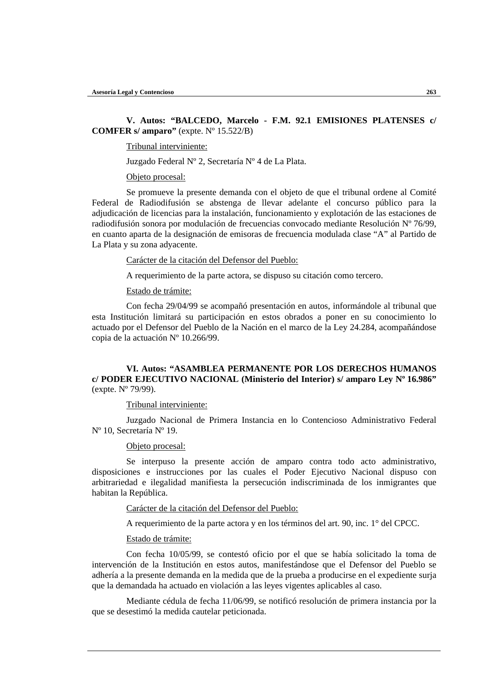## **V. Autos: "BALCEDO, Marcelo - F.M. 92.1 EMISIONES PLATENSES c/ COMFER s/ amparo"** (expte. Nº 15.522/B)

### Tribunal interviniente:

Juzgado Federal Nº 2, Secretaría Nº 4 de La Plata.

#### Objeto procesal:

Se promueve la presente demanda con el objeto de que el tribunal ordene al Comité Federal de Radiodifusión se abstenga de llevar adelante el concurso público para la adjudicación de licencias para la instalación, funcionamiento y explotación de las estaciones de radiodifusión sonora por modulación de frecuencias convocado mediante Resolución Nº 76/99, en cuanto aparta de la designación de emisoras de frecuencia modulada clase "A" al Partido de La Plata y su zona adyacente.

#### Carácter de la citación del Defensor del Pueblo:

A requerimiento de la parte actora, se dispuso su citación como tercero.

### Estado de trámite:

Con fecha 29/04/99 se acompañó presentación en autos, informándole al tribunal que esta Institución limitará su participación en estos obrados a poner en su conocimiento lo actuado por el Defensor del Pueblo de la Nación en el marco de la Ley 24.284, acompañándose copia de la actuación Nº 10.266/99.

## **VI. Autos: "ASAMBLEA PERMANENTE POR LOS DERECHOS HUMANOS c/ PODER EJECUTIVO NACIONAL (Ministerio del Interior) s/ amparo Ley Nº 16.986"** (expte. Nº 79/99).

### Tribunal interviniente:

Juzgado Nacional de Primera Instancia en lo Contencioso Administrativo Federal Nº 10, Secretaría Nº 19.

### Objeto procesal:

Se interpuso la presente acción de amparo contra todo acto administrativo, disposiciones e instrucciones por las cuales el Poder Ejecutivo Nacional dispuso con arbitrariedad e ilegalidad manifiesta la persecución indiscriminada de los inmigrantes que habitan la República.

#### Carácter de la citación del Defensor del Pueblo:

A requerimiento de la parte actora y en los términos del art. 90, inc. 1° del CPCC.

## Estado de trámite:

Con fecha 10/05/99, se contestó oficio por el que se había solicitado la toma de intervención de la Institución en estos autos, manifestándose que el Defensor del Pueblo se adhería a la presente demanda en la medida que de la prueba a producirse en el expediente surja que la demandada ha actuado en violación a las leyes vigentes aplicables al caso.

Mediante cédula de fecha 11/06/99, se notificó resolución de primera instancia por la que se desestimó la medida cautelar peticionada.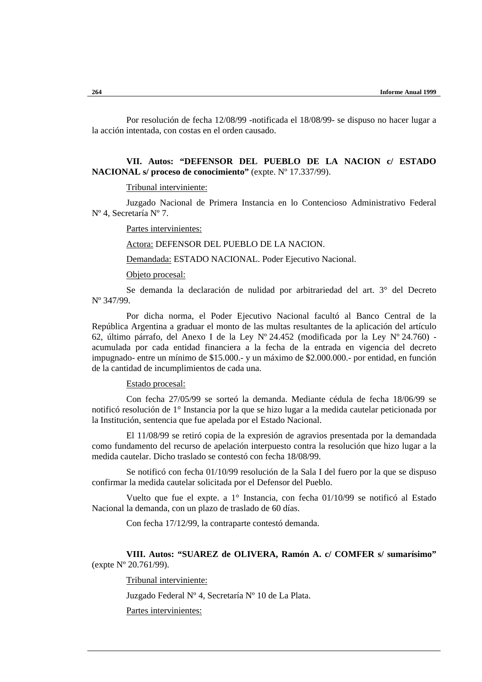Por resolución de fecha 12/08/99 -notificada el 18/08/99- se dispuso no hacer lugar a la acción intentada, con costas en el orden causado.

**VII. Autos: "DEFENSOR DEL PUEBLO DE LA NACION c/ ESTADO NACIONAL s/ proceso de conocimiento"** (expte. Nº 17.337/99).

Tribunal interviniente:

Juzgado Nacional de Primera Instancia en lo Contencioso Administrativo Federal Nº 4, Secretaría Nº 7.

Partes intervinientes:

Actora: DEFENSOR DEL PUEBLO DE LA NACION.

Demandada: ESTADO NACIONAL. Poder Ejecutivo Nacional.

Objeto procesal:

Se demanda la declaración de nulidad por arbitrariedad del art. 3° del Decreto Nº 347/99.

Por dicha norma, el Poder Ejecutivo Nacional facultó al Banco Central de la República Argentina a graduar el monto de las multas resultantes de la aplicación del artículo 62, último párrafo, del Anexo I de la Ley Nº 24.452 (modificada por la Ley Nº 24.760) acumulada por cada entidad financiera a la fecha de la entrada en vigencia del decreto impugnado- entre un mínimo de \$15.000.- y un máximo de \$2.000.000.- por entidad, en función de la cantidad de incumplimientos de cada una.

Estado procesal:

Con fecha 27/05/99 se sorteó la demanda. Mediante cédula de fecha 18/06/99 se notificó resolución de 1° Instancia por la que se hizo lugar a la medida cautelar peticionada por la Institución, sentencia que fue apelada por el Estado Nacional.

El 11/08/99 se retiró copia de la expresión de agravios presentada por la demandada como fundamento del recurso de apelación interpuesto contra la resolución que hizo lugar a la medida cautelar. Dicho traslado se contestó con fecha 18/08/99.

Se notificó con fecha 01/10/99 resolución de la Sala I del fuero por la que se dispuso confirmar la medida cautelar solicitada por el Defensor del Pueblo.

Vuelto que fue el expte. a 1° Instancia, con fecha 01/10/99 se notificó al Estado Nacional la demanda, con un plazo de traslado de 60 días.

Con fecha 17/12/99, la contraparte contestó demanda.

**VIII. Autos: "SUAREZ de OLIVERA, Ramón A. c/ COMFER s/ sumarísimo"** (expte Nº 20.761/99).

Tribunal interviniente:

Juzgado Federal Nº 4, Secretaría Nº 10 de La Plata.

Partes intervinientes: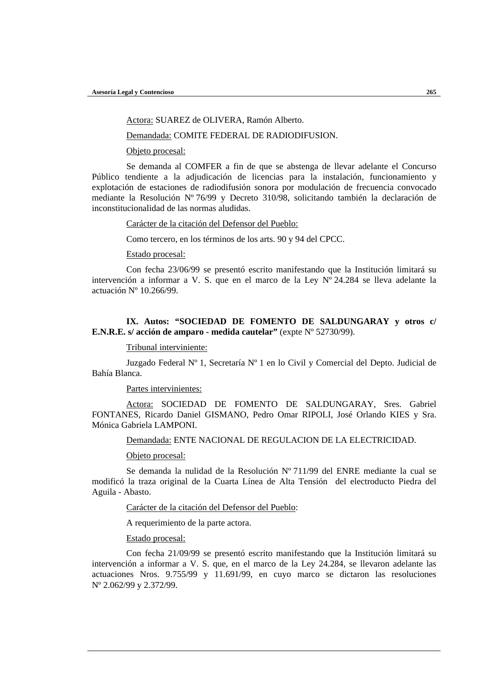Actora: SUAREZ de OLIVERA, Ramón Alberto.

Demandada: COMITE FEDERAL DE RADIODIFUSION.

Objeto procesal:

Se demanda al COMFER a fin de que se abstenga de llevar adelante el Concurso Público tendiente a la adjudicación de licencias para la instalación, funcionamiento y explotación de estaciones de radiodifusión sonora por modulación de frecuencia convocado mediante la Resolución Nº 76/99 y Decreto 310/98, solicitando también la declaración de inconstitucionalidad de las normas aludidas.

Carácter de la citación del Defensor del Pueblo:

Como tercero, en los términos de los arts. 90 y 94 del CPCC.

Estado procesal:

Con fecha 23/06/99 se presentó escrito manifestando que la Institución limitará su intervención a informar a V. S. que en el marco de la Ley Nº 24.284 se lleva adelante la actuación Nº 10.266/99.

# **IX. Autos: "SOCIEDAD DE FOMENTO DE SALDUNGARAY y otros c/ E.N.R.E. s/ acción de amparo - medida cautelar"** (expte Nº 52730/99).

Tribunal interviniente:

Juzgado Federal Nº 1, Secretaría Nº 1 en lo Civil y Comercial del Depto. Judicial de Bahía Blanca.

Partes intervinientes:

Actora: SOCIEDAD DE FOMENTO DE SALDUNGARAY, Sres. Gabriel FONTANES, Ricardo Daniel GISMANO, Pedro Omar RIPOLI, José Orlando KIES y Sra. Mónica Gabriela LAMPONI.

Demandada: ENTE NACIONAL DE REGULACION DE LA ELECTRICIDAD.

Objeto procesal:

Se demanda la nulidad de la Resolución  $N^{\circ}$  711/99 del ENRE mediante la cual se modificó la traza original de la Cuarta Línea de Alta Tensión del electroducto Piedra del Aguila - Abasto.

Carácter de la citación del Defensor del Pueblo:

A requerimiento de la parte actora.

Estado procesal:

Con fecha 21/09/99 se presentó escrito manifestando que la Institución limitará su intervención a informar a V. S. que, en el marco de la Ley 24.284, se llevaron adelante las actuaciones Nros. 9.755/99 y 11.691/99, en cuyo marco se dictaron las resoluciones Nº 2.062/99 y 2.372/99.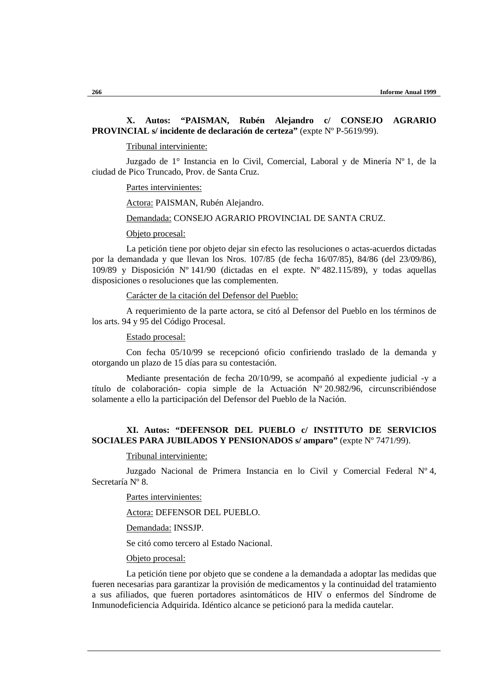## **X. Autos: "PAISMAN, Rubén Alejandro c/ CONSEJO AGRARIO PROVINCIAL s/ incidente de declaración de certeza"** (expte Nº P-5619/99).

Tribunal interviniente:

Juzgado de 1° Instancia en lo Civil, Comercial, Laboral y de Minería Nº 1, de la ciudad de Pico Truncado, Prov. de Santa Cruz.

Partes intervinientes:

Actora: PAISMAN, Rubén Alejandro.

Demandada: CONSEJO AGRARIO PROVINCIAL DE SANTA CRUZ.

Objeto procesal:

La petición tiene por objeto dejar sin efecto las resoluciones o actas-acuerdos dictadas por la demandada y que llevan los Nros. 107/85 (de fecha 16/07/85), 84/86 (del 23/09/86), 109/89 y Disposición Nº 141/90 (dictadas en el expte. Nº 482.115/89), y todas aquellas disposiciones o resoluciones que las complementen.

Carácter de la citación del Defensor del Pueblo:

A requerimiento de la parte actora, se citó al Defensor del Pueblo en los términos de los arts. 94 y 95 del Código Procesal.

Estado procesal:

Con fecha 05/10/99 se recepcionó oficio confiriendo traslado de la demanda y otorgando un plazo de 15 días para su contestación.

Mediante presentación de fecha 20/10/99, se acompañó al expediente judicial -y a título de colaboración- copia simple de la Actuación Nº 20.982/96, circunscribiéndose solamente a ello la participación del Defensor del Pueblo de la Nación.

## **XI. Autos: "DEFENSOR DEL PUEBLO c/ INSTITUTO DE SERVICIOS SOCIALES PARA JUBILADOS Y PENSIONADOS s/ amparo"** (expte Nº 7471/99).

Tribunal interviniente:

Juzgado Nacional de Primera Instancia en lo Civil y Comercial Federal Nº 4, Secretaría Nº 8.

Partes intervinientes:

Actora: DEFENSOR DEL PUEBLO.

Demandada: INSSJP.

Se citó como tercero al Estado Nacional.

## Objeto procesal:

La petición tiene por objeto que se condene a la demandada a adoptar las medidas que fueren necesarias para garantizar la provisión de medicamentos y la continuidad del tratamiento a sus afiliados, que fueren portadores asintomáticos de HIV o enfermos del Síndrome de Inmunodeficiencia Adquirida. Idéntico alcance se peticionó para la medida cautelar.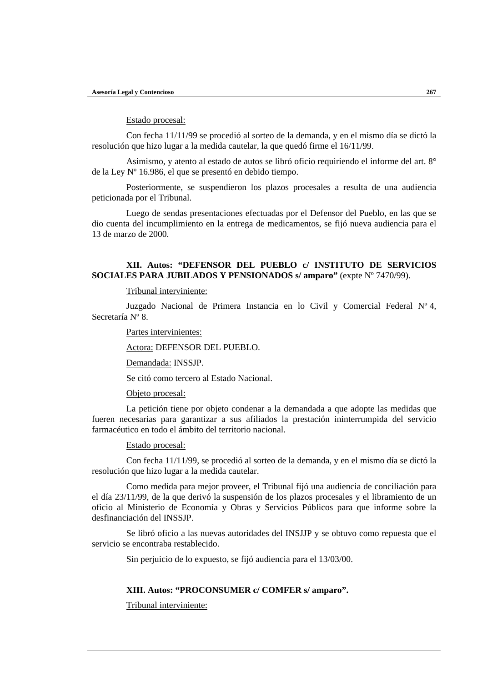## Estado procesal:

Con fecha 11/11/99 se procedió al sorteo de la demanda, y en el mismo día se dictó la resolución que hizo lugar a la medida cautelar, la que quedó firme el 16/11/99.

Asimismo, y atento al estado de autos se libró oficio requiriendo el informe del art. 8° de la Ley Nº 16.986, el que se presentó en debido tiempo.

Posteriormente, se suspendieron los plazos procesales a resulta de una audiencia peticionada por el Tribunal.

Luego de sendas presentaciones efectuadas por el Defensor del Pueblo, en las que se dio cuenta del incumplimiento en la entrega de medicamentos, se fijó nueva audiencia para el 13 de marzo de 2000.

## **XII. Autos: "DEFENSOR DEL PUEBLO c/ INSTITUTO DE SERVICIOS SOCIALES PARA JUBILADOS Y PENSIONADOS s/ amparo"** (expte Nº 7470/99).

### Tribunal interviniente:

Juzgado Nacional de Primera Instancia en lo Civil y Comercial Federal Nº 4, Secretaría Nº 8.

Partes intervinientes:

Actora: DEFENSOR DEL PUEBLO.

Demandada: INSSJP.

Se citó como tercero al Estado Nacional.

#### Objeto procesal:

La petición tiene por objeto condenar a la demandada a que adopte las medidas que fueren necesarias para garantizar a sus afiliados la prestación ininterrumpida del servicio farmacéutico en todo el ámbito del territorio nacional.

#### Estado procesal:

Con fecha 11/11/99, se procedió al sorteo de la demanda, y en el mismo día se dictó la resolución que hizo lugar a la medida cautelar.

Como medida para mejor proveer, el Tribunal fijó una audiencia de conciliación para el día 23/11/99, de la que derivó la suspensión de los plazos procesales y el libramiento de un oficio al Ministerio de Economía y Obras y Servicios Públicos para que informe sobre la desfinanciación del INSSJP.

Se libró oficio a las nuevas autoridades del INSJJP y se obtuvo como repuesta que el servicio se encontraba restablecido.

Sin perjuicio de lo expuesto, se fijó audiencia para el 13/03/00.

## **XIII. Autos: "PROCONSUMER c/ COMFER s/ amparo".**

Tribunal interviniente: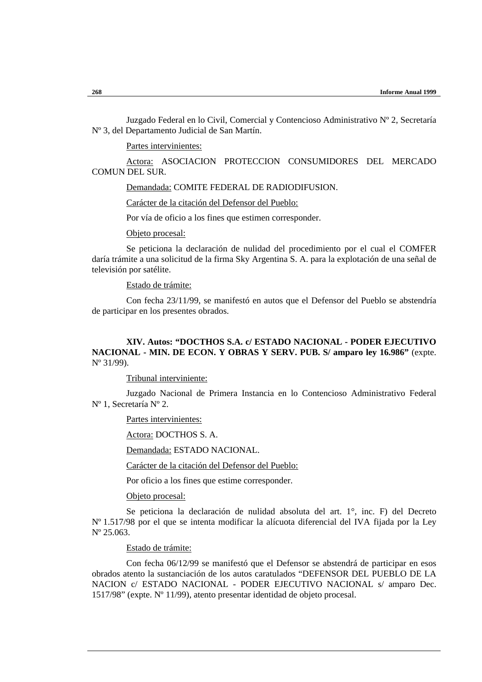Juzgado Federal en lo Civil, Comercial y Contencioso Administrativo Nº 2, Secretaría Nº 3, del Departamento Judicial de San Martín.

Partes intervinientes:

Actora: ASOCIACION PROTECCION CONSUMIDORES DEL MERCADO COMUN DEL SUR.

Demandada: COMITE FEDERAL DE RADIODIFUSION.

Carácter de la citación del Defensor del Pueblo:

Por vía de oficio a los fines que estimen corresponder.

Objeto procesal:

Se peticiona la declaración de nulidad del procedimiento por el cual el COMFER daría trámite a una solicitud de la firma Sky Argentina S. A. para la explotación de una señal de televisión por satélite.

Estado de trámite:

Con fecha 23/11/99, se manifestó en autos que el Defensor del Pueblo se abstendría de participar en los presentes obrados.

## **XIV. Autos: "DOCTHOS S.A. c/ ESTADO NACIONAL - PODER EJECUTIVO NACIONAL - MIN. DE ECON. Y OBRAS Y SERV. PUB. S/ amparo ley 16.986"** (expte. Nº 31/99).

Tribunal interviniente:

Juzgado Nacional de Primera Instancia en lo Contencioso Administrativo Federal Nº 1, Secretaría Nº 2.

Partes intervinientes:

Actora: DOCTHOS S. A.

Demandada: ESTADO NACIONAL.

Carácter de la citación del Defensor del Pueblo:

Por oficio a los fines que estime corresponder.

Objeto procesal:

Se peticiona la declaración de nulidad absoluta del art. 1°, inc. F) del Decreto Nº 1.517/98 por el que se intenta modificar la alícuota diferencial del IVA fijada por la Ley Nº 25.063.

#### Estado de trámite:

Con fecha 06/12/99 se manifestó que el Defensor se abstendrá de participar en esos obrados atento la sustanciación de los autos caratulados "DEFENSOR DEL PUEBLO DE LA NACION c/ ESTADO NACIONAL - PODER EJECUTIVO NACIONAL s/ amparo Dec. 1517/98" (expte. Nº 11/99), atento presentar identidad de objeto procesal.